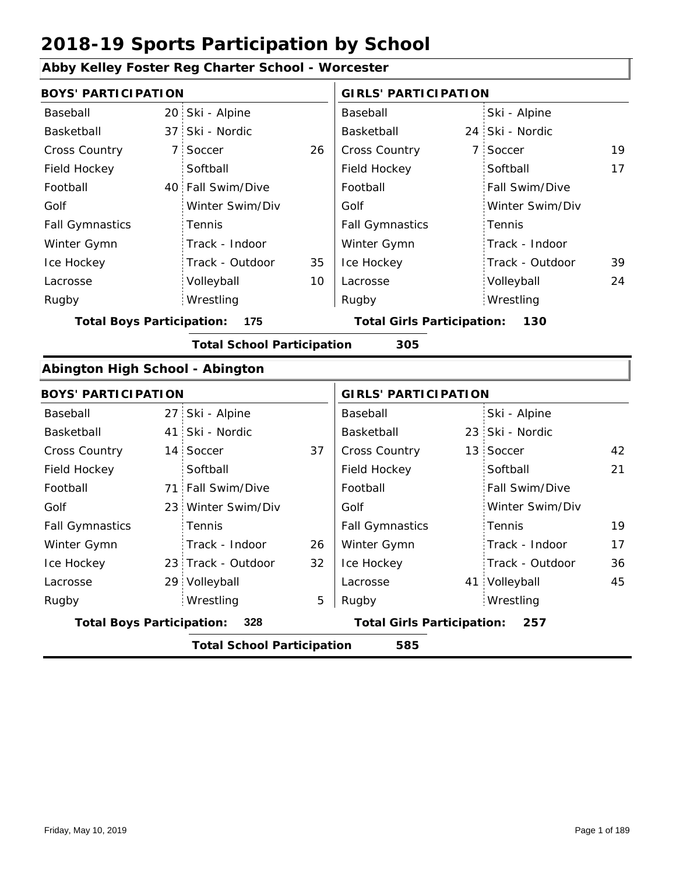### **Abby Kelley Foster Reg Charter School - Worcester**

|                                  | $\frac{1}{2}$ $\frac{1}{2}$ $\frac{1}{2}$ $\frac{1}{2}$ $\frac{1}{2}$ $\frac{1}{2}$ $\frac{1}{2}$ $\frac{1}{2}$ $\frac{1}{2}$ $\frac{1}{2}$ $\frac{1}{2}$ $\frac{1}{2}$ $\frac{1}{2}$ $\frac{1}{2}$ $\frac{1}{2}$ $\frac{1}{2}$ $\frac{1}{2}$ $\frac{1}{2}$ $\frac{1}{2}$ $\frac{1}{2}$ $\frac{1}{2}$ $\frac{1}{2}$ |    |                                   |                |                 |    |
|----------------------------------|---------------------------------------------------------------------------------------------------------------------------------------------------------------------------------------------------------------------------------------------------------------------------------------------------------------------|----|-----------------------------------|----------------|-----------------|----|
| <b>BOYS' PARTICIPATION</b>       |                                                                                                                                                                                                                                                                                                                     |    | <b>GIRLS' PARTICIPATION</b>       |                |                 |    |
| Baseball                         | 20 Ski - Alpine                                                                                                                                                                                                                                                                                                     |    | Baseball                          |                | Ski - Alpine    |    |
| Basketball                       | 37 Ski - Nordic                                                                                                                                                                                                                                                                                                     |    | Basketball                        |                | 24 Ski - Nordic |    |
| Cross Country                    | 7 Soccer                                                                                                                                                                                                                                                                                                            | 26 | Cross Country                     | $\overline{7}$ | Soccer          | 19 |
| Field Hockey                     | Softball                                                                                                                                                                                                                                                                                                            |    | Field Hockey                      |                | Softball        | 17 |
| Football                         | 40 Fall Swim/Dive                                                                                                                                                                                                                                                                                                   |    | Football                          |                | Fall Swim/Dive  |    |
| Golf                             | Winter Swim/Div                                                                                                                                                                                                                                                                                                     |    | Golf                              |                | Winter Swim/Div |    |
| <b>Fall Gymnastics</b>           | Tennis                                                                                                                                                                                                                                                                                                              |    | <b>Fall Gymnastics</b>            |                | Tennis          |    |
| Winter Gymn                      | Track - Indoor                                                                                                                                                                                                                                                                                                      |    | Winter Gymn                       |                | Track - Indoor  |    |
| Ice Hockey                       | Track - Outdoor                                                                                                                                                                                                                                                                                                     | 35 | Ice Hockey                        |                | Track - Outdoor | 39 |
| Lacrosse                         | Volleyball                                                                                                                                                                                                                                                                                                          | 10 | Lacrosse                          |                | Volleyball      | 24 |
| Rugby                            | Wrestling                                                                                                                                                                                                                                                                                                           |    | Rugby                             |                | Wrestling       |    |
| <b>Total Boys Participation:</b> | 175                                                                                                                                                                                                                                                                                                                 |    | <b>Total Girls Participation:</b> |                | 130             |    |
|                                  | <b>Total School Participation</b>                                                                                                                                                                                                                                                                                   |    | 305                               |                |                 |    |
| Abington High School - Abington  |                                                                                                                                                                                                                                                                                                                     |    |                                   |                |                 |    |
| <b>BOYS' PARTICIPATION</b>       |                                                                                                                                                                                                                                                                                                                     |    | <b>GIRLS' PARTICIPATION</b>       |                |                 |    |
| Baseball                         | 27 Ski - Alpine                                                                                                                                                                                                                                                                                                     |    | Baseball                          |                | Ski - Alpine    |    |
| Basketball                       | 41 Ski - Nordic                                                                                                                                                                                                                                                                                                     |    | Basketball                        |                | 23 Ski - Nordic |    |
| Cross Country                    | 14 Soccer                                                                                                                                                                                                                                                                                                           | 37 | <b>Cross Country</b>              |                | 13 Soccer       | 42 |
| Field Hockey                     | Softball                                                                                                                                                                                                                                                                                                            |    | Field Hockey                      |                | Softball        | 21 |
| Football                         | 71 Fall Swim/Dive                                                                                                                                                                                                                                                                                                   |    | Football                          |                | Fall Swim/Dive  |    |
| Golf                             | 23 Winter Swim/Div                                                                                                                                                                                                                                                                                                  |    | Golf                              |                | Winter Swim/Div |    |
| <b>Fall Gymnastics</b>           | Tennis                                                                                                                                                                                                                                                                                                              |    | <b>Fall Gymnastics</b>            |                | Tennis          | 19 |
| Winter Gymn                      | Track - Indoor                                                                                                                                                                                                                                                                                                      | 26 | Winter Gymn                       |                | Track - Indoor  | 17 |
| Ice Hockey                       | 23 Track - Outdoor                                                                                                                                                                                                                                                                                                  | 32 | Ice Hockey                        |                | Track - Outdoor | 36 |
| Lacrosse                         | 29 Volleyball                                                                                                                                                                                                                                                                                                       |    | Lacrosse                          |                | 41 Volleyball   | 45 |
| Rugby                            | Wrestling                                                                                                                                                                                                                                                                                                           | 5  | Rugby                             |                | Wrestling       |    |
| <b>Total Boys Participation:</b> | 328                                                                                                                                                                                                                                                                                                                 |    | <b>Total Girls Participation:</b> |                | 257             |    |
|                                  | <b>Total School Participation</b>                                                                                                                                                                                                                                                                                   |    | 585                               |                |                 |    |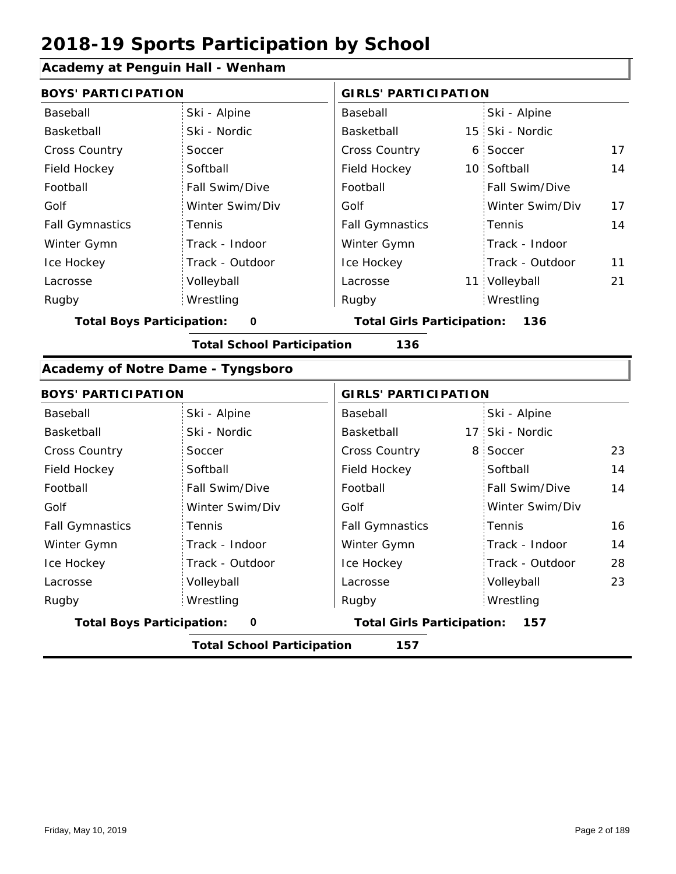#### **Academy at Penguin Hall - Wenham**

| <b>BOYS' PARTICIPATION</b>            |                 |                                   | <b>GIRLS' PARTICIPATION</b> |                 |    |  |
|---------------------------------------|-----------------|-----------------------------------|-----------------------------|-----------------|----|--|
| Baseball                              | Ski - Alpine    | Baseball                          |                             | Ski - Alpine    |    |  |
| Basketball                            | Ski - Nordic    | Basketball                        |                             | 15 Ski - Nordic |    |  |
| <b>Cross Country</b>                  | Soccer          | <b>Cross Country</b>              |                             | 6 Soccer        | 17 |  |
| Field Hockey                          | Softball        | Field Hockey                      |                             | 10 Softball     | 14 |  |
| Football                              | Fall Swim/Dive  | Football                          |                             | Fall Swim/Dive  |    |  |
| Golf                                  | Winter Swim/Div | Golf                              |                             | Winter Swim/Div | 17 |  |
| <b>Fall Gymnastics</b>                | Tennis          | <b>Fall Gymnastics</b>            |                             | Tennis          | 14 |  |
| Winter Gymn                           | Track - Indoor  | Winter Gymn                       |                             | Track - Indoor  |    |  |
| Ice Hockey                            | Track - Outdoor | Ice Hockey                        |                             | Track - Outdoor | 11 |  |
| Lacrosse                              | Volleyball      | Lacrosse                          |                             | 11 Volleyball   | 21 |  |
| Rugby                                 | Wrestling       | Rugby                             |                             | Wrestling       |    |  |
| <b>Total Boys Participation:</b><br>0 |                 | <b>Total Girls Participation:</b> |                             | 136             |    |  |

**Total School Participation 136**

#### **Academy of Notre Dame - Tyngsboro**

| <b>BOYS' PARTICIPATION</b>       |                 | <b>GIRLS' PARTICIPATION</b>       |                       |
|----------------------------------|-----------------|-----------------------------------|-----------------------|
| Baseball                         | Ski - Alpine    | Baseball                          | Ski - Alpine          |
| Basketball                       | Ski - Nordic    | Basketball                        | 17 Ski - Nordic       |
| <b>Cross Country</b>             | Soccer          | <b>Cross Country</b>              | 23<br>8 Soccer        |
| Field Hockey                     | Softball        | Field Hockey                      | 14<br>Softball        |
| Football                         | Fall Swim/Dive  | Football                          | 14<br>Fall Swim/Dive  |
| Golf                             | Winter Swim/Div | Golf                              | Winter Swim/Div       |
| <b>Fall Gymnastics</b>           | Tennis          | <b>Fall Gymnastics</b>            | 16<br>Tennis          |
| Winter Gymn                      | Track - Indoor  | Winter Gymn                       | Track - Indoor<br>14  |
| Ice Hockey                       | Track - Outdoor | Ice Hockey                        | 28<br>Track - Outdoor |
| Lacrosse                         | Volleyball      | Lacrosse                          | 23<br>Volleyball      |
| Rugby                            | Wrestling       | Rugby                             | Wrestling             |
| <b>Total Boys Participation:</b> | 0               | <b>Total Girls Participation:</b> | 157                   |

**Total School Participation 157**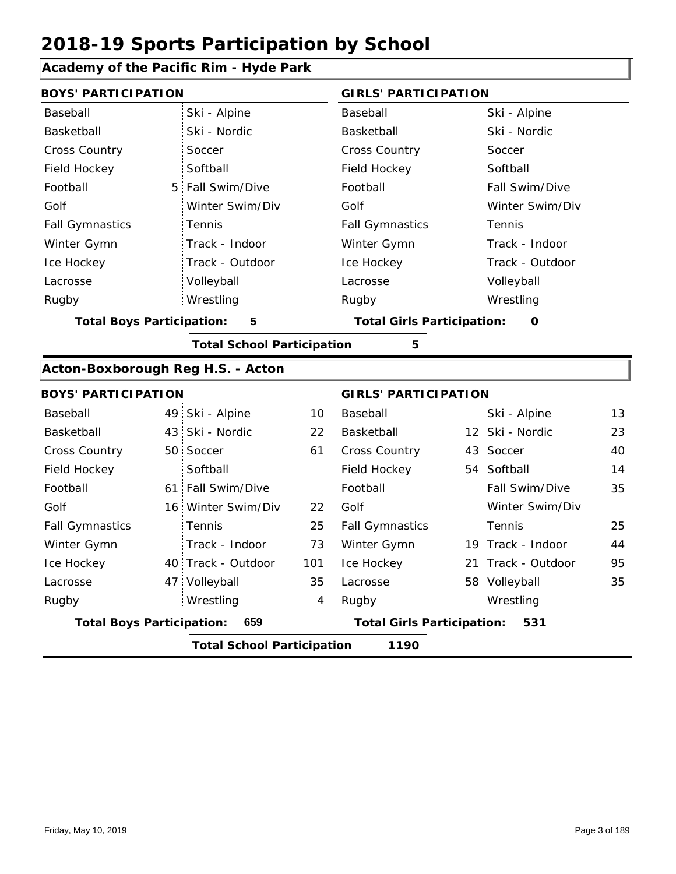### **Academy of the Pacific Rim - Hyde Park**

| <b>BOYS' PARTICIPATION</b>        |                                           |                                   |     | <b>GIRLS' PARTICIPATION</b>            |  |                    |    |  |  |  |
|-----------------------------------|-------------------------------------------|-----------------------------------|-----|----------------------------------------|--|--------------------|----|--|--|--|
| Baseball                          |                                           | Ski - Alpine                      |     | Baseball                               |  | Ski - Alpine       |    |  |  |  |
| Basketball                        |                                           | Ski - Nordic                      |     | Basketball                             |  | Ski - Nordic       |    |  |  |  |
| <b>Cross Country</b>              |                                           | Soccer                            |     | <b>Cross Country</b>                   |  | Soccer             |    |  |  |  |
| Field Hockey                      |                                           | Softball                          |     | Field Hockey                           |  | Softball           |    |  |  |  |
| Football                          | 5 <sup>1</sup>                            | Fall Swim/Dive                    |     | Football                               |  | Fall Swim/Dive     |    |  |  |  |
| Golf                              |                                           | Winter Swim/Div                   |     | Golf                                   |  | Winter Swim/Div    |    |  |  |  |
| <b>Fall Gymnastics</b>            |                                           | Tennis                            |     | <b>Fall Gymnastics</b>                 |  | Tennis             |    |  |  |  |
| Winter Gymn                       |                                           | Track - Indoor                    |     | Winter Gymn                            |  | Track - Indoor     |    |  |  |  |
| Ice Hockey                        |                                           | Track - Outdoor                   |     | Ice Hockey                             |  | Track - Outdoor    |    |  |  |  |
| Lacrosse                          |                                           | Volleyball                        |     | Lacrosse                               |  | Volleyball         |    |  |  |  |
| Rugby                             |                                           | Wrestling                         |     | Rugby                                  |  | Wrestling          |    |  |  |  |
| <b>Total Boys Participation:</b>  |                                           | ${\bf 5}$                         |     | <b>Total Girls Participation:</b><br>O |  |                    |    |  |  |  |
|                                   |                                           | <b>Total School Participation</b> |     | 5                                      |  |                    |    |  |  |  |
| Acton-Boxborough Reg H.S. - Acton |                                           |                                   |     |                                        |  |                    |    |  |  |  |
| <b>BOYS' PARTICIPATION</b>        |                                           |                                   |     | <b>GIRLS' PARTICIPATION</b>            |  |                    |    |  |  |  |
| Baseball                          |                                           | 49 Ski - Alpine                   | 10  | Baseball                               |  | Ski - Alpine       | 13 |  |  |  |
| Basketball                        |                                           | 43 Ski - Nordic                   | 22  | Basketball                             |  | 12 Ski - Nordic    | 23 |  |  |  |
| <b>Cross Country</b>              |                                           | 50 Soccer                         | 61  | <b>Cross Country</b>                   |  | 43 Soccer          | 40 |  |  |  |
| Field Hockey                      |                                           | Softball                          |     | Field Hockey                           |  | 54 Softball        | 14 |  |  |  |
| Football                          |                                           | 61 Fall Swim/Dive                 |     | Football                               |  | Fall Swim/Dive     | 35 |  |  |  |
| Golf                              |                                           | 16 Winter Swim/Div                | 22  | Golf                                   |  | Winter Swim/Div    |    |  |  |  |
| <b>Fall Gymnastics</b>            |                                           | Tennis                            | 25  | <b>Fall Gymnastics</b>                 |  | Tennis             | 25 |  |  |  |
| Winter Gymn                       |                                           | Track - Indoor                    | 73  | Winter Gymn                            |  | 19 Track - Indoor  | 44 |  |  |  |
| Ice Hockey                        |                                           | 40 Track - Outdoor                | 101 | Ice Hockey                             |  | 21 Track - Outdoor | 95 |  |  |  |
| Lacrosse                          |                                           | 47 Volleyball                     | 35  | Lacrosse                               |  | 58 Volleyball      | 35 |  |  |  |
| Rugby                             |                                           | Wrestling                         | 4   | Rugby                                  |  | Wrestling          |    |  |  |  |
| <b>Total Boys Participation:</b>  |                                           | 659                               |     | <b>Total Girls Participation:</b>      |  | 531                |    |  |  |  |
|                                   | 1190<br><b>Total School Participation</b> |                                   |     |                                        |  |                    |    |  |  |  |
|                                   |                                           |                                   |     |                                        |  |                    |    |  |  |  |

I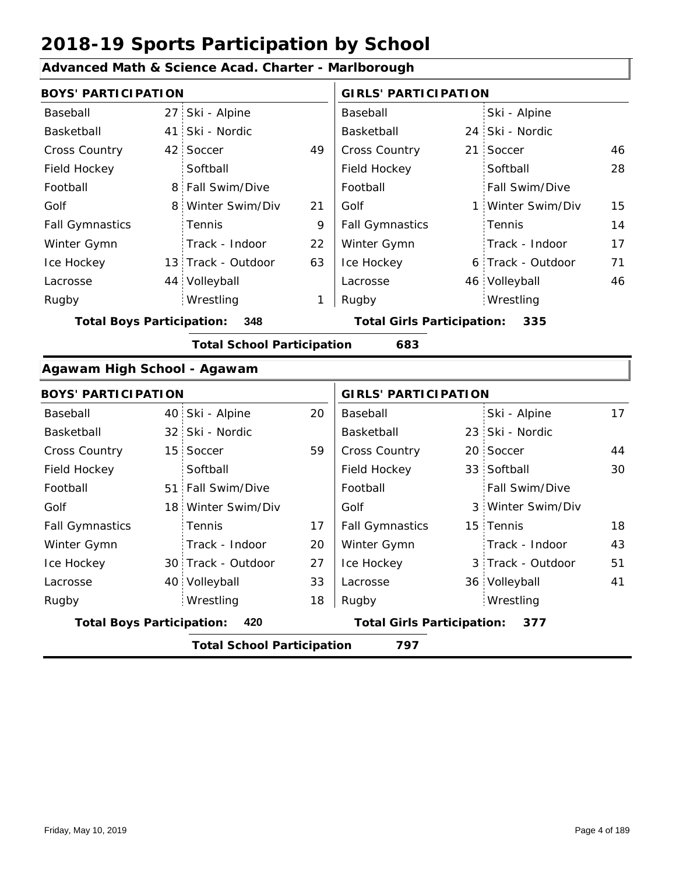#### **Advanced Math & Science Acad. Charter - Marlborough**

|                                          | <b>BOYS' PARTICIPATION</b> |                                          |    |                        | <b>GIRLS' PARTICIPATION</b> |                   |    |  |  |  |
|------------------------------------------|----------------------------|------------------------------------------|----|------------------------|-----------------------------|-------------------|----|--|--|--|
| Baseball                                 |                            | 27 Ski - Alpine                          |    | Baseball               |                             | Ski - Alpine      |    |  |  |  |
| Basketball                               |                            | 41 Ski - Nordic                          |    | Basketball             |                             | 24 Ski - Nordic   |    |  |  |  |
| <b>Cross Country</b>                     |                            | 42 Soccer                                | 49 | <b>Cross Country</b>   |                             | 21 Soccer         | 46 |  |  |  |
| Field Hockey                             |                            | Softball                                 |    | Field Hockey           |                             | Softball          | 28 |  |  |  |
| Football                                 |                            | 8 Fall Swim/Dive                         |    | Football               |                             | Fall Swim/Dive    |    |  |  |  |
| Golf                                     |                            | 8 Winter Swim/Div                        | 21 | Golf                   |                             | 1 Winter Swim/Div | 15 |  |  |  |
| <b>Fall Gymnastics</b>                   |                            | <b>Tennis</b>                            | 9  | <b>Fall Gymnastics</b> |                             | Tennis            | 14 |  |  |  |
| Winter Gymn                              |                            | Track - Indoor                           | 22 | Winter Gymn            |                             | Track - Indoor    | 17 |  |  |  |
| Ice Hockey                               |                            | 13 Track - Outdoor                       | 63 | Ice Hockey             |                             | 6 Track - Outdoor | 71 |  |  |  |
| Lacrosse                                 |                            | 44 Volleyball                            |    | Lacrosse               |                             | 46 Volleyball     | 46 |  |  |  |
| Rugby                                    |                            | Wrestling                                | 1  | Rugby                  |                             | Wrestling         |    |  |  |  |
| <b>Total Boys Participation:</b><br>348  |                            | <b>Total Girls Participation:</b><br>335 |    |                        |                             |                   |    |  |  |  |
| <b>Total School Participation</b><br>683 |                            |                                          |    |                        |                             |                   |    |  |  |  |

#### **Agawam High School - Agawam**

| <b>BOYS' PARTICIPATION</b>               |  |                                   |    | <b>GIRLS' PARTICIPATION</b> |  |                   |    |
|------------------------------------------|--|-----------------------------------|----|-----------------------------|--|-------------------|----|
| Baseball                                 |  | 40 Ski - Alpine                   | 20 | Baseball                    |  | Ski - Alpine      | 17 |
| Basketball                               |  | 32 Ski - Nordic                   |    | Basketball                  |  | 23 Ski - Nordic   |    |
| <b>Cross Country</b>                     |  | 15 Soccer                         | 59 | <b>Cross Country</b>        |  | 20 Soccer         | 44 |
| Field Hockey                             |  | Softball                          |    | Field Hockey                |  | 33 Softball       | 30 |
| Football                                 |  | 51 Fall Swim/Dive                 |    | Football                    |  | Fall Swim/Dive    |    |
| Golf                                     |  | 18 Winter Swim/Div                |    | Golf                        |  | 3 Winter Swim/Div |    |
| <b>Fall Gymnastics</b>                   |  | <b>Tennis</b>                     | 17 | <b>Fall Gymnastics</b>      |  | 15 Tennis         | 18 |
| Winter Gymn                              |  | Track - Indoor                    | 20 | Winter Gymn                 |  | Track - Indoor    | 43 |
| Ice Hockey                               |  | 30 Track - Outdoor                | 27 | Ice Hockey                  |  | 3 Track - Outdoor | 51 |
| Lacrosse                                 |  | 40 Volleyball                     | 33 | Lacrosse                    |  | 36 Volleyball     | 41 |
| Rugby                                    |  | Wrestling                         | 18 | Rugby                       |  | Wrestling         |    |
| <b>Total Boys Participation:</b><br>420  |  | <b>Total Girls Participation:</b> |    | 377                         |  |                   |    |
| 797<br><b>Total School Participation</b> |  |                                   |    |                             |  |                   |    |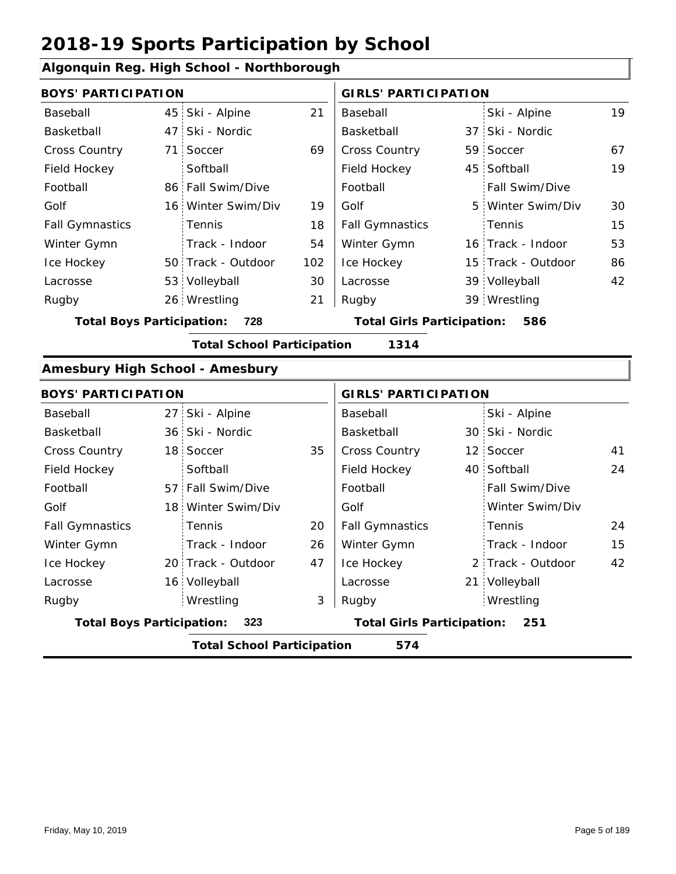#### **Algonquin Reg. High School - Northborough**

|                | 21                                                                                                                                                                                                                                                                                                                                                                                                                                                            | Baseball               |                                                                        | Ski - Alpine    | 19                                                                                                                                                                                                                                                                                                                                                                        |  |  |  |
|----------------|---------------------------------------------------------------------------------------------------------------------------------------------------------------------------------------------------------------------------------------------------------------------------------------------------------------------------------------------------------------------------------------------------------------------------------------------------------------|------------------------|------------------------------------------------------------------------|-----------------|---------------------------------------------------------------------------------------------------------------------------------------------------------------------------------------------------------------------------------------------------------------------------------------------------------------------------------------------------------------------------|--|--|--|
|                |                                                                                                                                                                                                                                                                                                                                                                                                                                                               | Basketball             |                                                                        |                 |                                                                                                                                                                                                                                                                                                                                                                           |  |  |  |
| Soccer         | 69                                                                                                                                                                                                                                                                                                                                                                                                                                                            | <b>Cross Country</b>   |                                                                        |                 | 67                                                                                                                                                                                                                                                                                                                                                                        |  |  |  |
| Softball       |                                                                                                                                                                                                                                                                                                                                                                                                                                                               | Field Hockey           |                                                                        |                 | 19                                                                                                                                                                                                                                                                                                                                                                        |  |  |  |
|                |                                                                                                                                                                                                                                                                                                                                                                                                                                                               | Football               |                                                                        | Fall Swim/Dive  |                                                                                                                                                                                                                                                                                                                                                                           |  |  |  |
|                | 19                                                                                                                                                                                                                                                                                                                                                                                                                                                            | Golf                   |                                                                        |                 | 30                                                                                                                                                                                                                                                                                                                                                                        |  |  |  |
| Tennis         | 18                                                                                                                                                                                                                                                                                                                                                                                                                                                            | <b>Fall Gymnastics</b> |                                                                        | Tennis          | 15                                                                                                                                                                                                                                                                                                                                                                        |  |  |  |
| Track - Indoor | 54                                                                                                                                                                                                                                                                                                                                                                                                                                                            | Winter Gymn            |                                                                        |                 | 53                                                                                                                                                                                                                                                                                                                                                                        |  |  |  |
|                | 102                                                                                                                                                                                                                                                                                                                                                                                                                                                           | Ice Hockey             |                                                                        |                 | 86                                                                                                                                                                                                                                                                                                                                                                        |  |  |  |
|                | 30                                                                                                                                                                                                                                                                                                                                                                                                                                                            | Lacrosse               |                                                                        |                 | 42                                                                                                                                                                                                                                                                                                                                                                        |  |  |  |
|                | 21                                                                                                                                                                                                                                                                                                                                                                                                                                                            | Rugby                  |                                                                        |                 |                                                                                                                                                                                                                                                                                                                                                                           |  |  |  |
| 728            |                                                                                                                                                                                                                                                                                                                                                                                                                                                               |                        |                                                                        | 586             |                                                                                                                                                                                                                                                                                                                                                                           |  |  |  |
|                |                                                                                                                                                                                                                                                                                                                                                                                                                                                               | 1314                   |                                                                        |                 |                                                                                                                                                                                                                                                                                                                                                                           |  |  |  |
|                |                                                                                                                                                                                                                                                                                                                                                                                                                                                               |                        |                                                                        |                 |                                                                                                                                                                                                                                                                                                                                                                           |  |  |  |
|                |                                                                                                                                                                                                                                                                                                                                                                                                                                                               |                        |                                                                        |                 |                                                                                                                                                                                                                                                                                                                                                                           |  |  |  |
|                |                                                                                                                                                                                                                                                                                                                                                                                                                                                               | Baseball               |                                                                        | Ski - Alpine    |                                                                                                                                                                                                                                                                                                                                                                           |  |  |  |
|                |                                                                                                                                                                                                                                                                                                                                                                                                                                                               | Basketball             |                                                                        |                 |                                                                                                                                                                                                                                                                                                                                                                           |  |  |  |
|                | 35                                                                                                                                                                                                                                                                                                                                                                                                                                                            | Cross Country          |                                                                        |                 | 41                                                                                                                                                                                                                                                                                                                                                                        |  |  |  |
| Softball       |                                                                                                                                                                                                                                                                                                                                                                                                                                                               | Field Hockey           |                                                                        |                 | 24                                                                                                                                                                                                                                                                                                                                                                        |  |  |  |
|                |                                                                                                                                                                                                                                                                                                                                                                                                                                                               | Football               |                                                                        | Fall Swim/Dive  |                                                                                                                                                                                                                                                                                                                                                                           |  |  |  |
|                |                                                                                                                                                                                                                                                                                                                                                                                                                                                               | Golf                   |                                                                        | Winter Swim/Div |                                                                                                                                                                                                                                                                                                                                                                           |  |  |  |
| Tennis         | 20                                                                                                                                                                                                                                                                                                                                                                                                                                                            | <b>Fall Gymnastics</b> |                                                                        | Tennis          | 24                                                                                                                                                                                                                                                                                                                                                                        |  |  |  |
| Track - Indoor | 26                                                                                                                                                                                                                                                                                                                                                                                                                                                            | Winter Gymn            |                                                                        | Track - Indoor  | 15                                                                                                                                                                                                                                                                                                                                                                        |  |  |  |
|                | 47                                                                                                                                                                                                                                                                                                                                                                                                                                                            | Ice Hockey             |                                                                        |                 | 42                                                                                                                                                                                                                                                                                                                                                                        |  |  |  |
|                |                                                                                                                                                                                                                                                                                                                                                                                                                                                               | Lacrosse               |                                                                        |                 |                                                                                                                                                                                                                                                                                                                                                                           |  |  |  |
| Wrestling      | 3                                                                                                                                                                                                                                                                                                                                                                                                                                                             | Rugby                  |                                                                        | Wrestling       |                                                                                                                                                                                                                                                                                                                                                                           |  |  |  |
| 323            |                                                                                                                                                                                                                                                                                                                                                                                                                                                               |                        |                                                                        | 251             |                                                                                                                                                                                                                                                                                                                                                                           |  |  |  |
|                |                                                                                                                                                                                                                                                                                                                                                                                                                                                               | 574                    |                                                                        |                 |                                                                                                                                                                                                                                                                                                                                                                           |  |  |  |
|                | <b>BOYS' PARTICIPATION</b><br>45 Ski - Alpine<br>47 Ski - Nordic<br>71<br>86 Fall Swim/Dive<br>16 Winter Swim/Div<br>50 Track - Outdoor<br>53 Volleyball<br>26 Wrestling<br><b>Total Boys Participation:</b><br><b>Amesbury High School - Amesbury</b><br><b>BOYS' PARTICIPATION</b><br>27 Ski - Alpine<br>36 Ski - Nordic<br>18 Soccer<br>57 Fall Swim/Dive<br>18 Winter Swim/Div<br>20 Track - Outdoor<br>16 Volleyball<br><b>Total Boys Participation:</b> |                        | <b>Total School Participation</b><br><b>Total School Participation</b> |                 | <b>GIRLS' PARTICIPATION</b><br>37 Ski - Nordic<br>59 Soccer<br>45 Softball<br>5 Winter Swim/Div<br>16 Track - Indoor<br>15 Track - Outdoor<br>39 Volleyball<br>39 Wrestling<br><b>Total Girls Participation:</b><br><b>GIRLS' PARTICIPATION</b><br>30 Ski - Nordic<br>12 Soccer<br>40 Softball<br>2 Track - Outdoor<br>21 Volleyball<br><b>Total Girls Participation:</b> |  |  |  |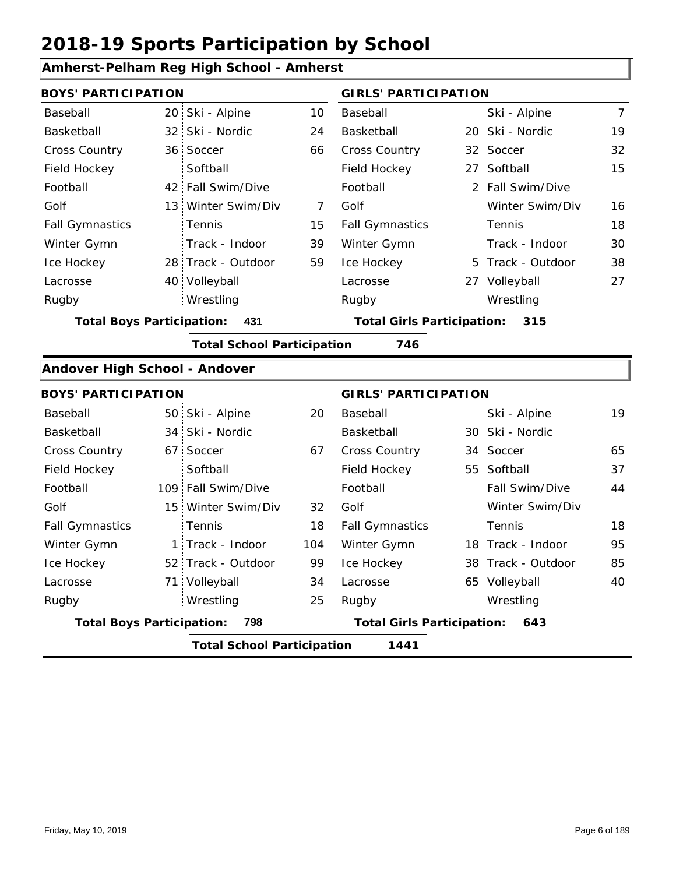| Amherst-Pelham Reg High School - Amherst |
|------------------------------------------|
|------------------------------------------|

| <b>BOYS' PARTICIPATION</b>       |                 |                                   |                | <b>GIRLS' PARTICIPATION</b> |                    |                |  |
|----------------------------------|-----------------|-----------------------------------|----------------|-----------------------------|--------------------|----------------|--|
| Baseball                         | 20 <sub>1</sub> | Ski - Alpine                      | 10             | Baseball                    | Ski - Alpine       | $\overline{7}$ |  |
| Basketball                       | 32 <sup>2</sup> | Ski - Nordic                      | 24             | Basketball                  | 20 Ski - Nordic    | 19             |  |
| Cross Country                    |                 | 36 Soccer                         | 66             | Cross Country               | 32 Soccer          | 32             |  |
| Field Hockey                     |                 | Softball                          |                | Field Hockey                | 27 Softball        | 15             |  |
| Football                         |                 | 42 Fall Swim/Dive                 |                | Football                    | 2 Fall Swim/Dive   |                |  |
| Golf                             |                 | 13 Winter Swim/Div                | $\overline{7}$ | Golf                        | Winter Swim/Div    | 16             |  |
| <b>Fall Gymnastics</b>           |                 | Tennis                            | 15             | <b>Fall Gymnastics</b>      | Tennis             | 18             |  |
| Winter Gymn                      |                 | Track - Indoor                    | 39             | Winter Gymn                 | Track - Indoor     | 30             |  |
| Ice Hockey                       |                 | 28 Track - Outdoor                | 59             | Ice Hockey                  | 5 Track - Outdoor  | 38             |  |
| Lacrosse                         |                 | 40 Volleyball                     |                | Lacrosse                    | 27 Volleyball      | 27             |  |
| Rugby                            |                 | Wrestling                         |                | Rugby                       | Wrestling          |                |  |
| <b>Total Boys Participation:</b> | 431             | <b>Total Girls Participation:</b> | 315            |                             |                    |                |  |
|                                  |                 | <b>Total School Participation</b> |                | 746                         |                    |                |  |
| Andover High School - Andover    |                 |                                   |                |                             |                    |                |  |
| <b>BOYS' PARTICIPATION</b>       |                 |                                   |                | <b>GIRLS' PARTICIPATION</b> |                    |                |  |
| Baseball                         |                 | 50 Ski - Alpine                   | 20             | Baseball                    | Ski - Alpine       | 19             |  |
| Basketball                       | 34              | Ski - Nordic                      |                | Basketball                  | 30 Ski - Nordic    |                |  |
| Cross Country                    | 67 <sup>1</sup> | Soccer                            | 67             | Cross Country               | 34 Soccer          | 65             |  |
| Field Hockey                     |                 | Softball                          |                | Field Hockey                | 55 Softball        | 37             |  |
| Football                         |                 | 109 Fall Swim/Dive                |                | Football                    | Fall Swim/Dive     | 44             |  |
| Golf                             |                 | 15 Winter Swim/Div                | 32             | Golf                        | Winter Swim/Div    |                |  |
| <b>Fall Gymnastics</b>           |                 | Tennis                            | 18             | <b>Fall Gymnastics</b>      | Tennis             | 18             |  |
| Winter Gymn                      |                 | 1 Track - Indoor                  | 104            | Winter Gymn                 | 18 Track - Indoor  | 95             |  |
| Ice Hockey                       |                 | 52 Track - Outdoor                | 99             | Ice Hockey                  | 38 Track - Outdoor | 85             |  |
| Lacrosse                         | 71 <sub>1</sub> | Volleyball                        | 34             | Lacrosse                    | 65 Volleyball      | 40             |  |
| Rugby                            |                 | Wrestling                         | 25             | Rugby                       | Wrestling          |                |  |
| <b>Total Boys Participation:</b> | 798             | <b>Total Girls Participation:</b> | 643            |                             |                    |                |  |

**Total School Participation 1441**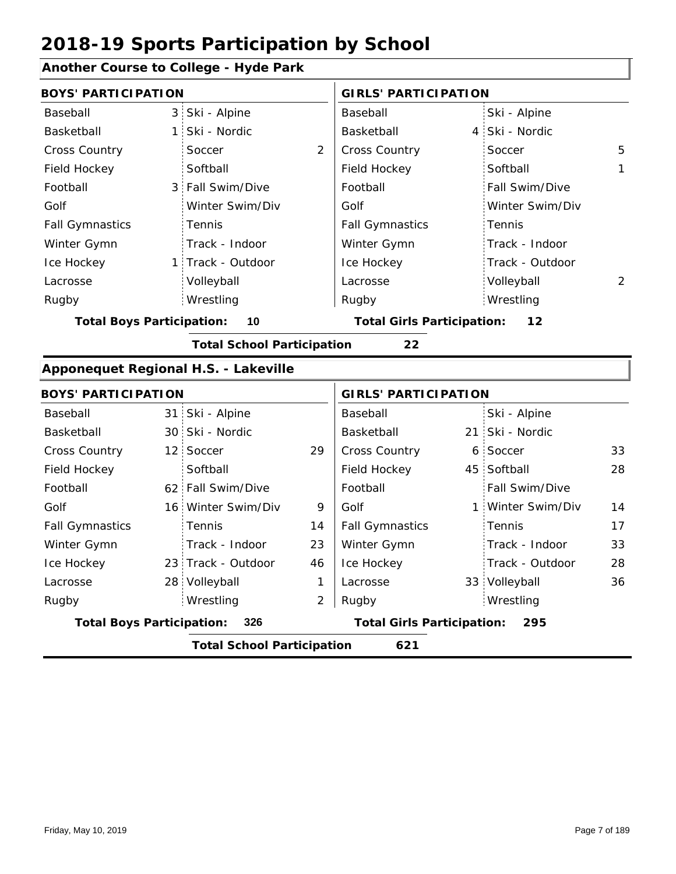### **Another Course to College - Hyde Park**

| <b>BOYS' PARTICIPATION</b>       |                |                                      |                | <b>GIRLS' PARTICIPATION</b>       |                   |                |  |  |  |
|----------------------------------|----------------|--------------------------------------|----------------|-----------------------------------|-------------------|----------------|--|--|--|
| Baseball                         | 3 <sup>1</sup> | Ski - Alpine                         |                | Baseball                          | Ski - Alpine      |                |  |  |  |
| Basketball                       | $\mathbf{1}$   | Ski - Nordic                         |                | Basketball                        | 4 Ski - Nordic    |                |  |  |  |
| Cross Country                    |                | Soccer                               | 2              | Cross Country                     | Soccer            | 5              |  |  |  |
| Field Hockey                     |                | Softball                             |                | Field Hockey                      | Softball          | 1              |  |  |  |
| Football                         | 3              | Fall Swim/Dive                       |                | Football                          | Fall Swim/Dive    |                |  |  |  |
| Golf                             |                | Winter Swim/Div                      |                | Golf                              | Winter Swim/Div   |                |  |  |  |
| <b>Fall Gymnastics</b>           |                | Tennis                               |                | <b>Fall Gymnastics</b>            | Tennis            |                |  |  |  |
| Winter Gymn                      |                | Track - Indoor                       |                | Winter Gymn                       | Track - Indoor    |                |  |  |  |
| Ice Hockey                       |                | 1 Track - Outdoor                    |                | Ice Hockey                        | Track - Outdoor   |                |  |  |  |
| Lacrosse                         |                | Volleyball                           |                | Lacrosse                          | Volleyball        | $\overline{2}$ |  |  |  |
| Rugby                            |                | Wrestling                            |                | Rugby                             | Wrestling         |                |  |  |  |
| <b>Total Boys Participation:</b> |                | 10                                   |                | <b>Total Girls Participation:</b> | 12                |                |  |  |  |
|                                  |                | <b>Total School Participation</b>    |                | 22                                |                   |                |  |  |  |
|                                  |                | Apponequet Regional H.S. - Lakeville |                |                                   |                   |                |  |  |  |
| <b>BOYS' PARTICIPATION</b>       |                |                                      |                | <b>GIRLS' PARTICIPATION</b>       |                   |                |  |  |  |
| Baseball                         |                | 31 Ski - Alpine                      |                | Baseball                          | Ski - Alpine      |                |  |  |  |
| Basketball                       |                | 30 Ski - Nordic                      |                | Basketball                        | 21 Ski - Nordic   |                |  |  |  |
| <b>Cross Country</b>             |                | 12 Soccer                            | 29             | Cross Country                     | 6 Soccer          | 33             |  |  |  |
| Field Hockey                     |                | Softball                             |                | Field Hockey                      | 45 Softball       | 28             |  |  |  |
| Football                         |                | 62 Fall Swim/Dive                    |                | Football                          | Fall Swim/Dive    |                |  |  |  |
| Golf                             |                | 16 Winter Swim/Div                   | 9              | Golf                              | 1 Winter Swim/Div | 14             |  |  |  |
| <b>Fall Gymnastics</b>           |                | Tennis                               | 14             | <b>Fall Gymnastics</b>            | Tennis            | 17             |  |  |  |
| Winter Gymn                      |                | Track - Indoor                       | 23             | Winter Gymn                       | Track - Indoor    | 33             |  |  |  |
| Ice Hockey                       |                | 23 Track - Outdoor                   | 46             | Ice Hockey                        | Track - Outdoor   | 28             |  |  |  |
| Lacrosse                         |                | 28 Volleyball                        | 1              | Lacrosse                          | 33 Volleyball     | 36             |  |  |  |
| Rugby                            |                | Wrestling                            | $\overline{2}$ | Rugby                             | Wrestling         |                |  |  |  |
| <b>Total Boys Participation:</b> |                | 326                                  |                | <b>Total Girls Participation:</b> | 295               |                |  |  |  |
|                                  |                | <b>Total School Participation</b>    |                | 621                               |                   |                |  |  |  |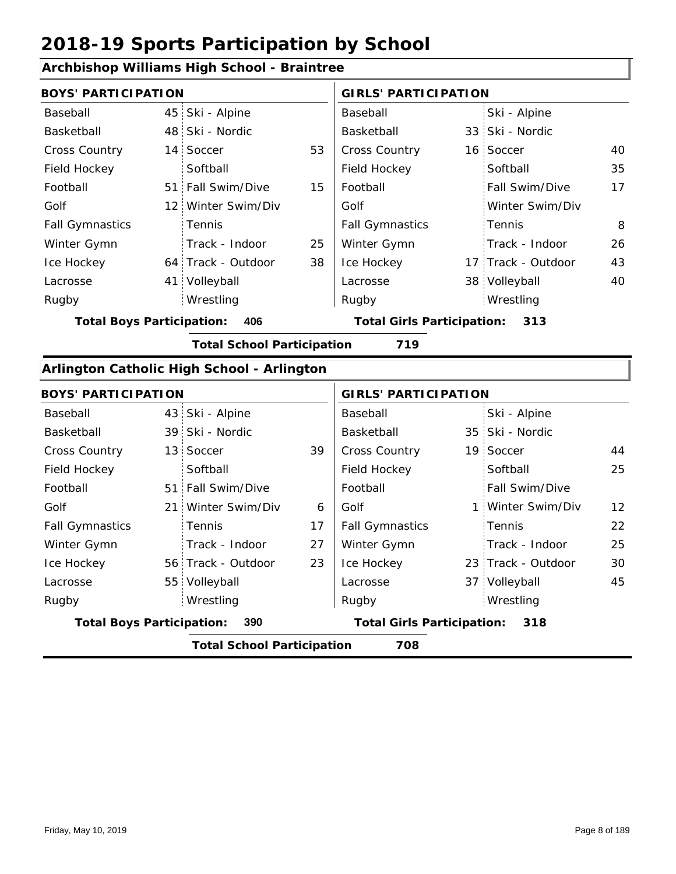### **Archbishop Williams High School - Braintree**

| <b>BOYS' PARTICIPATION</b>       |                                            |    | <b>GIRLS' PARTICIPATION</b>       |                    |    |  |  |  |
|----------------------------------|--------------------------------------------|----|-----------------------------------|--------------------|----|--|--|--|
| Baseball                         | 45 Ski - Alpine                            |    | Baseball                          | Ski - Alpine       |    |  |  |  |
| Basketball                       | 48 Ski - Nordic                            |    | Basketball                        | 33 Ski - Nordic    |    |  |  |  |
| Cross Country                    | 14 Soccer                                  | 53 | Cross Country                     | 16 Soccer          | 40 |  |  |  |
| Field Hockey                     | Softball                                   |    | Field Hockey                      | Softball           | 35 |  |  |  |
| Football                         | 51 Fall Swim/Dive                          | 15 | Football                          | Fall Swim/Dive     | 17 |  |  |  |
| Golf                             | 12 Winter Swim/Div                         |    | Golf                              | Winter Swim/Div    |    |  |  |  |
| <b>Fall Gymnastics</b>           | Tennis                                     |    | <b>Fall Gymnastics</b>            | Tennis             | 8  |  |  |  |
| Winter Gymn                      | Track - Indoor                             | 25 | Winter Gymn                       | Track - Indoor     | 26 |  |  |  |
| Ice Hockey                       | 64 Track - Outdoor                         | 38 | Ice Hockey                        | 17 Track - Outdoor | 43 |  |  |  |
| Lacrosse                         | 41 Volleyball                              |    | Lacrosse                          | 38 Volleyball      | 40 |  |  |  |
| Rugby                            | Wrestling                                  |    | Rugby                             | Wrestling          |    |  |  |  |
| <b>Total Boys Participation:</b> | 406                                        |    | <b>Total Girls Participation:</b> | 313                |    |  |  |  |
|                                  | <b>Total School Participation</b>          |    | 719                               |                    |    |  |  |  |
|                                  | Arlington Catholic High School - Arlington |    |                                   |                    |    |  |  |  |
| <b>BOYS' PARTICIPATION</b>       |                                            |    | <b>GIRLS' PARTICIPATION</b>       |                    |    |  |  |  |
| Baseball                         | 43 Ski - Alpine                            |    | Baseball                          | Ski - Alpine       |    |  |  |  |
| Basketball                       | 39 Ski - Nordic                            |    | Basketball                        | 35 Ski - Nordic    |    |  |  |  |
| Cross Country                    | 13 Soccer                                  | 39 | <b>Cross Country</b>              | 19 Soccer          | 44 |  |  |  |
| Field Hockey                     | Softball                                   |    | Field Hockey                      | Softball           | 25 |  |  |  |
| Football                         | 51 Fall Swim/Dive                          |    | Football                          | Fall Swim/Dive     |    |  |  |  |
| Golf                             | 21 Winter Swim/Div                         | 6  | Golf                              | 1 Winter Swim/Div  | 12 |  |  |  |

|                                  |     | <b>Total School Participation</b> |     | 708                    |                    |                 |
|----------------------------------|-----|-----------------------------------|-----|------------------------|--------------------|-----------------|
| <b>Total Boys Participation:</b> | 390 | <b>Total Girls Participation:</b> | 318 |                        |                    |                 |
| Rugby                            |     | Wrestling                         |     | Rugby                  | Wrestling          |                 |
| Lacrosse                         |     | 55 Volleyball                     |     | Lacrosse               | 37 Volleyball      | 45              |
| Ice Hockey                       |     | 56 Track - Outdoor                | 23  | Ice Hockey             | 23 Track - Outdoor | 30              |
| Winter Gymn                      |     | Track - Indoor                    | 27  | Winter Gymn            | Track - Indoor     | 25              |
| <b>Fall Gymnastics</b>           |     | <b>Tennis</b>                     | 17  | <b>Fall Gymnastics</b> | Tennis             | 22              |
| Golf                             |     | 21 Winter Swim/Div                | 6   | Golf                   | 1 Winter Swim/Div  | 12 <sup>2</sup> |
| i vuudil                         |     | $31.1$ and $300$ and $100$        |     | i vuudil               |                    |                 |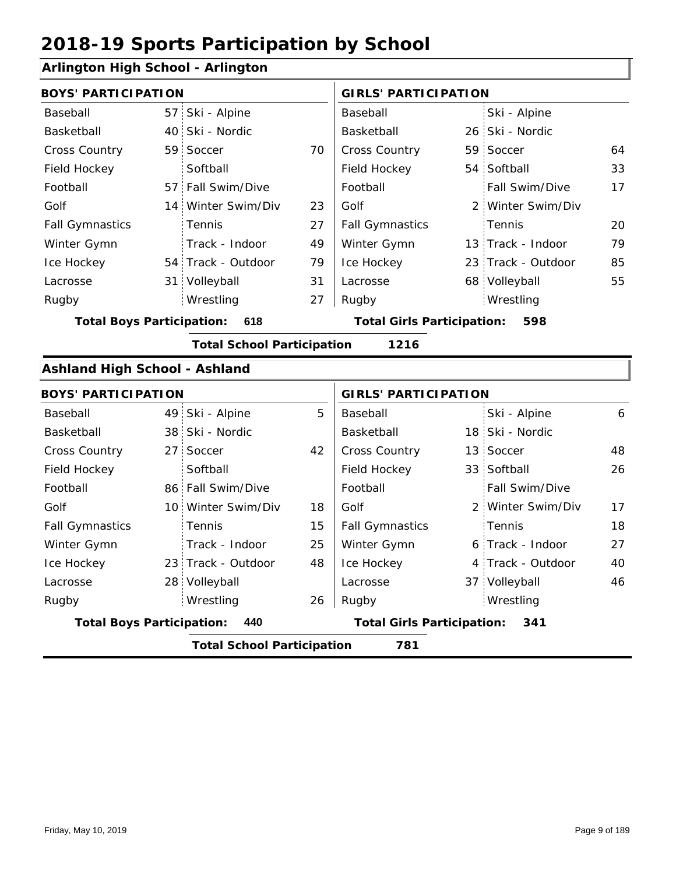### **Arlington High School - Arlington**

| <b>BOYS' PARTICIPATION</b>           |                                   |    | <b>GIRLS' PARTICIPATION</b>              |               |                    |    |  |
|--------------------------------------|-----------------------------------|----|------------------------------------------|---------------|--------------------|----|--|
| Baseball                             | 57 Ski - Alpine                   |    | Baseball                                 |               | Ski - Alpine       |    |  |
| Basketball                           | 40 Ski - Nordic                   |    | Basketball                               |               | 26 Ski - Nordic    |    |  |
| Cross Country                        | 59 Soccer                         | 70 | Cross Country                            |               | 59 Soccer          | 64 |  |
| Field Hockey                         | Softball                          |    | Field Hockey                             |               | 54 Softball        | 33 |  |
| Football                             | 57 Fall Swim/Dive                 |    | Football                                 |               | Fall Swim/Dive     | 17 |  |
| Golf                                 | 14 Winter Swim/Div                | 23 | Golf                                     | $\mathcal{P}$ | Winter Swim/Div    |    |  |
| <b>Fall Gymnastics</b>               | Tennis                            | 27 | <b>Fall Gymnastics</b>                   |               | Tennis             | 20 |  |
| Winter Gymn                          | Track - Indoor                    | 49 | Winter Gymn                              |               | 13 Track - Indoor  | 79 |  |
| Ice Hockey                           | 54 Track - Outdoor                | 79 | Ice Hockey                               |               | 23 Track - Outdoor | 85 |  |
| Lacrosse                             | 31 Volleyball                     | 31 | Lacrosse                                 |               | 68 Volleyball      | 55 |  |
| Rugby                                | Wrestling                         | 27 | Rugby                                    |               | Wrestling          |    |  |
| <b>Total Boys Participation:</b>     | 618                               |    | <b>Total Girls Participation:</b><br>598 |               |                    |    |  |
|                                      | <b>Total School Participation</b> |    | 1216                                     |               |                    |    |  |
| <b>Ashland High School - Ashland</b> |                                   |    |                                          |               |                    |    |  |
| <b>BOYS' PARTICIPATION</b>           |                                   |    | <b>GIRLS' PARTICIPATION</b>              |               |                    |    |  |
| Baseball                             | 49 Ski - Alpine                   | 5  | Baseball                                 |               | Ski - Alpine       | 6  |  |
| Basketball                           | 38 Ski - Nordic                   |    | Basketball                               |               | 18 Ski - Nordic    |    |  |
| <b>Cross Country</b>                 | 27 Soccer                         | 42 | Cross Country                            |               | 13 Soccer          | 48 |  |

| Field Hockey                             |  | Softball           |    | Field Hockey                              |  | 33 Softball           | 26 |  |  |
|------------------------------------------|--|--------------------|----|-------------------------------------------|--|-----------------------|----|--|--|
| Football                                 |  | 86 Fall Swim/Dive  |    | Football                                  |  | <b>Fall Swim/Dive</b> |    |  |  |
| Golf                                     |  | 10 Winter Swim/Div | 18 | Golf                                      |  | 2 Winter Swim/Div     | 17 |  |  |
| <b>Fall Gymnastics</b>                   |  | Tennis             | 15 | <b>Fall Gymnastics</b>                    |  | <b>Tennis</b>         | 18 |  |  |
| Winter Gymn                              |  | Track - Indoor     | 25 | Winter Gymn                               |  | 6 Track - Indoor      | 27 |  |  |
| Ice Hockey                               |  | 23 Track - Outdoor | 48 | Ice Hockey                                |  | 4 Track - Outdoor     | 40 |  |  |
| Lacrosse                                 |  | 28 Volleyball      |    | Lacrosse                                  |  | 37 Volleyball         | 46 |  |  |
| Rugby                                    |  | Wrestling          | 26 | Rugby                                     |  | Wrestling             |    |  |  |
| <b>Total Boys Participation:</b><br>440  |  |                    |    | <b>Total Girls Participation:</b><br>-341 |  |                       |    |  |  |
| <b>Total School Participation</b><br>781 |  |                    |    |                                           |  |                       |    |  |  |

I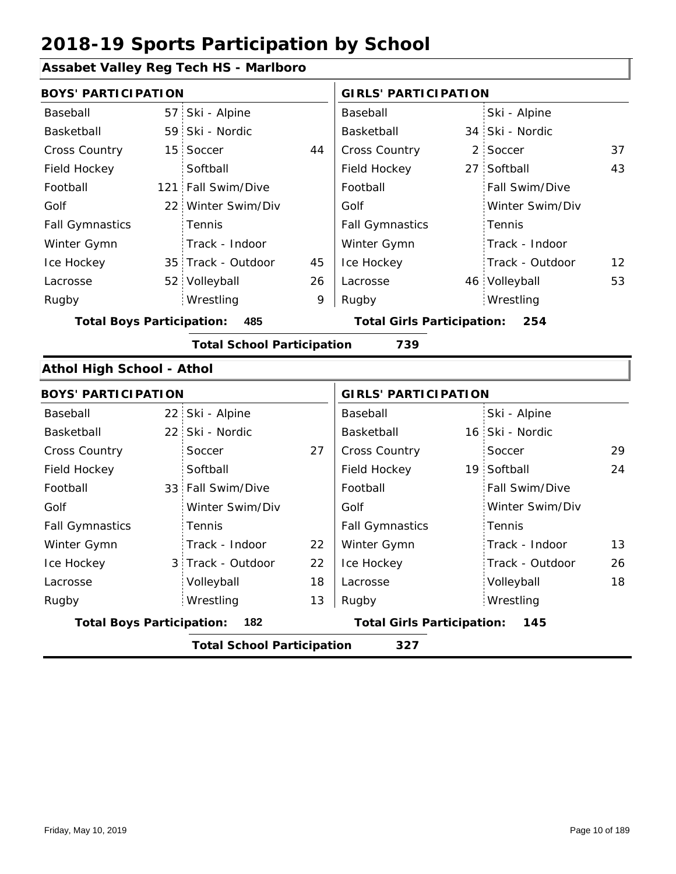#### **Assabet Valley Reg Tech HS - Marlboro**

| <b>BOYS' PARTICIPATION</b>       |                 |                                   |    | <b>GIRLS' PARTICIPATION</b>       |  |                 |    |  |
|----------------------------------|-----------------|-----------------------------------|----|-----------------------------------|--|-----------------|----|--|
| Baseball                         |                 | 57 Ski - Alpine                   |    | Baseball                          |  | Ski - Alpine    |    |  |
| Basketball                       |                 | 59 Ski - Nordic                   |    | Basketball                        |  | 34 Ski - Nordic |    |  |
| Cross Country                    |                 | 15 Soccer                         | 44 | Cross Country                     |  | 2 Soccer        | 37 |  |
| Field Hockey                     |                 | Softball                          |    | Field Hockey                      |  | 27 Softball     | 43 |  |
| Football                         |                 | 121 Fall Swim/Dive                |    | Football                          |  | Fall Swim/Dive  |    |  |
| Golf                             | 22 <sub>1</sub> | Winter Swim/Div                   |    | Golf                              |  | Winter Swim/Div |    |  |
| <b>Fall Gymnastics</b>           |                 | Tennis                            |    | <b>Fall Gymnastics</b>            |  | Tennis          |    |  |
| Winter Gymn                      |                 | Track - Indoor                    |    | Winter Gymn                       |  | Track - Indoor  |    |  |
| Ice Hockey                       |                 | 35 Track - Outdoor                | 45 | Ice Hockey                        |  | Track - Outdoor | 12 |  |
| Lacrosse                         |                 | 52 Volleyball                     | 26 | Lacrosse                          |  | 46 Volleyball   | 53 |  |
| Rugby                            |                 | Wrestling                         | 9  | Rugby                             |  | Wrestling       |    |  |
| <b>Total Boys Participation:</b> |                 | 485                               |    | <b>Total Girls Participation:</b> |  | 254             |    |  |
|                                  |                 | <b>Total School Participation</b> |    | 739                               |  |                 |    |  |
| <b>Athol High School - Athol</b> |                 |                                   |    |                                   |  |                 |    |  |
| <b>BOYS' PARTICIPATION</b>       |                 |                                   |    | <b>GIRLS' PARTICIPATION</b>       |  |                 |    |  |
| Baseball                         |                 | 22 Ski - Alpine                   |    | Baseball                          |  | Ski - Alpine    |    |  |
| Basketball                       |                 | 22 Ski - Nordic                   |    | Basketball                        |  | 16 Ski - Nordic |    |  |
| <b>Cross Country</b>             |                 | Soccer                            | 27 | <b>Cross Country</b>              |  | Soccer          | 29 |  |
| Field Hockey                     |                 | Softball                          |    | Field Hockey                      |  | 19 Softball     | 24 |  |
| Football                         |                 | 33 Fall Swim/Dive                 |    | Football                          |  | Fall Swim/Dive  |    |  |
| Golf                             |                 | Winter Swim/Div                   |    | Golf                              |  | Winter Swim/Div |    |  |
| <b>Fall Gymnastics</b>           |                 | Tennis                            |    | <b>Fall Gymnastics</b>            |  | Tennis          |    |  |
| Winter Gymn                      |                 | Track - Indoor                    | 22 | Winter Gymn                       |  | Track - Indoor  | 13 |  |
| Ice Hockey                       |                 | 3 Track - Outdoor                 | 22 | Ice Hockey                        |  | Track - Outdoor | 26 |  |
| Lacrosse                         |                 | Volleyball                        | 18 | Lacrosse                          |  | Volleyball      | 18 |  |

**Total Boys Participation: 182 Total Girls Participation: 145**

Wrestling Rugby Rugby

Wrestling

**Total School Participation 327**

13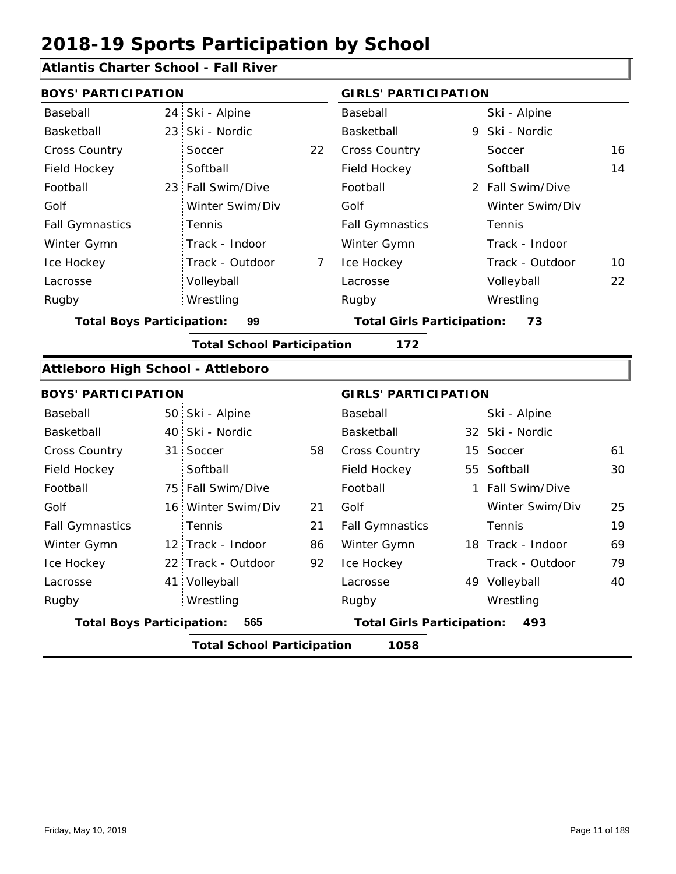### **Atlantis Charter School - Fall River**

| <b>BOYS' PARTICIPATION</b>        |                                   |    | <b>GIRLS' PARTICIPATION</b>       |              |                   |    |
|-----------------------------------|-----------------------------------|----|-----------------------------------|--------------|-------------------|----|
| Baseball                          | 24 Ski - Alpine                   |    | Baseball                          |              | Ski - Alpine      |    |
| Basketball                        | 23 Ski - Nordic                   |    | Basketball                        | 9            | Ski - Nordic      |    |
| Cross Country                     | Soccer                            | 22 | <b>Cross Country</b>              |              | Soccer            | 16 |
| Field Hockey                      | Softball                          |    | Field Hockey                      |              | Softball          | 14 |
| Football                          | 23 Fall Swim/Dive                 |    | Football                          |              | 2 Fall Swim/Dive  |    |
| Golf                              | Winter Swim/Div                   |    | Golf                              |              | Winter Swim/Div   |    |
| <b>Fall Gymnastics</b>            | Tennis                            |    | <b>Fall Gymnastics</b>            |              | Tennis            |    |
| Winter Gymn                       | Track - Indoor                    |    | Winter Gymn                       |              | Track - Indoor    |    |
| Ice Hockey                        | Track - Outdoor                   | 7  | Ice Hockey                        |              | Track - Outdoor   | 10 |
| Lacrosse                          | Volleyball                        |    | Lacrosse                          |              | Volleyball        | 22 |
| Rugby                             | Wrestling                         |    | Rugby                             |              | Wrestling         |    |
| <b>Total Boys Participation:</b>  | 99                                |    | <b>Total Girls Participation:</b> |              | 73                |    |
|                                   | <b>Total School Participation</b> |    | 172                               |              |                   |    |
| Attleboro High School - Attleboro |                                   |    |                                   |              |                   |    |
| <b>BOYS' PARTICIPATION</b>        |                                   |    | <b>GIRLS' PARTICIPATION</b>       |              |                   |    |
| Baseball                          | 50 Ski - Alpine                   |    | Baseball                          |              | Ski - Alpine      |    |
| Basketball                        | 40 Ski - Nordic                   |    | Basketball                        |              | 32 Ski - Nordic   |    |
| Cross Country                     | 31 Soccer                         | 58 | Cross Country                     | 15           | Soccer            | 61 |
| Field Hockey                      | Softball                          |    | Field Hockey                      |              | 55 Softball       | 30 |
| Football                          | 75 Fall Swim/Dive                 |    | Football                          | $\mathbf{1}$ | Fall Swim/Dive    |    |
| Golf                              | 16 Winter Swim/Div                | 21 | Golf                              |              | Winter Swim/Div   | 25 |
| <b>Fall Gymnastics</b>            | Tennis                            | 21 | <b>Fall Gymnastics</b>            |              | Tennis            | 19 |
| Winter Gymn                       | 12 Track - Indoor                 | 86 | Winter Gymn                       |              | 18 Track - Indoor | 69 |
| Ice Hockey                        | 22 Track - Outdoor                | 92 | Ice Hockey                        |              | Track - Outdoor   | 79 |
| Lacrosse                          | 41 Volleyball                     |    | Lacrosse                          |              | 49 Volleyball     | 40 |
| Rugby                             | Wrestling                         |    | Rugby                             |              | Wrestling         |    |
| <b>Total Boys Participation:</b>  | 565                               |    | <b>Total Girls Participation:</b> |              | 493               |    |
|                                   | <b>Total School Participation</b> |    | 1058                              |              |                   |    |
|                                   |                                   |    |                                   |              |                   |    |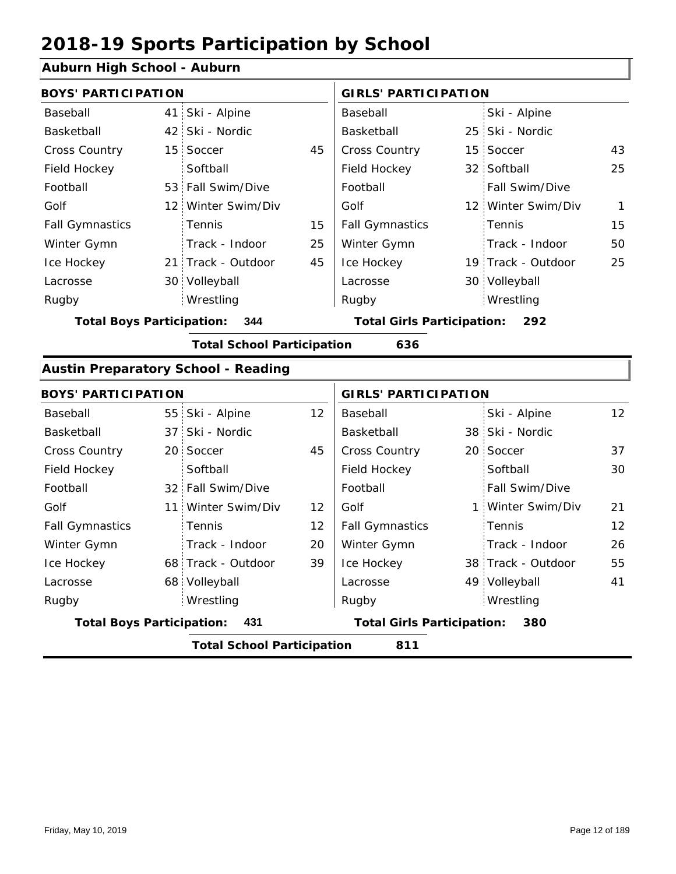#### **Auburn High School - Auburn**

| <b>BOYS' PARTICIPATION</b>              |  |                    |                                          | <b>GIRLS' PARTICIPATION</b> |  |                       |    |
|-----------------------------------------|--|--------------------|------------------------------------------|-----------------------------|--|-----------------------|----|
| Baseball                                |  | 41 Ski - Alpine    |                                          | Baseball                    |  | Ski - Alpine          |    |
| Basketball                              |  | 42 Ski - Nordic    |                                          | Basketball                  |  | 25 Ski - Nordic       |    |
| <b>Cross Country</b>                    |  | 15 Soccer          | 45                                       | <b>Cross Country</b>        |  | 15 Soccer             | 43 |
| Field Hockey                            |  | Softball           |                                          | Field Hockey                |  | 32 Softball           | 25 |
| Football                                |  | 53 Fall Swim/Dive  |                                          | Football                    |  | <b>Fall Swim/Dive</b> |    |
| Golf                                    |  | 12 Winter Swim/Div |                                          | Golf                        |  | 12 Winter Swim/Div    | 1  |
| <b>Fall Gymnastics</b>                  |  | Tennis             | 15                                       | <b>Fall Gymnastics</b>      |  | Tennis                | 15 |
| Winter Gymn                             |  | Track - Indoor     | 25                                       | Winter Gymn                 |  | Track - Indoor        | 50 |
| Ice Hockey                              |  | 21 Track - Outdoor | 45                                       | Ice Hockey                  |  | 19 Track - Outdoor    | 25 |
| Lacrosse                                |  | 30 Volleyball      |                                          | Lacrosse                    |  | 30 Volleyball         |    |
| Rugby                                   |  | Wrestling          |                                          | Rugby                       |  | Wrestling             |    |
| <b>Total Boys Participation:</b><br>344 |  |                    | <b>Total Girls Participation:</b><br>292 |                             |  |                       |    |

**Total School Participation 636**

#### **Austin Preparatory School - Reading**

| <b>BOYS' PARTICIPATION</b>              |                                          |                    |                                          | <b>GIRLS' PARTICIPATION</b> |  |                    |                 |  |  |
|-----------------------------------------|------------------------------------------|--------------------|------------------------------------------|-----------------------------|--|--------------------|-----------------|--|--|
| Baseball                                |                                          | 55 Ski - Alpine    | $12 \overline{ }$                        | Baseball                    |  | Ski - Alpine       | 12 <sup>2</sup> |  |  |
| Basketball                              |                                          | 37 Ski - Nordic    |                                          | Basketball                  |  | 38 Ski - Nordic    |                 |  |  |
| <b>Cross Country</b>                    |                                          | 20 Soccer          | 45                                       | <b>Cross Country</b>        |  | 20 Soccer          | 37              |  |  |
| Field Hockey                            |                                          | Softball           |                                          | Field Hockey                |  | Softball           | 30              |  |  |
| Football                                |                                          | 32 Fall Swim/Dive  |                                          | Football                    |  | Fall Swim/Dive     |                 |  |  |
| Golf                                    |                                          | 11 Winter Swim/Div | 12                                       | Golf                        |  | 1 Winter Swim/Div  | 21              |  |  |
| <b>Fall Gymnastics</b>                  |                                          | <b>Tennis</b>      | 12                                       | <b>Fall Gymnastics</b>      |  | Tennis             | 12              |  |  |
| Winter Gymn                             |                                          | Track - Indoor     | 20                                       | Winter Gymn                 |  | Track - Indoor     | 26              |  |  |
| Ice Hockey                              |                                          | 68 Track - Outdoor | 39                                       | Ice Hockey                  |  | 38 Track - Outdoor | 55              |  |  |
| Lacrosse                                |                                          | 68 Volleyball      |                                          | Lacrosse                    |  | 49 Volleyball      | 41              |  |  |
| Rugby                                   |                                          | Wrestling          |                                          | Rugby                       |  | Wrestling          |                 |  |  |
| <b>Total Boys Participation:</b><br>431 |                                          |                    | <b>Total Girls Participation:</b><br>380 |                             |  |                    |                 |  |  |
|                                         | <b>Total School Participation</b><br>811 |                    |                                          |                             |  |                    |                 |  |  |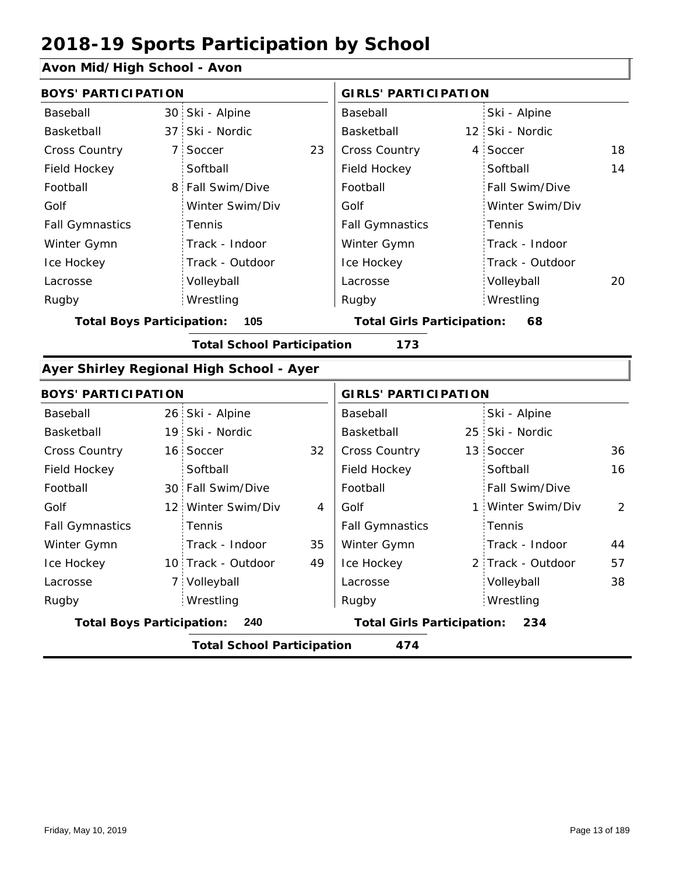### **Avon Mid/High School - Avon**

|                                          |                 |                                                                                                                                                                                                                                                                                                                                               | Baseball                                 |  | Ski - Alpine    |                                                                                                                                                                                                                                               |  |  |  |
|------------------------------------------|-----------------|-----------------------------------------------------------------------------------------------------------------------------------------------------------------------------------------------------------------------------------------------------------------------------------------------------------------------------------------------|------------------------------------------|--|-----------------|-----------------------------------------------------------------------------------------------------------------------------------------------------------------------------------------------------------------------------------------------|--|--|--|
|                                          |                 |                                                                                                                                                                                                                                                                                                                                               | Basketball                               |  |                 |                                                                                                                                                                                                                                               |  |  |  |
|                                          | Soccer          | 23                                                                                                                                                                                                                                                                                                                                            | Cross Country                            |  |                 | 18                                                                                                                                                                                                                                            |  |  |  |
|                                          | Softball        |                                                                                                                                                                                                                                                                                                                                               | Field Hockey                             |  | Softball        | 14                                                                                                                                                                                                                                            |  |  |  |
|                                          |                 |                                                                                                                                                                                                                                                                                                                                               | Football                                 |  | Fall Swim/Dive  |                                                                                                                                                                                                                                               |  |  |  |
|                                          | Winter Swim/Div |                                                                                                                                                                                                                                                                                                                                               | Golf                                     |  | Winter Swim/Div |                                                                                                                                                                                                                                               |  |  |  |
|                                          | Tennis          |                                                                                                                                                                                                                                                                                                                                               | <b>Fall Gymnastics</b>                   |  | Tennis          |                                                                                                                                                                                                                                               |  |  |  |
|                                          | Track - Indoor  |                                                                                                                                                                                                                                                                                                                                               | Winter Gymn                              |  | Track - Indoor  |                                                                                                                                                                                                                                               |  |  |  |
|                                          | Track - Outdoor |                                                                                                                                                                                                                                                                                                                                               | Ice Hockey                               |  | Track - Outdoor |                                                                                                                                                                                                                                               |  |  |  |
|                                          | Volleyball      |                                                                                                                                                                                                                                                                                                                                               | Lacrosse                                 |  | Volleyball      | 20                                                                                                                                                                                                                                            |  |  |  |
|                                          | Wrestling       |                                                                                                                                                                                                                                                                                                                                               | Rugby                                    |  | Wrestling       |                                                                                                                                                                                                                                               |  |  |  |
|                                          | 105             |                                                                                                                                                                                                                                                                                                                                               |                                          |  | 68              |                                                                                                                                                                                                                                               |  |  |  |
| <b>Total School Participation</b><br>173 |                 |                                                                                                                                                                                                                                                                                                                                               |                                          |  |                 |                                                                                                                                                                                                                                               |  |  |  |
|                                          |                 |                                                                                                                                                                                                                                                                                                                                               |                                          |  |                 |                                                                                                                                                                                                                                               |  |  |  |
|                                          |                 |                                                                                                                                                                                                                                                                                                                                               |                                          |  |                 |                                                                                                                                                                                                                                               |  |  |  |
|                                          |                 |                                                                                                                                                                                                                                                                                                                                               | Baseball                                 |  | Ski - Alpine    |                                                                                                                                                                                                                                               |  |  |  |
|                                          |                 |                                                                                                                                                                                                                                                                                                                                               | Basketball                               |  |                 |                                                                                                                                                                                                                                               |  |  |  |
|                                          |                 | 32                                                                                                                                                                                                                                                                                                                                            | Cross Country                            |  |                 | 36                                                                                                                                                                                                                                            |  |  |  |
|                                          | Softball        |                                                                                                                                                                                                                                                                                                                                               | Field Hockey                             |  | Softball        | 16                                                                                                                                                                                                                                            |  |  |  |
|                                          |                 |                                                                                                                                                                                                                                                                                                                                               | Football                                 |  | Fall Swim/Dive  |                                                                                                                                                                                                                                               |  |  |  |
|                                          | Winter Swim/Div | $\overline{4}$                                                                                                                                                                                                                                                                                                                                | Golf                                     |  |                 | 2                                                                                                                                                                                                                                             |  |  |  |
|                                          | Tennis          |                                                                                                                                                                                                                                                                                                                                               | <b>Fall Gymnastics</b>                   |  | Tennis          |                                                                                                                                                                                                                                               |  |  |  |
|                                          | Track - Indoor  | 35                                                                                                                                                                                                                                                                                                                                            | Winter Gymn                              |  | Track - Indoor  | 44                                                                                                                                                                                                                                            |  |  |  |
|                                          |                 | 49                                                                                                                                                                                                                                                                                                                                            | Ice Hockey                               |  |                 | 57                                                                                                                                                                                                                                            |  |  |  |
|                                          |                 |                                                                                                                                                                                                                                                                                                                                               | Lacrosse                                 |  | Volleyball      | 38                                                                                                                                                                                                                                            |  |  |  |
|                                          | Wrestling       |                                                                                                                                                                                                                                                                                                                                               | Rugby                                    |  | Wrestling       |                                                                                                                                                                                                                                               |  |  |  |
|                                          | 240             |                                                                                                                                                                                                                                                                                                                                               |                                          |  | 234             |                                                                                                                                                                                                                                               |  |  |  |
| <b>Total School Participation</b><br>474 |                 |                                                                                                                                                                                                                                                                                                                                               |                                          |  |                 |                                                                                                                                                                                                                                               |  |  |  |
|                                          |                 | <b>BOYS' PARTICIPATION</b><br>30 Ski - Alpine<br>37 Ski - Nordic<br>7 <sup>1</sup><br>8 Fall Swim/Dive<br><b>Total Boys Participation:</b><br><b>BOYS' PARTICIPATION</b><br>26 Ski - Alpine<br>19 Ski - Nordic<br>16 Soccer<br>30 Fall Swim/Dive<br>12 <sup>1</sup><br>10 Track - Outdoor<br>7 Volleyball<br><b>Total Boys Participation:</b> | Ayer Shirley Regional High School - Ayer |  |                 | <b>GIRLS' PARTICIPATION</b><br>12 Ski - Nordic<br>4 Soccer<br><b>Total Girls Participation:</b><br><b>GIRLS' PARTICIPATION</b><br>25 Ski - Nordic<br>13 Soccer<br>1 Winter Swim/Div<br>2 Track - Outdoor<br><b>Total Girls Participation:</b> |  |  |  |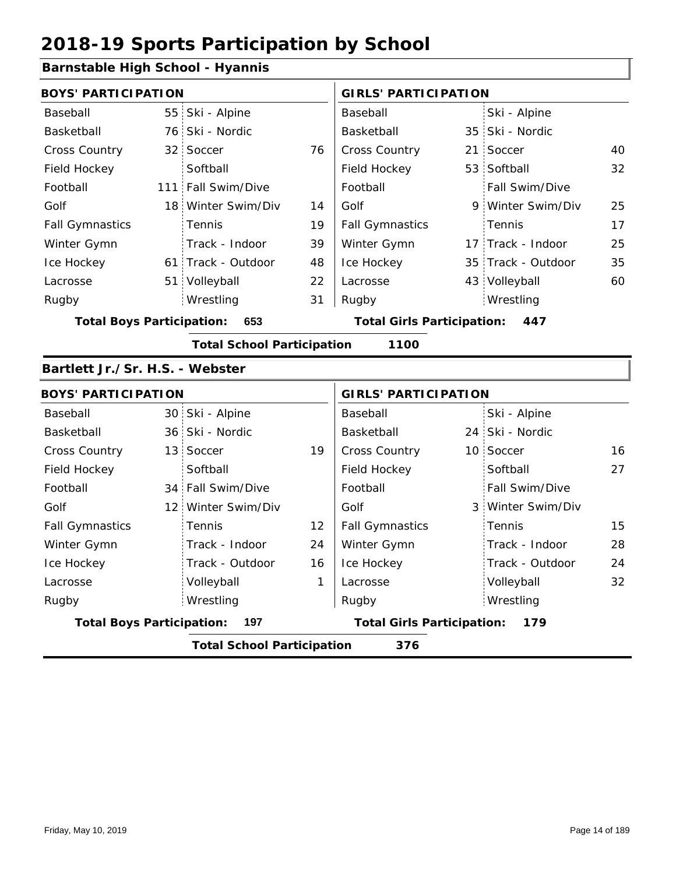### **Barnstable High School - Hyannis**

| <b>BOYS' PARTICIPATION</b>       |                                   |    | <b>GIRLS' PARTICIPATION</b>       |  |                    |    |
|----------------------------------|-----------------------------------|----|-----------------------------------|--|--------------------|----|
| Baseball                         | 55 Ski - Alpine                   |    | Baseball                          |  | Ski - Alpine       |    |
| Basketball                       | 76 Ski - Nordic                   |    | Basketball                        |  | 35 Ski - Nordic    |    |
| <b>Cross Country</b>             | 32 Soccer                         | 76 | Cross Country                     |  | 21 Soccer          | 40 |
| Field Hockey                     | Softball                          |    | Field Hockey                      |  | 53 Softball        | 32 |
| Football                         | 111 Fall Swim/Dive                |    | Football                          |  | Fall Swim/Dive     |    |
| Golf                             | 18 Winter Swim/Div                | 14 | Golf                              |  | 9 Winter Swim/Div  | 25 |
| <b>Fall Gymnastics</b>           | Tennis                            | 19 | <b>Fall Gymnastics</b>            |  | Tennis             | 17 |
| Winter Gymn                      | Track - Indoor                    | 39 | Winter Gymn                       |  | 17 Track - Indoor  | 25 |
| Ice Hockey                       | 61 Track - Outdoor                | 48 | Ice Hockey                        |  | 35 Track - Outdoor | 35 |
| Lacrosse                         | 51 Volleyball                     | 22 | Lacrosse                          |  | 43 Volleyball      | 60 |
| Rugby                            | Wrestling                         | 31 | Rugby                             |  | Wrestling          |    |
| <b>Total Boys Participation:</b> | 653                               |    | <b>Total Girls Participation:</b> |  | 447                |    |
|                                  | <b>Total School Participation</b> |    | 1100                              |  |                    |    |
| Bartlett Jr./Sr. H.S. - Webster  |                                   |    |                                   |  |                    |    |
| <b>BOYS' PARTICIPATION</b>       |                                   |    | <b>GIRLS' PARTICIPATION</b>       |  |                    |    |
| <b>Docoboll</b>                  | $20$ Cl <sub>i</sub> Alpino       |    | <b>Docoboll</b>                   |  | CL1<br>Alpino      |    |

| Baseball               |                                          | 30 Ski - Alpine    |                   | Baseball               |                                          | Ski - Alpine          |    |  |  |
|------------------------|------------------------------------------|--------------------|-------------------|------------------------|------------------------------------------|-----------------------|----|--|--|
| Basketball             |                                          | 36 Ski - Nordic    |                   | Basketball             |                                          | 24 Ski - Nordic       |    |  |  |
| <b>Cross Country</b>   |                                          | 13 Soccer          | 19                | <b>Cross Country</b>   |                                          | 10 Soccer             | 16 |  |  |
| Field Hockey           |                                          | Softball           |                   | Field Hockey           |                                          | Softball              | 27 |  |  |
| Football               |                                          | 34 Fall Swim/Dive  |                   | Football               |                                          | <b>Fall Swim/Dive</b> |    |  |  |
| Golf                   |                                          | 12 Winter Swim/Div |                   | Golf                   |                                          | 3 Winter Swim/Div     |    |  |  |
| <b>Fall Gymnastics</b> |                                          | <b>Tennis</b>      | $12 \overline{ }$ | <b>Fall Gymnastics</b> |                                          | Tennis                | 15 |  |  |
| Winter Gymn            |                                          | Track - Indoor     | 24                | Winter Gymn            |                                          | Track - Indoor        | 28 |  |  |
| Ice Hockey             |                                          | Track - Outdoor    | 16                | Ice Hockey             |                                          | Track - Outdoor       | 24 |  |  |
| Lacrosse               |                                          | Volleyball         | 1                 | Lacrosse               |                                          | Volleyball            | 32 |  |  |
| Rugby                  |                                          | Wrestling          |                   | Rugby                  |                                          | Wrestling             |    |  |  |
|                        | <b>Total Boys Participation:</b><br>197  |                    |                   |                        | <b>Total Girls Participation:</b><br>179 |                       |    |  |  |
|                        | <b>Total School Participation</b><br>376 |                    |                   |                        |                                          |                       |    |  |  |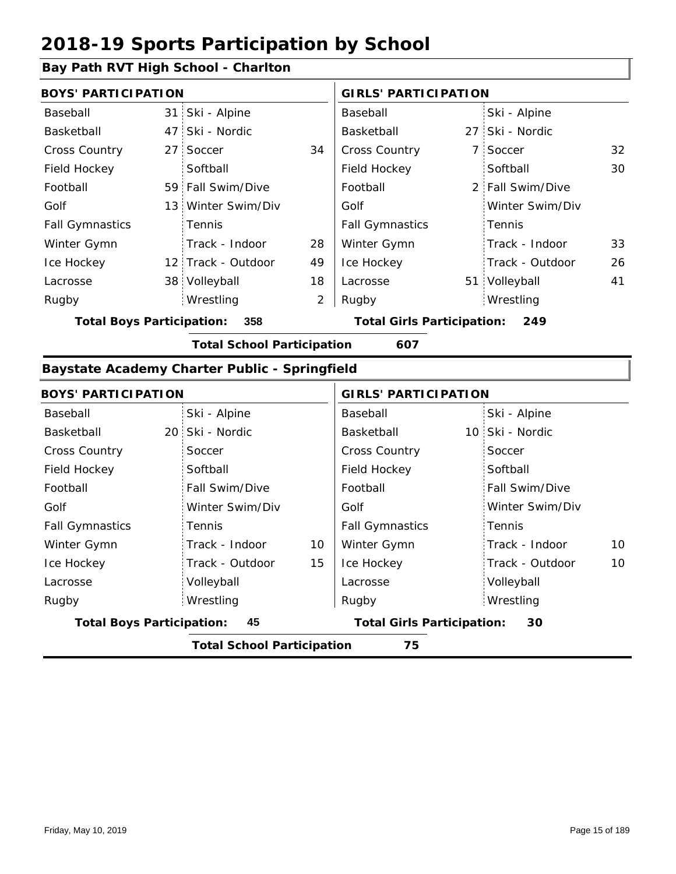#### **Bay Path RVT High School - Charlton**

| <b>BOYS' PARTICIPATION</b> |                    |                | <b>GIRLS' PARTICIPATION</b> |  |                  |    |
|----------------------------|--------------------|----------------|-----------------------------|--|------------------|----|
| Baseball                   | 31 Ski - Alpine    |                | Baseball                    |  | Ski - Alpine     |    |
| Basketball                 | 47 Ski - Nordic    |                | Basketball                  |  | 27 Ski - Nordic  |    |
| <b>Cross Country</b>       | 27 Soccer          | 34             | <b>Cross Country</b>        |  | 7 Soccer         | 32 |
| Field Hockey               | Softball           |                | Field Hockey                |  | Softball         | 30 |
| Football                   | 59 Fall Swim/Dive  |                | Football                    |  | 2 Fall Swim/Dive |    |
| Golf                       | 13 Winter Swim/Div |                | Golf                        |  | Winter Swim/Div  |    |
| <b>Fall Gymnastics</b>     | Tennis             |                | <b>Fall Gymnastics</b>      |  | Tennis           |    |
| Winter Gymn                | Track - Indoor     | 28             | Winter Gymn                 |  | Track - Indoor   | 33 |
| Ice Hockey                 | 12 Track - Outdoor | 49             | Ice Hockey                  |  | Track - Outdoor  | 26 |
| Lacrosse                   | 38 Volleyball      | 18             | Lacrosse                    |  | 51 Volleyball    | 41 |
| Rugby                      | Wrestling          | $\overline{2}$ | Rugby                       |  | Wrestling        |    |

**Total Boys Participation: 358 Total Girls Participation: 249**

**Total School Participation 607**

#### **Baystate Academy Charter Public - Springfield**

| <b>BOYS' PARTICIPATION</b>             |                                         |    | <b>GIRLS' PARTICIPATION</b>       |                       |  |  |  |  |  |
|----------------------------------------|-----------------------------------------|----|-----------------------------------|-----------------------|--|--|--|--|--|
| Baseball                               | Ski - Alpine                            |    | Baseball                          | Ski - Alpine          |  |  |  |  |  |
| Basketball                             | 20 Ski - Nordic                         |    | Basketball                        | 10 Ski - Nordic       |  |  |  |  |  |
| <b>Cross Country</b>                   | Soccer                                  |    | Cross Country                     | Soccer                |  |  |  |  |  |
| Field Hockey                           | Softball                                |    | Field Hockey                      | Softball              |  |  |  |  |  |
| Football                               | Fall Swim/Dive                          |    | Football                          | Fall Swim/Dive        |  |  |  |  |  |
| Golf                                   | Winter Swim/Div                         |    | Golf                              | Winter Swim/Div       |  |  |  |  |  |
| <b>Fall Gymnastics</b>                 | Tennis                                  |    | <b>Fall Gymnastics</b>            | Tennis                |  |  |  |  |  |
| Winter Gymn                            | Track - Indoor                          | 10 | Winter Gymn                       | Track - Indoor<br>10  |  |  |  |  |  |
| Ice Hockey                             | Track - Outdoor                         | 15 | Ice Hockey                        | 10<br>Track - Outdoor |  |  |  |  |  |
| Lacrosse                               | Volleyball                              |    | Lacrosse                          | Volleyball            |  |  |  |  |  |
| Rugby                                  | Wrestling                               |    | Rugby                             | Wrestling             |  |  |  |  |  |
| 45<br><b>Total Boys Participation:</b> |                                         |    | <b>Total Girls Participation:</b> | 30                    |  |  |  |  |  |
|                                        | 75<br><b>Total School Participation</b> |    |                                   |                       |  |  |  |  |  |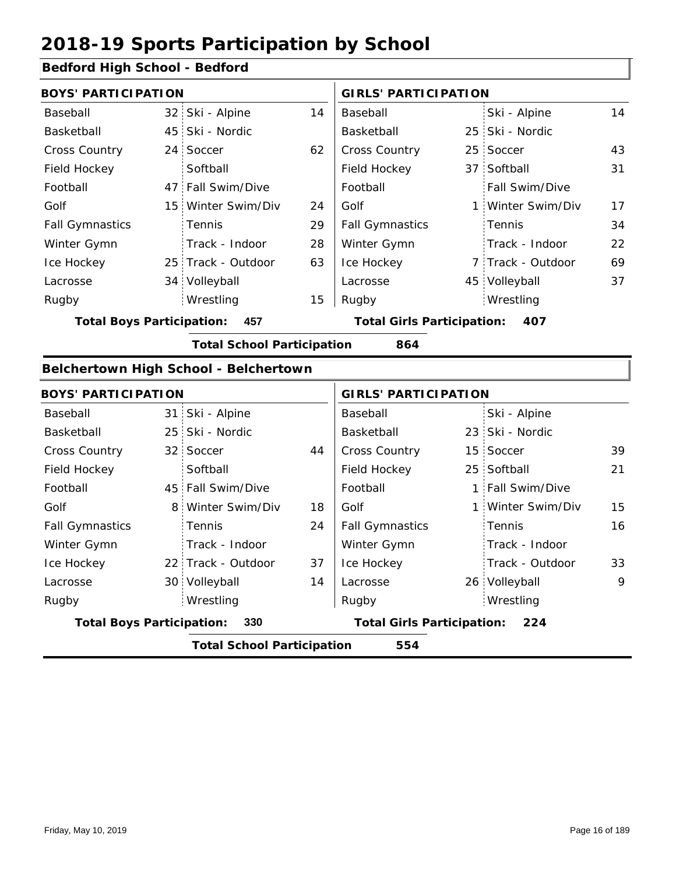#### **Bedford High School - Bedford**

| <b>BOYS' PARTICIPATION</b>              |  |                                       |                                   | <b>GIRLS' PARTICIPATION</b> |     |                   |    |
|-----------------------------------------|--|---------------------------------------|-----------------------------------|-----------------------------|-----|-------------------|----|
| Baseball                                |  | 32 Ski - Alpine                       | 14                                | Baseball                    |     | Ski - Alpine      | 14 |
| Basketball                              |  | 45 Ski - Nordic                       |                                   | Basketball                  |     | 25 Ski - Nordic   |    |
| <b>Cross Country</b>                    |  | 24 Soccer                             | 62                                | <b>Cross Country</b>        |     | 25 Soccer         | 43 |
| Field Hockey                            |  | Softball                              |                                   | Field Hockey                |     | 37 Softball       | 31 |
| Football                                |  | 47 Fall Swim/Dive                     |                                   | Football                    |     | Fall Swim/Dive    |    |
| Golf                                    |  | 15 Winter Swim/Div                    | 24                                | Golf                        |     | 1 Winter Swim/Div | 17 |
| <b>Fall Gymnastics</b>                  |  | <b>Tennis</b>                         | 29                                | <b>Fall Gymnastics</b>      |     | Tennis            | 34 |
| Winter Gymn                             |  | Track - Indoor                        | 28                                | Winter Gymn                 |     | Track - Indoor    | 22 |
| Ice Hockey                              |  | 25 Track - Outdoor                    | 63                                | Ice Hockey                  |     | 7 Track - Outdoor | 69 |
| Lacrosse                                |  | 34 Volleyball                         |                                   | Lacrosse                    |     | 45 Volleyball     | 37 |
| Rugby                                   |  | Wrestling                             | 15                                | Rugby                       |     | Wrestling         |    |
| 457<br><b>Total Boys Participation:</b> |  |                                       | <b>Total Girls Participation:</b> |                             | 407 |                   |    |
|                                         |  | <b>Total School Participation</b>     |                                   | 864                         |     |                   |    |
|                                         |  | Belchertown High School - Belchertown |                                   |                             |     |                   |    |

#### 31 Ski - Alpine 25 23 Ski - Nordic 32 Soccer 5 144 | Cross Country 5 15 Soccer 5 15 Soccer 5 19 25 Softball 45 Fall Swim/Dive | Football | 1 8 Winter Swim/Div 18 Golf 1 22 Track - Outdoor 30 Volleyball 14 Lacrosse 26 21 24 15 37 16 14 33 Baseball Basketball Cross Country Field Hockey Football Golf Fall Gymnastics Ice Hockey Lacrosse 32 Soccer **Softball Tennis** Track - Indoor Wrestling Rugby Rugby **BOYS' PARTICIPATION GIRLS' PARTICIPATION** Baseball Basketball Field Hockey Football Golf Fall Gymnastics Winter Gymn Ice Hockey Lacrosse Ski - Alpine 23 Ski - Nordic 15 Soccer Fall Swim/Dive Winter Swim/Div Tennis Track - Indoor Track - Outdoor Winter Gymn 26 Volleyball 9 Wrestling **Total Boys Participation: 330 Total Girls Participation: 224 Total School Participation 554**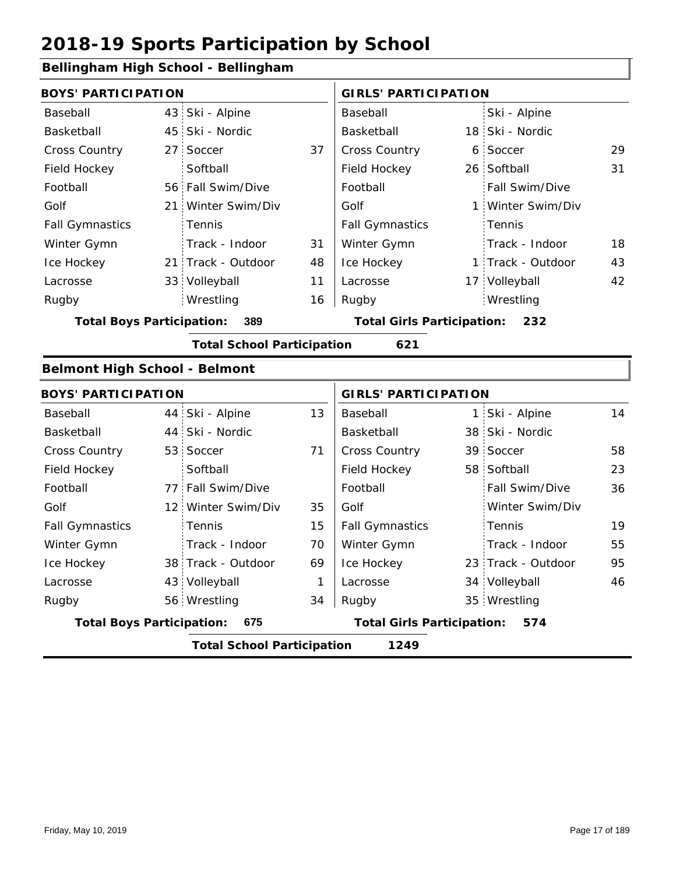### **Bellingham High School - Bellingham**

| sennighann i ngjir senoor - Ben         |                                         |                                   |              |                                   |                                   |                    |    |
|-----------------------------------------|-----------------------------------------|-----------------------------------|--------------|-----------------------------------|-----------------------------------|--------------------|----|
| <b>BOYS' PARTICIPATION</b>              |                                         |                                   |              | <b>GIRLS' PARTICIPATION</b>       |                                   |                    |    |
| Baseball                                |                                         | 43 Ski - Alpine                   |              | Baseball                          |                                   | Ski - Alpine       |    |
| Basketball                              | 45                                      | Ski - Nordic                      |              | Basketball                        |                                   | 18 Ski - Nordic    |    |
| Cross Country                           | 27 <sup>1</sup>                         | Soccer                            | 37           | Cross Country                     |                                   | 6 Soccer           | 29 |
| Field Hockey                            |                                         | Softball                          |              | Field Hockey                      |                                   | 26 Softball        | 31 |
| Football                                |                                         | 56 Fall Swim/Dive                 |              | Football                          |                                   | Fall Swim/Dive     |    |
| Golf                                    | 21                                      | Winter Swim/Div                   |              | Golf                              |                                   | 1 Winter Swim/Div  |    |
| <b>Fall Gymnastics</b>                  |                                         | Tennis                            |              | <b>Fall Gymnastics</b>            |                                   | Tennis             |    |
| Winter Gymn                             |                                         | Track - Indoor                    | 31           | Winter Gymn                       |                                   | Track - Indoor     | 18 |
| Ice Hockey                              |                                         | 21 Track - Outdoor                | 48           | Ice Hockey                        |                                   | 1 Track - Outdoor  | 43 |
| Lacrosse                                |                                         | 33 Volleyball                     | 11           | Lacrosse                          |                                   | 17 Volleyball      | 42 |
| Rugby                                   |                                         | Wrestling                         | 16           | Rugby                             |                                   | Wrestling          |    |
| <b>Total Boys Participation:</b><br>389 |                                         |                                   |              | <b>Total Girls Participation:</b> |                                   | 232                |    |
|                                         |                                         | <b>Total School Participation</b> |              | 621                               |                                   |                    |    |
| <b>Belmont High School - Belmont</b>    |                                         |                                   |              |                                   |                                   |                    |    |
| <b>BOYS' PARTICIPATION</b>              |                                         |                                   |              | <b>GIRLS' PARTICIPATION</b>       |                                   |                    |    |
| Baseball                                | 44                                      | Ski - Alpine                      | 13           | Baseball                          |                                   | 1 Ski - Alpine     | 14 |
| Basketball                              | 44                                      | Ski - Nordic                      |              | Basketball                        |                                   | 38 Ski - Nordic    |    |
| Cross Country                           | 53                                      | Soccer                            | 71           | Cross Country                     |                                   | 39 Soccer          | 58 |
| Field Hockey                            |                                         | Softball                          |              | Field Hockey                      |                                   | 58 Softball        | 23 |
| Football                                |                                         | 77 Fall Swim/Dive                 |              | Football                          |                                   | Fall Swim/Dive     | 36 |
| Golf                                    |                                         | 12 Winter Swim/Div                | 35           | Golf                              |                                   | Winter Swim/Div    |    |
| <b>Fall Gymnastics</b>                  |                                         | Tennis                            | 15           | <b>Fall Gymnastics</b>            |                                   | Tennis             | 19 |
| Winter Gymn                             |                                         | Track - Indoor                    | 70           | Winter Gymn                       |                                   | Track - Indoor     | 55 |
| Ice Hockey                              |                                         | 38 Track - Outdoor                | 69           | Ice Hockey                        |                                   | 23 Track - Outdoor | 95 |
| Lacrosse                                |                                         | 43 Volleyball                     | $\mathbf{1}$ | Lacrosse                          |                                   | 34 Volleyball      | 46 |
| Rugby                                   |                                         | 56 Wrestling                      | 34           | Rugby                             |                                   | 35 Wrestling       |    |
|                                         | <b>Total Boys Participation:</b><br>675 |                                   |              |                                   | <b>Total Girls Participation:</b> | 574                |    |

**Total School Participation 1249**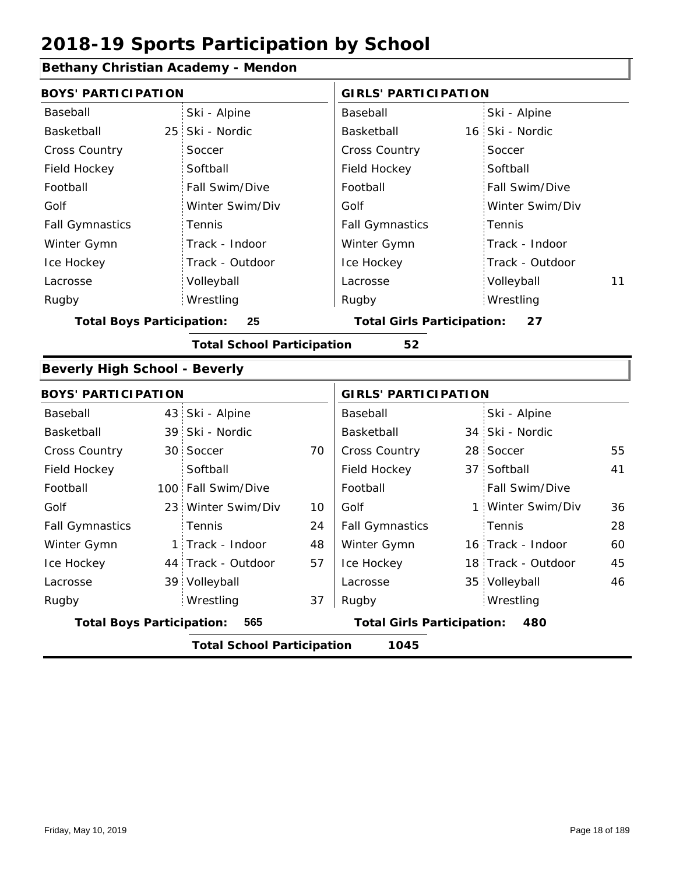### **Bethany Christian Academy - Mendon**

|                                           |                                                                                                                                                                                                                                                                                            | <b>GIRLS' PARTICIPATION</b> |   |                                         |                                                                                                                                                                                                |  |  |  |
|-------------------------------------------|--------------------------------------------------------------------------------------------------------------------------------------------------------------------------------------------------------------------------------------------------------------------------------------------|-----------------------------|---|-----------------------------------------|------------------------------------------------------------------------------------------------------------------------------------------------------------------------------------------------|--|--|--|
| Ski - Alpine                              |                                                                                                                                                                                                                                                                                            | Baseball                    |   | Ski - Alpine                            |                                                                                                                                                                                                |  |  |  |
| Ski - Nordic                              |                                                                                                                                                                                                                                                                                            | Basketball                  |   |                                         |                                                                                                                                                                                                |  |  |  |
| Soccer                                    |                                                                                                                                                                                                                                                                                            | Cross Country               |   | Soccer                                  |                                                                                                                                                                                                |  |  |  |
| Softball                                  |                                                                                                                                                                                                                                                                                            | Field Hockey                |   | Softball                                |                                                                                                                                                                                                |  |  |  |
| Fall Swim/Dive                            |                                                                                                                                                                                                                                                                                            | Football                    |   | Fall Swim/Dive                          |                                                                                                                                                                                                |  |  |  |
| Winter Swim/Div                           |                                                                                                                                                                                                                                                                                            | Golf                        |   | Winter Swim/Div                         |                                                                                                                                                                                                |  |  |  |
| Tennis                                    |                                                                                                                                                                                                                                                                                            | <b>Fall Gymnastics</b>      |   | Tennis                                  |                                                                                                                                                                                                |  |  |  |
| Track - Indoor                            |                                                                                                                                                                                                                                                                                            | Winter Gymn                 |   | Track - Indoor                          |                                                                                                                                                                                                |  |  |  |
| Track - Outdoor                           |                                                                                                                                                                                                                                                                                            | Ice Hockey                  |   | Track - Outdoor                         |                                                                                                                                                                                                |  |  |  |
| Volleyball                                |                                                                                                                                                                                                                                                                                            | Lacrosse                    |   | Volleyball                              | 11                                                                                                                                                                                             |  |  |  |
| Wrestling                                 |                                                                                                                                                                                                                                                                                            | Rugby                       |   | Wrestling                               |                                                                                                                                                                                                |  |  |  |
| <b>Total Boys Participation:</b><br>25    |                                                                                                                                                                                                                                                                                            |                             |   | <b>Total Girls Participation:</b><br>27 |                                                                                                                                                                                                |  |  |  |
| <b>Total School Participation</b><br>52   |                                                                                                                                                                                                                                                                                            |                             |   |                                         |                                                                                                                                                                                                |  |  |  |
|                                           |                                                                                                                                                                                                                                                                                            |                             |   |                                         |                                                                                                                                                                                                |  |  |  |
|                                           |                                                                                                                                                                                                                                                                                            |                             |   |                                         |                                                                                                                                                                                                |  |  |  |
|                                           |                                                                                                                                                                                                                                                                                            | Baseball                    |   | Ski - Alpine                            |                                                                                                                                                                                                |  |  |  |
|                                           |                                                                                                                                                                                                                                                                                            | Basketball                  |   |                                         |                                                                                                                                                                                                |  |  |  |
| Soccer                                    | 70                                                                                                                                                                                                                                                                                         | Cross Country               |   |                                         | 55                                                                                                                                                                                             |  |  |  |
| Softball                                  |                                                                                                                                                                                                                                                                                            | Field Hockey                |   |                                         | 41                                                                                                                                                                                             |  |  |  |
| Fall Swim/Dive                            |                                                                                                                                                                                                                                                                                            | Football                    |   | Fall Swim/Dive                          |                                                                                                                                                                                                |  |  |  |
| Winter Swim/Div                           | 10                                                                                                                                                                                                                                                                                         | Golf                        | 1 | Winter Swim/Div                         | 36                                                                                                                                                                                             |  |  |  |
| Tennis                                    | 24                                                                                                                                                                                                                                                                                         | <b>Fall Gymnastics</b>      |   | Tennis                                  | 28                                                                                                                                                                                             |  |  |  |
|                                           | 48                                                                                                                                                                                                                                                                                         | Winter Gymn                 |   |                                         | 60                                                                                                                                                                                             |  |  |  |
|                                           | 57                                                                                                                                                                                                                                                                                         | Ice Hockey                  |   |                                         | 45                                                                                                                                                                                             |  |  |  |
| Volleyball                                |                                                                                                                                                                                                                                                                                            | Lacrosse                    |   |                                         | 46                                                                                                                                                                                             |  |  |  |
| Wrestling                                 | 37                                                                                                                                                                                                                                                                                         | Rugby                       |   | Wrestling                               |                                                                                                                                                                                                |  |  |  |
| 565                                       |                                                                                                                                                                                                                                                                                            |                             |   | 480                                     |                                                                                                                                                                                                |  |  |  |
| <b>Total School Participation</b><br>1045 |                                                                                                                                                                                                                                                                                            |                             |   |                                         |                                                                                                                                                                                                |  |  |  |
|                                           | <b>BOYS' PARTICIPATION</b><br>25<br><b>Beverly High School - Beverly</b><br><b>BOYS' PARTICIPATION</b><br>43 Ski - Alpine<br>39 Ski - Nordic<br>30 <sup>1</sup><br>100 <sub>1</sub><br>23 <sup>1</sup><br>1 Track - Indoor<br>44 Track - Outdoor<br>39<br><b>Total Boys Participation:</b> |                             |   |                                         | 16 Ski - Nordic<br><b>GIRLS' PARTICIPATION</b><br>34 Ski - Nordic<br>28 Soccer<br>37 Softball<br>16 Track - Indoor<br>18 Track - Outdoor<br>35 Volleyball<br><b>Total Girls Participation:</b> |  |  |  |

I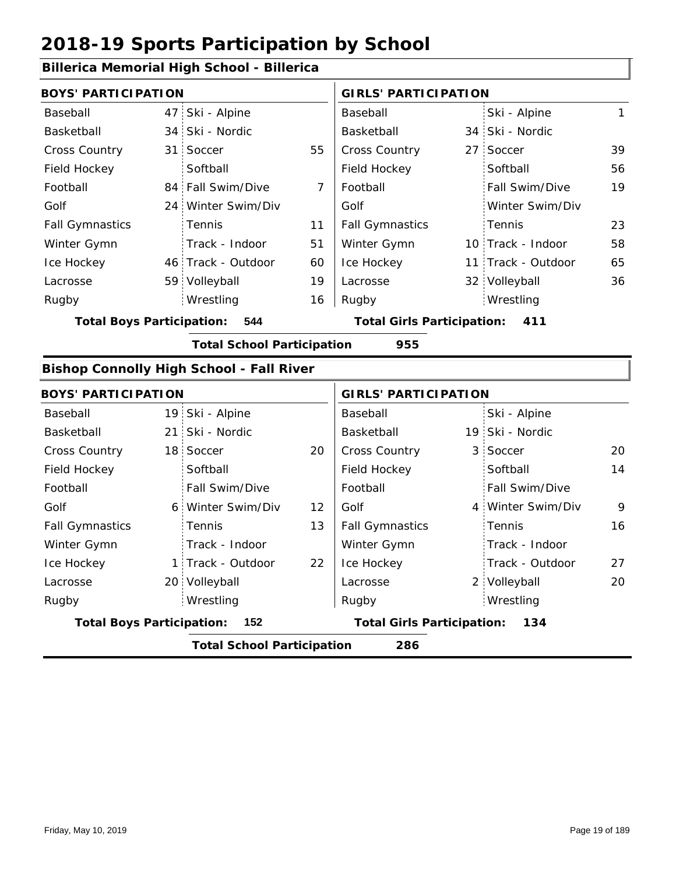#### **Billerica Memorial High School - Billerica**

| <b>BOYS' PARTICIPATION</b>       |                                                 |                | <b>GIRLS' PARTICIPATION</b>       |    |                    |    |
|----------------------------------|-------------------------------------------------|----------------|-----------------------------------|----|--------------------|----|
| Baseball                         | 47 Ski - Alpine                                 |                | Baseball                          |    | Ski - Alpine       | 1  |
| Basketball                       | 34 Ski - Nordic                                 |                | Basketball                        |    | 34 Ski - Nordic    |    |
| <b>Cross Country</b>             | 31 Soccer                                       | 55             | Cross Country                     | 27 | Soccer             | 39 |
| Field Hockey                     | Softball                                        |                | Field Hockey                      |    | Softball           | 56 |
| Football                         | 84 Fall Swim/Dive                               | $\overline{7}$ | Football                          |    | Fall Swim/Dive     | 19 |
| Golf                             | 24 Winter Swim/Div                              |                | Golf                              |    | Winter Swim/Div    |    |
| <b>Fall Gymnastics</b>           | <b>Tennis</b>                                   | 11             | <b>Fall Gymnastics</b>            |    | Tennis             | 23 |
| Winter Gymn                      | Track - Indoor                                  | 51             | Winter Gymn                       |    | 10 Track - Indoor  | 58 |
| Ice Hockey                       | 46 Track - Outdoor                              | 60             | Ice Hockey                        |    | 11 Track - Outdoor | 65 |
| Lacrosse                         | 59 Volleyball                                   | 19             | Lacrosse                          |    | 32 Volleyball      | 36 |
| Rugby                            | Wrestling                                       | 16             | Rugby                             |    | Wrestling          |    |
| <b>Total Boys Participation:</b> | 544                                             |                | <b>Total Girls Participation:</b> |    | 411                |    |
|                                  | <b>Total School Participation</b>               |                | 955                               |    |                    |    |
|                                  | <b>Bishop Connolly High School - Fall River</b> |                |                                   |    |                    |    |
| <b>BOYS' PARTICIPATION</b>       |                                                 |                | <b>GIRLS' PARTICIPATION</b>       |    |                    |    |

| <b>BUYS PARTICIPATION</b>                |  |                   |                                          | GIRLS PARTICIPATION    |  |                       |    |  |
|------------------------------------------|--|-------------------|------------------------------------------|------------------------|--|-----------------------|----|--|
| Baseball                                 |  | 19 Ski - Alpine   |                                          | Baseball               |  | Ski - Alpine          |    |  |
| Basketball                               |  | 21 Ski - Nordic   |                                          | Basketball             |  | 19 Ski - Nordic       |    |  |
| <b>Cross Country</b>                     |  | 18 Soccer         | 20                                       | <b>Cross Country</b>   |  | 3 Soccer              | 20 |  |
| Field Hockey                             |  | Softball          |                                          | Field Hockey           |  | Softball              | 14 |  |
| Football                                 |  | Fall Swim/Dive    |                                          | Football               |  | <b>Fall Swim/Dive</b> |    |  |
| Golf                                     |  | 6 Winter Swim/Div | 12                                       | Golf                   |  | 4 Winter Swim/Div     | 9  |  |
| <b>Fall Gymnastics</b>                   |  | <b>Tennis</b>     | 13                                       | <b>Fall Gymnastics</b> |  | Tennis                | 16 |  |
| Winter Gymn                              |  | Track - Indoor    |                                          | Winter Gymn            |  | Track - Indoor        |    |  |
| Ice Hockey                               |  | 1 Track - Outdoor | 22                                       | Ice Hockey             |  | Track - Outdoor       | 27 |  |
| Lacrosse                                 |  | 20 Volleyball     |                                          | Lacrosse               |  | 2 Volleyball          | 20 |  |
| Rugby                                    |  | Wrestling         |                                          | Rugby                  |  | Wrestling             |    |  |
| <b>Total Boys Participation:</b><br>152  |  |                   | <b>Total Girls Participation:</b><br>134 |                        |  |                       |    |  |
| <b>Total School Participation</b><br>286 |  |                   |                                          |                        |  |                       |    |  |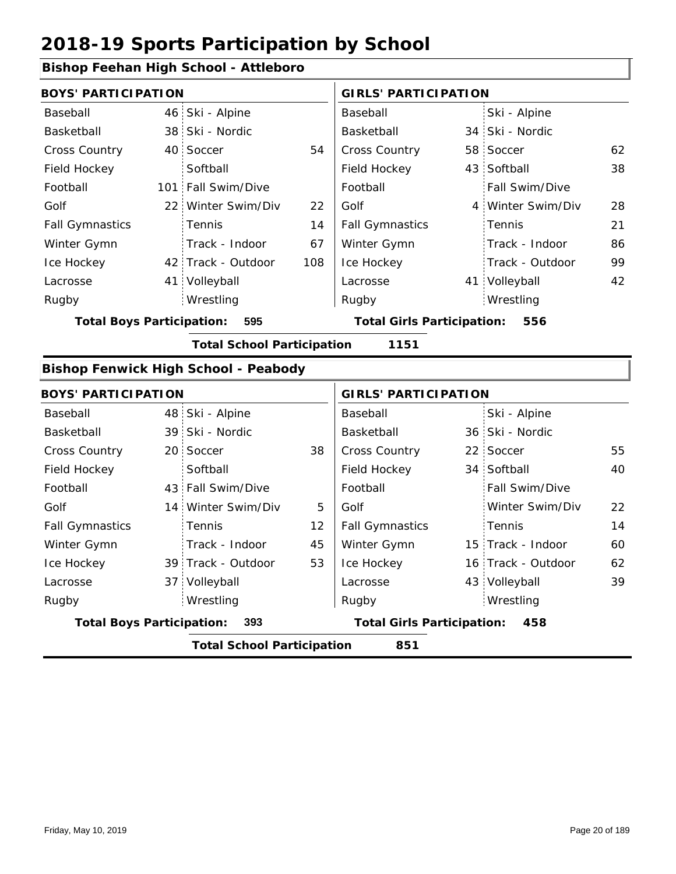### **Bishop Feehan High School - Attleboro**

| <b>BOYS' PARTICIPATION</b>                |  |                    |                                          | <b>GIRLS' PARTICIPATION</b> |  |                   |    |
|-------------------------------------------|--|--------------------|------------------------------------------|-----------------------------|--|-------------------|----|
| Baseball                                  |  | 46 Ski - Alpine    |                                          | Baseball                    |  | Ski - Alpine      |    |
| Basketball                                |  | 38 Ski - Nordic    |                                          | Basketball                  |  | 34 Ski - Nordic   |    |
| <b>Cross Country</b>                      |  | 40 Soccer          | 54                                       | <b>Cross Country</b>        |  | 58 Soccer         | 62 |
| Field Hockey                              |  | Softball           |                                          | Field Hockey                |  | 43 Softball       | 38 |
| Football                                  |  | 101 Fall Swim/Dive |                                          | Football                    |  | Fall Swim/Dive    |    |
| Golf                                      |  | 22 Winter Swim/Div | 22                                       | Golf                        |  | 4 Winter Swim/Div | 28 |
| <b>Fall Gymnastics</b>                    |  | Tennis             | 14                                       | <b>Fall Gymnastics</b>      |  | Tennis            | 21 |
| Winter Gymn                               |  | Track - Indoor     | 67                                       | Winter Gymn                 |  | Track - Indoor    | 86 |
| Ice Hockey                                |  | 42 Track - Outdoor | 108                                      | Ice Hockey                  |  | Track - Outdoor   | 99 |
| Lacrosse                                  |  | 41 Volleyball      |                                          | Lacrosse                    |  | 41 Volleyball     | 42 |
| Rugby                                     |  | Wrestling          |                                          | Rugby                       |  | Wrestling         |    |
| 595<br><b>Total Boys Participation:</b>   |  |                    | <b>Total Girls Participation:</b><br>556 |                             |  |                   |    |
| <b>Total School Participation</b><br>1151 |  |                    |                                          |                             |  |                   |    |

#### **Bishop Fenwick High School - Peabody**

|                                         | <b>BOYS' PARTICIPATION</b>               |                    |                                          |                        | <b>GIRLS' PARTICIPATION</b> |                    |    |  |  |
|-----------------------------------------|------------------------------------------|--------------------|------------------------------------------|------------------------|-----------------------------|--------------------|----|--|--|
| Baseball                                |                                          | 48 Ski - Alpine    |                                          | Baseball               |                             | Ski - Alpine       |    |  |  |
| Basketball                              |                                          | 39 Ski - Nordic    |                                          | Basketball             |                             | 36 Ski - Nordic    |    |  |  |
| <b>Cross Country</b>                    |                                          | 20 Soccer          | 38                                       | <b>Cross Country</b>   |                             | 22 Soccer          | 55 |  |  |
| Field Hockey                            |                                          | Softball           |                                          | Field Hockey           |                             | 34 Softball        | 40 |  |  |
| Football                                |                                          | 43 Fall Swim/Dive  |                                          | Football               |                             | Fall Swim/Dive     |    |  |  |
| Golf                                    |                                          | 14 Winter Swim/Div | 5                                        | Golf                   |                             | Winter Swim/Div    | 22 |  |  |
| <b>Fall Gymnastics</b>                  |                                          | <b>Tennis</b>      | $12 \overline{ }$                        | <b>Fall Gymnastics</b> |                             | Tennis             | 14 |  |  |
| Winter Gymn                             |                                          | Track - Indoor     | 45                                       | Winter Gymn            |                             | 15 Track - Indoor  | 60 |  |  |
| Ice Hockey                              |                                          | 39 Track - Outdoor | 53                                       | Ice Hockey             |                             | 16 Track - Outdoor | 62 |  |  |
| Lacrosse                                |                                          | 37 Volleyball      |                                          | Lacrosse               |                             | 43 Volleyball      | 39 |  |  |
| Rugby                                   |                                          | Wrestling          |                                          | Rugby                  |                             | Wrestling          |    |  |  |
| <b>Total Boys Participation:</b><br>393 |                                          |                    | <b>Total Girls Participation:</b><br>458 |                        |                             |                    |    |  |  |
|                                         | 851<br><b>Total School Participation</b> |                    |                                          |                        |                             |                    |    |  |  |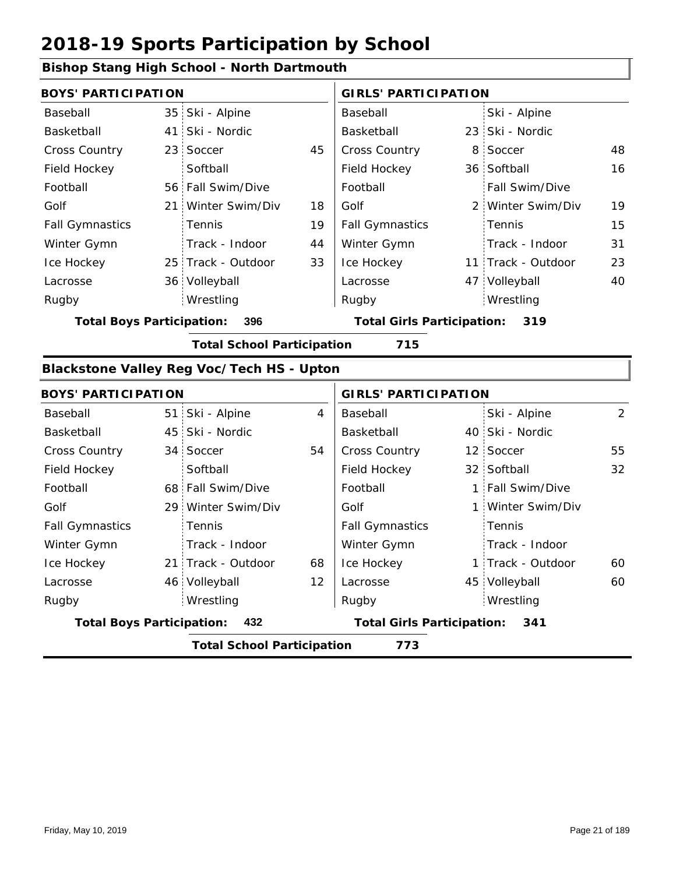### **Bishop Stang High School - North Dartmouth**

|                                         | <b>BOYS' PARTICIPATION</b> |                    |                                   | <b>GIRLS' PARTICIPATION</b> |     |                    |    |
|-----------------------------------------|----------------------------|--------------------|-----------------------------------|-----------------------------|-----|--------------------|----|
| Baseball                                |                            | 35 Ski - Alpine    |                                   | Baseball                    |     | Ski - Alpine       |    |
| Basketball                              |                            | 41 Ski - Nordic    |                                   | Basketball                  |     | 23 Ski - Nordic    |    |
| <b>Cross Country</b>                    |                            | 23 Soccer          | 45                                | <b>Cross Country</b>        |     | 8 Soccer           | 48 |
| Field Hockey                            |                            | Softball           |                                   | Field Hockey                |     | 36 Softball        | 16 |
| Football                                |                            | 56 Fall Swim/Dive  |                                   | Football                    |     | Fall Swim/Dive     |    |
| Golf                                    |                            | 21 Winter Swim/Div | 18                                | Golf                        |     | 2 Winter Swim/Div  | 19 |
| <b>Fall Gymnastics</b>                  |                            | <b>Tennis</b>      | 19                                | <b>Fall Gymnastics</b>      |     | <b>Tennis</b>      | 15 |
| Winter Gymn                             |                            | Track - Indoor     | 44                                | Winter Gymn                 |     | Track - Indoor     | 31 |
| Ice Hockey                              |                            | 25 Track - Outdoor | 33                                | Ice Hockey                  |     | 11 Track - Outdoor | 23 |
| Lacrosse                                |                            | 36 Volleyball      |                                   | Lacrosse                    |     | 47 Volleyball      | 40 |
| Rugby                                   |                            | Wrestling          |                                   | Rugby                       |     | Wrestling          |    |
| 396<br><b>Total Boys Participation:</b> |                            |                    | <b>Total Girls Participation:</b> |                             | 319 |                    |    |

**Total School Participation 715**

#### **Blackstone Valley Reg Voc/Tech HS - Upton**

| <b>BOYS' PARTICIPATION</b>               |  |                    |                                   | <b>GIRLS' PARTICIPATION</b> |     |                   |    |
|------------------------------------------|--|--------------------|-----------------------------------|-----------------------------|-----|-------------------|----|
| Baseball                                 |  | 51 Ski - Alpine    | 4                                 | Baseball                    |     | Ski - Alpine      | 2  |
| Basketball                               |  | 45 Ski - Nordic    |                                   | Basketball                  |     | 40 Ski - Nordic   |    |
| <b>Cross Country</b>                     |  | 34 Soccer          | 54                                | <b>Cross Country</b>        |     | 12 Soccer         | 55 |
| Field Hockey                             |  | Softball           |                                   | Field Hockey                |     | 32 Softball       | 32 |
| Football                                 |  | 68 Fall Swim/Dive  |                                   | Football                    |     | 1 Fall Swim/Dive  |    |
| Golf                                     |  | 29 Winter Swim/Div |                                   | Golf                        |     | 1 Winter Swim/Div |    |
| <b>Fall Gymnastics</b>                   |  | Tennis             |                                   | <b>Fall Gymnastics</b>      |     | Tennis            |    |
| Winter Gymn                              |  | Track - Indoor     |                                   | Winter Gymn                 |     | Track - Indoor    |    |
| Ice Hockey                               |  | 21 Track - Outdoor | 68                                | Ice Hockey                  |     | 1 Track - Outdoor | 60 |
| Lacrosse                                 |  | 46 Volleyball      | $12 \overline{ }$                 | Lacrosse                    |     | 45 Volleyball     | 60 |
| Rugby                                    |  | Wrestling          |                                   | Rugby                       |     | Wrestling         |    |
| 432<br><b>Total Boys Participation:</b>  |  |                    | <b>Total Girls Participation:</b> |                             | 341 |                   |    |
| <b>Total School Participation</b><br>773 |  |                    |                                   |                             |     |                   |    |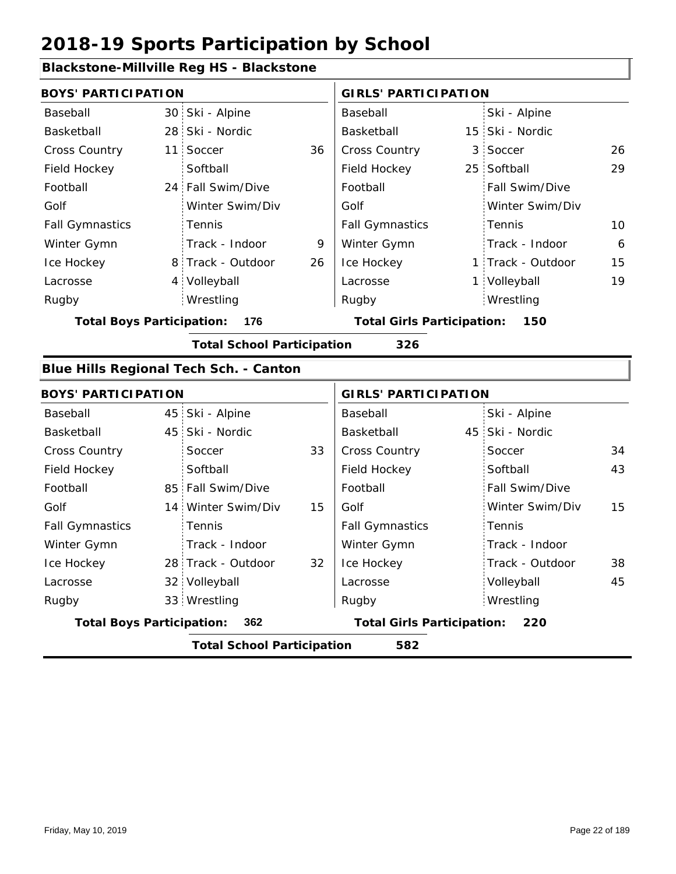#### **Blackstone-Millville Reg HS - Blackstone**

| <b>BOYS' PARTICIPATION</b>       |                 |                                               |    | <b>GIRLS' PARTICIPATION</b>       |  |                   |    |  |
|----------------------------------|-----------------|-----------------------------------------------|----|-----------------------------------|--|-------------------|----|--|
| Baseball                         |                 | 30 Ski - Alpine                               |    | Baseball                          |  | Ski - Alpine      |    |  |
| Basketball                       |                 | 28 Ski - Nordic                               |    | Basketball                        |  | 15 Ski - Nordic   |    |  |
| <b>Cross Country</b>             | 11 <sup>1</sup> | Soccer                                        | 36 | <b>Cross Country</b>              |  | 3 Soccer          | 26 |  |
| Field Hockey                     |                 | Softball                                      |    | Field Hockey                      |  | 25 Softball       | 29 |  |
| Football                         |                 | 24 Fall Swim/Dive                             |    | Football                          |  | Fall Swim/Dive    |    |  |
| Golf                             |                 | Winter Swim/Div                               |    | Golf                              |  | Winter Swim/Div   |    |  |
| <b>Fall Gymnastics</b>           |                 | Tennis                                        |    | <b>Fall Gymnastics</b>            |  | Tennis            | 10 |  |
| Winter Gymn                      |                 | Track - Indoor                                | 9  | Winter Gymn                       |  | Track - Indoor    | 6  |  |
| Ice Hockey                       |                 | 8 Track - Outdoor                             | 26 | Ice Hockey                        |  | 1 Track - Outdoor | 15 |  |
| Lacrosse                         | $4 \cdot$       | Volleyball                                    |    | Lacrosse                          |  | 1 Volleyball      | 19 |  |
| Rugby                            |                 | Wrestling                                     |    | Rugby                             |  | Wrestling         |    |  |
| <b>Total Boys Participation:</b> |                 | 176                                           |    | <b>Total Girls Participation:</b> |  | 150               |    |  |
|                                  |                 | <b>Total School Participation</b>             |    | 326                               |  |                   |    |  |
|                                  |                 | <b>Blue Hills Regional Tech Sch. - Canton</b> |    |                                   |  |                   |    |  |
| <b>BOYS' PARTICIPATION</b>       |                 |                                               |    | <b>GIRLS' PARTICIPATION</b>       |  |                   |    |  |
| Baseball                         |                 | 45 Ski - Alpine                               |    | Baseball                          |  | Ski - Alpine      |    |  |
| <b>Raskethall</b>                |                 | 45 Ski - Nordic                               |    | <b>Raskethall</b>                 |  | 45 Ski - Nordic   |    |  |

| Basketball                                                                          |                                          | 45 Ski - Nordic    |    | Basketball             |  | 45 Ski - Nordic       |    |  |  |
|-------------------------------------------------------------------------------------|------------------------------------------|--------------------|----|------------------------|--|-----------------------|----|--|--|
| <b>Cross Country</b>                                                                |                                          | Soccer             | 33 | <b>Cross Country</b>   |  | Soccer                | 34 |  |  |
| Field Hockey                                                                        |                                          | Softball           |    | Field Hockey           |  | Softball              | 43 |  |  |
| Football                                                                            |                                          | 85 Fall Swim/Dive  |    | Football               |  | <b>Fall Swim/Dive</b> |    |  |  |
| Golf                                                                                |                                          | 14 Winter Swim/Div | 15 | Golf                   |  | Winter Swim/Div       | 15 |  |  |
| <b>Fall Gymnastics</b>                                                              |                                          | Tennis             |    | <b>Fall Gymnastics</b> |  | : Tennis              |    |  |  |
| Winter Gymn                                                                         |                                          | Track - Indoor     |    | Winter Gymn            |  | Track - Indoor        |    |  |  |
| Ice Hockey                                                                          |                                          | 28 Track - Outdoor | 32 | Ice Hockey             |  | Track - Outdoor       | 38 |  |  |
| Lacrosse                                                                            |                                          | 32 Volleyball      |    | Lacrosse               |  | Volleyball            | 45 |  |  |
| Rugby                                                                               |                                          | 33 Wrestling       |    | Rugby                  |  | Wrestling             |    |  |  |
| <b>Total Boys Participation:</b><br><b>Total Girls Participation:</b><br>362<br>220 |                                          |                    |    |                        |  |                       |    |  |  |
|                                                                                     | <b>Total School Participation</b><br>582 |                    |    |                        |  |                       |    |  |  |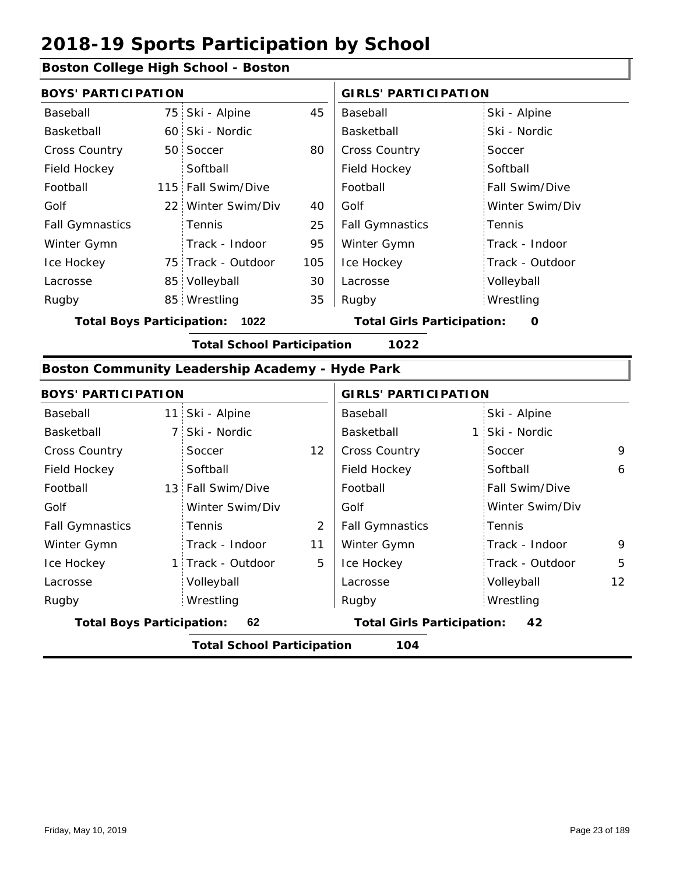#### **Boston College High School - Boston**

| <b>BOYS' PARTICIPATION</b> |                    |     | <b>GIRLS' PARTICIPATION</b> |                 |  |
|----------------------------|--------------------|-----|-----------------------------|-----------------|--|
| Baseball                   | 75 Ski - Alpine    | 45  | Baseball                    | Ski - Alpine    |  |
| Basketball                 | 60 Ski - Nordic    |     | Basketball                  | Ski - Nordic    |  |
| <b>Cross Country</b>       | 50 Soccer          | 80  | <b>Cross Country</b>        | Soccer          |  |
| Field Hockey               | Softball           |     | Field Hockey                | Softball        |  |
| Football                   | 115 Fall Swim/Dive |     | Football                    | Fall Swim/Dive  |  |
| Golf                       | 22 Winter Swim/Div | 40  | Golf                        | Winter Swim/Div |  |
| <b>Fall Gymnastics</b>     | <b>Tennis</b>      | 25  | <b>Fall Gymnastics</b>      | : Tennis        |  |
| Winter Gymn                | Track - Indoor     | 95  | Winter Gymn                 | Track - Indoor  |  |
| Ice Hockey                 | 75 Track - Outdoor | 105 | Ice Hockey                  | Track - Outdoor |  |
| Lacrosse                   | 85 Volleyball      | 30  | Lacrosse                    | Volleyball      |  |
| Rugby                      | 85 Wrestling       | 35  | Rugby                       | Wrestling       |  |
|                            |                    |     |                             |                 |  |

**Total Boys Participation: 1022 Total Girls Participation: 0**

**Total School Participation 1022**

#### **Boston Community Leadership Academy - Hyde Park**

| <b>BOYS' PARTICIPATION</b>       |                                          |                   |    | <b>GIRLS' PARTICIPATION</b>       |  |                 |                   |  |  |
|----------------------------------|------------------------------------------|-------------------|----|-----------------------------------|--|-----------------|-------------------|--|--|
| Baseball                         |                                          | 11 Ski - Alpine   |    | Baseball                          |  | Ski - Alpine    |                   |  |  |
| Basketball                       |                                          | 7 Ski - Nordic    |    | Basketball                        |  | 1 Ski - Nordic  |                   |  |  |
| <b>Cross Country</b>             |                                          | Soccer            | 12 | <b>Cross Country</b>              |  | Soccer          | 9                 |  |  |
| Field Hockey                     |                                          | Softball          |    | Field Hockey                      |  | Softball        | 6                 |  |  |
| Football                         |                                          | 13 Fall Swim/Dive |    | Football                          |  | Fall Swim/Dive  |                   |  |  |
| Golf                             |                                          | Winter Swim/Div   |    | Golf                              |  | Winter Swim/Div |                   |  |  |
| <b>Fall Gymnastics</b>           |                                          | <b>Tennis</b>     | 2  | <b>Fall Gymnastics</b>            |  | Tennis          |                   |  |  |
| Winter Gymn                      |                                          | Track - Indoor    | 11 | Winter Gymn                       |  | Track - Indoor  | 9                 |  |  |
| Ice Hockey                       |                                          | 1 Track - Outdoor | 5  | Ice Hockey                        |  | Track - Outdoor | 5                 |  |  |
| Lacrosse                         |                                          | Volleyball        |    | Lacrosse                          |  | Volleyball      | $12 \overline{ }$ |  |  |
| Rugby                            |                                          | Wrestling         |    | Rugby                             |  | Wrestling       |                   |  |  |
| <b>Total Boys Participation:</b> |                                          | 62                |    | <b>Total Girls Participation:</b> |  | 42              |                   |  |  |
|                                  | <b>Total School Participation</b><br>104 |                   |    |                                   |  |                 |                   |  |  |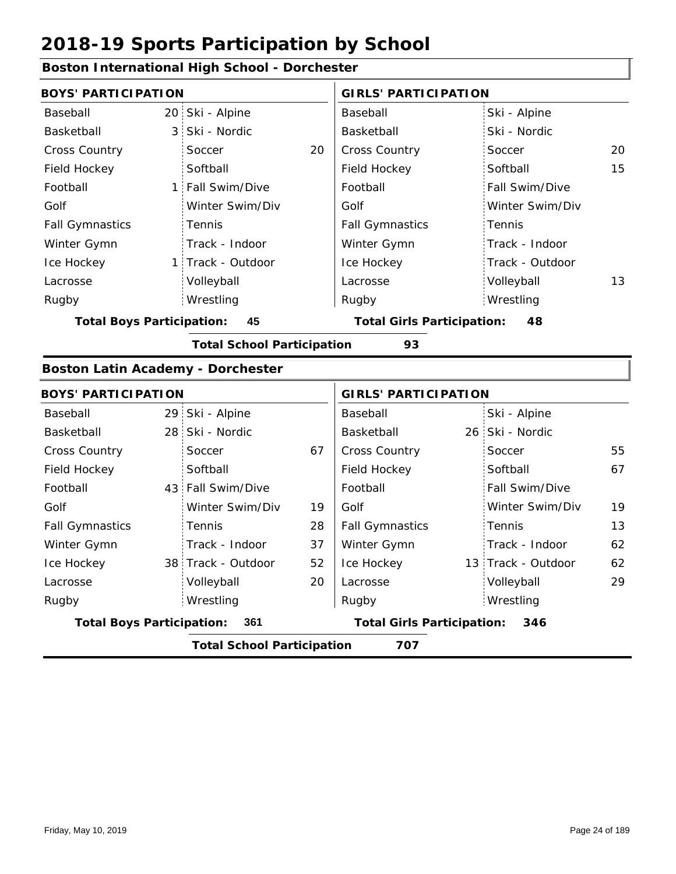#### **Boston International High School - Dorchester** 20 Ski - Alpine 3 Ski - Nordic 1 Fall Swim/Dive 1 Track - Outdoor 20 Cross Country Controller Soccer 20 15 Baseball Basketball Cross Country Field Hockey Football Golf Fall Gymnastics Ice Hockey Lacrosse **Soccer Softball** Tennis Track - Indoor Volleyball Wrestling Rugby Rugby **BOYS' PARTICIPATION GIRLS' PARTICIPATION** Baseball Basketball Field Hockey Football Golf Fall Gymnastics Winter Gymn Ice Hockey Lacrosse Ski - Alpine Ski - Nordic **Soccer Softball** Fall Swim/Dive Winter Swim/Div Tennis Track - Indoor Track - Outdoor Winter Gymn Winter Swim/Div Volleyball 13 Wrestling **Total Boys Participation: 45 Total Girls Participation: 48 Total School Participation 93 Boston Latin Academy - Dorchester** 29 Ski - Alpine 28 26 Ski - Nordic 43 Fall Swim/Dive 38 Track - Outdoor 52 | Ice Hockey 38 13 67 Cross Country Soccer 55 67 28 37 19 52 13 20 62 62 Baseball Basketball Cross Country Field Hockey Football Golf Fall Gymnastics Ice Hockey Lacrosse Soccer **Softball** Tennis Track - Indoor Volleyball Wrestling Rugby Rugby **BOYS' PARTICIPATION GIRLS' PARTICIPATION** Baseball Basketball Field Hockey Football Golf Fall Gymnastics Winter Gymn Ice Hockey Lacrosse Ski - Alpine 26 Ski - Nordic Soccer **Softball** Fall Swim/Dive Winter Swim/Div Tennis Track - Indoor 13 Track - Outdoor Winter Gymn Winter Swim/Div 19 Volleyball 29 Wrestling **Total Boys Participation: 361 Total Girls Participation: 346 Total School Participation 707**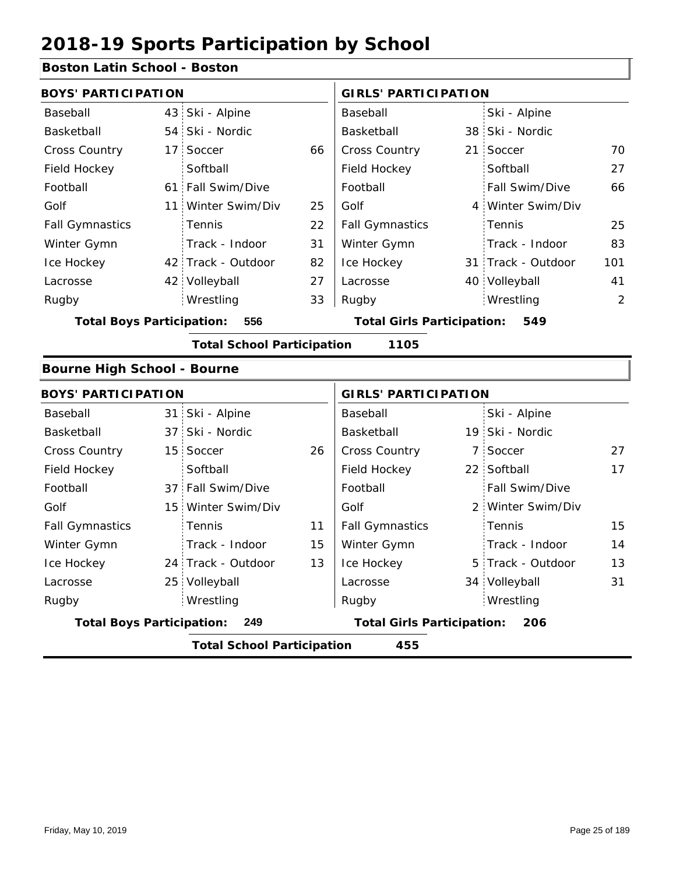#### **Boston Latin School - Boston**

|                                    | <b>BOYS' PARTICIPATION</b> |                                   |                                   |                             |     | <b>GIRLS' PARTICIPATION</b> |     |  |  |
|------------------------------------|----------------------------|-----------------------------------|-----------------------------------|-----------------------------|-----|-----------------------------|-----|--|--|
| Baseball                           | 43 <sup>1</sup>            | Ski - Alpine                      |                                   | Baseball                    |     | Ski - Alpine                |     |  |  |
| Basketball                         | 54                         | Ski - Nordic                      |                                   | Basketball                  |     | 38 Ski - Nordic             |     |  |  |
| Cross Country                      | 17                         | Soccer                            | 66                                | <b>Cross Country</b>        |     | 21 Soccer                   | 70  |  |  |
| Field Hockey                       |                            | Softball                          |                                   | Field Hockey                |     | Softball                    | 27  |  |  |
| Football                           | 61.                        | Fall Swim/Dive                    |                                   | Football                    |     | Fall Swim/Dive              | 66  |  |  |
| Golf                               | 11 :                       | Winter Swim/Div                   | 25                                | Golf                        |     | 4 Winter Swim/Div           |     |  |  |
| <b>Fall Gymnastics</b>             |                            | Tennis                            | 22                                | <b>Fall Gymnastics</b>      |     | Tennis                      | 25  |  |  |
| Winter Gymn                        |                            | Track - Indoor                    | 31                                | Winter Gymn                 |     | Track - Indoor              | 83  |  |  |
| Ice Hockey                         | 42 :                       | Track - Outdoor                   | 82                                | Ice Hockey                  |     | 31 Track - Outdoor          | 101 |  |  |
| Lacrosse                           |                            | 42 Volleyball                     | 27                                | Lacrosse                    |     | 40 Volleyball               | 41  |  |  |
| Rugby                              |                            | Wrestling                         | 33                                | Rugby                       |     | Wrestling                   | 2   |  |  |
| <b>Total Boys Participation:</b>   | 556                        |                                   | <b>Total Girls Participation:</b> |                             | 549 |                             |     |  |  |
|                                    |                            | <b>Total School Participation</b> |                                   | 1105                        |     |                             |     |  |  |
| <b>Bourne High School - Bourne</b> |                            |                                   |                                   |                             |     |                             |     |  |  |
| <b>BOYS' PARTICIPATION</b>         |                            |                                   |                                   | <b>GIRLS' PARTICIPATION</b> |     |                             |     |  |  |
| Baseball                           | 31                         | Ski - Alpine                      |                                   | Baseball                    |     | Ski - Alpine                |     |  |  |
| Basketball                         | 37                         | Ski - Nordic                      |                                   | Basketball                  |     | 19 Ski - Nordic             |     |  |  |
| <b>Cross Country</b>               | 15                         | Soccer                            | 26                                | Cross Country               |     | 7 Soccer                    | 27  |  |  |
| Field Hockey                       |                            | Softball                          |                                   | Field Hockey                |     | 22 Softball                 | 17  |  |  |
| Football                           | 37.                        | Fall Swim/Dive                    |                                   | Football                    |     | Fall Swim/Dive              |     |  |  |
| Golf                               | 15                         | Winter Swim/Div                   |                                   | Golf                        |     | 2 Winter Swim/Div           |     |  |  |
| <b>Fall Gymnastics</b>             |                            | Tennis                            | 11                                | <b>Fall Gymnastics</b>      |     | Tennis                      | 15  |  |  |
| Winter Gymn                        |                            | Track - Indoor                    | 15                                | Winter Gymn                 |     | Track - Indoor              | 14  |  |  |
| Ice Hockey                         | 24.                        | Track - Outdoor                   | 13                                | Ice Hockey                  |     | 5 Track - Outdoor           | 13  |  |  |
| Lacrosse                           | 25                         | Volleyball                        |                                   | Lacrosse                    |     | 34 Volleyball               | 31  |  |  |
| Rugby                              |                            | Wrestling                         |                                   | Rugby                       |     | Wrestling                   |     |  |  |
| <b>Total Boys Participation:</b>   | 249                        | <b>Total Girls Participation:</b> |                                   | 206                         |     |                             |     |  |  |

**Total School Participation 455**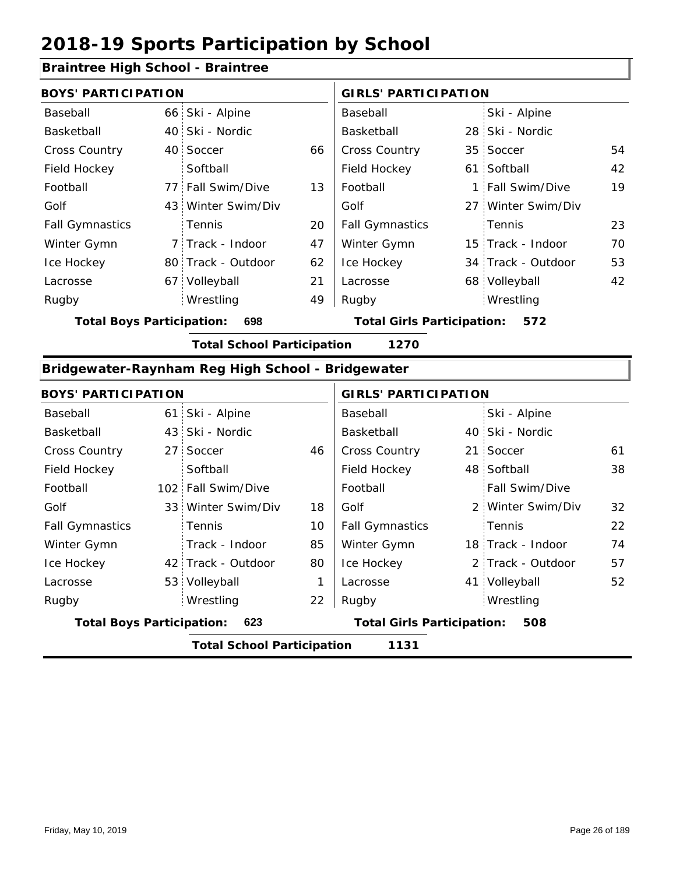#### **Braintree High School - Braintree**

| <b>BOYS' PARTICIPATION</b> |  |                    |    | <b>GIRLS' PARTICIPATION</b> |  |                    |    |
|----------------------------|--|--------------------|----|-----------------------------|--|--------------------|----|
| Baseball                   |  | 66 Ski - Alpine    |    | Baseball                    |  | Ski - Alpine       |    |
| Basketball                 |  | 40 Ski - Nordic    |    | Basketball                  |  | 28 Ski - Nordic    |    |
| <b>Cross Country</b>       |  | 40 Soccer          | 66 | <b>Cross Country</b>        |  | 35 Soccer          | 54 |
| Field Hockey               |  | Softball           |    | Field Hockey                |  | 61 Softball        | 42 |
| Football                   |  | 77 Fall Swim/Dive  | 13 | Football                    |  | 1 Fall Swim/Dive   | 19 |
| Golf                       |  | 43 Winter Swim/Div |    | Golf                        |  | 27 Winter Swim/Div |    |
| <b>Fall Gymnastics</b>     |  | Tennis             | 20 | <b>Fall Gymnastics</b>      |  | : Tennis           | 23 |
| Winter Gymn                |  | 7 Track - Indoor   | 47 | Winter Gymn                 |  | 15 Track - Indoor  | 70 |
| Ice Hockey                 |  | 80 Track - Outdoor | 62 | Ice Hockey                  |  | 34 Track - Outdoor | 53 |
| Lacrosse                   |  | 67 Volleyball      | 21 | Lacrosse                    |  | 68 Volleyball      | 42 |
| Rugby                      |  | Wrestling          | 49 | Rugby                       |  | Wrestling          |    |

**Total Boys Participation: 698 Total Girls Participation: 572**

**Total School Participation 1270**

#### **Bridgewater-Raynham Reg High School - Bridgewater**

| <b>BOYS' PARTICIPATION</b>              |  |                                   |    | <b>GIRLS' PARTICIPATION</b>       |  |                       |    |
|-----------------------------------------|--|-----------------------------------|----|-----------------------------------|--|-----------------------|----|
| Baseball                                |  | 61 Ski - Alpine                   |    | Baseball                          |  | Ski - Alpine          |    |
| Basketball                              |  | 43 Ski - Nordic                   |    | Basketball                        |  | 40 Ski - Nordic       |    |
| <b>Cross Country</b>                    |  | 27 Soccer                         | 46 | <b>Cross Country</b>              |  | 21 Soccer             | 61 |
| Field Hockey                            |  | Softball                          |    | Field Hockey                      |  | 48 Softball           | 38 |
| Football                                |  | 102 Fall Swim/Dive                |    | Football                          |  | <b>Fall Swim/Dive</b> |    |
| Golf                                    |  | 33 Winter Swim/Div                | 18 | Golf                              |  | 2 Winter Swim/Div     | 32 |
| <b>Fall Gymnastics</b>                  |  | <b>Tennis</b>                     | 10 | <b>Fall Gymnastics</b>            |  | Tennis                | 22 |
| Winter Gymn                             |  | Track - Indoor                    | 85 | Winter Gymn                       |  | 18 Track - Indoor     | 74 |
| Ice Hockey                              |  | 42 Track - Outdoor                | 80 | Ice Hockey                        |  | 2 Track - Outdoor     | 57 |
| Lacrosse                                |  | 53 Volleyball                     | 1  | Lacrosse                          |  | 41 Volleyball         | 52 |
| Rugby                                   |  | Wrestling                         | 22 | Rugby                             |  | Wrestling             |    |
| <b>Total Boys Participation:</b><br>623 |  |                                   |    | <b>Total Girls Participation:</b> |  | 508                   |    |
|                                         |  | <b>Total School Participation</b> |    | 1131                              |  |                       |    |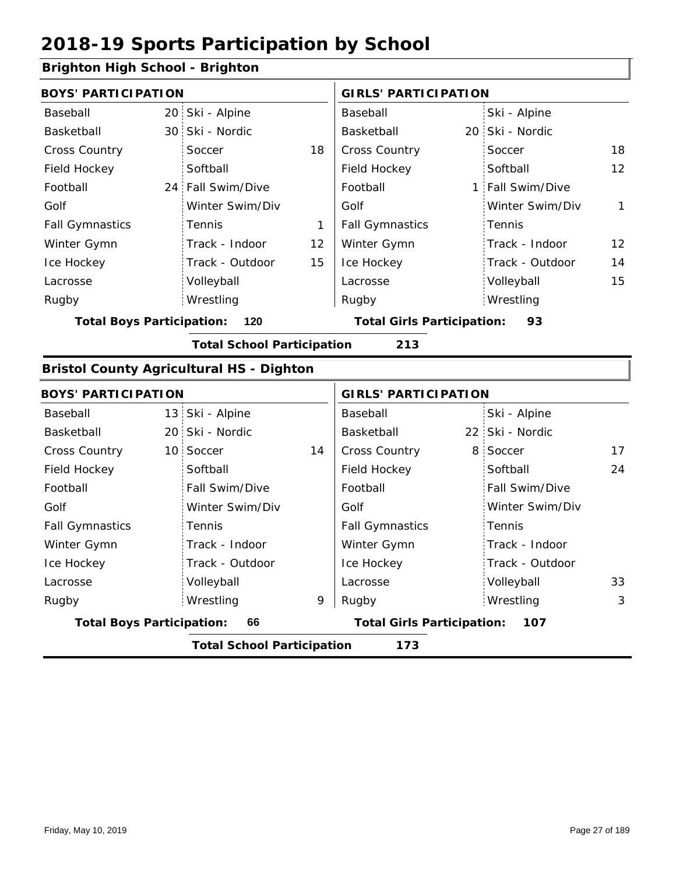#### **Brighton High School - Brighton**

| <b>BOYS' PARTICIPATION</b>       |                                          |                   |    | <b>GIRLS' PARTICIPATION</b>       |  |                  |                   |  |  |  |
|----------------------------------|------------------------------------------|-------------------|----|-----------------------------------|--|------------------|-------------------|--|--|--|
| Baseball                         |                                          | 20 Ski - Alpine   |    | Baseball                          |  | Ski - Alpine     |                   |  |  |  |
| Basketball                       |                                          | 30 Ski - Nordic   |    | Basketball                        |  | 20 Ski - Nordic  |                   |  |  |  |
| <b>Cross Country</b>             |                                          | Soccer            | 18 | <b>Cross Country</b>              |  | Soccer           | 18                |  |  |  |
| Field Hockey                     |                                          | Softball          |    | Field Hockey                      |  | Softball         | 12                |  |  |  |
| Football                         |                                          | 24 Fall Swim/Dive |    | Football                          |  | 1 Fall Swim/Dive |                   |  |  |  |
| Golf                             |                                          | Winter Swim/Div   |    | Golf                              |  | Winter Swim/Div  | 1                 |  |  |  |
| <b>Fall Gymnastics</b>           |                                          | Tennis            | 1  | <b>Fall Gymnastics</b>            |  | Tennis           |                   |  |  |  |
| Winter Gymn                      |                                          | Track - Indoor    | 12 | Winter Gymn                       |  | Track - Indoor   | $12 \overline{ }$ |  |  |  |
| Ice Hockey                       |                                          | Track - Outdoor   | 15 | Ice Hockey                        |  | Track - Outdoor  | 14                |  |  |  |
| Lacrosse                         |                                          | Volleyball        |    | Lacrosse                          |  | Volleyball       | 15                |  |  |  |
| Rugby                            |                                          | Wrestling         |    | Rugby                             |  | Wrestling        |                   |  |  |  |
| <b>Total Boys Participation:</b> |                                          | 120               |    | <b>Total Girls Participation:</b> |  | 93               |                   |  |  |  |
|                                  | <b>Total School Participation</b><br>213 |                   |    |                                   |  |                  |                   |  |  |  |

#### **Bristol County Agricultural HS - Dighton**

|                                  | <b>BOYS' PARTICIPATION</b> |                                   |    | <b>GIRLS' PARTICIPATION</b>       |  |                       |    |
|----------------------------------|----------------------------|-----------------------------------|----|-----------------------------------|--|-----------------------|----|
| Baseball                         |                            | 13 Ski - Alpine                   |    | Baseball                          |  | Ski - Alpine          |    |
| Basketball                       |                            | 20 Ski - Nordic                   |    | Basketball                        |  | 22 Ski - Nordic       |    |
| <b>Cross Country</b>             |                            | 10 Soccer                         | 14 | <b>Cross Country</b>              |  | 8 Soccer              | 17 |
| Field Hockey                     |                            | Softball                          |    | Field Hockey                      |  | Softball              | 24 |
| Football                         |                            | Fall Swim/Dive                    |    | Football                          |  | <b>Fall Swim/Dive</b> |    |
| Golf                             |                            | Winter Swim/Div                   |    | Golf                              |  | Winter Swim/Div       |    |
| <b>Fall Gymnastics</b>           |                            | Tennis                            |    | <b>Fall Gymnastics</b>            |  | Tennis                |    |
| Winter Gymn                      |                            | Track - Indoor                    |    | Winter Gymn                       |  | Track - Indoor        |    |
| Ice Hockey                       |                            | Track - Outdoor                   |    | Ice Hockey                        |  | Track - Outdoor       |    |
| Lacrosse                         |                            | Volleyball                        |    | Lacrosse                          |  | Volleyball            | 33 |
| Rugby                            |                            | Wrestling                         | 9  | Rugby                             |  | Wrestling             | 3  |
| <b>Total Boys Participation:</b> |                            | 66                                |    | <b>Total Girls Participation:</b> |  | 107                   |    |
|                                  |                            | <b>Total School Participation</b> |    | 173                               |  |                       |    |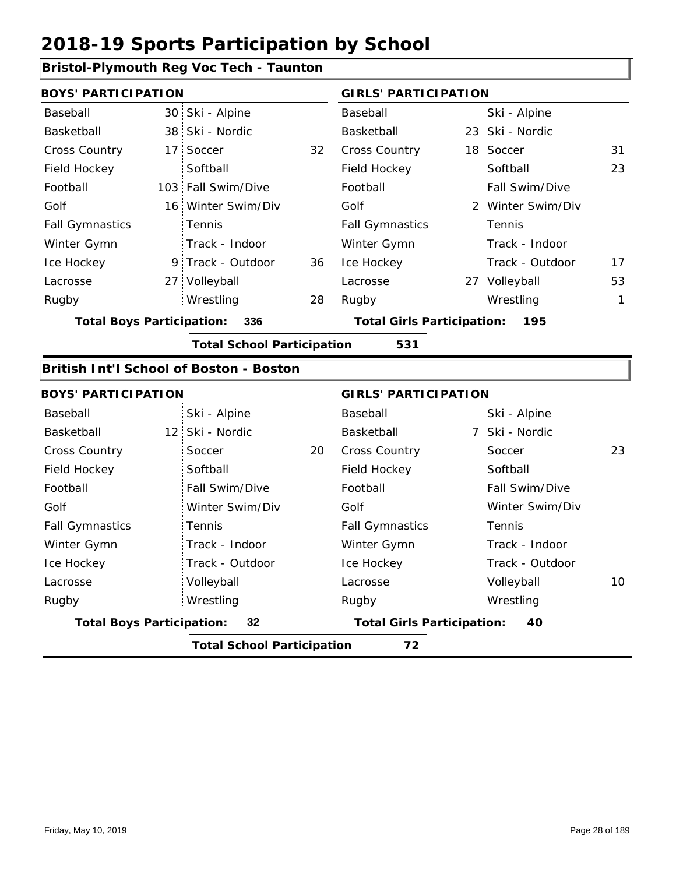#### **Bristol-Plymouth Reg Voc Tech - Taunton**

| <b>BOYS' PARTICIPATION</b>       |                                         |    | <b>GIRLS' PARTICIPATION</b>       |  |                   |    |  |
|----------------------------------|-----------------------------------------|----|-----------------------------------|--|-------------------|----|--|
| Baseball                         | 30 Ski - Alpine                         |    | Baseball                          |  | Ski - Alpine      |    |  |
| Basketball                       | 38 Ski - Nordic                         |    | Basketball                        |  | 23 Ski - Nordic   |    |  |
| <b>Cross Country</b>             | 17 Soccer                               | 32 | Cross Country                     |  | 18 Soccer         | 31 |  |
| Field Hockey                     | Softball                                |    | Field Hockey                      |  | Softball          | 23 |  |
| Football                         | 103 Fall Swim/Dive                      |    | Football                          |  | Fall Swim/Dive    |    |  |
| Golf                             | 16 Winter Swim/Div                      |    | Golf                              |  | 2 Winter Swim/Div |    |  |
| <b>Fall Gymnastics</b>           | Tennis                                  |    | <b>Fall Gymnastics</b>            |  | Tennis            |    |  |
| Winter Gymn                      | Track - Indoor                          |    | Winter Gymn                       |  | Track - Indoor    |    |  |
| Ice Hockey                       | 9 Track - Outdoor                       | 36 | Ice Hockey                        |  | Track - Outdoor   | 17 |  |
| Lacrosse                         | 27 Volleyball                           |    | Lacrosse                          |  | 27 Volleyball     | 53 |  |
| Rugby                            | Wrestling                               | 28 | Rugby                             |  | Wrestling         | 1  |  |
| <b>Total Boys Participation:</b> | 336                                     |    | <b>Total Girls Participation:</b> |  | 195               |    |  |
|                                  | <b>Total School Participation</b>       |    | 531                               |  |                   |    |  |
|                                  | British Int'l School of Boston - Boston |    |                                   |  |                   |    |  |
| <b>BOYS' PARTICIPATION</b>       |                                         |    | <b>GIRLS' PARTICIPATION</b>       |  |                   |    |  |
| Baseball                         | Ski - Alpine                            |    | Baseball                          |  | Ski - Alpine      |    |  |
| Basketball                       | 12 Ski - Nordic                         |    | Basketball                        |  | 7 Ski - Nordic    |    |  |
| <b>Cross Country</b>             | Soccer                                  | 20 | <b>Cross Country</b>              |  | Soccer            | 23 |  |
| Field Hockey                     | Softball                                |    | Field Hockey                      |  | Softball          |    |  |
| Football                         | Fall Swim/Dive                          |    | Football                          |  | Fall Swim/Dive    |    |  |
| Golf                             | Winter Swim/Div                         |    | Golf                              |  | Winter Swim/Div   |    |  |
| <b>Fall Gymnastics</b>           | Tennis                                  |    | <b>Fall Gymnastics</b>            |  | Tennis            |    |  |
| Winter Gymn                      | Track - Indoor                          |    | Winter Gymn                       |  | Track - Indoor    |    |  |
| Ice Hockey                       | Track - Outdoor                         |    | Ice Hockey                        |  | Track - Outdoor   |    |  |
| Lacrosse                         | Volleyball                              |    | Lacrosse                          |  | Volleyball        | 10 |  |

**Total Boys Participation: 32 Total Girls Participation: 40**

Wrestling Rugby Rugby

**Total School Participation 72**

Wrestling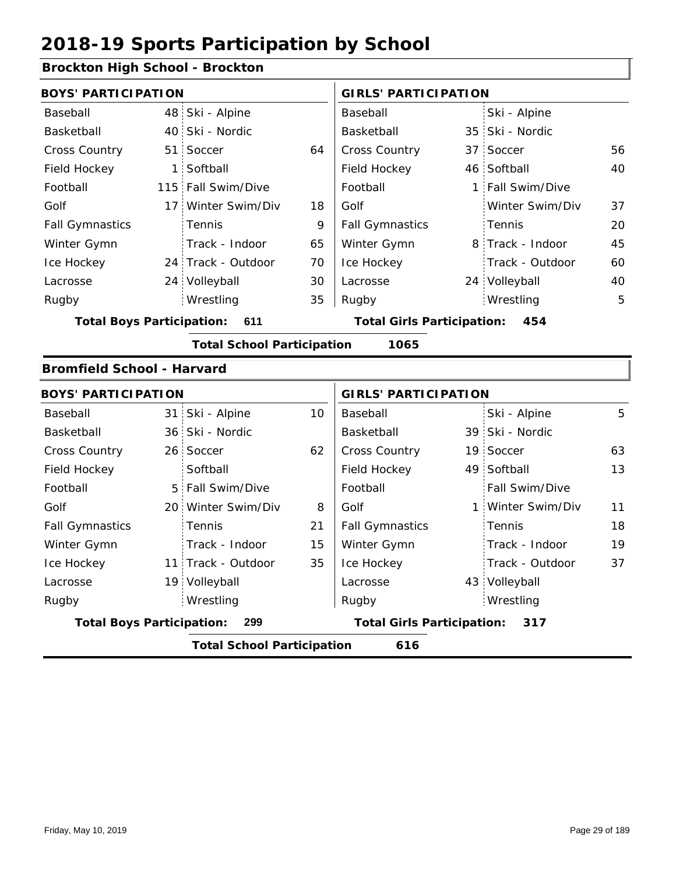#### **Brockton High School - Brockton**

| <b>BOYS' PARTICIPATION</b>        |                                   |    | <b>GIRLS' PARTICIPATION</b>       |  |                  |    |
|-----------------------------------|-----------------------------------|----|-----------------------------------|--|------------------|----|
| Baseball                          | 48 Ski - Alpine                   |    | Baseball                          |  | Ski - Alpine     |    |
| Basketball                        | 40 Ski - Nordic                   |    | Basketball                        |  | 35 Ski - Nordic  |    |
| <b>Cross Country</b>              | 51 Soccer                         | 64 | <b>Cross Country</b>              |  | 37 Soccer        | 56 |
| Field Hockey                      | 1 Softball                        |    | Field Hockey                      |  | 46 Softball      | 40 |
| Football                          | 115 Fall Swim/Dive                |    | Football                          |  | 1 Fall Swim/Dive |    |
| Golf                              | 17 Winter Swim/Div                | 18 | Golf                              |  | Winter Swim/Div  | 37 |
| <b>Fall Gymnastics</b>            | Tennis                            | 9  | <b>Fall Gymnastics</b>            |  | Tennis           | 20 |
| Winter Gymn                       | Track - Indoor                    | 65 | Winter Gymn                       |  | 8 Track - Indoor | 45 |
| Ice Hockey                        | 24 Track - Outdoor                | 70 | Ice Hockey                        |  | Track - Outdoor  | 60 |
| Lacrosse                          | 24 Volleyball                     | 30 | Lacrosse                          |  | 24 Volleyball    | 40 |
| Rugby                             | Wrestling                         | 35 | Rugby                             |  | Wrestling        | 5  |
| <b>Total Boys Participation:</b>  | 611                               |    | <b>Total Girls Participation:</b> |  | 454              |    |
|                                   | <b>Total School Participation</b> |    | 1065                              |  |                  |    |
| <b>Bromfield School - Harvard</b> |                                   |    |                                   |  |                  |    |

|                                  | <b>BOYS' PARTICIPATION</b> |                                   |    |                                   | <b>GIRLS' PARTICIPATION</b> |                   |    |  |  |
|----------------------------------|----------------------------|-----------------------------------|----|-----------------------------------|-----------------------------|-------------------|----|--|--|
| Baseball                         |                            | 31 Ski - Alpine                   | 10 | Baseball                          |                             | Ski - Alpine      | 5  |  |  |
| Basketball                       |                            | 36 Ski - Nordic                   |    | Basketball                        |                             | 39 Ski - Nordic   |    |  |  |
| <b>Cross Country</b>             |                            | 26 Soccer                         | 62 | <b>Cross Country</b>              |                             | 19 Soccer         | 63 |  |  |
| Field Hockey                     |                            | Softball                          |    | Field Hockey                      |                             | 49 Softball       | 13 |  |  |
| Football                         |                            | 5 Fall Swim/Dive                  |    | Football                          |                             | Fall Swim/Dive    |    |  |  |
| Golf                             |                            | 20 Winter Swim/Div                | 8  | Golf                              |                             | 1 Winter Swim/Div | 11 |  |  |
| <b>Fall Gymnastics</b>           |                            | Tennis                            | 21 | <b>Fall Gymnastics</b>            |                             | Tennis            | 18 |  |  |
| Winter Gymn                      |                            | Track - Indoor                    | 15 | Winter Gymn                       |                             | Track - Indoor    | 19 |  |  |
| Ice Hockey                       |                            | 11 Track - Outdoor                | 35 | Ice Hockey                        |                             | Track - Outdoor   | 37 |  |  |
| Lacrosse                         |                            | 19 Volleyball                     |    | Lacrosse                          |                             | 43 Volleyball     |    |  |  |
| Rugby                            |                            | Wrestling                         |    | Rugby                             |                             | Wrestling         |    |  |  |
| <b>Total Boys Participation:</b> |                            | 299                               |    | <b>Total Girls Participation:</b> |                             | 317               |    |  |  |
|                                  |                            | <b>Total School Participation</b> |    | 616                               |                             |                   |    |  |  |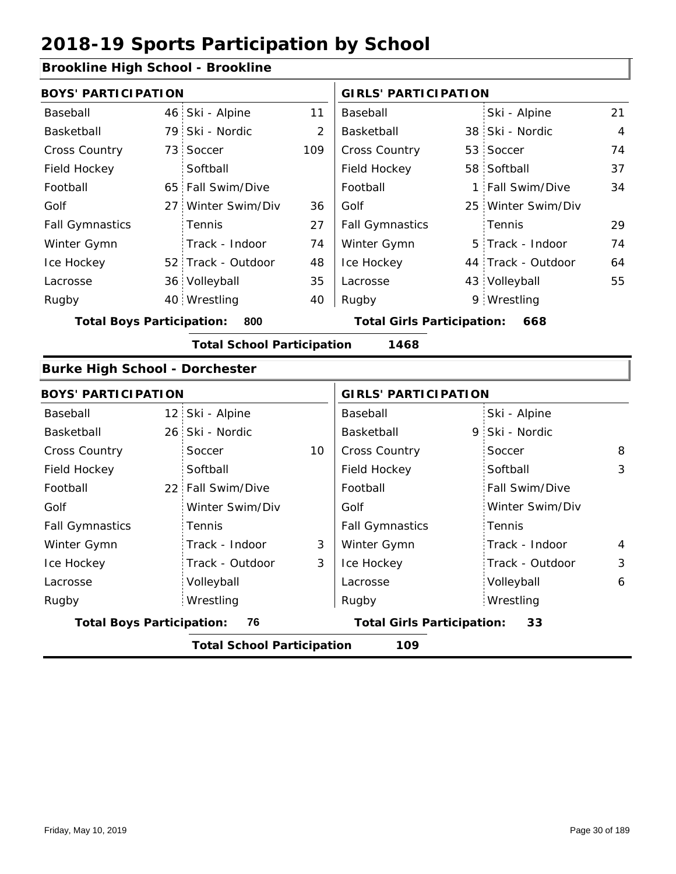#### **Brookline High School - Brookline**

|                                  | <b>BOYS' PARTICIPATION</b> |                                   |     |                                   | <b>GIRLS' PARTICIPATION</b> |                    |    |  |
|----------------------------------|----------------------------|-----------------------------------|-----|-----------------------------------|-----------------------------|--------------------|----|--|
| Baseball                         |                            | 46 Ski - Alpine                   | 11  | Baseball                          |                             | Ski - Alpine       | 21 |  |
| Basketball                       |                            | 79 Ski - Nordic                   | 2   | Basketball                        |                             | 38 Ski - Nordic    | 4  |  |
| <b>Cross Country</b>             |                            | 73 Soccer                         | 109 | <b>Cross Country</b>              |                             | 53 Soccer          | 74 |  |
| Field Hockey                     |                            | Softball                          |     | Field Hockey                      |                             | 58 Softball        | 37 |  |
| Football                         |                            | 65 Fall Swim/Dive                 |     | Football                          |                             | 1 Fall Swim/Dive   | 34 |  |
| Golf                             |                            | 27 Winter Swim/Div                | 36  | Golf                              |                             | 25 Winter Swim/Div |    |  |
| <b>Fall Gymnastics</b>           |                            | <b>Tennis</b>                     | 27  | <b>Fall Gymnastics</b>            |                             | Tennis             | 29 |  |
| Winter Gymn                      |                            | Track - Indoor                    | 74  | Winter Gymn                       |                             | 5 Track - Indoor   | 74 |  |
| Ice Hockey                       |                            | 52 Track - Outdoor                | 48  | Ice Hockey                        |                             | 44 Track - Outdoor | 64 |  |
| Lacrosse                         |                            | 36 Volleyball                     | 35  | Lacrosse                          |                             | 43 Volleyball      | 55 |  |
| Rugby                            |                            | 40 Wrestling                      | 40  | Rugby                             |                             | 9 Wrestling        |    |  |
| <b>Total Boys Participation:</b> |                            | 800                               |     | <b>Total Girls Participation:</b> |                             | 668                |    |  |
|                                  |                            | <b>Total School Participation</b> |     | 1468                              |                             |                    |    |  |

#### **Burke High School - Dorchester**

|                                  | <b>BOYS' PARTICIPATION</b> |                                   |    | <b>GIRLS' PARTICIPATION</b>       |                       |                |  |
|----------------------------------|----------------------------|-----------------------------------|----|-----------------------------------|-----------------------|----------------|--|
| Baseball                         |                            | 12 Ski - Alpine                   |    | Baseball                          | Ski - Alpine          |                |  |
| Basketball                       |                            | 26 Ski - Nordic                   |    | Basketball                        | 9 Ski - Nordic        |                |  |
| <b>Cross Country</b>             |                            | Soccer                            | 10 | <b>Cross Country</b>              | Soccer                | 8              |  |
| Field Hockey                     |                            | Softball                          |    | Field Hockey                      | Softball              | 3              |  |
| Football                         |                            | 22 Fall Swim/Dive                 |    | Football                          | <b>Fall Swim/Dive</b> |                |  |
| Golf                             |                            | Winter Swim/Div                   |    | Golf                              | Winter Swim/Div       |                |  |
| <b>Fall Gymnastics</b>           |                            | Tennis                            |    | <b>Fall Gymnastics</b>            | Tennis                |                |  |
| Winter Gymn                      |                            | Track - Indoor                    | 3  | Winter Gymn                       | Track - Indoor        | $\overline{4}$ |  |
| Ice Hockey                       |                            | Track - Outdoor                   | 3  | Ice Hockey                        | Track - Outdoor       | 3              |  |
| Lacrosse                         |                            | Volleyball                        |    | Lacrosse                          | Volleyball            | 6              |  |
| Rugby                            |                            | Wrestling                         |    | Rugby                             | Wrestling             |                |  |
| <b>Total Boys Participation:</b> |                            | 76                                |    | <b>Total Girls Participation:</b> | 33                    |                |  |
|                                  |                            | <b>Total School Participation</b> |    | 109                               |                       |                |  |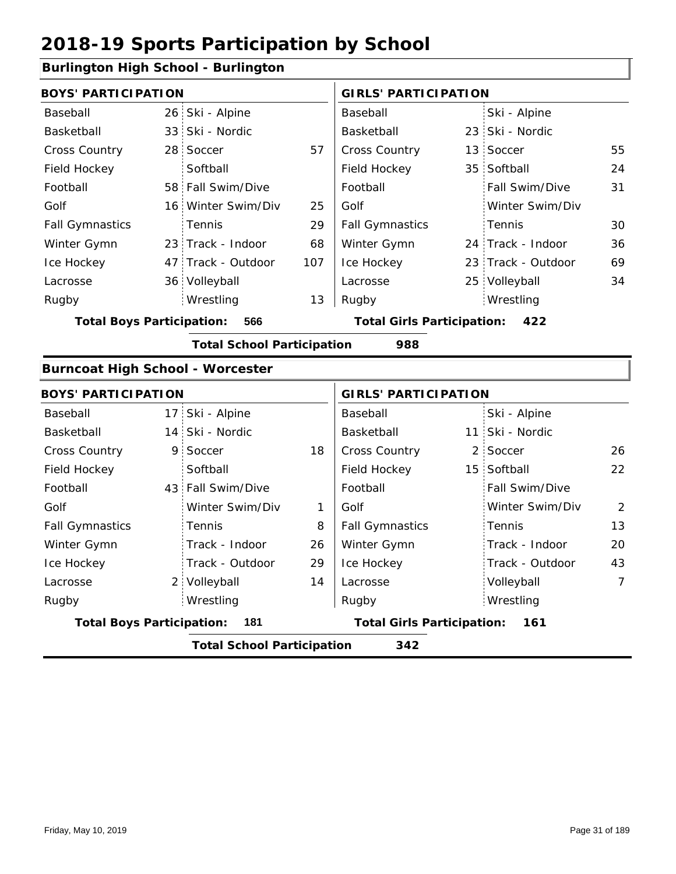#### **Burlington High School - Burlington**

|                                         | <b>BOYS' PARTICIPATION</b> |                                   |     |                                   | <b>GIRLS' PARTICIPATION</b> |                    |    |  |
|-----------------------------------------|----------------------------|-----------------------------------|-----|-----------------------------------|-----------------------------|--------------------|----|--|
| Baseball                                |                            | 26 Ski - Alpine                   |     | Baseball                          |                             | Ski - Alpine       |    |  |
| Basketball                              |                            | 33 Ski - Nordic                   |     | Basketball                        |                             | 23 Ski - Nordic    |    |  |
| <b>Cross Country</b>                    |                            | 28 Soccer                         | 57  | <b>Cross Country</b>              |                             | 13 Soccer          | 55 |  |
| Field Hockey                            |                            | Softball                          |     | Field Hockey                      |                             | 35 Softball        | 24 |  |
| Football                                |                            | 58 Fall Swim/Dive                 |     | Football                          |                             | Fall Swim/Dive     | 31 |  |
| Golf                                    |                            | 16 Winter Swim/Div                | 25  | Golf                              |                             | Winter Swim/Div    |    |  |
| <b>Fall Gymnastics</b>                  |                            | Tennis                            | 29  | <b>Fall Gymnastics</b>            |                             | Tennis             | 30 |  |
| Winter Gymn                             |                            | 23 Track - Indoor                 | 68  | Winter Gymn                       |                             | 24 Track - Indoor  | 36 |  |
| Ice Hockey                              |                            | 47 Track - Outdoor                | 107 | Ice Hockey                        |                             | 23 Track - Outdoor | 69 |  |
| Lacrosse                                |                            | 36 Volleyball                     |     | Lacrosse                          |                             | 25 Volleyball      | 34 |  |
| Rugby                                   |                            | Wrestling                         | 13  | Rugby                             |                             | Wrestling          |    |  |
| <b>Total Boys Participation:</b>        |                            | 566                               |     | <b>Total Girls Participation:</b> |                             | 422                |    |  |
|                                         |                            | <b>Total School Participation</b> |     | 988                               |                             |                    |    |  |
| <b>Burncoat High School - Worcester</b> |                            |                                   |     |                                   |                             |                    |    |  |

#### 17 Ski - Alpine 14 Ski - Nordic **Basketball** 11 9 2 18 26 Cross Country 15 Softball 43 Fall Swim/Dive 2 Volleyball 22 8 26 2 29 13 14 20 43 Baseball Basketball Cross Country Field Hockey Football Golf Fall Gymnastics Ice Hockey Lacrosse 9 Soccer **Softball Tennis** Track - Indoor Track - Outdoor Wrestling Rugby Rugby **BOYS' PARTICIPATION GIRLS' PARTICIPATION** Baseball Basketball Field Hockey Football Golf Fall Gymnastics Winter Gymn Ice Hockey Lacrosse Ski - Alpine 11 Ski - Nordic 2 Soccer Fall Swim/Dive Winter Swim/Div Tennis Track - Indoor Track - Outdoor Winter Gymn Winter Swim/Div 1 Volleyball 7 Wrestling **Total Boys Participation: 181 Total Girls Participation: 161 Total School Participation 342**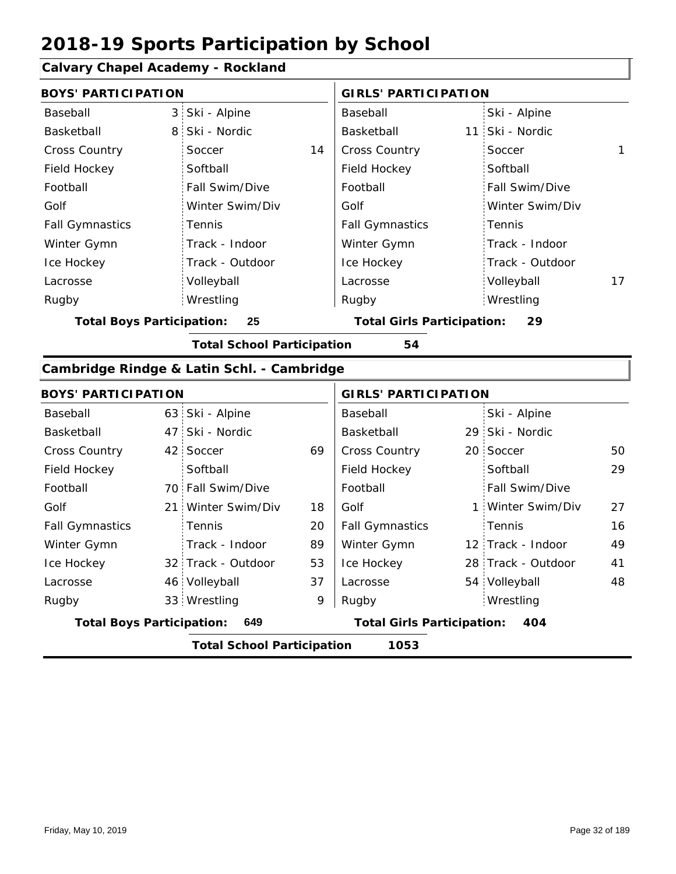### **Calvary Chapel Academy - Rockland**

| <b>BOYS' PARTICIPATION</b>       |                |                                            |    | <b>GIRLS' PARTICIPATION</b>       |  |                   |    |  |  |
|----------------------------------|----------------|--------------------------------------------|----|-----------------------------------|--|-------------------|----|--|--|
| Baseball                         | 3:             | Ski - Alpine                               |    | Baseball                          |  | Ski - Alpine      |    |  |  |
| Basketball                       | 8 <sup>1</sup> | Ski - Nordic                               |    | Basketball                        |  | 11 Ski - Nordic   |    |  |  |
| Cross Country                    |                | Soccer                                     | 14 | <b>Cross Country</b>              |  | Soccer            | 1  |  |  |
| Field Hockey                     |                | Softball                                   |    | Field Hockey                      |  | Softball          |    |  |  |
| Football                         |                | Fall Swim/Dive                             |    | Football                          |  | Fall Swim/Dive    |    |  |  |
| Golf                             |                | Winter Swim/Div                            |    | Golf                              |  | Winter Swim/Div   |    |  |  |
| <b>Fall Gymnastics</b>           |                | Tennis                                     |    | <b>Fall Gymnastics</b>            |  | Tennis            |    |  |  |
| Winter Gymn                      |                | Track - Indoor                             |    | Winter Gymn                       |  | Track - Indoor    |    |  |  |
| Ice Hockey                       |                | Track - Outdoor                            |    | Ice Hockey                        |  | Track - Outdoor   |    |  |  |
| Lacrosse                         |                | Volleyball                                 |    | Lacrosse                          |  | Volleyball        | 17 |  |  |
| Rugby                            |                | Wrestling                                  |    | Rugby                             |  | Wrestling         |    |  |  |
| <b>Total Boys Participation:</b> |                | 25                                         |    | <b>Total Girls Participation:</b> |  | 29                |    |  |  |
|                                  |                | <b>Total School Participation</b>          |    | 54                                |  |                   |    |  |  |
|                                  |                | Cambridge Rindge & Latin Schl. - Cambridge |    |                                   |  |                   |    |  |  |
| <b>BOYS' PARTICIPATION</b>       |                |                                            |    | <b>GIRLS' PARTICIPATION</b>       |  |                   |    |  |  |
| Baseball                         |                | 63 Ski - Alpine                            |    | Baseball                          |  | Ski - Alpine      |    |  |  |
| Basketball                       |                | 47 Ski - Nordic                            |    | Basketball                        |  | 29 Ski - Nordic   |    |  |  |
| <b>Cross Country</b>             |                | 42 Soccer                                  | 69 | Cross Country                     |  | 20 Soccer         | 50 |  |  |
| Field Hockey                     |                | Softball                                   |    | Field Hockey                      |  | Softball          | 29 |  |  |
| Football                         |                | 70 Fall Swim/Dive                          |    | Football                          |  | Fall Swim/Dive    |    |  |  |
| Golf                             | 21:            | Winter Swim/Div                            | 18 | Golf                              |  | 1 Winter Swim/Div | 27 |  |  |
| <b>Fall Gymnastics</b>           |                | Tennis                                     | 20 | <b>Fall Gymnastics</b>            |  | : Tennis          | 16 |  |  |

| <b>Total Boys Participation:</b> | 649                |    | <b>Total Girls Participation:</b> |  | 404                |    |
|----------------------------------|--------------------|----|-----------------------------------|--|--------------------|----|
| Rugby                            | 33 Wrestling       | 9  | Rugby                             |  | Wrestling          |    |
| Lacrosse                         | 46 Volleyball      | 37 | Lacrosse                          |  | 54 Volleyball      | 48 |
| Ice Hockey                       | 32 Track - Outdoor | 53 | Ice Hockey                        |  | 28 Track - Outdoor | 41 |
| Winter Gymn                      | Track - Indoor     | 89 | Winter Gymn                       |  | 12 Track - Indoor  | 49 |
| <b>Fall Gymnastics</b>           | Tennis             | 20 | <b>Fall Gymnastics</b>            |  | Tennis             | 16 |
| Golf                             | 21 Winter Swim/Div | 18 | Golf                              |  | 1 Winter Swim/Div  | 27 |

I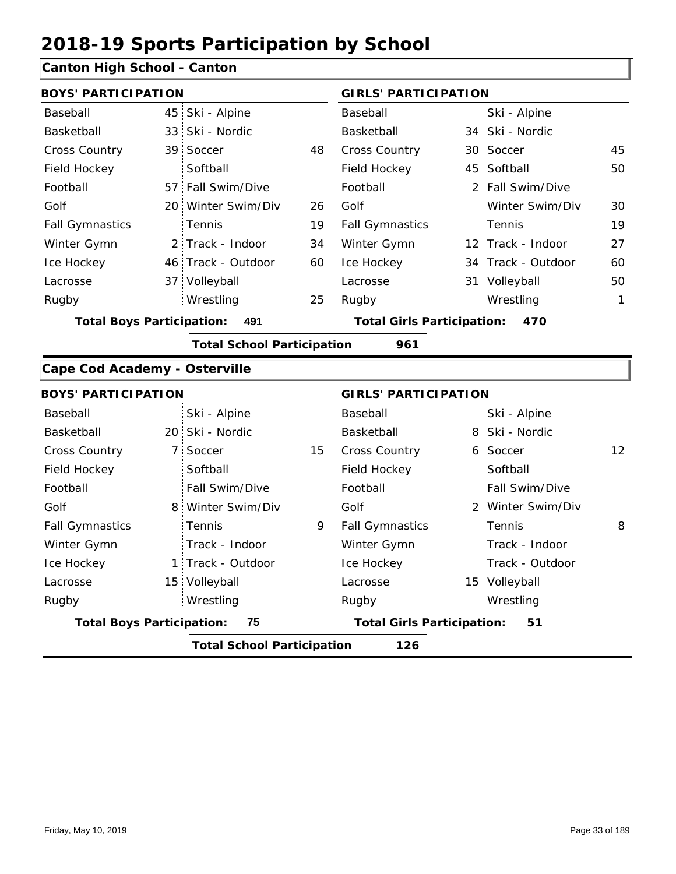### **Canton High School - Canton**

| <b>BOYS' PARTICIPATION</b>             |     |                                          |    | <b>GIRLS' PARTICIPATION</b>       |    |                    |              |  |
|----------------------------------------|-----|------------------------------------------|----|-----------------------------------|----|--------------------|--------------|--|
| Baseball                               |     | 45 Ski - Alpine                          |    | Baseball                          |    | Ski - Alpine       |              |  |
| Basketball                             |     | 33 Ski - Nordic                          |    | Basketball                        |    | 34 Ski - Nordic    |              |  |
| Cross Country                          |     | 39 Soccer                                | 48 | Cross Country                     |    | 30 Soccer          | 45           |  |
| Field Hockey                           |     | Softball                                 |    | Field Hockey                      | 45 | Softball           | 50           |  |
| Football                               |     | 57 Fall Swim/Dive                        |    | Football                          |    | 2 Fall Swim/Dive   |              |  |
| Golf                                   |     | 20 Winter Swim/Div                       | 26 | Golf                              |    | Winter Swim/Div    | 30           |  |
| <b>Fall Gymnastics</b>                 |     | Tennis                                   | 19 | <b>Fall Gymnastics</b>            |    | Tennis             | 19           |  |
| Winter Gymn                            |     | 2 Track - Indoor                         | 34 | Winter Gymn                       |    | 12 Track - Indoor  | 27           |  |
| Ice Hockey                             |     | 46 Track - Outdoor                       | 60 | Ice Hockey                        |    | 34 Track - Outdoor | 60           |  |
| Lacrosse                               |     | 37 Volleyball                            |    | Lacrosse                          |    | 31 Volleyball      | 50           |  |
| Rugby                                  |     | Wrestling                                | 25 | Rugby                             |    | Wrestling          | $\mathbf{1}$ |  |
| <b>Total Boys Participation:</b>       | 491 | <b>Total Girls Participation:</b><br>470 |    |                                   |    |                    |              |  |
|                                        |     | <b>Total School Participation</b>        |    | 961                               |    |                    |              |  |
| <b>Cape Cod Academy - Osterville</b>   |     |                                          |    |                                   |    |                    |              |  |
| <b>BOYS' PARTICIPATION</b>             |     |                                          |    | <b>GIRLS' PARTICIPATION</b>       |    |                    |              |  |
| Baseball                               |     | Ski - Alpine                             |    | Baseball                          |    | Ski - Alpine       |              |  |
| Basketball                             |     | 20 Ski - Nordic                          |    | Basketball                        |    | 8 Ski - Nordic     |              |  |
| Cross Country                          |     | 7 Soccer                                 | 15 | Cross Country                     |    | 6 Soccer           | 12           |  |
| Field Hockey                           |     | Softball                                 |    | Field Hockey                      |    | Softball           |              |  |
| Football                               |     | Fall Swim/Dive                           |    | Football                          |    | Fall Swim/Dive     |              |  |
| Golf                                   |     | 8 Winter Swim/Div                        |    | Golf                              |    | 2 Winter Swim/Div  |              |  |
| <b>Fall Gymnastics</b>                 |     | Tennis                                   | 9  | <b>Fall Gymnastics</b>            |    | Tennis             | 8            |  |
| Winter Gymn                            |     | Track - Indoor                           |    | Winter Gymn                       |    | Track - Indoor     |              |  |
| Ice Hockey                             |     | 1 Track - Outdoor                        |    | Ice Hockey                        |    | Track - Outdoor    |              |  |
| Lacrosse                               |     | 15 Volleyball                            |    | Lacrosse                          |    | 15 Volleyball      |              |  |
| Rugby                                  |     | Wrestling                                |    | Rugby                             |    | Wrestling          |              |  |
| <b>Total Boys Participation:</b><br>75 |     |                                          |    | <b>Total Girls Participation:</b> |    | 51                 |              |  |
|                                        |     |                                          |    |                                   |    |                    |              |  |

**Total School Participation 126**

Friday, May 10, 2019 **Page 33 of 189** Page 33 of 189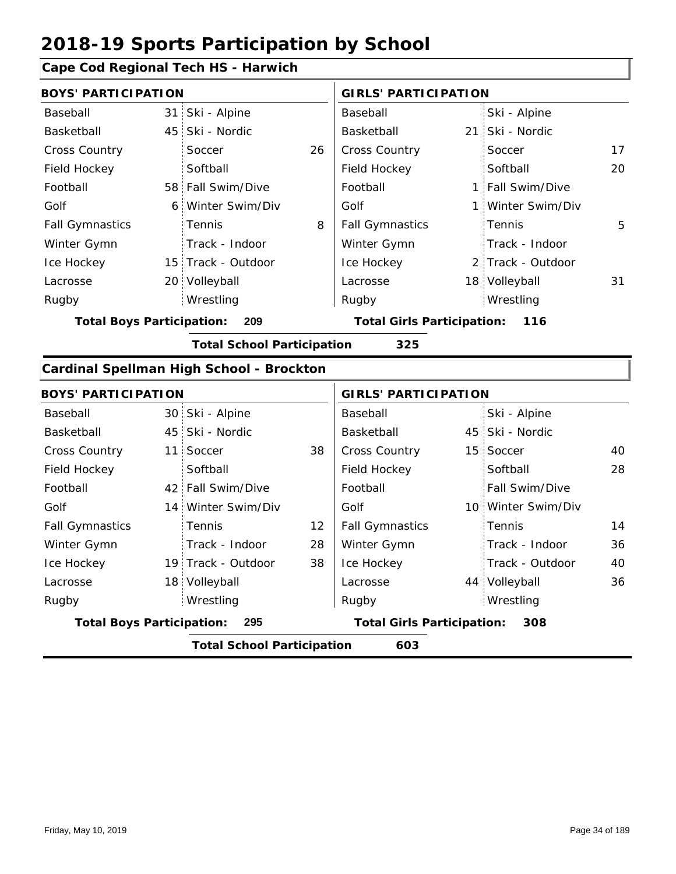### **Cape Cod Regional Tech HS - Harwich**

| <b>BOYS' PARTICIPATION</b>                                                       |   |                                          |    | <b>GIRLS' PARTICIPATION</b>       |     |                    |    |  |  |
|----------------------------------------------------------------------------------|---|------------------------------------------|----|-----------------------------------|-----|--------------------|----|--|--|
| Baseball                                                                         |   | 31 Ski - Alpine                          |    | Baseball                          |     | Ski - Alpine       |    |  |  |
| Basketball                                                                       |   | 45 Ski - Nordic                          |    | Basketball                        | 21: | Ski - Nordic       |    |  |  |
| Cross Country                                                                    |   | Soccer                                   | 26 | Cross Country                     |     | Soccer             | 17 |  |  |
| Field Hockey                                                                     |   | Softball                                 |    | Field Hockey                      |     | Softball           | 20 |  |  |
| Football                                                                         |   | 58 Fall Swim/Dive                        |    | Football                          |     | 1 Fall Swim/Dive   |    |  |  |
| Golf                                                                             | 6 | Winter Swim/Div                          |    | Golf                              | 1 : | Winter Swim/Div    |    |  |  |
| <b>Fall Gymnastics</b>                                                           |   | Tennis                                   | 8  | <b>Fall Gymnastics</b>            |     | Tennis             | 5  |  |  |
| Winter Gymn                                                                      |   | Track - Indoor                           |    | Winter Gymn                       |     | Track - Indoor     |    |  |  |
| Ice Hockey                                                                       |   | 15 Track - Outdoor                       |    | Ice Hockey                        |     | 2 Track - Outdoor  |    |  |  |
| Lacrosse                                                                         |   | 20 Volleyball                            |    | Lacrosse                          |     | 18 Volleyball      | 31 |  |  |
| Rugby                                                                            |   | Wrestling                                |    | Rugby                             |     | Wrestling          |    |  |  |
| <b>Total Boys Participation:</b><br><b>Total Girls Participation: 116</b><br>209 |   |                                          |    |                                   |     |                    |    |  |  |
| <b>Total School Participation</b><br>325                                         |   |                                          |    |                                   |     |                    |    |  |  |
|                                                                                  |   | Cardinal Spellman High School - Brockton |    |                                   |     |                    |    |  |  |
| <b>BOYS' PARTICIPATION</b>                                                       |   |                                          |    | <b>GIRLS' PARTICIPATION</b>       |     |                    |    |  |  |
| Baseball                                                                         |   | 30 Ski - Alpine                          |    | Baseball                          |     | Ski - Alpine       |    |  |  |
| Basketball                                                                       |   | 45 Ski - Nordic                          |    | Basketball                        |     | 45 Ski - Nordic    |    |  |  |
| <b>Cross Country</b>                                                             |   | 11 Soccer                                | 38 | Cross Country                     |     | 15 Soccer          | 40 |  |  |
| Field Hockey                                                                     |   | Softball                                 |    | Field Hockey                      |     | Softball           | 28 |  |  |
| Football                                                                         |   | 42 Fall Swim/Dive                        |    | Football                          |     | Fall Swim/Dive     |    |  |  |
| Golf                                                                             |   | 14 Winter Swim/Div                       |    | Golf                              |     | 10 Winter Swim/Div |    |  |  |
| <b>Fall Gymnastics</b>                                                           |   | Tennis                                   | 12 | <b>Fall Gymnastics</b>            |     | Tennis             | 14 |  |  |
| Winter Gymn                                                                      |   | Track - Indoor                           | 28 | Winter Gymn                       |     | Track - Indoor     | 36 |  |  |
| Ice Hockey                                                                       |   | 19 Track - Outdoor                       | 38 | Ice Hockey                        |     | Track - Outdoor    | 40 |  |  |
| Lacrosse                                                                         |   | 18 Volleyball                            |    | Lacrosse                          |     | 44 Volleyball      | 36 |  |  |
| Rugby                                                                            |   | Wrestling                                |    | Rugby                             |     | Wrestling          |    |  |  |
| <b>Total Boys Participation:</b>                                                 |   | 295                                      |    | <b>Total Girls Participation:</b> |     | 308                |    |  |  |
|                                                                                  |   | <b>Total School Participation</b>        |    | 603                               |     |                    |    |  |  |
|                                                                                  |   |                                          |    |                                   |     |                    |    |  |  |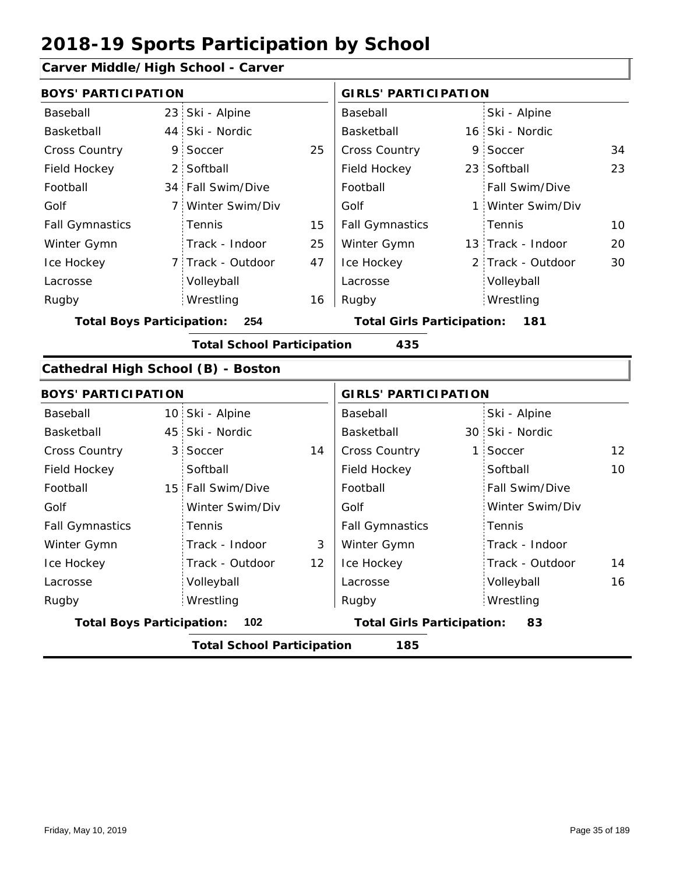#### **Carver Middle/High School - Carver**

| <b>BOYS' PARTICIPATION</b>         |                |                                   |    | <b>GIRLS' PARTICIPATION</b>       |   |                   |    |
|------------------------------------|----------------|-----------------------------------|----|-----------------------------------|---|-------------------|----|
| Baseball                           |                | 23 Ski - Alpine                   |    | Baseball                          |   | Ski - Alpine      |    |
| Basketball                         |                | 44 Ski - Nordic                   |    | Basketball                        |   | 16 Ski - Nordic   |    |
| <b>Cross Country</b>               | 9              | Soccer                            | 25 | <b>Cross Country</b>              |   | 9 Soccer          | 34 |
| Field Hockey                       |                | 2 Softball                        |    | Field Hockey                      |   | 23 Softball       | 23 |
| Football                           |                | 34 Fall Swim/Dive                 |    | Football                          |   | Fall Swim/Dive    |    |
| Golf                               | 7 <sup>1</sup> | Winter Swim/Div                   |    | Golf                              |   | 1 Winter Swim/Div |    |
| <b>Fall Gymnastics</b>             |                | Tennis                            | 15 | <b>Fall Gymnastics</b>            |   | Tennis            | 10 |
| Winter Gymn                        |                | Track - Indoor                    | 25 | Winter Gymn                       |   | 13 Track - Indoor | 20 |
| Ice Hockey                         |                | 7 Track - Outdoor                 | 47 | Ice Hockey                        |   | 2 Track - Outdoor | 30 |
| Lacrosse                           |                | Volleyball                        |    | Lacrosse                          |   | Volleyball        |    |
| Rugby                              |                | Wrestling                         | 16 | Rugby                             |   | Wrestling         |    |
| <b>Total Boys Participation:</b>   |                | 254                               |    | <b>Total Girls Participation:</b> |   | 181               |    |
|                                    |                | <b>Total School Participation</b> |    | 435                               |   |                   |    |
| Cathedral High School (B) - Boston |                |                                   |    |                                   |   |                   |    |
| <b>BOYS' PARTICIPATION</b>         |                |                                   |    | <b>GIRLS' PARTICIPATION</b>       |   |                   |    |
| Baseball                           |                | 10 Ski - Alpine                   |    | Baseball                          |   | Ski - Alpine      |    |
| Basketball                         |                | 45 Ski - Nordic                   |    | Basketball                        |   | 30 Ski - Nordic   |    |
| Cross Country                      | 3 <sup>1</sup> | Soccer                            | 14 | Cross Country                     | 1 | Soccer            | 12 |
| Field Hockey                       |                | Softball                          |    | Field Hockey                      |   | Softball          | 10 |
| Football                           |                | 15 Fall Swim/Dive                 |    | Football                          |   | Fall Swim/Dive    |    |
| Golf                               |                | Winter Swim/Div                   |    | Golf                              |   | Winter Swim/Div   |    |
| <b>Fall Gymnastics</b>             |                | Tennis                            |    | <b>Fall Gymnastics</b>            |   | Tennis            |    |
| Winter Gymn                        |                | Track - Indoor                    | 3  | Winter Gymn                       |   | Track - Indoor    |    |
| Ice Hockey                         |                | Track - Outdoor                   | 12 | Ice Hockey                        |   | Track - Outdoor   | 14 |
| Lacrosse                           |                | Volleyball                        |    | Lacrosse                          |   | Volleyball        | 16 |
| Rugby                              |                | Wrestling                         |    | Rugby                             |   | Wrestling         |    |

**Total Boys Participation: 102 Total Girls Participation: 83**

**Total School Participation 185**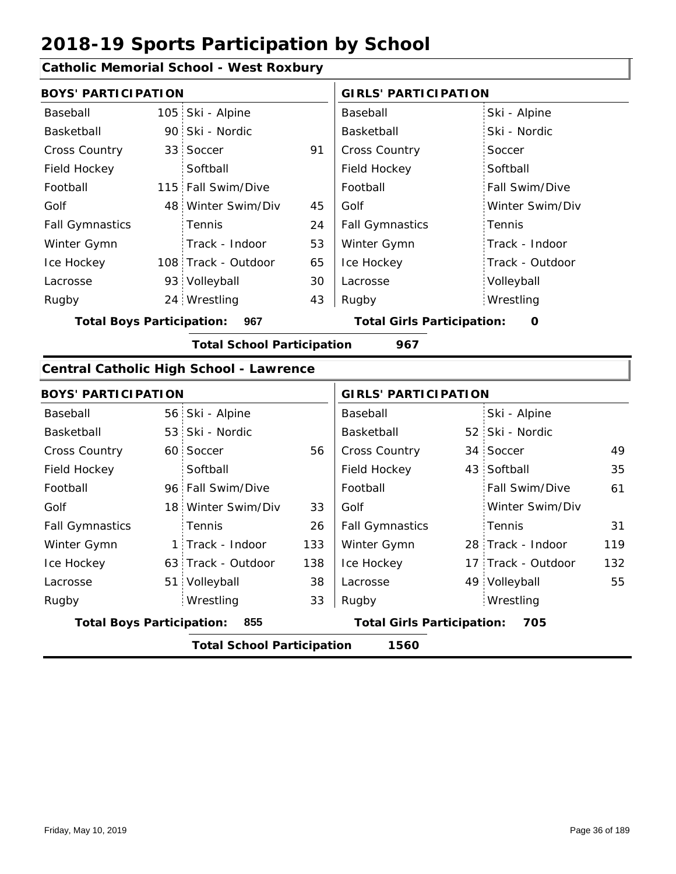#### **Catholic Memorial School - West Roxbury**

| <b>BOYS' PARTICIPATION</b>              |     |                                                |     | <b>GIRLS' PARTICIPATION</b>              |  |                    |     |  |
|-----------------------------------------|-----|------------------------------------------------|-----|------------------------------------------|--|--------------------|-----|--|
| Baseball                                |     | 105 Ski - Alpine                               |     | Baseball                                 |  | Ski - Alpine       |     |  |
| Basketball                              |     | 90 Ski - Nordic                                |     | Basketball                               |  | Ski - Nordic       |     |  |
| Cross Country                           |     | 33 Soccer                                      | 91  | <b>Cross Country</b>                     |  | Soccer             |     |  |
| Field Hockey                            |     | Softball                                       |     | Field Hockey                             |  | Softball           |     |  |
| Football                                |     | 115 Fall Swim/Dive                             |     | Football                                 |  | Fall Swim/Dive     |     |  |
| Golf                                    |     | 48 Winter Swim/Div                             | 45  | Golf                                     |  | Winter Swim/Div    |     |  |
| <b>Fall Gymnastics</b>                  |     | Tennis                                         | 24  | <b>Fall Gymnastics</b>                   |  | Tennis             |     |  |
| Winter Gymn                             |     | Track - Indoor                                 | 53  | Winter Gymn                              |  | Track - Indoor     |     |  |
| Ice Hockey                              |     | 108 Track - Outdoor                            | 65  | Ice Hockey                               |  | Track - Outdoor    |     |  |
| Lacrosse                                |     | 93 Volleyball                                  | 30  | Lacrosse                                 |  | Volleyball         |     |  |
| Rugby                                   |     | 24 Wrestling                                   | 43  | Rugby                                    |  | Wrestling          |     |  |
| <b>Total Boys Participation:</b>        | 967 | <b>Total Girls Participation:</b><br>0         |     |                                          |  |                    |     |  |
|                                         |     | <b>Total School Participation</b>              |     | 967                                      |  |                    |     |  |
|                                         |     | <b>Central Catholic High School - Lawrence</b> |     |                                          |  |                    |     |  |
| <b>BOYS' PARTICIPATION</b>              |     |                                                |     | <b>GIRLS' PARTICIPATION</b>              |  |                    |     |  |
| Baseball                                |     | 56 Ski - Alpine                                |     | Baseball                                 |  | Ski - Alpine       |     |  |
| Basketball                              |     | 53 Ski - Nordic                                |     | Basketball                               |  | 52 Ski - Nordic    |     |  |
| Cross Country                           |     | 60 Soccer                                      | 56  | Cross Country                            |  | 34 Soccer          | 49  |  |
| Field Hockey                            |     | Softball                                       |     | Field Hockey                             |  | 43 Softball        | 35  |  |
| Football                                |     | 96 Fall Swim/Dive                              |     | Football                                 |  | Fall Swim/Dive     | 61  |  |
| Golf                                    |     | 18 Winter Swim/Div                             | 33  | Golf                                     |  | Winter Swim/Div    |     |  |
| <b>Fall Gymnastics</b>                  |     | Tennis                                         | 26  | <b>Fall Gymnastics</b>                   |  | Tennis             | 31  |  |
| Winter Gymn                             |     | 1 Track - Indoor                               | 133 | Winter Gymn                              |  | 28 Track - Indoor  | 119 |  |
| Ice Hockey                              |     | 63 Track - Outdoor                             | 138 | Ice Hockey                               |  | 17 Track - Outdoor | 132 |  |
| Lacrosse                                |     | 51 Volleyball                                  | 38  | Lacrosse                                 |  | 49 Volleyball      | 55  |  |
| Rugby                                   |     | Wrestling                                      | 33  | Rugby                                    |  | Wrestling          |     |  |
| <b>Total Boys Participation:</b><br>855 |     |                                                |     | <b>Total Girls Participation:</b><br>705 |  |                    |     |  |

**Total School Participation 1560**

1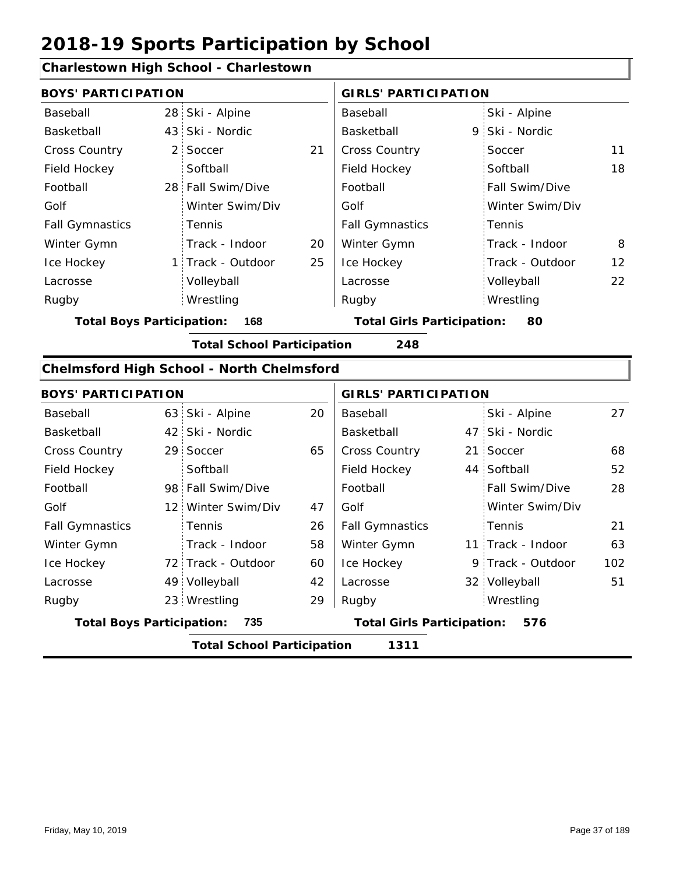#### **Charlestown High School - Charlestown**

49 Volleyball

Wrestling Rugby Rugby 23

| <b>BOYS' PARTICIPATION</b>              |  |                                                  |    | <b>GIRLS' PARTICIPATION</b>       |  |                   |     |  |
|-----------------------------------------|--|--------------------------------------------------|----|-----------------------------------|--|-------------------|-----|--|
| Baseball                                |  | 28 Ski - Alpine                                  |    | Baseball                          |  | Ski - Alpine      |     |  |
| Basketball                              |  | 43 Ski - Nordic                                  |    | Basketball                        |  | 9 Ski - Nordic    |     |  |
| Cross Country                           |  | 2 Soccer                                         | 21 | Cross Country                     |  | Soccer            | 11  |  |
| Field Hockey                            |  | Softball                                         |    | Field Hockey                      |  | Softball          | 18  |  |
| Football                                |  | 28 Fall Swim/Dive                                |    | Football                          |  | Fall Swim/Dive    |     |  |
| Golf                                    |  | Winter Swim/Div                                  |    | Golf                              |  | Winter Swim/Div   |     |  |
| <b>Fall Gymnastics</b>                  |  | Tennis                                           |    | <b>Fall Gymnastics</b>            |  | Tennis            |     |  |
| Winter Gymn                             |  | Track - Indoor                                   | 20 | Winter Gymn                       |  | Track - Indoor    | 8   |  |
| Ice Hockey                              |  | 1 Track - Outdoor                                | 25 | Ice Hockey                        |  | Track - Outdoor   | 12  |  |
| Lacrosse                                |  | Volleyball                                       |    | Lacrosse                          |  | Volleyball        | 22  |  |
| Rugby                                   |  | Wrestling                                        |    | Rugby                             |  | Wrestling         |     |  |
| <b>Total Boys Participation:</b><br>168 |  |                                                  |    | <b>Total Girls Participation:</b> |  | 80                |     |  |
|                                         |  | <b>Total School Participation</b>                |    | 248                               |  |                   |     |  |
|                                         |  | <b>Chelmsford High School - North Chelmsford</b> |    |                                   |  |                   |     |  |
| <b>BOYS' PARTICIPATION</b>              |  |                                                  |    | <b>GIRLS' PARTICIPATION</b>       |  |                   |     |  |
| Baseball                                |  | 63 Ski - Alpine                                  | 20 | Baseball                          |  | Ski - Alpine      | 27  |  |
| Basketball                              |  | 42 Ski - Nordic                                  |    | Basketball                        |  | 47 Ski - Nordic   |     |  |
| <b>Cross Country</b>                    |  | 29 Soccer                                        | 65 | <b>Cross Country</b>              |  | 21 Soccer         | 68  |  |
| Field Hockey                            |  | Softball                                         |    | Field Hockey                      |  | 44 Softball       | 52  |  |
| Football                                |  | 98 Fall Swim/Dive                                |    | Football                          |  | Fall Swim/Dive    | 28  |  |
| Golf                                    |  | 12 Winter Swim/Div                               | 47 | Golf                              |  | Winter Swim/Div   |     |  |
| <b>Fall Gymnastics</b>                  |  | Tennis                                           | 26 | <b>Fall Gymnastics</b>            |  | Tennis            | 21  |  |
| Winter Gymn                             |  | Track - Indoor                                   | 58 | Winter Gymn                       |  | 11 Track - Indoor | 63  |  |
| Ice Hockey                              |  | 72 Track - Outdoor                               | 60 | Ice Hockey                        |  | 9 Track - Outdoor | 102 |  |

42 Lacrosse

 $29$  Rugby

**Total Boys Participation: 735 Total Girls Participation: 576**

**Total School Participation 1311**

Lacrosse

32 Volleyball 51

Wrestling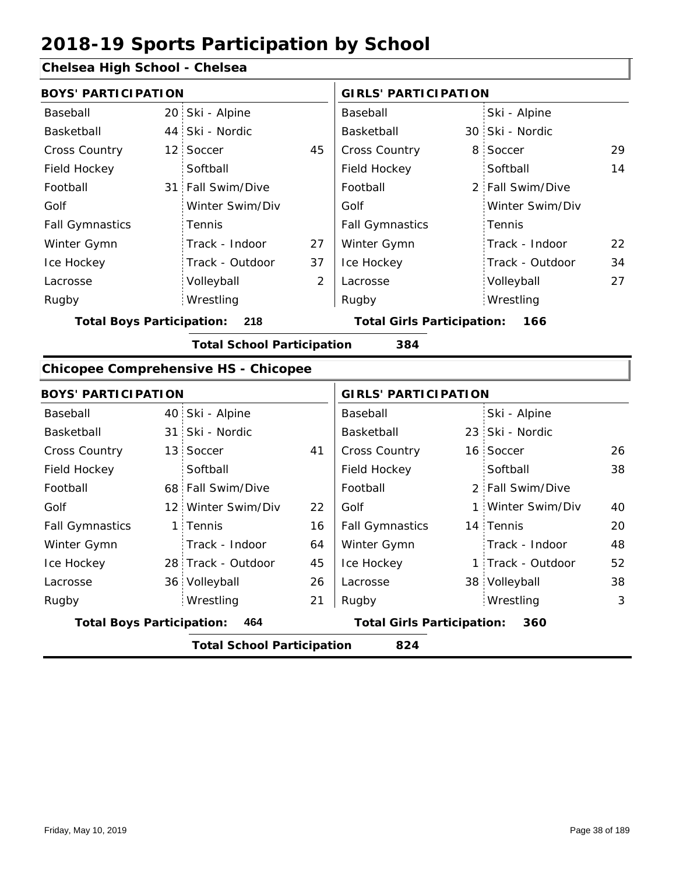#### **Chelsea High School - Chelsea**

| <b>BOYS' PARTICIPATION</b>       |                 |                                             |                | <b>GIRLS' PARTICIPATION</b>       |  |                  |    |
|----------------------------------|-----------------|---------------------------------------------|----------------|-----------------------------------|--|------------------|----|
| Baseball                         |                 | 20 Ski - Alpine                             |                | Baseball                          |  | Ski - Alpine     |    |
| Basketball                       | 44              | Ski - Nordic                                |                | Basketball                        |  | 30 Ski - Nordic  |    |
| Cross Country                    | 12 <sup>2</sup> | Soccer                                      | 45             | Cross Country                     |  | 8 Soccer         | 29 |
| Field Hockey                     |                 | Softball                                    |                | Field Hockey                      |  | Softball         | 14 |
| Football                         | 31              | Fall Swim/Dive                              |                | Football                          |  | 2 Fall Swim/Dive |    |
| Golf                             |                 | Winter Swim/Div                             |                | Golf                              |  | Winter Swim/Div  |    |
| <b>Fall Gymnastics</b>           |                 | Tennis                                      |                | <b>Fall Gymnastics</b>            |  | Tennis           |    |
| Winter Gymn                      |                 | Track - Indoor                              | 27             | Winter Gymn                       |  | Track - Indoor   | 22 |
| Ice Hockey                       |                 | Track - Outdoor                             | 37             | Ice Hockey                        |  | Track - Outdoor  | 34 |
| Lacrosse                         |                 | Volleyball                                  | $\overline{2}$ | Lacrosse                          |  | Volleyball       | 27 |
| Rugby                            |                 | Wrestling                                   |                | Rugby                             |  | Wrestling        |    |
| <b>Total Boys Participation:</b> |                 | 218                                         |                | <b>Total Girls Participation:</b> |  | 166              |    |
|                                  |                 | <b>Total School Participation</b>           |                | 384                               |  |                  |    |
|                                  |                 | <b>Chicopee Comprehensive HS - Chicopee</b> |                |                                   |  |                  |    |
| <b>BOYS' PARTICIPATION</b>       |                 |                                             |                | <b>GIRLS' PARTICIPATION</b>       |  |                  |    |
| Baseball                         |                 | 40 Ski - Alpine                             |                | Baseball                          |  | Ski - Alpine     |    |
| Basketball                       |                 | 31 Ski - Nordic                             |                | Basketball                        |  | 23 Ski - Nordic  |    |
| Cross Country                    | 13              | Soccer                                      | 41             | Cross Country                     |  | 16 Soccer        | 26 |
|                                  |                 |                                             |                |                                   |  |                  |    |

|                                  | <b>Total School Participation</b> |    | 824                               |                   |    |
|----------------------------------|-----------------------------------|----|-----------------------------------|-------------------|----|
| <b>Total Boys Participation:</b> | 464                               |    | <b>Total Girls Participation:</b> | 360               |    |
| Rugby                            | Wrestling                         | 21 | Rugby                             | Wrestling         | 3  |
| Lacrosse                         | 36 Volleyball                     | 26 | Lacrosse                          | 38 Volleyball     | 38 |
| Ice Hockey                       | 28 Track - Outdoor                | 45 | Ice Hockey                        | 1 Track - Outdoor | 52 |
| Winter Gymn                      | Track - Indoor                    | 64 | Winter Gymn                       | Track - Indoor    | 48 |
| <b>Fall Gymnastics</b>           | 1 Tennis                          | 16 | <b>Fall Gymnastics</b>            | 14 Tennis         | 20 |
| Golf                             | 12 Winter Swim/Div                | 22 | Golf                              | 1 Winter Swim/Div | 40 |
| Football                         | 68 Fall Swim/Dive                 |    | Football                          | 2 Fall Swim/Dive  |    |
| Field Hockey                     | Softball                          |    | Field Hockey                      | Softball          | 38 |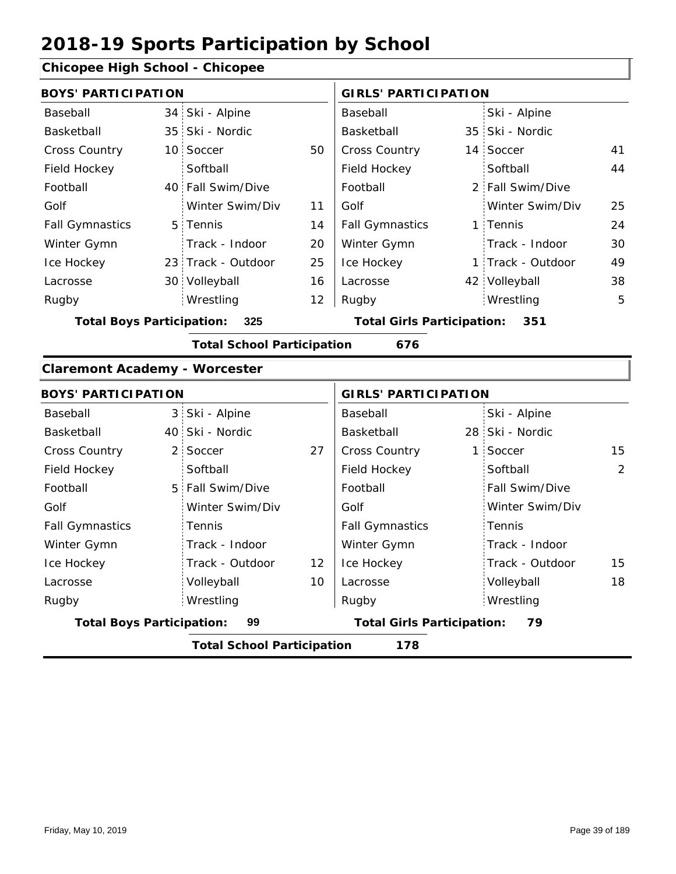#### **Chicopee High School - Chicopee**

| <b>BOYS' PARTICIPATION</b>           |             |                                   |                                   | <b>GIRLS' PARTICIPATION</b>       |                |                   |    |  |
|--------------------------------------|-------------|-----------------------------------|-----------------------------------|-----------------------------------|----------------|-------------------|----|--|
| Baseball                             |             | 34 Ski - Alpine                   |                                   | Baseball                          |                | Ski - Alpine      |    |  |
| Basketball                           |             | 35 Ski - Nordic                   |                                   | Basketball                        |                | 35 Ski - Nordic   |    |  |
| Cross Country                        |             | 10 Soccer                         | 50                                | Cross Country                     |                | 14 Soccer         | 41 |  |
| Field Hockey                         |             | Softball                          |                                   | Field Hockey                      |                | Softball          | 44 |  |
| Football                             |             | 40 Fall Swim/Dive                 |                                   | Football                          |                | 2 Fall Swim/Dive  |    |  |
| Golf                                 |             | Winter Swim/Div                   | 11                                | Golf                              |                | Winter Swim/Div   | 25 |  |
| <b>Fall Gymnastics</b>               |             | 5 Tennis                          | 14                                | <b>Fall Gymnastics</b>            |                | 1 Tennis          | 24 |  |
| Winter Gymn                          |             | Track - Indoor                    | 20                                | Winter Gymn                       |                | Track - Indoor    | 30 |  |
| Ice Hockey                           |             | 23 Track - Outdoor                | 25                                | Ice Hockey                        |                | 1 Track - Outdoor | 49 |  |
| Lacrosse                             |             | 30 Volleyball                     | 16                                | Lacrosse                          |                | 42 Volleyball     | 38 |  |
| Rugby                                |             | Wrestling                         | 12                                | Rugby                             |                | Wrestling         | 5  |  |
| <b>Total Boys Participation:</b>     | 325         |                                   | <b>Total Girls Participation:</b> |                                   | 351            |                   |    |  |
|                                      |             | <b>Total School Participation</b> |                                   | 676                               |                |                   |    |  |
| <b>Claremont Academy - Worcester</b> |             |                                   |                                   |                                   |                |                   |    |  |
| <b>BOYS' PARTICIPATION</b>           |             |                                   |                                   | <b>GIRLS' PARTICIPATION</b>       |                |                   |    |  |
| Baseball                             |             | 3 Ski - Alpine                    |                                   | Baseball                          |                | Ski - Alpine      |    |  |
| Basketball                           |             | 40 Ski - Nordic                   |                                   | Basketball                        |                | 28 Ski - Nordic   |    |  |
| <b>Cross Country</b>                 | $2^{\circ}$ | Soccer                            | 27                                | Cross Country                     | 1 <sup>1</sup> | Soccer            | 15 |  |
| Field Hockey                         |             | Softball                          |                                   | Field Hockey                      |                | Softball          | 2  |  |
| Football                             |             | 5 Fall Swim/Dive                  |                                   | Football                          |                | Fall Swim/Dive    |    |  |
| Golf                                 |             | Winter Swim/Div                   |                                   | Golf                              |                | Winter Swim/Div   |    |  |
| <b>Fall Gymnastics</b>               |             | Tennis                            |                                   | <b>Fall Gymnastics</b>            |                | Tennis            |    |  |
| Winter Gymn                          |             | Track - Indoor                    |                                   | Winter Gymn                       |                | Track - Indoor    |    |  |
| Ice Hockey                           |             | Track - Outdoor                   | 12                                | Ice Hockey                        |                | Track - Outdoor   | 15 |  |
| Lacrosse                             |             | Volleyball                        | 10                                | Lacrosse                          |                | Volleyball        | 18 |  |
| Rugby                                |             | Wrestling                         |                                   | Rugby                             |                | Wrestling         |    |  |
| <b>Total Boys Participation:</b>     |             | 99                                |                                   | <b>Total Girls Participation:</b> |                | 79                |    |  |

**Total School Participation 178**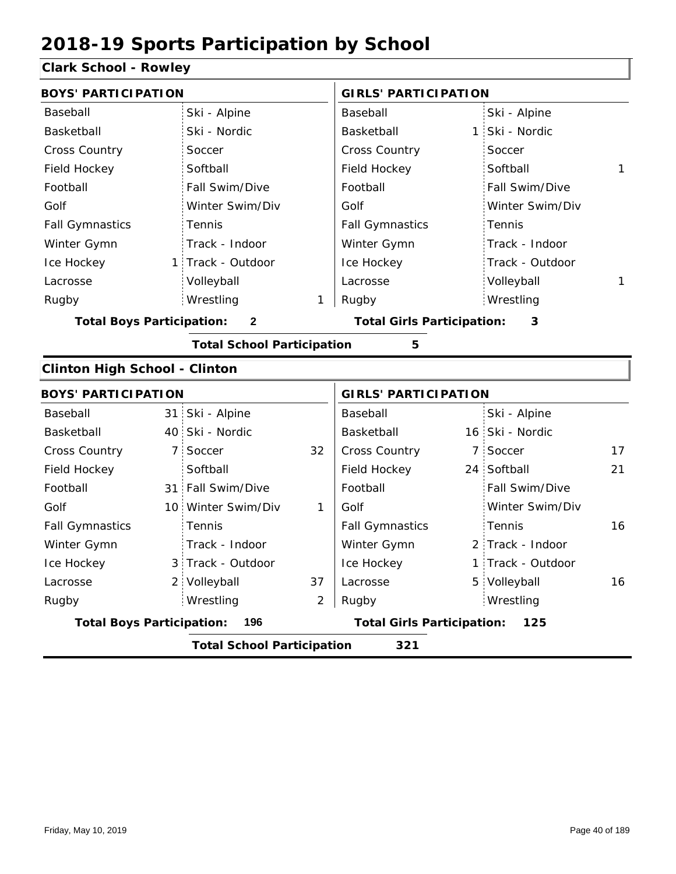### **Clark School - Rowley**

| <b>BOYS' PARTICIPATION</b>           |    |                                   |    | <b>GIRLS' PARTICIPATION</b>       |                   |    |
|--------------------------------------|----|-----------------------------------|----|-----------------------------------|-------------------|----|
| Baseball                             |    | Ski - Alpine                      |    | Baseball                          | Ski - Alpine      |    |
| Basketball                           |    | Ski - Nordic                      |    | Basketball                        | 1 Ski - Nordic    |    |
| <b>Cross Country</b>                 |    | Soccer                            |    | <b>Cross Country</b>              | Soccer            |    |
| Field Hockey                         |    | Softball                          |    | Field Hockey                      | Softball          | 1  |
| Football                             |    | Fall Swim/Dive                    |    | Football                          | Fall Swim/Dive    |    |
| Golf                                 |    | Winter Swim/Div                   |    | Golf                              | Winter Swim/Div   |    |
| <b>Fall Gymnastics</b>               |    | Tennis                            |    | <b>Fall Gymnastics</b>            | Tennis            |    |
| Winter Gymn                          |    | Track - Indoor                    |    | Winter Gymn                       | Track - Indoor    |    |
| Ice Hockey                           |    | 1 Track - Outdoor                 |    | Ice Hockey                        | Track - Outdoor   |    |
| Lacrosse                             |    | Volleyball                        |    | Lacrosse                          | Volleyball        | 1  |
| Rugby                                |    | Wrestling                         | 1  | Rugby                             | Wrestling         |    |
| <b>Total Boys Participation:</b>     |    | $\mathbf{2}$                      |    | <b>Total Girls Participation:</b> | 3                 |    |
|                                      |    | <b>Total School Participation</b> |    | 5                                 |                   |    |
| <b>Clinton High School - Clinton</b> |    |                                   |    |                                   |                   |    |
| <b>BOYS' PARTICIPATION</b>           |    |                                   |    | <b>GIRLS' PARTICIPATION</b>       |                   |    |
| Baseball                             |    | 31 Ski - Alpine                   |    | Baseball                          | Ski - Alpine      |    |
| Basketball                           |    | 40 Ski - Nordic                   |    | Basketball                        | 16 Ski - Nordic   |    |
| <b>Cross Country</b>                 | 7: | Soccer                            | 32 | Cross Country                     | 7 Soccer          | 17 |
| Field Hockey                         |    | Softball                          |    | Field Hockey                      | 24 Softball       | 21 |
| Football                             |    | 31 Fall Swim/Dive                 |    | Football                          | Fall Swim/Dive    |    |
| Golf                                 |    | 10 Winter Swim/Div                | 1  | Golf                              | Winter Swim/Div   |    |
| <b>Fall Gymnastics</b>               |    | Tennis                            |    | <b>Fall Gymnastics</b>            | Tennis            | 16 |
| Winter Gymn                          |    | Track - Indoor                    |    | Winter Gymn                       | 2 Track - Indoor  |    |
| Ice Hockey                           |    | 3 Track - Outdoor                 |    | Ice Hockey                        | 1 Track - Outdoor |    |
| Lacrosse                             |    | 2 Volleyball                      | 37 | Lacrosse                          | 5 Volleyball      | 16 |
| Rugby                                |    | Wrestling                         | 2  | Rugby                             | Wrestling         |    |
| <b>Total Boys Participation:</b>     |    | 196                               |    | <b>Total Girls Participation:</b> | 125               |    |
|                                      |    | <b>Total School Participation</b> |    | 321                               |                   |    |
|                                      |    |                                   |    |                                   |                   |    |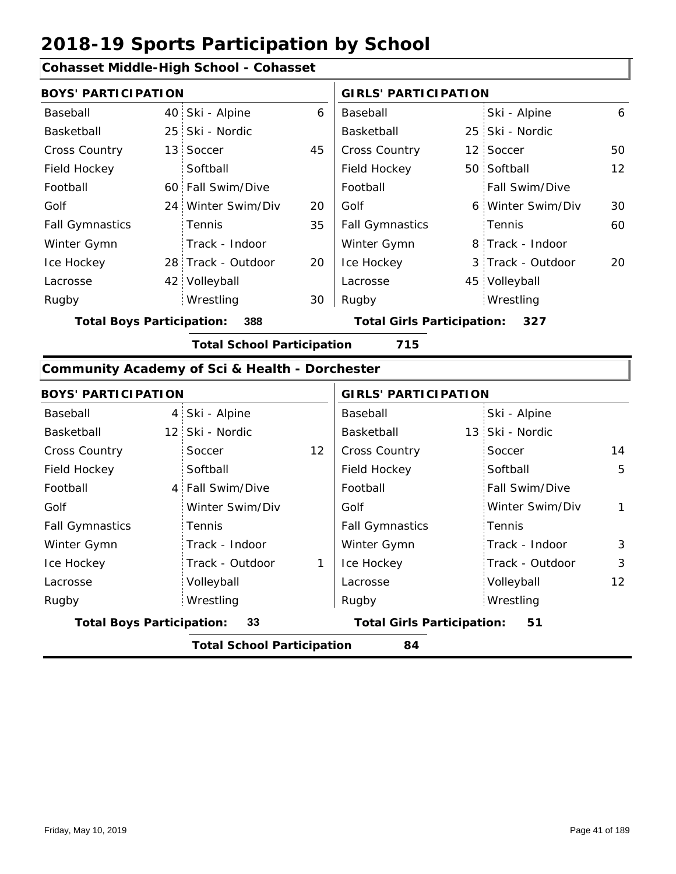#### **Cohasset Middle-High School - Cohasset**

| <b>BOYS' PARTICIPATION</b> |  |                    |    | <b>GIRLS' PARTICIPATION</b> |  |                   |    |
|----------------------------|--|--------------------|----|-----------------------------|--|-------------------|----|
| Baseball                   |  | 40 Ski - Alpine    | 6  | Baseball                    |  | Ski - Alpine      | 6  |
| Basketball                 |  | 25 Ski - Nordic    |    | Basketball                  |  | 25 Ski - Nordic   |    |
| <b>Cross Country</b>       |  | 13 Soccer          | 45 | <b>Cross Country</b>        |  | 12 Soccer         | 50 |
| Field Hockey               |  | Softball           |    | Field Hockey                |  | 50 Softball       | 12 |
| Football                   |  | 60 Fall Swim/Dive  |    | Football                    |  | Fall Swim/Dive    |    |
| Golf                       |  | 24 Winter Swim/Div | 20 | Golf                        |  | 6 Winter Swim/Div | 30 |
| <b>Fall Gymnastics</b>     |  | Tennis             | 35 | <b>Fall Gymnastics</b>      |  | Tennis            | 60 |
| Winter Gymn                |  | Track - Indoor     |    | Winter Gymn                 |  | 8 Track - Indoor  |    |
| Ice Hockey                 |  | 28 Track - Outdoor | 20 | Ice Hockey                  |  | 3 Track - Outdoor | 20 |
| Lacrosse                   |  | 42 Volleyball      |    | Lacrosse                    |  | 45 Volleyball     |    |
| Rugby                      |  | Wrestling          | 30 | Rugby                       |  | Wrestling         |    |

**Total Boys Participation: 388 Total Girls Participation: 327**

**Total School Participation 715**

#### **Community Academy of Sci & Health - Dorchester**

|                                  | <b>BOYS' PARTICIPATION</b> |                                   |                 | <b>GIRLS' PARTICIPATION</b>       |                       |                   |  |
|----------------------------------|----------------------------|-----------------------------------|-----------------|-----------------------------------|-----------------------|-------------------|--|
| Baseball                         |                            | 4 Ski - Alpine                    |                 | Baseball                          | Ski - Alpine          |                   |  |
| Basketball                       |                            | 12 Ski - Nordic                   |                 | Basketball                        | 13 Ski - Nordic       |                   |  |
| Cross Country                    |                            | Soccer                            | 12 <sup>2</sup> | <b>Cross Country</b>              | Soccer                | 14                |  |
| Field Hockey                     |                            | Softball                          |                 | Field Hockey                      | Softball              | 5                 |  |
| Football                         |                            | 4 Fall Swim/Dive                  |                 | Football                          | <b>Fall Swim/Dive</b> |                   |  |
| Golf                             |                            | Winter Swim/Div                   |                 | Golf                              | Winter Swim/Div       | 1                 |  |
| <b>Fall Gymnastics</b>           |                            | Tennis                            |                 | <b>Fall Gymnastics</b>            | Tennis                |                   |  |
| Winter Gymn                      |                            | Track - Indoor                    |                 | Winter Gymn                       | Track - Indoor        | 3                 |  |
| Ice Hockey                       |                            | Track - Outdoor                   | 1               | Ice Hockey                        | Track - Outdoor       | 3                 |  |
| Lacrosse                         |                            | Volleyball                        |                 | Lacrosse                          | Volleyball            | $12 \overline{ }$ |  |
| Rugby                            |                            | Wrestling                         |                 | Rugby                             | Wrestling             |                   |  |
| <b>Total Boys Participation:</b> |                            | 33                                |                 | <b>Total Girls Participation:</b> | 51                    |                   |  |
|                                  |                            | <b>Total School Participation</b> |                 | 84                                |                       |                   |  |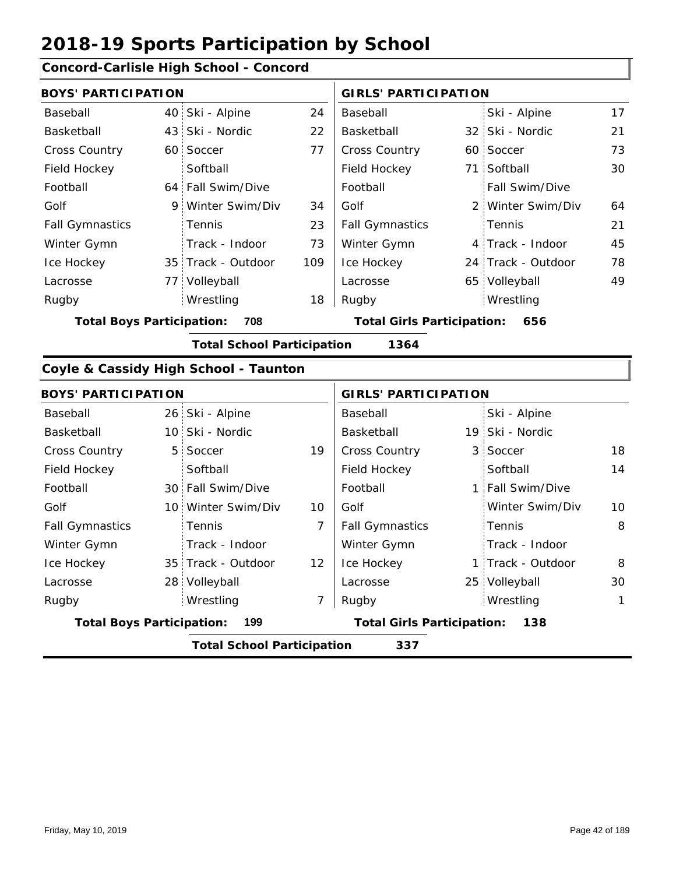35 Track - Outdoor

28 Volleyball

Wrestling Rugby Rugby

#### **Concord-Carlisle High School - Concord**

| <b>BOYS' PARTICIPATION</b>       |                                       |                | <b>GIRLS' PARTICIPATION</b>       |  |                    |    |  |
|----------------------------------|---------------------------------------|----------------|-----------------------------------|--|--------------------|----|--|
| Baseball                         | 40 Ski - Alpine                       | 24             | Baseball                          |  | Ski - Alpine       | 17 |  |
| Basketball                       | 43 Ski - Nordic                       | 22             | Basketball                        |  | 32 Ski - Nordic    | 21 |  |
| Cross Country                    | 60 Soccer                             | 77             | Cross Country                     |  | 60 Soccer          | 73 |  |
| Field Hockey                     | Softball                              |                | Field Hockey                      |  | 71 Softball        | 30 |  |
| Football                         | 64 Fall Swim/Dive                     |                | Football                          |  | Fall Swim/Dive     |    |  |
| Golf                             | 9 Winter Swim/Div                     | 34             | Golf                              |  | 2 Winter Swim/Div  | 64 |  |
| <b>Fall Gymnastics</b>           | Tennis                                | 23             | <b>Fall Gymnastics</b>            |  | Tennis             | 21 |  |
| Winter Gymn                      | Track - Indoor                        | 73             | Winter Gymn                       |  | 4 Track - Indoor   | 45 |  |
| Ice Hockey                       | 35 Track - Outdoor                    | 109            | Ice Hockey                        |  | 24 Track - Outdoor | 78 |  |
| Lacrosse                         | 77 Volleyball                         |                | Lacrosse                          |  | 65 Volleyball      | 49 |  |
| Rugby                            | Wrestling                             | 18             | Rugby                             |  | Wrestling          |    |  |
| <b>Total Boys Participation:</b> | 708                                   |                | <b>Total Girls Participation:</b> |  | 656                |    |  |
|                                  | <b>Total School Participation</b>     |                | 1364                              |  |                    |    |  |
|                                  | Coyle & Cassidy High School - Taunton |                |                                   |  |                    |    |  |
| <b>BOYS' PARTICIPATION</b>       |                                       |                | <b>GIRLS' PARTICIPATION</b>       |  |                    |    |  |
| Baseball                         | 26 Ski - Alpine                       |                | Baseball                          |  | Ski - Alpine       |    |  |
| Basketball                       | 10 Ski - Nordic                       |                | Basketball                        |  | 19 Ski - Nordic    |    |  |
| Cross Country                    | 5 Soccer                              | 19             | <b>Cross Country</b>              |  | 3 Soccer           | 18 |  |
| Field Hockey                     | Softball                              |                | Field Hockey                      |  | Softball           | 14 |  |
| Football                         | 30 Fall Swim/Dive                     |                | Football                          |  | 1 Fall Swim/Dive   |    |  |
| Golf                             | 10 Winter Swim/Div                    | 10             | Golf                              |  | Winter Swim/Div    | 10 |  |
| <b>Fall Gymnastics</b>           | Tennis                                | $\overline{7}$ | <b>Fall Gymnastics</b>            |  | Tennis             | 8  |  |
| Winter Gymn                      | Track - Indoor                        |                | Winter Gymn                       |  | Track - Indoor     |    |  |

12

Ice Hockey Lacrosse

7

**Total Boys Participation: 199 Total Girls Participation: 138**

**Total School Participation 337**

Ice Hockey Lacrosse

8

1 Track - Outdoor

25 Volleyball 30

Wrestling 1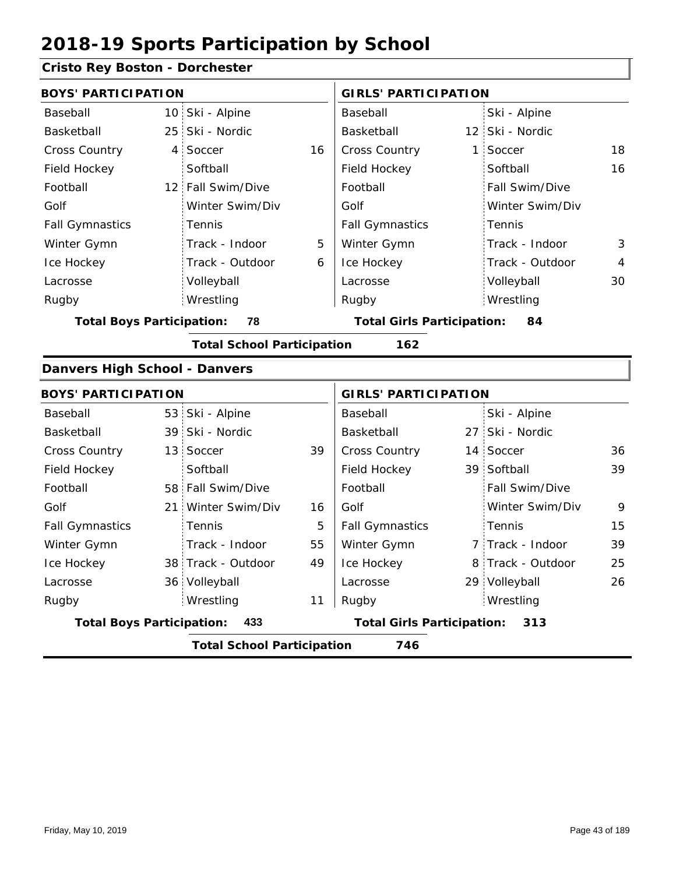### **Cristo Rey Boston - Dorchester**

| onsto kcy Doston - Dorchester        |                                   |    |                                   |                 |                   |                |
|--------------------------------------|-----------------------------------|----|-----------------------------------|-----------------|-------------------|----------------|
| <b>BOYS' PARTICIPATION</b>           |                                   |    | <b>GIRLS' PARTICIPATION</b>       |                 |                   |                |
| Baseball                             | 10 Ski - Alpine                   |    | Baseball                          |                 | Ski - Alpine      |                |
| Basketball                           | 25 Ski - Nordic                   |    | Basketball                        |                 | 12 Ski - Nordic   |                |
| Cross Country                        | 4 Soccer                          | 16 | Cross Country                     | $\mathbf{1}$    | Soccer            | 18             |
| Field Hockey                         | Softball                          |    | Field Hockey                      |                 | Softball          | 16             |
| Football                             | 12 Fall Swim/Dive                 |    | Football                          |                 | Fall Swim/Dive    |                |
| Golf                                 | Winter Swim/Div                   |    | Golf                              |                 | Winter Swim/Div   |                |
| <b>Fall Gymnastics</b>               | Tennis                            |    | <b>Fall Gymnastics</b>            |                 | Tennis            |                |
| Winter Gymn                          | Track - Indoor                    | 5  | Winter Gymn                       |                 | Track - Indoor    | 3              |
| Ice Hockey                           | Track - Outdoor                   | 6  | Ice Hockey                        |                 | Track - Outdoor   | $\overline{4}$ |
| Lacrosse                             | Volleyball                        |    | Lacrosse                          |                 | Volleyball        | 30             |
| Rugby                                | Wrestling                         |    | Rugby                             |                 | Wrestling         |                |
| <b>Total Boys Participation:</b>     | 78                                |    | <b>Total Girls Participation:</b> |                 | 84                |                |
|                                      | <b>Total School Participation</b> |    | 162                               |                 |                   |                |
| <b>Danvers High School - Danvers</b> |                                   |    |                                   |                 |                   |                |
| <b>BOYS' PARTICIPATION</b>           |                                   |    | <b>GIRLS' PARTICIPATION</b>       |                 |                   |                |
| Baseball                             | 53 Ski - Alpine                   |    | Baseball                          |                 | Ski - Alpine      |                |
| Basketball                           | 39 Ski - Nordic                   |    | Basketball                        | 27 <sub>1</sub> | Ski - Nordic      |                |
| Cross Country                        | 13 Soccer                         | 39 | Cross Country                     |                 | 14 Soccer         | 36             |
| Field Hockey                         | Softball                          |    | Field Hockey                      |                 | 39 Softball       | 39             |
| Football                             | 58 Fall Swim/Dive                 |    | Football                          |                 | Fall Swim/Dive    |                |
| Golf                                 | 21 Winter Swim/Div                | 16 | Golf                              |                 | Winter Swim/Div   | 9              |
| <b>Fall Gymnastics</b>               | Tennis                            | 5  | <b>Fall Gymnastics</b>            |                 | Tennis            | 15             |
| Winter Gymn                          | Track - Indoor                    | 55 | Winter Gymn                       |                 | 7 Track - Indoor  | 39             |
| Ice Hockey                           | 38 Track - Outdoor                | 49 | Ice Hockey                        |                 | 8 Track - Outdoor | 25             |
| Lacrosse                             | 36 Volleyball                     |    | Lacrosse                          |                 | 29 Volleyball     | 26             |
| Rugby                                | Wrestling                         | 11 | Rugby                             |                 | Wrestling         |                |
| <b>Total Boys Participation:</b>     | 433                               |    | <b>Total Girls Participation:</b> |                 | 313               |                |
|                                      | <b>Total School Participation</b> |    | 746                               |                 |                   |                |
|                                      |                                   |    |                                   |                 |                   |                |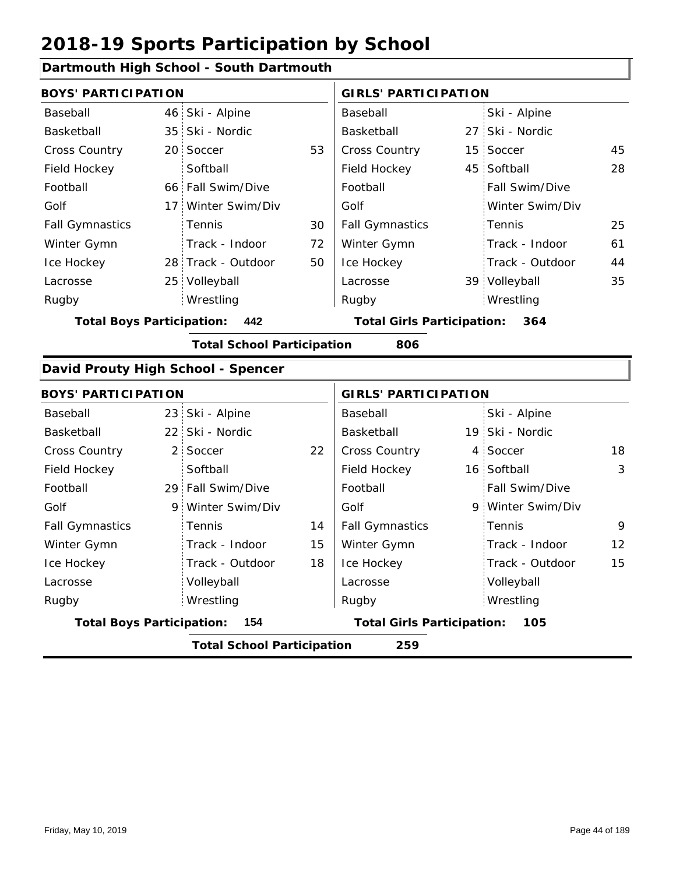#### **Dartmouth High School - South Dartmouth**

| <b>BOYS' PARTICIPATION</b>         |                                   |    | <b>GIRLS' PARTICIPATION</b>       |  |                   |    |  |
|------------------------------------|-----------------------------------|----|-----------------------------------|--|-------------------|----|--|
| Baseball                           | 46 Ski - Alpine                   |    | Baseball                          |  | Ski - Alpine      |    |  |
| Basketball                         | 35 Ski - Nordic                   |    | Basketball                        |  | 27 Ski - Nordic   |    |  |
| Cross Country                      | 20 Soccer                         | 53 | <b>Cross Country</b>              |  | 15 Soccer         | 45 |  |
| Field Hockey                       | Softball                          |    | Field Hockey                      |  | 45 Softball       | 28 |  |
| Football                           | 66 Fall Swim/Dive                 |    | Football                          |  | Fall Swim/Dive    |    |  |
| Golf                               | 17 Winter Swim/Div                |    | Golf                              |  | Winter Swim/Div   |    |  |
| <b>Fall Gymnastics</b>             | Tennis                            | 30 | <b>Fall Gymnastics</b>            |  | Tennis            | 25 |  |
| Winter Gymn                        | Track - Indoor                    | 72 | Winter Gymn                       |  | Track - Indoor    | 61 |  |
| Ice Hockey                         | 28 Track - Outdoor                | 50 | Ice Hockey                        |  | Track - Outdoor   | 44 |  |
| Lacrosse                           | 25 Volleyball                     |    | Lacrosse                          |  | 39 Volleyball     | 35 |  |
| Rugby                              | Wrestling                         |    | Rugby                             |  | Wrestling         |    |  |
| <b>Total Boys Participation:</b>   | 442                               |    | <b>Total Girls Participation:</b> |  | 364               |    |  |
|                                    | <b>Total School Participation</b> |    | 806                               |  |                   |    |  |
| David Prouty High School - Spencer |                                   |    |                                   |  |                   |    |  |
| <b>BOYS' PARTICIPATION</b>         |                                   |    | <b>GIRLS' PARTICIPATION</b>       |  |                   |    |  |
| Baseball                           | 23 Ski - Alpine                   |    | Baseball                          |  | Ski - Alpine      |    |  |
| Basketball                         | 22 Ski - Nordic                   |    | Basketball                        |  | 19 Ski - Nordic   |    |  |
| <b>Cross Country</b>               | 2 Soccer                          | 22 | Cross Country                     |  | 4 Soccer          | 18 |  |
| Field Hockey                       | Softball                          |    | Field Hockey                      |  | 16 Softball       | 3  |  |
| Football                           | 29 Fall Swim/Dive                 |    | Football                          |  | Fall Swim/Dive    |    |  |
| Golf                               | 9 Winter Swim/Div                 |    | Golf                              |  | 9 Winter Swim/Div |    |  |
| <b>Fall Gymnastics</b>             | Tennis                            | 14 | <b>Fall Gymnastics</b>            |  | Tennis            | 9  |  |
| Winter Gymn                        | Track - Indoor                    | 15 | Winter Gymn                       |  | Track - Indoor    | 12 |  |
| Ice Hockey                         | Track - Outdoor                   | 18 | Ice Hockey                        |  | Track - Outdoor   | 15 |  |
| Lacrosse                           | Volleyball                        |    | Lacrosse                          |  | Volleyball        |    |  |
| Rugby                              | Wrestling                         |    | Rugby                             |  | Wrestling         |    |  |
| <b>Total Boys Participation:</b>   | 154                               |    | <b>Total Girls Participation:</b> |  | 105               |    |  |
|                                    | <b>Total School Participation</b> |    | 259                               |  |                   |    |  |
|                                    |                                   |    |                                   |  |                   |    |  |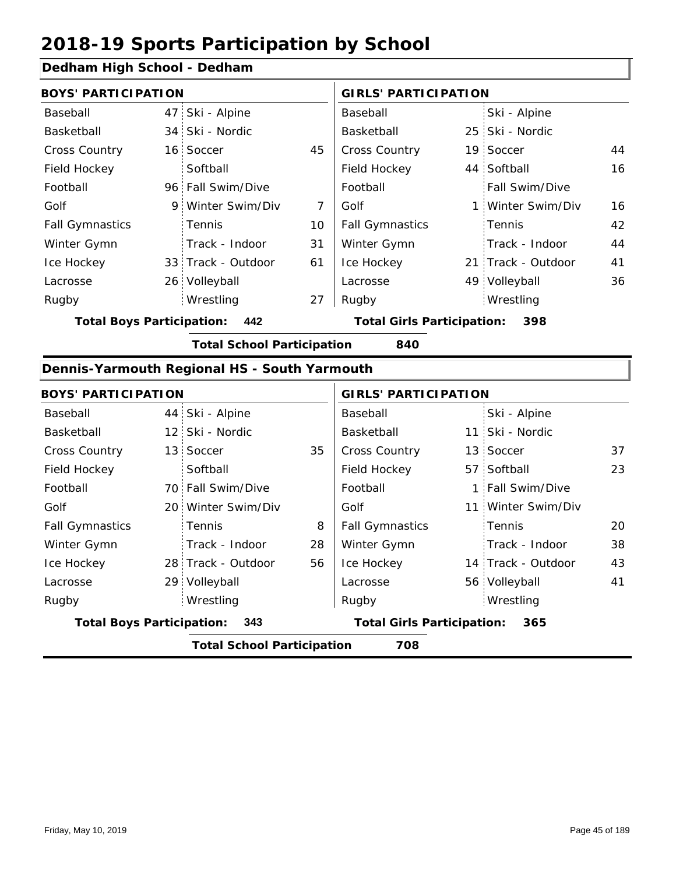### **Dedham High School - Dedham**

| <b>BOYS' PARTICIPATION</b> |  |                    |    | <b>GIRLS' PARTICIPATION</b> |  |                       |    |
|----------------------------|--|--------------------|----|-----------------------------|--|-----------------------|----|
| Baseball                   |  | 47 Ski - Alpine    |    | Baseball                    |  | Ski - Alpine          |    |
| Basketball                 |  | 34 Ski - Nordic    |    | Basketball                  |  | 25 Ski - Nordic       |    |
| <b>Cross Country</b>       |  | 16 Soccer          | 45 | <b>Cross Country</b>        |  | 19 Soccer             | 44 |
| Field Hockey               |  | Softball           |    | Field Hockey                |  | 44 Softball           | 16 |
| Football                   |  | 96 Fall Swim/Dive  |    | Football                    |  | <b>Fall Swim/Dive</b> |    |
| Golf                       |  | 9 Winter Swim/Div  | 7  | Golf                        |  | 1 Winter Swim/Div     | 16 |
| <b>Fall Gymnastics</b>     |  | Tennis             | 10 | <b>Fall Gymnastics</b>      |  | Tennis                | 42 |
| Winter Gymn                |  | Track - Indoor     | 31 | Winter Gymn                 |  | Track - Indoor        | 44 |
| Ice Hockey                 |  | 33 Track - Outdoor | 61 | Ice Hockey                  |  | 21 Track - Outdoor    | 41 |
| Lacrosse                   |  | 26 Volleyball      |    | Lacrosse                    |  | 49 Volleyball         | 36 |
| Rugby                      |  | Wrestling          | 27 | Rugby                       |  | Wrestling             |    |

**Total Boys Participation: 442 Total Girls Participation: 398**

**Total School Participation 840**

### **Dennis-Yarmouth Regional HS - South Yarmouth**

|                                  | <b>BOYS' PARTICIPATION</b>               |                    |    |                                   | <b>GIRLS' PARTICIPATION</b> |                    |    |  |  |  |
|----------------------------------|------------------------------------------|--------------------|----|-----------------------------------|-----------------------------|--------------------|----|--|--|--|
| Baseball                         |                                          | 44 Ski - Alpine    |    | Baseball                          |                             | Ski - Alpine       |    |  |  |  |
| Basketball                       |                                          | 12 Ski - Nordic    |    | Basketball                        |                             | 11 Ski - Nordic    |    |  |  |  |
| <b>Cross Country</b>             |                                          | 13 Soccer          | 35 | <b>Cross Country</b>              |                             | 13 Soccer          | 37 |  |  |  |
| Field Hockey                     |                                          | Softball           |    | Field Hockey                      |                             | 57 Softball        | 23 |  |  |  |
| Football                         |                                          | 70 Fall Swim/Dive  |    | Football                          |                             | 1 Fall Swim/Dive   |    |  |  |  |
| Golf                             |                                          | 20 Winter Swim/Div |    | Golf                              |                             | 11 Winter Swim/Div |    |  |  |  |
| <b>Fall Gymnastics</b>           |                                          | <b>Tennis</b>      | 8  | <b>Fall Gymnastics</b>            |                             | Tennis             | 20 |  |  |  |
| Winter Gymn                      |                                          | Track - Indoor     | 28 | Winter Gymn                       |                             | Track - Indoor     | 38 |  |  |  |
| Ice Hockey                       |                                          | 28 Track - Outdoor | 56 | Ice Hockey                        |                             | 14 Track - Outdoor | 43 |  |  |  |
| Lacrosse                         |                                          | 29 Volleyball      |    | Lacrosse                          |                             | 56 Volleyball      | 41 |  |  |  |
| Rugby                            |                                          | Wrestling          |    | Rugby                             |                             | Wrestling          |    |  |  |  |
| <b>Total Boys Participation:</b> |                                          | 343                |    | <b>Total Girls Participation:</b> |                             | 365                |    |  |  |  |
|                                  | 708<br><b>Total School Participation</b> |                    |    |                                   |                             |                    |    |  |  |  |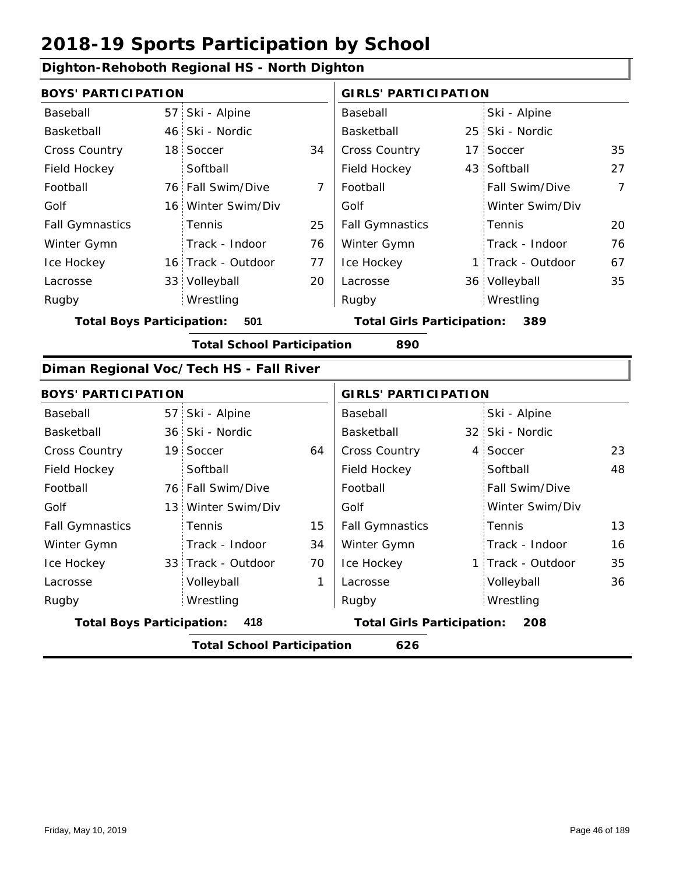### **Dighton-Rehoboth Regional HS - North Dighton**

| <b>BOYS' PARTICIPATION</b>       |                                         |                | <b>GIRLS' PARTICIPATION</b>       |                   |    |
|----------------------------------|-----------------------------------------|----------------|-----------------------------------|-------------------|----|
| Baseball                         | 57 Ski - Alpine                         |                | Baseball                          | Ski - Alpine      |    |
| Basketball                       | 46 Ski - Nordic                         |                | Basketball                        | 25 Ski - Nordic   |    |
| <b>Cross Country</b>             | 18 Soccer                               | 34             | Cross Country                     | 17 Soccer         | 35 |
| Field Hockey                     | Softball                                |                | Field Hockey                      | 43 Softball       | 27 |
| Football                         | 76 Fall Swim/Dive                       | $\overline{7}$ | Football                          | Fall Swim/Dive    | 7  |
| Golf                             | 16 Winter Swim/Div                      |                | Golf                              | Winter Swim/Div   |    |
| <b>Fall Gymnastics</b>           | Tennis                                  | 25             | <b>Fall Gymnastics</b>            | Tennis            | 20 |
| Winter Gymn                      | Track - Indoor                          | 76             | Winter Gymn                       | Track - Indoor    | 76 |
| Ice Hockey                       | 16 Track - Outdoor                      | 77             | Ice Hockey                        | 1 Track - Outdoor | 67 |
| Lacrosse                         | 33 Volleyball                           | 20             | Lacrosse                          | 36 Volleyball     | 35 |
| Rugby                            | Wrestling                               |                | Rugby                             | Wrestling         |    |
| <b>Total Boys Participation:</b> | 501                                     |                | <b>Total Girls Participation:</b> | 389               |    |
|                                  | <b>Total School Participation</b>       |                | 890                               |                   |    |
|                                  | Diman Regional Voc/Tech HS - Fall River |                |                                   |                   |    |
| <b>BOYS' PARTICIPATION</b>       |                                         |                | <b>GIRLS' PARTICIPATION</b>       |                   |    |
| Baseball                         | 57 Ski - Alpine                         |                | Baseball                          | Ski - Alpine      |    |
| <b>Raskethall</b>                | 36 Ski - Nordic                         |                | <b>Raskethall</b>                 | 32 Ski - Nordic   |    |

| Basketball                                                                          |  | 36 Ski - Nordic                   |    | Basketball             |  | 32 Ski - Nordic   |    |
|-------------------------------------------------------------------------------------|--|-----------------------------------|----|------------------------|--|-------------------|----|
| <b>Cross Country</b>                                                                |  | 19 Soccer                         | 64 | <b>Cross Country</b>   |  | 4 Soccer          | 23 |
| Field Hockey                                                                        |  | Softball                          |    | Field Hockey           |  | Softball          | 48 |
| Football                                                                            |  | 76 Fall Swim/Dive                 |    | Football               |  | Fall Swim/Dive    |    |
| Golf                                                                                |  | 13 Winter Swim/Div                |    | Golf                   |  | Winter Swim/Div   |    |
| <b>Fall Gymnastics</b>                                                              |  | <b>Tennis</b>                     | 15 | <b>Fall Gymnastics</b> |  | Tennis            | 13 |
| Winter Gymn                                                                         |  | Track - Indoor                    | 34 | Winter Gymn            |  | Track - Indoor    | 16 |
| Ice Hockey                                                                          |  | 33 Track - Outdoor                | 70 | Ice Hockey             |  | 1 Track - Outdoor | 35 |
| Lacrosse                                                                            |  | Volleyball                        | 1  | Lacrosse               |  | Volleyball        | 36 |
| Rugby                                                                               |  | Wrestling                         |    | Rugby                  |  | Wrestling         |    |
| <b>Total Boys Participation:</b><br>418<br><b>Total Girls Participation:</b><br>208 |  |                                   |    |                        |  |                   |    |
|                                                                                     |  | <b>Total School Participation</b> |    | 626                    |  |                   |    |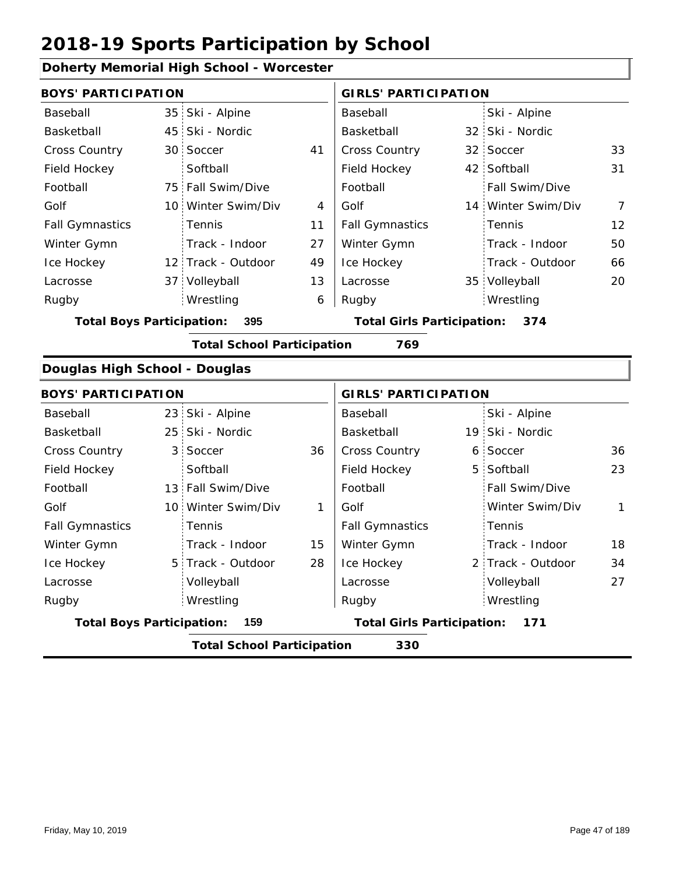#### **Doherty Memorial High School - Worcester**

| <b>BOYS' PARTICIPATION</b>       |                 |                                   |    | <b>GIRLS' PARTICIPATION</b>       |                    |                |
|----------------------------------|-----------------|-----------------------------------|----|-----------------------------------|--------------------|----------------|
| Baseball                         | 35 <sup>1</sup> | Ski - Alpine                      |    | Baseball                          | Ski - Alpine       |                |
| Basketball                       |                 | 45 Ski - Nordic                   |    | Basketball                        | 32 Ski - Nordic    |                |
| Cross Country                    |                 | 30 Soccer                         | 41 | Cross Country                     | 32 Soccer          | 33             |
| Field Hockey                     |                 | Softball                          |    | Field Hockey                      | 42 Softball        | 31             |
| Football                         |                 | 75 Fall Swim/Dive                 |    | Football                          | Fall Swim/Dive     |                |
| Golf                             |                 | 10 Winter Swim/Div                | 4  | Golf                              | 14 Winter Swim/Div | $\overline{7}$ |
| <b>Fall Gymnastics</b>           |                 | Tennis                            | 11 | <b>Fall Gymnastics</b>            | Tennis             | 12             |
| Winter Gymn                      |                 | Track - Indoor                    | 27 | Winter Gymn                       | Track - Indoor     | 50             |
| Ice Hockey                       |                 | 12 Track - Outdoor                | 49 | Ice Hockey                        | Track - Outdoor    | 66             |
| Lacrosse                         |                 | 37 Volleyball                     | 13 | Lacrosse                          | 35 Volleyball      | 20             |
| Rugby                            |                 | Wrestling                         | 6  | Rugby                             | Wrestling          |                |
| <b>Total Boys Participation:</b> |                 | 395                               |    | <b>Total Girls Participation:</b> | 374                |                |
|                                  |                 | <b>Total School Participation</b> |    | 769                               |                    |                |
| Douglas High School - Douglas    |                 |                                   |    |                                   |                    |                |
| <b>BOYS' PARTICIPATION</b>       |                 |                                   |    | <b>GIRLS' PARTICIPATION</b>       |                    |                |
| Baseball                         |                 | 23 Ski - Alpine                   |    | Baseball                          | Ski - Alpine       |                |
| Basketball                       |                 | 25 Ski - Nordic                   |    | Basketball                        | 19 Ski - Nordic    |                |
| <b>Cross Country</b>             |                 | 3 Soccer                          | 36 | Cross Country                     | 6 Soccer           | 36             |
| Field Hockey                     |                 | Softball                          |    | Field Hockey                      | 5 Softball         | 23             |
| Football                         |                 | 13 Fall Swim/Dive                 |    | Football                          | Fall Swim/Dive     |                |
| Golf                             |                 | 10 Winter Swim/Div                | 1  | Golf                              | Winter Swim/Div    | $\mathbf{1}$   |
| <b>Fall Gymnastics</b>           |                 | Tennis                            |    | <b>Fall Gymnastics</b>            | Tennis             |                |
| Winter Gymn                      |                 | Track - Indoor                    | 15 | Winter Gymn                       | Track - Indoor     | 18             |
| Ice Hockey                       |                 | 5 Track - Outdoor                 | 28 | Ice Hockey                        | 2 Track - Outdoor  | 34             |
| Lacrosse                         |                 | Volleyball                        |    | Lacrosse                          | Volleyball         | 27             |
| Rugby                            |                 | Wrestling                         |    | Rugby                             | Wrestling          |                |
| <b>Total Boys Participation:</b> |                 | 159                               |    | <b>Total Girls Participation:</b> | 171                |                |
|                                  |                 | <b>Total School Participation</b> |    | 330                               |                    |                |
|                                  |                 |                                   |    |                                   |                    |                |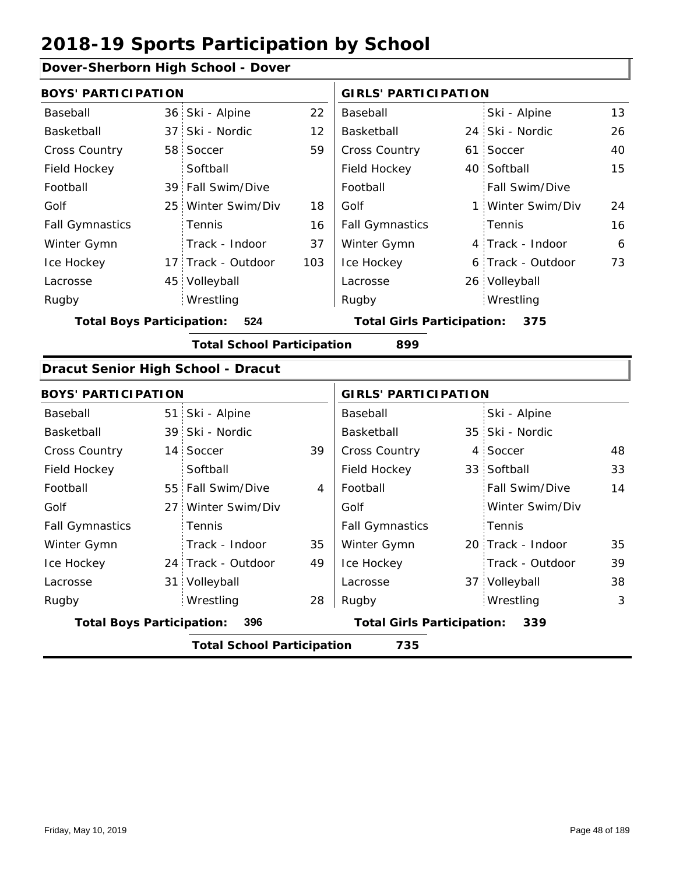#### **Dover-Sherborn High School - Dover**

|                                         | <b>BOYS' PARTICIPATION</b> |                    |                                   |                        | <b>GIRLS' PARTICIPATION</b> |                   |    |
|-----------------------------------------|----------------------------|--------------------|-----------------------------------|------------------------|-----------------------------|-------------------|----|
| Baseball                                |                            | 36 Ski - Alpine    | 22                                | Baseball               |                             | Ski - Alpine      | 13 |
| Basketball                              |                            | 37 Ski - Nordic    | 12                                | Basketball             |                             | 24 Ski - Nordic   | 26 |
| <b>Cross Country</b>                    |                            | 58 Soccer          | 59                                | <b>Cross Country</b>   |                             | 61 Soccer         | 40 |
| Field Hockey                            |                            | Softball           |                                   | Field Hockey           |                             | 40 Softball       | 15 |
| Football                                |                            | 39 Fall Swim/Dive  |                                   | Football               |                             | Fall Swim/Dive    |    |
| Golf                                    |                            | 25 Winter Swim/Div | 18                                | Golf                   |                             | 1 Winter Swim/Div | 24 |
| <b>Fall Gymnastics</b>                  |                            | <b>Tennis</b>      | 16                                | <b>Fall Gymnastics</b> |                             | : Tennis          | 16 |
| Winter Gymn                             |                            | Track - Indoor     | 37                                | Winter Gymn            |                             | 4 Track - Indoor  | 6  |
| Ice Hockey                              |                            | 17 Track - Outdoor | 103                               | Ice Hockey             |                             | 6 Track - Outdoor | 73 |
| Lacrosse                                |                            | 45 Volleyball      |                                   | Lacrosse               |                             | 26 Volleyball     |    |
| Rugby                                   |                            | Wrestling          |                                   | Rugby                  |                             | Wrestling         |    |
| 524<br><b>Total Boys Participation:</b> |                            |                    | <b>Total Girls Participation:</b> |                        | 375                         |                   |    |

**Total School Participation 899**

#### **Dracut Senior High School - Dracut**

| <b>BOYS' PARTICIPATION</b>               |  |                    |    | <b>GIRLS' PARTICIPATION</b>       |  |                       |    |  |
|------------------------------------------|--|--------------------|----|-----------------------------------|--|-----------------------|----|--|
| Baseball                                 |  | 51 Ski - Alpine    |    | Baseball                          |  | Ski - Alpine          |    |  |
| Basketball                               |  | 39 Ski - Nordic    |    | Basketball                        |  | 35 Ski - Nordic       |    |  |
| <b>Cross Country</b>                     |  | 14 Soccer          | 39 | <b>Cross Country</b>              |  | 4 Soccer              | 48 |  |
| Field Hockey                             |  | Softball           |    | Field Hockey                      |  | 33 Softball           | 33 |  |
| Football                                 |  | 55 Fall Swim/Dive  | 4  | Football                          |  | <b>Fall Swim/Dive</b> | 14 |  |
| Golf                                     |  | 27 Winter Swim/Div |    | Golf                              |  | Winter Swim/Div       |    |  |
| <b>Fall Gymnastics</b>                   |  | <b>Tennis</b>      |    | <b>Fall Gymnastics</b>            |  | Tennis                |    |  |
| Winter Gymn                              |  | Track - Indoor     | 35 | Winter Gymn                       |  | 20 Track - Indoor     | 35 |  |
| Ice Hockey                               |  | 24 Track - Outdoor | 49 | Ice Hockey                        |  | Track - Outdoor       | 39 |  |
| Lacrosse                                 |  | 31 Volleyball      |    | Lacrosse                          |  | 37 Volleyball         | 38 |  |
| Rugby                                    |  | Wrestling          | 28 | Rugby                             |  | Wrestling             | 3  |  |
| <b>Total Boys Participation:</b>         |  | 396                |    | <b>Total Girls Participation:</b> |  | 339                   |    |  |
| 735<br><b>Total School Participation</b> |  |                    |    |                                   |  |                       |    |  |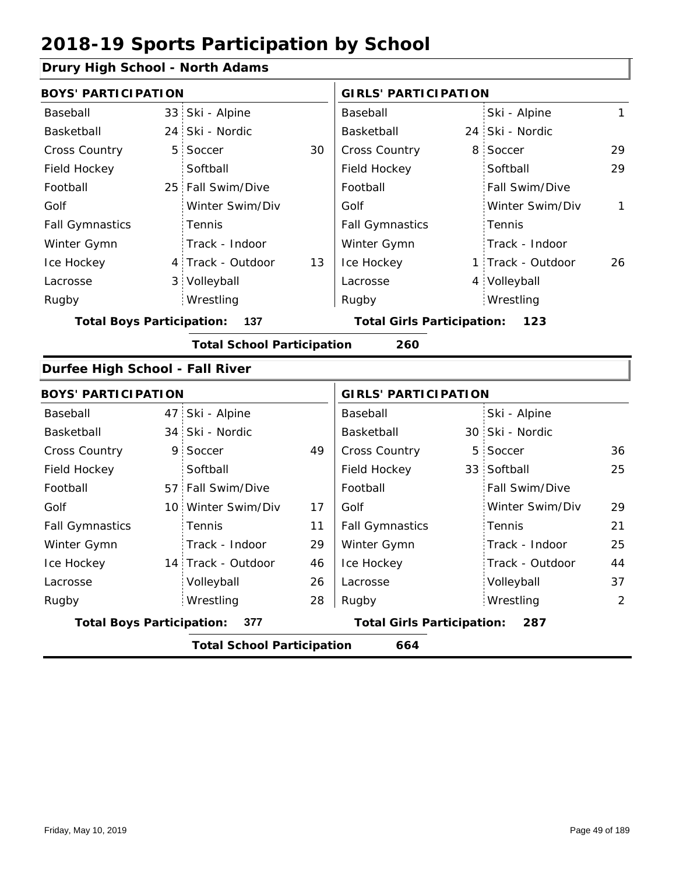#### **Drury High School - North Adams**

| <b>BOYS' PARTICIPATION</b>       |                |                                   |    | <b>GIRLS' PARTICIPATION</b>       |   |                   |                |
|----------------------------------|----------------|-----------------------------------|----|-----------------------------------|---|-------------------|----------------|
| Baseball                         |                | 33 Ski - Alpine                   |    | Baseball                          |   | Ski - Alpine      | 1              |
| Basketball                       |                | 24 Ski - Nordic                   |    | Basketball                        |   | 24 Ski - Nordic   |                |
| Cross Country                    | 5 <sup>1</sup> | Soccer                            | 30 | Cross Country                     |   | 8 Soccer          | 29             |
| Field Hockey                     |                | Softball                          |    | Field Hockey                      |   | Softball          | 29             |
| Football                         |                | 25 Fall Swim/Dive                 |    | Football                          |   | Fall Swim/Dive    |                |
| Golf                             |                | Winter Swim/Div                   |    | Golf                              |   | Winter Swim/Div   | $\mathbf{1}$   |
| <b>Fall Gymnastics</b>           |                | Tennis                            |    | <b>Fall Gymnastics</b>            |   | Tennis            |                |
| Winter Gymn                      |                | Track - Indoor                    |    | Winter Gymn                       |   | Track - Indoor    |                |
| Ice Hockey                       |                | 4 Track - Outdoor                 | 13 | Ice Hockey                        |   | 1 Track - Outdoor | 26             |
| Lacrosse                         |                | 3 Volleyball                      |    | Lacrosse                          |   | 4 Volleyball      |                |
| Rugby                            |                | Wrestling                         |    | Rugby                             |   | Wrestling         |                |
| <b>Total Boys Participation:</b> |                | 137                               |    | <b>Total Girls Participation:</b> |   | 123               |                |
|                                  |                | <b>Total School Participation</b> |    | 260                               |   |                   |                |
| Durfee High School - Fall River  |                |                                   |    |                                   |   |                   |                |
| <b>BOYS' PARTICIPATION</b>       |                |                                   |    | <b>GIRLS' PARTICIPATION</b>       |   |                   |                |
| Baseball                         |                | 47 Ski - Alpine                   |    | Baseball                          |   | Ski - Alpine      |                |
| Basketball                       |                | 34 Ski - Nordic                   |    | Basketball                        |   | 30 Ski - Nordic   |                |
| Cross Country                    | 9              | Soccer                            | 49 | Cross Country                     | 5 | Soccer            | 36             |
| Field Hockey                     |                | Softball                          |    | Field Hockey                      |   | 33 Softball       | 25             |
| Football                         |                | 57 Fall Swim/Dive                 |    | Football                          |   | Fall Swim/Dive    |                |
| Golf                             |                | 10 Winter Swim/Div                | 17 | Golf                              |   | Winter Swim/Div   | 29             |
| <b>Fall Gymnastics</b>           |                | Tennis                            | 11 | <b>Fall Gymnastics</b>            |   | Tennis            | 21             |
| Winter Gymn                      |                | Track - Indoor                    | 29 | Winter Gymn                       |   | Track - Indoor    | 25             |
| Ice Hockey                       |                | 14 Track - Outdoor                | 46 | Ice Hockey                        |   | Track - Outdoor   | 44             |
| Lacrosse                         |                | Volleyball                        | 26 | Lacrosse                          |   | Volleyball        | 37             |
| Rugby                            |                | Wrestling                         | 28 | Rugby                             |   | Wrestling         | $\overline{2}$ |

**Total Boys Participation: 377 Total Girls Participation: 287**

**Total School Participation 664**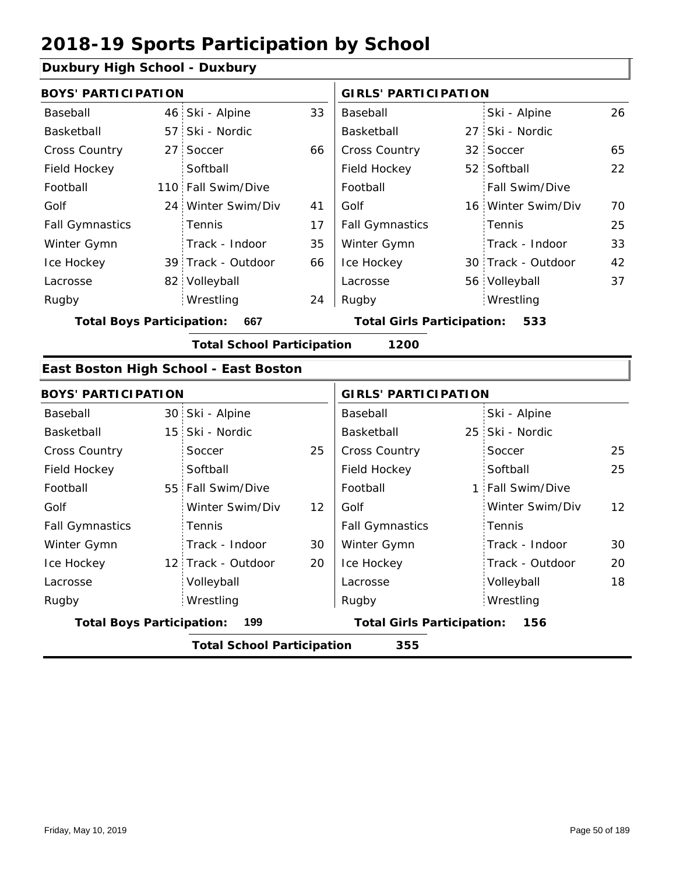#### **Duxbury High School - Duxbury**

| <b>BOYS' PARTICIPATION</b>       |                                   |    | <b>GIRLS' PARTICIPATION</b>       |  |                    |    |
|----------------------------------|-----------------------------------|----|-----------------------------------|--|--------------------|----|
| Baseball                         | 46 Ski - Alpine                   | 33 | Baseball                          |  | Ski - Alpine       | 26 |
| Basketball                       | 57 Ski - Nordic                   |    | Basketball                        |  | 27 Ski - Nordic    |    |
| <b>Cross Country</b>             | 27 Soccer                         | 66 | <b>Cross Country</b>              |  | 32 Soccer          | 65 |
| Field Hockey                     | Softball                          |    | Field Hockey                      |  | 52 Softball        | 22 |
| Football                         | 110 Fall Swim/Dive                |    | Football                          |  | Fall Swim/Dive     |    |
| Golf                             | 24 Winter Swim/Div                | 41 | Golf                              |  | 16 Winter Swim/Div | 70 |
| <b>Fall Gymnastics</b>           | Tennis                            | 17 | <b>Fall Gymnastics</b>            |  | Tennis             | 25 |
| Winter Gymn                      | Track - Indoor                    | 35 | Winter Gymn                       |  | Track - Indoor     | 33 |
| Ice Hockey                       | 39 Track - Outdoor                | 66 | Ice Hockey                        |  | 30 Track - Outdoor | 42 |
| Lacrosse                         | 82 Volleyball                     |    | Lacrosse                          |  | 56 Volleyball      | 37 |
| Rugby                            | Wrestling                         | 24 | Rugby                             |  | Wrestling          |    |
| <b>Total Boys Participation:</b> | 667                               |    | <b>Total Girls Participation:</b> |  | 533                |    |
|                                  | <b>Total School Participation</b> |    | 1200                              |  |                    |    |

#### **East Boston High School - East Boston**

| <b>BOYS' PARTICIPATION</b>       |                                   |    | <b>GIRLS' PARTICIPATION</b>       |  |                  |                 |  |
|----------------------------------|-----------------------------------|----|-----------------------------------|--|------------------|-----------------|--|
| Baseball                         | 30 Ski - Alpine                   |    | Baseball                          |  | Ski - Alpine     |                 |  |
| Basketball                       | 15 Ski - Nordic                   |    | Basketball                        |  | 25 Ski - Nordic  |                 |  |
| <b>Cross Country</b>             | Soccer                            | 25 | <b>Cross Country</b>              |  | Soccer           | 25              |  |
| Field Hockey                     | Softball                          |    | Field Hockey                      |  | Softball         | 25              |  |
| Football                         | 55 Fall Swim/Dive                 |    | Football                          |  | 1 Fall Swim/Dive |                 |  |
| Golf                             | Winter Swim/Div                   | 12 | Golf                              |  | Winter Swim/Div  | 12 <sup>2</sup> |  |
| <b>Fall Gymnastics</b>           | <b>Tennis</b>                     |    | <b>Fall Gymnastics</b>            |  | Tennis           |                 |  |
| Winter Gymn                      | Track - Indoor                    | 30 | Winter Gymn                       |  | Track - Indoor   | 30              |  |
| Ice Hockey                       | 12 Track - Outdoor                | 20 | Ice Hockey                        |  | Track - Outdoor  | 20              |  |
| Lacrosse                         | Volleyball                        |    | Lacrosse                          |  | Volleyball       | 18              |  |
| Rugby                            | Wrestling                         |    | Rugby                             |  | Wrestling        |                 |  |
| <b>Total Boys Participation:</b> | 199                               |    | <b>Total Girls Participation:</b> |  | 156              |                 |  |
|                                  | <b>Total School Participation</b> |    | 355                               |  |                  |                 |  |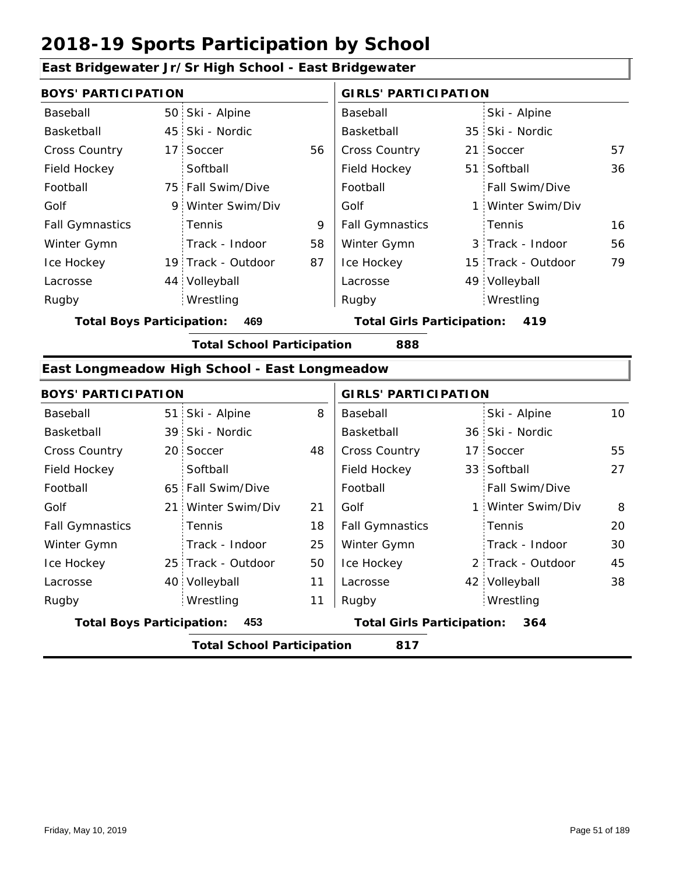#### **East Bridgewater Jr/Sr High School - East Bridgewater**

| <b>BOYS' PARTICIPATION</b> |  |                    |    | <b>GIRLS' PARTICIPATION</b> |  |                    |    |
|----------------------------|--|--------------------|----|-----------------------------|--|--------------------|----|
| Baseball                   |  | 50 Ski - Alpine    |    | Baseball                    |  | Ski - Alpine       |    |
| Basketball                 |  | 45 Ski - Nordic    |    | Basketball                  |  | 35 Ski - Nordic    |    |
| <b>Cross Country</b>       |  | 17 Soccer          | 56 | <b>Cross Country</b>        |  | 21 Soccer          | 57 |
| Field Hockey               |  | Softball           |    | Field Hockey                |  | 51 Softball        | 36 |
| Football                   |  | 75 Fall Swim/Dive  |    | Football                    |  | Fall Swim/Dive     |    |
| Golf                       |  | 9 Winter Swim/Div  |    | Golf                        |  | 1 Winter Swim/Div  |    |
| <b>Fall Gymnastics</b>     |  | Tennis             | 9  | <b>Fall Gymnastics</b>      |  | Tennis             | 16 |
| Winter Gymn                |  | Track - Indoor     | 58 | Winter Gymn                 |  | 3 Track - Indoor   | 56 |
| Ice Hockey                 |  | 19 Track - Outdoor | 87 | Ice Hockey                  |  | 15 Track - Outdoor | 79 |
| Lacrosse                   |  | 44 Volleyball      |    | Lacrosse                    |  | 49 Volleyball      |    |
| Rugby                      |  | Wrestling          |    | Rugby                       |  | Wrestling          |    |

**Total Boys Participation: 469 Total Girls Participation: 419**

**Total School Participation 888**

#### **East Longmeadow High School - East Longmeadow**

| <b>BOYS' PARTICIPATION</b>               |  |                    |    | <b>GIRLS' PARTICIPATION</b>       |  |                   |    |
|------------------------------------------|--|--------------------|----|-----------------------------------|--|-------------------|----|
| Baseball                                 |  | 51 Ski - Alpine    | 8  | Baseball                          |  | Ski - Alpine      | 10 |
| Basketball                               |  | 39 Ski - Nordic    |    | Basketball                        |  | 36 Ski - Nordic   |    |
| <b>Cross Country</b>                     |  | 20 Soccer          | 48 | <b>Cross Country</b>              |  | 17 Soccer         | 55 |
| Field Hockey                             |  | Softball           |    | Field Hockey                      |  | 33 Softball       | 27 |
| Football                                 |  | 65 Fall Swim/Dive  |    | Football                          |  | Fall Swim/Dive    |    |
| Golf                                     |  | 21 Winter Swim/Div | 21 | Golf                              |  | 1 Winter Swim/Div | 8  |
| <b>Fall Gymnastics</b>                   |  | Tennis             | 18 | <b>Fall Gymnastics</b>            |  | Tennis            | 20 |
| Winter Gymn                              |  | Track - Indoor     | 25 | Winter Gymn                       |  | Track - Indoor    | 30 |
| Ice Hockey                               |  | 25 Track - Outdoor | 50 | Ice Hockey                        |  | 2 Track - Outdoor | 45 |
| Lacrosse                                 |  | 40 Volleyball      | 11 | Lacrosse                          |  | 42 Volleyball     | 38 |
| Rugby                                    |  | Wrestling          | 11 | Rugby                             |  | Wrestling         |    |
| <b>Total Boys Participation:</b>         |  | 453                |    | <b>Total Girls Participation:</b> |  | 364               |    |
| <b>Total School Participation</b><br>817 |  |                    |    |                                   |  |                   |    |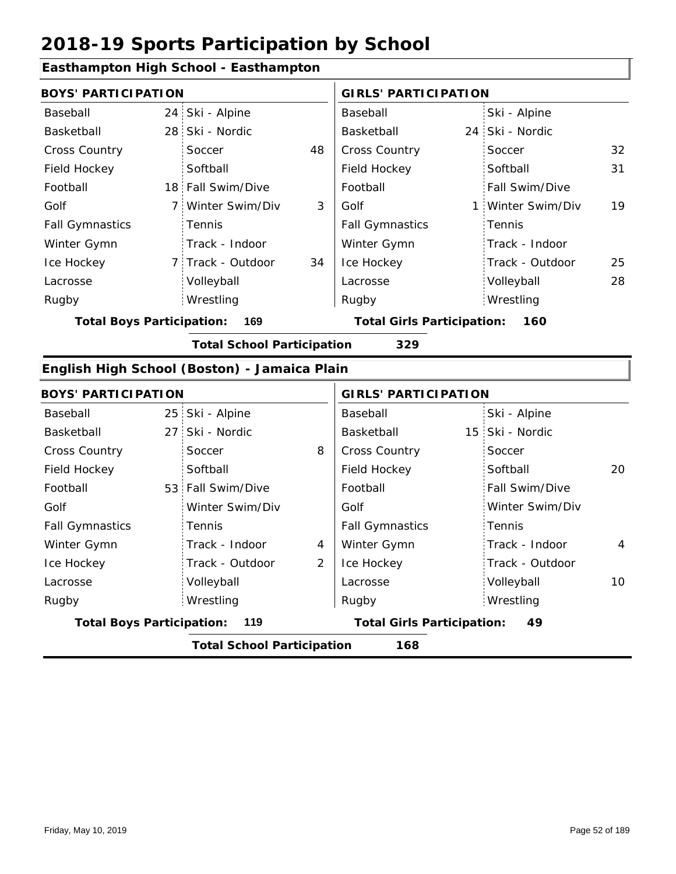### **Easthampton High School - Easthampton**

| <b>BOYS' PARTICIPATION</b>       |                                          |                   |    | <b>GIRLS' PARTICIPATION</b>       |  |                       |    |  |  |
|----------------------------------|------------------------------------------|-------------------|----|-----------------------------------|--|-----------------------|----|--|--|
| Baseball                         |                                          | 24 Ski - Alpine   |    | Baseball                          |  | Ski - Alpine          |    |  |  |
| Basketball                       |                                          | 28 Ski - Nordic   |    | Basketball                        |  | 24 Ski - Nordic       |    |  |  |
| Cross Country                    |                                          | Soccer            | 48 | <b>Cross Country</b>              |  | Soccer                | 32 |  |  |
| Field Hockey                     |                                          | Softball          |    | Field Hockey                      |  | Softball              | 31 |  |  |
| Football                         |                                          | 18 Fall Swim/Dive |    | Football                          |  | <b>Fall Swim/Dive</b> |    |  |  |
| Golf                             |                                          | 7 Winter Swim/Div | 3  | Golf                              |  | 1 Winter Swim/Div     | 19 |  |  |
| <b>Fall Gymnastics</b>           |                                          | <b>Tennis</b>     |    | <b>Fall Gymnastics</b>            |  | Tennis                |    |  |  |
| Winter Gymn                      |                                          | Track - Indoor    |    | Winter Gymn                       |  | Track - Indoor        |    |  |  |
| Ice Hockey                       |                                          | 7 Track - Outdoor | 34 | Ice Hockey                        |  | Track - Outdoor       | 25 |  |  |
| Lacrosse                         |                                          | Volleyball        |    | Lacrosse                          |  | Volleyball            | 28 |  |  |
| Rugby                            |                                          | Wrestling         |    | Rugby                             |  | Wrestling             |    |  |  |
| <b>Total Boys Participation:</b> |                                          | 169               |    | <b>Total Girls Participation:</b> |  | 160                   |    |  |  |
|                                  | 329<br><b>Total School Participation</b> |                   |    |                                   |  |                       |    |  |  |

#### **English High School (Boston) - Jamaica Plain**

| <b>BOYS' PARTICIPATION</b>       |                                   |   | <b>GIRLS' PARTICIPATION</b>       |                 |    |
|----------------------------------|-----------------------------------|---|-----------------------------------|-----------------|----|
| Baseball                         | 25 Ski - Alpine                   |   | Baseball                          | Ski - Alpine    |    |
| Basketball                       | 27 Ski - Nordic                   |   | Basketball                        | 15 Ski - Nordic |    |
| <b>Cross Country</b>             | Soccer                            | 8 | <b>Cross Country</b>              | Soccer          |    |
| Field Hockey                     | Softball                          |   | Field Hockey                      | Softball        | 20 |
| Football                         | 53 Fall Swim/Dive                 |   | Football                          | Fall Swim/Dive  |    |
| Golf                             | Winter Swim/Div                   |   | Golf                              | Winter Swim/Div |    |
| <b>Fall Gymnastics</b>           | <b>Tennis</b>                     |   | <b>Fall Gymnastics</b>            | Tennis          |    |
| Winter Gymn                      | Track - Indoor                    | 4 | Winter Gymn                       | Track - Indoor  | 4  |
| Ice Hockey                       | Track - Outdoor                   | 2 | Ice Hockey                        | Track - Outdoor |    |
| Lacrosse                         | Volleyball                        |   | Lacrosse                          | Volleyball      | 10 |
| Rugby                            | Wrestling                         |   | Rugby                             | Wrestling       |    |
| <b>Total Boys Participation:</b> | 119                               |   | <b>Total Girls Participation:</b> | 49              |    |
|                                  | <b>Total School Participation</b> |   | 168                               |                 |    |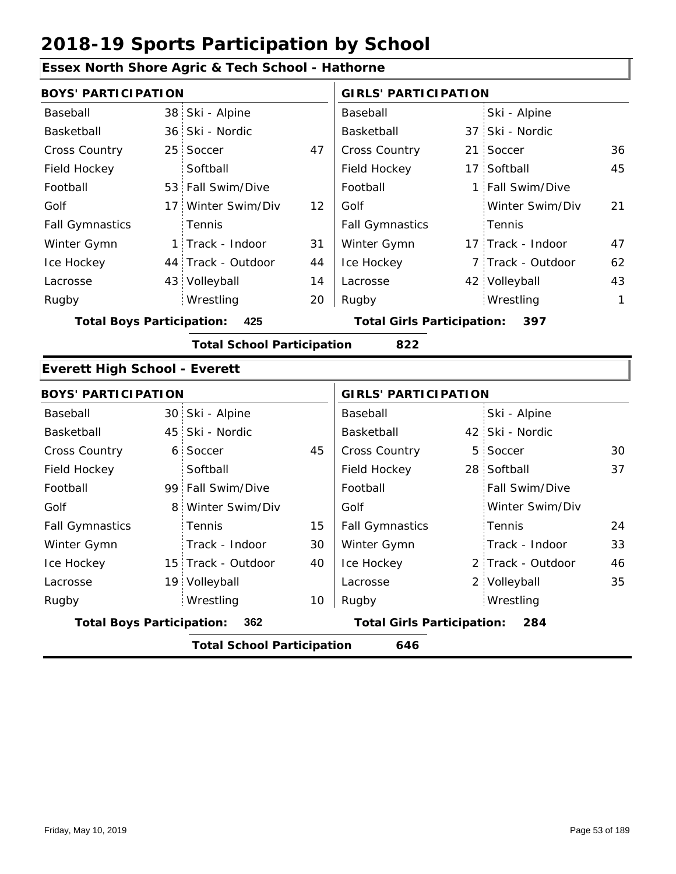#### **Essex North Shore Agric & Tech School - Hathorne** 38 Ski - Alpine 36 37 Ski - Nordic 25 21 47 36 Cross Country 17 Softball 53 Fall Swim/Dive | Football | 1 17 Winter Swim/Div 12 44 Track - Outdoor 17 Track - Indoor 43 Volleyball 7 Track - Outdoor 42 Volleyball 43 45 31 21 44 14 47 20 62 Baseball Basketball Cross Country Field Hockey Football Golf Fall Gymnastics Ice Hockey Lacrosse 25 Soccer **Softball** Tennis 1 Track - Indoor Wrestling Rugby Rugby **BOYS' PARTICIPATION GIRLS' PARTICIPATION** Baseball Basketball Field Hockey Football Golf Fall Gymnastics Winter Gymn Ice Hockey Lacrosse Ski - Alpine 37 Ski - Nordic 21 Soccer Fall Swim/Dive Winter Swim/Div Tennis Winter Gymn Wrestling 1 **Total Boys Participation: 425 Total Girls Participation: 397 Total School Participation 822 Everett High School - Everett** 30 Ski - Alpine 45 42 Ski - Nordic 6 5 45 30 Cross Country 28 Softball 99 Fall Swim/Dive 8 Winter Swim/Div 15 Track - Outdoor 19 Volleyball 2 Track - Outdoor 2 Volleyball 35 37 15 30 40 24 33 10 46 Baseball Basketball Cross Country Field Hockey Football Golf Fall Gymnastics Ice Hockey Lacrosse 6 Soccer **Softball Tennis** Track - Indoor Wrestling Rugby Rugby **BOYS' PARTICIPATION GIRLS' PARTICIPATION** Baseball Basketball Field Hockey Football Golf Fall Gymnastics Winter Gymn Ice Hockey Lacrosse Ski - Alpine 42 Ski - Nordic 5 Soccer Fall Swim/Dive Winter Swim/Div Tennis Track - Indoor Winter Gymn Wrestling **Total Boys Participation: 362 Total Girls Participation: 284 Total School Participation 646**

Friday, May 10, 2019 Page 53 of 189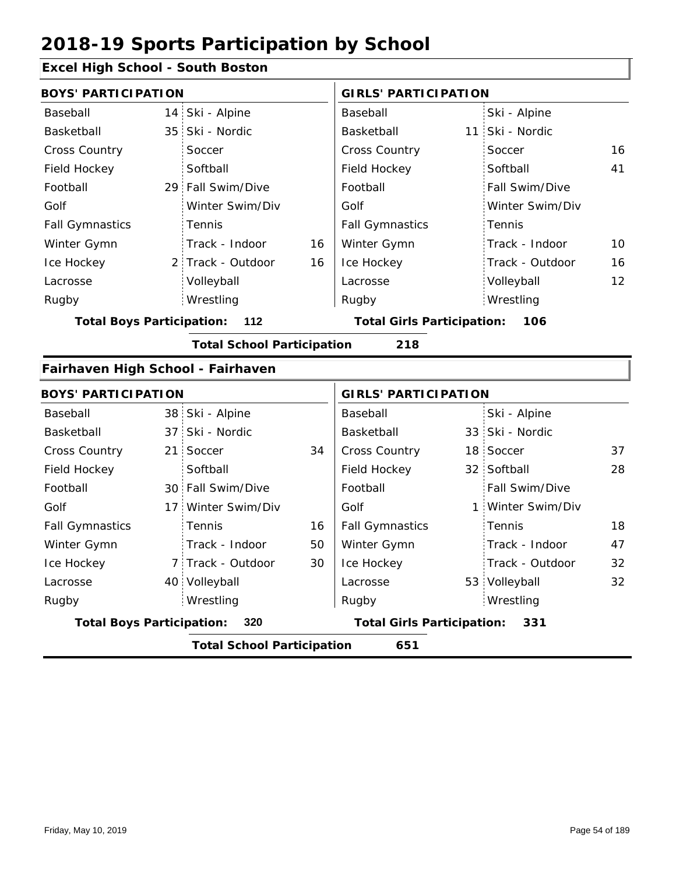### **Excel High School - South Boston**

| <b>BOYS' PARTICIPATION</b>        |                 |                                   |    | <b>GIRLS' PARTICIPATION</b>       |  |                   |    |  |
|-----------------------------------|-----------------|-----------------------------------|----|-----------------------------------|--|-------------------|----|--|
| Baseball                          | 14              | Ski - Alpine                      |    | Baseball                          |  | Ski - Alpine      |    |  |
| Basketball                        | 35 <sup>1</sup> | Ski - Nordic                      |    | Basketball                        |  | 11 Ski - Nordic   |    |  |
| Cross Country                     |                 | Soccer                            |    | <b>Cross Country</b>              |  | Soccer            | 16 |  |
| Field Hockey                      |                 | Softball                          |    | Field Hockey                      |  | Softball          | 41 |  |
| Football                          |                 | 29 Fall Swim/Dive                 |    | Football                          |  | Fall Swim/Dive    |    |  |
| Golf                              |                 | Winter Swim/Div                   |    | Golf                              |  | Winter Swim/Div   |    |  |
| <b>Fall Gymnastics</b>            |                 | Tennis                            |    | <b>Fall Gymnastics</b>            |  | Tennis            |    |  |
| Winter Gymn                       |                 | Track - Indoor                    | 16 | Winter Gymn                       |  | Track - Indoor    | 10 |  |
| Ice Hockey                        |                 | 2 Track - Outdoor                 | 16 | Ice Hockey                        |  | Track - Outdoor   | 16 |  |
| Lacrosse                          |                 | Volleyball                        |    | Lacrosse                          |  | Volleyball        | 12 |  |
| Rugby                             |                 | Wrestling                         |    | Rugby                             |  | Wrestling         |    |  |
| <b>Total Boys Participation:</b>  |                 | 112                               |    | <b>Total Girls Participation:</b> |  | 106               |    |  |
|                                   |                 | <b>Total School Participation</b> |    | 218                               |  |                   |    |  |
| Fairhaven High School - Fairhaven |                 |                                   |    |                                   |  |                   |    |  |
| <b>BOYS' PARTICIPATION</b>        |                 |                                   |    | <b>GIRLS' PARTICIPATION</b>       |  |                   |    |  |
| Baseball                          |                 | 38 Ski - Alpine                   |    | Baseball                          |  | Ski - Alpine      |    |  |
| Basketball                        | 37 <sup>1</sup> | Ski - Nordic                      |    | Basketball                        |  | 33 Ski - Nordic   |    |  |
| <b>Cross Country</b>              | 21 <sup>1</sup> | Soccer                            | 34 | Cross Country                     |  | 18 Soccer         | 37 |  |
| Field Hockey                      |                 | Softball                          |    | Field Hockey                      |  | 32 Softball       | 28 |  |
| Football                          |                 | 30 Fall Swim/Dive                 |    | Football                          |  | Fall Swim/Dive    |    |  |
| Golf                              | 17:             | Winter Swim/Div                   |    | Golf                              |  | 1 Winter Swim/Div |    |  |
| <b>Fall Gymnastics</b>            |                 | Tennis                            | 16 | <b>Fall Gymnastics</b>            |  | Tennis            | 18 |  |
| Winter Gymn                       |                 | Track - Indoor                    | 50 | Winter Gymn                       |  | Track - Indoor    | 47 |  |
| Ice Hockey                        | 7:              | Track - Outdoor                   | 30 | Ice Hockey                        |  | Track - Outdoor   | 32 |  |
| Lacrosse                          |                 | 40 Volleyball                     |    | Lacrosse                          |  | 53 Volleyball     | 32 |  |
| Rugby                             |                 | Wrestling                         |    | Rugby                             |  | Wrestling         |    |  |

**Total Boys Participation: 320 Total Girls Participation: 331**

**Total School Participation 651**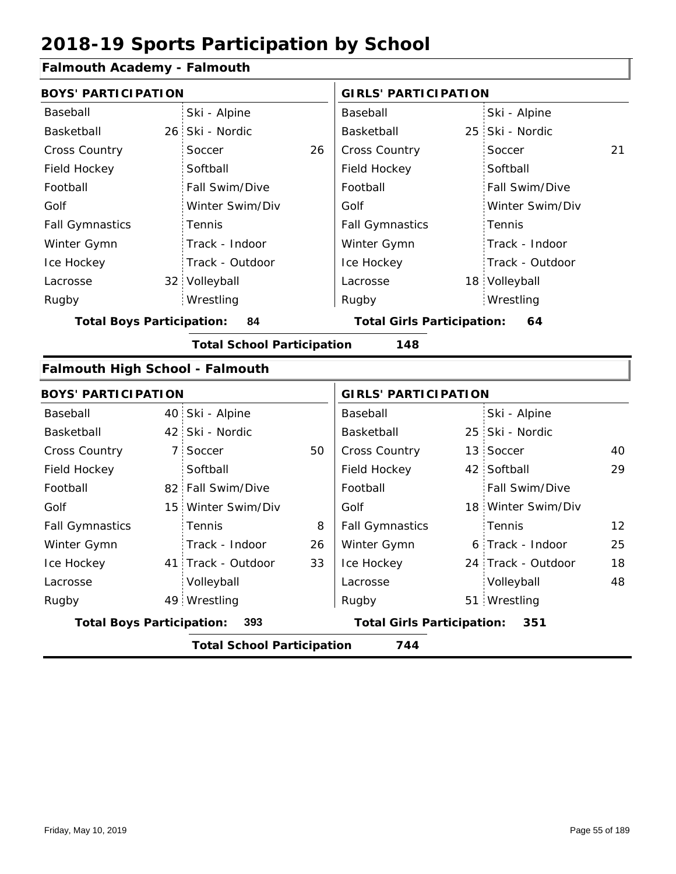### **Falmouth Academy - Falmouth**

| <b>BOYS' PARTICIPATION</b>             |             |                                   |    | <b>GIRLS' PARTICIPATION</b>              |  |                    |    |
|----------------------------------------|-------------|-----------------------------------|----|------------------------------------------|--|--------------------|----|
| Baseball                               |             | Ski - Alpine                      |    | Baseball                                 |  | Ski - Alpine       |    |
| <b>Basketball</b>                      | $26 -$      | Ski - Nordic                      |    | <b>Basketball</b>                        |  | 25 Ski - Nordic    |    |
| <b>Cross Country</b>                   |             | Soccer                            | 26 | Cross Country                            |  | Soccer             | 21 |
| Field Hockey                           |             | Softball                          |    | Field Hockey                             |  | Softball           |    |
| Football                               |             | Fall Swim/Dive                    |    | Football                                 |  | Fall Swim/Dive     |    |
| Golf                                   |             | Winter Swim/Div                   |    | Golf                                     |  | Winter Swim/Div    |    |
| <b>Fall Gymnastics</b>                 |             | Tennis                            |    | <b>Fall Gymnastics</b>                   |  | Tennis             |    |
| Winter Gymn                            |             | Track - Indoor                    |    | Winter Gymn                              |  | Track - Indoor     |    |
| Ice Hockey                             |             | Track - Outdoor                   |    | Ice Hockey                               |  | Track - Outdoor    |    |
| Lacrosse                               |             | 32 Volleyball                     |    | Lacrosse                                 |  | 18 Volleyball      |    |
| Rugby                                  |             | Wrestling                         |    | Rugby                                    |  | Wrestling          |    |
| <b>Total Boys Participation:</b>       |             | 84                                |    | <b>Total Girls Participation:</b>        |  | 64                 |    |
|                                        |             | <b>Total School Participation</b> |    | 148                                      |  |                    |    |
| <b>Falmouth High School - Falmouth</b> |             |                                   |    |                                          |  |                    |    |
| <b>BOYS' PARTICIPATION</b>             |             |                                   |    | <b>GIRLS' PARTICIPATION</b>              |  |                    |    |
| Baseball                               |             | 40 Ski - Alpine                   |    | Baseball                                 |  | Ski - Alpine       |    |
| <b>Basketball</b>                      |             | 42 Ski - Nordic                   |    | <b>Basketball</b>                        |  | 25 Ski - Nordic    |    |
| Cross Country                          | $7^{\circ}$ | Soccer                            | 50 | <b>Cross Country</b>                     |  | 13 Soccer          | 40 |
| Field Hockey                           |             | Softball                          |    | Field Hockey                             |  | 42 Softball        | 29 |
| Football                               |             | 82 Fall Swim/Dive                 |    | Football                                 |  | Fall Swim/Dive     |    |
| Golf                                   |             | 15 Winter Swim/Div                |    | Golf                                     |  | 18 Winter Swim/Div |    |
| <b>Fall Gymnastics</b>                 |             | Tennis                            | 8  | <b>Fall Gymnastics</b>                   |  | Tennis             | 12 |
| Winter Gymn                            |             | Track - Indoor                    | 26 | Winter Gymn                              |  | 6 Track - Indoor   | 25 |
| Ice Hockey                             |             | 41 Track - Outdoor                | 33 | Ice Hockey                               |  | 24 Track - Outdoor | 18 |
| Lacrosse                               |             | Volleyball                        |    | Lacrosse                                 |  | Volleyball         | 48 |
| Rugby                                  |             | 49 Wrestling                      |    | Rugby                                    |  | 51 Wrestling       |    |
| <b>Total Boys Participation:</b>       |             | 393                               |    | <b>Total Girls Participation:</b><br>351 |  |                    |    |
|                                        |             | <b>Total School Participation</b> |    | 744                                      |  |                    |    |

I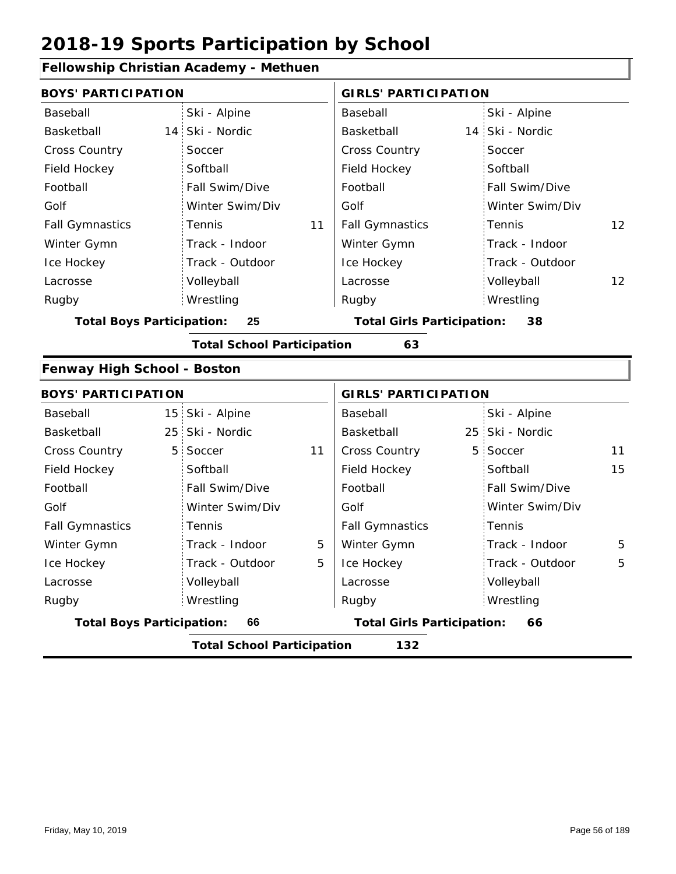#### **Fellowship Christian Academy - Methuen**

| <b>BOYS' PARTICIPATION</b>             |                                   |    | <b>GIRLS' PARTICIPATION</b>       |   |                 |                   |
|----------------------------------------|-----------------------------------|----|-----------------------------------|---|-----------------|-------------------|
| Baseball                               | Ski - Alpine                      |    | Baseball                          |   | Ski - Alpine    |                   |
| Basketball                             | 14 Ski - Nordic                   |    | Basketball                        |   | 14 Ski - Nordic |                   |
| Cross Country                          | Soccer                            |    | Cross Country                     |   | Soccer          |                   |
| Field Hockey                           | Softball                          |    | Field Hockey                      |   | Softball        |                   |
| Football                               | Fall Swim/Dive                    |    | Football                          |   | Fall Swim/Dive  |                   |
| Golf                                   | Winter Swim/Div                   |    | Golf                              |   | Winter Swim/Div |                   |
| <b>Fall Gymnastics</b>                 | Tennis                            | 11 | <b>Fall Gymnastics</b>            |   | Tennis          | 12                |
| Winter Gymn                            | Track - Indoor                    |    | Winter Gymn                       |   | Track - Indoor  |                   |
| Ice Hockey                             | Track - Outdoor                   |    | Ice Hockey                        |   | Track - Outdoor |                   |
| Lacrosse                               | Volleyball                        |    | Lacrosse                          |   | Volleyball      | $12 \overline{ }$ |
| Rugby                                  | Wrestling                         |    | Rugby                             |   | Wrestling       |                   |
| <b>Total Boys Participation:</b>       | 25                                |    | <b>Total Girls Participation:</b> |   | 38              |                   |
|                                        | <b>Total School Participation</b> |    | 63                                |   |                 |                   |
| Fenway High School - Boston            |                                   |    |                                   |   |                 |                   |
| <b>BOYS' PARTICIPATION</b>             |                                   |    | <b>GIRLS' PARTICIPATION</b>       |   |                 |                   |
| Baseball                               | 15 Ski - Alpine                   |    | Baseball                          |   | Ski - Alpine    |                   |
| Basketball                             | 25 Ski - Nordic                   |    | Basketball                        |   | 25 Ski - Nordic |                   |
| <b>Cross Country</b><br>5 <sub>1</sub> | Soccer                            | 11 | Cross Country                     | 5 | Soccer          | 11                |
| Field Hockey                           | Softball                          |    | Field Hockey                      |   | Softball        | 15                |
| Football                               | Fall Swim/Dive                    |    | Football                          |   | Fall Swim/Dive  |                   |
| Golf                                   | Winter Swim/Div                   |    | Golf                              |   | Winter Swim/Div |                   |
| <b>Fall Gymnastics</b>                 | Tennis                            |    | <b>Fall Gymnastics</b>            |   | Tennis          |                   |
| Winter Gymn                            | Track - Indoor                    | 5  | Winter Gymn                       |   | Track - Indoor  | 5                 |
| Ice Hockey                             | Track - Outdoor                   | 5  | Ice Hockey                        |   | Track - Outdoor | 5                 |
| Lacrosse                               | Volleyball                        |    | Lacrosse                          |   | Volleyball      |                   |
| Rugby                                  | Wrestling                         |    | Rugby                             |   | Wrestling       |                   |
| <b>Total Boys Participation:</b>       | 66                                |    | <b>Total Girls Participation:</b> |   | 66              |                   |
|                                        | <b>Total School Participation</b> |    | 132                               |   |                 |                   |
|                                        |                                   |    |                                   |   |                 |                   |

I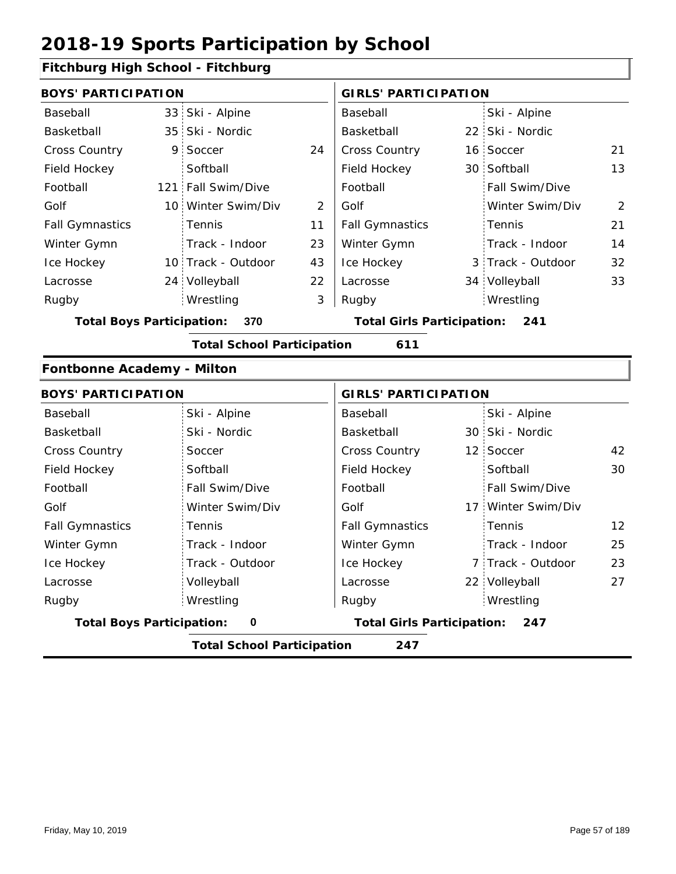#### **Fitchburg High School - Fitchburg**

|                                         | <b>BOYS' PARTICIPATION</b> |                    |                                          |                        | <b>GIRLS' PARTICIPATION</b> |                   |    |  |
|-----------------------------------------|----------------------------|--------------------|------------------------------------------|------------------------|-----------------------------|-------------------|----|--|
| Baseball                                |                            | 33 Ski - Alpine    |                                          | Baseball               |                             | Ski - Alpine      |    |  |
| Basketball                              |                            | 35 Ski - Nordic    |                                          | Basketball             |                             | 22 Ski - Nordic   |    |  |
| <b>Cross Country</b>                    |                            | 9 Soccer           | 24                                       | <b>Cross Country</b>   |                             | 16 Soccer         | 21 |  |
| Field Hockey                            |                            | Softball           |                                          | Field Hockey           |                             | 30 Softball       | 13 |  |
| Football                                |                            | 121 Fall Swim/Dive |                                          | Football               |                             | Fall Swim/Dive    |    |  |
| Golf                                    |                            | 10 Winter Swim/Div | 2                                        | Golf                   |                             | Winter Swim/Div   | 2  |  |
| <b>Fall Gymnastics</b>                  |                            | Tennis             | 11                                       | <b>Fall Gymnastics</b> |                             | Tennis            | 21 |  |
| Winter Gymn                             |                            | Track - Indoor     | 23                                       | Winter Gymn            |                             | Track - Indoor    | 14 |  |
| Ice Hockey                              |                            | 10 Track - Outdoor | 43                                       | Ice Hockey             |                             | 3 Track - Outdoor | 32 |  |
| Lacrosse                                |                            | 24 Volleyball      | 22                                       | Lacrosse               |                             | 34 Volleyball     | 33 |  |
| Rugby                                   |                            | Wrestling          | 3                                        | Rugby                  |                             | Wrestling         |    |  |
| 370<br><b>Total Boys Participation:</b> |                            |                    | <b>Total Girls Participation:</b><br>241 |                        |                             |                   |    |  |

**Total School Participation 611**

#### **Fontbonne Academy - Milton**

| <b>BOYS' PARTICIPATION</b>       |                 | <b>GIRLS' PARTICIPATION</b>              |                         |  |  |
|----------------------------------|-----------------|------------------------------------------|-------------------------|--|--|
| Baseball                         | Ski - Alpine    | Baseball                                 | Ski - Alpine            |  |  |
| Basketball                       | Ski - Nordic    | Basketball                               | 30 Ski - Nordic         |  |  |
| <b>Cross Country</b>             | Soccer          | <b>Cross Country</b>                     | 12 Soccer<br>42         |  |  |
| Field Hockey                     | Softball        | Field Hockey                             | Softball<br>30          |  |  |
| Football                         | Fall Swim/Dive  | Football                                 | <b>Fall Swim/Dive</b>   |  |  |
| Golf                             | Winter Swim/Div | Golf                                     | 17 Winter Swim/Div      |  |  |
| <b>Fall Gymnastics</b>           | <b>Tennis</b>   | <b>Fall Gymnastics</b>                   | 12<br>: Tennis          |  |  |
| Winter Gymn                      | Track - Indoor  | Winter Gymn                              | Track - Indoor<br>25    |  |  |
| Ice Hockey                       | Track - Outdoor | Ice Hockey                               | 23<br>7 Track - Outdoor |  |  |
| Lacrosse                         | Volleyball      | Lacrosse                                 | 22 Volleyball<br>27     |  |  |
| Rugby                            | Wrestling       | Rugby                                    | Wrestling               |  |  |
| <b>Total Boys Participation:</b> | 0               | <b>Total Girls Participation:</b><br>247 |                         |  |  |

**Total School Participation 247**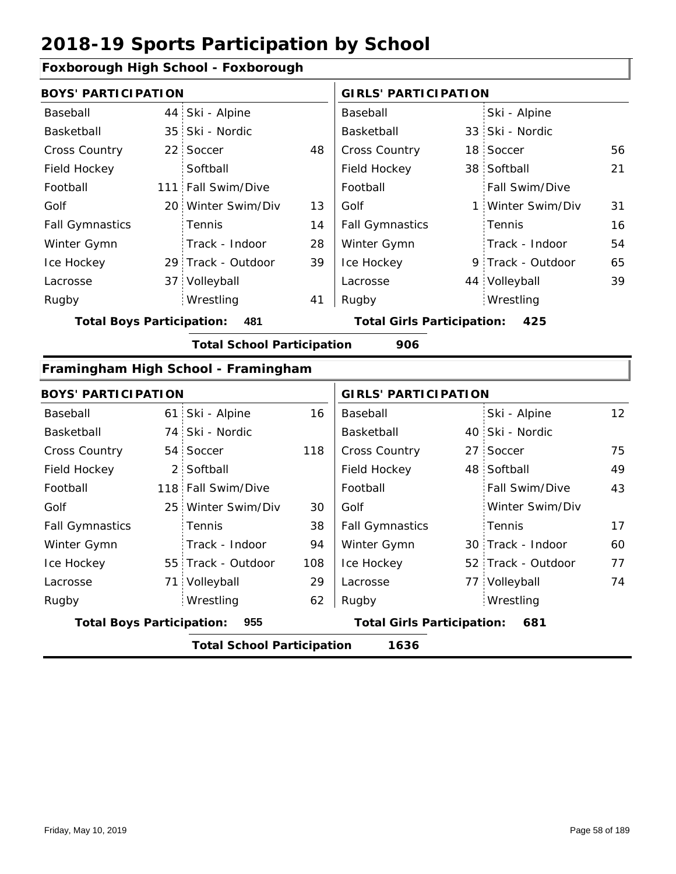#### **Foxborough High School - Foxborough**

| <b>BOYS' PARTICIPATION</b> |                    |    | <b>GIRLS' PARTICIPATION</b> |  |                       |    |
|----------------------------|--------------------|----|-----------------------------|--|-----------------------|----|
| Baseball                   | 44 Ski - Alpine    |    | Baseball                    |  | Ski - Alpine          |    |
| Basketball                 | 35 Ski - Nordic    |    | Basketball                  |  | 33 Ski - Nordic       |    |
| <b>Cross Country</b>       | 22 Soccer          | 48 | <b>Cross Country</b>        |  | 18 Soccer             | 56 |
| Field Hockey               | Softball           |    | Field Hockey                |  | 38 Softball           | 21 |
| Football                   | 111 Fall Swim/Dive |    | Football                    |  | <b>Fall Swim/Dive</b> |    |
| Golf                       | 20 Winter Swim/Div | 13 | Golf                        |  | 1 Winter Swim/Div     | 31 |
| <b>Fall Gymnastics</b>     | <b>Tennis</b>      | 14 | <b>Fall Gymnastics</b>      |  | Tennis                | 16 |
| Winter Gymn                | Track - Indoor     | 28 | Winter Gymn                 |  | Track - Indoor        | 54 |
| Ice Hockey                 | 29 Track - Outdoor | 39 | Ice Hockey                  |  | 9 Track - Outdoor     | 65 |
| Lacrosse                   | 37 Volleyball      |    | Lacrosse                    |  | 44 Volleyball         | 39 |
| Rugby                      | Wrestling          | 41 | Rugby                       |  | Wrestling             |    |
|                            |                    |    |                             |  |                       |    |

**Total Boys Participation: 481 Total Girls Participation: 425**

**Total School Participation 906**

#### **Framingham High School - Framingham**

| <b>BOYS' PARTICIPATION</b>                |  |                    |     | <b>GIRLS' PARTICIPATION</b>       |  |                    |                 |  |
|-------------------------------------------|--|--------------------|-----|-----------------------------------|--|--------------------|-----------------|--|
| Baseball                                  |  | 61 Ski - Alpine    | 16  | Baseball                          |  | Ski - Alpine       | 12 <sup>2</sup> |  |
| Basketball                                |  | 74 Ski - Nordic    |     | Basketball                        |  | 40 Ski - Nordic    |                 |  |
| <b>Cross Country</b>                      |  | 54 Soccer          | 118 | <b>Cross Country</b>              |  | 27 Soccer          | 75              |  |
| Field Hockey                              |  | 2 Softball         |     | Field Hockey                      |  | 48 Softball        | 49              |  |
| Football                                  |  | 118 Fall Swim/Dive |     | Football                          |  | Fall Swim/Dive     | 43              |  |
| Golf                                      |  | 25 Winter Swim/Div | 30  | Golf                              |  | Winter Swim/Div    |                 |  |
| <b>Fall Gymnastics</b>                    |  | Tennis             | 38  | <b>Fall Gymnastics</b>            |  | Tennis             | 17              |  |
| Winter Gymn                               |  | Track - Indoor     | 94  | Winter Gymn                       |  | 30 Track - Indoor  | 60              |  |
| Ice Hockey                                |  | 55 Track - Outdoor | 108 | Ice Hockey                        |  | 52 Track - Outdoor | 77              |  |
| Lacrosse                                  |  | 71 Volleyball      | 29  | Lacrosse                          |  | 77 Volleyball      | 74              |  |
| Rugby                                     |  | Wrestling          | 62  | Rugby                             |  | Wrestling          |                 |  |
| <b>Total Boys Participation:</b>          |  | 955                |     | <b>Total Girls Participation:</b> |  | 681                |                 |  |
| 1636<br><b>Total School Participation</b> |  |                    |     |                                   |  |                    |                 |  |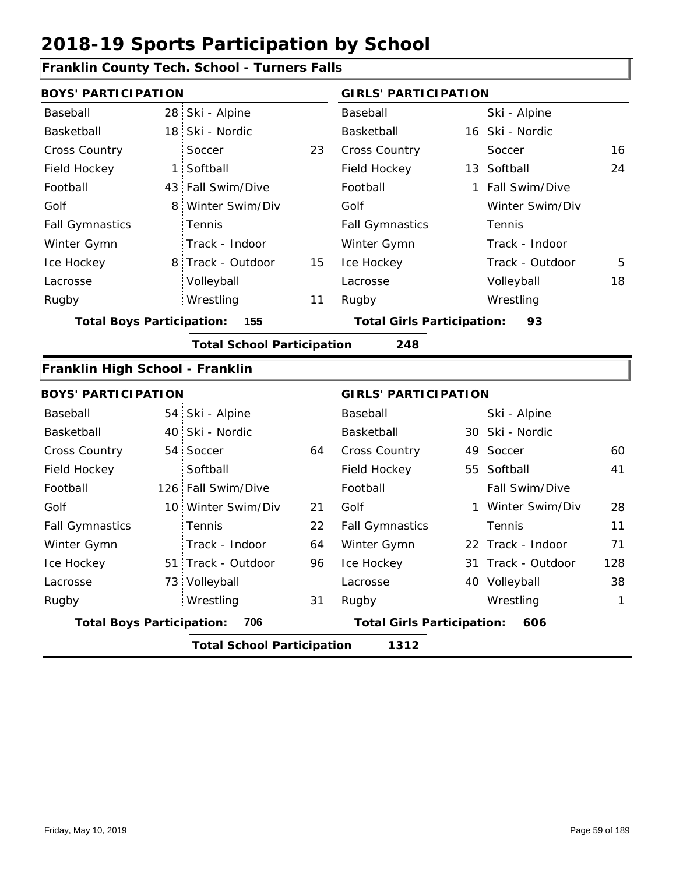### **Franklin County Tech. School - Turners Falls**

| <b>BOYS' PARTICIPATION</b>       |                |                                   |    | <b>GIRLS' PARTICIPATION</b>              |  |                    |     |  |
|----------------------------------|----------------|-----------------------------------|----|------------------------------------------|--|--------------------|-----|--|
| Baseball                         |                | 28 Ski - Alpine                   |    | Baseball                                 |  | Ski - Alpine       |     |  |
| Basketball                       |                | 18 Ski - Nordic                   |    | Basketball                               |  | 16 Ski - Nordic    |     |  |
| Cross Country                    |                | Soccer                            | 23 | <b>Cross Country</b>                     |  | Soccer             | 16  |  |
| Field Hockey                     | $\mathbf{1}$   | Softball                          |    | Field Hockey                             |  | 13 Softball        | 24  |  |
| Football                         |                | 43 Fall Swim/Dive                 |    | Football                                 |  | 1 Fall Swim/Dive   |     |  |
| Golf                             | 8 <sup>1</sup> | Winter Swim/Div                   |    | Golf                                     |  | Winter Swim/Div    |     |  |
| <b>Fall Gymnastics</b>           |                | Tennis                            |    | <b>Fall Gymnastics</b>                   |  | Tennis             |     |  |
| Winter Gymn                      |                | Track - Indoor                    |    | Winter Gymn                              |  | Track - Indoor     |     |  |
| Ice Hockey                       |                | 8 Track - Outdoor                 | 15 | Ice Hockey                               |  | Track - Outdoor    | 5   |  |
| Lacrosse                         |                | Volleyball                        |    | Lacrosse                                 |  | Volleyball         | 18  |  |
| Rugby                            |                | Wrestling                         | 11 | Rugby                                    |  | Wrestling          |     |  |
| <b>Total Boys Participation:</b> |                | 155                               |    | <b>Total Girls Participation:</b>        |  | 93                 |     |  |
|                                  |                | <b>Total School Participation</b> |    | 248                                      |  |                    |     |  |
| Franklin High School - Franklin  |                |                                   |    |                                          |  |                    |     |  |
| <b>BOYS' PARTICIPATION</b>       |                |                                   |    | <b>GIRLS' PARTICIPATION</b>              |  |                    |     |  |
| Baseball                         |                | 54 Ski - Alpine                   |    | Baseball                                 |  | Ski - Alpine       |     |  |
| Basketball                       | 40             | Ski - Nordic                      |    | Basketball                               |  | 30 Ski - Nordic    |     |  |
| <b>Cross Country</b>             |                | 54 Soccer                         | 64 | Cross Country                            |  | 49 Soccer          | 60  |  |
| Field Hockey                     |                | Softball                          |    | Field Hockey                             |  | 55 Softball        | 41  |  |
| Football                         |                | 126 Fall Swim/Dive                |    | Football                                 |  | Fall Swim/Dive     |     |  |
| Golf                             |                | 10 Winter Swim/Div                | 21 | Golf                                     |  | 1 Winter Swim/Div  | 28  |  |
| <b>Fall Gymnastics</b>           |                | Tennis                            | 22 | <b>Fall Gymnastics</b>                   |  | Tennis             | 11  |  |
| Winter Gymn                      |                | Track - Indoor                    | 64 | Winter Gymn                              |  | 22 Track - Indoor  | 71  |  |
| Ice Hockey                       |                | 51 Track - Outdoor                | 96 | Ice Hockey                               |  | 31 Track - Outdoor | 128 |  |
| Lacrosse                         |                | 73 Volleyball                     |    | Lacrosse                                 |  | 40 Volleyball      | 38  |  |
| Rugby                            |                | Wrestling                         | 31 | Rugby                                    |  | Wrestling          | 1   |  |
| <b>Total Boys Participation:</b> |                | 706                               |    | <b>Total Girls Participation:</b><br>606 |  |                    |     |  |
|                                  |                | <b>Total School Participation</b> |    | 1312                                     |  |                    |     |  |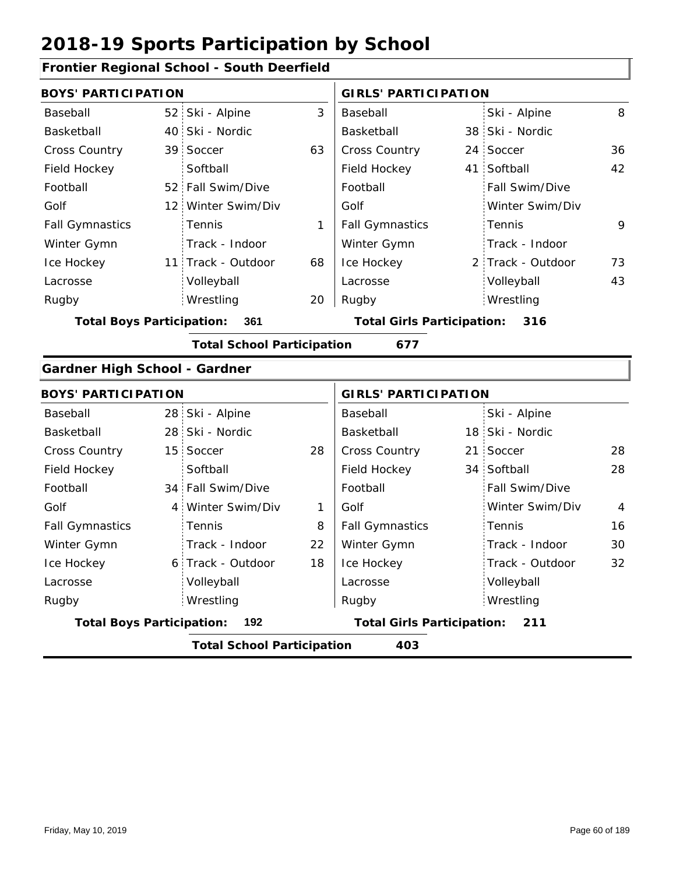### **Frontier Regional School - South Deerfield**

| Ski - Alpine    | 3                                                                                                                                                                                                                                                                                                                                                                                                  | Baseball               |                                                                        | Ski - Alpine    | 8                                                                                                                                                                                                                                                             |
|-----------------|----------------------------------------------------------------------------------------------------------------------------------------------------------------------------------------------------------------------------------------------------------------------------------------------------------------------------------------------------------------------------------------------------|------------------------|------------------------------------------------------------------------|-----------------|---------------------------------------------------------------------------------------------------------------------------------------------------------------------------------------------------------------------------------------------------------------|
|                 |                                                                                                                                                                                                                                                                                                                                                                                                    | Basketball             |                                                                        |                 |                                                                                                                                                                                                                                                               |
|                 | 63                                                                                                                                                                                                                                                                                                                                                                                                 | Cross Country          |                                                                        |                 | 36                                                                                                                                                                                                                                                            |
| Softball        |                                                                                                                                                                                                                                                                                                                                                                                                    | Field Hockey           |                                                                        |                 | 42                                                                                                                                                                                                                                                            |
|                 |                                                                                                                                                                                                                                                                                                                                                                                                    | Football               |                                                                        | Fall Swim/Dive  |                                                                                                                                                                                                                                                               |
|                 |                                                                                                                                                                                                                                                                                                                                                                                                    | Golf                   |                                                                        | Winter Swim/Div |                                                                                                                                                                                                                                                               |
| Tennis          | 1                                                                                                                                                                                                                                                                                                                                                                                                  | <b>Fall Gymnastics</b> |                                                                        | Tennis          | 9                                                                                                                                                                                                                                                             |
| Track - Indoor  |                                                                                                                                                                                                                                                                                                                                                                                                    | Winter Gymn            |                                                                        | Track - Indoor  |                                                                                                                                                                                                                                                               |
|                 | 68                                                                                                                                                                                                                                                                                                                                                                                                 | Ice Hockey             |                                                                        |                 | 73                                                                                                                                                                                                                                                            |
| Volleyball      |                                                                                                                                                                                                                                                                                                                                                                                                    | Lacrosse               |                                                                        | Volleyball      | 43                                                                                                                                                                                                                                                            |
| Wrestling       | 20                                                                                                                                                                                                                                                                                                                                                                                                 | Rugby                  |                                                                        | Wrestling       |                                                                                                                                                                                                                                                               |
| 361             |                                                                                                                                                                                                                                                                                                                                                                                                    |                        |                                                                        | 316             |                                                                                                                                                                                                                                                               |
|                 |                                                                                                                                                                                                                                                                                                                                                                                                    | 677                    |                                                                        |                 |                                                                                                                                                                                                                                                               |
|                 |                                                                                                                                                                                                                                                                                                                                                                                                    |                        |                                                                        |                 |                                                                                                                                                                                                                                                               |
|                 |                                                                                                                                                                                                                                                                                                                                                                                                    |                        |                                                                        |                 |                                                                                                                                                                                                                                                               |
|                 |                                                                                                                                                                                                                                                                                                                                                                                                    | Baseball               |                                                                        | Ski - Alpine    |                                                                                                                                                                                                                                                               |
|                 |                                                                                                                                                                                                                                                                                                                                                                                                    | Basketball             |                                                                        |                 |                                                                                                                                                                                                                                                               |
| Soccer          | 28                                                                                                                                                                                                                                                                                                                                                                                                 | <b>Cross Country</b>   |                                                                        | Soccer          | 28                                                                                                                                                                                                                                                            |
| Softball        |                                                                                                                                                                                                                                                                                                                                                                                                    | Field Hockey           |                                                                        |                 | 28                                                                                                                                                                                                                                                            |
| Fall Swim/Dive  |                                                                                                                                                                                                                                                                                                                                                                                                    | Football               |                                                                        | Fall Swim/Dive  |                                                                                                                                                                                                                                                               |
| Winter Swim/Div | 1                                                                                                                                                                                                                                                                                                                                                                                                  | Golf                   |                                                                        | Winter Swim/Div | $\overline{4}$                                                                                                                                                                                                                                                |
| Tennis          | 8                                                                                                                                                                                                                                                                                                                                                                                                  | <b>Fall Gymnastics</b> |                                                                        | Tennis          | 16                                                                                                                                                                                                                                                            |
| Track - Indoor  | 22                                                                                                                                                                                                                                                                                                                                                                                                 | Winter Gymn            |                                                                        | Track - Indoor  | 30                                                                                                                                                                                                                                                            |
|                 | 18                                                                                                                                                                                                                                                                                                                                                                                                 | Ice Hockey             |                                                                        | Track - Outdoor | 32                                                                                                                                                                                                                                                            |
| Volleyball      |                                                                                                                                                                                                                                                                                                                                                                                                    | Lacrosse               |                                                                        | Volleyball      |                                                                                                                                                                                                                                                               |
| Wrestling       |                                                                                                                                                                                                                                                                                                                                                                                                    | Rugby                  |                                                                        | Wrestling       |                                                                                                                                                                                                                                                               |
| 192             |                                                                                                                                                                                                                                                                                                                                                                                                    |                        |                                                                        | 211             |                                                                                                                                                                                                                                                               |
|                 |                                                                                                                                                                                                                                                                                                                                                                                                    | 403                    |                                                                        |                 |                                                                                                                                                                                                                                                               |
|                 | <b>BOYS' PARTICIPATION</b><br>52 <sup>°</sup><br>40 Ski - Nordic<br>39 Soccer<br>52 Fall Swim/Dive<br>12 Winter Swim/Div<br>11 Track - Outdoor<br><b>Total Boys Participation:</b><br><b>Gardner High School - Gardner</b><br><b>BOYS' PARTICIPATION</b><br>28 Ski - Alpine<br>28 Ski - Nordic<br>15 <sup>1</sup><br>34 <sup>1</sup><br>4<br>6 Track - Outdoor<br><b>Total Boys Participation:</b> |                        | <b>Total School Participation</b><br><b>Total School Participation</b> |                 | <b>GIRLS' PARTICIPATION</b><br>38 Ski - Nordic<br>24 Soccer<br>41 Softball<br>2 Track - Outdoor<br><b>Total Girls Participation:</b><br><b>GIRLS' PARTICIPATION</b><br>18 Ski - Nordic<br>21 <sup>1</sup><br>34 Softball<br><b>Total Girls Participation:</b> |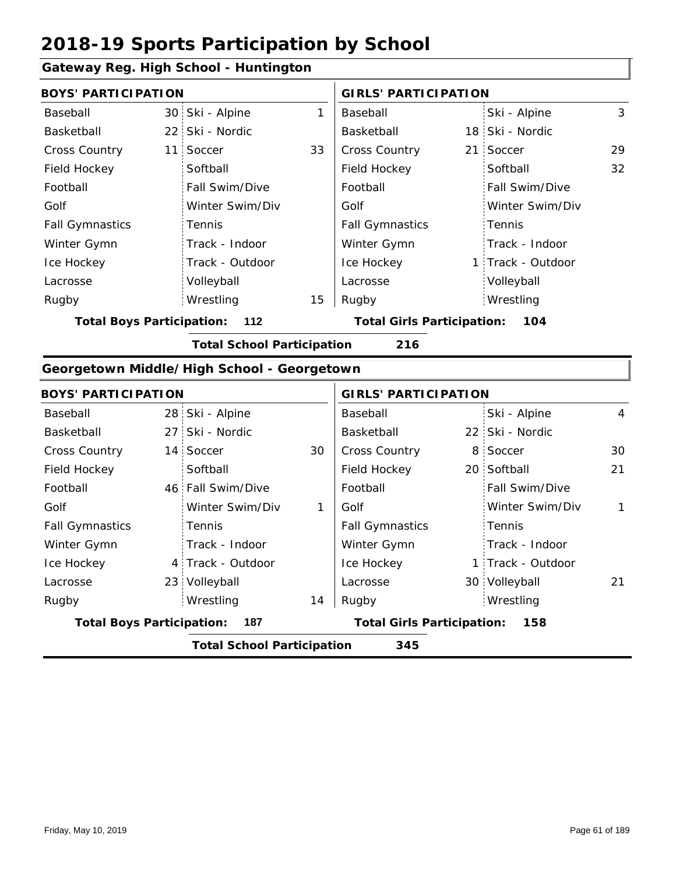### **Gateway Reg. High School - Huntington**

|                                  |                                          | <u>oateway iteg. mgn benoor - numinigton</u> |    |                                   |     |                   |                |  |  |  |
|----------------------------------|------------------------------------------|----------------------------------------------|----|-----------------------------------|-----|-------------------|----------------|--|--|--|
| <b>BOYS' PARTICIPATION</b>       |                                          |                                              |    | <b>GIRLS' PARTICIPATION</b>       |     |                   |                |  |  |  |
| Baseball                         |                                          | 30 Ski - Alpine                              | 1  | Baseball                          |     | Ski - Alpine      | 3              |  |  |  |
| Basketball                       |                                          | 22 Ski - Nordic                              |    | Basketball                        |     | 18 Ski - Nordic   |                |  |  |  |
| Cross Country                    |                                          | 11 Soccer                                    | 33 | <b>Cross Country</b>              | 21: | Soccer            | 29             |  |  |  |
| Field Hockey                     |                                          | Softball                                     |    | Field Hockey                      |     | Softball          | 32             |  |  |  |
| Football                         |                                          | Fall Swim/Dive                               |    | Football                          |     | Fall Swim/Dive    |                |  |  |  |
| Golf                             |                                          | Winter Swim/Div                              |    | Golf                              |     | Winter Swim/Div   |                |  |  |  |
| <b>Fall Gymnastics</b>           |                                          | Tennis                                       |    | <b>Fall Gymnastics</b>            |     | Tennis            |                |  |  |  |
| Winter Gymn                      |                                          | Track - Indoor                               |    | Winter Gymn                       |     | Track - Indoor    |                |  |  |  |
| Ice Hockey                       |                                          | Track - Outdoor                              |    | Ice Hockey                        |     | 1 Track - Outdoor |                |  |  |  |
| Lacrosse                         |                                          | Volleyball                                   |    | Lacrosse                          |     | Volleyball        |                |  |  |  |
| Rugby                            |                                          | Wrestling                                    | 15 | Rugby                             |     | Wrestling         |                |  |  |  |
| <b>Total Boys Participation:</b> |                                          | 112                                          |    | <b>Total Girls Participation:</b> |     | 104               |                |  |  |  |
|                                  | <b>Total School Participation</b><br>216 |                                              |    |                                   |     |                   |                |  |  |  |
|                                  |                                          | Georgetown Middle/High School - Georgetown   |    |                                   |     |                   |                |  |  |  |
| <b>BOYS' PARTICIPATION</b>       |                                          |                                              |    | <b>GIRLS' PARTICIPATION</b>       |     |                   |                |  |  |  |
| Baseball                         |                                          | 28 Ski - Alpine                              |    | Baseball                          |     | Ski - Alpine      | $\overline{4}$ |  |  |  |
| Basketball                       |                                          | 27 Ski - Nordic                              |    | Basketball                        |     | 22 Ski - Nordic   |                |  |  |  |
| Cross Country                    |                                          | 14 Soccer                                    | 30 | Cross Country                     |     | 8 Soccer          | 30             |  |  |  |
| Field Hockey                     |                                          | Softball                                     |    | Field Hockey                      |     | 20 Softball       | 21             |  |  |  |
| Football                         |                                          | 46 Fall Swim/Dive                            |    | Football                          |     | Fall Swim/Dive    |                |  |  |  |
| Golf                             |                                          | Winter Swim/Div                              | 1  | Golf                              |     | Winter Swim/Div   | 1              |  |  |  |
| <b>Fall Gymnastics</b>           |                                          | Tennis                                       |    | <b>Fall Gymnastics</b>            |     | Tennis            |                |  |  |  |
| Winter Gymn                      |                                          | Track - Indoor                               |    | Winter Gymn                       |     | Track - Indoor    |                |  |  |  |
| Ice Hockey                       |                                          | 4 Track - Outdoor                            |    | Ice Hockey                        |     | 1 Track - Outdoor |                |  |  |  |
| Lacrosse                         |                                          | 23 Volleyball                                |    | Lacrosse                          |     | 30 Volleyball     | 21             |  |  |  |
| Rugby                            |                                          | Wrestling                                    | 14 | Rugby                             |     | Wrestling         |                |  |  |  |
| <b>Total Boys Participation:</b> |                                          | 187                                          |    | <b>Total Girls Participation:</b> |     | 158               |                |  |  |  |
|                                  | <b>Total School Participation</b><br>345 |                                              |    |                                   |     |                   |                |  |  |  |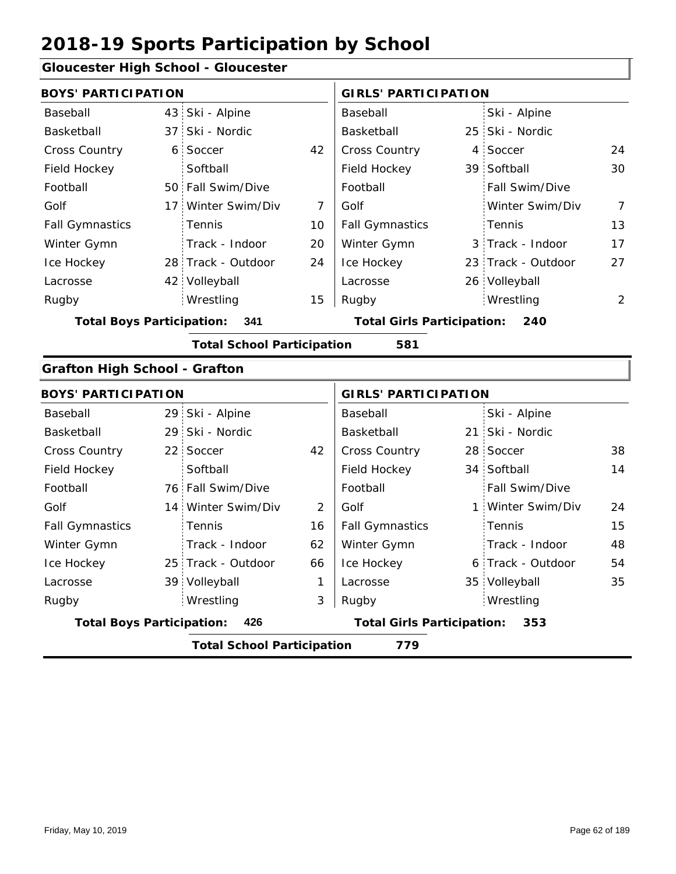#### **Gloucester High School - Gloucester**

| sioucester riigii oorioor - olouee      |                |                                   |              |                                          |     |                    |                |
|-----------------------------------------|----------------|-----------------------------------|--------------|------------------------------------------|-----|--------------------|----------------|
| <b>BOYS' PARTICIPATION</b>              |                |                                   |              | <b>GIRLS' PARTICIPATION</b>              |     |                    |                |
| Baseball                                |                | 43 Ski - Alpine                   |              | Baseball                                 |     | Ski - Alpine       |                |
| Basketball                              | 37             | Ski - Nordic                      |              | Basketball                               | 25  | Ski - Nordic       |                |
| Cross Country                           | 6 <sup>1</sup> | Soccer                            | 42           | <b>Cross Country</b>                     | 4   | Soccer             | 24             |
| Field Hockey                            |                | Softball                          |              | Field Hockey                             |     | 39 Softball        | 30             |
| Football                                |                | 50 Fall Swim/Dive                 |              | Football                                 |     | Fall Swim/Dive     |                |
| Golf                                    |                | 17 Winter Swim/Div                | 7            | Golf                                     |     | Winter Swim/Div    | $\overline{7}$ |
| <b>Fall Gymnastics</b>                  |                | Tennis                            | 10           | <b>Fall Gymnastics</b>                   |     | Tennis             | 13             |
| Winter Gymn                             |                | Track - Indoor                    | 20           | Winter Gymn                              |     | 3 Track - Indoor   | 17             |
| Ice Hockey                              |                | 28 Track - Outdoor                | 24           | Ice Hockey                               |     | 23 Track - Outdoor | 27             |
| Lacrosse                                |                | 42 Volleyball                     |              | Lacrosse                                 |     | 26 Volleyball      |                |
| Rugby                                   |                | Wrestling                         | 15           | Rugby                                    |     | Wrestling          | 2              |
| <b>Total Boys Participation:</b><br>341 |                |                                   |              | <b>Total Girls Participation:</b>        |     | 240                |                |
|                                         |                | <b>Total School Participation</b> |              | 581                                      |     |                    |                |
| <b>Grafton High School - Grafton</b>    |                |                                   |              |                                          |     |                    |                |
| <b>BOYS' PARTICIPATION</b>              |                |                                   |              | <b>GIRLS' PARTICIPATION</b>              |     |                    |                |
| Baseball                                |                | 29 Ski - Alpine                   |              | Baseball                                 |     | Ski - Alpine       |                |
| Basketball                              | 29             | Ski - Nordic                      |              | Basketball                               | 21: | Ski - Nordic       |                |
| <b>Cross Country</b>                    |                | 22 Soccer                         | 42           | <b>Cross Country</b>                     |     | 28 Soccer          | 38             |
| Field Hockey                            |                | Softball                          |              | Field Hockey                             |     | 34 Softball        | 14             |
| Football                                |                | 76 Fall Swim/Dive                 |              | Football                                 |     | Fall Swim/Dive     |                |
| Golf                                    |                | 14 Winter Swim/Div                | 2            | Golf                                     |     | 1 Winter Swim/Div  | 24             |
| <b>Fall Gymnastics</b>                  |                | Tennis                            | 16           | <b>Fall Gymnastics</b>                   |     | Tennis             | 15             |
| Winter Gymn                             |                | Track - Indoor                    | 62           | Winter Gymn                              |     | Track - Indoor     | 48             |
| Ice Hockey                              |                | 25 Track - Outdoor                | 66           | Ice Hockey                               | 6   | Track - Outdoor    | 54             |
| Lacrosse                                |                | 39 Volleyball                     | $\mathbf{1}$ | Lacrosse                                 |     | 35 Volleyball      | 35             |
| Rugby                                   |                | Wrestling                         | 3            | Rugby                                    |     | Wrestling          |                |
| <b>Total Boys Participation:</b><br>426 |                |                                   |              | <b>Total Girls Participation:</b><br>353 |     |                    |                |

**Total School Participation 779**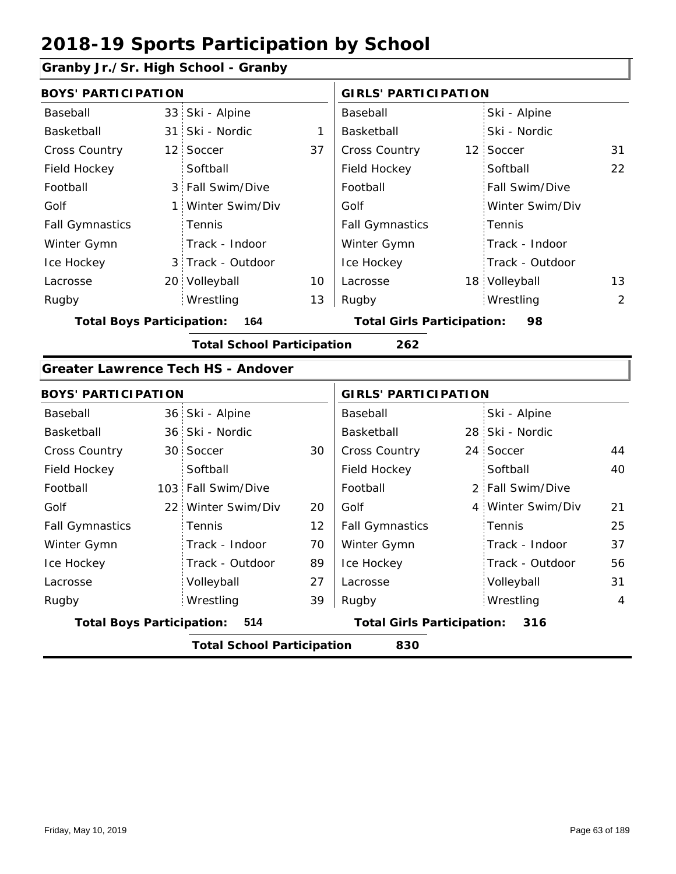### **Granby Jr./Sr. High School - Granby**

| <b>BOYS' PARTICIPATION</b>       |                                           |    | <b>GIRLS' PARTICIPATION</b>       |                   |    |
|----------------------------------|-------------------------------------------|----|-----------------------------------|-------------------|----|
| Baseball                         | 33 Ski - Alpine                           |    | Baseball                          | Ski - Alpine      |    |
| Basketball                       | 31 Ski - Nordic                           | 1  | Basketball                        | Ski - Nordic      |    |
| Cross Country                    | 12 Soccer                                 | 37 | Cross Country                     | 12 Soccer         | 31 |
| Field Hockey                     | Softball                                  |    | Field Hockey                      | Softball          | 22 |
| Football                         | 3 Fall Swim/Dive                          |    | Football                          | Fall Swim/Dive    |    |
| Golf                             | 1 Winter Swim/Div                         |    | Golf                              | Winter Swim/Div   |    |
| <b>Fall Gymnastics</b>           | Tennis                                    |    | <b>Fall Gymnastics</b>            | Tennis            |    |
| Winter Gymn                      | Track - Indoor                            |    | Winter Gymn                       | Track - Indoor    |    |
| Ice Hockey                       | 3 Track - Outdoor                         |    | Ice Hockey                        | Track - Outdoor   |    |
| Lacrosse                         | 20 Volleyball                             | 10 | Lacrosse                          | 18 Volleyball     | 13 |
| Rugby                            | Wrestling                                 | 13 | Rugby                             | Wrestling         | 2  |
| <b>Total Boys Participation:</b> | 164                                       |    | <b>Total Girls Participation:</b> | 98                |    |
|                                  | <b>Total School Participation</b>         |    | 262                               |                   |    |
|                                  | <b>Greater Lawrence Tech HS - Andover</b> |    |                                   |                   |    |
| <b>BOYS' PARTICIPATION</b>       |                                           |    | <b>GIRLS' PARTICIPATION</b>       |                   |    |
| Baseball                         | 36 Ski - Alpine                           |    | Baseball                          | Ski - Alpine      |    |
| Basketball                       | 36 Ski - Nordic                           |    | Basketball                        | 28 Ski - Nordic   |    |
| <b>Cross Country</b>             | 30 Soccer                                 | 30 | Cross Country                     | 24 Soccer         | 44 |
| Field Hockey                     | Softball                                  |    | Field Hockey                      | Softball          | 40 |
| Football                         | 103 Fall Swim/Dive                        |    | Football                          | 2 Fall Swim/Dive  |    |
| Golf                             | 22 Winter Swim/Div                        | 20 | Golf                              | 4 Winter Swim/Div | 21 |
| <b>Fall Gymnastics</b>           | Tennis                                    | 12 | <b>Fall Gymnastics</b>            | Tennis            | 25 |
| Winter Gymn                      | Track - Indoor                            | 70 | Winter Gymn                       | Track - Indoor    | 37 |
| Ice Hockey                       | Track - Outdoor                           | 89 | Ice Hockey                        | Track - Outdoor   | 56 |
| Lacrosse                         | Volleyball                                | 27 | Lacrosse                          | Volleyball        | 31 |
| Rugby                            | Wrestling                                 | 39 | Rugby                             | Wrestling         | 4  |
| <b>Total Boys Participation:</b> | 514                                       |    | <b>Total Girls Participation:</b> | 316               |    |
|                                  | <b>Total School Participation</b>         |    | 830                               |                   |    |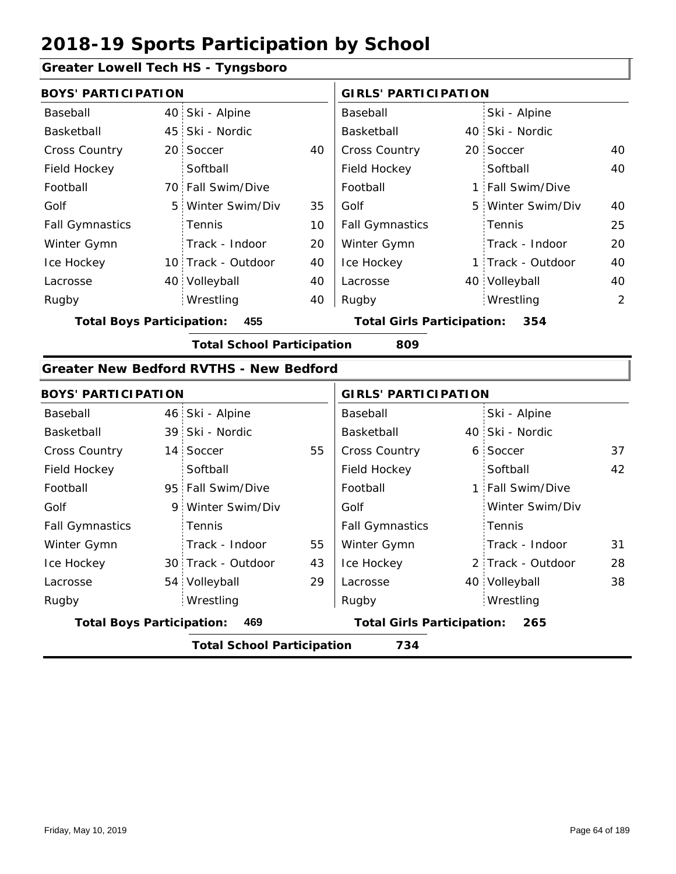#### **Greater Lowell Tech HS - Tyngsboro**

|                        | <b>BOYS' PARTICIPATION</b> |                    |    |                        | <b>GIRLS' PARTICIPATION</b> |                   |    |  |
|------------------------|----------------------------|--------------------|----|------------------------|-----------------------------|-------------------|----|--|
| Baseball               |                            | 40 Ski - Alpine    |    | Baseball               |                             | Ski - Alpine      |    |  |
| Basketball             |                            | 45 Ski - Nordic    |    | Basketball             |                             | 40 Ski - Nordic   |    |  |
| <b>Cross Country</b>   |                            | 20 Soccer          | 40 | <b>Cross Country</b>   |                             | 20 Soccer         | 40 |  |
| Field Hockey           |                            | Softball           |    | Field Hockey           |                             | Softball          | 40 |  |
| Football               |                            | 70 Fall Swim/Dive  |    | Football               |                             | 1 Fall Swim/Dive  |    |  |
| Golf                   |                            | 5 Winter Swim/Div  | 35 | Golf                   |                             | 5 Winter Swim/Div | 40 |  |
| <b>Fall Gymnastics</b> |                            | Tennis             | 10 | <b>Fall Gymnastics</b> |                             | Tennis            | 25 |  |
| Winter Gymn            |                            | Track - Indoor     | 20 | Winter Gymn            |                             | Track - Indoor    | 20 |  |
| Ice Hockey             |                            | 10 Track - Outdoor | 40 | Ice Hockey             |                             | 1 Track - Outdoor | 40 |  |
| Lacrosse               |                            | 40 Volleyball      | 40 | Lacrosse               |                             | 40 Volleyball     | 40 |  |
| Rugby                  |                            | Wrestling          | 40 | Rugby                  |                             | Wrestling         | 2  |  |
|                        |                            |                    |    |                        |                             |                   |    |  |

**Total Boys Participation: 455 Total Girls Participation: 354**

**Total School Participation 809**

#### **Greater New Bedford RVTHS - New Bedford**

| <b>BOYS' PARTICIPATION</b>       |                                   |    | <b>GIRLS' PARTICIPATION</b>       |  |                   |    |  |
|----------------------------------|-----------------------------------|----|-----------------------------------|--|-------------------|----|--|
| Baseball                         | 46 Ski - Alpine                   |    | Baseball                          |  | Ski - Alpine      |    |  |
| Basketball                       | 39 Ski - Nordic                   |    | Basketball                        |  | 40 Ski - Nordic   |    |  |
| <b>Cross Country</b>             | 14 Soccer                         | 55 | <b>Cross Country</b>              |  | 6 Soccer          | 37 |  |
| Field Hockey                     | Softball                          |    | Field Hockey                      |  | Softball          | 42 |  |
| Football                         | 95 Fall Swim/Dive                 |    | Football                          |  | 1 Fall Swim/Dive  |    |  |
| Golf                             | 9 Winter Swim/Div                 |    | Golf                              |  | Winter Swim/Div   |    |  |
| <b>Fall Gymnastics</b>           | <b>Tennis</b>                     |    | <b>Fall Gymnastics</b>            |  | Tennis            |    |  |
| Winter Gymn                      | Track - Indoor                    | 55 | Winter Gymn                       |  | Track - Indoor    | 31 |  |
| Ice Hockey                       | 30 Track - Outdoor                | 43 | Ice Hockey                        |  | 2 Track - Outdoor | 28 |  |
| Lacrosse                         | 54 Volleyball                     | 29 | Lacrosse                          |  | 40 Volleyball     | 38 |  |
| Rugby                            | Wrestling                         |    | Rugby                             |  | Wrestling         |    |  |
| <b>Total Boys Participation:</b> | 469                               |    | <b>Total Girls Participation:</b> |  | 265               |    |  |
|                                  | <b>Total School Participation</b> |    | 734                               |  |                   |    |  |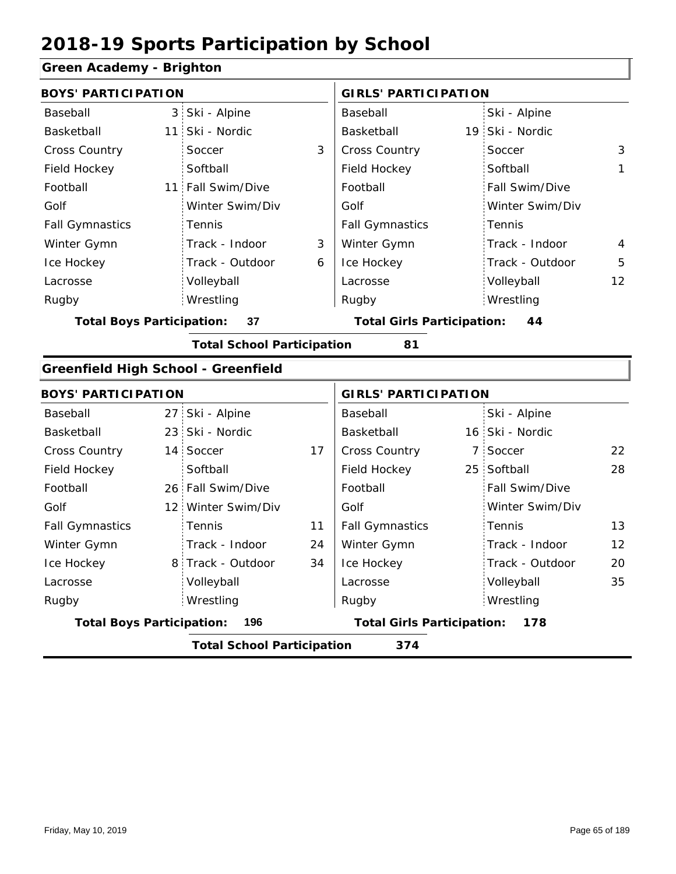### **Green Academy - Brighton**

| orcen Academy - Drighton                   |                                          |                                   |    |                                   |                |                 |                   |  |  |
|--------------------------------------------|------------------------------------------|-----------------------------------|----|-----------------------------------|----------------|-----------------|-------------------|--|--|
| <b>BOYS' PARTICIPATION</b>                 |                                          |                                   |    | <b>GIRLS' PARTICIPATION</b>       |                |                 |                   |  |  |
| Baseball                                   |                                          | 3 Ski - Alpine                    |    | Baseball                          |                | Ski - Alpine    |                   |  |  |
| Basketball                                 |                                          | 11 Ski - Nordic                   |    | Basketball                        |                | 19 Ski - Nordic |                   |  |  |
| Cross Country                              |                                          | Soccer                            | 3  | <b>Cross Country</b>              |                | Soccer          | 3                 |  |  |
| Field Hockey                               |                                          | Softball                          |    | Field Hockey                      |                | Softball        | 1                 |  |  |
| Football                                   |                                          | 11 Fall Swim/Dive                 |    | Football                          |                | Fall Swim/Dive  |                   |  |  |
| Golf                                       |                                          | Winter Swim/Div                   |    | Golf                              |                | Winter Swim/Div |                   |  |  |
| <b>Fall Gymnastics</b>                     |                                          | Tennis                            |    | <b>Fall Gymnastics</b>            |                | Tennis          |                   |  |  |
| Winter Gymn                                |                                          | Track - Indoor                    | 3  | Winter Gymn                       |                | Track - Indoor  | 4                 |  |  |
| Ice Hockey                                 |                                          | Track - Outdoor                   | 6  | Ice Hockey                        |                | Track - Outdoor | 5                 |  |  |
| Lacrosse                                   |                                          | Volleyball                        |    | Lacrosse                          |                | Volleyball      | 12                |  |  |
| Rugby                                      |                                          | Wrestling                         |    | Rugby                             |                | Wrestling       |                   |  |  |
| <b>Total Boys Participation:</b>           |                                          | 37                                |    | <b>Total Girls Participation:</b> |                | 44              |                   |  |  |
|                                            |                                          | <b>Total School Participation</b> |    | 81                                |                |                 |                   |  |  |
| <b>Greenfield High School - Greenfield</b> |                                          |                                   |    |                                   |                |                 |                   |  |  |
| <b>BOYS' PARTICIPATION</b>                 |                                          |                                   |    | <b>GIRLS' PARTICIPATION</b>       |                |                 |                   |  |  |
| Baseball                                   |                                          | 27 Ski - Alpine                   |    | Baseball                          |                | Ski - Alpine    |                   |  |  |
| Basketball                                 |                                          | 23 Ski - Nordic                   |    | Basketball                        |                | 16 Ski - Nordic |                   |  |  |
| Cross Country                              |                                          | 14 Soccer                         | 17 | Cross Country                     | $\overline{7}$ | Soccer          | 22                |  |  |
| Field Hockey                               |                                          | Softball                          |    | Field Hockey                      | 25             | Softball        | 28                |  |  |
| Football                                   |                                          | 26 Fall Swim/Dive                 |    | Football                          |                | Fall Swim/Dive  |                   |  |  |
| Golf                                       |                                          | 12 Winter Swim/Div                |    | Golf                              |                | Winter Swim/Div |                   |  |  |
| <b>Fall Gymnastics</b>                     |                                          | Tennis                            | 11 | <b>Fall Gymnastics</b>            |                | Tennis          | 13                |  |  |
| Winter Gymn                                |                                          | Track - Indoor                    | 24 | Winter Gymn                       |                | Track - Indoor  | $12 \overline{ }$ |  |  |
| Ice Hockey                                 |                                          | 8 Track - Outdoor                 | 34 | Ice Hockey                        |                | Track - Outdoor | 20                |  |  |
| Lacrosse                                   |                                          | Volleyball                        |    | Lacrosse                          |                | Volleyball      | 35                |  |  |
| Rugby                                      |                                          | Wrestling                         |    | Rugby                             |                | Wrestling       |                   |  |  |
| <b>Total Boys Participation:</b>           |                                          | 196                               |    | <b>Total Girls Participation:</b> |                | 178             |                   |  |  |
|                                            | <b>Total School Participation</b><br>374 |                                   |    |                                   |                |                 |                   |  |  |
|                                            |                                          |                                   |    |                                   |                |                 |                   |  |  |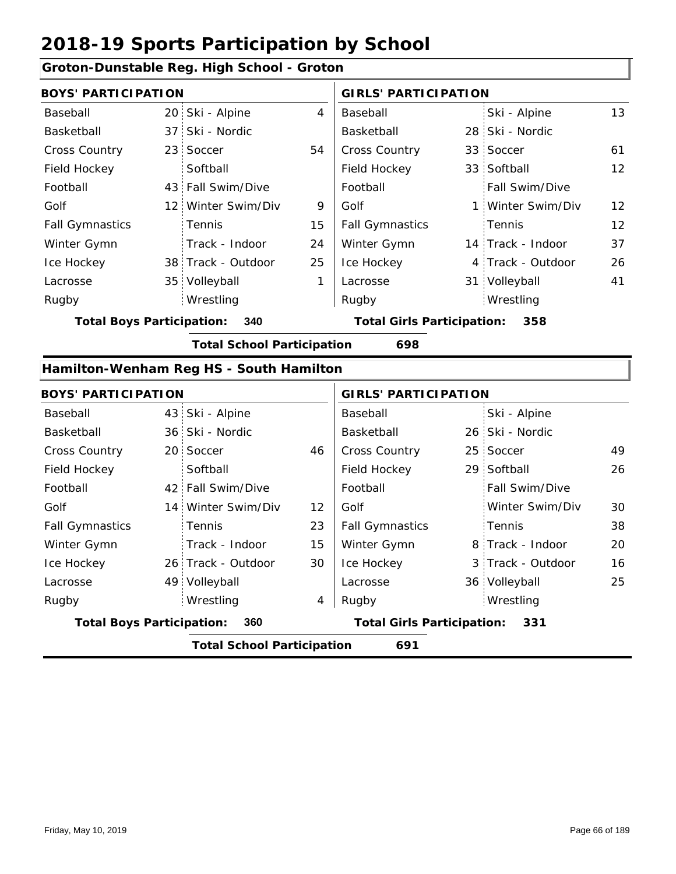#### **Groton-Dunstable Reg. High School - Groton**

|                        | <b>BOYS' PARTICIPATION</b> |                    |    |                        | <b>GIRLS' PARTICIPATION</b> |                       |                   |  |
|------------------------|----------------------------|--------------------|----|------------------------|-----------------------------|-----------------------|-------------------|--|
| Baseball               |                            | 20 Ski - Alpine    | 4  | Baseball               |                             | Ski - Alpine          | 13                |  |
| Basketball             |                            | 37 Ski - Nordic    |    | Basketball             |                             | 28 Ski - Nordic       |                   |  |
| <b>Cross Country</b>   |                            | 23 Soccer          | 54 | <b>Cross Country</b>   |                             | 33 Soccer             | 61                |  |
| Field Hockey           |                            | Softball           |    | Field Hockey           |                             | 33 Softball           | 12                |  |
| Football               |                            | 43 Fall Swim/Dive  |    | Football               |                             | <b>Fall Swim/Dive</b> |                   |  |
| Golf                   |                            | 12 Winter Swim/Div | 9  | Golf                   |                             | 1 Winter Swim/Div     | $12 \overline{ }$ |  |
| <b>Fall Gymnastics</b> |                            | Tennis             | 15 | <b>Fall Gymnastics</b> |                             | Tennis                | $12 \overline{ }$ |  |
| Winter Gymn            |                            | Track - Indoor     | 24 | Winter Gymn            |                             | 14 Track - Indoor     | 37                |  |
| Ice Hockey             |                            | 38 Track - Outdoor | 25 | Ice Hockey             |                             | 4 Track - Outdoor     | 26                |  |
| Lacrosse               |                            | 35 Volleyball      | 1  | Lacrosse               |                             | 31 Volleyball         | 41                |  |
| Rugby                  |                            | Wrestling          |    | Rugby                  |                             | Wrestling             |                   |  |

**Total Boys Participation: 340 Total Girls Participation: 358**

**Total School Participation 698**

#### **Hamilton-Wenham Reg HS - South Hamilton**

| <b>BOYS' PARTICIPATION</b>       |                                   |    | <b>GIRLS' PARTICIPATION</b>       |  |                   |    |
|----------------------------------|-----------------------------------|----|-----------------------------------|--|-------------------|----|
| Baseball                         | 43 Ski - Alpine                   |    | Baseball                          |  | Ski - Alpine      |    |
| Basketball                       | 36 Ski - Nordic                   |    | Basketball                        |  | 26 Ski - Nordic   |    |
| <b>Cross Country</b>             | 20 Soccer                         | 46 | <b>Cross Country</b>              |  | 25 Soccer         | 49 |
| Field Hockey                     | Softball                          |    | Field Hockey                      |  | 29 Softball       | 26 |
| Football                         | 42 Fall Swim/Dive                 |    | Football                          |  | Fall Swim/Dive    |    |
| Golf                             | 14 Winter Swim/Div                | 12 | Golf                              |  | Winter Swim/Div   | 30 |
| <b>Fall Gymnastics</b>           | <b>Tennis</b>                     | 23 | <b>Fall Gymnastics</b>            |  | Tennis            | 38 |
| Winter Gymn                      | Track - Indoor                    | 15 | Winter Gymn                       |  | 8 Track - Indoor  | 20 |
| Ice Hockey                       | 26 Track - Outdoor                | 30 | Ice Hockey                        |  | 3 Track - Outdoor | 16 |
| Lacrosse                         | 49 Volleyball                     |    | Lacrosse                          |  | 36 Volleyball     | 25 |
| Rugby                            | Wrestling                         | 4  | Rugby                             |  | Wrestling         |    |
| <b>Total Boys Participation:</b> | 360                               |    | <b>Total Girls Participation:</b> |  | 331               |    |
|                                  | <b>Total School Participation</b> |    | 691                               |  |                   |    |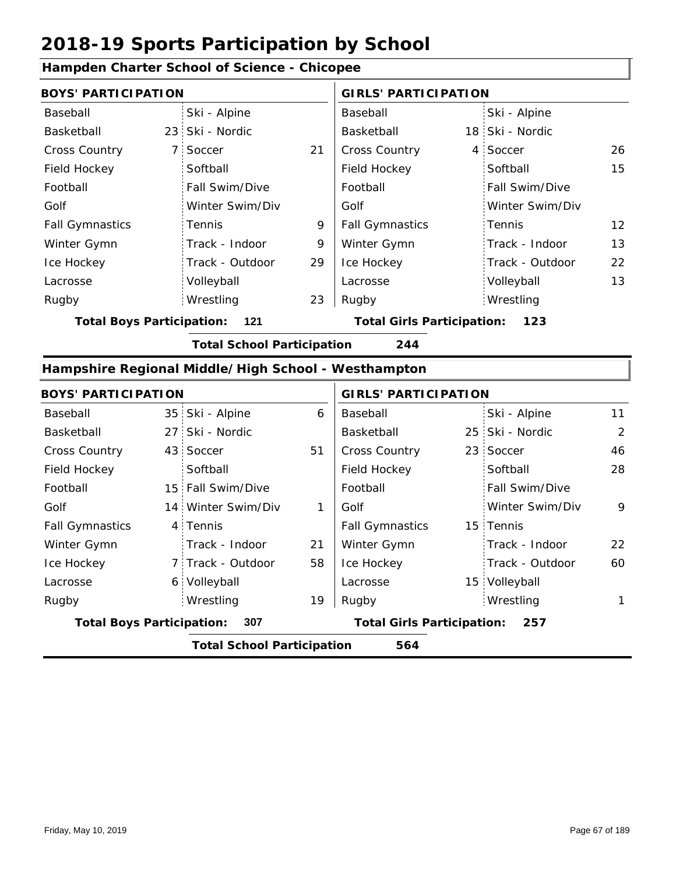|                                  | Hampden Charter School of Science - Chicopee        |    |                                   |  |                 |                |  |
|----------------------------------|-----------------------------------------------------|----|-----------------------------------|--|-----------------|----------------|--|
| <b>BOYS' PARTICIPATION</b>       |                                                     |    | <b>GIRLS' PARTICIPATION</b>       |  |                 |                |  |
| Baseball                         | Ski - Alpine                                        |    | Baseball                          |  | Ski - Alpine    |                |  |
| <b>Basketball</b>                | 23 Ski - Nordic                                     |    | Basketball                        |  | 18 Ski - Nordic |                |  |
| <b>Cross Country</b>             | 7 Soccer                                            | 21 | <b>Cross Country</b>              |  | 4 Soccer        | 26             |  |
| Field Hockey                     | Softball                                            |    | Field Hockey                      |  | Softball        | 15             |  |
| Football                         | Fall Swim/Dive                                      |    | Football                          |  | Fall Swim/Dive  |                |  |
| Golf                             | Winter Swim/Div                                     |    | Golf                              |  | Winter Swim/Div |                |  |
| <b>Fall Gymnastics</b>           | Tennis                                              | 9  | <b>Fall Gymnastics</b>            |  | Tennis          | 12             |  |
| Winter Gymn                      | Track - Indoor                                      | 9  | Winter Gymn                       |  | Track - Indoor  | 13             |  |
| Ice Hockey                       | Track - Outdoor                                     | 29 | Ice Hockey                        |  | Track - Outdoor | 22             |  |
| Lacrosse                         | Volleyball                                          |    | Lacrosse                          |  | Volleyball      | 13             |  |
| Rugby                            | Wrestling                                           | 23 | Rugby                             |  | Wrestling       |                |  |
| <b>Total Boys Participation:</b> | 121                                                 |    | <b>Total Girls Participation:</b> |  | 123             |                |  |
|                                  | <b>Total School Participation</b>                   |    | 244                               |  |                 |                |  |
|                                  | Hampshire Regional Middle/High School - Westhampton |    |                                   |  |                 |                |  |
| <b>BOYS' PARTICIPATION</b>       |                                                     |    | <b>GIRLS' PARTICIPATION</b>       |  |                 |                |  |
| Baseball                         | 35 Ski - Alpine                                     | 6  | Baseball                          |  | Ski - Alpine    | 11             |  |
| Basketball                       | 27 Ski - Nordic                                     |    | Basketball                        |  | 25 Ski - Nordic | $\overline{2}$ |  |
| <b>Cross Country</b>             | 43 Soccer                                           | 51 | Cross Country                     |  | 23 Soccer       | 46             |  |
| Field Hockey                     | Softball                                            |    | Field Hockey                      |  | Softball        | 28             |  |
| Football                         | 15 Fall Swim/Dive                                   |    | Football                          |  | Fall Swim/Dive  |                |  |
| Golf                             | 14 Winter Swim/Div                                  | 1  | Golf                              |  | Winter Swim/Div | 9              |  |
| <b>Fall Gymnastics</b>           | 4 Tennis                                            |    | <b>Fall Gymnastics</b>            |  | 15 Tennis       |                |  |
| Winter Gymn                      | Track - Indoor                                      | 21 | Winter Gymn                       |  | Track - Indoor  | 22             |  |
| Ice Hockey                       | 7 Track - Outdoor                                   | 58 | Ice Hockey                        |  | Track - Outdoor | 60             |  |
| Lacrosse                         | 6 Volleyball                                        |    | Lacrosse                          |  | 15 Volleyball   |                |  |
| Rugby                            | Wrestling                                           | 19 | Rugby                             |  | Wrestling       | 1              |  |
| <b>Total Boys Participation:</b> | 307                                                 |    | <b>Total Girls Participation:</b> |  | 257             |                |  |
|                                  | <b>Total School Participation</b>                   |    | 564                               |  |                 |                |  |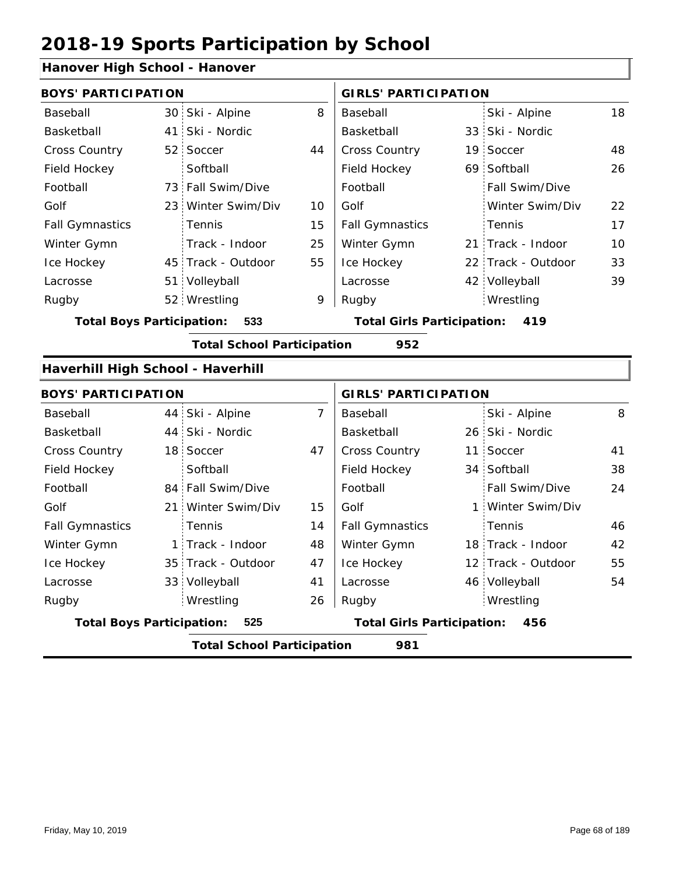#### **Hanover High School - Hanover**

| <b>BOYS' PARTICIPATION</b> |                 |                                                                                                                                                                                                                                                                                                                                                                                                                   |                        |                                   |                 |                                                                                                                                                                                                                                                                                                                                                                                       |
|----------------------------|-----------------|-------------------------------------------------------------------------------------------------------------------------------------------------------------------------------------------------------------------------------------------------------------------------------------------------------------------------------------------------------------------------------------------------------------------|------------------------|-----------------------------------|-----------------|---------------------------------------------------------------------------------------------------------------------------------------------------------------------------------------------------------------------------------------------------------------------------------------------------------------------------------------------------------------------------------------|
|                            | Ski - Alpine    | 8                                                                                                                                                                                                                                                                                                                                                                                                                 | <b>Baseball</b>        |                                   | Ski - Alpine    | 18                                                                                                                                                                                                                                                                                                                                                                                    |
|                            | Ski - Nordic    |                                                                                                                                                                                                                                                                                                                                                                                                                   | Basketball             |                                   |                 |                                                                                                                                                                                                                                                                                                                                                                                       |
|                            | Soccer          | 44                                                                                                                                                                                                                                                                                                                                                                                                                | Cross Country          |                                   |                 | 48                                                                                                                                                                                                                                                                                                                                                                                    |
|                            | Softball        |                                                                                                                                                                                                                                                                                                                                                                                                                   | Field Hockey           |                                   |                 | 26                                                                                                                                                                                                                                                                                                                                                                                    |
|                            |                 |                                                                                                                                                                                                                                                                                                                                                                                                                   | Football               |                                   | Fall Swim/Dive  |                                                                                                                                                                                                                                                                                                                                                                                       |
|                            |                 | 10                                                                                                                                                                                                                                                                                                                                                                                                                | Golf                   |                                   | Winter Swim/Div | 22                                                                                                                                                                                                                                                                                                                                                                                    |
|                            | Tennis          | 15                                                                                                                                                                                                                                                                                                                                                                                                                | <b>Fall Gymnastics</b> |                                   | Tennis          | 17                                                                                                                                                                                                                                                                                                                                                                                    |
|                            | Track - Indoor  | 25                                                                                                                                                                                                                                                                                                                                                                                                                | Winter Gymn            |                                   |                 | 10                                                                                                                                                                                                                                                                                                                                                                                    |
|                            |                 | 55                                                                                                                                                                                                                                                                                                                                                                                                                | Ice Hockey             |                                   |                 | 33                                                                                                                                                                                                                                                                                                                                                                                    |
|                            |                 |                                                                                                                                                                                                                                                                                                                                                                                                                   | Lacrosse               |                                   |                 | 39                                                                                                                                                                                                                                                                                                                                                                                    |
|                            |                 | 9                                                                                                                                                                                                                                                                                                                                                                                                                 | Rugby                  |                                   | Wrestling       |                                                                                                                                                                                                                                                                                                                                                                                       |
|                            | 533             |                                                                                                                                                                                                                                                                                                                                                                                                                   |                        |                                   | 419             |                                                                                                                                                                                                                                                                                                                                                                                       |
|                            |                 |                                                                                                                                                                                                                                                                                                                                                                                                                   | 952                    |                                   |                 |                                                                                                                                                                                                                                                                                                                                                                                       |
|                            |                 |                                                                                                                                                                                                                                                                                                                                                                                                                   |                        |                                   |                 |                                                                                                                                                                                                                                                                                                                                                                                       |
|                            |                 |                                                                                                                                                                                                                                                                                                                                                                                                                   |                        |                                   |                 |                                                                                                                                                                                                                                                                                                                                                                                       |
|                            | Ski - Alpine    | $\overline{7}$                                                                                                                                                                                                                                                                                                                                                                                                    | Baseball               |                                   | Ski - Alpine    | 8                                                                                                                                                                                                                                                                                                                                                                                     |
|                            |                 |                                                                                                                                                                                                                                                                                                                                                                                                                   | Basketball             |                                   |                 |                                                                                                                                                                                                                                                                                                                                                                                       |
|                            |                 | 47                                                                                                                                                                                                                                                                                                                                                                                                                | Cross Country          |                                   | Soccer          | 41                                                                                                                                                                                                                                                                                                                                                                                    |
|                            | Softball        |                                                                                                                                                                                                                                                                                                                                                                                                                   | Field Hockey           |                                   |                 | 38                                                                                                                                                                                                                                                                                                                                                                                    |
|                            |                 |                                                                                                                                                                                                                                                                                                                                                                                                                   | Football               |                                   | Fall Swim/Dive  | 24                                                                                                                                                                                                                                                                                                                                                                                    |
|                            | Winter Swim/Div | 15                                                                                                                                                                                                                                                                                                                                                                                                                | Golf                   |                                   |                 |                                                                                                                                                                                                                                                                                                                                                                                       |
|                            | Tennis          | 14                                                                                                                                                                                                                                                                                                                                                                                                                | <b>Fall Gymnastics</b> |                                   | Tennis          | 46                                                                                                                                                                                                                                                                                                                                                                                    |
|                            |                 | 48                                                                                                                                                                                                                                                                                                                                                                                                                | Winter Gymn            |                                   |                 | 42                                                                                                                                                                                                                                                                                                                                                                                    |
|                            |                 | 47                                                                                                                                                                                                                                                                                                                                                                                                                | Ice Hockey             |                                   |                 | 55                                                                                                                                                                                                                                                                                                                                                                                    |
|                            |                 | 41                                                                                                                                                                                                                                                                                                                                                                                                                | Lacrosse               |                                   |                 | 54                                                                                                                                                                                                                                                                                                                                                                                    |
|                            | Wrestling       | 26                                                                                                                                                                                                                                                                                                                                                                                                                | Rugby                  |                                   | Wrestling       |                                                                                                                                                                                                                                                                                                                                                                                       |
|                            | 525             |                                                                                                                                                                                                                                                                                                                                                                                                                   |                        |                                   | 456             |                                                                                                                                                                                                                                                                                                                                                                                       |
|                            |                 | 30<br>41<br>52 <sub>1</sub><br>73 Fall Swim/Dive<br>23 Winter Swim/Div<br>45 Track - Outdoor<br>51 Volleyball<br>52 Wrestling<br><b>Total Boys Participation:</b><br>Haverhill High School - Haverhill<br><b>BOYS' PARTICIPATION</b><br>44<br>44 Ski - Nordic<br>18 Soccer<br>84 Fall Swim/Dive<br>21 <sup>1</sup><br>1 Track - Indoor<br>35 Track - Outdoor<br>33 Volleyball<br><b>Total Boys Participation:</b> |                        | <b>Total School Participation</b> |                 | <b>GIRLS' PARTICIPATION</b><br>33 Ski - Nordic<br>19 Soccer<br>69 Softball<br>21 Track - Indoor<br>22 Track - Outdoor<br>42 Volleyball<br><b>Total Girls Participation:</b><br><b>GIRLS' PARTICIPATION</b><br>26 Ski - Nordic<br>11 <sup>1</sup><br>34 Softball<br>1 Winter Swim/Div<br>18 Track - Indoor<br>12 Track - Outdoor<br>46 Volleyball<br><b>Total Girls Participation:</b> |

**Total School Participation 981**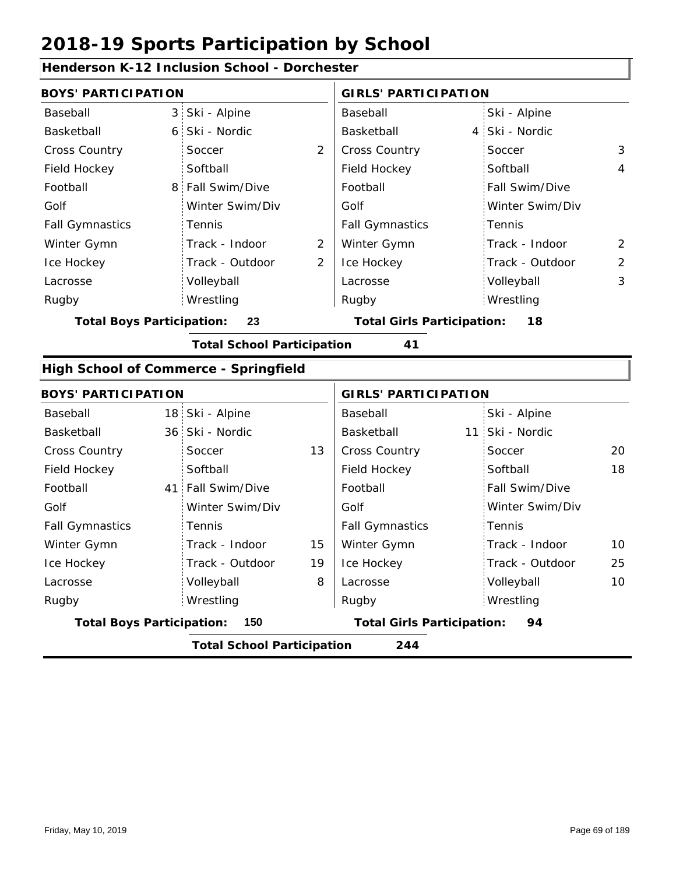|                                  |                | <b>Henderson K-12 Inclusion School - Dorchester</b> |                |                                   |                 |                |
|----------------------------------|----------------|-----------------------------------------------------|----------------|-----------------------------------|-----------------|----------------|
| <b>BOYS' PARTICIPATION</b>       |                |                                                     |                | <b>GIRLS' PARTICIPATION</b>       |                 |                |
| Baseball                         | 3 <sup>1</sup> | Ski - Alpine                                        |                | Baseball                          | Ski - Alpine    |                |
| Basketball                       | 6              | Ski - Nordic                                        |                | Basketball                        | 4 Ski - Nordic  |                |
| Cross Country                    |                | Soccer                                              | 2              | <b>Cross Country</b>              | Soccer          | 3              |
| Field Hockey                     |                | Softball                                            |                | Field Hockey                      | Softball        | 4              |
| Football                         | 8 <sup>1</sup> | Fall Swim/Dive                                      |                | Football                          | Fall Swim/Dive  |                |
| Golf                             |                | Winter Swim/Div                                     |                | Golf                              | Winter Swim/Div |                |
| <b>Fall Gymnastics</b>           |                | Tennis                                              |                | <b>Fall Gymnastics</b>            | Tennis          |                |
| Winter Gymn                      |                | Track - Indoor                                      | $\overline{2}$ | Winter Gymn                       | Track - Indoor  | 2              |
| Ice Hockey                       |                | Track - Outdoor                                     | 2              | Ice Hockey                        | Track - Outdoor | $\overline{2}$ |
| Lacrosse                         |                | Volleyball                                          |                | Lacrosse                          | Volleyball      | 3              |
| Rugby                            |                | Wrestling                                           |                | Rugby                             | Wrestling       |                |
| <b>Total Boys Participation:</b> |                | 23                                                  |                | <b>Total Girls Participation:</b> | 18              |                |
|                                  |                | <b>Total School Participation</b>                   |                | 41                                |                 |                |
|                                  |                | <b>High School of Commerce - Springfield</b>        |                |                                   |                 |                |
| <b>BOYS' PARTICIPATION</b>       |                |                                                     |                | <b>GIRLS' PARTICIPATION</b>       |                 |                |
| Baseball                         |                | 18 Ski - Alpine                                     |                | Baseball                          | Ski - Alpine    |                |
| Basketball                       |                | 36 Ski - Nordic                                     |                | Basketball                        | 11 Ski - Nordic |                |
| Cross Country                    |                | Soccer                                              | 13             | Cross Country                     | Soccer          | 20             |
| Field Hockey                     |                | Softball                                            |                | Field Hockey                      | Softball        | 18             |
| Football                         | 41:            | Fall Swim/Dive                                      |                | Football                          | Fall Swim/Dive  |                |
| Golf                             |                | Winter Swim/Div                                     |                | Golf                              | Winter Swim/Div |                |
| <b>Fall Gymnastics</b>           |                | Tennis                                              |                | <b>Fall Gymnastics</b>            | Tennis          |                |
| Winter Gymn                      |                | Track - Indoor                                      | 15             | Winter Gymn                       | Track - Indoor  | 10             |

#### **Henderson K-12 Inclusion School - Dorchester**

19 8 25 Ice Hockey Lacrosse Track - Outdoor Volleyball Wrestling Rugby Rugby Ice Hockey Lacrosse Track - Outdoor Volleyball 10 Wrestling **Total Boys Participation: 150 Total Girls Participation: 94 Total School Participation 244**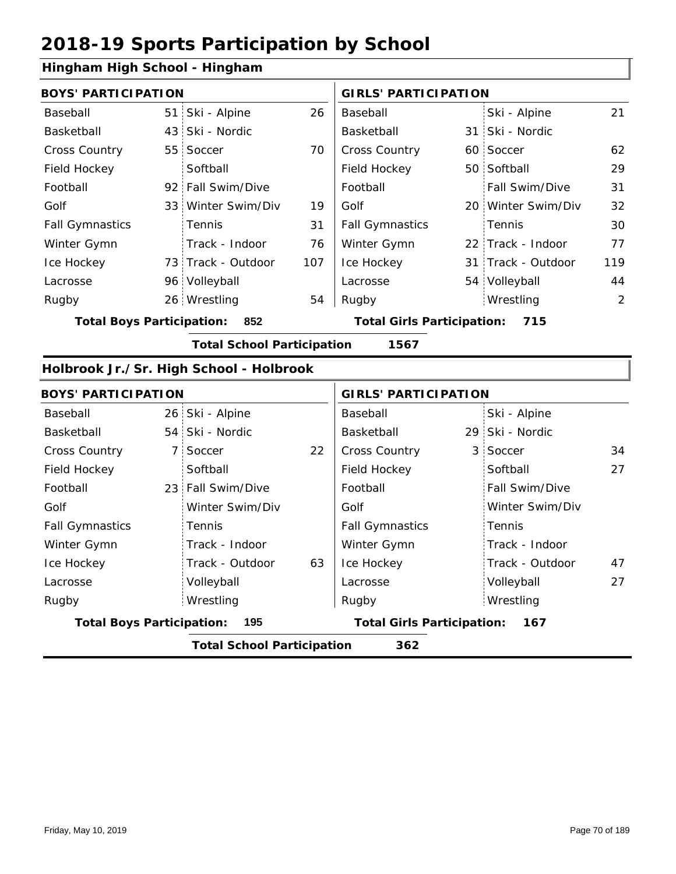#### **Hingham High School - Hingham**

|                        | <b>BOYS' PARTICIPATION</b> |                    |     |                        | <b>GIRLS' PARTICIPATION</b> |                    |     |  |
|------------------------|----------------------------|--------------------|-----|------------------------|-----------------------------|--------------------|-----|--|
| Baseball               |                            | 51 Ski - Alpine    | 26  | Baseball               |                             | Ski - Alpine       | 21  |  |
| Basketball             |                            | 43 Ski - Nordic    |     | Basketball             |                             | 31 Ski - Nordic    |     |  |
| <b>Cross Country</b>   |                            | 55 Soccer          | 70  | <b>Cross Country</b>   |                             | 60 Soccer          | 62  |  |
| Field Hockey           |                            | Softball           |     | Field Hockey           |                             | 50 Softball        | 29  |  |
| Football               |                            | 92 Fall Swim/Dive  |     | Football               |                             | Fall Swim/Dive     | 31  |  |
| Golf                   |                            | 33 Winter Swim/Div | 19  | Golf                   |                             | 20 Winter Swim/Div | 32  |  |
| <b>Fall Gymnastics</b> |                            | Tennis             | 31  | <b>Fall Gymnastics</b> |                             | Tennis             | 30  |  |
| Winter Gymn            |                            | Track - Indoor     | 76  | Winter Gymn            |                             | 22 Track - Indoor  | 77  |  |
| Ice Hockey             |                            | 73 Track - Outdoor | 107 | Ice Hockey             |                             | 31 Track - Outdoor | 119 |  |
| Lacrosse               |                            | 96 Volleyball      |     | Lacrosse               |                             | 54 Volleyball      | 44  |  |
| Rugby                  |                            | 26 Wrestling       | 54  | Rugby                  |                             | Wrestling          | 2   |  |
|                        |                            |                    |     |                        |                             |                    |     |  |

**Total Boys Participation: 852 Total Girls Participation: 715**

**Total School Participation 1567**

#### **Holbrook Jr./Sr. High School - Holbrook**

| <b>BOYS' PARTICIPATION</b>       |                                          |                   |    | <b>GIRLS' PARTICIPATION</b>       |  |                 |    |  |  |
|----------------------------------|------------------------------------------|-------------------|----|-----------------------------------|--|-----------------|----|--|--|
| Baseball                         |                                          | 26 Ski - Alpine   |    | Baseball                          |  | Ski - Alpine    |    |  |  |
| Basketball                       |                                          | 54 Ski - Nordic   |    | Basketball                        |  | 29 Ski - Nordic |    |  |  |
| <b>Cross Country</b>             |                                          | 7 Soccer          | 22 | <b>Cross Country</b>              |  | 3 Soccer        | 34 |  |  |
| Field Hockey                     |                                          | Softball          |    | Field Hockey                      |  | Softball        | 27 |  |  |
| Football                         |                                          | 23 Fall Swim/Dive |    | Football                          |  | Fall Swim/Dive  |    |  |  |
| Golf                             |                                          | Winter Swim/Div   |    | Golf                              |  | Winter Swim/Div |    |  |  |
| <b>Fall Gymnastics</b>           |                                          | Tennis            |    | <b>Fall Gymnastics</b>            |  | Tennis          |    |  |  |
| Winter Gymn                      |                                          | Track - Indoor    |    | Winter Gymn                       |  | Track - Indoor  |    |  |  |
| Ice Hockey                       |                                          | Track - Outdoor   | 63 | Ice Hockey                        |  | Track - Outdoor | 47 |  |  |
| Lacrosse                         |                                          | Volleyball        |    | Lacrosse                          |  | Volleyball      | 27 |  |  |
| Rugby                            |                                          | Wrestling         |    | Rugby                             |  | Wrestling       |    |  |  |
| <b>Total Boys Participation:</b> |                                          | 195               |    | <b>Total Girls Participation:</b> |  | 167             |    |  |  |
|                                  | 362<br><b>Total School Participation</b> |                   |    |                                   |  |                 |    |  |  |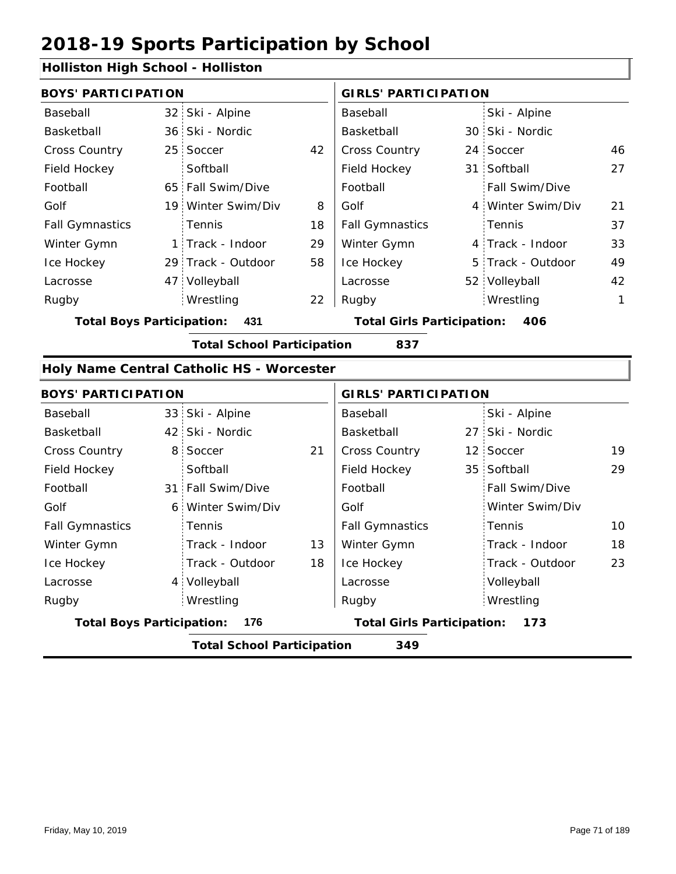#### **Holliston High School - Holliston**

| <b>BOYS' PARTICIPATION</b> |  |                    | <b>GIRLS' PARTICIPATION</b> |                        |  |                       |    |
|----------------------------|--|--------------------|-----------------------------|------------------------|--|-----------------------|----|
| Baseball                   |  | 32 Ski - Alpine    |                             | Baseball               |  | Ski - Alpine          |    |
| Basketball                 |  | 36 Ski - Nordic    |                             | Basketball             |  | 30 Ski - Nordic       |    |
| <b>Cross Country</b>       |  | 25 Soccer          | 42                          | <b>Cross Country</b>   |  | 24 Soccer             | 46 |
| Field Hockey               |  | Softball           |                             | Field Hockey           |  | 31 Softball           | 27 |
| Football                   |  | 65 Fall Swim/Dive  |                             | Football               |  | <b>Fall Swim/Dive</b> |    |
| Golf                       |  | 19 Winter Swim/Div | 8                           | Golf                   |  | 4 Winter Swim/Div     | 21 |
| <b>Fall Gymnastics</b>     |  | Tennis             | 18                          | <b>Fall Gymnastics</b> |  | Tennis                | 37 |
| Winter Gymn                |  | 1 Track - Indoor   | 29                          | Winter Gymn            |  | 4 Track - Indoor      | 33 |
| Ice Hockey                 |  | 29 Track - Outdoor | 58                          | Ice Hockey             |  | 5 Track - Outdoor     | 49 |
| Lacrosse                   |  | 47 Volleyball      |                             | Lacrosse               |  | 52 Volleyball         | 42 |
| Rugby                      |  | Wrestling          | 22                          | Rugby                  |  | Wrestling             | 1  |
|                            |  |                    |                             |                        |  |                       |    |

**Total Boys Participation: 431 Total Girls Participation: 406**

**Total School Participation 837**

#### **Holy Name Central Catholic HS - Worcester**

| <b>BOYS' PARTICIPATION</b>       |                                   |    | <b>GIRLS' PARTICIPATION</b>       |  |                       |    |
|----------------------------------|-----------------------------------|----|-----------------------------------|--|-----------------------|----|
| Baseball                         | 33 Ski - Alpine                   |    | Baseball                          |  | Ski - Alpine          |    |
| Basketball                       | 42 Ski - Nordic                   |    | Basketball                        |  | 27 Ski - Nordic       |    |
| <b>Cross Country</b>             | 8 Soccer                          | 21 | <b>Cross Country</b>              |  | 12 Soccer             | 19 |
| Field Hockey                     | Softball                          |    | Field Hockey                      |  | 35 Softball           | 29 |
| Football                         | 31 Fall Swim/Dive                 |    | Football                          |  | <b>Fall Swim/Dive</b> |    |
| Golf                             | 6 Winter Swim/Div                 |    | Golf                              |  | Winter Swim/Div       |    |
| <b>Fall Gymnastics</b>           | Tennis                            |    | <b>Fall Gymnastics</b>            |  | Tennis                | 10 |
| Winter Gymn                      | Track - Indoor                    | 13 | Winter Gymn                       |  | Track - Indoor        | 18 |
| Ice Hockey                       | Track - Outdoor                   | 18 | Ice Hockey                        |  | Track - Outdoor       | 23 |
| Lacrosse                         | 4 Volleyball                      |    | Lacrosse                          |  | Volleyball            |    |
| Rugby                            | Wrestling                         |    | Rugby                             |  | Wrestling             |    |
| <b>Total Boys Participation:</b> | 176                               |    | <b>Total Girls Participation:</b> |  | 173                   |    |
|                                  | <b>Total School Participation</b> |    | 349                               |  |                       |    |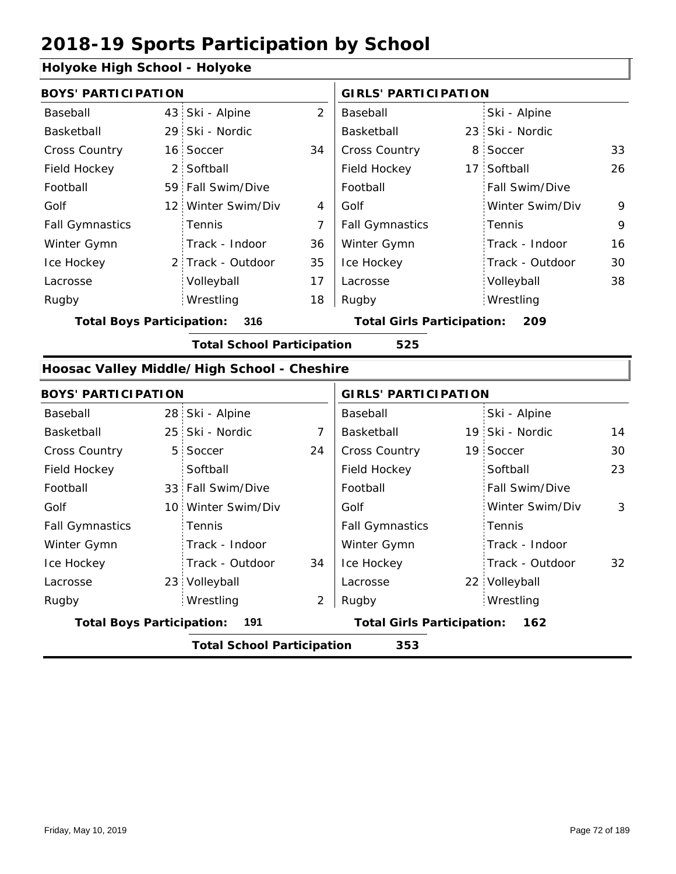#### **Holyoke High School - Holyoke**

| <b>BOYS' PARTICIPATION</b>               |  |                    |                                          | <b>GIRLS' PARTICIPATION</b> |  |                       |    |  |  |  |
|------------------------------------------|--|--------------------|------------------------------------------|-----------------------------|--|-----------------------|----|--|--|--|
| Baseball                                 |  | 43 Ski - Alpine    | 2                                        | Baseball                    |  | Ski - Alpine          |    |  |  |  |
| <b>Basketball</b>                        |  | 29 Ski - Nordic    |                                          | Basketball                  |  | 23 Ski - Nordic       |    |  |  |  |
| <b>Cross Country</b>                     |  | 16 Soccer          | 34                                       | <b>Cross Country</b>        |  | 8 Soccer              | 33 |  |  |  |
| Field Hockey                             |  | 2 Softball         |                                          | Field Hockey                |  | 17 Softball           | 26 |  |  |  |
| Football                                 |  | 59 Fall Swim/Dive  |                                          | Football                    |  | <b>Fall Swim/Dive</b> |    |  |  |  |
| Golf                                     |  | 12 Winter Swim/Div | 4                                        | Golf                        |  | Winter Swim/Div       | 9  |  |  |  |
| <b>Fall Gymnastics</b>                   |  | Tennis             | 7                                        | <b>Fall Gymnastics</b>      |  | Tennis                | 9  |  |  |  |
| Winter Gymn                              |  | Track - Indoor     | 36                                       | Winter Gymn                 |  | Track - Indoor        | 16 |  |  |  |
| Ice Hockey                               |  | 2 Track - Outdoor  | 35                                       | Ice Hockey                  |  | Track - Outdoor       | 30 |  |  |  |
| Lacrosse                                 |  | Volleyball         | 17                                       | Lacrosse                    |  | Volleyball            | 38 |  |  |  |
| Rugby                                    |  | Wrestling          | 18                                       | Rugby                       |  | Wrestling             |    |  |  |  |
| <b>Total Boys Participation:</b><br>316  |  |                    | <b>Total Girls Participation:</b><br>209 |                             |  |                       |    |  |  |  |
| <b>Total School Participation</b><br>525 |  |                    |                                          |                             |  |                       |    |  |  |  |

#### **Hoosac Valley Middle/High School - Cheshire**

| <b>BOYS' PARTICIPATION</b>               |  |                    |                                          | <b>GIRLS' PARTICIPATION</b> |  |                 |    |  |  |  |  |
|------------------------------------------|--|--------------------|------------------------------------------|-----------------------------|--|-----------------|----|--|--|--|--|
| Baseball                                 |  | 28 Ski - Alpine    |                                          | Baseball                    |  | Ski - Alpine    |    |  |  |  |  |
| Basketball                               |  | 25 Ski - Nordic    | 7                                        | Basketball                  |  | 19 Ski - Nordic | 14 |  |  |  |  |
| <b>Cross Country</b>                     |  | 5 Soccer           | 24                                       | <b>Cross Country</b>        |  | 19 Soccer       | 30 |  |  |  |  |
| Field Hockey                             |  | Softball           |                                          | Field Hockey                |  | Softball        | 23 |  |  |  |  |
| Football                                 |  | 33 Fall Swim/Dive  |                                          | Football                    |  | Fall Swim/Dive  |    |  |  |  |  |
| Golf                                     |  | 10 Winter Swim/Div |                                          | Golf                        |  | Winter Swim/Div | 3  |  |  |  |  |
| <b>Fall Gymnastics</b>                   |  | Tennis             |                                          | <b>Fall Gymnastics</b>      |  | Tennis          |    |  |  |  |  |
| Winter Gymn                              |  | Track - Indoor     |                                          | Winter Gymn                 |  | Track - Indoor  |    |  |  |  |  |
| Ice Hockey                               |  | Track - Outdoor    | 34                                       | Ice Hockey                  |  | Track - Outdoor | 32 |  |  |  |  |
| Lacrosse                                 |  | 23 Volleyball      |                                          | Lacrosse                    |  | 22 Volleyball   |    |  |  |  |  |
| Rugby                                    |  | Wrestling          | 2                                        | Rugby                       |  | Wrestling       |    |  |  |  |  |
| <b>Total Boys Participation:</b><br>191  |  |                    | <b>Total Girls Participation:</b><br>162 |                             |  |                 |    |  |  |  |  |
| <b>Total School Participation</b><br>353 |  |                    |                                          |                             |  |                 |    |  |  |  |  |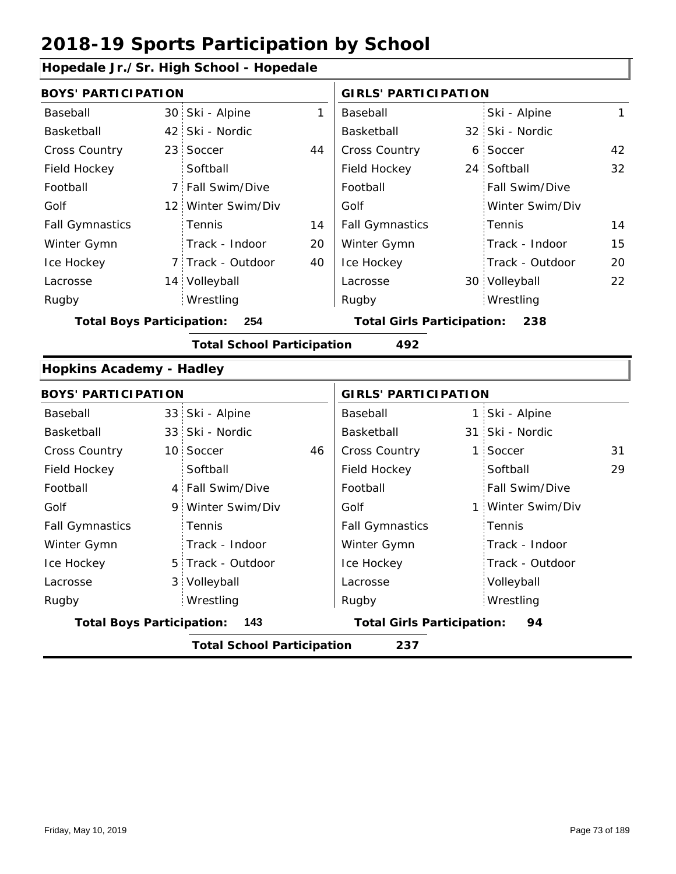### **Hopedale Jr./Sr. High School - Hopedale**

| <b>BOYS' PARTICIPATION</b>       |    |                                   |    | <b>GIRLS' PARTICIPATION</b>       |                   |    |
|----------------------------------|----|-----------------------------------|----|-----------------------------------|-------------------|----|
| Baseball                         |    | 30 Ski - Alpine                   | 1  | Baseball                          | Ski - Alpine      | 1  |
| Basketball                       | 42 | Ski - Nordic                      |    | Basketball                        | 32 Ski - Nordic   |    |
| Cross Country                    | 23 | Soccer                            | 44 | Cross Country                     | 6 Soccer          | 42 |
| Field Hockey                     |    | Softball                          |    | Field Hockey                      | 24 Softball       | 32 |
| Football                         |    | 7 Fall Swim/Dive                  |    | Football                          | Fall Swim/Dive    |    |
| Golf                             |    | 12 Winter Swim/Div                |    | Golf                              | Winter Swim/Div   |    |
| <b>Fall Gymnastics</b>           |    | Tennis                            | 14 | <b>Fall Gymnastics</b>            | Tennis            | 14 |
| Winter Gymn                      |    | Track - Indoor                    | 20 | Winter Gymn                       | Track - Indoor    | 15 |
| Ice Hockey                       |    | 7 Track - Outdoor                 | 40 | Ice Hockey                        | Track - Outdoor   | 20 |
| Lacrosse                         |    | 14 Volleyball                     |    | Lacrosse                          | 30 Volleyball     | 22 |
| Rugby                            |    | Wrestling                         |    | Rugby                             | Wrestling         |    |
| <b>Total Boys Participation:</b> |    | 254                               |    | <b>Total Girls Participation:</b> | 238               |    |
|                                  |    | <b>Total School Participation</b> |    | 492                               |                   |    |
| <b>Hopkins Academy - Hadley</b>  |    |                                   |    |                                   |                   |    |
| <b>BOYS' PARTICIPATION</b>       |    |                                   |    | <b>GIRLS' PARTICIPATION</b>       |                   |    |
| Baseball                         |    | 33 Ski - Alpine                   |    | Baseball                          | 1 Ski - Alpine    |    |
| Basketball                       |    | 33 Ski - Nordic                   |    | Basketball                        | 31 Ski - Nordic   |    |
| <b>Cross Country</b>             |    | 10 Soccer                         | 46 | Cross Country                     | 1 Soccer          | 31 |
| Field Hockey                     |    | Softball                          |    | Field Hockey                      | Softball          | 29 |
| Football                         |    | 4 Fall Swim/Dive                  |    | Football                          | Fall Swim/Dive    |    |
| Golf                             |    | 9 Winter Swim/Div                 |    | Golf                              | 1 Winter Swim/Div |    |
| <b>Fall Gymnastics</b>           |    | Tennis                            |    | <b>Fall Gymnastics</b>            | Tennis            |    |
| Winter Gymn                      |    | Track - Indoor                    |    | Winter Gymn                       | Track - Indoor    |    |
| Ice Hockey                       |    | 5 Track - Outdoor                 |    | Ice Hockey                        | Track - Outdoor   |    |
| Lacrosse                         |    | 3 Volleyball                      |    | Lacrosse                          | Volleyball        |    |
| Rugby                            |    | Wrestling                         |    | Rugby                             | Wrestling         |    |
| <b>Total Boys Participation:</b> |    | 143                               |    | <b>Total Girls Participation:</b> | 94                |    |

**Total School Participation 237**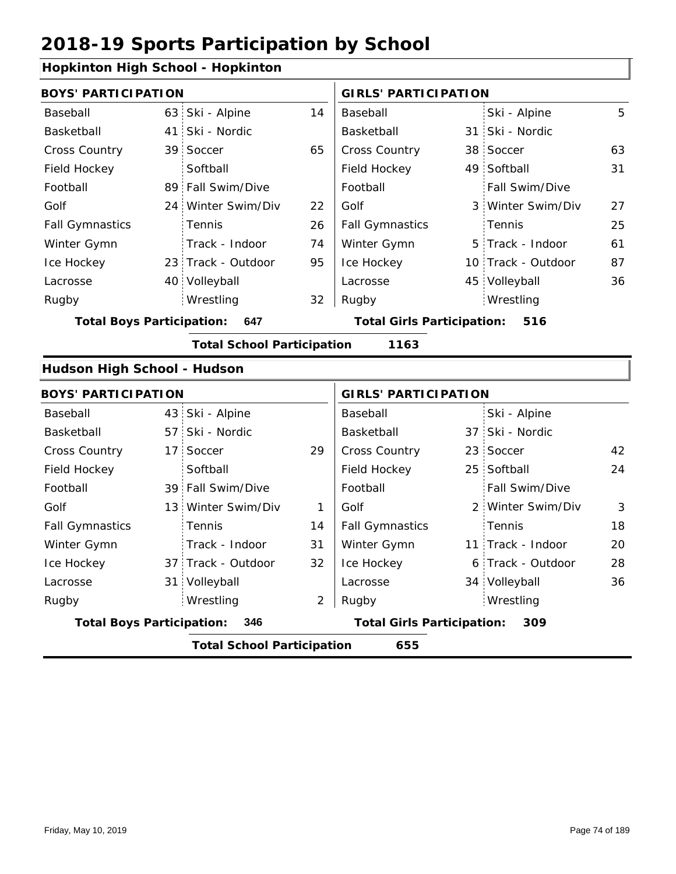### **Hopkinton High School - Hopkinton**

| <b>POPININGIT INGIT SCHOOL - HOPKINGIT</b> |                 |                                   |    |                                   |                 |                    |    |
|--------------------------------------------|-----------------|-----------------------------------|----|-----------------------------------|-----------------|--------------------|----|
| <b>BOYS' PARTICIPATION</b>                 |                 |                                   |    | <b>GIRLS' PARTICIPATION</b>       |                 |                    |    |
| Baseball                                   |                 | 63 Ski - Alpine                   | 14 | Baseball                          |                 | Ski - Alpine       | 5  |
| Basketball                                 | 41              | Ski - Nordic                      |    | Basketball                        |                 | 31 Ski - Nordic    |    |
| Cross Country                              |                 | 39 Soccer                         | 65 | Cross Country                     |                 | 38 Soccer          | 63 |
| Field Hockey                               |                 | Softball                          |    | Field Hockey                      |                 | 49 Softball        | 31 |
| Football                                   |                 | 89 Fall Swim/Dive                 |    | Football                          |                 | Fall Swim/Dive     |    |
| Golf                                       |                 | 24 Winter Swim/Div                | 22 | Golf                              |                 | 3 Winter Swim/Div  | 27 |
| <b>Fall Gymnastics</b>                     |                 | Tennis                            | 26 | <b>Fall Gymnastics</b>            |                 | Tennis             | 25 |
| Winter Gymn                                |                 | Track - Indoor                    | 74 | Winter Gymn                       |                 | 5 Track - Indoor   | 61 |
| Ice Hockey                                 |                 | 23 Track - Outdoor                | 95 | Ice Hockey                        |                 | 10 Track - Outdoor | 87 |
| Lacrosse                                   |                 | 40 Volleyball                     |    | Lacrosse                          |                 | 45 Volleyball      | 36 |
| Rugby                                      |                 | Wrestling                         | 32 | Rugby                             |                 | Wrestling          |    |
| <b>Total Boys Participation:</b>           |                 | 647                               |    | <b>Total Girls Participation:</b> |                 | 516                |    |
|                                            |                 | <b>Total School Participation</b> |    | 1163                              |                 |                    |    |
| Hudson High School - Hudson                |                 |                                   |    |                                   |                 |                    |    |
| <b>BOYS' PARTICIPATION</b>                 |                 |                                   |    | <b>GIRLS' PARTICIPATION</b>       |                 |                    |    |
| Baseball                                   |                 | 43 Ski - Alpine                   |    | Baseball                          |                 | Ski - Alpine       |    |
| Basketball                                 |                 | 57 Ski - Nordic                   |    | Basketball                        |                 | 37 Ski - Nordic    |    |
| Cross Country                              | 17 <sup>1</sup> | Soccer                            | 29 | <b>Cross Country</b>              | 23 <sup>1</sup> | Soccer             | 42 |
| Field Hockey                               |                 | Softball                          |    | Field Hockey                      |                 | 25 Softball        | 24 |
| Football                                   |                 | 39 Fall Swim/Dive                 |    | Football                          |                 | Fall Swim/Dive     |    |
| Golf                                       |                 | 13 Winter Swim/Div                | 1  | Golf                              |                 | 2 Winter Swim/Div  | 3  |
| <b>Fall Gymnastics</b>                     |                 | Tennis                            | 14 | <b>Fall Gymnastics</b>            |                 | Tennis             | 18 |
| Winter Gymn                                |                 | Track - Indoor                    | 31 | Winter Gymn                       |                 | 11 Track - Indoor  | 20 |
| Ice Hockey                                 |                 | 37 Track - Outdoor                | 32 | Ice Hockey                        |                 | 6 Track - Outdoor  | 28 |
|                                            |                 |                                   |    |                                   |                 |                    |    |

2

Lacrosse

**Total Boys Participation: 346 Total Girls Participation: 309**

31 Volleyball

Wrestling Rugby Rugby

**Total School Participation 655**

Lacrosse

34 Volleyball 36

Wrestling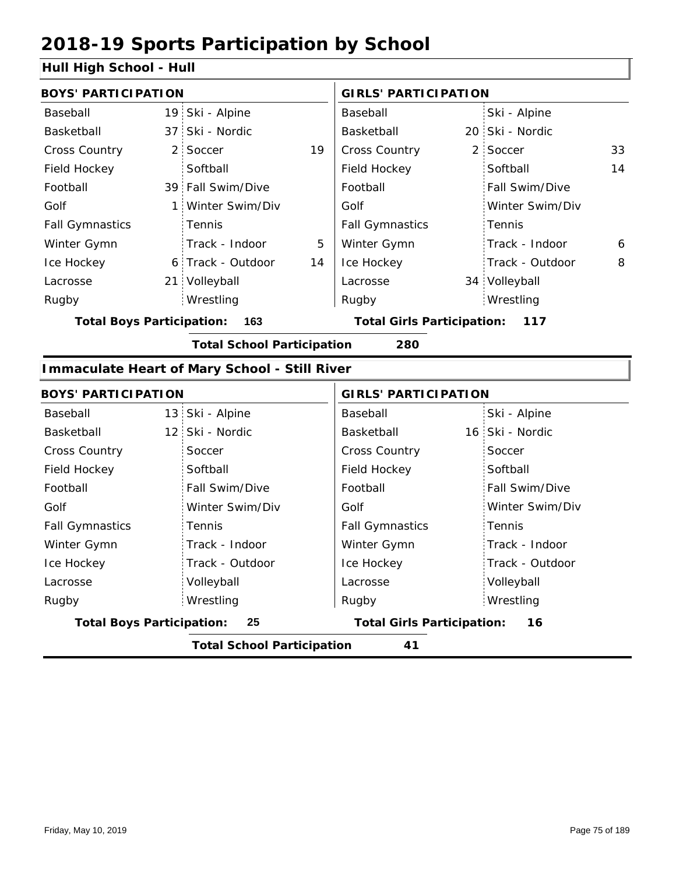#### **Hull High School - Hull**

|                        | <b>BOYS' PARTICIPATION</b> |                   |    |                        | <b>GIRLS' PARTICIPATION</b> |                       |    |  |
|------------------------|----------------------------|-------------------|----|------------------------|-----------------------------|-----------------------|----|--|
| Baseball               |                            | 19 Ski - Alpine   |    | Baseball               |                             | Ski - Alpine          |    |  |
| Basketball             |                            | 37 Ski - Nordic   |    | Basketball             |                             | 20 Ski - Nordic       |    |  |
| <b>Cross Country</b>   | $2 -$                      | Soccer            | 19 | <b>Cross Country</b>   |                             | 2 Soccer              | 33 |  |
| Field Hockey           |                            | Softball          |    | Field Hockey           |                             | Softball              | 14 |  |
| Football               |                            | 39 Fall Swim/Dive |    | Football               |                             | <b>Fall Swim/Dive</b> |    |  |
| Golf                   |                            | Winter Swim/Div   |    | Golf                   |                             | Winter Swim/Div       |    |  |
| <b>Fall Gymnastics</b> |                            | Tennis            |    | <b>Fall Gymnastics</b> |                             | Tennis                |    |  |
| Winter Gymn            |                            | Track - Indoor    | 5  | Winter Gymn            |                             | Track - Indoor        | 6  |  |
| Ice Hockey             |                            | 6 Track - Outdoor | 14 | Ice Hockey             |                             | Track - Outdoor       | 8  |  |
| Lacrosse               |                            | 21 Volleyball     |    | Lacrosse               |                             | 34 Volleyball         |    |  |
| Rugby                  |                            | Wrestling         |    | Rugby                  |                             | Wrestling             |    |  |
|                        |                            |                   |    |                        |                             |                       |    |  |

**Total Boys Participation: 163 Total Girls Participation: 117**

**Total School Participation 280**

#### **Immaculate Heart of Mary School - Still River**

| <b>BOYS' PARTICIPATION</b>       |                 | <b>GIRLS' PARTICIPATION</b>       |                 |  |  |
|----------------------------------|-----------------|-----------------------------------|-----------------|--|--|
| Baseball                         | 13 Ski - Alpine | Baseball                          | Ski - Alpine    |  |  |
| Basketball                       | 12 Ski - Nordic | Basketball                        | 16 Ski - Nordic |  |  |
| <b>Cross Country</b>             | Soccer          | <b>Cross Country</b>              | Soccer          |  |  |
| Field Hockey                     | Softball        | Field Hockey                      | Softball        |  |  |
| Football                         | Fall Swim/Dive  | Football                          | Fall Swim/Dive  |  |  |
| Golf                             | Winter Swim/Div | Golf                              | Winter Swim/Div |  |  |
| <b>Fall Gymnastics</b>           | Tennis          | <b>Fall Gymnastics</b>            | Tennis          |  |  |
| Winter Gymn                      | Track - Indoor  | Winter Gymn                       | Track - Indoor  |  |  |
| Ice Hockey                       | Track - Outdoor | Ice Hockey                        | Track - Outdoor |  |  |
| Lacrosse                         | Volleyball      | Lacrosse                          | Volleyball      |  |  |
| Rugby                            | Wrestling       | Rugby                             | Wrestling       |  |  |
| <b>Total Boys Participation:</b> | 25              | <b>Total Girls Participation:</b> | 16              |  |  |

**Total School Participation 41**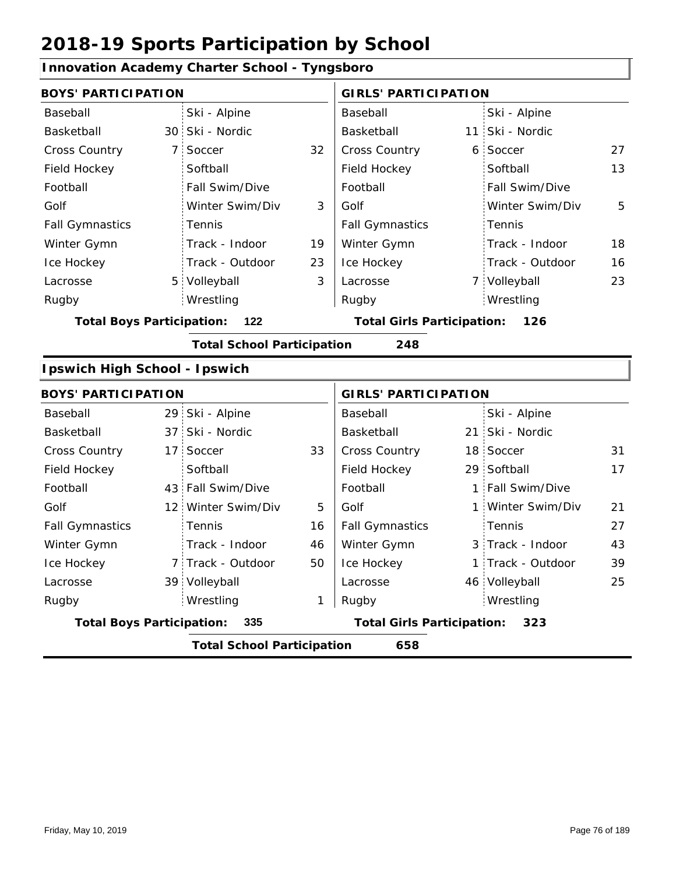#### **Innovation Academy Charter School - Tyngsboro** 30 Ski - Nordic **Basketball** 11 7 6 32 27 Cross Country 5 7 Volleyball 13 19 5 23 3 18 16 Baseball Basketball Cross Country Field Hockey Football Golf Fall Gymnastics Ice Hockey Lacrosse Ski - Alpine 7 Soccer **Softball** Fall Swim/Dive Tennis Track - Indoor Track - Outdoor Wrestling Rugby Rugby **BOYS' PARTICIPATION GIRLS' PARTICIPATION** Baseball Basketball Field Hockey Football Golf Fall Gymnastics Winter Gymn Ice Hockey Lacrosse Ski - Alpine 11 Ski - Nordic **6 Soccer Softball** Fall Swim/Dive Winter Swim/Div Tennis Track - Indoor Track - Outdoor Winter Gymn Winter Swim/Div 3 Volleyball 23 Wrestling **Total Boys Participation: 122 Total Girls Participation: 126 Total School Participation 248 Ipswich High School - Ipswich** 29 Ski - Alpine 37 21 Ski - Nordic 17 Soccer 33 | Cross Country 18 Soccer 31 29 Softball 43 Fall Swim/Dive | Football | 1 12 Winter Swim/Div 5 Golf 1 7 Track - Outdoor 3 Track - Indoor 39 Volleyball 1 Track - Outdoor 46 Volleyball 25 17 16 46 21 50 27 43 1 39 Baseball Basketball Cross Country Field Hockey Football Golf Fall Gymnastics Ice Hockey Lacrosse 17 Soccer **Softball Tennis** Track - Indoor Wrestling Rugby Rugby **BOYS' PARTICIPATION GIRLS' PARTICIPATION** Baseball Basketball Field Hockey Football Golf Fall Gymnastics Winter Gymn Ice Hockey Lacrosse Ski - Alpine 21 Ski - Nordic 18 Soccer Fall Swim/Dive Winter Swim/Div Tennis Winter Gymn Wrestling **Total Boys Participation: 335 Total Girls Participation: 323 Total School Participation 658**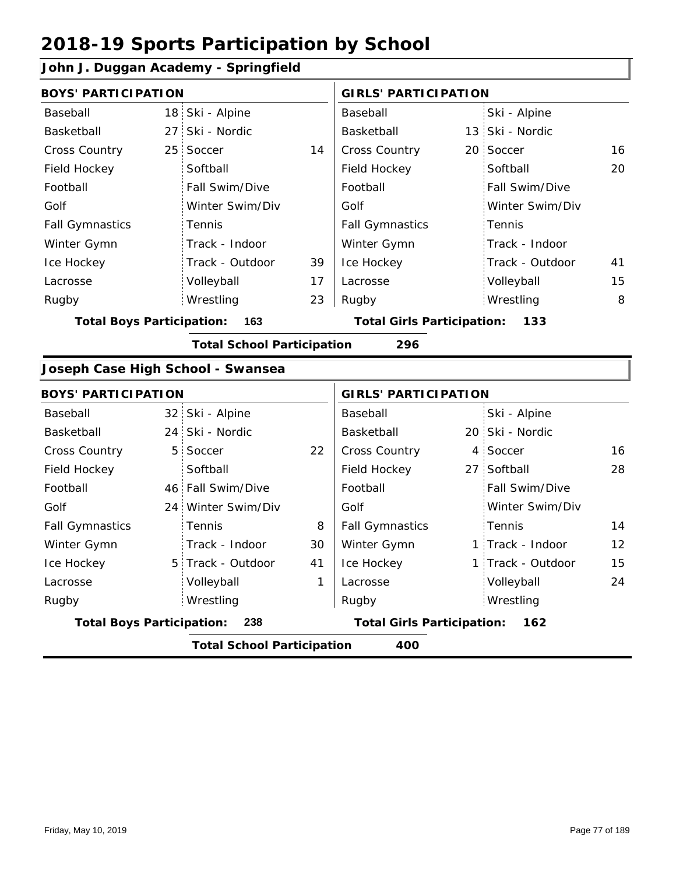### **John J. Duggan Academy - Springfield**

| .                                 |                                   |    |                                       |  |                   |                   |  |
|-----------------------------------|-----------------------------------|----|---------------------------------------|--|-------------------|-------------------|--|
| <b>BOYS' PARTICIPATION</b>        |                                   |    | <b>GIRLS' PARTICIPATION</b>           |  |                   |                   |  |
| Baseball                          | 18 Ski - Alpine                   |    | Baseball                              |  | Ski - Alpine      |                   |  |
| Basketball                        | 27 Ski - Nordic                   |    | Basketball                            |  | 13 Ski - Nordic   |                   |  |
| <b>Cross Country</b>              | 25 Soccer                         | 14 | Cross Country                         |  | 20 Soccer         | 16                |  |
| Field Hockey                      | Softball                          |    | Field Hockey                          |  | Softball          | 20                |  |
| Football                          | Fall Swim/Dive                    |    | Football                              |  | Fall Swim/Dive    |                   |  |
| Golf                              | Winter Swim/Div                   |    | Golf                                  |  | Winter Swim/Div   |                   |  |
| <b>Fall Gymnastics</b>            | Tennis                            |    | <b>Fall Gymnastics</b>                |  | Tennis            |                   |  |
| Winter Gymn                       | Track - Indoor                    |    | Winter Gymn                           |  | Track - Indoor    |                   |  |
| Ice Hockey                        | Track - Outdoor                   | 39 | Ice Hockey                            |  | Track - Outdoor   | 41                |  |
| Lacrosse                          | Volleyball                        | 17 | Lacrosse                              |  | Volleyball        | 15                |  |
| Rugby                             | Wrestling                         | 23 | Rugby                                 |  | Wrestling         | 8                 |  |
| <b>Total Boys Participation:</b>  | 163                               |    | <b>Total Girls Participation: 133</b> |  |                   |                   |  |
|                                   | <b>Total School Participation</b> |    | 296                                   |  |                   |                   |  |
| Joseph Case High School - Swansea |                                   |    |                                       |  |                   |                   |  |
| <b>BOYS' PARTICIPATION</b>        |                                   |    | <b>GIRLS' PARTICIPATION</b>           |  |                   |                   |  |
| Baseball                          | 32 Ski - Alpine                   |    | Baseball                              |  | Ski - Alpine      |                   |  |
| Basketball                        | 24 Ski - Nordic                   |    | Basketball                            |  | 20 Ski - Nordic   |                   |  |
| <b>Cross Country</b>              | 5 Soccer                          | 22 | Cross Country                         |  | 4 Soccer          | 16                |  |
| Field Hockey                      | Softball                          |    | Field Hockey                          |  | 27 Softball       | 28                |  |
| Football                          | 46 Fall Swim/Dive                 |    | Football                              |  | Fall Swim/Dive    |                   |  |
| Golf                              | 24 Winter Swim/Div                |    | Golf                                  |  | Winter Swim/Div   |                   |  |
| <b>Fall Gymnastics</b>            | Tennis                            | 8  | <b>Fall Gymnastics</b>                |  | Tennis            | 14                |  |
| Winter Gymn                       | Track - Indoor                    | 30 | Winter Gymn                           |  | 1 Track - Indoor  | $12 \overline{ }$ |  |
| Ice Hockey                        | 5 Track - Outdoor                 | 41 | Ice Hockey                            |  | 1 Track - Outdoor | 15                |  |
| Lacrosse                          | Volleyball                        | 1  | Lacrosse                              |  | Volleyball        | 24                |  |
| Rugby                             | Wrestling                         |    | Rugby                                 |  | Wrestling         |                   |  |
| <b>Total Boys Participation:</b>  | 238                               |    | <b>Total Girls Participation:</b>     |  | 162               |                   |  |
|                                   | <b>Total School Participation</b> |    | 400                                   |  |                   |                   |  |
|                                   |                                   |    |                                       |  |                   |                   |  |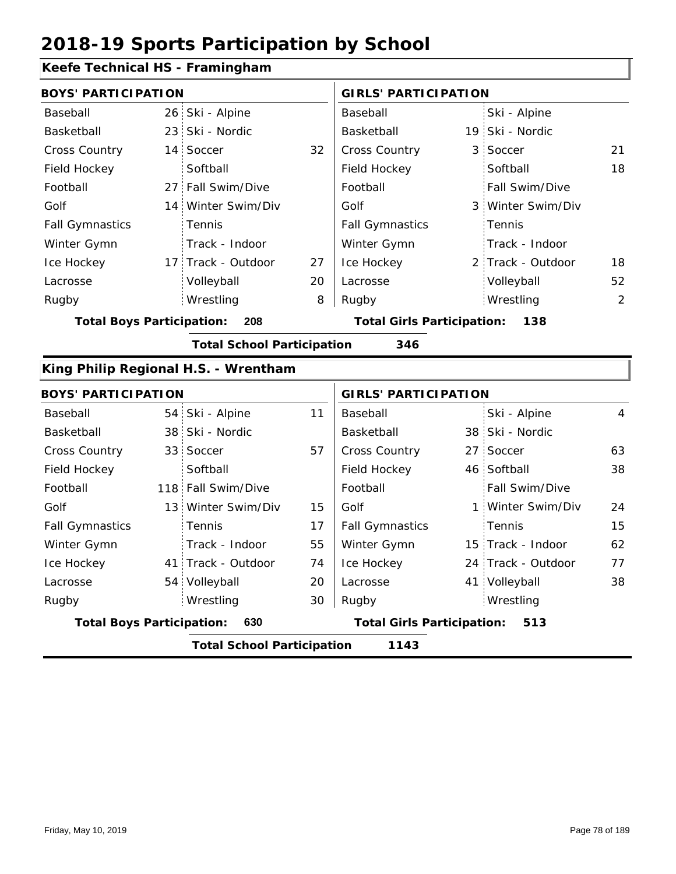#### **Keefe Technical HS - Framingham**

| <b>BOYS' PARTICIPATION</b>       |                                      |    | <b>GIRLS' PARTICIPATION</b>       |                   |    |
|----------------------------------|--------------------------------------|----|-----------------------------------|-------------------|----|
| Baseball                         | 26 Ski - Alpine                      |    | Baseball                          | Ski - Alpine      |    |
| Basketball                       | 23 Ski - Nordic                      |    | Basketball                        | 19 Ski - Nordic   |    |
| Cross Country                    | 14 Soccer                            | 32 | Cross Country                     | 3 Soccer          | 21 |
| Field Hockey                     | Softball                             |    | Field Hockey                      | Softball          | 18 |
| Football                         | 27 Fall Swim/Dive                    |    | Football                          | Fall Swim/Dive    |    |
| Golf                             | 14 Winter Swim/Div                   |    | Golf                              | 3 Winter Swim/Div |    |
| <b>Fall Gymnastics</b>           | Tennis                               |    | <b>Fall Gymnastics</b>            | Tennis            |    |
| Winter Gymn                      | Track - Indoor                       |    | Winter Gymn                       | Track - Indoor    |    |
| Ice Hockey                       | 17 Track - Outdoor                   | 27 | Ice Hockey                        | 2 Track - Outdoor | 18 |
| Lacrosse                         | Volleyball                           | 20 | Lacrosse                          | Volleyball        | 52 |
| Rugby                            | Wrestling                            | 8  | Rugby                             | Wrestling         | 2  |
| <b>Total Boys Participation:</b> | 208                                  |    | <b>Total Girls Participation:</b> | 138               |    |
|                                  | <b>Total School Participation</b>    |    | 346                               |                   |    |
|                                  | King Philip Regional H.S. - Wrentham |    |                                   |                   |    |
| <b>BOYS' PARTICIPATION</b>       |                                      |    | <b>GIRLS' PARTICIPATION</b>       |                   |    |
| Baseball                         | 54 Ski - Alpine                      | 11 | Baseball                          | Ski - Alpine      | 4  |
| Basketball                       | 38 Ski - Nordic                      |    | Basketball                        | 38 Ski - Nordic   |    |
| Cross Country                    | 33 Soccer                            | 57 | Cross Country                     | 27 Soccer         | 63 |

|                                  | <b>Total School Participation</b> |    | 1143                              |                       |    |
|----------------------------------|-----------------------------------|----|-----------------------------------|-----------------------|----|
| <b>Total Boys Participation:</b> | 630                               |    | <b>Total Girls Participation:</b> | 513                   |    |
| Rugby                            | Wrestling                         | 30 | Rugby                             | Wrestling             |    |
| Lacrosse                         | 54 Volleyball                     | 20 | Lacrosse                          | 41 Volleyball         | 38 |
| Ice Hockey                       | 41 Track - Outdoor                | 74 | Ice Hockey                        | 24 Track - Outdoor    | 77 |
| Winter Gymn                      | Track - Indoor                    | 55 | Winter Gymn                       | 15 Track - Indoor     | 62 |
| <b>Fall Gymnastics</b>           | Tennis                            | 17 | <b>Fall Gymnastics</b>            | Tennis                | 15 |
| Golf                             | 13 Winter Swim/Div                | 15 | Golf                              | 1 Winter Swim/Div     | 24 |
| Football                         | 118 Fall Swim/Dive                |    | Football                          | <b>Fall Swim/Dive</b> |    |
| Field Hockey                     | Softball                          |    | Field Hockey                      | 46 Softball           | 38 |
| <b>Cross Country</b>             | 33 Soccer                         | 57 | <b>Cross Country</b>              | 27 Soccer             | 63 |
| Basketball                       | 38 Ski - Nordic                   |    | Basketball                        | 38 Ski - Nordic       |    |
| Baseball                         | 54 Ski - Alpine                   | 11 | Baseball                          | Ski - Alpine          | 4  |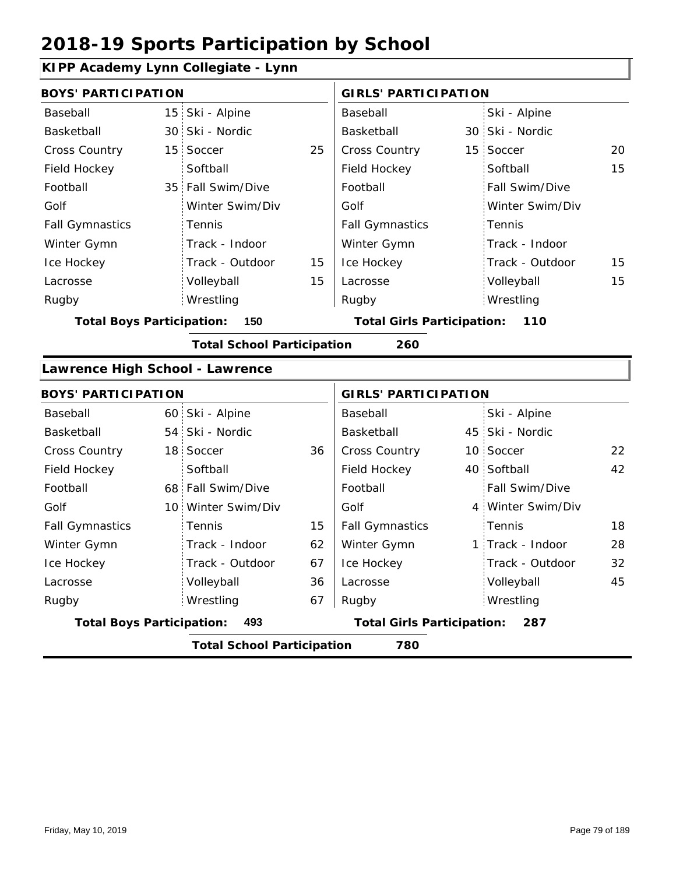### **KIPP Academy Lynn Collegiate - Lynn**

| <b>BOYS' PARTICIPATION</b>       |                                   |    | <b>GIRLS' PARTICIPATION</b>       |                   |    |
|----------------------------------|-----------------------------------|----|-----------------------------------|-------------------|----|
| Baseball                         | 15 Ski - Alpine                   |    | <b>Baseball</b>                   | Ski - Alpine      |    |
| Basketball                       | 30 Ski - Nordic                   |    | Basketball                        | 30 Ski - Nordic   |    |
| <b>Cross Country</b>             | 15 Soccer                         | 25 | Cross Country                     | 15 Soccer         | 20 |
| Field Hockey                     | Softball                          |    | Field Hockey                      | Softball          | 15 |
| Football                         | 35 Fall Swim/Dive                 |    | Football                          | Fall Swim/Dive    |    |
| Golf                             | Winter Swim/Div                   |    | Golf                              | Winter Swim/Div   |    |
| <b>Fall Gymnastics</b>           | Tennis                            |    | <b>Fall Gymnastics</b>            | Tennis            |    |
| Winter Gymn                      | Track - Indoor                    |    | Winter Gymn                       | Track - Indoor    |    |
| Ice Hockey                       | Track - Outdoor                   | 15 | Ice Hockey                        | Track - Outdoor   | 15 |
| Lacrosse                         | Volleyball                        | 15 | Lacrosse                          | Volleyball        | 15 |
| Rugby                            | Wrestling                         |    | Rugby                             | Wrestling         |    |
| <b>Total Boys Participation:</b> | 150                               |    | <b>Total Girls Participation:</b> | 110               |    |
|                                  | <b>Total School Participation</b> |    | 260                               |                   |    |
| Lawrence High School - Lawrence  |                                   |    |                                   |                   |    |
| <b>BOYS' PARTICIPATION</b>       |                                   |    | <b>GIRLS' PARTICIPATION</b>       |                   |    |
| Baseball                         | 60 Ski - Alpine                   |    | Baseball                          | Ski - Alpine      |    |
| <b>Basketball</b>                | 54 Ski - Nordic                   |    | <b>Basketball</b>                 | 45 Ski - Nordic   |    |
| <b>Cross Country</b>             | 18 Soccer                         | 36 | Cross Country                     | 10 Soccer         | 22 |
| Field Hockey                     | Softball                          |    | Field Hockey                      | 40 Softball       | 42 |
| Football                         | 68 Fall Swim/Dive                 |    | Football                          | Fall Swim/Dive    |    |
| Golf                             | 10 Winter Swim/Div                |    | Golf                              | 4 Winter Swim/Div |    |
| <b>Fall Gymnastics</b>           | Tennis                            | 15 | <b>Fall Gymnastics</b>            | Tennis            | 18 |
| Winter Gymn                      | Track - Indoor                    | 62 | Winter Gymn                       | 1 Track - Indoor  | 28 |
| Ice Hockey                       | Track - Outdoor                   | 67 | Ice Hockey                        | Track - Outdoor   | 32 |
| Lacrosse                         | Volleyball                        | 36 | Lacrosse                          | Volleyball        | 45 |
| Rugby                            | Wrestling                         | 67 | Rugby                             | Wrestling         |    |
| <b>Total Boys Participation:</b> | 493                               |    | <b>Total Girls Participation:</b> | 287               |    |
|                                  | <b>Total School Participation</b> |    | 780                               |                   |    |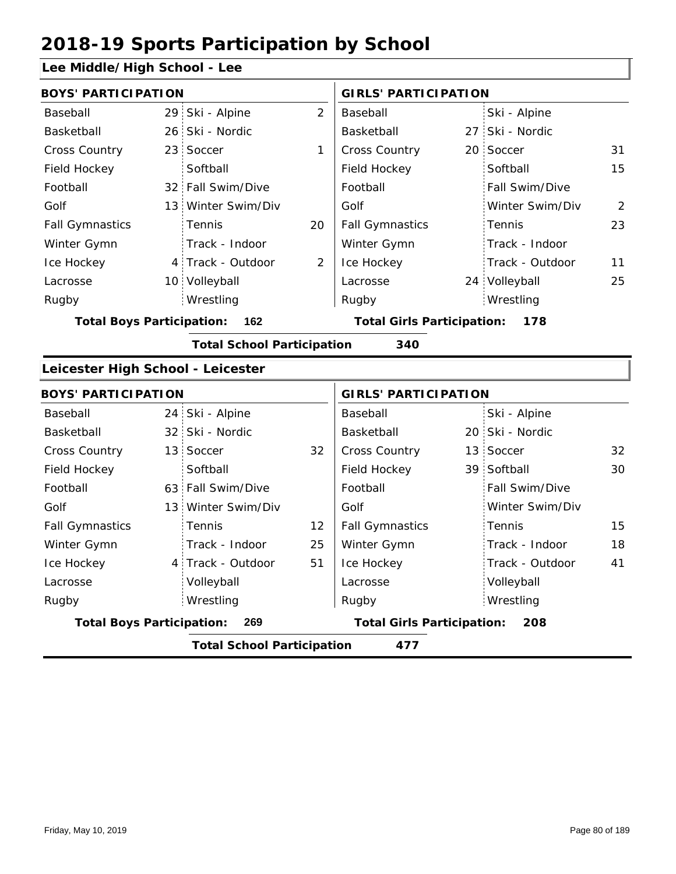### **Lee Middle/High School - Lee**

| <b>BOYS' PARTICIPATION</b>        |                                   |                                          | <b>GIRLS' PARTICIPATION</b>       |  |                 |    |  |
|-----------------------------------|-----------------------------------|------------------------------------------|-----------------------------------|--|-----------------|----|--|
| Baseball                          | 29 Ski - Alpine                   | $\overline{2}$                           | Baseball                          |  | Ski - Alpine    |    |  |
| Basketball                        | 26 Ski - Nordic                   |                                          | Basketball                        |  | 27 Ski - Nordic |    |  |
| Cross Country                     | 23 Soccer                         | 1                                        | Cross Country                     |  | 20 Soccer       | 31 |  |
| Field Hockey                      | Softball                          |                                          | Field Hockey                      |  | Softball        | 15 |  |
| Football                          | 32 Fall Swim/Dive                 |                                          | Football                          |  | Fall Swim/Dive  |    |  |
| Golf                              | 13 Winter Swim/Div                |                                          | Golf                              |  | Winter Swim/Div | 2  |  |
| <b>Fall Gymnastics</b>            | Tennis                            | 20                                       | <b>Fall Gymnastics</b>            |  | Tennis          | 23 |  |
| Winter Gymn                       | Track - Indoor                    |                                          | Winter Gymn                       |  | Track - Indoor  |    |  |
| Ice Hockey                        | 4 Track - Outdoor                 | 2                                        | Ice Hockey                        |  | Track - Outdoor | 11 |  |
| Lacrosse                          | 10 Volleyball                     |                                          | Lacrosse                          |  | 24 Volleyball   | 25 |  |
| Rugby                             | Wrestling                         |                                          | Rugby                             |  | Wrestling       |    |  |
| <b>Total Boys Participation:</b>  | 162                               | <b>Total Girls Participation:</b><br>178 |                                   |  |                 |    |  |
|                                   | <b>Total School Participation</b> |                                          | 340                               |  |                 |    |  |
| Leicester High School - Leicester |                                   |                                          |                                   |  |                 |    |  |
| <b>BOYS' PARTICIPATION</b>        |                                   |                                          | <b>GIRLS' PARTICIPATION</b>       |  |                 |    |  |
| Baseball                          | 24 Ski - Alpine                   |                                          | Baseball                          |  | Ski - Alpine    |    |  |
| Basketball                        | 32 Ski - Nordic                   |                                          | Basketball                        |  | 20 Ski - Nordic |    |  |
| <b>Cross Country</b>              | 13 Soccer                         | 32                                       | Cross Country                     |  | 13 Soccer       | 32 |  |
| Field Hockey                      | Softball                          |                                          | Field Hockey                      |  | 39 Softball     | 30 |  |
| Football                          | 63 Fall Swim/Dive                 |                                          | Football                          |  | Fall Swim/Dive  |    |  |
| Golf                              | 13 Winter Swim/Div                |                                          | Golf                              |  | Winter Swim/Div |    |  |
| <b>Fall Gymnastics</b>            | Tennis                            | 12                                       | <b>Fall Gymnastics</b>            |  | Tennis          | 15 |  |
| Winter Gymn                       | Track - Indoor                    | 25                                       | Winter Gymn                       |  | Track - Indoor  | 18 |  |
| Ice Hockey                        | 4 Track - Outdoor                 | 51                                       | Ice Hockey                        |  | Track - Outdoor | 41 |  |
| Lacrosse                          | Volleyball                        |                                          | Lacrosse                          |  | Volleyball      |    |  |
| Rugby                             | Wrestling                         |                                          | Rugby                             |  | Wrestling       |    |  |
| <b>Total Boys Participation:</b>  | 269                               |                                          | <b>Total Girls Participation:</b> |  | 208             |    |  |
|                                   | <b>Total School Participation</b> |                                          | 477                               |  |                 |    |  |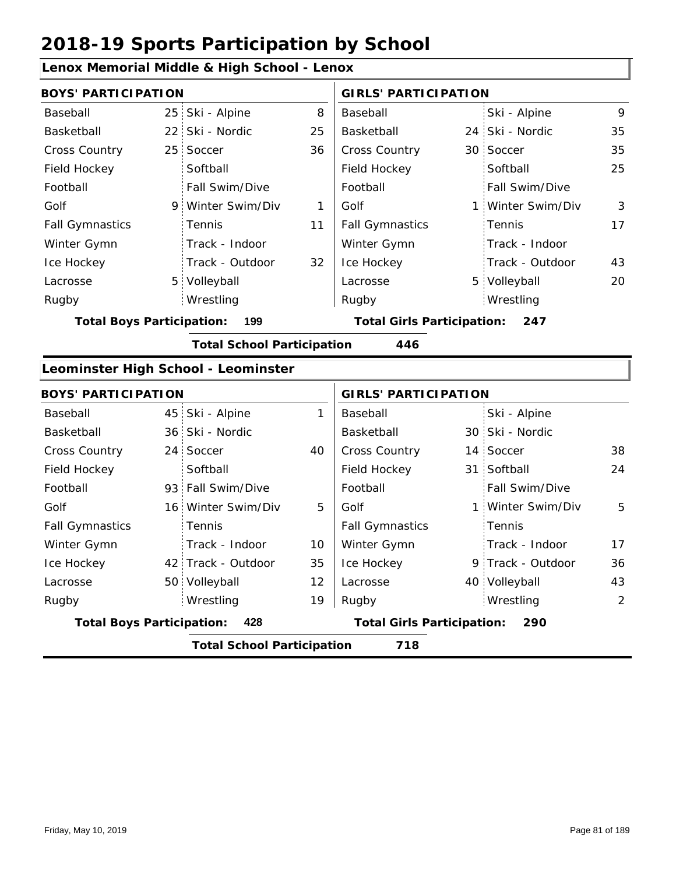|                                  |                 | Lenox Memorial Middle & High School - Lenox |    |                                   |                 |                   |    |  |
|----------------------------------|-----------------|---------------------------------------------|----|-----------------------------------|-----------------|-------------------|----|--|
| <b>BOYS' PARTICIPATION</b>       |                 |                                             |    | <b>GIRLS' PARTICIPATION</b>       |                 |                   |    |  |
| Baseball                         | 25:             | Ski - Alpine                                | 8  | Baseball                          |                 | Ski - Alpine      | 9  |  |
| Basketball                       | 22 <sup>1</sup> | Ski - Nordic                                | 25 | Basketball                        | 24 <sup>1</sup> | Ski - Nordic      | 35 |  |
| <b>Cross Country</b>             | 25 <sup>1</sup> | Soccer                                      | 36 | Cross Country                     |                 | 30 Soccer         | 35 |  |
| Field Hockey                     |                 | Softball                                    |    | Field Hockey                      |                 | Softball          | 25 |  |
| Football                         |                 | Fall Swim/Dive                              |    | Football                          |                 | Fall Swim/Dive    |    |  |
| Golf                             | 9.              | Winter Swim/Div                             | 1  | Golf                              | $\mathbf{1}$    | Winter Swim/Div   | 3  |  |
| <b>Fall Gymnastics</b>           |                 | Tennis                                      | 11 | <b>Fall Gymnastics</b>            |                 | Tennis            | 17 |  |
| Winter Gymn                      |                 | Track - Indoor                              |    | Winter Gymn                       |                 | Track - Indoor    |    |  |
| Ice Hockey                       |                 | Track - Outdoor                             | 32 | Ice Hockey                        |                 | Track - Outdoor   | 43 |  |
| Lacrosse                         | 5 <sub>1</sub>  | Volleyball                                  |    | Lacrosse                          |                 | 5 Volleyball      | 20 |  |
| Rugby                            |                 | Wrestling                                   |    | Rugby                             |                 | Wrestling         |    |  |
| <b>Total Boys Participation:</b> |                 | 199                                         |    | <b>Total Girls Participation:</b> |                 | 247               |    |  |
|                                  |                 | <b>Total School Participation</b>           |    | 446                               |                 |                   |    |  |
|                                  |                 | Leominster High School - Leominster         |    |                                   |                 |                   |    |  |
| <b>BOYS' PARTICIPATION</b>       |                 |                                             |    | <b>GIRLS' PARTICIPATION</b>       |                 |                   |    |  |
| Baseball                         | 45              | Ski - Alpine                                | 1  | Baseball                          |                 | Ski - Alpine      |    |  |
| Basketball                       | 36 <sup>1</sup> | Ski - Nordic                                |    | Basketball                        |                 | 30 Ski - Nordic   |    |  |
| <b>Cross Country</b>             | 24              | Soccer                                      | 40 | Cross Country                     |                 | 14 Soccer         | 38 |  |
| Field Hockey                     |                 | Softball                                    |    | Field Hockey                      | 31 <sup>2</sup> | Softball          | 24 |  |
| Football                         | 93              | Fall Swim/Dive                              |    | Football                          |                 | Fall Swim/Dive    |    |  |
| Golf                             | 16 <sup>1</sup> | Winter Swim/Div                             | 5  | Golf                              | 1               | Winter Swim/Div   | 5  |  |
| <b>Fall Gymnastics</b>           |                 | Tennis                                      |    | <b>Fall Gymnastics</b>            |                 | Tennis            |    |  |
| Winter Gymn                      |                 | Track - Indoor                              | 10 | Winter Gymn                       |                 | Track - Indoor    | 17 |  |
| Ice Hockey                       |                 | 42 Track - Outdoor                          | 35 | Ice Hockey                        |                 | 9 Track - Outdoor | 36 |  |
| Lacrosse                         |                 | 50 Volleyball                               | 12 | Lacrosse                          |                 | 40 Volleyball     | 43 |  |
| Rugby                            |                 | Wrestling                                   | 19 | Rugby                             |                 | Wrestling         | 2  |  |
| <b>Total Boys Participation:</b> |                 | 428                                         |    | <b>Total Girls Participation:</b> |                 | 290               |    |  |
|                                  |                 | <b>Total School Participation</b>           |    | 718                               |                 |                   |    |  |

Friday, May 10, 2019 **Page 81 of 189**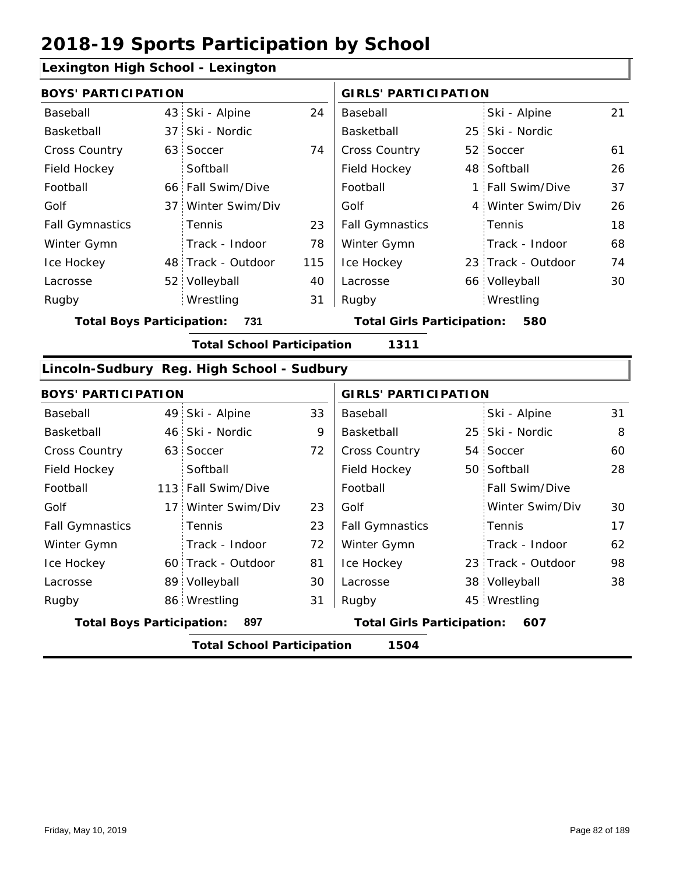### **Lexington High School - Lexington**

|                                         | <b>BOYS' PARTICIPATION</b> |                                   |     |                                          | <b>GIRLS' PARTICIPATION</b> |                    |    |  |
|-----------------------------------------|----------------------------|-----------------------------------|-----|------------------------------------------|-----------------------------|--------------------|----|--|
| Baseball                                |                            | 43 Ski - Alpine                   | 24  | Baseball                                 |                             | Ski - Alpine       | 21 |  |
| Basketball                              |                            | 37 Ski - Nordic                   |     | Basketball                               |                             | 25 Ski - Nordic    |    |  |
| <b>Cross Country</b>                    |                            | 63 Soccer                         | 74  | <b>Cross Country</b>                     |                             | 52 Soccer          | 61 |  |
| Field Hockey                            |                            | Softball                          |     | Field Hockey                             |                             | 48 Softball        | 26 |  |
| Football                                |                            | 66 Fall Swim/Dive                 |     | Football                                 |                             | 1 Fall Swim/Dive   | 37 |  |
| Golf                                    |                            | 37 Winter Swim/Div                |     | Golf                                     |                             | 4 Winter Swim/Div  | 26 |  |
| <b>Fall Gymnastics</b>                  |                            | <b>Tennis</b>                     | 23  | <b>Fall Gymnastics</b>                   |                             | Tennis             | 18 |  |
| Winter Gymn                             |                            | Track - Indoor                    | 78  | Winter Gymn                              |                             | Track - Indoor     | 68 |  |
| Ice Hockey                              |                            | 48 Track - Outdoor                | 115 | Ice Hockey                               |                             | 23 Track - Outdoor | 74 |  |
| Lacrosse                                |                            | 52 Volleyball                     | 40  | Lacrosse                                 |                             | 66 Volleyball      | 30 |  |
| Rugby                                   |                            | Wrestling                         | 31  | Rugby                                    |                             | Wrestling          |    |  |
| <b>Total Boys Participation:</b><br>731 |                            |                                   |     | <b>Total Girls Participation:</b><br>580 |                             |                    |    |  |
|                                         |                            | <b>Total School Participation</b> |     | 1311                                     |                             |                    |    |  |

#### **Lincoln-Sudbury Reg. High School - Sudbury**

|                                         | <b>BOYS' PARTICIPATION</b>                |                    |                                          |                        | <b>GIRLS' PARTICIPATION</b> |                       |    |  |  |  |
|-----------------------------------------|-------------------------------------------|--------------------|------------------------------------------|------------------------|-----------------------------|-----------------------|----|--|--|--|
| Baseball                                |                                           | 49 Ski - Alpine    | 33                                       | Baseball               |                             | Ski - Alpine          | 31 |  |  |  |
| Basketball                              |                                           | 46 Ski - Nordic    | 9                                        | Basketball             |                             | 25 Ski - Nordic       | 8  |  |  |  |
| <b>Cross Country</b>                    |                                           | 63 Soccer          | 72                                       | <b>Cross Country</b>   |                             | 54 Soccer             | 60 |  |  |  |
| Field Hockey                            |                                           | Softball           |                                          | Field Hockey           |                             | 50 Softball           | 28 |  |  |  |
| Football                                |                                           | 113 Fall Swim/Dive |                                          | Football               |                             | <b>Fall Swim/Dive</b> |    |  |  |  |
| Golf                                    | 17:                                       | Winter Swim/Div    | 23                                       | Golf                   |                             | Winter Swim/Div       | 30 |  |  |  |
| <b>Fall Gymnastics</b>                  |                                           | <b>Tennis</b>      | 23                                       | <b>Fall Gymnastics</b> |                             | Tennis                | 17 |  |  |  |
| Winter Gymn                             |                                           | Track - Indoor     | 72                                       | Winter Gymn            |                             | Track - Indoor        | 62 |  |  |  |
| Ice Hockey                              |                                           | 60 Track - Outdoor | 81                                       | Ice Hockey             |                             | 23 Track - Outdoor    | 98 |  |  |  |
| Lacrosse                                |                                           | 89 Volleyball      | 30                                       | Lacrosse               |                             | 38 Volleyball         | 38 |  |  |  |
| Rugby                                   |                                           | 86 Wrestling       | 31                                       | Rugby                  |                             | 45 Wrestling          |    |  |  |  |
| <b>Total Boys Participation:</b><br>897 |                                           |                    | <b>Total Girls Participation:</b><br>607 |                        |                             |                       |    |  |  |  |
|                                         | <b>Total School Participation</b><br>1504 |                    |                                          |                        |                             |                       |    |  |  |  |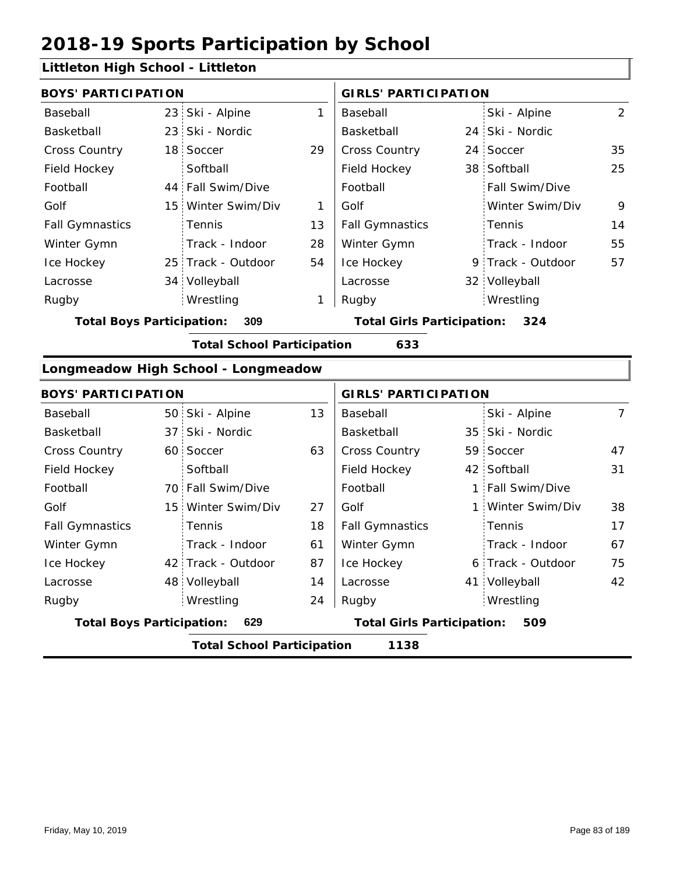#### **Littleton High School - Littleton**

|                        | <b>BOYS' PARTICIPATION</b> |                    |    |                        | <b>GIRLS' PARTICIPATION</b> |                       |    |  |
|------------------------|----------------------------|--------------------|----|------------------------|-----------------------------|-----------------------|----|--|
| Baseball               |                            | 23 Ski - Alpine    | 1  | Baseball               |                             | Ski - Alpine          | 2  |  |
| Basketball             |                            | 23 Ski - Nordic    |    | Basketball             |                             | 24 Ski - Nordic       |    |  |
| <b>Cross Country</b>   |                            | 18 Soccer          | 29 | <b>Cross Country</b>   |                             | 24 Soccer             | 35 |  |
| Field Hockey           |                            | Softball           |    | Field Hockey           |                             | 38 Softball           | 25 |  |
| Football               |                            | 44 Fall Swim/Dive  |    | Football               |                             | <b>Fall Swim/Dive</b> |    |  |
| Golf                   |                            | 15 Winter Swim/Div | 1  | Golf                   |                             | Winter Swim/Div       | 9  |  |
| <b>Fall Gymnastics</b> |                            | Tennis             | 13 | <b>Fall Gymnastics</b> |                             | Tennis                | 14 |  |
| Winter Gymn            |                            | Track - Indoor     | 28 | Winter Gymn            |                             | Track - Indoor        | 55 |  |
| Ice Hockey             |                            | 25 Track - Outdoor | 54 | Ice Hockey             |                             | 9 Track - Outdoor     | 57 |  |
| Lacrosse               |                            | 34 Volleyball      |    | Lacrosse               |                             | 32 Volleyball         |    |  |
| Rugby                  |                            | Wrestling          | 1  | Rugby                  |                             | Wrestling             |    |  |

**Total Boys Participation: 309 Total Girls Participation: 324**

**Total School Participation 633**

#### **Longmeadow High School - Longmeadow**

| <b>BOYS' PARTICIPATION</b>              |                                           |                                   |    | <b>GIRLS' PARTICIPATION</b> |  |                   |                |  |
|-----------------------------------------|-------------------------------------------|-----------------------------------|----|-----------------------------|--|-------------------|----------------|--|
| Baseball                                |                                           | 50 Ski - Alpine                   | 13 | Baseball                    |  | Ski - Alpine      | $\overline{7}$ |  |
| Basketball                              |                                           | 37 Ski - Nordic                   |    | Basketball                  |  | 35 Ski - Nordic   |                |  |
| <b>Cross Country</b>                    |                                           | 60 Soccer                         | 63 | <b>Cross Country</b>        |  | 59 Soccer         | 47             |  |
| Field Hockey                            |                                           | Softball                          |    | Field Hockey                |  | 42 Softball       | 31             |  |
| Football                                |                                           | 70 Fall Swim/Dive                 |    | Football                    |  | 1 Fall Swim/Dive  |                |  |
| Golf                                    |                                           | 15 Winter Swim/Div                | 27 | Golf                        |  | 1 Winter Swim/Div | 38             |  |
| <b>Fall Gymnastics</b>                  |                                           | <b>Tennis</b>                     | 18 | <b>Fall Gymnastics</b>      |  | Tennis            | 17             |  |
| Winter Gymn                             |                                           | Track - Indoor                    | 61 | Winter Gymn                 |  | Track - Indoor    | 67             |  |
| Ice Hockey                              |                                           | 42 Track - Outdoor                | 87 | Ice Hockey                  |  | 6 Track - Outdoor | 75             |  |
| Lacrosse                                |                                           | 48 Volleyball                     | 14 | Lacrosse                    |  | 41 Volleyball     | 42             |  |
| Rugby                                   |                                           | Wrestling                         | 24 | Rugby                       |  | Wrestling         |                |  |
| <b>Total Boys Participation:</b><br>629 |                                           | <b>Total Girls Participation:</b> |    | 509                         |  |                   |                |  |
|                                         | <b>Total School Participation</b><br>1138 |                                   |    |                             |  |                   |                |  |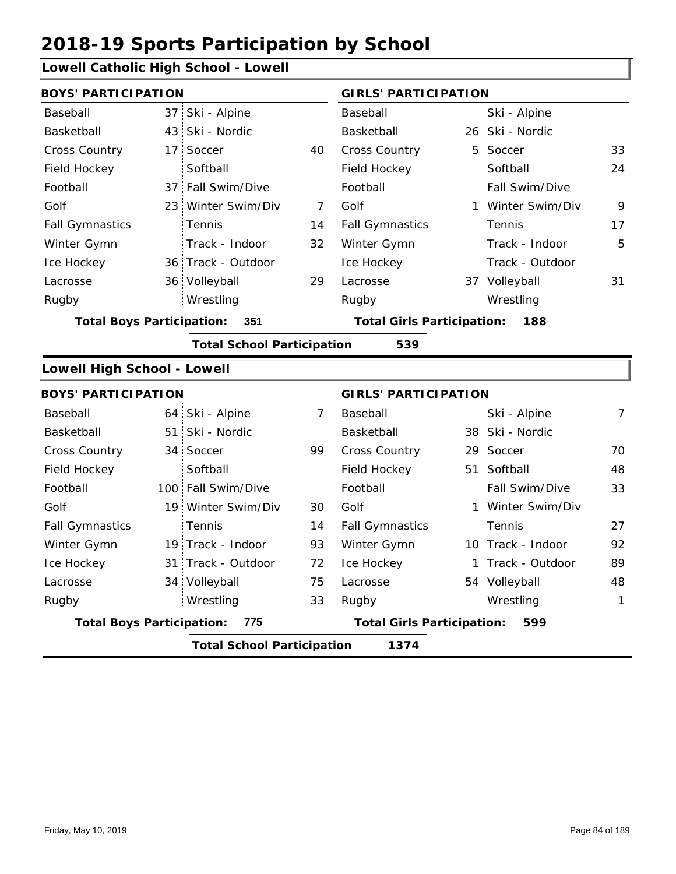### **Lowell Catholic High School - Lowell**

|                                  |                                           | Lowen Catholic High School - Lowen |                |                                   |                |                   |                |  |  |
|----------------------------------|-------------------------------------------|------------------------------------|----------------|-----------------------------------|----------------|-------------------|----------------|--|--|
| <b>BOYS' PARTICIPATION</b>       |                                           |                                    |                | <b>GIRLS' PARTICIPATION</b>       |                |                   |                |  |  |
| Baseball                         |                                           | 37 Ski - Alpine                    |                | Baseball                          |                | Ski - Alpine      |                |  |  |
| Basketball                       |                                           | 43 Ski - Nordic                    |                | Basketball                        |                | 26 Ski - Nordic   |                |  |  |
| <b>Cross Country</b>             |                                           | 17 Soccer                          | 40             | <b>Cross Country</b>              | 5 <sup>1</sup> | Soccer            | 33             |  |  |
| Field Hockey                     |                                           | Softball                           |                | Field Hockey                      |                | Softball          | 24             |  |  |
| Football                         |                                           | 37 Fall Swim/Dive                  |                | Football                          |                | Fall Swim/Dive    |                |  |  |
| Golf                             |                                           | 23 Winter Swim/Div                 | 7              | Golf                              |                | 1 Winter Swim/Div | 9              |  |  |
| <b>Fall Gymnastics</b>           |                                           | Tennis                             | 14             | <b>Fall Gymnastics</b>            |                | Tennis            | 17             |  |  |
| Winter Gymn                      |                                           | Track - Indoor                     | 32             | Winter Gymn                       |                | Track - Indoor    | 5              |  |  |
| Ice Hockey                       |                                           | 36 Track - Outdoor                 |                | Ice Hockey                        |                | Track - Outdoor   |                |  |  |
| Lacrosse                         |                                           | 36 Volleyball                      | 29             | Lacrosse                          |                | 37 Volleyball     | 31             |  |  |
| Rugby                            |                                           | Wrestling                          |                | Rugby                             |                | Wrestling         |                |  |  |
| <b>Total Boys Participation:</b> |                                           | 351                                |                | <b>Total Girls Participation:</b> |                | 188               |                |  |  |
|                                  |                                           | <b>Total School Participation</b>  |                | 539                               |                |                   |                |  |  |
| Lowell High School - Lowell      |                                           |                                    |                |                                   |                |                   |                |  |  |
| <b>BOYS' PARTICIPATION</b>       |                                           |                                    |                | <b>GIRLS' PARTICIPATION</b>       |                |                   |                |  |  |
| Baseball                         |                                           | 64 Ski - Alpine                    | $\overline{7}$ | Baseball                          |                | Ski - Alpine      | $\overline{7}$ |  |  |
| Basketball                       |                                           | 51 Ski - Nordic                    |                | Basketball                        |                | 38 Ski - Nordic   |                |  |  |
| Cross Country                    |                                           | 34 Soccer                          | 99             | Cross Country                     |                | 29 Soccer         | 70             |  |  |
| Field Hockey                     |                                           | Softball                           |                | Field Hockey                      |                | 51 Softball       | 48             |  |  |
| Football                         |                                           | 100 Fall Swim/Dive                 |                | Football                          |                | Fall Swim/Dive    | 33             |  |  |
| Golf                             |                                           | 19 Winter Swim/Div                 | 30             | Golf                              |                | Winter Swim/Div   |                |  |  |
| <b>Fall Gymnastics</b>           |                                           | Tennis                             | 14             | <b>Fall Gymnastics</b>            |                | Tennis            | 27             |  |  |
| Winter Gymn                      |                                           | 19 Track - Indoor                  | 93             | Winter Gymn                       |                | 10 Track - Indoor | 92             |  |  |
| Ice Hockey                       |                                           | 31 Track - Outdoor                 | 72             | Ice Hockey                        |                | 1 Track - Outdoor | 89             |  |  |
| Lacrosse                         |                                           | 34 Volleyball                      | 75             | Lacrosse                          |                | 54 Volleyball     | 48             |  |  |
| Rugby                            |                                           | Wrestling                          | 33             | Rugby                             |                | Wrestling         | 1              |  |  |
| <b>Total Boys Participation:</b> |                                           | 775                                |                | <b>Total Girls Participation:</b> |                | 599               |                |  |  |
|                                  | 1374<br><b>Total School Participation</b> |                                    |                |                                   |                |                   |                |  |  |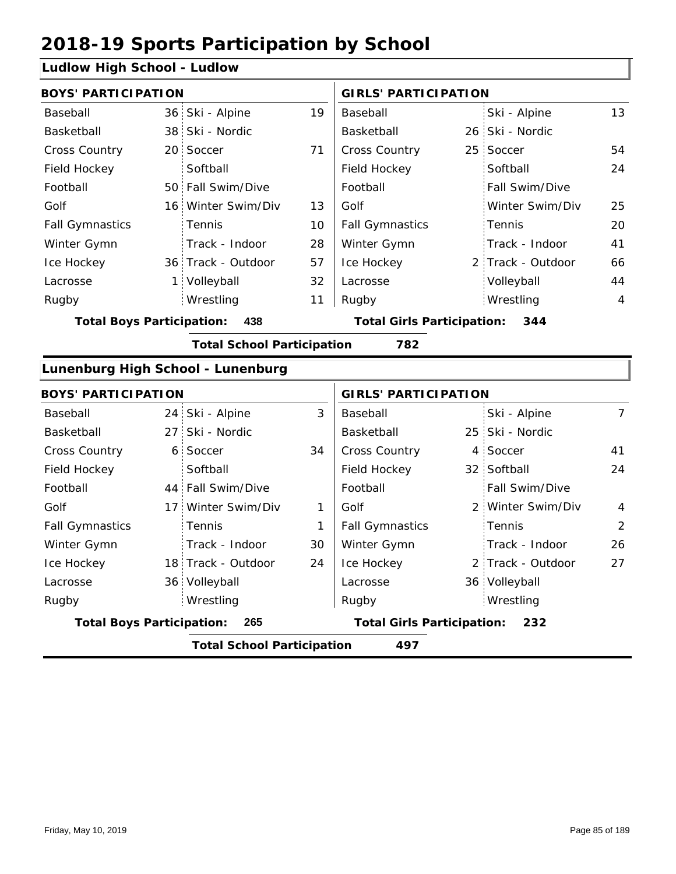### **Ludlow High School - Ludlow**

| <b>BOYS' PARTICIPATION</b>              |                |                                   |    | <b>GIRLS' PARTICIPATION</b>       |  |                   |                |
|-----------------------------------------|----------------|-----------------------------------|----|-----------------------------------|--|-------------------|----------------|
| Baseball                                |                | 36 Ski - Alpine                   | 19 | Baseball                          |  | Ski - Alpine      | 13             |
| Basketball                              |                | 38 Ski - Nordic                   |    | Basketball                        |  | 26 Ski - Nordic   |                |
| Cross Country                           |                | 20 Soccer                         | 71 | Cross Country                     |  | 25 Soccer         | 54             |
| Field Hockey                            |                | Softball                          |    | Field Hockey                      |  | Softball          | 24             |
| Football                                |                | 50 Fall Swim/Dive                 |    | Football                          |  | Fall Swim/Dive    |                |
| Golf                                    |                | 16 Winter Swim/Div                | 13 | Golf                              |  | Winter Swim/Div   | 25             |
| <b>Fall Gymnastics</b>                  |                | Tennis                            | 10 | <b>Fall Gymnastics</b>            |  | Tennis            | 20             |
| Winter Gymn                             |                | Track - Indoor                    | 28 | Winter Gymn                       |  | Track - Indoor    | 41             |
| Ice Hockey                              |                | 36 Track - Outdoor                | 57 | Ice Hockey                        |  | 2 Track - Outdoor | 66             |
| Lacrosse                                |                | 1 Volleyball                      | 32 | Lacrosse                          |  | Volleyball        | 44             |
| Rugby                                   |                | Wrestling                         | 11 | Rugby                             |  | Wrestling         | $\overline{4}$ |
| <b>Total Boys Participation:</b><br>438 |                |                                   |    | <b>Total Girls Participation:</b> |  | 344               |                |
|                                         |                | <b>Total School Participation</b> |    | 782                               |  |                   |                |
|                                         |                | Lunenburg High School - Lunenburg |    |                                   |  |                   |                |
| <b>BOYS' PARTICIPATION</b>              |                |                                   |    | <b>GIRLS' PARTICIPATION</b>       |  |                   |                |
| Baseball                                |                | 24 Ski - Alpine                   | 3  | Baseball                          |  | Ski - Alpine      | $\overline{7}$ |
| Basketball                              |                | 27 Ski - Nordic                   |    | Basketball                        |  | 25 Ski - Nordic   |                |
| Cross Country                           | 6 <sup>1</sup> | Soccer                            | 34 | Cross Country                     |  | 4 Soccer          | 41             |
| Field Hockey                            |                | Softball                          |    | Field Hockey                      |  | 32 Softball       | 24             |
| Football                                |                | 44 Fall Swim/Dive                 |    | Football                          |  | Fall Swim/Dive    |                |
| Golf                                    | 17:            | Winter Swim/Div                   | 1  | Golf                              |  | 2 Winter Swim/Div | $\overline{4}$ |
| <b>Fall Gymnastics</b>                  |                | Tennis                            | 1  | <b>Fall Gymnastics</b>            |  | Tennis            | $\overline{2}$ |
| Winter Gymn                             |                | Track - Indoor                    | 30 | Winter Gymn                       |  | Track - Indoor    | 26             |
| Ice Hockey                              |                | 18 Track - Outdoor                | 24 | Ice Hockey                        |  | 2 Track - Outdoor | 27             |
| Lacrosse                                |                | 36 Volleyball                     |    | Lacrosse                          |  | 36 Volleyball     |                |
| Rugby                                   |                | Wrestling                         |    | Rugby                             |  | Wrestling         |                |
| <b>Total Boys Participation:</b>        |                | 265                               |    | <b>Total Girls Participation:</b> |  | 232               |                |

**Total School Participation 497**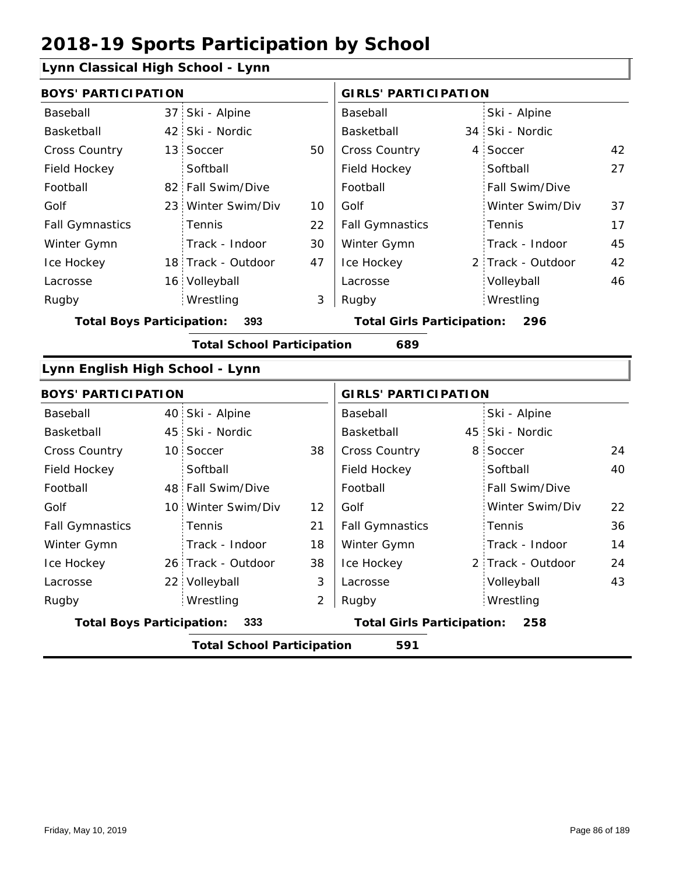### **Lynn Classical High School - Lynn**

| <b>BOYS' PARTICIPATION</b>       |                                   |    | <b>GIRLS' PARTICIPATION</b>              |   |                   |    |  |
|----------------------------------|-----------------------------------|----|------------------------------------------|---|-------------------|----|--|
| Baseball                         | 37 Ski - Alpine                   |    | Baseball                                 |   | Ski - Alpine      |    |  |
| Basketball                       | 42 Ski - Nordic                   |    | Basketball                               |   | 34 Ski - Nordic   |    |  |
| <b>Cross Country</b>             | 13 Soccer                         | 50 | <b>Cross Country</b>                     |   | 4 Soccer          | 42 |  |
| Field Hockey                     | Softball                          |    | Field Hockey                             |   | Softball          | 27 |  |
| Football                         | 82 Fall Swim/Dive                 |    | Football                                 |   | Fall Swim/Dive    |    |  |
| Golf                             | 23 Winter Swim/Div                | 10 | Golf                                     |   | Winter Swim/Div   | 37 |  |
| <b>Fall Gymnastics</b>           | Tennis                            | 22 | <b>Fall Gymnastics</b>                   |   | Tennis            | 17 |  |
| Winter Gymn                      | Track - Indoor                    | 30 | Winter Gymn                              |   | Track - Indoor    | 45 |  |
| Ice Hockey                       | 18 Track - Outdoor                | 47 | Ice Hockey                               |   | 2 Track - Outdoor | 42 |  |
| Lacrosse                         | 16 Volleyball                     |    | Lacrosse                                 |   | Volleyball        | 46 |  |
| Rugby                            | Wrestling                         | 3  | Rugby                                    |   | Wrestling         |    |  |
| <b>Total Boys Participation:</b> | 393                               |    | <b>Total Girls Participation:</b><br>296 |   |                   |    |  |
|                                  | <b>Total School Participation</b> |    | 689                                      |   |                   |    |  |
| Lynn English High School - Lynn  |                                   |    |                                          |   |                   |    |  |
| <b>BOYS' PARTICIPATION</b>       |                                   |    | <b>GIRLS' PARTICIPATION</b>              |   |                   |    |  |
| Baseball                         | 40 Ski - Alpine                   |    | Baseball                                 |   | Ski - Alpine      |    |  |
| Basketball                       | 45 Ski - Nordic                   |    | Basketball                               |   | 45 Ski - Nordic   |    |  |
| Cross Country                    | 10 Soccer                         | 38 | <b>Cross Country</b>                     | 8 | Soccer            | 24 |  |
| Field Hockey                     | Softball                          |    | Field Hockey                             |   | Softball          | 40 |  |
| Football                         | 48 Fall Swim/Dive                 |    | Football                                 |   | Fall Swim/Dive    |    |  |
|                                  |                                   |    |                                          |   |                   |    |  |

| <b>Total Boys Participation:</b><br>-333 |  |                           |    | <b>Total Girls Participation:</b><br>258 |                        |    |  |  |
|------------------------------------------|--|---------------------------|----|------------------------------------------|------------------------|----|--|--|
| Rugby                                    |  | Wrestling                 |    | Rugby                                    | Wrestling              |    |  |  |
| Lacrosse                                 |  | 22 Volleyball             | 3  | Lacrosse                                 | Volleyball             | 43 |  |  |
| Ice Hockey                               |  | 26 Track - Outdoor        | 38 | Ice Hockey                               | 2 Track - Outdoor      | 24 |  |  |
| Winter Gymn                              |  | Track - Indoor            | 18 | Winter Gymn                              | Track - Indoor         | 14 |  |  |
| <b>Fall Gymnastics</b>                   |  | Tennis                    | 21 | <b>Fall Gymnastics</b>                   | Tennis                 | 36 |  |  |
| Golf                                     |  | 10 Winter Swim/Div        | 12 | Golf                                     | Winter Swim/Div        | 22 |  |  |
| i vuluuli                                |  | <b>HOT I GILLOWILLIZE</b> |    | i vuluuli                                | $\sim$ 1 GH JWILH DIVG |    |  |  |

**Total School Participation 591**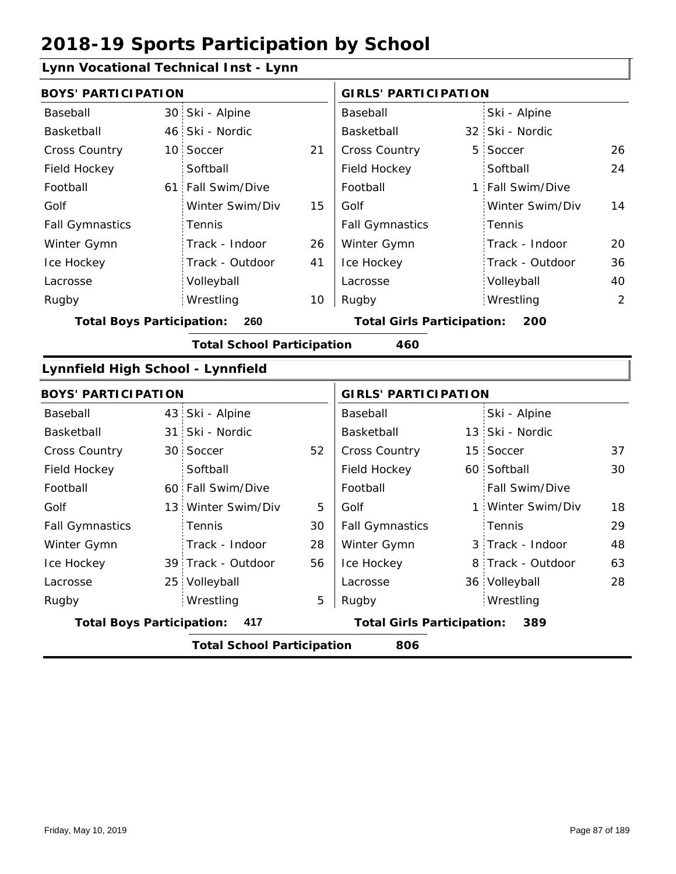### **Lynn Vocational Technical Inst - Lynn**

|                                   | <b>BOYS' PARTICIPATION</b>               |                                   |                                          |                                   | <b>GIRLS' PARTICIPATION</b> |                   |    |  |
|-----------------------------------|------------------------------------------|-----------------------------------|------------------------------------------|-----------------------------------|-----------------------------|-------------------|----|--|
| Baseball                          |                                          | 30 Ski - Alpine                   |                                          | Baseball                          |                             | Ski - Alpine      |    |  |
| Basketball                        |                                          | 46 Ski - Nordic                   |                                          | Basketball                        |                             | 32 Ski - Nordic   |    |  |
| Cross Country                     |                                          | 10 Soccer                         | 21                                       | Cross Country                     |                             | 5 Soccer          | 26 |  |
| Field Hockey                      |                                          | Softball                          |                                          | Field Hockey                      |                             | Softball          | 24 |  |
| Football                          |                                          | 61 Fall Swim/Dive                 |                                          | Football                          |                             | 1 Fall Swim/Dive  |    |  |
| Golf                              |                                          | Winter Swim/Div                   | 15                                       | Golf                              |                             | Winter Swim/Div   | 14 |  |
| <b>Fall Gymnastics</b>            |                                          | Tennis                            |                                          | <b>Fall Gymnastics</b>            |                             | Tennis            |    |  |
| Winter Gymn                       |                                          | Track - Indoor                    | 26                                       | Winter Gymn                       |                             | Track - Indoor    | 20 |  |
| Ice Hockey                        |                                          | Track - Outdoor                   | 41                                       | Ice Hockey                        |                             | Track - Outdoor   | 36 |  |
| Lacrosse                          |                                          | Volleyball                        |                                          | Lacrosse                          |                             | Volleyball        | 40 |  |
| Rugby                             |                                          | Wrestling                         | 10                                       | Rugby                             |                             | Wrestling         | 2  |  |
| <b>Total Boys Participation:</b>  |                                          | 260                               | <b>Total Girls Participation:</b><br>200 |                                   |                             |                   |    |  |
|                                   |                                          | <b>Total School Participation</b> |                                          | 460                               |                             |                   |    |  |
| Lynnfield High School - Lynnfield |                                          |                                   |                                          |                                   |                             |                   |    |  |
| <b>BOYS' PARTICIPATION</b>        |                                          |                                   |                                          | <b>GIRLS' PARTICIPATION</b>       |                             |                   |    |  |
| Baseball                          |                                          | 43 Ski - Alpine                   |                                          | Baseball                          |                             | Ski - Alpine      |    |  |
| Basketball                        |                                          | 31 Ski - Nordic                   |                                          | Basketball                        |                             | 13 Ski - Nordic   |    |  |
| <b>Cross Country</b>              |                                          | 30 Soccer                         | 52                                       | Cross Country                     |                             | 15 Soccer         | 37 |  |
| Field Hockey                      |                                          | Softball                          |                                          | Field Hockey                      |                             | 60 Softball       | 30 |  |
| Football                          |                                          | 60 Fall Swim/Dive                 |                                          | Football                          |                             | Fall Swim/Dive    |    |  |
| Golf                              |                                          | 13 Winter Swim/Div                | 5                                        | Golf                              |                             | 1 Winter Swim/Div | 18 |  |
| <b>Fall Gymnastics</b>            |                                          | Tennis                            | 30                                       | <b>Fall Gymnastics</b>            |                             | Tennis            | 29 |  |
| Winter Gymn                       |                                          | Track - Indoor                    | 28                                       | Winter Gymn                       |                             | 3 Track - Indoor  | 48 |  |
| Ice Hockey                        |                                          | 39 Track - Outdoor                | 56                                       | Ice Hockey                        |                             | 8 Track - Outdoor | 63 |  |
| Lacrosse                          |                                          | 25 Volleyball                     |                                          | Lacrosse                          |                             | 36 Volleyball     | 28 |  |
| Rugby                             |                                          | Wrestling                         | 5                                        | Rugby                             |                             | Wrestling         |    |  |
| <b>Total Boys Participation:</b>  |                                          | 417                               |                                          | <b>Total Girls Participation:</b> |                             | 389               |    |  |
|                                   | <b>Total School Participation</b><br>806 |                                   |                                          |                                   |                             |                   |    |  |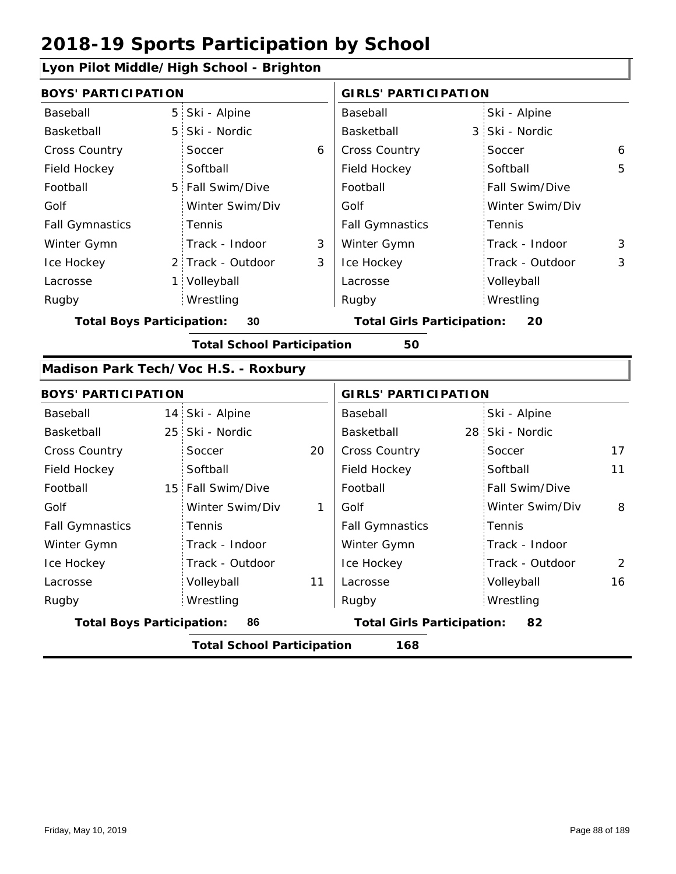### **Lyon Pilot Middle/High School - Brighton**

| <b>BOYS' PARTICIPATION</b>       |                 |                                      |    | <b>GIRLS' PARTICIPATION</b>       |  |                 |                |
|----------------------------------|-----------------|--------------------------------------|----|-----------------------------------|--|-----------------|----------------|
| Baseball                         | 5               | Ski - Alpine                         |    | Baseball                          |  | Ski - Alpine    |                |
| Basketball                       | 5               | Ski - Nordic                         |    | <b>Basketball</b>                 |  | 3 Ski - Nordic  |                |
| <b>Cross Country</b>             |                 | Soccer                               | 6  | <b>Cross Country</b>              |  | Soccer          | 6              |
| Field Hockey                     |                 | Softball                             |    | Field Hockey                      |  | Softball        | 5              |
| Football                         | 5               | Fall Swim/Dive                       |    | Football                          |  | Fall Swim/Dive  |                |
| Golf                             |                 | Winter Swim/Div                      |    | Golf                              |  | Winter Swim/Div |                |
| <b>Fall Gymnastics</b>           |                 | Tennis                               |    | <b>Fall Gymnastics</b>            |  | Tennis          |                |
| Winter Gymn                      |                 | Track - Indoor                       | 3  | Winter Gymn                       |  | Track - Indoor  | 3              |
| Ice Hockey                       |                 | 2 Track - Outdoor                    | 3  | Ice Hockey                        |  | Track - Outdoor | 3              |
| Lacrosse                         |                 | 1 Volleyball                         |    | Lacrosse                          |  | Volleyball      |                |
| Rugby                            |                 | Wrestling                            |    | Rugby                             |  | Wrestling       |                |
| <b>Total Boys Participation:</b> |                 | 30                                   |    | <b>Total Girls Participation:</b> |  | 20              |                |
|                                  |                 | <b>Total School Participation</b>    |    | 50                                |  |                 |                |
|                                  |                 | Madison Park Tech/Voc H.S. - Roxbury |    |                                   |  |                 |                |
| <b>BOYS' PARTICIPATION</b>       |                 |                                      |    | <b>GIRLS' PARTICIPATION</b>       |  |                 |                |
| Baseball                         | 14              | Ski - Alpine                         |    | Baseball                          |  | Ski - Alpine    |                |
| Basketball                       | 25 <sub>1</sub> | Ski - Nordic                         |    | Basketball                        |  | 28 Ski - Nordic |                |
| <b>Cross Country</b>             |                 | Soccer                               | 20 | <b>Cross Country</b>              |  | Soccer          | 17             |
| Field Hockey                     |                 | Softball                             |    | Field Hockey                      |  | Softball        | 11             |
| Football                         |                 | 15 Fall Swim/Dive                    |    | Football                          |  | Fall Swim/Dive  |                |
| Golf                             |                 | Winter Swim/Div                      | 1  | Golf                              |  | Winter Swim/Div | 8              |
| <b>Fall Gymnastics</b>           |                 | Tennis                               |    | <b>Fall Gymnastics</b>            |  | Tennis          |                |
| Winter Gymn                      |                 | Track - Indoor                       |    | Winter Gymn                       |  | Track - Indoor  |                |
| Ice Hockey                       |                 | Track - Outdoor                      |    | Ice Hockey                        |  | Track - Outdoor | $\overline{2}$ |
| Lacrosse                         |                 | Volleyball                           | 11 | Lacrosse                          |  | Volleyball      | 16             |
| Rugby                            |                 | Wrestling                            |    | Rugby                             |  | Wrestling       |                |
| <b>Total Boys Participation:</b> |                 | 86                                   |    | <b>Total Girls Participation:</b> |  | 82              |                |
|                                  |                 | <b>Total School Participation</b>    |    | 168                               |  |                 |                |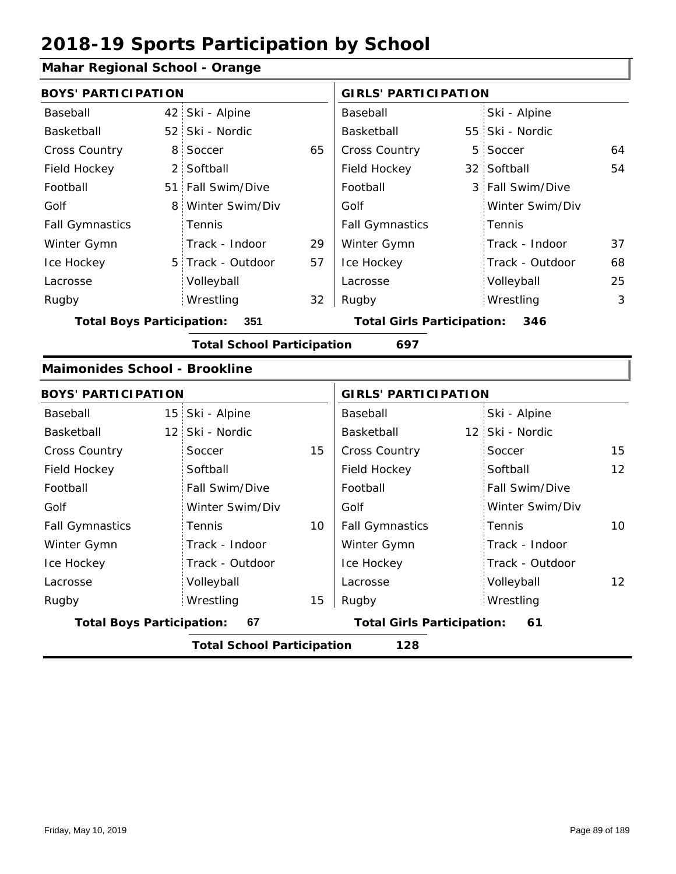#### **Mahar Regional School - Orange**

| <b>BOYS' PARTICIPATION</b>              |                 |                                   |    | <b>GIRLS' PARTICIPATION</b>       |  |                  |                |
|-----------------------------------------|-----------------|-----------------------------------|----|-----------------------------------|--|------------------|----------------|
| Baseball                                |                 | 42 Ski - Alpine                   |    | Baseball                          |  | Ski - Alpine     |                |
| Basketball                              |                 | 52 Ski - Nordic                   |    | Basketball                        |  | 55 Ski - Nordic  |                |
| <b>Cross Country</b>                    | 8               | Soccer                            | 65 | Cross Country                     |  | 5 Soccer         | 64             |
| Field Hockey                            | $\overline{2}$  | Softball                          |    | Field Hockey                      |  | 32 Softball      | 54             |
| Football                                |                 | 51 Fall Swim/Dive                 |    | Football                          |  | 3 Fall Swim/Dive |                |
| Golf                                    | 8               | Winter Swim/Div                   |    | Golf                              |  | Winter Swim/Div  |                |
| <b>Fall Gymnastics</b>                  |                 | Tennis                            |    | <b>Fall Gymnastics</b>            |  | Tennis           |                |
| Winter Gymn                             |                 | Track - Indoor                    | 29 | Winter Gymn                       |  | Track - Indoor   | 37             |
| Ice Hockey                              |                 | 5 Track - Outdoor                 | 57 | Ice Hockey                        |  | Track - Outdoor  | 68             |
| Lacrosse                                |                 | Volleyball                        |    | Lacrosse                          |  | Volleyball       | 25             |
| Rugby                                   |                 | Wrestling                         | 32 | Rugby                             |  | Wrestling        | $\mathfrak{Z}$ |
| <b>Total Boys Participation:</b><br>351 |                 |                                   |    | <b>Total Girls Participation:</b> |  | 346              |                |
|                                         |                 | <b>Total School Participation</b> |    | 697                               |  |                  |                |
| <b>Maimonides School - Brookline</b>    |                 |                                   |    |                                   |  |                  |                |
| <b>BOYS' PARTICIPATION</b>              |                 |                                   |    | <b>GIRLS' PARTICIPATION</b>       |  |                  |                |
| Baseball                                |                 | 15 Ski - Alpine                   |    | Baseball                          |  | Ski - Alpine     |                |
| Basketball                              | 12 <sup>1</sup> | Ski - Nordic                      |    | Basketball                        |  | 12 Ski - Nordic  |                |
| <b>Cross Country</b>                    |                 | Soccer                            | 15 | <b>Cross Country</b>              |  | Soccer           | 15             |
| Field Hockey                            |                 | Softball                          |    | Field Hockey                      |  | Softball         | 12             |
| Football                                |                 | Fall Swim/Dive                    |    | Football                          |  | Fall Swim/Dive   |                |
| Golf                                    |                 | Winter Swim/Div                   |    | Golf                              |  | Winter Swim/Div  |                |
| <b>Fall Gymnastics</b>                  |                 | Tennis                            | 10 | <b>Fall Gymnastics</b>            |  | Tennis           | 10             |
| Winter Gymn                             |                 | Track - Indoor                    |    | Winter Gymn                       |  | Track - Indoor   |                |

15

**Total Boys Participation: 67 Total Girls Participation: 61**

**Total School Participation 128**

Ice Hockey Lacrosse

Track - Outdoor

Volleyball Wrestling Rugby Rugby

Ice Hockey Lacrosse

Track - Outdoor

Wrestling

Volleyball 12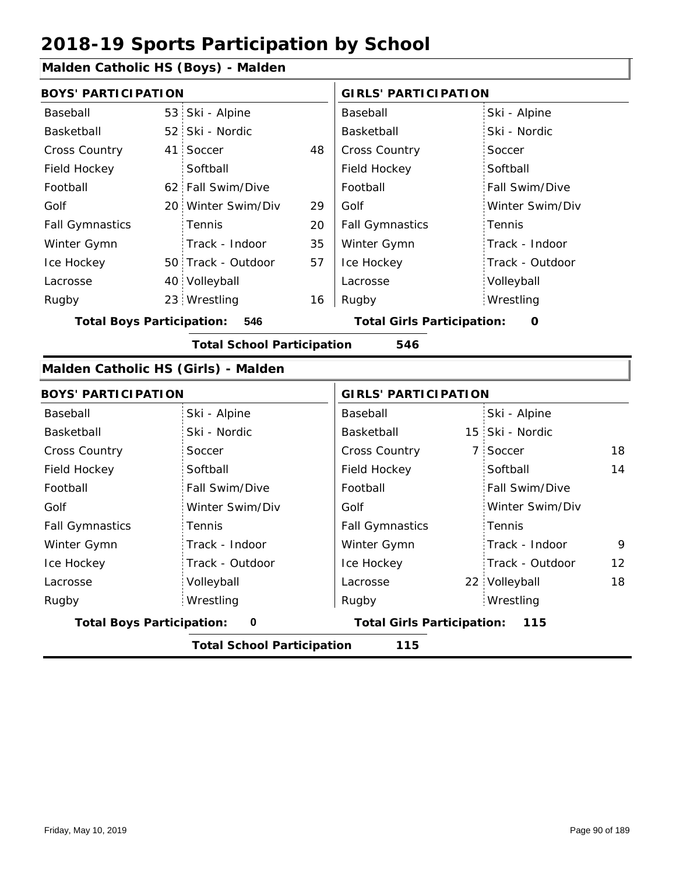### **Malden Catholic HS (Boys) - Malden**

|                        | <b>BOYS' PARTICIPATION</b> |                    |    |                        | <b>GIRLS' PARTICIPATION</b> |  |  |
|------------------------|----------------------------|--------------------|----|------------------------|-----------------------------|--|--|
|                        |                            |                    |    |                        |                             |  |  |
| Baseball               |                            | 53 Ski - Alpine    |    | Baseball               | Ski - Alpine                |  |  |
| Basketball             |                            | 52 Ski - Nordic    |    | Basketball             | Ski - Nordic                |  |  |
| <b>Cross Country</b>   | 41                         | Soccer             | 48 | <b>Cross Country</b>   | Soccer                      |  |  |
| Field Hockey           |                            | Softball           |    | Field Hockey           | Softball                    |  |  |
| Football               |                            | 62 Fall Swim/Dive  |    | Football               | Fall Swim/Dive              |  |  |
| Golf                   |                            | 20 Winter Swim/Div | 29 | Golf                   | Winter Swim/Div             |  |  |
| <b>Fall Gymnastics</b> |                            | Tennis             | 20 | <b>Fall Gymnastics</b> | : Tennis                    |  |  |
| Winter Gymn            |                            | Track - Indoor     | 35 | Winter Gymn            | Track - Indoor              |  |  |
| Ice Hockey             |                            | 50 Track - Outdoor | 57 | Ice Hockey             | Track - Outdoor             |  |  |
| Lacrosse               |                            | 40 Volleyball      |    | Lacrosse               | Volleyball                  |  |  |
| Rugby                  |                            | 23 Wrestling       | 16 | Rugby                  | Wrestling                   |  |  |

#### **Total Boys Participation: 546 Total Girls Participation: 0**

**Total School Participation 546**

#### **Malden Catholic HS (Girls) - Malden**

| <b>BOYS' PARTICIPATION</b>               |                 |                                   | <b>GIRLS' PARTICIPATION</b> |                 |    |  |
|------------------------------------------|-----------------|-----------------------------------|-----------------------------|-----------------|----|--|
| Baseball                                 | Ski - Alpine    | Baseball                          |                             | Ski - Alpine    |    |  |
| Basketball                               | Ski - Nordic    | Basketball                        |                             | 15 Ski - Nordic |    |  |
| <b>Cross Country</b>                     | Soccer          | <b>Cross Country</b>              |                             | 7 Soccer        | 18 |  |
| Field Hockey                             | Softball        | Field Hockey                      |                             | Softball        | 14 |  |
| Football                                 | Fall Swim/Dive  | Football                          |                             | Fall Swim/Dive  |    |  |
| Golf                                     | Winter Swim/Div | Golf                              |                             | Winter Swim/Div |    |  |
| <b>Fall Gymnastics</b>                   | <b>Tennis</b>   | <b>Fall Gymnastics</b>            |                             | Tennis          |    |  |
| Winter Gymn                              | Track - Indoor  | Winter Gymn                       |                             | Track - Indoor  | 9  |  |
| Ice Hockey                               | Track - Outdoor | Ice Hockey                        |                             | Track - Outdoor | 12 |  |
| Lacrosse                                 | Volleyball      | Lacrosse                          |                             | 22 Volleyball   | 18 |  |
| Rugby                                    | Wrestling       | Rugby                             |                             | Wrestling       |    |  |
| <b>Total Boys Participation:</b>         | $\mathbf 0$     | <b>Total Girls Participation:</b> |                             | 115             |    |  |
| <b>Total School Participation</b><br>115 |                 |                                   |                             |                 |    |  |

Friday, May 10, 2019 **Page 90 of 189**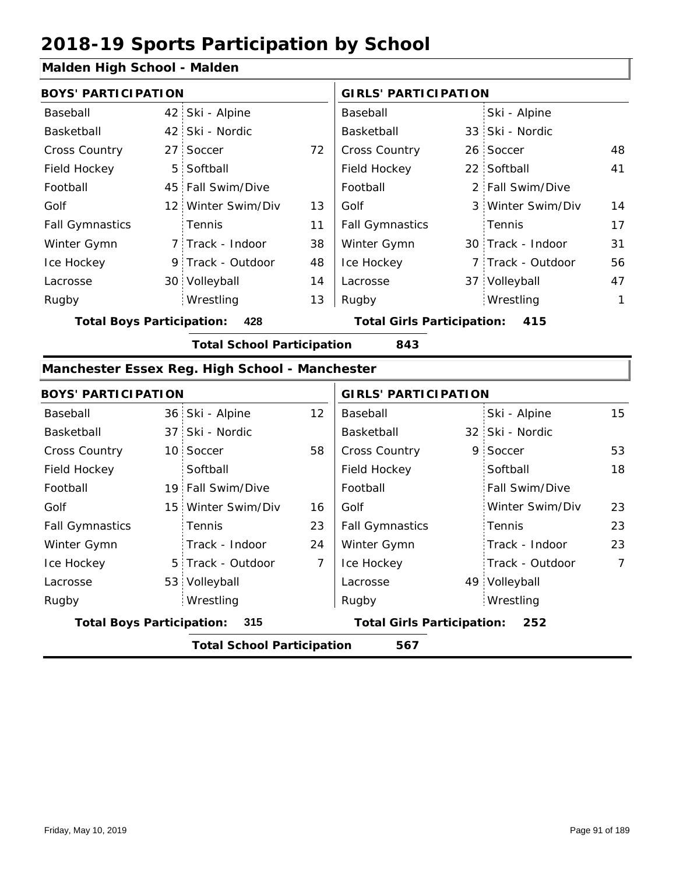#### **Malden High School - Malden**

| <b>BOYS' PARTICIPATION</b> |  |                    |    | <b>GIRLS' PARTICIPATION</b> |  |                   |              |
|----------------------------|--|--------------------|----|-----------------------------|--|-------------------|--------------|
| Baseball                   |  | 42 Ski - Alpine    |    | Baseball                    |  | Ski - Alpine      |              |
| Basketball                 |  | 42 Ski - Nordic    |    | Basketball                  |  | 33 Ski - Nordic   |              |
| <b>Cross Country</b>       |  | 27 Soccer          | 72 | <b>Cross Country</b>        |  | 26 Soccer         | 48           |
| Field Hockey               |  | 5 Softball         |    | Field Hockey                |  | 22 Softball       | 41           |
| Football                   |  | 45 Fall Swim/Dive  |    | Football                    |  | 2 Fall Swim/Dive  |              |
| Golf                       |  | 12 Winter Swim/Div | 13 | Golf                        |  | 3 Winter Swim/Div | 14           |
| <b>Fall Gymnastics</b>     |  | : Tennis           | 11 | <b>Fall Gymnastics</b>      |  | Tennis            | 17           |
| Winter Gymn                |  | 7 Track - Indoor   | 38 | Winter Gymn                 |  | 30 Track - Indoor | 31           |
| Ice Hockey                 |  | 9 Track - Outdoor  | 48 | Ice Hockey                  |  | 7 Track - Outdoor | 56           |
| Lacrosse                   |  | 30 Volleyball      | 14 | Lacrosse                    |  | 37 Volleyball     | 47           |
| Rugby                      |  | Wrestling          | 13 | Rugby                       |  | Wrestling         | $\mathbf{1}$ |

**Total Boys Participation: 428 Total Girls Participation: 415**

**Total School Participation 843**

### **Manchester Essex Reg. High School - Manchester**

| <b>BOYS' PARTICIPATION</b> |                                          |                    |                                   | <b>GIRLS' PARTICIPATION</b> |     |                       |                 |  |
|----------------------------|------------------------------------------|--------------------|-----------------------------------|-----------------------------|-----|-----------------------|-----------------|--|
| Baseball                   |                                          | 36 Ski - Alpine    | 12 <sup>2</sup>                   | Baseball                    |     | Ski - Alpine          | 15 <sup>2</sup> |  |
| Basketball                 |                                          | 37 Ski - Nordic    |                                   | Basketball                  |     | 32 Ski - Nordic       |                 |  |
| <b>Cross Country</b>       |                                          | 10 Soccer          | 58                                | <b>Cross Country</b>        |     | 9 Soccer              | 53              |  |
| Field Hockey               |                                          | Softball           |                                   | Field Hockey                |     | Softball              | 18              |  |
| Football                   |                                          | 19 Fall Swim/Dive  |                                   | Football                    |     | <b>Fall Swim/Dive</b> |                 |  |
| Golf                       |                                          | 15 Winter Swim/Div | 16                                | Golf                        |     | Winter Swim/Div       | 23              |  |
| <b>Fall Gymnastics</b>     |                                          | Tennis             | 23                                | <b>Fall Gymnastics</b>      |     | Tennis                | 23              |  |
| Winter Gymn                |                                          | Track - Indoor     | 24                                | Winter Gymn                 |     | Track - Indoor        | 23              |  |
| Ice Hockey                 |                                          | 5 Track - Outdoor  | $\overline{7}$                    | Ice Hockey                  |     | Track - Outdoor       | 7               |  |
| Lacrosse                   |                                          | 53 Volleyball      |                                   | Lacrosse                    |     | 49 Volleyball         |                 |  |
| Rugby                      |                                          | Wrestling          |                                   | Rugby                       |     | Wrestling             |                 |  |
|                            | <b>Total Boys Participation:</b><br>315  |                    | <b>Total Girls Participation:</b> |                             | 252 |                       |                 |  |
|                            | <b>Total School Participation</b><br>567 |                    |                                   |                             |     |                       |                 |  |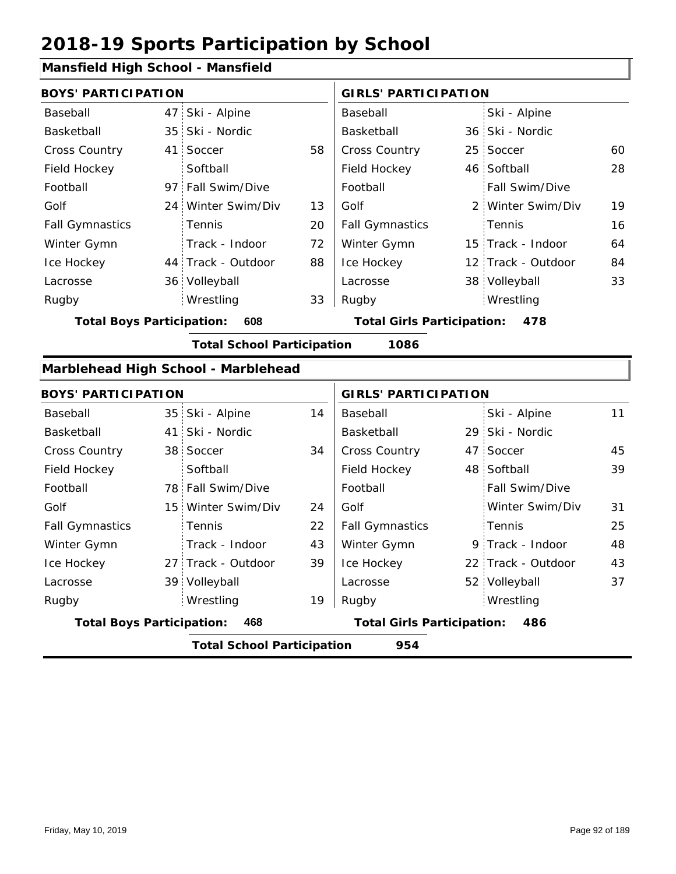#### **Mansfield High School - Mansfield**

|                        | <b>BOYS' PARTICIPATION</b> |                    |    | <b>GIRLS' PARTICIPATION</b> |  |                       |    |
|------------------------|----------------------------|--------------------|----|-----------------------------|--|-----------------------|----|
| Baseball               |                            | 47 Ski - Alpine    |    | Baseball                    |  | Ski - Alpine          |    |
| Basketball             |                            | 35 Ski - Nordic    |    | Basketball                  |  | 36 Ski - Nordic       |    |
| <b>Cross Country</b>   |                            | 41 Soccer          | 58 | <b>Cross Country</b>        |  | 25 Soccer             | 60 |
| Field Hockey           |                            | Softball           |    | Field Hockey                |  | 46 Softball           | 28 |
| Football               |                            | 97 Fall Swim/Dive  |    | Football                    |  | <b>Fall Swim/Dive</b> |    |
| Golf                   |                            | 24 Winter Swim/Div | 13 | Golf                        |  | 2 Winter Swim/Div     | 19 |
| <b>Fall Gymnastics</b> |                            | <b>Tennis</b>      | 20 | <b>Fall Gymnastics</b>      |  | Tennis                | 16 |
| Winter Gymn            |                            | Track - Indoor     | 72 | Winter Gymn                 |  | 15 Track - Indoor     | 64 |
| Ice Hockey             |                            | 44 Track - Outdoor | 88 | Ice Hockey                  |  | 12 Track - Outdoor    | 84 |
| Lacrosse               |                            | 36 Volleyball      |    | Lacrosse                    |  | 38 Volleyball         | 33 |
| Rugby                  |                            | Wrestling          | 33 | Rugby                       |  | Wrestling             |    |

**Total Boys Participation: 608 Total Girls Participation: 478**

**Total School Participation 1086**

#### **Marblehead High School - Marblehead**

|                                  | <b>BOYS' PARTICIPATION</b>               |                    |    | <b>GIRLS' PARTICIPATION</b>              |  |                    |    |  |  |
|----------------------------------|------------------------------------------|--------------------|----|------------------------------------------|--|--------------------|----|--|--|
| Baseball                         |                                          | 35 Ski - Alpine    | 14 | Baseball                                 |  | Ski - Alpine       | 11 |  |  |
| Basketball                       |                                          | 41 Ski - Nordic    |    | Basketball                               |  | 29 Ski - Nordic    |    |  |  |
| <b>Cross Country</b>             |                                          | 38 Soccer          | 34 | <b>Cross Country</b>                     |  | 47 Soccer          | 45 |  |  |
| Field Hockey                     |                                          | Softball           |    | Field Hockey                             |  | 48 Softball        | 39 |  |  |
| Football                         |                                          | 78 Fall Swim/Dive  |    | Football                                 |  | Fall Swim/Dive     |    |  |  |
| Golf                             |                                          | 15 Winter Swim/Div | 24 | Golf                                     |  | Winter Swim/Div    | 31 |  |  |
| <b>Fall Gymnastics</b>           |                                          | Tennis             | 22 | <b>Fall Gymnastics</b>                   |  | Tennis             | 25 |  |  |
| Winter Gymn                      |                                          | Track - Indoor     | 43 | Winter Gymn                              |  | 9 Track - Indoor   | 48 |  |  |
| Ice Hockey                       |                                          | 27 Track - Outdoor | 39 | Ice Hockey                               |  | 22 Track - Outdoor | 43 |  |  |
| Lacrosse                         |                                          | 39 Volleyball      |    | Lacrosse                                 |  | 52 Volleyball      | 37 |  |  |
| Rugby                            |                                          | Wrestling          | 19 | Rugby                                    |  | Wrestling          |    |  |  |
| <b>Total Boys Participation:</b> |                                          | 468                |    | <b>Total Girls Participation:</b><br>486 |  |                    |    |  |  |
|                                  | 954<br><b>Total School Participation</b> |                    |    |                                          |  |                    |    |  |  |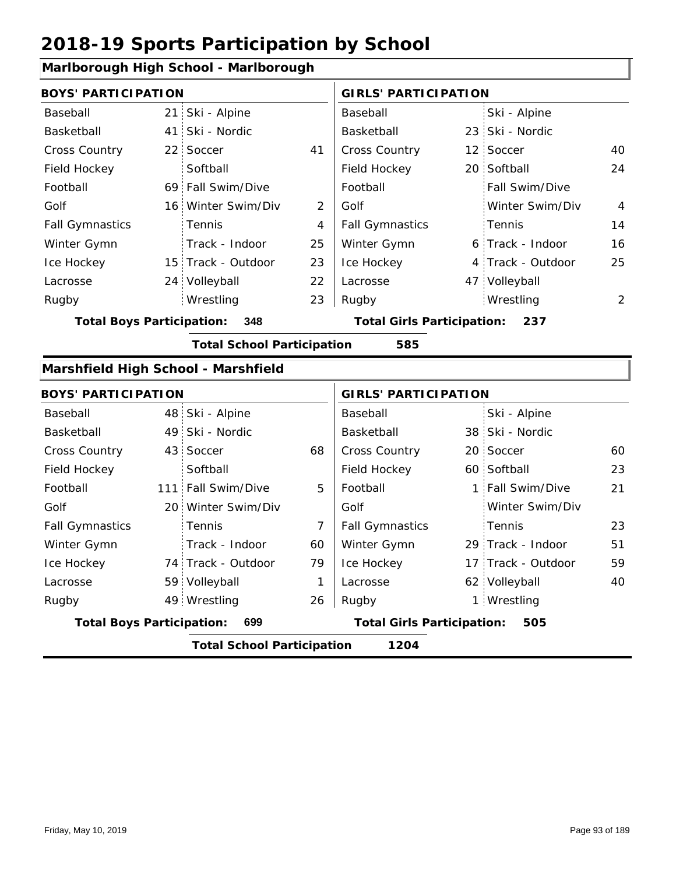### **Marlborough High School - Marlborough**

| <b>BOYS' PARTICIPATION</b>       |                                                                                     |                                     |                | <b>GIRLS' PARTICIPATION</b>              |                |                    |                |  |  |  |
|----------------------------------|-------------------------------------------------------------------------------------|-------------------------------------|----------------|------------------------------------------|----------------|--------------------|----------------|--|--|--|
| Baseball                         | 21                                                                                  | Ski - Alpine                        |                | Baseball                                 |                | Ski - Alpine       |                |  |  |  |
| Basketball                       | 41                                                                                  | Ski - Nordic                        |                | Basketball                               |                | 23 Ski - Nordic    |                |  |  |  |
| Cross Country                    | 22                                                                                  | Soccer                              | 41             | Cross Country                            |                | 12 Soccer          | 40             |  |  |  |
| Field Hockey                     |                                                                                     | Softball                            |                | Field Hockey                             |                | 20 Softball        | 24             |  |  |  |
| Football                         |                                                                                     | 69 Fall Swim/Dive                   |                | Football                                 |                | Fall Swim/Dive     |                |  |  |  |
| Golf                             | 16 <sup>1</sup>                                                                     | Winter Swim/Div                     | $\overline{2}$ | Golf                                     |                | Winter Swim/Div    | $\overline{4}$ |  |  |  |
| <b>Fall Gymnastics</b>           |                                                                                     | Tennis                              | $\overline{4}$ | <b>Fall Gymnastics</b>                   |                | Tennis             | 14             |  |  |  |
| Winter Gymn                      |                                                                                     | Track - Indoor                      | 25             | Winter Gymn                              |                | 6 Track - Indoor   | 16             |  |  |  |
| Ice Hockey                       |                                                                                     | 15 Track - Outdoor                  | 23             | Ice Hockey                               |                | 4 Track - Outdoor  | 25             |  |  |  |
| Lacrosse                         |                                                                                     | 24 Volleyball                       | 22             | Lacrosse                                 |                | 47 Volleyball      |                |  |  |  |
| Rugby                            |                                                                                     | Wrestling                           | 23             | Rugby                                    |                | Wrestling          | 2              |  |  |  |
|                                  | <b>Total Boys Participation:</b><br>348<br><b>Total Girls Participation:</b><br>237 |                                     |                |                                          |                |                    |                |  |  |  |
|                                  |                                                                                     | <b>Total School Participation</b>   |                | 585                                      |                |                    |                |  |  |  |
|                                  |                                                                                     | Marshfield High School - Marshfield |                |                                          |                |                    |                |  |  |  |
| <b>BOYS' PARTICIPATION</b>       |                                                                                     |                                     |                | <b>GIRLS' PARTICIPATION</b>              |                |                    |                |  |  |  |
| Baseball                         | 48                                                                                  | Ski - Alpine                        |                | Baseball                                 |                | Ski - Alpine       |                |  |  |  |
| Basketball                       | 49                                                                                  | Ski - Nordic                        |                | Basketball                               |                | 38 Ski - Nordic    |                |  |  |  |
| <b>Cross Country</b>             | 43 <sup>1</sup>                                                                     | Soccer                              | 68             | Cross Country                            |                | 20 Soccer          | 60             |  |  |  |
| Field Hockey                     |                                                                                     | Softball                            |                | Field Hockey                             |                | 60 Softball        | 23             |  |  |  |
| Football                         | 111                                                                                 | Fall Swim/Dive                      | 5              | Football                                 | 1 <sup>1</sup> | Fall Swim/Dive     | 21             |  |  |  |
| Golf                             |                                                                                     | 20 Winter Swim/Div                  |                | Golf                                     |                | Winter Swim/Div    |                |  |  |  |
| <b>Fall Gymnastics</b>           |                                                                                     | Tennis                              | $\overline{7}$ | <b>Fall Gymnastics</b>                   |                | Tennis             | 23             |  |  |  |
| Winter Gymn                      |                                                                                     | Track - Indoor                      | 60             | Winter Gymn                              |                | 29 Track - Indoor  | 51             |  |  |  |
| Ice Hockey                       |                                                                                     | 74 Track - Outdoor                  | 79             | Ice Hockey                               |                | 17 Track - Outdoor | 59             |  |  |  |
| Lacrosse                         |                                                                                     | 59 Volleyball                       | 1              | Lacrosse                                 |                | 62 Volleyball      | 40             |  |  |  |
| Rugby                            |                                                                                     | 49 Wrestling                        | 26             | Rugby                                    |                | 1 Wrestling        |                |  |  |  |
| <b>Total Boys Participation:</b> |                                                                                     | 699                                 |                | <b>Total Girls Participation:</b><br>505 |                |                    |                |  |  |  |
|                                  | <b>Total School Participation</b><br>1204                                           |                                     |                |                                          |                |                    |                |  |  |  |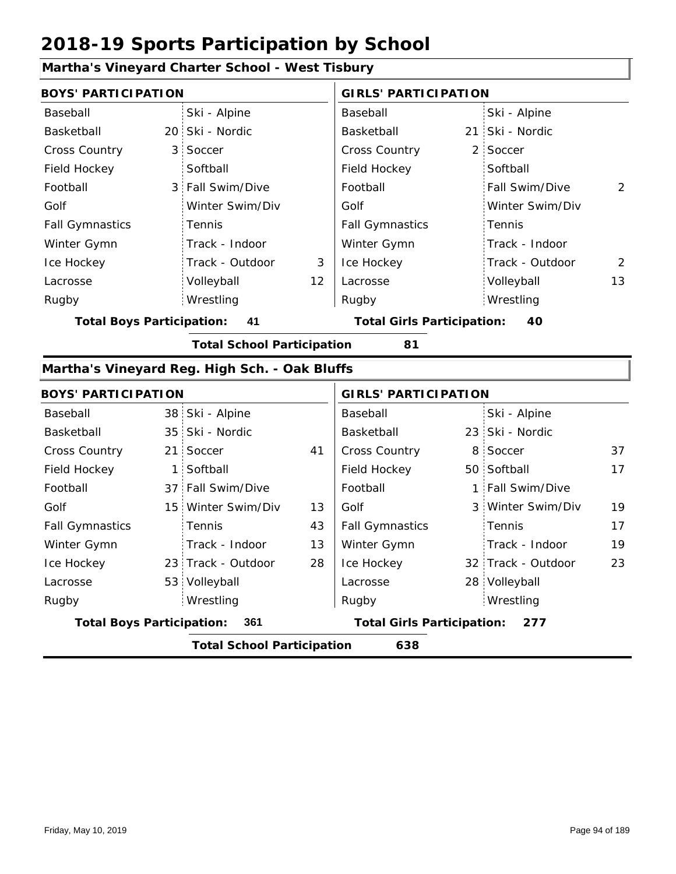#### **Martha's Vineyard Charter School - West Tisbury**

| <b>BOYS' PARTICIPATION</b>       |                 |                                               |                                   | <b>GIRLS' PARTICIPATION</b> |    |                    |                |
|----------------------------------|-----------------|-----------------------------------------------|-----------------------------------|-----------------------------|----|--------------------|----------------|
| Baseball                         |                 | Ski - Alpine                                  |                                   | Baseball                    |    | Ski - Alpine       |                |
| Basketball                       |                 | 20 Ski - Nordic                               |                                   | Basketball                  |    | 21 Ski - Nordic    |                |
| <b>Cross Country</b>             | 3               | Soccer                                        |                                   | Cross Country               |    | 2 Soccer           |                |
| Field Hockey                     |                 | Softball                                      |                                   | Field Hockey                |    | Softball           |                |
| Football                         | 3               | Fall Swim/Dive                                |                                   | Football                    |    | Fall Swim/Dive     | $\overline{2}$ |
| Golf                             |                 | Winter Swim/Div                               |                                   | Golf                        |    | Winter Swim/Div    |                |
| <b>Fall Gymnastics</b>           |                 | Tennis                                        |                                   | <b>Fall Gymnastics</b>      |    | Tennis             |                |
| Winter Gymn                      |                 | Track - Indoor                                |                                   | Winter Gymn                 |    | Track - Indoor     |                |
| Ice Hockey                       |                 | Track - Outdoor                               | 3                                 | Ice Hockey                  |    | Track - Outdoor    | 2              |
| Lacrosse                         |                 | Volleyball                                    | 12                                | Lacrosse                    |    | Volleyball         | 13             |
| Rugby                            |                 | Wrestling                                     |                                   | Rugby                       |    | Wrestling          |                |
| <b>Total Boys Participation:</b> | 41              |                                               | <b>Total Girls Participation:</b> |                             | 40 |                    |                |
|                                  |                 | <b>Total School Participation</b>             |                                   | 81                          |    |                    |                |
|                                  |                 | Martha's Vineyard Reg. High Sch. - Oak Bluffs |                                   |                             |    |                    |                |
| <b>BOYS' PARTICIPATION</b>       |                 |                                               |                                   | <b>GIRLS' PARTICIPATION</b> |    |                    |                |
| Baseball                         |                 | 38 Ski - Alpine                               |                                   | Baseball                    |    | Ski - Alpine       |                |
| Basketball                       | 35 <sup>1</sup> | Ski - Nordic                                  |                                   | Basketball                  |    | 23 Ski - Nordic    |                |
| Cross Country                    | 21 <sup>1</sup> | Soccer                                        | 41                                | Cross Country               |    | 8 Soccer           | 37             |
| Field Hockey                     | $\mathbf{1}$    | Softball                                      |                                   | Field Hockey                |    | 50 Softball        | 17             |
| Football                         | 37 <sup>1</sup> | Fall Swim/Dive                                |                                   | Football                    |    | 1 Fall Swim/Dive   |                |
| Golf                             | 15              | Winter Swim/Div                               | 13                                | Golf                        |    | 3 Winter Swim/Div  | 19             |
| <b>Fall Gymnastics</b>           |                 | Tennis                                        | 43                                | <b>Fall Gymnastics</b>      |    | Tennis             | 17             |
| Winter Gymn                      |                 | Track - Indoor                                | 13                                | Winter Gymn                 |    | Track - Indoor     | 19             |
| Ice Hockey                       |                 | 23 Track - Outdoor                            | 28                                | Ice Hockey                  |    | 32 Track - Outdoor | 23             |
| Lacrosse                         |                 | 53 Volleyball                                 |                                   | Lacrosse                    |    | 28 Volleyball      |                |

**Total Boys Participation: 361 Total Girls Participation: 277**

Wrestling Rugby Rugby

**Total School Participation 638**

Wrestling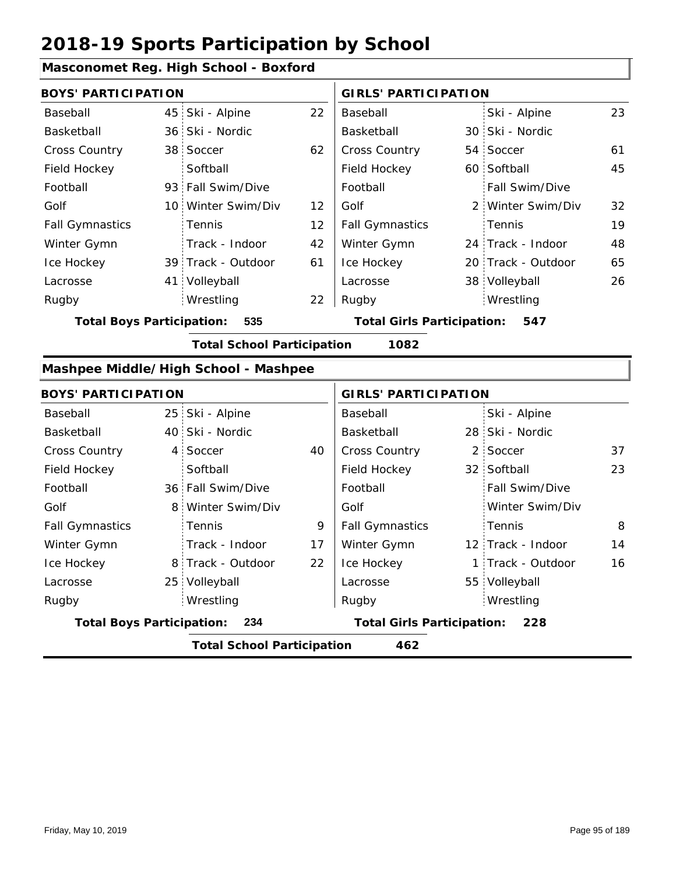### **Masconomet Reg. High School - Boxford**

| <b>BOYS' PARTICIPATION</b>       |                                      |                   | <b>GIRLS' PARTICIPATION</b>       |  |                    |    |
|----------------------------------|--------------------------------------|-------------------|-----------------------------------|--|--------------------|----|
| Baseball                         | 45 Ski - Alpine                      | 22                | Baseball                          |  | Ski - Alpine       | 23 |
| Basketball                       | 36 Ski - Nordic                      |                   | Basketball                        |  | 30 Ski - Nordic    |    |
| <b>Cross Country</b>             | 38 Soccer                            | 62                | <b>Cross Country</b>              |  | 54 Soccer          | 61 |
| Field Hockey                     | Softball                             |                   | Field Hockey                      |  | 60 Softball        | 45 |
| Football                         | 93 Fall Swim/Dive                    |                   | Football                          |  | Fall Swim/Dive     |    |
| Golf                             | 10 Winter Swim/Div                   | $12 \overline{ }$ | Golf                              |  | 2 Winter Swim/Div  | 32 |
| <b>Fall Gymnastics</b>           | Tennis                               | $12 \overline{ }$ | <b>Fall Gymnastics</b>            |  | Tennis             | 19 |
| Winter Gymn                      | Track - Indoor                       | 42                | Winter Gymn                       |  | 24 Track - Indoor  | 48 |
| Ice Hockey                       | 39 Track - Outdoor                   | 61                | Ice Hockey                        |  | 20 Track - Outdoor | 65 |
| Lacrosse                         | 41 Volleyball                        |                   | Lacrosse                          |  | 38 Volleyball      | 26 |
| Rugby                            | Wrestling                            | 22                | Rugby                             |  | Wrestling          |    |
| <b>Total Boys Participation:</b> | 535                                  |                   | <b>Total Girls Participation:</b> |  | 547                |    |
|                                  | <b>Total School Participation</b>    |                   | 1082                              |  |                    |    |
|                                  | Mashpee Middle/High School - Mashpee |                   |                                   |  |                    |    |

| <b>BOYS' PARTICIPATION</b>       |                                          |                   |    | <b>GIRLS' PARTICIPATION</b>              |  |                   |    |  |  |  |
|----------------------------------|------------------------------------------|-------------------|----|------------------------------------------|--|-------------------|----|--|--|--|
| Baseball                         |                                          | 25 Ski - Alpine   |    | Baseball                                 |  | Ski - Alpine      |    |  |  |  |
| Basketball                       |                                          | 40 Ski - Nordic   |    | Basketball                               |  | 28 Ski - Nordic   |    |  |  |  |
| <b>Cross Country</b>             |                                          | 4 Soccer          | 40 | <b>Cross Country</b>                     |  | 2 Soccer          | 37 |  |  |  |
| Field Hockey                     |                                          | Softball          |    | Field Hockey                             |  | 32 Softball       | 23 |  |  |  |
| Football                         |                                          | 36 Fall Swim/Dive |    | Football                                 |  | Fall Swim/Dive    |    |  |  |  |
| Golf                             |                                          | 8 Winter Swim/Div |    | Golf                                     |  | Winter Swim/Div   |    |  |  |  |
| <b>Fall Gymnastics</b>           |                                          | Tennis            | 9  | <b>Fall Gymnastics</b>                   |  | Tennis            | 8  |  |  |  |
| Winter Gymn                      |                                          | Track - Indoor    | 17 | Winter Gymn                              |  | 12 Track - Indoor | 14 |  |  |  |
| Ice Hockey                       |                                          | 8 Track - Outdoor | 22 | Ice Hockey                               |  | 1 Track - Outdoor | 16 |  |  |  |
| Lacrosse                         |                                          | 25 Volleyball     |    | Lacrosse                                 |  | 55 Volleyball     |    |  |  |  |
| Rugby                            |                                          | Wrestling         |    | Rugby                                    |  | Wrestling         |    |  |  |  |
| <b>Total Boys Participation:</b> |                                          | 234               |    | <b>Total Girls Participation:</b><br>228 |  |                   |    |  |  |  |
|                                  | <b>Total School Participation</b><br>462 |                   |    |                                          |  |                   |    |  |  |  |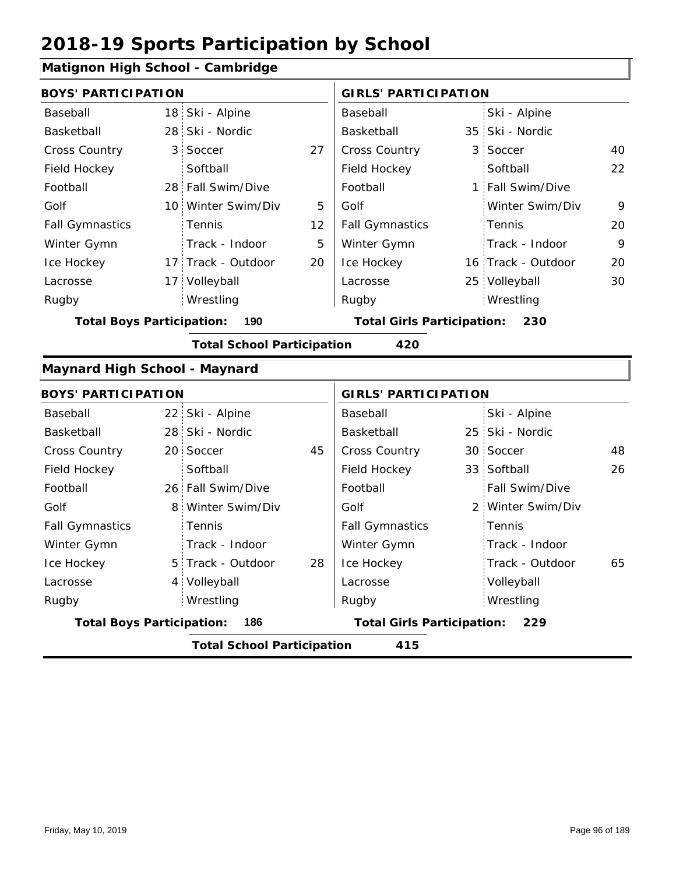### **Matignon High School - Cambridge**

|                                                                                     | <b>BOYS' PARTICIPATION</b> |                                   |    | <b>GIRLS' PARTICIPATION</b> |  |                    |    |  |
|-------------------------------------------------------------------------------------|----------------------------|-----------------------------------|----|-----------------------------|--|--------------------|----|--|
| Baseball                                                                            | 18                         | Ski - Alpine                      |    | <b>Baseball</b>             |  | Ski - Alpine       |    |  |
| Basketball                                                                          | 28                         | Ski - Nordic                      |    | Basketball                  |  | 35 Ski - Nordic    |    |  |
| Cross Country                                                                       | 3                          | Soccer                            | 27 | Cross Country               |  | 3 Soccer           | 40 |  |
| Field Hockey                                                                        |                            | Softball                          |    | Field Hockey                |  | Softball           | 22 |  |
| Football                                                                            |                            | 28 Fall Swim/Dive                 |    | Football                    |  | 1 Fall Swim/Dive   |    |  |
| Golf                                                                                |                            | 10 Winter Swim/Div                | 5  | Golf                        |  | Winter Swim/Div    | 9  |  |
| <b>Fall Gymnastics</b>                                                              |                            | Tennis                            | 12 | <b>Fall Gymnastics</b>      |  | Tennis             | 20 |  |
| Winter Gymn                                                                         |                            | Track - Indoor                    | 5  | Winter Gymn                 |  | Track - Indoor     | 9  |  |
| Ice Hockey                                                                          |                            | 17 Track - Outdoor                | 20 | Ice Hockey                  |  | 16 Track - Outdoor | 20 |  |
| Lacrosse                                                                            |                            | 17 Volleyball                     |    | Lacrosse                    |  | 25 Volleyball      | 30 |  |
| Rugby                                                                               |                            | Wrestling                         |    | Rugby                       |  | Wrestling          |    |  |
| <b>Total Boys Participation:</b><br>190<br><b>Total Girls Participation:</b><br>230 |                            |                                   |    |                             |  |                    |    |  |
|                                                                                     |                            | <b>Total School Participation</b> |    | 420                         |  |                    |    |  |
| Maynard High School - Maynard                                                       |                            |                                   |    |                             |  |                    |    |  |
| <b>BOYS' PARTICIPATION</b>                                                          |                            |                                   |    | <b>GIRLS' PARTICIPATION</b> |  |                    |    |  |
| Baseball                                                                            | 22 <sub>1</sub>            | Ski - Alpine                      |    | Baseball                    |  | Ski - Alpine       |    |  |
| Basketball                                                                          | 28:                        | Ski - Nordic                      |    | Basketball                  |  | 25 Ski - Nordic    |    |  |
| <b>Cross Country</b>                                                                | 20 <sub>1</sub>            | Soccer                            | 45 | Cross Country               |  | 30 Soccer          | 48 |  |
| Field Hockey                                                                        |                            |                                   |    |                             |  |                    |    |  |
|                                                                                     |                            | Softball                          |    | Field Hockey                |  | 33 Softball        | 26 |  |
| Football                                                                            |                            | 26 Fall Swim/Dive                 |    | Football                    |  | Fall Swim/Dive     |    |  |
| Golf                                                                                | 8                          | Winter Swim/Div                   |    | Golf                        |  | 2 Winter Swim/Div  |    |  |
| <b>Fall Gymnastics</b>                                                              |                            | Tennis                            |    | <b>Fall Gymnastics</b>      |  | Tennis             |    |  |
| Winter Gymn                                                                         |                            | Track - Indoor                    |    | Winter Gymn                 |  | Track - Indoor     |    |  |
| Ice Hockey                                                                          | 5                          | Track - Outdoor                   | 28 | Ice Hockey                  |  | Track - Outdoor    | 65 |  |
| Lacrosse                                                                            | 4                          | Volleyball                        |    | Lacrosse                    |  | Volleyball         |    |  |
| Rugby                                                                               |                            | Wrestling                         |    | Rugby                       |  | Wrestling          |    |  |

**Total School Participation 415**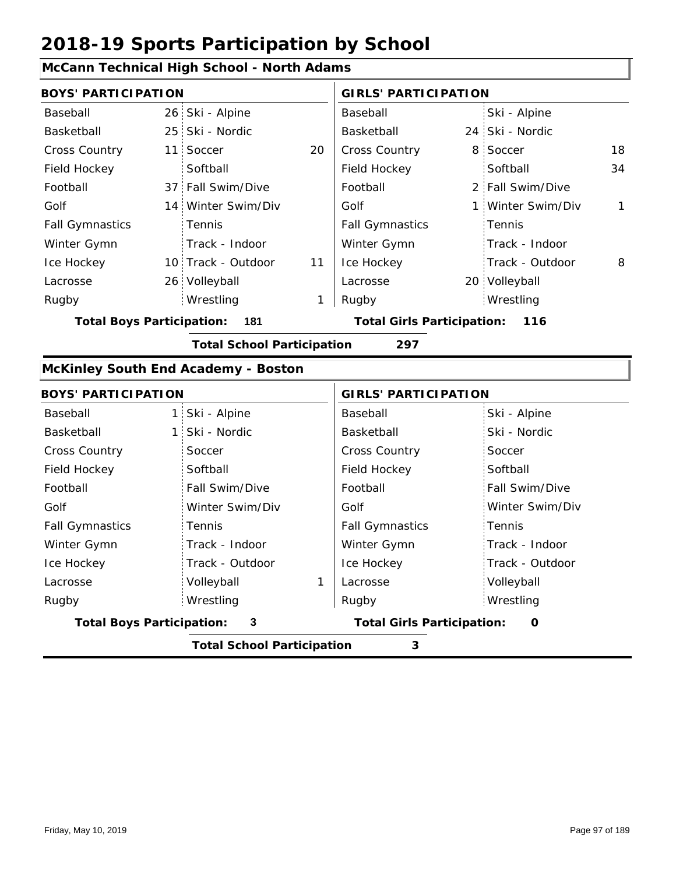### **McCann Technical High School - North Adams**

| <b>BOYS' PARTICIPATION</b>       |                                            |    | <b>GIRLS' PARTICIPATION</b>           |  |                   |              |  |
|----------------------------------|--------------------------------------------|----|---------------------------------------|--|-------------------|--------------|--|
| Baseball                         | 26 Ski - Alpine                            |    | Baseball                              |  | Ski - Alpine      |              |  |
| Basketball                       | 25 Ski - Nordic                            |    | Basketball                            |  | 24 Ski - Nordic   |              |  |
| <b>Cross Country</b>             | 11 Soccer                                  | 20 | Cross Country                         |  | 8 Soccer          | 18           |  |
| Field Hockey                     | Softball                                   |    | Field Hockey                          |  | Softball          | 34           |  |
| Football                         | 37 Fall Swim/Dive                          |    | Football                              |  | 2 Fall Swim/Dive  |              |  |
| Golf                             | 14 Winter Swim/Div                         |    | Golf                                  |  | 1 Winter Swim/Div | $\mathbf{1}$ |  |
| <b>Fall Gymnastics</b>           | Tennis                                     |    | <b>Fall Gymnastics</b>                |  | Tennis            |              |  |
| Winter Gymn                      | Track - Indoor                             |    | Winter Gymn                           |  | Track - Indoor    |              |  |
| Ice Hockey                       | 10 Track - Outdoor                         | 11 | Ice Hockey                            |  | Track - Outdoor   | 8            |  |
| Lacrosse                         | 26 Volleyball                              |    | Lacrosse                              |  | 20 Volleyball     |              |  |
| Rugby                            | Wrestling                                  | 1  | Rugby                                 |  | Wrestling         |              |  |
| <b>Total Boys Participation:</b> | 181                                        |    | <b>Total Girls Participation: 116</b> |  |                   |              |  |
|                                  | <b>Total School Participation</b>          |    | 297                                   |  |                   |              |  |
|                                  | <b>McKinley South End Academy - Boston</b> |    |                                       |  |                   |              |  |
| <b>BOYS' PARTICIPATION</b>       |                                            |    | <b>GIRLS' PARTICIPATION</b>           |  |                   |              |  |
| Baseball                         | 1 Ski - Alpine                             |    | Baseball                              |  | Ski - Alpine      |              |  |
| Basketball                       | 1 Ski - Nordic                             |    | Basketball                            |  | Ski - Nordic      |              |  |
| <b>Cross Country</b>             | Soccer                                     |    | <b>Cross Country</b>                  |  | Soccer            |              |  |

| <b>Total Boys Participation:</b> | 3               | <b>Total Girls Participation:</b> | O               |
|----------------------------------|-----------------|-----------------------------------|-----------------|
| Rugby                            | Wrestling       | Rugby                             | Wrestling       |
| Lacrosse                         | Volleyball      | Lacrosse                          | Volleyball      |
| Ice Hockey                       | Track - Outdoor | Ice Hockey                        | Track - Outdoor |
| Winter Gymn                      | Track - Indoor  | Winter Gymn                       | Track - Indoor  |
| <b>Fall Gymnastics</b>           | Tennis          | <b>Fall Gymnastics</b>            | Tennis          |
| Golf                             | Winter Swim/Div | Golf                              | Winter Swim/Div |
| Football                         | Fall Swim/Dive  | Football                          | Fall Swim/Dive  |
| Field Hockey                     | Softball        | Field Hockey                      | Softball        |
| <b>Cross Country</b>             | Soccer          | <b>Cross Country</b>              | Soccer          |
| Basketball                       | 1 Ski - Nordic  | Basketball                        | Ski - Nordic    |
| <b>Baseball</b>                  | $5KI - AIDIIE$  | <b>Baseball</b>                   | $3KI - AIDIIIE$ |

**Total School Participation 3**

I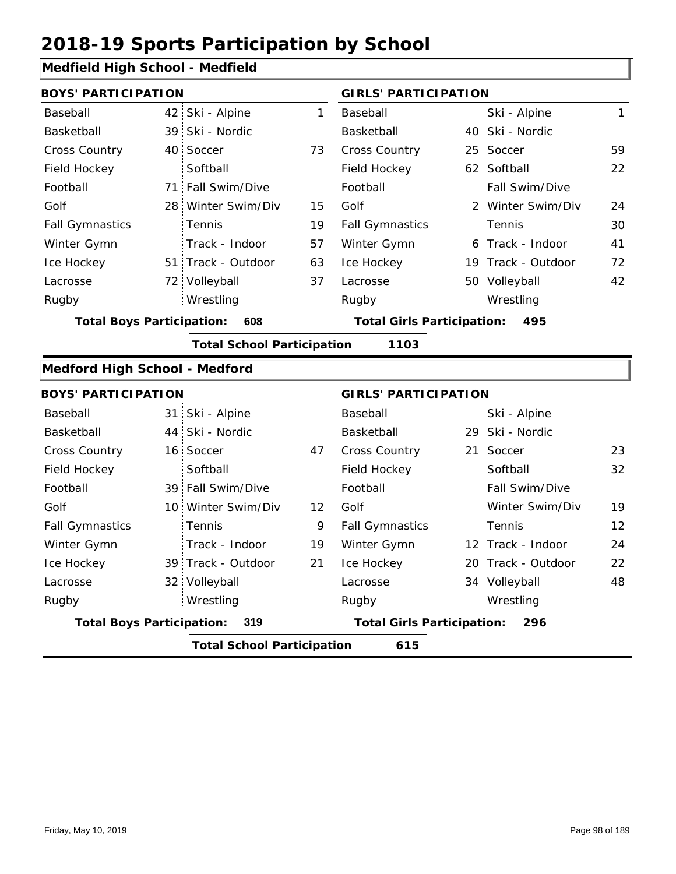### **Medfield High School - Medfield**

| <b>BOYS' PARTICIPATION</b>       |                 |                                   |    | <b>GIRLS' PARTICIPATION</b>       |                    |              |
|----------------------------------|-----------------|-----------------------------------|----|-----------------------------------|--------------------|--------------|
| Baseball                         |                 | 42 Ski - Alpine                   | 1  | Baseball                          | Ski - Alpine       | $\mathbf{1}$ |
| Basketball                       |                 | 39 Ski - Nordic                   |    | Basketball                        | 40 Ski - Nordic    |              |
| Cross Country                    | 40 <sup>1</sup> | Soccer                            | 73 | Cross Country                     | 25 Soccer          | 59           |
| Field Hockey                     |                 | Softball                          |    | Field Hockey                      | 62 Softball        | 22           |
| Football                         |                 | 71 Fall Swim/Dive                 |    | Football                          | Fall Swim/Dive     |              |
| Golf                             | 28              | Winter Swim/Div                   | 15 | Golf                              | 2 Winter Swim/Div  | 24           |
| <b>Fall Gymnastics</b>           |                 | Tennis                            | 19 | <b>Fall Gymnastics</b>            | Tennis             | 30           |
| Winter Gymn                      |                 | Track - Indoor                    | 57 | Winter Gymn                       | 6 Track - Indoor   | 41           |
| Ice Hockey                       |                 | 51 Track - Outdoor                | 63 | Ice Hockey                        | 19 Track - Outdoor | 72           |
| Lacrosse                         |                 | 72 Volleyball                     | 37 | Lacrosse                          | 50 Volleyball      | 42           |
| Rugby                            |                 | Wrestling                         |    | Rugby                             | Wrestling          |              |
| <b>Total Boys Participation:</b> |                 | 608                               |    | <b>Total Girls Participation:</b> | 495                |              |
|                                  |                 | <b>Total School Participation</b> |    | 1103                              |                    |              |
| Medford High School - Medford    |                 |                                   |    |                                   |                    |              |
| <b>BOYS' PARTICIPATION</b>       |                 |                                   |    | <b>GIRLS' PARTICIPATION</b>       |                    |              |
| Baseball                         |                 | 31 Ski - Alpine                   |    | Baseball                          | Ski - Alpine       |              |
| Basketball                       |                 | 44 Ski - Nordic                   |    | Basketball                        | 29 Ski - Nordic    |              |
| Cross Country                    |                 | 16 Soccer                         | 47 | Cross Country                     | 21 Soccer          | 23           |
| Field Hockey                     |                 | Softball                          |    | Field Hockey                      | Softball           | 32           |
| Football                         |                 | 39 Fall Swim/Dive                 |    | Football                          | Fall Swim/Dive     |              |
| Golf                             |                 | 10 Winter Swim/Div                | 12 | Golf                              | Winter Swim/Div    | 19           |

|                        |                                          | Tatal Calco al Doutisin ational |    | $\lambda$ $\lambda$ $\tau$ |                                          |                    |    |  |
|------------------------|------------------------------------------|---------------------------------|----|----------------------------|------------------------------------------|--------------------|----|--|
|                        | <b>Total Boys Participation:</b><br>-319 |                                 |    |                            | <b>Total Girls Participation:</b><br>296 |                    |    |  |
| Rugby                  |                                          | Wrestling                       |    | Rugby                      |                                          | Wrestling          |    |  |
| Lacrosse               |                                          | 32 Volleyball                   |    | Lacrosse                   |                                          | 34 Volleyball      | 48 |  |
| Ice Hockey             |                                          | 39 Track - Outdoor              | 21 | Ice Hockey                 |                                          | 20 Track - Outdoor | 22 |  |
| Winter Gymn            |                                          | Track - Indoor                  | 19 | Winter Gymn                |                                          | 12 Track - Indoor  | 24 |  |
| <b>Fall Gymnastics</b> |                                          | Tennis                          | 9  | <b>Fall Gymnastics</b>     |                                          | Tennis             | 12 |  |
| Golf                   |                                          | 10 Winter Swim/Div              | 12 | Golf                       |                                          | Winter Swim/Div    | 19 |  |
| Football               |                                          | 39 Fall Swim/Dive               |    | Football                   |                                          | Fall Swim/Dive     |    |  |

**Total School Participation 615**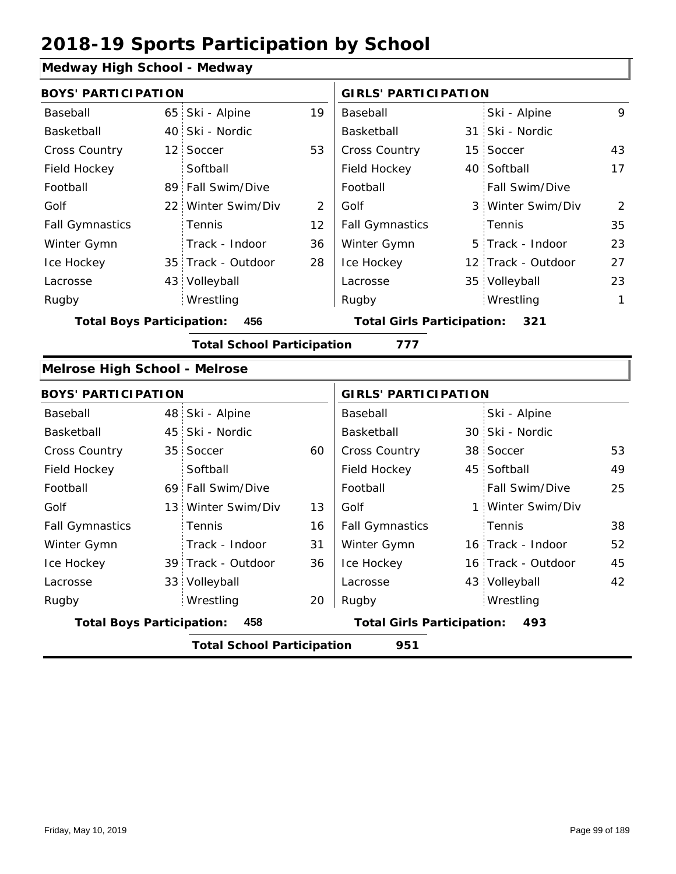### **Medway High School - Medway**

| <b>BOYS' PARTICIPATION</b>           |                                          |                                          |                | <b>GIRLS' PARTICIPATION</b> |  |                    |              |  |  |  |
|--------------------------------------|------------------------------------------|------------------------------------------|----------------|-----------------------------|--|--------------------|--------------|--|--|--|
| Baseball                             | 65                                       | Ski - Alpine                             | 19             | Baseball                    |  | Ski - Alpine       | 9            |  |  |  |
| Basketball                           | 40 <sup>1</sup>                          | Ski - Nordic                             |                | Basketball                  |  | 31 Ski - Nordic    |              |  |  |  |
| <b>Cross Country</b>                 | 12 <sub>1</sub>                          | Soccer                                   | 53             | Cross Country               |  | 15 Soccer          | 43           |  |  |  |
| Field Hockey                         |                                          | Softball                                 |                | Field Hockey                |  | 40 Softball        | 17           |  |  |  |
| Football                             |                                          | 89 Fall Swim/Dive                        |                | Football                    |  | Fall Swim/Dive     |              |  |  |  |
| Golf                                 | 22 <sup>1</sup>                          | Winter Swim/Div                          | $\overline{2}$ | Golf                        |  | 3 Winter Swim/Div  | 2            |  |  |  |
| <b>Fall Gymnastics</b>               |                                          | Tennis                                   | 12             | <b>Fall Gymnastics</b>      |  | Tennis             | 35           |  |  |  |
| Winter Gymn                          |                                          | Track - Indoor                           | 36             | Winter Gymn                 |  | 5 Track - Indoor   | 23           |  |  |  |
| Ice Hockey                           |                                          | 35 Track - Outdoor                       | 28             | Ice Hockey                  |  | 12 Track - Outdoor | 27           |  |  |  |
| Lacrosse                             |                                          | 43 Volleyball                            |                | Lacrosse                    |  | 35 Volleyball      | 23           |  |  |  |
| Rugby                                |                                          | Wrestling                                |                | Rugby                       |  | Wrestling          | $\mathbf{1}$ |  |  |  |
| <b>Total Boys Participation:</b>     | 456                                      | <b>Total Girls Participation:</b><br>321 |                |                             |  |                    |              |  |  |  |
|                                      |                                          | <b>Total School Participation</b>        |                | 777                         |  |                    |              |  |  |  |
| <b>Melrose High School - Melrose</b> |                                          |                                          |                |                             |  |                    |              |  |  |  |
| <b>BOYS' PARTICIPATION</b>           |                                          |                                          |                | <b>GIRLS' PARTICIPATION</b> |  |                    |              |  |  |  |
| Baseball                             |                                          | 48 Ski - Alpine                          |                | Baseball                    |  | Ski - Alpine       |              |  |  |  |
| Basketball                           |                                          | 45 Ski - Nordic                          |                | Basketball                  |  | 30 Ski - Nordic    |              |  |  |  |
| <b>Cross Country</b>                 | 35 <sup>1</sup>                          | Soccer                                   | 60             | Cross Country               |  | 38 Soccer          | 53           |  |  |  |
| Field Hockey                         |                                          | Softball                                 |                | Field Hockey                |  | 45 Softball        | 49           |  |  |  |
| Football                             |                                          | 69 Fall Swim/Dive                        |                | Football                    |  | Fall Swim/Dive     | 25           |  |  |  |
| Golf                                 | 13 <sup>1</sup>                          | Winter Swim/Div                          | 13             | Golf                        |  | 1 Winter Swim/Div  |              |  |  |  |
| <b>Fall Gymnastics</b>               |                                          | Tennis                                   | 16             | <b>Fall Gymnastics</b>      |  | Tennis             | 38           |  |  |  |
| Winter Gymn                          |                                          | Track - Indoor                           | 31             | Winter Gymn                 |  | 16 Track - Indoor  | 52           |  |  |  |
| Ice Hockey                           |                                          | 39 Track - Outdoor                       | 36             | Ice Hockey                  |  | 16 Track - Outdoor | 45           |  |  |  |
| Lacrosse                             |                                          | 33 Volleyball                            |                | Lacrosse                    |  | 43 Volleyball      | 42           |  |  |  |
| Rugby                                |                                          | Wrestling                                | 20             | Rugby                       |  | Wrestling          |              |  |  |  |
| <b>Total Boys Participation:</b>     | 458                                      | <b>Total Girls Participation:</b><br>493 |                |                             |  |                    |              |  |  |  |
|                                      | <b>Total School Participation</b><br>951 |                                          |                |                             |  |                    |              |  |  |  |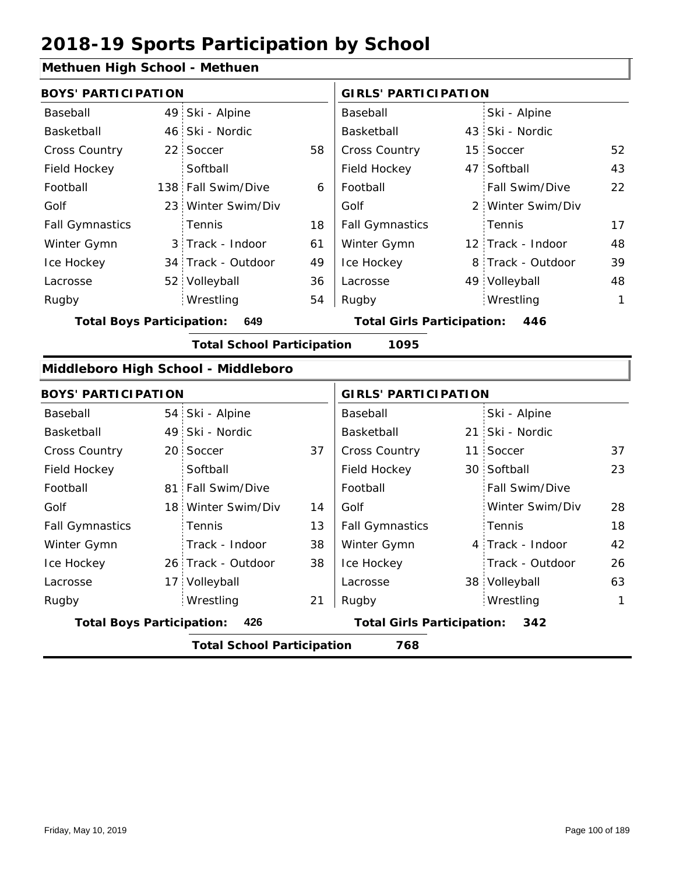### **Methuen High School - Methuen**

| <b>BOYS' PARTICIPATION</b>              |  |                                     |    | <b>GIRLS' PARTICIPATION</b>              |  |                   |    |
|-----------------------------------------|--|-------------------------------------|----|------------------------------------------|--|-------------------|----|
| Baseball                                |  | 49 Ski - Alpine                     |    | Baseball                                 |  | Ski - Alpine      |    |
| Basketball                              |  | 46 Ski - Nordic                     |    | Basketball                               |  | 43 Ski - Nordic   |    |
| <b>Cross Country</b>                    |  | 22 Soccer                           | 58 | <b>Cross Country</b>                     |  | 15 Soccer         | 52 |
| Field Hockey                            |  | Softball                            |    | Field Hockey                             |  | 47 Softball       | 43 |
| Football                                |  | 138 Fall Swim/Dive                  | 6  | Football                                 |  | Fall Swim/Dive    | 22 |
| Golf                                    |  | 23 Winter Swim/Div                  |    | Golf                                     |  | 2 Winter Swim/Div |    |
| <b>Fall Gymnastics</b>                  |  | <b>Tennis</b>                       | 18 | <b>Fall Gymnastics</b>                   |  | Tennis            | 17 |
| Winter Gymn                             |  | 3 Track - Indoor                    | 61 | Winter Gymn                              |  | 12 Track - Indoor | 48 |
| Ice Hockey                              |  | 34 Track - Outdoor                  | 49 | Ice Hockey                               |  | 8 Track - Outdoor | 39 |
| Lacrosse                                |  | 52 Volleyball                       | 36 | Lacrosse                                 |  | 49 Volleyball     | 48 |
| Rugby                                   |  | Wrestling                           | 54 | Rugby                                    |  | Wrestling         | 1  |
| <b>Total Boys Participation:</b><br>649 |  |                                     |    | <b>Total Girls Participation:</b><br>446 |  |                   |    |
|                                         |  | <b>Total School Participation</b>   |    | 1095                                     |  |                   |    |
|                                         |  | Middleboro High School - Middleboro |    |                                          |  |                   |    |

|                                         | <b>BOYS' PARTICIPATION</b> |                                   |                                          |                        | <b>GIRLS' PARTICIPATION</b> |                       |    |  |
|-----------------------------------------|----------------------------|-----------------------------------|------------------------------------------|------------------------|-----------------------------|-----------------------|----|--|
| Baseball                                |                            | 54 Ski - Alpine                   |                                          | Baseball               |                             | Ski - Alpine          |    |  |
| Basketball                              |                            | 49 Ski - Nordic                   |                                          | Basketball             |                             | 21 Ski - Nordic       |    |  |
| <b>Cross Country</b>                    |                            | 20 Soccer                         | 37                                       | <b>Cross Country</b>   |                             | 11 Soccer             | 37 |  |
| Field Hockey                            |                            | Softball                          |                                          | Field Hockey           |                             | 30 Softball           | 23 |  |
| Football                                |                            | 81 Fall Swim/Dive                 |                                          | Football               |                             | <b>Fall Swim/Dive</b> |    |  |
| Golf                                    |                            | 18 Winter Swim/Div                | 14                                       | Golf                   |                             | Winter Swim/Div       | 28 |  |
| <b>Fall Gymnastics</b>                  |                            | Tennis                            | 13                                       | <b>Fall Gymnastics</b> |                             | Tennis                | 18 |  |
| Winter Gymn                             |                            | Track - Indoor                    | 38                                       | Winter Gymn            |                             | 4 Track - Indoor      | 42 |  |
| Ice Hockey                              |                            | 26 Track - Outdoor                | 38                                       | Ice Hockey             |                             | Track - Outdoor       | 26 |  |
| Lacrosse                                |                            | 17 Volleyball                     |                                          | Lacrosse               |                             | 38 Volleyball         | 63 |  |
| Rugby                                   |                            | Wrestling                         | 21                                       | Rugby                  |                             | Wrestling             | 1  |  |
| <b>Total Boys Participation:</b><br>426 |                            |                                   | <b>Total Girls Participation:</b><br>342 |                        |                             |                       |    |  |
|                                         |                            | <b>Total School Participation</b> |                                          | 768                    |                             |                       |    |  |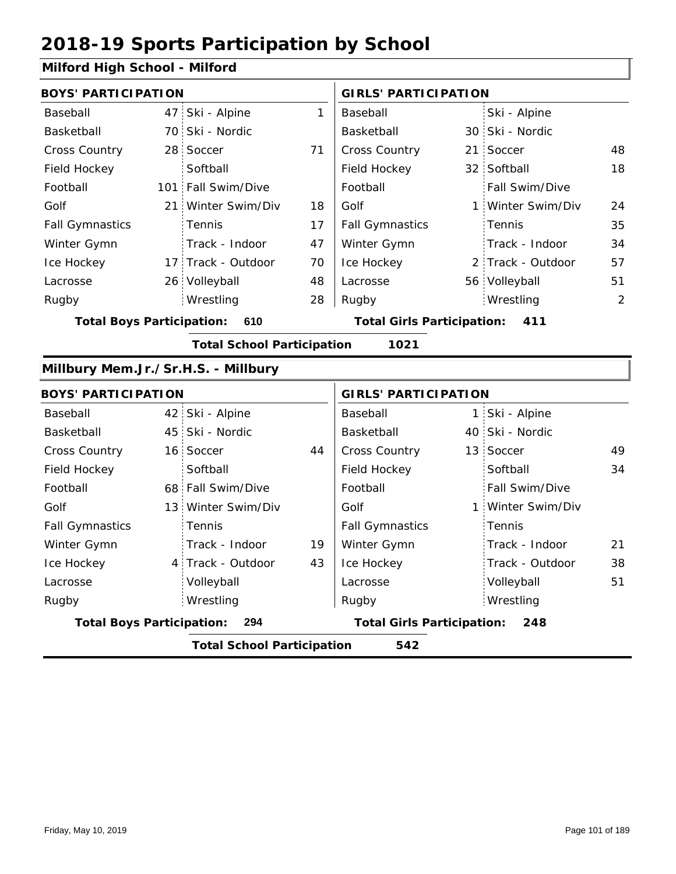### **Milford High School - Milford**

| <b>BOYS' PARTICIPATION</b>                |                                          |                    |                                          | <b>GIRLS' PARTICIPATION</b>              |                |                   |    |  |  |  |
|-------------------------------------------|------------------------------------------|--------------------|------------------------------------------|------------------------------------------|----------------|-------------------|----|--|--|--|
| Baseball                                  |                                          | 47 Ski - Alpine    | 1                                        | Baseball                                 |                | Ski - Alpine      |    |  |  |  |
| Basketball                                |                                          | 70 Ski - Nordic    |                                          | Basketball                               |                | 30 Ski - Nordic   |    |  |  |  |
| Cross Country                             |                                          | 28 Soccer          | 71                                       | Cross Country                            | 21:            | Soccer            | 48 |  |  |  |
| Field Hockey                              |                                          | Softball           |                                          | Field Hockey                             |                | 32 Softball       | 18 |  |  |  |
| Football                                  |                                          | 101 Fall Swim/Dive |                                          | Football                                 |                | Fall Swim/Dive    |    |  |  |  |
| Golf                                      |                                          | 21 Winter Swim/Div | 18                                       | Golf                                     | 1              | Winter Swim/Div   | 24 |  |  |  |
| <b>Fall Gymnastics</b>                    |                                          | Tennis             | 17                                       | <b>Fall Gymnastics</b>                   |                | Tennis            | 35 |  |  |  |
| Winter Gymn                               |                                          | Track - Indoor     | 47                                       | Winter Gymn                              |                | Track - Indoor    | 34 |  |  |  |
| Ice Hockey                                |                                          | 17 Track - Outdoor | 70                                       | Ice Hockey                               |                | 2 Track - Outdoor | 57 |  |  |  |
| Lacrosse                                  |                                          | 26 Volleyball      | 48                                       | Lacrosse                                 |                | 56 Volleyball     | 51 |  |  |  |
| Rugby                                     |                                          | Wrestling          | 28                                       | Rugby                                    |                | Wrestling         | 2  |  |  |  |
| <b>Total Boys Participation:</b>          | 610                                      |                    | <b>Total Girls Participation:</b><br>411 |                                          |                |                   |    |  |  |  |
| <b>Total School Participation</b><br>1021 |                                          |                    |                                          |                                          |                |                   |    |  |  |  |
| Millbury Mem.Jr./Sr.H.S. - Millbury       |                                          |                    |                                          |                                          |                |                   |    |  |  |  |
| <b>BOYS' PARTICIPATION</b>                |                                          |                    |                                          | <b>GIRLS' PARTICIPATION</b>              |                |                   |    |  |  |  |
| Baseball                                  |                                          | 42 Ski - Alpine    |                                          | Baseball                                 | 1 <sup>1</sup> | Ski - Alpine      |    |  |  |  |
| Basketball                                |                                          | 45 Ski - Nordic    |                                          | Basketball                               |                | 40 Ski - Nordic   |    |  |  |  |
| <b>Cross Country</b>                      |                                          | 16 Soccer          | 44                                       | Cross Country                            |                | 13 Soccer         | 49 |  |  |  |
| Field Hockey                              |                                          | Softball           |                                          | Field Hockey                             |                | Softball          | 34 |  |  |  |
| Football                                  |                                          | 68 Fall Swim/Dive  |                                          | Football                                 |                | Fall Swim/Dive    |    |  |  |  |
| Golf                                      |                                          | 13 Winter Swim/Div |                                          | Golf                                     | 1:             | Winter Swim/Div   |    |  |  |  |
| <b>Fall Gymnastics</b>                    |                                          | Tennis             |                                          | <b>Fall Gymnastics</b>                   |                | Tennis            |    |  |  |  |
| Winter Gymn                               |                                          | Track - Indoor     | 19                                       | Winter Gymn                              |                | Track - Indoor    | 21 |  |  |  |
| Ice Hockey                                |                                          | 4 Track - Outdoor  | 43                                       | Ice Hockey                               |                | Track - Outdoor   | 38 |  |  |  |
| Lacrosse                                  |                                          | Volleyball         |                                          | Lacrosse                                 |                | Volleyball        | 51 |  |  |  |
| Rugby                                     |                                          | Wrestling          |                                          | Rugby                                    |                | Wrestling         |    |  |  |  |
| <b>Total Boys Participation:</b><br>294   |                                          |                    |                                          | <b>Total Girls Participation:</b><br>248 |                |                   |    |  |  |  |
|                                           | <b>Total School Participation</b><br>542 |                    |                                          |                                          |                |                   |    |  |  |  |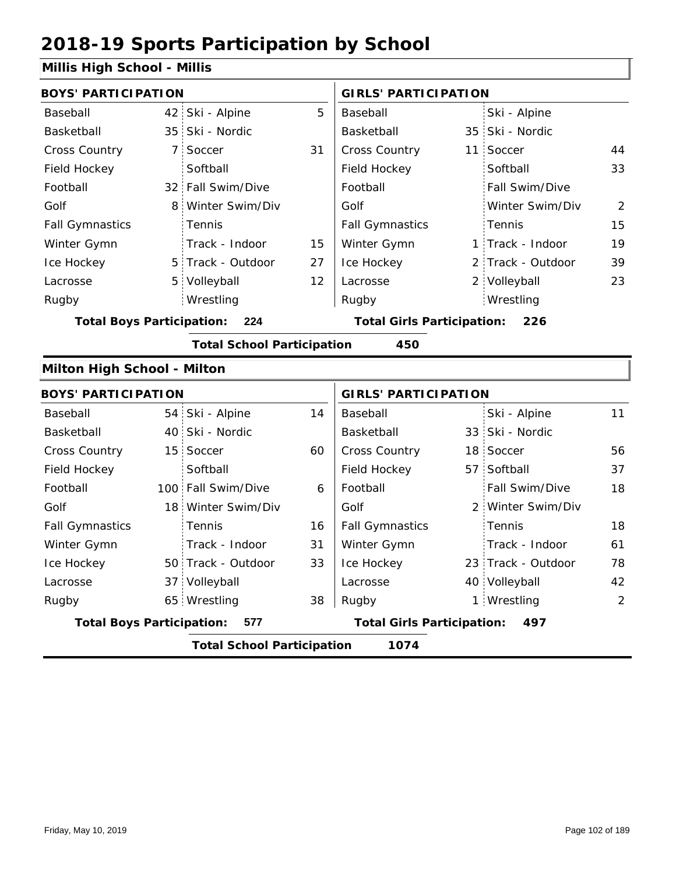### **Millis High School - Millis**

| <b>BOYS' PARTICIPATION</b>              |                                         |                                   |    | <b>GIRLS' PARTICIPATION</b>              |  |                    |    |  |
|-----------------------------------------|-----------------------------------------|-----------------------------------|----|------------------------------------------|--|--------------------|----|--|
| Baseball                                |                                         | 42 Ski - Alpine                   | 5  | Baseball                                 |  | Ski - Alpine       |    |  |
| Basketball                              |                                         | 35 Ski - Nordic                   |    | Basketball                               |  | 35 Ski - Nordic    |    |  |
| Cross Country                           |                                         | 7 Soccer                          | 31 | Cross Country                            |  | 11 Soccer          | 44 |  |
| Field Hockey                            |                                         | Softball                          |    | Field Hockey                             |  | Softball           | 33 |  |
| Football                                |                                         | 32 Fall Swim/Dive                 |    | Football                                 |  | Fall Swim/Dive     |    |  |
| Golf                                    |                                         | 8 Winter Swim/Div                 |    | Golf                                     |  | Winter Swim/Div    | 2  |  |
| <b>Fall Gymnastics</b>                  |                                         | Tennis                            |    | <b>Fall Gymnastics</b>                   |  | Tennis             | 15 |  |
| Winter Gymn                             |                                         | Track - Indoor                    | 15 | Winter Gymn                              |  | 1 Track - Indoor   | 19 |  |
| Ice Hockey                              |                                         | 5 Track - Outdoor                 | 27 | Ice Hockey                               |  | 2 Track - Outdoor  | 39 |  |
| Lacrosse                                |                                         | 5 Volleyball                      | 12 | Lacrosse                                 |  | 2 Volleyball       | 23 |  |
| Rugby                                   |                                         | Wrestling                         |    | Rugby                                    |  | Wrestling          |    |  |
| <b>Total Boys Participation:</b><br>224 |                                         |                                   |    | <b>Total Girls Participation:</b><br>226 |  |                    |    |  |
|                                         |                                         | <b>Total School Participation</b> |    | 450                                      |  |                    |    |  |
| Milton High School - Milton             |                                         |                                   |    |                                          |  |                    |    |  |
| <b>BOYS' PARTICIPATION</b>              |                                         |                                   |    | <b>GIRLS' PARTICIPATION</b>              |  |                    |    |  |
| Baseball                                |                                         | 54 Ski - Alpine                   | 14 | Baseball                                 |  | Ski - Alpine       | 11 |  |
| Basketball                              |                                         | 40 Ski - Nordic                   |    | Basketball                               |  | 33 Ski - Nordic    |    |  |
| <b>Cross Country</b>                    |                                         | 15 Soccer                         | 60 | Cross Country                            |  | 18 Soccer          | 56 |  |
| Field Hockey                            |                                         | Softball                          |    | Field Hockey                             |  | 57 Softball        | 37 |  |
| Football                                |                                         | 100 Fall Swim/Dive                | 6  | Football                                 |  | Fall Swim/Dive     | 18 |  |
| Golf                                    |                                         | 18 Winter Swim/Div                |    | Golf                                     |  | 2 Winter Swim/Div  |    |  |
| <b>Fall Gymnastics</b>                  |                                         | Tennis                            | 16 | <b>Fall Gymnastics</b>                   |  | Tennis             | 18 |  |
| Winter Gymn                             |                                         | Track - Indoor                    | 31 | Winter Gymn                              |  | Track - Indoor     | 61 |  |
| Ice Hockey                              |                                         | 50 Track - Outdoor                | 33 | Ice Hockey                               |  | 23 Track - Outdoor | 78 |  |
| Lacrosse                                |                                         | 37 Volleyball                     |    | Lacrosse                                 |  | 40 Volleyball      | 42 |  |
| Rugby                                   |                                         | 65 Wrestling                      | 38 | Rugby                                    |  | 1 Wrestling        | 2  |  |
|                                         | <b>Total Boys Participation:</b><br>577 |                                   |    | <b>Total Girls Participation:</b><br>497 |  |                    |    |  |
|                                         |                                         | <b>Total School Participation</b> |    | 1074                                     |  |                    |    |  |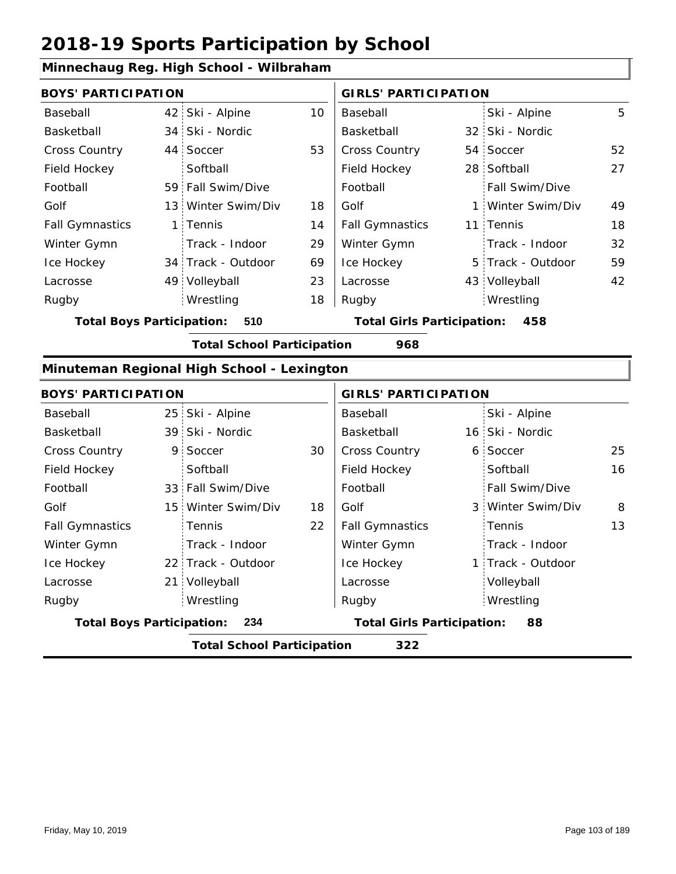### **Minnechaug Reg. High School - Wilbraham**

| <b>BOYS' PARTICIPATION</b>               |  |                    |                                          | <b>GIRLS' PARTICIPATION</b> |  |                   |    |
|------------------------------------------|--|--------------------|------------------------------------------|-----------------------------|--|-------------------|----|
| Baseball                                 |  | 42 Ski - Alpine    | 10                                       | Baseball                    |  | Ski - Alpine      | 5  |
| Basketball                               |  | 34 Ski - Nordic    |                                          | Basketball                  |  | 32 Ski - Nordic   |    |
| <b>Cross Country</b>                     |  | 44 Soccer          | 53                                       | <b>Cross Country</b>        |  | 54 Soccer         | 52 |
| Field Hockey                             |  | Softball           |                                          | Field Hockey                |  | 28 Softball       | 27 |
| Football                                 |  | 59 Fall Swim/Dive  |                                          | Football                    |  | Fall Swim/Dive    |    |
| Golf                                     |  | 13 Winter Swim/Div | 18                                       | Golf                        |  | 1 Winter Swim/Div | 49 |
| <b>Fall Gymnastics</b>                   |  | 1 Tennis           | 14                                       | <b>Fall Gymnastics</b>      |  | 11 Tennis         | 18 |
| Winter Gymn                              |  | Track - Indoor     | 29                                       | Winter Gymn                 |  | Track - Indoor    | 32 |
| Ice Hockey                               |  | 34 Track - Outdoor | 69                                       | Ice Hockey                  |  | 5 Track - Outdoor | 59 |
| Lacrosse                                 |  | 49 Volleyball      | 23                                       | Lacrosse                    |  | 43 Volleyball     | 42 |
| Rugby                                    |  | Wrestling          | 18                                       | Rugby                       |  | Wrestling         |    |
| <b>Total Boys Participation:</b><br>510  |  |                    | <b>Total Girls Participation:</b><br>458 |                             |  |                   |    |
| <b>Total School Participation</b><br>968 |  |                    |                                          |                             |  |                   |    |

#### **Minuteman Regional High School - Lexington**

| <b>BOYS' PARTICIPATION</b>               |  |                    |    | <b>GIRLS' PARTICIPATION</b>             |  |                   |    |
|------------------------------------------|--|--------------------|----|-----------------------------------------|--|-------------------|----|
| Baseball                                 |  | 25 Ski - Alpine    |    | Baseball                                |  | Ski - Alpine      |    |
| Basketball                               |  | 39 Ski - Nordic    |    | Basketball                              |  | 16 Ski - Nordic   |    |
| <b>Cross Country</b>                     |  | 9 Soccer           | 30 | <b>Cross Country</b>                    |  | 6 Soccer          | 25 |
| Field Hockey                             |  | Softball           |    | Field Hockey                            |  | Softball          | 16 |
| Football                                 |  | 33 Fall Swim/Dive  |    | Football                                |  | Fall Swim/Dive    |    |
| Golf                                     |  | 15 Winter Swim/Div | 18 | Golf                                    |  | 3 Winter Swim/Div | 8  |
| <b>Fall Gymnastics</b>                   |  | Tennis             | 22 | <b>Fall Gymnastics</b>                  |  | Tennis            | 13 |
| Winter Gymn                              |  | Track - Indoor     |    | Winter Gymn                             |  | Track - Indoor    |    |
| Ice Hockey                               |  | 22 Track - Outdoor |    | Ice Hockey                              |  | 1 Track - Outdoor |    |
| Lacrosse                                 |  | 21 Volleyball      |    | Lacrosse                                |  | Volleyball        |    |
| Rugby                                    |  | Wrestling          |    | Rugby                                   |  | Wrestling         |    |
| <b>Total Boys Participation:</b>         |  | 234                |    | <b>Total Girls Participation:</b><br>88 |  |                   |    |
| <b>Total School Participation</b><br>322 |  |                    |    |                                         |  |                   |    |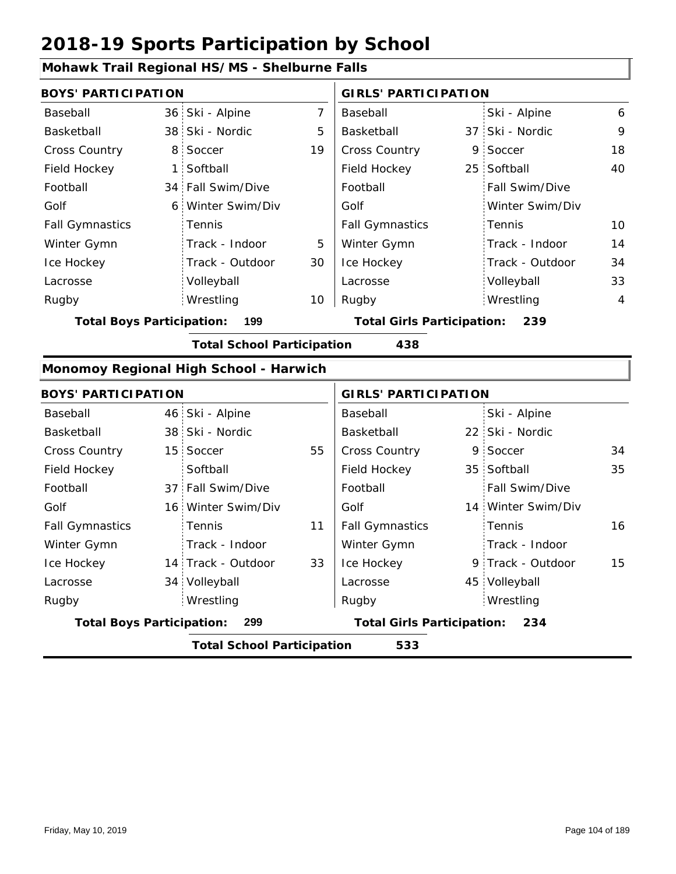#### **Mohawk Trail Regional HS/MS - Shelburne Falls**

14 Track - Outdoor

Track - Indoor

34 Volleyball

Wrestling Rugby Rugby

| <b>BOYS' PARTICIPATION</b>       |                | <b>GIRLS' PARTICIPATION</b>            |                |                                   |   |                    |                |
|----------------------------------|----------------|----------------------------------------|----------------|-----------------------------------|---|--------------------|----------------|
| Baseball                         |                | 36 Ski - Alpine                        | $\overline{7}$ | Baseball                          |   | Ski - Alpine       | 6              |
| Basketball                       |                | 38 Ski - Nordic                        | 5              | Basketball                        |   | 37 Ski - Nordic    | 9              |
| Cross Country                    | 8 <sup>1</sup> | Soccer                                 | 19             | Cross Country                     |   | 9 Soccer           | 18             |
| Field Hockey                     | 1:             | Softball                               |                | Field Hockey                      |   | 25 Softball        | 40             |
| Football                         | 34:            | Fall Swim/Dive                         |                | Football                          |   | Fall Swim/Dive     |                |
| Golf                             | 6 <sup>1</sup> | Winter Swim/Div                        |                | Golf                              |   | Winter Swim/Div    |                |
| <b>Fall Gymnastics</b>           |                | Tennis                                 |                | <b>Fall Gymnastics</b>            |   | Tennis             | 10             |
| Winter Gymn                      |                | Track - Indoor                         | 5              | Winter Gymn                       |   | Track - Indoor     | 14             |
| Ice Hockey                       |                | Track - Outdoor                        | 30             | Ice Hockey                        |   | Track - Outdoor    | 34             |
| Lacrosse                         |                | Volleyball                             |                | Lacrosse                          |   | Volleyball         | 33             |
| Rugby                            |                | Wrestling                              | 10             | Rugby                             |   | Wrestling          | $\overline{4}$ |
| <b>Total Boys Participation:</b> |                | 199                                    |                | <b>Total Girls Participation:</b> |   | 239                |                |
|                                  |                | <b>Total School Participation</b>      |                | 438                               |   |                    |                |
|                                  |                | Monomoy Regional High School - Harwich |                |                                   |   |                    |                |
| <b>BOYS' PARTICIPATION</b>       |                |                                        |                | <b>GIRLS' PARTICIPATION</b>       |   |                    |                |
| Baseball                         |                | 46 Ski - Alpine                        |                | Baseball                          |   | Ski - Alpine       |                |
| Basketball                       |                | 38 Ski - Nordic                        |                | Basketball                        |   | 22 Ski - Nordic    |                |
| <b>Cross Country</b>             |                | 15 Soccer                              | 55             | <b>Cross Country</b>              | 9 | Soccer             | 34             |
| Field Hockey                     |                | Softball                               |                | Field Hockey                      |   | 35 Softball        | 35             |
| Football                         |                | 37 Fall Swim/Dive                      |                | Football                          |   | Fall Swim/Dive     |                |
| Golf                             |                | 16 Winter Swim/Div                     |                | Golf                              |   | 14 Winter Swim/Div |                |
| <b>Fall Gymnastics</b>           |                | Tennis                                 | 11             | <b>Fall Gymnastics</b>            |   | Tennis             | 16             |

33

**Total Boys Participation: 299 Total Girls Participation: 234**

**Total School Participation 533**

Winter Gymn Ice Hockey Lacrosse

Ice Hockey Lacrosse

Winter Gymn

15

9 Track - Outdoor

Track - Indoor

45 Volleyball

Wrestling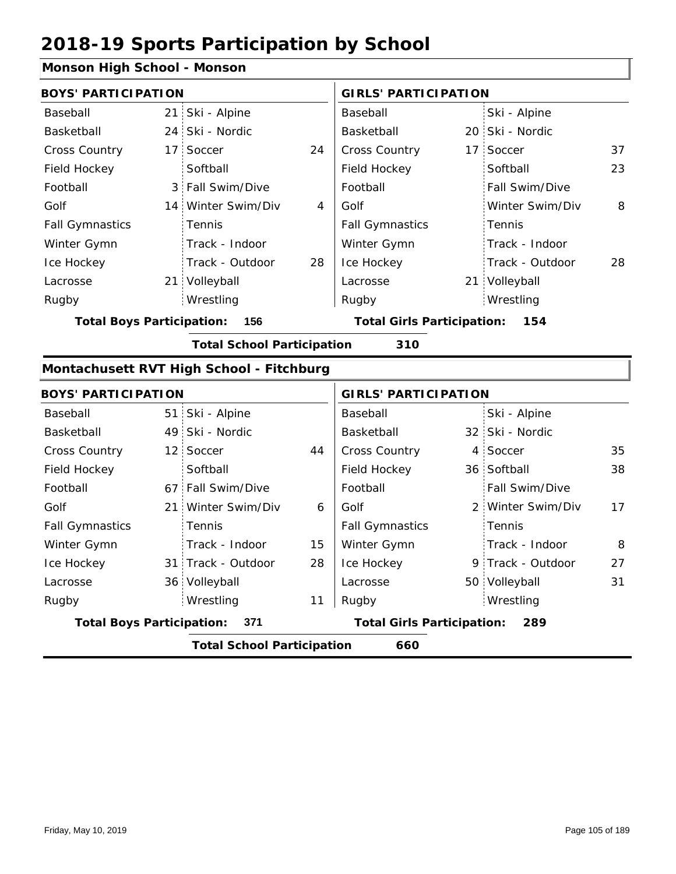#### **Monson High School - Monson**

| <b>BOYS' PARTICIPATION</b>              |                 |                                          |    | <b>GIRLS' PARTICIPATION</b>       |  |                   |    |
|-----------------------------------------|-----------------|------------------------------------------|----|-----------------------------------|--|-------------------|----|
| Baseball                                |                 | 21 Ski - Alpine                          |    | Baseball                          |  | Ski - Alpine      |    |
| Basketball                              |                 | 24 Ski - Nordic                          |    | Basketball                        |  | 20 Ski - Nordic   |    |
| Cross Country                           |                 | 17 Soccer                                | 24 | Cross Country                     |  | 17 Soccer         | 37 |
| Field Hockey                            |                 | Softball                                 |    | Field Hockey                      |  | Softball          | 23 |
| Football                                |                 | 3 Fall Swim/Dive                         |    | Football                          |  | Fall Swim/Dive    |    |
| Golf                                    |                 | 14 Winter Swim/Div                       | 4  | Golf                              |  | Winter Swim/Div   | 8  |
| <b>Fall Gymnastics</b>                  |                 | Tennis                                   |    | <b>Fall Gymnastics</b>            |  | Tennis            |    |
| Winter Gymn                             |                 | Track - Indoor                           |    | Winter Gymn                       |  | Track - Indoor    |    |
| Ice Hockey                              |                 | Track - Outdoor                          | 28 | Ice Hockey                        |  | Track - Outdoor   | 28 |
| Lacrosse                                |                 | 21 Volleyball                            |    | Lacrosse                          |  | 21 Volleyball     |    |
| Rugby                                   |                 | Wrestling                                |    | Rugby                             |  | Wrestling         |    |
| <b>Total Boys Participation:</b><br>156 |                 |                                          |    | <b>Total Girls Participation:</b> |  | 154               |    |
|                                         |                 | <b>Total School Participation</b>        |    | 310                               |  |                   |    |
|                                         |                 | Montachusett RVT High School - Fitchburg |    |                                   |  |                   |    |
| <b>BOYS' PARTICIPATION</b>              |                 |                                          |    | <b>GIRLS' PARTICIPATION</b>       |  |                   |    |
| Baseball                                |                 | 51 Ski - Alpine                          |    | Baseball                          |  | Ski - Alpine      |    |
| Basketball                              |                 | 49 Ski - Nordic                          |    | Basketball                        |  | 32 Ski - Nordic   |    |
| Cross Country                           |                 | 12 Soccer                                | 44 | <b>Cross Country</b>              |  | 4 Soccer          | 35 |
| Field Hockey                            |                 | Softball                                 |    | Field Hockey                      |  | 36 Softball       | 38 |
| Football                                |                 | 67 Fall Swim/Dive                        |    | Football                          |  | Fall Swim/Dive    |    |
| Golf                                    | 21 <sup>2</sup> | Winter Swim/Div                          | 6  | Golf                              |  | 2 Winter Swim/Div | 17 |
| <b>Fall Gymnastics</b>                  |                 | Tennis                                   |    | <b>Fall Gymnastics</b>            |  | Tennis            |    |
| Winter Gymn                             |                 | Track - Indoor                           | 15 | Winter Gymn                       |  | Track - Indoor    | 8  |
| Ice Hockey                              |                 | 31 Track - Outdoor                       | 28 | Ice Hockey                        |  | 9 Track - Outdoor | 27 |

| Lacrosse                         | 36 Volleyball |    | Lacrosse                          | 50 Volleyball |  |
|----------------------------------|---------------|----|-----------------------------------|---------------|--|
| Rugby                            | Wrestling     | 11 | Rugby                             | Wrestling     |  |
| <b>Total Boys Participation:</b> | - 371         |    | <b>Total Girls Participation:</b> | 289           |  |
|                                  |               |    |                                   |               |  |
|                                  |               |    |                                   |               |  |
|                                  |               |    |                                   |               |  |

31

1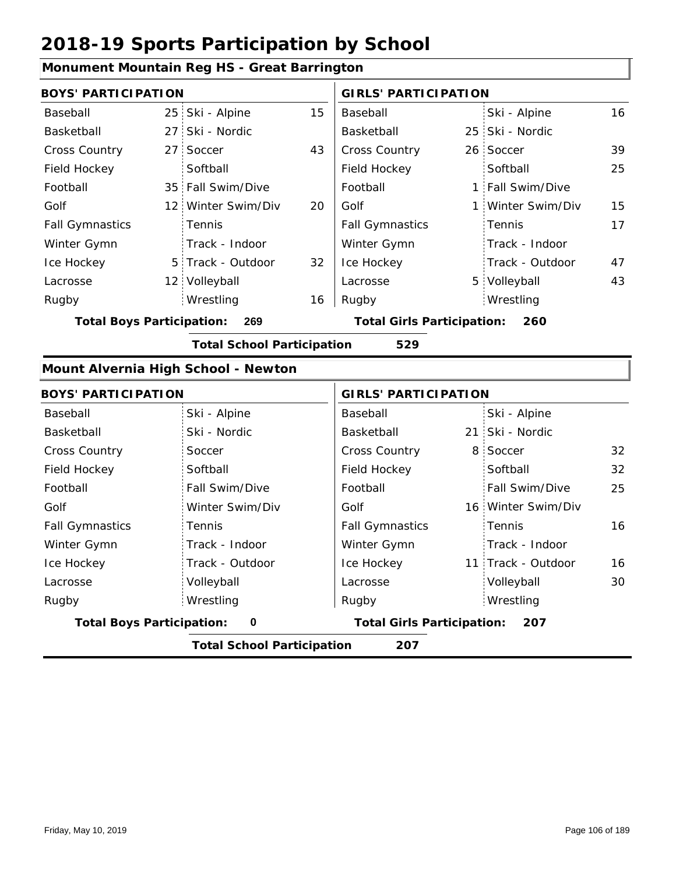#### **Monument Mountain Reg HS - Great Barrington**

| <b>BOYS' PARTICIPATION</b> |  |                    |    | <b>GIRLS' PARTICIPATION</b> |  |                   |    |
|----------------------------|--|--------------------|----|-----------------------------|--|-------------------|----|
| Baseball                   |  | 25 Ski - Alpine    | 15 | Baseball                    |  | Ski - Alpine      | 16 |
| Basketball                 |  | 27 Ski - Nordic    |    | Basketball                  |  | 25 Ski - Nordic   |    |
| <b>Cross Country</b>       |  | 27 Soccer          | 43 | <b>Cross Country</b>        |  | 26 Soccer         | 39 |
| Field Hockey               |  | Softball           |    | Field Hockey                |  | Softball          | 25 |
| Football                   |  | 35 Fall Swim/Dive  |    | Football                    |  | 1 Fall Swim/Dive  |    |
| Golf                       |  | 12 Winter Swim/Div | 20 | Golf                        |  | 1 Winter Swim/Div | 15 |
| <b>Fall Gymnastics</b>     |  | <b>Tennis</b>      |    | <b>Fall Gymnastics</b>      |  | Tennis            | 17 |
| Winter Gymn                |  | Track - Indoor     |    | Winter Gymn                 |  | Track - Indoor    |    |
| Ice Hockey                 |  | 5 Track - Outdoor  | 32 | Ice Hockey                  |  | Track - Outdoor   | 47 |
| Lacrosse                   |  | 12 Volleyball      |    | Lacrosse                    |  | 5 Volleyball      | 43 |
| Rugby                      |  | Wrestling          | 16 | Rugby                       |  | Wrestling         |    |

**Total Boys Participation: 269 Total Girls Participation: 260**

**Total School Participation 529**

#### **Mount Alvernia High School - Newton**

| <b>BOYS' PARTICIPATION</b>                           |                                   | <b>GIRLS' PARTICIPATION</b>              |                          |  |  |
|------------------------------------------------------|-----------------------------------|------------------------------------------|--------------------------|--|--|
| Baseball                                             | Ski - Alpine                      | Baseball                                 | Ski - Alpine             |  |  |
| Basketball                                           | Ski - Nordic                      | Basketball                               | 21 Ski - Nordic          |  |  |
| Cross Country                                        | Soccer                            | <b>Cross Country</b>                     | 8 Soccer<br>32           |  |  |
| Field Hockey                                         | Softball                          | Field Hockey                             | 32<br>Softball           |  |  |
| Football                                             | Fall Swim/Dive                    | Football                                 | Fall Swim/Dive<br>25     |  |  |
| Golf                                                 | Winter Swim/Div                   | Golf                                     | 16 Winter Swim/Div       |  |  |
| <b>Fall Gymnastics</b>                               | <b>Tennis</b>                     | <b>Fall Gymnastics</b>                   | 16<br>Tennis             |  |  |
| Winter Gymn                                          | Track - Indoor                    | Winter Gymn                              | Track - Indoor           |  |  |
| Ice Hockey                                           | Track - Outdoor                   | Ice Hockey                               | 11 Track - Outdoor<br>16 |  |  |
| Lacrosse                                             | Volleyball                        | Lacrosse                                 | Volleyball<br>30         |  |  |
| Rugby                                                | Wrestling                         | Rugby                                    | Wrestling                |  |  |
| <b>Total Boys Participation:</b><br>$\boldsymbol{0}$ |                                   | <b>Total Girls Participation:</b><br>207 |                          |  |  |
|                                                      | <b>Total School Participation</b> | 207                                      |                          |  |  |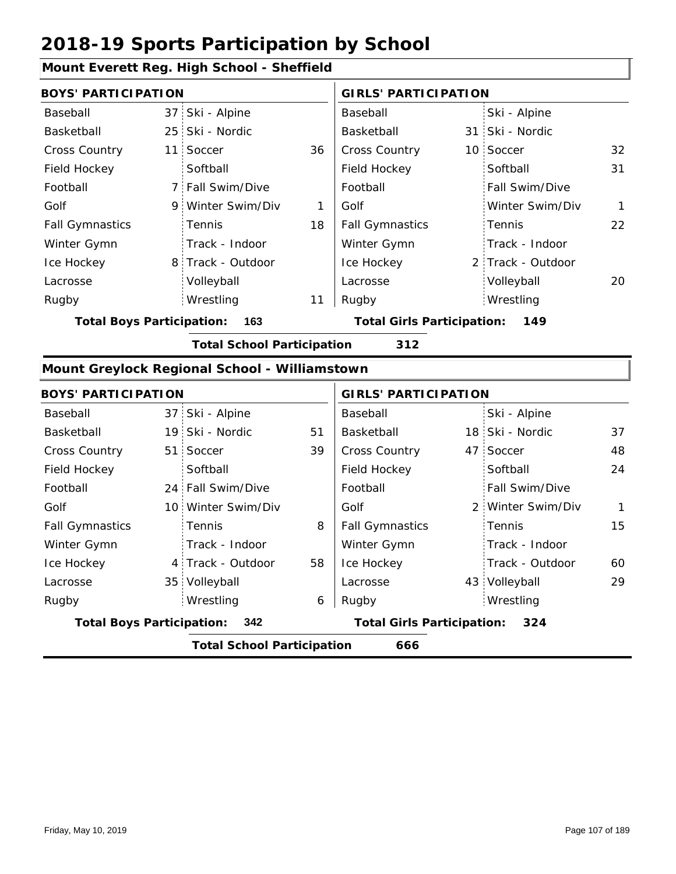### **Mount Everett Reg. High School - Sheffield**

|                                  |     | MOUTH EVENCH REG. THUH JEHOOF - JHEHIER       |    |                             |  |                   |              |
|----------------------------------|-----|-----------------------------------------------|----|-----------------------------|--|-------------------|--------------|
| <b>BOYS' PARTICIPATION</b>       |     |                                               |    | <b>GIRLS' PARTICIPATION</b> |  |                   |              |
| Baseball                         |     | 37 Ski - Alpine                               |    | Baseball                    |  | Ski - Alpine      |              |
| Basketball                       |     | 25 Ski - Nordic                               |    | Basketball                  |  | 31 Ski - Nordic   |              |
| Cross Country                    | 11  | Soccer                                        | 36 | <b>Cross Country</b>        |  | 10 Soccer         | 32           |
| Field Hockey                     |     | Softball                                      |    | Field Hockey                |  | Softball          | 31           |
| Football                         |     | 7 Fall Swim/Dive                              |    | Football                    |  | Fall Swim/Dive    |              |
| Golf                             |     | 9 Winter Swim/Div                             | 1  | Golf                        |  | Winter Swim/Div   | $\mathbf{1}$ |
| <b>Fall Gymnastics</b>           |     | Tennis                                        | 18 | <b>Fall Gymnastics</b>      |  | Tennis            | 22           |
| Winter Gymn                      |     | Track - Indoor                                |    | Winter Gymn                 |  | Track - Indoor    |              |
| Ice Hockey                       |     | 8 Track - Outdoor                             |    | Ice Hockey                  |  | 2 Track - Outdoor |              |
| Lacrosse                         |     | Volleyball                                    |    | Lacrosse                    |  | Volleyball        | 20           |
| Rugby                            |     | Wrestling                                     | 11 | Rugby                       |  | Wrestling         |              |
| <b>Total Boys Participation:</b> | 163 | <b>Total Girls Participation:</b><br>149      |    |                             |  |                   |              |
|                                  |     | <b>Total School Participation</b>             |    | 312                         |  |                   |              |
|                                  |     | Mount Greylock Regional School - Williamstown |    |                             |  |                   |              |
| <b>BOYS' PARTICIPATION</b>       |     |                                               |    | <b>GIRLS' PARTICIPATION</b> |  |                   |              |
| Baseball                         |     | 37 Ski - Alpine                               |    | Baseball                    |  | Ski - Alpine      |              |
| Basketball                       |     | 19 Ski - Nordic                               | 51 | Basketball                  |  | 18 Ski - Nordic   | 37           |
| Cross Country                    | 51  | Soccer                                        | 39 | Cross Country               |  | 47 Soccer         | 48           |
| Field Hockey                     |     | Softball                                      |    | Field Hockey                |  | Softball          | 24           |
| Football                         |     | 24 Fall Swim/Dive                             |    | Football                    |  | Fall Swim/Dive    |              |
| Golf                             |     | 10 Winter Swim/Div                            |    | Golf                        |  | 2 Winter Swim/Div | $\mathbf{1}$ |
| <b>Fall Gymnastics</b>           |     | Tennis                                        | 8  | <b>Fall Gymnastics</b>      |  | Tennis            | 15           |
| Winter Gymn                      |     | Track - Indoor                                |    | Winter Gymn                 |  | Track - Indoor    |              |
| Ice Hockey                       |     | 4 Track - Outdoor                             | 58 | Ice Hockey                  |  | Track - Outdoor   | 60           |
| Lacrosse                         |     | 35 Volleyball                                 |    | Lacrosse                    |  | 43 Volleyball     | 29           |
| Rugby                            |     | Wrestling                                     | 6  | Rugby                       |  | Wrestling         |              |
| <b>Total Boys Participation:</b> | 342 | <b>Total Girls Participation:</b><br>324      |    |                             |  |                   |              |

**Total School Participation 666**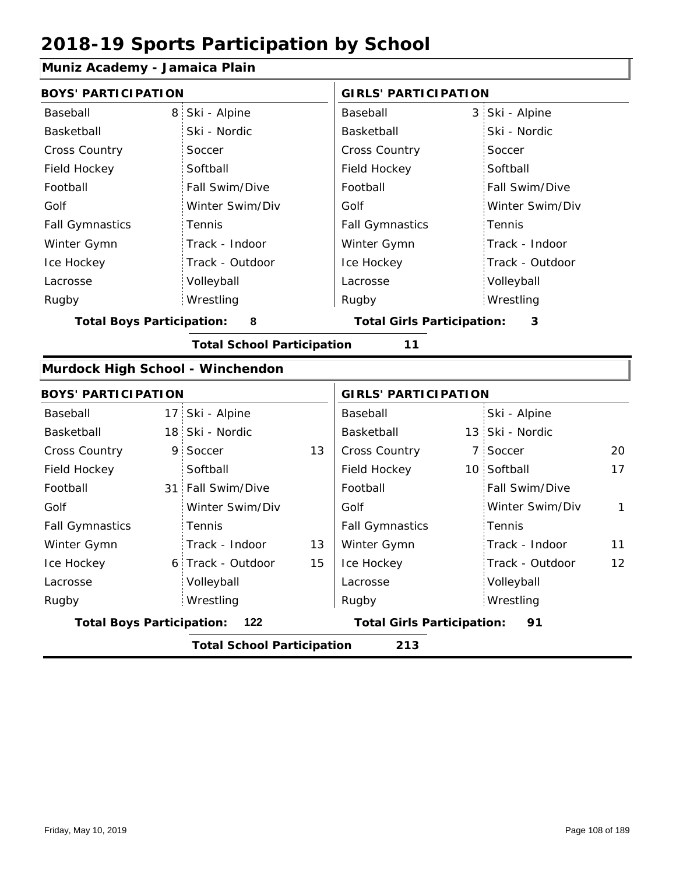### **Muniz Academy - Jamaica Plain**

| <b>BOYS' PARTICIPATION</b>                                                         |    |                                   |    | <b>GIRLS' PARTICIPATION</b> |  |                 |              |  |  |  |  |
|------------------------------------------------------------------------------------|----|-----------------------------------|----|-----------------------------|--|-----------------|--------------|--|--|--|--|
| Baseball                                                                           | 8  | Ski - Alpine                      |    | Baseball                    |  | 3 Ski - Alpine  |              |  |  |  |  |
| Basketball                                                                         |    | Ski - Nordic                      |    | Basketball                  |  | Ski - Nordic    |              |  |  |  |  |
| <b>Cross Country</b>                                                               |    | Soccer                            |    | Cross Country               |  | Soccer          |              |  |  |  |  |
| Field Hockey                                                                       |    | Softball                          |    | Field Hockey                |  | Softball        |              |  |  |  |  |
| Football                                                                           |    | Fall Swim/Dive                    |    | Football                    |  | Fall Swim/Dive  |              |  |  |  |  |
| Golf                                                                               |    | Winter Swim/Div                   |    | Golf                        |  | Winter Swim/Div |              |  |  |  |  |
| <b>Fall Gymnastics</b>                                                             |    | Tennis                            |    | <b>Fall Gymnastics</b>      |  | Tennis          |              |  |  |  |  |
| Winter Gymn                                                                        |    | Track - Indoor                    |    | Winter Gymn                 |  | Track - Indoor  |              |  |  |  |  |
| Ice Hockey                                                                         |    | Track - Outdoor                   |    | Ice Hockey                  |  | Track - Outdoor |              |  |  |  |  |
| Lacrosse                                                                           |    | Volleyball                        |    | Lacrosse                    |  | Volleyball      |              |  |  |  |  |
| Rugby                                                                              |    | Wrestling                         |    | Rugby                       |  | Wrestling       |              |  |  |  |  |
| 8<br><b>Total Boys Participation:</b><br><b>Total Girls Participation:</b><br>3    |    |                                   |    |                             |  |                 |              |  |  |  |  |
|                                                                                    |    | <b>Total School Participation</b> |    | 11                          |  |                 |              |  |  |  |  |
| Murdock High School - Winchendon                                                   |    |                                   |    |                             |  |                 |              |  |  |  |  |
| <b>BOYS' PARTICIPATION</b>                                                         |    | <b>GIRLS' PARTICIPATION</b>       |    |                             |  |                 |              |  |  |  |  |
| Baseball                                                                           |    | 17 Ski - Alpine                   |    | Baseball                    |  | Ski - Alpine    |              |  |  |  |  |
| Basketball                                                                         |    | 18 Ski - Nordic                   |    | Basketball                  |  | 13 Ski - Nordic |              |  |  |  |  |
| Cross Country                                                                      | 9. | Soccer                            | 13 | <b>Cross Country</b>        |  | 7 Soccer        | 20           |  |  |  |  |
| Field Hockey                                                                       |    | Softball                          |    | Field Hockey                |  | 10 Softball     | 17           |  |  |  |  |
| Football                                                                           |    | 31 Fall Swim/Dive                 |    | Football                    |  | Fall Swim/Dive  |              |  |  |  |  |
| Golf                                                                               |    | Winter Swim/Div                   |    | Golf                        |  | Winter Swim/Div | $\mathbf{1}$ |  |  |  |  |
| <b>Fall Gymnastics</b>                                                             |    | Tennis                            |    | <b>Fall Gymnastics</b>      |  | Tennis          |              |  |  |  |  |
| Winter Gymn                                                                        |    | Track - Indoor                    | 13 | Winter Gymn                 |  | Track - Indoor  | 11           |  |  |  |  |
| Ice Hockey                                                                         |    | 6 Track - Outdoor                 | 15 | Ice Hockey                  |  | Track - Outdoor | 12           |  |  |  |  |
| Lacrosse                                                                           |    | Volleyball                        |    | Lacrosse                    |  | Volleyball      |              |  |  |  |  |
| Rugby                                                                              |    | Wrestling                         |    | Rugby                       |  | Wrestling       |              |  |  |  |  |
| <b>Total Boys Participation:</b><br>122<br><b>Total Girls Participation:</b><br>91 |    |                                   |    |                             |  |                 |              |  |  |  |  |
| 213<br><b>Total School Participation</b>                                           |    |                                   |    |                             |  |                 |              |  |  |  |  |
|                                                                                    |    |                                   |    |                             |  |                 |              |  |  |  |  |

I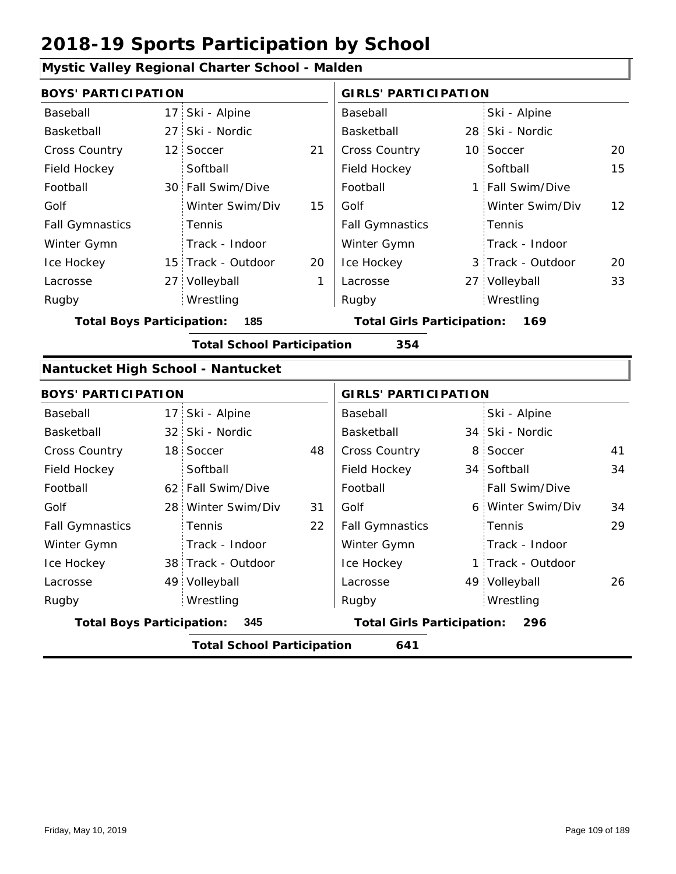|                                                                                     |     | Mystic Valley Regional Charter School - Malden |    |                                   |   |                   |    |
|-------------------------------------------------------------------------------------|-----|------------------------------------------------|----|-----------------------------------|---|-------------------|----|
| <b>BOYS' PARTICIPATION</b>                                                          |     |                                                |    | <b>GIRLS' PARTICIPATION</b>       |   |                   |    |
| Baseball                                                                            |     | 17 Ski - Alpine                                |    | Baseball                          |   | Ski - Alpine      |    |
| Basketball                                                                          | 27: | Ski - Nordic                                   |    | Basketball                        |   | 28 Ski - Nordic   |    |
| <b>Cross Country</b>                                                                |     | 12 Soccer                                      | 21 | Cross Country                     |   | 10 Soccer         | 20 |
| Field Hockey                                                                        |     | Softball                                       |    | Field Hockey                      |   | Softball          | 15 |
| Football                                                                            |     | 30 Fall Swim/Dive                              |    | Football                          |   | 1 Fall Swim/Dive  |    |
| Golf                                                                                |     | Winter Swim/Div                                | 15 | Golf                              |   | Winter Swim/Div   | 12 |
| <b>Fall Gymnastics</b>                                                              |     | Tennis                                         |    | <b>Fall Gymnastics</b>            |   | Tennis            |    |
| Winter Gymn                                                                         |     | Track - Indoor                                 |    | Winter Gymn                       |   | Track - Indoor    |    |
| Ice Hockey                                                                          |     | 15 Track - Outdoor                             | 20 | Ice Hockey                        |   | 3 Track - Outdoor | 20 |
| Lacrosse                                                                            |     | 27 Volleyball                                  | 1  | Lacrosse                          |   | 27 Volleyball     | 33 |
| Rugby                                                                               |     | Wrestling                                      |    | Rugby                             |   | Wrestling         |    |
| <b>Total Boys Participation:</b><br>185<br><b>Total Girls Participation:</b><br>169 |     |                                                |    |                                   |   |                   |    |
|                                                                                     |     | <b>Total School Participation</b>              |    | 354                               |   |                   |    |
| Nantucket High School - Nantucket                                                   |     |                                                |    |                                   |   |                   |    |
| <b>BOYS' PARTICIPATION</b>                                                          |     |                                                |    | <b>GIRLS' PARTICIPATION</b>       |   |                   |    |
| Baseball                                                                            |     | 17 Ski - Alpine                                |    | Baseball                          |   | Ski - Alpine      |    |
| Basketball                                                                          |     | 32 Ski - Nordic                                |    | Basketball                        |   | 34 Ski - Nordic   |    |
| <b>Cross Country</b>                                                                |     | 18 Soccer                                      | 48 | Cross Country                     | 8 | Soccer            | 41 |
| Field Hockey                                                                        |     | Softball                                       |    | Field Hockey                      |   | 34 Softball       | 34 |
| Football                                                                            |     | 62 Fall Swim/Dive                              |    | Football                          |   | Fall Swim/Dive    |    |
| Golf                                                                                |     | 28 Winter Swim/Div                             | 31 | Golf                              | 6 | Winter Swim/Div   | 34 |
| <b>Fall Gymnastics</b>                                                              |     | Tennis                                         | 22 | <b>Fall Gymnastics</b>            |   | Tennis            | 29 |
| Winter Gymn                                                                         |     | Track - Indoor                                 |    | Winter Gymn                       |   | Track - Indoor    |    |
| Ice Hockey                                                                          |     | 38 Track - Outdoor                             |    | Ice Hockey                        |   | 1 Track - Outdoor |    |
| Lacrosse                                                                            |     | 49 Volleyball                                  |    | Lacrosse                          |   | 49 Volleyball     | 26 |
| Rugby                                                                               |     | Wrestling                                      |    | Rugby                             |   | Wrestling         |    |
| <b>Total Boys Participation:</b>                                                    |     | 345                                            |    | <b>Total Girls Participation:</b> |   | 296               |    |
|                                                                                     |     | <b>Total School Participation</b>              |    | 641                               |   |                   |    |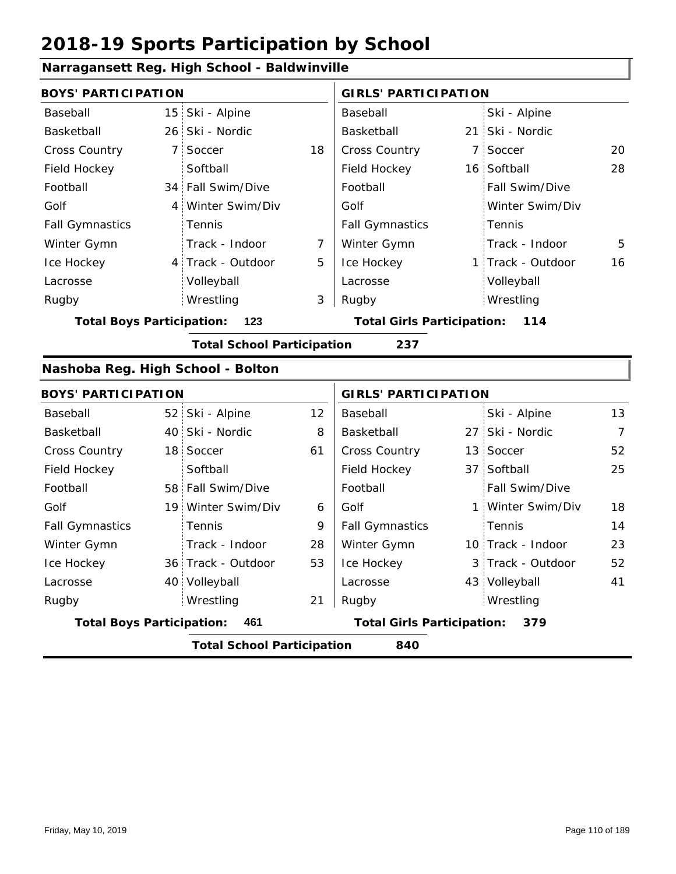### **Narragansett Reg. High School - Baldwinville**

|                                   | <b>BOYS' PARTICIPATION</b> |                                   |    |                                   |  | <b>GIRLS' PARTICIPATION</b> |                |
|-----------------------------------|----------------------------|-----------------------------------|----|-----------------------------------|--|-----------------------------|----------------|
| Baseball                          | 15 <sup>1</sup>            | Ski - Alpine                      |    | Baseball                          |  | Ski - Alpine                |                |
| Basketball                        |                            | 26 Ski - Nordic                   |    | Basketball                        |  | 21 Ski - Nordic             |                |
| <b>Cross Country</b>              | $7^{\circ}$                | Soccer                            | 18 | Cross Country                     |  | 7 Soccer                    | 20             |
| Field Hockey                      |                            | Softball                          |    | Field Hockey                      |  | 16 Softball                 | 28             |
| Football                          |                            | 34 Fall Swim/Dive                 |    | Football                          |  | Fall Swim/Dive              |                |
| Golf                              | $\overline{4}$             | Winter Swim/Div                   |    | Golf                              |  | Winter Swim/Div             |                |
| <b>Fall Gymnastics</b>            |                            | Tennis                            |    | <b>Fall Gymnastics</b>            |  | Tennis                      |                |
| Winter Gymn                       |                            | Track - Indoor                    | 7  | Winter Gymn                       |  | Track - Indoor              | 5              |
| Ice Hockey                        |                            | 4 Track - Outdoor                 | 5  | Ice Hockey                        |  | 1 Track - Outdoor           | 16             |
| Lacrosse                          |                            | Volleyball                        |    | Lacrosse                          |  | Volleyball                  |                |
| Rugby                             |                            | Wrestling                         | 3  | Rugby                             |  | Wrestling                   |                |
| <b>Total Boys Participation:</b>  |                            | 123                               |    | <b>Total Girls Participation:</b> |  | 114                         |                |
|                                   |                            | <b>Total School Participation</b> |    | 237                               |  |                             |                |
| Nashoba Reg. High School - Bolton |                            |                                   |    |                                   |  |                             |                |
| <b>BOYS' PARTICIPATION</b>        |                            |                                   |    | <b>GIRLS' PARTICIPATION</b>       |  |                             |                |
| Baseball                          |                            | 52 Ski - Alpine                   | 12 | Baseball                          |  | Ski - Alpine                | 13             |
| Basketball                        |                            | 40 Ski - Nordic                   | 8  | Basketball                        |  | 27 Ski - Nordic             | $\overline{7}$ |
| <b>Cross Country</b>              |                            | 18 Soccer                         | 61 | Cross Country                     |  | 13 Soccer                   | 52             |
| Field Hockey                      |                            | Softball                          |    | Field Hockey                      |  | 37 Softball                 | 25             |
| Football                          |                            | 58 Fall Swim/Dive                 |    | Football                          |  | Fall Swim/Dive              |                |
| Golf                              |                            | 19 Winter Swim/Div                | 6  | Golf                              |  | 1 Winter Swim/Div           | 18             |
| <b>Fall Gymnastics</b>            |                            | Tennis                            | 9  | <b>Fall Gymnastics</b>            |  | Tennis                      | 14             |
| Winter Gymn                       |                            | Track - Indoor                    | 28 | Winter Gymn                       |  | 10 Track - Indoor           | 23             |
| Ice Hockey                        |                            | 36 Track - Outdoor                | 53 | Ice Hockey                        |  | 3 Track - Outdoor           | 52             |
| Lacrosse                          |                            | 40 Volleyball                     |    | Lacrosse                          |  | 43 Volleyball               | 41             |
| Rugby                             |                            | Wrestling                         | 21 | Rugby                             |  | Wrestling                   |                |
| <b>Total Boys Participation:</b>  |                            | 461                               |    | <b>Total Girls Participation:</b> |  | 379                         |                |
|                                   |                            | <b>Total School Participation</b> |    | 840                               |  |                             |                |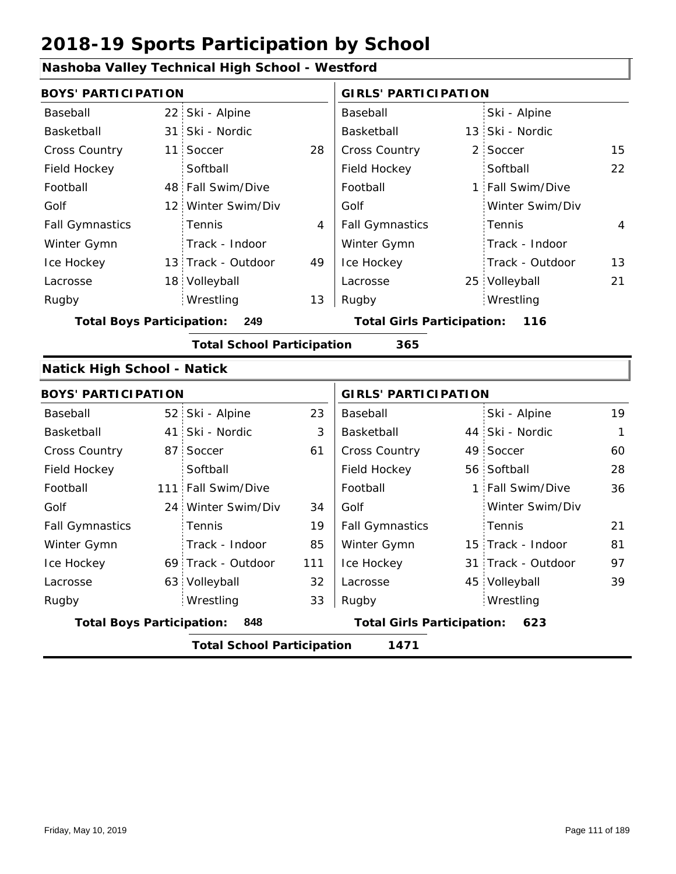#### **Nashoba Valley Technical High School - Westford** 22 Ski - Alpine 31 Ski - Nordic **Basketball** 13 11 2 28 15 Cross Country 48 Fall Swim/Dive | Football | 1 12 Winter Swim/Div 13 Track - Outdoor 18 Volleyball **Lacrosse** 25 22 4 49 4 13 13 Baseball Basketball Cross Country Field Hockey Football Golf Fall Gymnastics Ice Hockey Lacrosse 11 Soccer **Softball** Tennis Track - Indoor Wrestling Rugby Rugby **BOYS' PARTICIPATION GIRLS' PARTICIPATION** Baseball Basketball Field Hockey Football Golf Fall Gymnastics Winter Gymn Ice Hockey Lacrosse Ski - Alpine 13 Ski - Nordic 2 Soccer **Softball** Fall Swim/Dive Winter Swim/Div Tennis Track - Indoor Track - Outdoor Winter Gymn 25 Volleyball 21 Wrestling **Total Boys Participation: 249 Total Girls Participation: 116 Total School Participation 365 Natick High School - Natick** 52 Ski - Alpine 41 44 Ski - Nordic 87 Soccer 61 | Cross Country 49 56 Softball 111 Fall Swim/Dive | Football | 1 24 Winter Swim/Div 34 69 Track - Outdoor 15 Track - Indoor 63 Volleyball 31 Track - Outdoor 3 45 Volleyball 39 23 19 Ski - Alpine 61 1 60 28 19 36 85 111 21 32 81 33 97 Baseball Basketball Cross Country Field Hockey Football Golf Fall Gymnastics Ice Hockey Lacrosse 87 Soccer **Softball Tennis** Track - Indoor Wrestling Rugby Rugby **BOYS' PARTICIPATION GIRLS' PARTICIPATION** Baseball Basketball Field Hockey Football Golf Fall Gymnastics Winter Gymn Ice Hockey Lacrosse Ski - Nordic 49 Soccer Fall Swim/Dive Winter Swim/Div Tennis Winter Gymn Wrestling **Total Boys Participation: 848 Total Girls Participation: 623**

**Total School Participation 1471**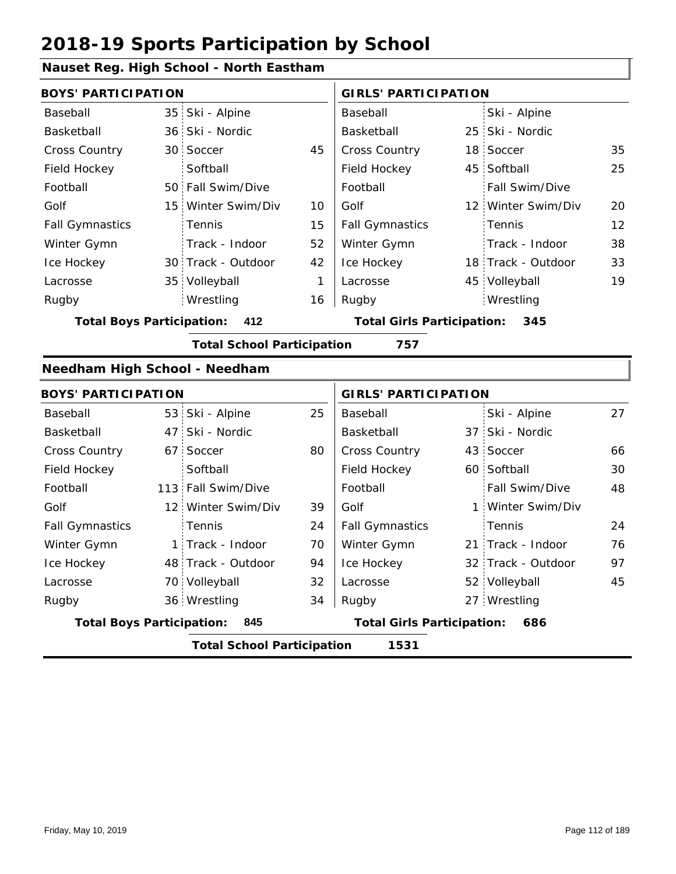#### **Nauset Reg. High School - North Eastham**

|                                  |                 | raasot Kog. Tiigit Sonool - Nortii Lastilaili |              |                                   |  |                    |    |
|----------------------------------|-----------------|-----------------------------------------------|--------------|-----------------------------------|--|--------------------|----|
| <b>BOYS' PARTICIPATION</b>       |                 |                                               |              | <b>GIRLS' PARTICIPATION</b>       |  |                    |    |
| Baseball                         |                 | 35 Ski - Alpine                               |              | Baseball                          |  | Ski - Alpine       |    |
| Basketball                       |                 | 36 Ski - Nordic                               |              | Basketball                        |  | 25 Ski - Nordic    |    |
| Cross Country                    |                 | 30 Soccer                                     | 45           | Cross Country                     |  | 18 Soccer          | 35 |
| Field Hockey                     |                 | Softball                                      |              | Field Hockey                      |  | 45 Softball        | 25 |
| Football                         |                 | 50 Fall Swim/Dive                             |              | Football                          |  | Fall Swim/Dive     |    |
| Golf                             |                 | 15 Winter Swim/Div                            | 10           | Golf                              |  | 12 Winter Swim/Div | 20 |
| <b>Fall Gymnastics</b>           |                 | Tennis                                        | 15           | <b>Fall Gymnastics</b>            |  | Tennis             | 12 |
| Winter Gymn                      |                 | Track - Indoor                                | 52           | Winter Gymn                       |  | Track - Indoor     | 38 |
| Ice Hockey                       |                 | 30 Track - Outdoor                            | 42           | Ice Hockey                        |  | 18 Track - Outdoor | 33 |
| Lacrosse                         |                 | 35 Volleyball                                 | $\mathbf{1}$ | Lacrosse                          |  | 45 Volleyball      | 19 |
| Rugby                            |                 | Wrestling                                     | 16           | Rugby                             |  | Wrestling          |    |
| <b>Total Boys Participation:</b> |                 | 412                                           |              | <b>Total Girls Participation:</b> |  | 345                |    |
|                                  |                 | <b>Total School Participation</b>             |              | 757                               |  |                    |    |
| Needham High School - Needham    |                 |                                               |              |                                   |  |                    |    |
| <b>BOYS' PARTICIPATION</b>       |                 |                                               |              | <b>GIRLS' PARTICIPATION</b>       |  |                    |    |
| Baseball                         |                 | 53 Ski - Alpine                               | 25           | Baseball                          |  | Ski - Alpine       | 27 |
| Basketball                       | 47 <sup>1</sup> | Ski - Nordic                                  |              | Basketball                        |  | 37 Ski - Nordic    |    |
| <b>Cross Country</b>             |                 | 67 Soccer                                     | 80           | Cross Country                     |  | 43 Soccer          | 66 |
| Field Hockey                     |                 | Softball                                      |              | Field Hockey                      |  | 60 Softball        | 30 |
| Football                         |                 | 113 Fall Swim/Dive                            |              | Football                          |  | Fall Swim/Dive     | 48 |
| Golf                             |                 | 12 Winter Swim/Div                            | 39           | Golf                              |  | 1 Winter Swim/Div  |    |
| <b>Fall Gymnastics</b>           |                 | Tennis                                        | 24           | <b>Fall Gymnastics</b>            |  | Tennis             | 24 |
| Winter Gymn                      | 1:              | Track - Indoor                                | 70           | Winter Gymn                       |  | 21 Track - Indoor  | 76 |
| Ice Hockey                       |                 | 48 Track - Outdoor                            | 94           | Ice Hockey                        |  | 32 Track - Outdoor | 97 |
| Lacrosse                         |                 | 70 Volleyball                                 | 32           | Lacrosse                          |  | 52 Volleyball      | 45 |

**Total Boys Participation: 845 Total Girls Participation: 686**

Wrestling

**Total School Participation 1531**

Wrestling Rugby 36 Rugby 27

34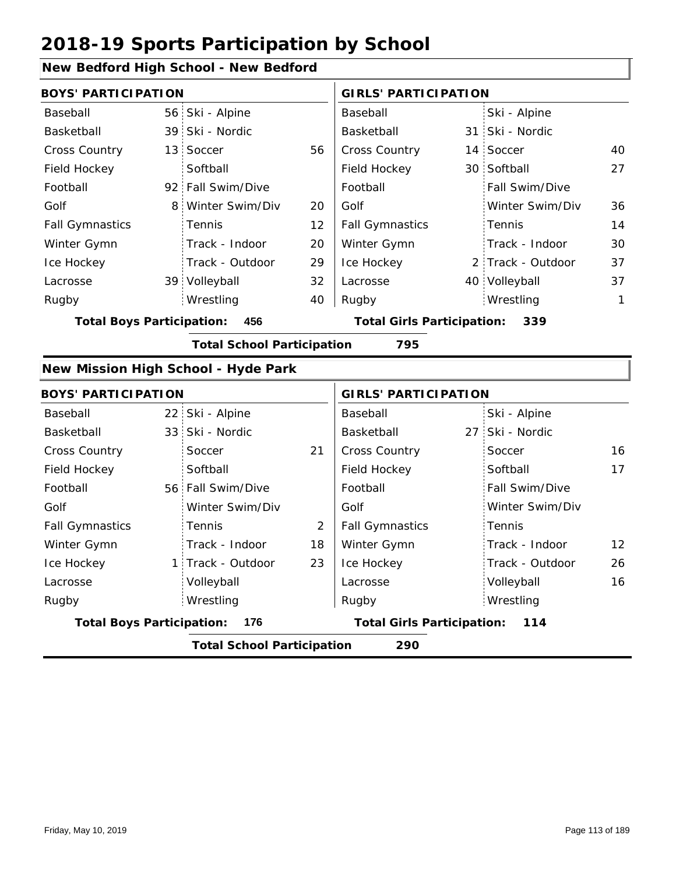### **New Bedford High School - New Bedford**

| <b>BOYS' PARTICIPATION</b>       |   |                                     |    | <b>GIRLS' PARTICIPATION</b>       |  |                   |    |  |
|----------------------------------|---|-------------------------------------|----|-----------------------------------|--|-------------------|----|--|
| Baseball                         |   | 56 Ski - Alpine                     |    | Baseball                          |  | Ski - Alpine      |    |  |
| Basketball                       |   | 39 Ski - Nordic                     |    | Basketball                        |  | 31 Ski - Nordic   |    |  |
| Cross Country                    |   | 13 Soccer                           | 56 | Cross Country                     |  | 14 Soccer         | 40 |  |
| Field Hockey                     |   | Softball                            |    | Field Hockey                      |  | 30 Softball       | 27 |  |
| Football                         |   | 92 Fall Swim/Dive                   |    | Football                          |  | Fall Swim/Dive    |    |  |
| Golf                             | 8 | Winter Swim/Div                     | 20 | Golf                              |  | Winter Swim/Div   | 36 |  |
| <b>Fall Gymnastics</b>           |   | <b>Tennis</b>                       | 12 | <b>Fall Gymnastics</b>            |  | Tennis            | 14 |  |
| Winter Gymn                      |   | Track - Indoor                      | 20 | Winter Gymn                       |  | Track - Indoor    | 30 |  |
| Ice Hockey                       |   | Track - Outdoor                     | 29 | Ice Hockey                        |  | 2 Track - Outdoor | 37 |  |
| Lacrosse                         |   | 39 Volleyball                       | 32 | Lacrosse                          |  | 40 Volleyball     | 37 |  |
| Rugby                            |   | Wrestling                           | 40 | Rugby                             |  | Wrestling         | 1  |  |
| <b>Total Boys Participation:</b> |   | 456                                 |    | <b>Total Girls Participation:</b> |  | 339               |    |  |
|                                  |   | <b>Total School Participation</b>   |    | 795                               |  |                   |    |  |
|                                  |   | New Mission High School - Hyde Park |    |                                   |  |                   |    |  |
| <b>BOYS' PARTICIPATION</b>       |   |                                     |    | <b>GIRLS' PARTICIPATION</b>       |  |                   |    |  |
| $D - - - - - -$                  |   | $22$ $21$ $21$ $21$ $21$            |    | $D = -1$                          |  | $C1.1 \tA1.1.1.2$ |    |  |

| Baseball                         |                                          | 22 Ski - Alpine   |    | Baseball                          |  | Ski - Alpine          |                   |  |  |
|----------------------------------|------------------------------------------|-------------------|----|-----------------------------------|--|-----------------------|-------------------|--|--|
| Basketball                       |                                          | 33 Ski - Nordic   |    | Basketball                        |  | 27 Ski - Nordic       |                   |  |  |
| <b>Cross Country</b>             |                                          | Soccer            | 21 | <b>Cross Country</b>              |  | Soccer                | 16                |  |  |
| Field Hockey                     |                                          | Softball          |    | Field Hockey                      |  | Softball              | 17                |  |  |
| Football                         |                                          | 56 Fall Swim/Dive |    | Football                          |  | <b>Fall Swim/Dive</b> |                   |  |  |
| Golf                             |                                          | Winter Swim/Div   |    | Golf                              |  | Winter Swim/Div       |                   |  |  |
| <b>Fall Gymnastics</b>           |                                          | Tennis            | 2  | <b>Fall Gymnastics</b>            |  | Tennis                |                   |  |  |
| Winter Gymn                      |                                          | Track - Indoor    | 18 | Winter Gymn                       |  | Track - Indoor        | $12 \overline{ }$ |  |  |
| Ice Hockey                       |                                          | 1 Track - Outdoor | 23 | Ice Hockey                        |  | Track - Outdoor       | 26                |  |  |
| Lacrosse                         |                                          | Volleyball        |    | Lacrosse                          |  | Volleyball            | 16                |  |  |
| Rugby                            |                                          | Wrestling         |    | Rugby                             |  | Wrestling             |                   |  |  |
| <b>Total Boys Participation:</b> |                                          | 176               |    | <b>Total Girls Participation:</b> |  | 114                   |                   |  |  |
|                                  | <b>Total School Participation</b><br>290 |                   |    |                                   |  |                       |                   |  |  |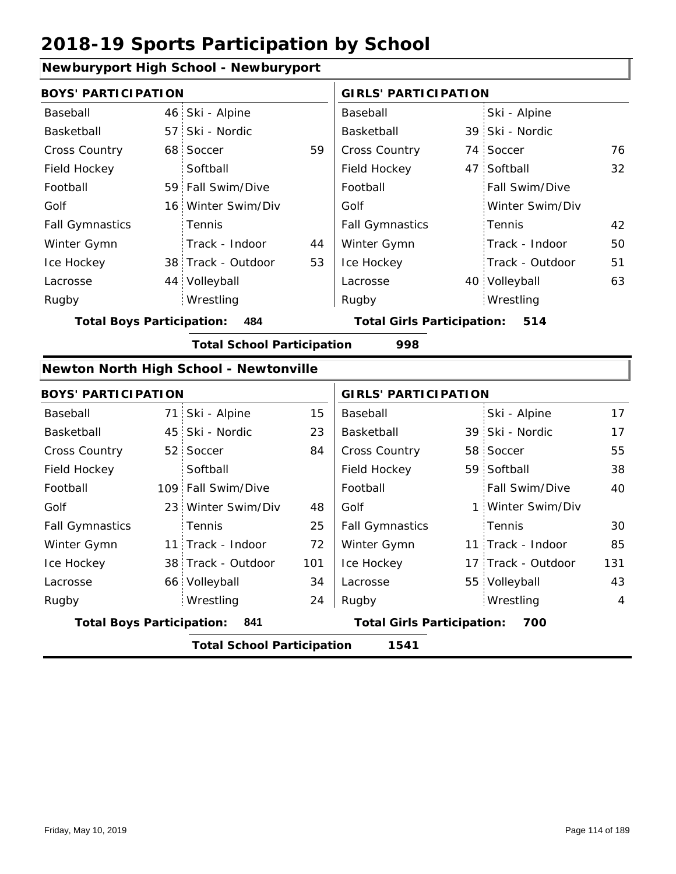#### **Newburyport High School - Newburyport**

| ivewbai yport rhgir school - ivewbai yport |                 |                                        |                                   |                             |     |                    |     |  |
|--------------------------------------------|-----------------|----------------------------------------|-----------------------------------|-----------------------------|-----|--------------------|-----|--|
| <b>BOYS' PARTICIPATION</b>                 |                 |                                        |                                   | <b>GIRLS' PARTICIPATION</b> |     |                    |     |  |
| Baseball                                   |                 | 46 Ski - Alpine                        |                                   | Baseball                    |     | Ski - Alpine       |     |  |
| Basketball                                 | 57.             | Ski - Nordic                           |                                   | Basketball                  |     | 39 Ski - Nordic    |     |  |
| Cross Country                              | 68 <sup>1</sup> | Soccer                                 | 59                                | Cross Country               |     | 74 Soccer          | 76  |  |
| Field Hockey                               |                 | Softball                               |                                   | Field Hockey                |     | 47 Softball        | 32  |  |
| Football                                   |                 | 59 Fall Swim/Dive                      |                                   | Football                    |     | Fall Swim/Dive     |     |  |
| Golf                                       |                 | 16 Winter Swim/Div                     |                                   | Golf                        |     | Winter Swim/Div    |     |  |
| <b>Fall Gymnastics</b>                     |                 | Tennis                                 |                                   | <b>Fall Gymnastics</b>      |     | Tennis             | 42  |  |
| Winter Gymn                                |                 | Track - Indoor                         | 44                                | Winter Gymn                 |     | Track - Indoor     | 50  |  |
| Ice Hockey                                 |                 | 38 Track - Outdoor                     | 53                                | Ice Hockey                  |     | Track - Outdoor    | 51  |  |
| Lacrosse                                   |                 | 44 Volleyball                          |                                   | Lacrosse                    |     | 40 Volleyball      | 63  |  |
| Rugby                                      |                 | Wrestling                              |                                   | Rugby                       |     | Wrestling          |     |  |
| <b>Total Boys Participation:</b>           |                 | 484                                    | <b>Total Girls Participation:</b> |                             | 514 |                    |     |  |
| <b>Total School Participation</b><br>998   |                 |                                        |                                   |                             |     |                    |     |  |
|                                            |                 | Newton North High School - Newtonville |                                   |                             |     |                    |     |  |
| <b>BOYS' PARTICIPATION</b>                 |                 |                                        |                                   | <b>GIRLS' PARTICIPATION</b> |     |                    |     |  |
| Baseball                                   |                 | 71 Ski - Alpine                        | 15                                | Baseball                    |     | Ski - Alpine       | 17  |  |
| Basketball                                 |                 | 45 Ski - Nordic                        | 23                                | Basketball                  |     | 39 Ski - Nordic    | 17  |  |
| Cross Country                              | 52 <sub>1</sub> | Soccer                                 | 84                                | Cross Country               | 58  | Soccer             | 55  |  |
| Field Hockey                               |                 | Softball                               |                                   | Field Hockey                |     | 59 Softball        | 38  |  |
| Football                                   |                 | 109 Fall Swim/Dive                     |                                   | Football                    |     | Fall Swim/Dive     | 40  |  |
|                                            |                 |                                        |                                   |                             |     |                    |     |  |
| Golf                                       | 23 <sup>1</sup> | Winter Swim/Div                        | 48                                | Golf                        |     | 1 Winter Swim/Div  |     |  |
| <b>Fall Gymnastics</b>                     |                 | Tennis                                 | 25                                | <b>Fall Gymnastics</b>      |     | Tennis             | 30  |  |
| Winter Gymn                                |                 | 11 Track - Indoor                      | 72                                | Winter Gymn                 |     | 11 Track - Indoor  | 85  |  |
| Ice Hockey                                 |                 | 38 Track - Outdoor                     | 101                               | Ice Hockey                  |     | 17 Track - Outdoor | 131 |  |
| Lacrosse                                   |                 | 66 Volleyball                          | 34                                | Lacrosse                    |     | 55 Volleyball      | 43  |  |
| Rugby                                      |                 | Wrestling                              | 24                                | Rugby                       |     | Wrestling          | 4   |  |

**Total School Participation 1541**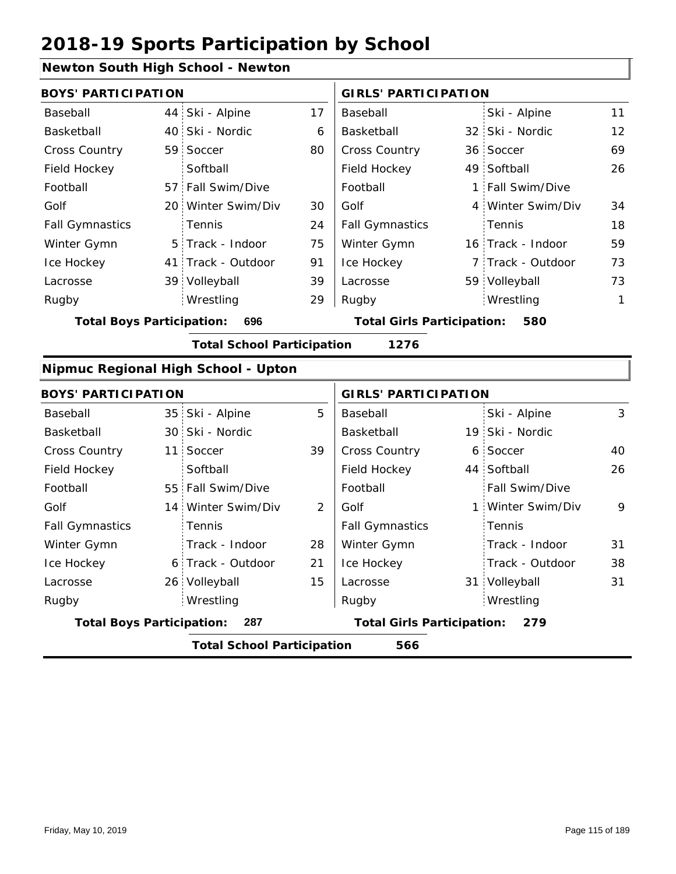### **Newton South High School - Newton**

|                                  |                 | $\frac{1}{2}$                       |    |                                   |  |                   |              |  |
|----------------------------------|-----------------|-------------------------------------|----|-----------------------------------|--|-------------------|--------------|--|
| <b>BOYS' PARTICIPATION</b>       |                 |                                     |    | <b>GIRLS' PARTICIPATION</b>       |  |                   |              |  |
| Baseball                         | 44              | Ski - Alpine                        | 17 | Baseball                          |  | Ski - Alpine      | 11           |  |
| Basketball                       | 40              | Ski - Nordic                        | 6  | Basketball                        |  | 32 Ski - Nordic   | 12           |  |
| <b>Cross Country</b>             | 59              | Soccer                              | 80 | Cross Country                     |  | 36 Soccer         | 69           |  |
| Field Hockey                     |                 | Softball                            |    | Field Hockey                      |  | 49 Softball       | 26           |  |
| Football                         | 57:             | Fall Swim/Dive                      |    | Football                          |  | 1 Fall Swim/Dive  |              |  |
| Golf                             |                 | 20 Winter Swim/Div                  | 30 | Golf                              |  | 4 Winter Swim/Div | 34           |  |
| <b>Fall Gymnastics</b>           |                 | Tennis                              | 24 | <b>Fall Gymnastics</b>            |  | Tennis            | 18           |  |
| Winter Gymn                      | 5               | Track - Indoor                      | 75 | Winter Gymn                       |  | 16 Track - Indoor | 59           |  |
| Ice Hockey                       | 41 <sup>1</sup> | Track - Outdoor                     | 91 | Ice Hockey                        |  | 7 Track - Outdoor | 73           |  |
| Lacrosse                         | 39              | Volleyball                          | 39 | Lacrosse                          |  | 59 Volleyball     | 73           |  |
| Rugby                            |                 | Wrestling                           | 29 | Rugby                             |  | Wrestling         | $\mathbf{1}$ |  |
| <b>Total Boys Participation:</b> |                 | 696                                 |    | <b>Total Girls Participation:</b> |  | 580               |              |  |
|                                  |                 | <b>Total School Participation</b>   |    | 1276                              |  |                   |              |  |
|                                  |                 | Nipmuc Regional High School - Upton |    |                                   |  |                   |              |  |
| <b>BOYS' PARTICIPATION</b>       |                 |                                     |    | <b>GIRLS' PARTICIPATION</b>       |  |                   |              |  |
| Baseball                         |                 | 35 Ski - Alpine                     | 5  | Baseball                          |  | Ski - Alpine      | 3            |  |
| Basketball                       | 30 <sup>1</sup> | Ski - Nordic                        |    | Basketball                        |  | 19 Ski - Nordic   |              |  |
| <b>Cross Country</b>             | 11              | Soccer                              | 39 | Cross Country                     |  | 6 Soccer          | 40           |  |
| Field Hockey                     |                 | Softball                            |    | Field Hockey                      |  | 44 Softball       | 26           |  |
| Football                         | 55 <sub>1</sub> | Fall Swim/Dive                      |    | Football                          |  | Fall Swim/Dive    |              |  |
| Golf                             |                 | 14 Winter Swim/Div                  | 2  | Golf                              |  | 1 Winter Swim/Div | 9            |  |
| <b>Fall Gymnastics</b>           |                 | Tennis                              |    | <b>Fall Gymnastics</b>            |  | Tennis            |              |  |
| Winter Gymn                      |                 | Track - Indoor                      | 28 | Winter Gymn                       |  | Track - Indoor    | 31           |  |
| Ice Hockey                       | 6               | Track - Outdoor                     | 21 | Ice Hockey                        |  | Track - Outdoor   | 38           |  |
| Lacrosse                         |                 | 26 Volleyball                       | 15 | Lacrosse                          |  | 31 Volleyball     | 31           |  |

**Total Boys Participation: 287 Total Girls Participation: 279**

Wrestling Rugby Rugby

**Total School Participation 566**

Wrestling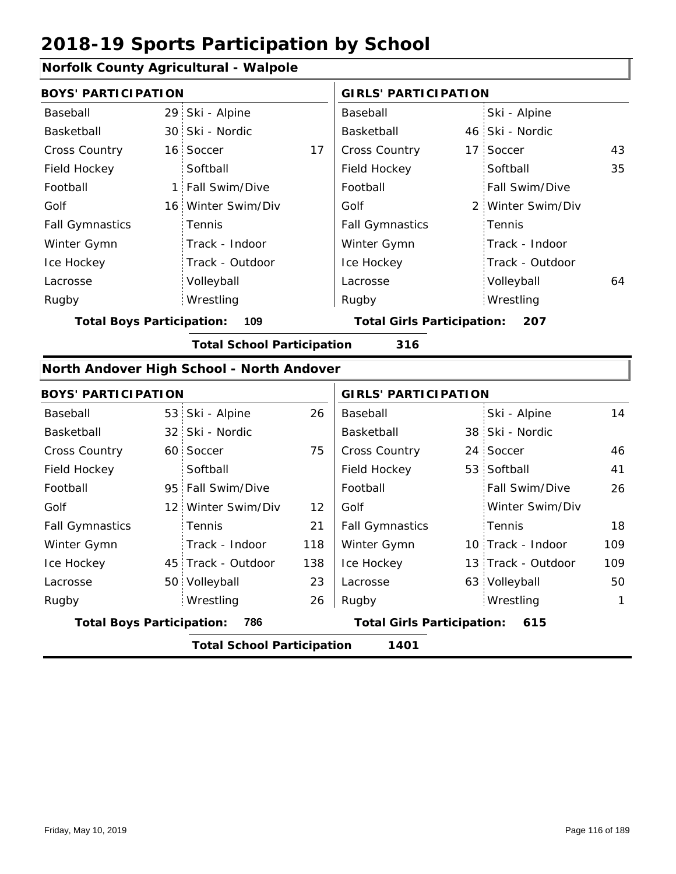#### **Norfolk County Agricultural - Walpole**

| <b>BOYS' PARTICIPATION</b>              |  |                    |                                   | <b>GIRLS' PARTICIPATION</b> |     |                       |    |
|-----------------------------------------|--|--------------------|-----------------------------------|-----------------------------|-----|-----------------------|----|
| Baseball                                |  | 29 Ski - Alpine    |                                   | Baseball                    |     | Ski - Alpine          |    |
| Basketball                              |  | 30 Ski - Nordic    |                                   | Basketball                  |     | 46 Ski - Nordic       |    |
| <b>Cross Country</b>                    |  | 16 Soccer          | 17                                | <b>Cross Country</b>        |     | 17 Soccer             | 43 |
| Field Hockey                            |  | Softball           |                                   | Field Hockey                |     | Softball              | 35 |
| Football                                |  | 1 Fall Swim/Dive   |                                   | Football                    |     | <b>Fall Swim/Dive</b> |    |
| Golf                                    |  | 16 Winter Swim/Div |                                   | Golf                        |     | 2 Winter Swim/Div     |    |
| <b>Fall Gymnastics</b>                  |  | Tennis             |                                   | <b>Fall Gymnastics</b>      |     | Tennis                |    |
| Winter Gymn                             |  | Track - Indoor     |                                   | Winter Gymn                 |     | Track - Indoor        |    |
| Ice Hockey                              |  | Track - Outdoor    |                                   | Ice Hockey                  |     | Track - Outdoor       |    |
| Lacrosse                                |  | Volleyball         |                                   | Lacrosse                    |     | Volleyball            | 64 |
| Rugby                                   |  | Wrestling          |                                   | Rugby                       |     | Wrestling             |    |
| 109<br><b>Total Boys Participation:</b> |  |                    | <b>Total Girls Participation:</b> |                             | 207 |                       |    |

**Total School Participation 316**

#### **North Andover High School - North Andover**

| <b>BOYS' PARTICIPATION</b>       |                                   |     |                                   | <b>GIRLS' PARTICIPATION</b> |                    |     |  |
|----------------------------------|-----------------------------------|-----|-----------------------------------|-----------------------------|--------------------|-----|--|
| Baseball                         | 53 Ski - Alpine                   | 26  | Baseball                          |                             | Ski - Alpine       | 14  |  |
| Basketball                       | 32 Ski - Nordic                   |     | Basketball                        |                             | 38 Ski - Nordic    |     |  |
| <b>Cross Country</b>             | 60 Soccer                         | 75  | <b>Cross Country</b>              |                             | 24 Soccer          | 46  |  |
| Field Hockey                     | Softball                          |     | Field Hockey                      |                             | 53 Softball        | 41  |  |
| Football                         | 95 Fall Swim/Dive                 |     | Football                          |                             | Fall Swim/Dive     | 26  |  |
| Golf                             | 12 Winter Swim/Div                | 12  | Golf                              |                             | Winter Swim/Div    |     |  |
| <b>Fall Gymnastics</b>           | <b>Tennis</b>                     | 21  | <b>Fall Gymnastics</b>            |                             | Tennis             | 18  |  |
| Winter Gymn                      | Track - Indoor                    | 118 | Winter Gymn                       |                             | 10 Track - Indoor  | 109 |  |
| Ice Hockey                       | 45 Track - Outdoor                | 138 | Ice Hockey                        |                             | 13 Track - Outdoor | 109 |  |
| Lacrosse                         | 50 Volleyball                     | 23  | Lacrosse                          |                             | 63 Volleyball      | 50  |  |
| Rugby                            | Wrestling                         | 26  | Rugby                             |                             | Wrestling          | 1   |  |
| <b>Total Boys Participation:</b> | 786                               |     | <b>Total Girls Participation:</b> |                             | 615                |     |  |
|                                  | <b>Total School Participation</b> |     | 1401                              |                             |                    |     |  |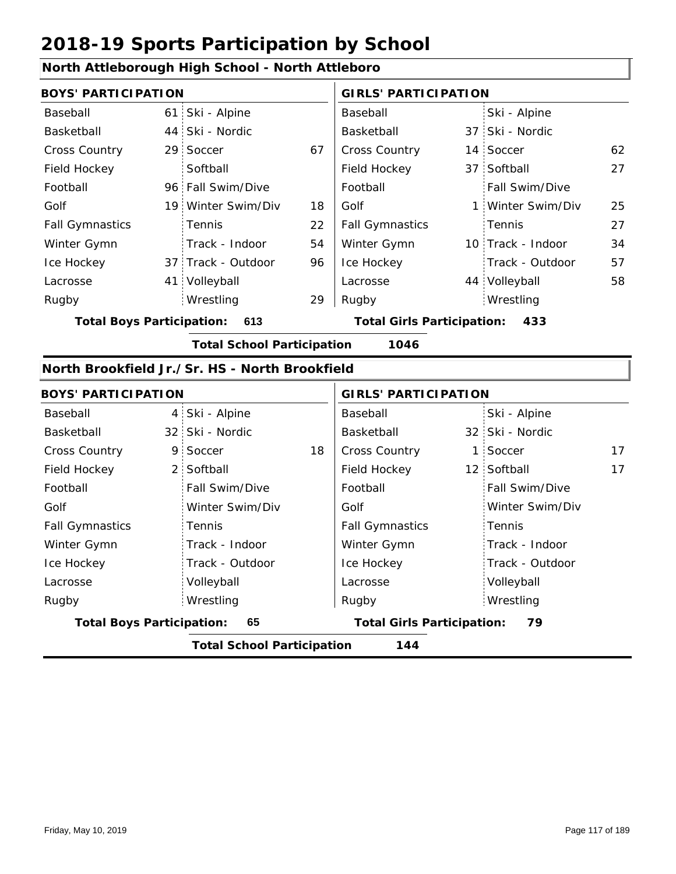#### **North Attleborough High School - North Attleboro**

| <b>BOYS' PARTICIPATION</b> |  |                    |    | <b>GIRLS' PARTICIPATION</b> |  |                   |    |
|----------------------------|--|--------------------|----|-----------------------------|--|-------------------|----|
| Baseball                   |  | 61 Ski - Alpine    |    | Baseball                    |  | Ski - Alpine      |    |
| Basketball                 |  | 44 Ski - Nordic    |    | Basketball                  |  | 37 Ski - Nordic   |    |
| <b>Cross Country</b>       |  | 29 Soccer          | 67 | <b>Cross Country</b>        |  | 14 Soccer         | 62 |
| Field Hockey               |  | Softball           |    | Field Hockey                |  | 37 Softball       | 27 |
| Football                   |  | 96 Fall Swim/Dive  |    | Football                    |  | Fall Swim/Dive    |    |
| Golf                       |  | 19 Winter Swim/Div | 18 | Golf                        |  | 1 Winter Swim/Div | 25 |
| <b>Fall Gymnastics</b>     |  | <b>Tennis</b>      | 22 | <b>Fall Gymnastics</b>      |  | Tennis            | 27 |
| Winter Gymn                |  | Track - Indoor     | 54 | Winter Gymn                 |  | 10 Track - Indoor | 34 |
| Ice Hockey                 |  | 37 Track - Outdoor | 96 | Ice Hockey                  |  | Track - Outdoor   | 57 |
| Lacrosse                   |  | 41 Volleyball      |    | Lacrosse                    |  | 44 Volleyball     | 58 |
| Rugby                      |  | Wrestling          | 29 | Rugby                       |  | Wrestling         |    |

**Total Boys Participation: 613 Total Girls Participation: 433**

**Total School Participation 1046**

#### **North Brookfield Jr./Sr. HS - North Brookfield**

| <b>BOYS' PARTICIPATION</b>       |                                   |    | <b>GIRLS' PARTICIPATION</b>       |  |                 |    |
|----------------------------------|-----------------------------------|----|-----------------------------------|--|-----------------|----|
| Baseball                         | 4 Ski - Alpine                    |    | Baseball                          |  | Ski - Alpine    |    |
| Basketball                       | 32 Ski - Nordic                   |    | Basketball                        |  | 32 Ski - Nordic |    |
| <b>Cross Country</b>             | 9 Soccer                          | 18 | <b>Cross Country</b>              |  | 1 Soccer        | 17 |
| Field Hockey                     | 2 Softball                        |    | Field Hockey                      |  | 12 Softball     | 17 |
| Football                         | Fall Swim/Dive                    |    | Football                          |  | Fall Swim/Dive  |    |
| Golf                             | Winter Swim/Div                   |    | Golf                              |  | Winter Swim/Div |    |
| <b>Fall Gymnastics</b>           | Tennis                            |    | <b>Fall Gymnastics</b>            |  | : Tennis        |    |
| Winter Gymn                      | Track - Indoor                    |    | Winter Gymn                       |  | Track - Indoor  |    |
| Ice Hockey                       | Track - Outdoor                   |    | Ice Hockey                        |  | Track - Outdoor |    |
| Lacrosse                         | Volleyball                        |    | Lacrosse                          |  | Volleyball      |    |
| Rugby                            | Wrestling                         |    | Rugby                             |  | Wrestling       |    |
| <b>Total Boys Participation:</b> | 65                                |    | <b>Total Girls Participation:</b> |  | 79              |    |
|                                  | <b>Total School Participation</b> |    | 144                               |  |                 |    |

Friday, May 10, 2019 Page 117 of 189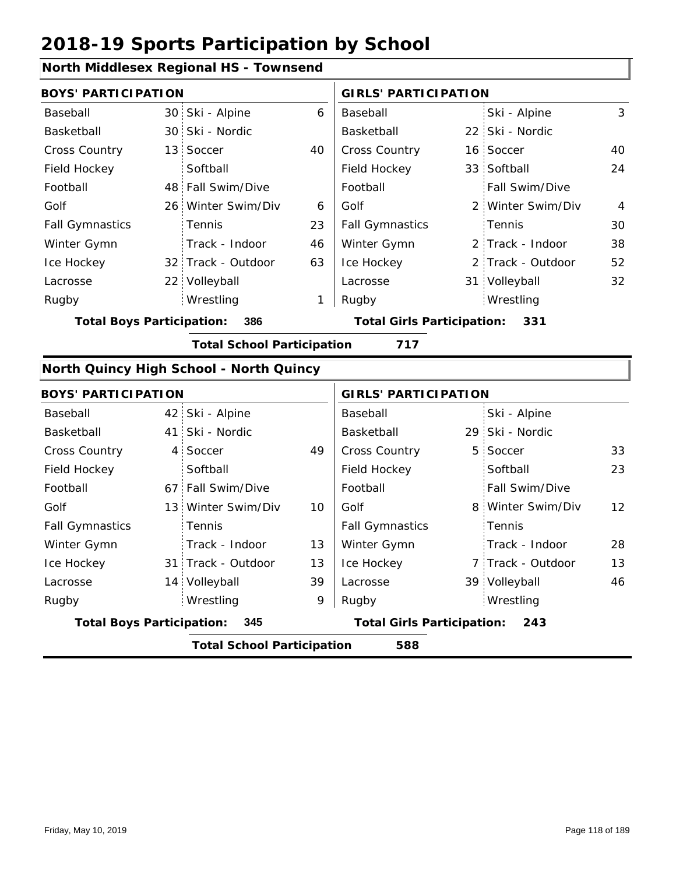#### **North Middlesex Regional HS - Townsend**

|                                         | <b>BOYS' PARTICIPATION</b> |                    |                                   |                        | <b>GIRLS' PARTICIPATION</b> |                   |                |  |
|-----------------------------------------|----------------------------|--------------------|-----------------------------------|------------------------|-----------------------------|-------------------|----------------|--|
| Baseball                                |                            | 30 Ski - Alpine    | 6                                 | Baseball               |                             | Ski - Alpine      | 3              |  |
| Basketball                              |                            | 30 Ski - Nordic    |                                   | Basketball             |                             | 22 Ski - Nordic   |                |  |
| <b>Cross Country</b>                    |                            | 13 Soccer          | 40                                | <b>Cross Country</b>   |                             | 16 Soccer         | 40             |  |
| Field Hockey                            |                            | Softball           |                                   | Field Hockey           |                             | 33 Softball       | 24             |  |
| Football                                |                            | 48 Fall Swim/Dive  |                                   | Football               |                             | Fall Swim/Dive    |                |  |
| Golf                                    |                            | 26 Winter Swim/Div | 6                                 | Golf                   |                             | 2 Winter Swim/Div | $\overline{4}$ |  |
| <b>Fall Gymnastics</b>                  |                            | <b>Tennis</b>      | 23                                | <b>Fall Gymnastics</b> |                             | Tennis            | 30             |  |
| Winter Gymn                             |                            | Track - Indoor     | 46                                | Winter Gymn            |                             | 2 Track - Indoor  | 38             |  |
| Ice Hockey                              |                            | 32 Track - Outdoor | 63                                | Ice Hockey             |                             | 2 Track - Outdoor | 52             |  |
| Lacrosse                                |                            | 22 Volleyball      |                                   | Lacrosse               |                             | 31 Volleyball     | 32             |  |
| Rugby                                   |                            | Wrestling          |                                   | Rugby                  |                             | Wrestling         |                |  |
| 386<br><b>Total Boys Participation:</b> |                            |                    | <b>Total Girls Participation:</b> |                        | 331                         |                   |                |  |

**Total School Participation 717**

#### **North Quincy High School - North Quincy**

|                                         | <b>BOYS' PARTICIPATION</b>               |                                          |    | <b>GIRLS' PARTICIPATION</b> |  |                       |                   |  |
|-----------------------------------------|------------------------------------------|------------------------------------------|----|-----------------------------|--|-----------------------|-------------------|--|
| Baseball                                |                                          | 42 Ski - Alpine                          |    | Baseball                    |  | Ski - Alpine          |                   |  |
| Basketball                              |                                          | 41 Ski - Nordic                          |    | Basketball                  |  | 29 Ski - Nordic       |                   |  |
| <b>Cross Country</b>                    |                                          | 4 Soccer                                 | 49 | <b>Cross Country</b>        |  | 5 Soccer              | 33                |  |
| Field Hockey                            |                                          | Softball                                 |    | Field Hockey                |  | Softball              | 23                |  |
| Football                                |                                          | 67 Fall Swim/Dive                        |    | Football                    |  | <b>Fall Swim/Dive</b> |                   |  |
| Golf                                    |                                          | 13 Winter Swim/Div                       | 10 | Golf                        |  | 8 Winter Swim/Div     | $12 \overline{ }$ |  |
| <b>Fall Gymnastics</b>                  |                                          | Tennis                                   |    | <b>Fall Gymnastics</b>      |  | Tennis                |                   |  |
| Winter Gymn                             |                                          | Track - Indoor                           | 13 | Winter Gymn                 |  | Track - Indoor        | 28                |  |
| Ice Hockey                              |                                          | 31 Track - Outdoor                       | 13 | Ice Hockey                  |  | 7 Track - Outdoor     | 13                |  |
| Lacrosse                                |                                          | 14 Volleyball                            | 39 | Lacrosse                    |  | 39 Volleyball         | 46                |  |
| Rugby                                   |                                          | Wrestling                                | 9  | Rugby                       |  | Wrestling             |                   |  |
| <b>Total Boys Participation:</b><br>345 |                                          | <b>Total Girls Participation:</b><br>243 |    |                             |  |                       |                   |  |
|                                         | <b>Total School Participation</b><br>588 |                                          |    |                             |  |                       |                   |  |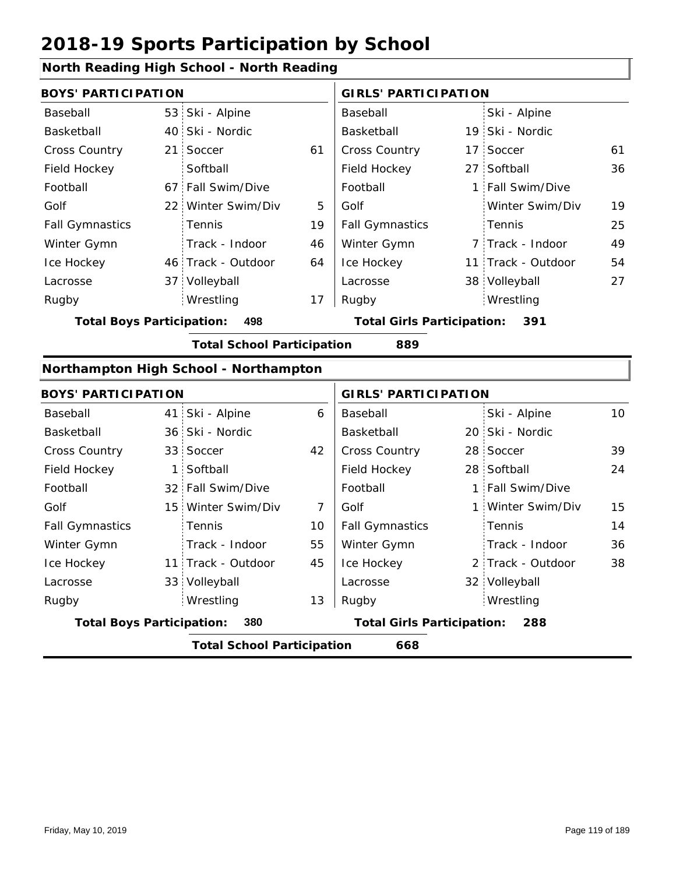### **North Reading High School - North Reading**

Tennis

| <b>BOYS' PARTICIPATION</b>       |                |                                       |    | <b>GIRLS' PARTICIPATION</b>              |              |                    |    |  |
|----------------------------------|----------------|---------------------------------------|----|------------------------------------------|--------------|--------------------|----|--|
| Baseball                         |                | 53 Ski - Alpine                       |    | Baseball                                 |              | Ski - Alpine       |    |  |
| Basketball                       |                | 40 Ski - Nordic                       |    | Basketball                               |              | 19 Ski - Nordic    |    |  |
| Cross Country                    | 21             | Soccer                                | 61 | Cross Country                            |              | 17 Soccer          | 61 |  |
| Field Hockey                     |                | Softball                              |    | Field Hockey                             |              | 27 Softball        | 36 |  |
| Football                         |                | 67 Fall Swim/Dive                     |    | Football                                 | $\mathbf{1}$ | Fall Swim/Dive     |    |  |
| Golf                             |                | 22 Winter Swim/Div                    | 5  | Golf                                     |              | Winter Swim/Div    | 19 |  |
| <b>Fall Gymnastics</b>           |                | Tennis                                | 19 | <b>Fall Gymnastics</b>                   |              | Tennis             | 25 |  |
| Winter Gymn                      |                | Track - Indoor                        | 46 | Winter Gymn                              |              | 7 Track - Indoor   | 49 |  |
| Ice Hockey                       |                | 46 Track - Outdoor                    | 64 | Ice Hockey                               |              | 11 Track - Outdoor | 54 |  |
| Lacrosse                         |                | 37 Volleyball                         |    | Lacrosse                                 |              | 38 Volleyball      | 27 |  |
| Rugby                            |                | Wrestling                             | 17 | Rugby                                    |              | Wrestling          |    |  |
| <b>Total Boys Participation:</b> |                | 498                                   |    | <b>Total Girls Participation:</b><br>391 |              |                    |    |  |
|                                  |                | <b>Total School Participation</b>     |    | 889                                      |              |                    |    |  |
|                                  |                | Northampton High School - Northampton |    |                                          |              |                    |    |  |
| <b>BOYS' PARTICIPATION</b>       |                |                                       |    | <b>GIRLS' PARTICIPATION</b>              |              |                    |    |  |
| Baseball                         |                | 41 Ski - Alpine                       | 6  | Baseball                                 |              | Ski - Alpine       | 10 |  |
| Basketball                       |                | 36 Ski - Nordic                       |    | Basketball                               |              | 20 Ski - Nordic    |    |  |
| <b>Cross Country</b>             |                | 33 Soccer                             | 42 | Cross Country                            |              | 28 Soccer          | 39 |  |
| Field Hockey                     | 1 <sup>1</sup> | Softball                              |    | Field Hockey                             |              | 28 Softball        | 24 |  |
| Football                         |                | 32 Fall Swim/Dive                     |    | Football                                 |              | 1 Fall Swim/Dive   |    |  |

| <b>Total Boys Participation:</b><br>380 |  |                    |    | <b>Total Girls Participation:</b><br>288 |  |                   |  |  |
|-----------------------------------------|--|--------------------|----|------------------------------------------|--|-------------------|--|--|
| Rugby                                   |  | Wrestling          | 13 | Rugby                                    |  | Wrestling         |  |  |
| Lacrosse                                |  | 33 Volleyball      |    | Lacrosse                                 |  | 32 Volleyball     |  |  |
| Ice Hockey                              |  | 11 Track - Outdoor | 45 | Ice Hockey                               |  | 2 Track - Outdoor |  |  |
| Winter Gymn                             |  | Track - Indoor     | 55 | Winter Gymn                              |  | Track - Indoor    |  |  |
|                                         |  |                    |    |                                          |  |                   |  |  |

15 Winter Swim/Div 7 Golf 1

Golf

Fall Gymnastics

10

**Total School Participation 668**

Golf

Fall Gymnastics

15

Winter Swim/Div

Tennis

14 36

38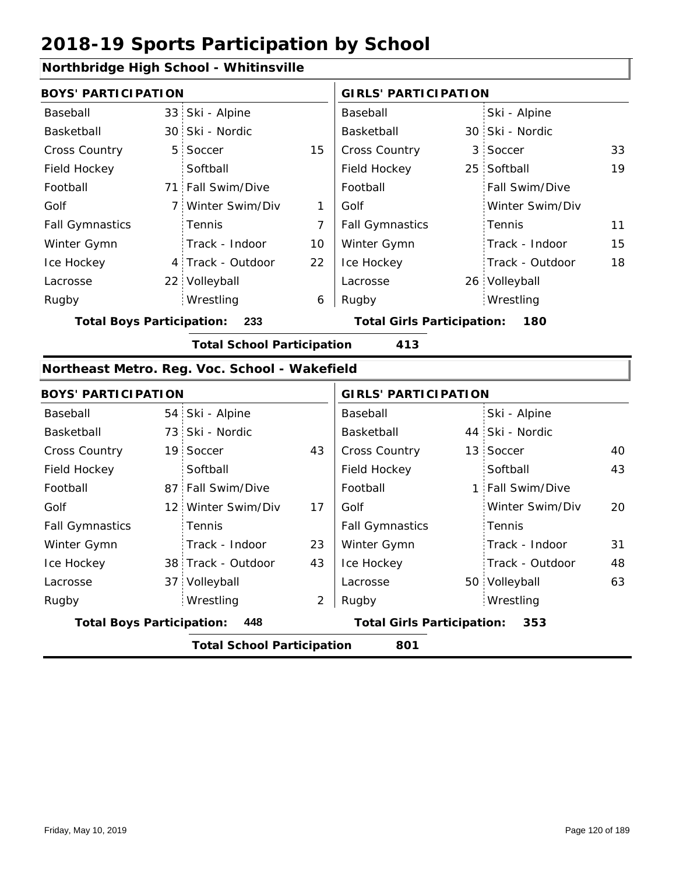#### **Northbridge High School - Whitinsville**

|                        | <b>BOYS' PARTICIPATION</b> |                   |                           | <b>GIRLS' PARTICIPATION</b> |  |                       |    |
|------------------------|----------------------------|-------------------|---------------------------|-----------------------------|--|-----------------------|----|
| Baseball               |                            | 33 Ski - Alpine   |                           | Baseball                    |  | Ski - Alpine          |    |
| Basketball             |                            | 30 Ski - Nordic   |                           | Basketball                  |  | 30 Ski - Nordic       |    |
| <b>Cross Country</b>   |                            | 5 Soccer          | 15                        | <b>Cross Country</b>        |  | 3 Soccer              | 33 |
| Field Hockey           |                            | Softball          |                           | Field Hockey                |  | 25 Softball           | 19 |
| Football               |                            | 71 Fall Swim/Dive |                           | Football                    |  | <b>Fall Swim/Dive</b> |    |
| Golf                   |                            | 7 Winter Swim/Div | 1                         | Golf                        |  | Winter Swim/Div       |    |
| <b>Fall Gymnastics</b> |                            | <b>Tennis</b>     | 7                         | <b>Fall Gymnastics</b>      |  | : Tennis              | 11 |
| Winter Gymn            |                            | Track - Indoor    | 10                        | Winter Gymn                 |  | Track - Indoor        | 15 |
| Ice Hockey             |                            | 4 Track - Outdoor | 22                        | Ice Hockey                  |  | Track - Outdoor       | 18 |
| Lacrosse               |                            | 22 Volleyball     |                           | Lacrosse                    |  | 26 Volleyball         |    |
| Rugby                  |                            | Wrestling         | 6                         | Rugby                       |  | Wrestling             |    |
|                        |                            |                   | T.L. LAL. B.J.L. J. L. L. |                             |  |                       |    |

**Total Boys Participation: 233 Total Girls Participation: 180**

**Total School Participation 413**

#### **Northeast Metro. Reg. Voc. School - Wakefield**

| <b>BOYS' PARTICIPATION</b>              |                                          |                                          |    | <b>GIRLS' PARTICIPATION</b> |  |                  |    |  |
|-----------------------------------------|------------------------------------------|------------------------------------------|----|-----------------------------|--|------------------|----|--|
| Baseball                                |                                          | 54 Ski - Alpine                          |    | Baseball                    |  | Ski - Alpine     |    |  |
| Basketball                              |                                          | 73 Ski - Nordic                          |    | Basketball                  |  | 44 Ski - Nordic  |    |  |
| <b>Cross Country</b>                    |                                          | 19 Soccer                                | 43 | <b>Cross Country</b>        |  | 13 Soccer        | 40 |  |
| Field Hockey                            |                                          | Softball                                 |    | Field Hockey                |  | Softball         | 43 |  |
| Football                                |                                          | 87 Fall Swim/Dive                        |    | Football                    |  | 1 Fall Swim/Dive |    |  |
| Golf                                    |                                          | 12 Winter Swim/Div                       | 17 | Golf                        |  | Winter Swim/Div  | 20 |  |
| <b>Fall Gymnastics</b>                  |                                          | Tennis                                   |    | <b>Fall Gymnastics</b>      |  | Tennis           |    |  |
| Winter Gymn                             |                                          | Track - Indoor                           | 23 | Winter Gymn                 |  | Track - Indoor   | 31 |  |
| Ice Hockey                              |                                          | 38 Track - Outdoor                       | 43 | Ice Hockey                  |  | Track - Outdoor  | 48 |  |
| Lacrosse                                |                                          | 37 Volleyball                            |    | Lacrosse                    |  | 50 Volleyball    | 63 |  |
| Rugby                                   |                                          | Wrestling                                | 2  | Rugby                       |  | Wrestling        |    |  |
| <b>Total Boys Participation:</b><br>448 |                                          | <b>Total Girls Participation:</b><br>353 |    |                             |  |                  |    |  |
|                                         | <b>Total School Participation</b><br>801 |                                          |    |                             |  |                  |    |  |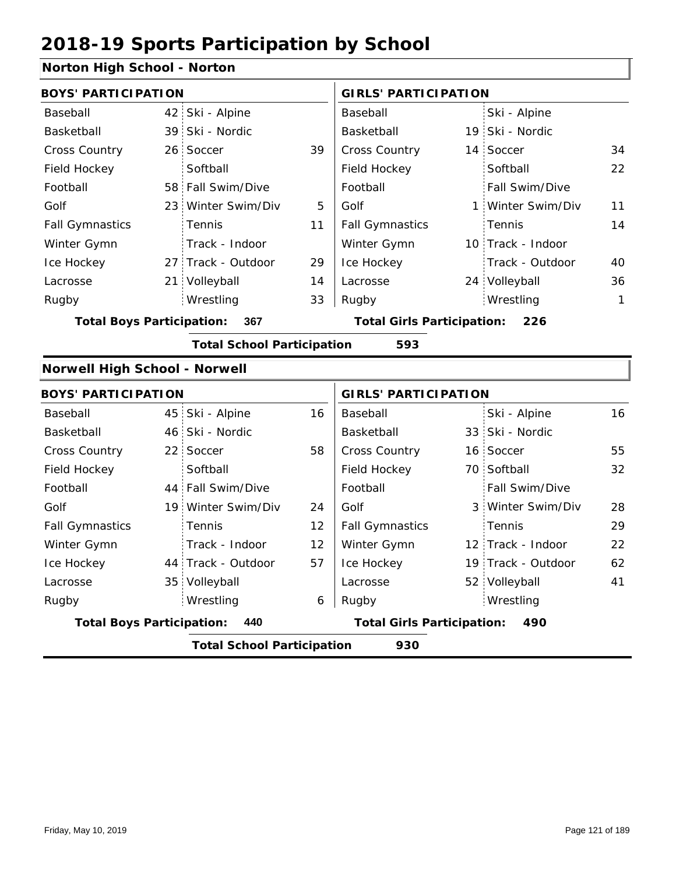### **Norton High School - Norton**

| <b>BOYS' PARTICIPATION</b>           |     |                                   |    | <b>GIRLS' PARTICIPATION</b>       |                    |              |
|--------------------------------------|-----|-----------------------------------|----|-----------------------------------|--------------------|--------------|
| Baseball                             | 42  | Ski - Alpine                      |    | Baseball                          | Ski - Alpine       |              |
| Basketball                           | 39  | Ski - Nordic                      |    | Basketball                        | 19 Ski - Nordic    |              |
| <b>Cross Country</b>                 | 26: | Soccer                            | 39 | Cross Country                     | 14 Soccer          | 34           |
| Field Hockey                         |     | Softball                          |    | Field Hockey                      | Softball           | 22           |
| Football                             |     | 58 Fall Swim/Dive                 |    | Football                          | Fall Swim/Dive     |              |
| Golf                                 | 23: | Winter Swim/Div                   | 5  | Golf                              | 1 Winter Swim/Div  | 11           |
| <b>Fall Gymnastics</b>               |     | Tennis                            | 11 | <b>Fall Gymnastics</b>            | Tennis             | 14           |
| Winter Gymn                          |     | Track - Indoor                    |    | Winter Gymn                       | 10 Track - Indoor  |              |
| Ice Hockey                           |     | 27 Track - Outdoor                | 29 | Ice Hockey                        | Track - Outdoor    | 40           |
| Lacrosse                             |     | 21 Volleyball                     | 14 | Lacrosse                          | 24 Volleyball      | 36           |
| Rugby                                |     | Wrestling                         | 33 | Rugby                             | Wrestling          | $\mathbf{1}$ |
| <b>Total Boys Participation:</b>     |     | 367                               |    | <b>Total Girls Participation:</b> | 226                |              |
|                                      |     | <b>Total School Participation</b> |    | 593                               |                    |              |
| <b>Norwell High School - Norwell</b> |     |                                   |    |                                   |                    |              |
| <b>BOYS' PARTICIPATION</b>           |     |                                   |    | <b>GIRLS' PARTICIPATION</b>       |                    |              |
| Baseball                             | 45  | Ski - Alpine                      | 16 | Baseball                          | Ski - Alpine       | 16           |
| Basketball                           | 46: | Ski - Nordic                      |    | Basketball                        | 33 Ski - Nordic    |              |
| <b>Cross Country</b>                 | 22: | Soccer                            | 58 | Cross Country                     | 16 Soccer          | 55           |
| Field Hockey                         |     | Softball                          |    | Field Hockey                      | 70 Softball        | 32           |
| Football                             |     | 44 Fall Swim/Dive                 |    | Football                          | Fall Swim/Dive     |              |
| Golf                                 |     | 19 Winter Swim/Div                | 24 | Golf                              | 3 Winter Swim/Div  | 28           |
| <b>Fall Gymnastics</b>               |     | Tennis                            | 12 | <b>Fall Gymnastics</b>            | Tennis             | 29           |
| Winter Gymn                          |     | Track - Indoor                    | 12 | Winter Gymn                       | 12 Track - Indoor  | 22           |
| Ice Hockey                           |     | 44 Track - Outdoor                | 57 | Ice Hockey                        | 19 Track - Outdoor | 62           |
| Lacrosse                             |     | 35 Volleyball                     |    | Lacrosse                          | 52 Volleyball      | 41           |
| Rugby                                |     | Wrestling                         | 6  | Rugby                             | Wrestling          |              |
| <b>Total Boys Participation:</b>     |     | 440                               |    | <b>Total Girls Participation:</b> | 490                |              |
|                                      |     | <b>Total School Participation</b> |    | 930                               |                    |              |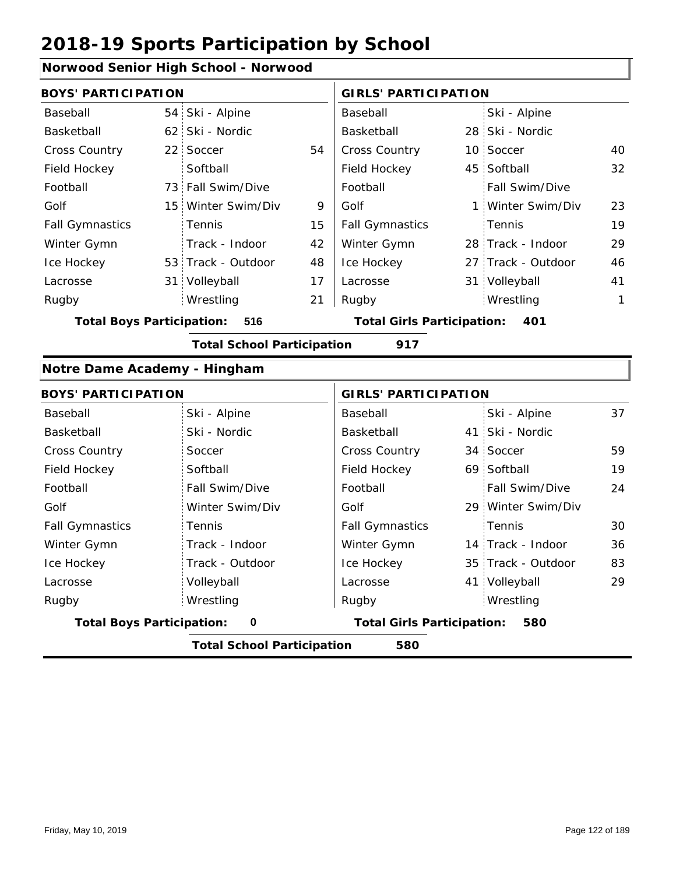#### **Norwood Senior High School - Norwood**

| <b>BOYS' PARTICIPATION</b>       |                                   |    | <b>GIRLS' PARTICIPATION</b>              |  |                    |    |
|----------------------------------|-----------------------------------|----|------------------------------------------|--|--------------------|----|
| Baseball                         | 54 Ski - Alpine                   |    | Baseball                                 |  | Ski - Alpine       |    |
| Basketball                       | 62 Ski - Nordic                   |    | Basketball                               |  | 28 Ski - Nordic    |    |
| <b>Cross Country</b>             | 22 Soccer                         | 54 | <b>Cross Country</b>                     |  | 10 Soccer          | 40 |
| Field Hockey                     | Softball                          |    | Field Hockey                             |  | 45 Softball        | 32 |
| Football                         | 73 Fall Swim/Dive                 |    | Football                                 |  | Fall Swim/Dive     |    |
| Golf                             | 15 Winter Swim/Div                | 9  | Golf                                     |  | 1 Winter Swim/Div  | 23 |
| <b>Fall Gymnastics</b>           | Tennis                            | 15 | <b>Fall Gymnastics</b>                   |  | Tennis             | 19 |
| Winter Gymn                      | Track - Indoor                    | 42 | Winter Gymn                              |  | 28 Track - Indoor  | 29 |
| Ice Hockey                       | 53 Track - Outdoor                | 48 | Ice Hockey                               |  | 27 Track - Outdoor | 46 |
| Lacrosse                         | 31 Volleyball                     | 17 | Lacrosse                                 |  | 31 Volleyball      | 41 |
| Rugby                            | Wrestling                         | 21 | Rugby                                    |  | Wrestling          | 1  |
| <b>Total Boys Participation:</b> | 516                               |    | <b>Total Girls Participation:</b><br>401 |  |                    |    |
|                                  | <b>Total School Participation</b> |    | 917                                      |  |                    |    |
| Notre Dame Academy - Hingham     |                                   |    |                                          |  |                    |    |

|                                          | <b>BOYS' PARTICIPATION</b> |                                   | <b>GIRLS' PARTICIPATION</b> |                       |    |  |  |
|------------------------------------------|----------------------------|-----------------------------------|-----------------------------|-----------------------|----|--|--|
| Baseball                                 | Ski - Alpine               | Baseball                          |                             | Ski - Alpine          | 37 |  |  |
| Basketball                               | Ski - Nordic               | Basketball                        |                             | 41 Ski - Nordic       |    |  |  |
| <b>Cross Country</b>                     | Soccer                     | <b>Cross Country</b>              |                             | 34 Soccer             | 59 |  |  |
| Field Hockey                             | Softball                   | Field Hockey                      |                             | 69 Softball           | 19 |  |  |
| Football                                 | Fall Swim/Dive             | Football                          |                             | <b>Fall Swim/Dive</b> | 24 |  |  |
| Golf                                     | Winter Swim/Div            | Golf                              |                             | 29 Winter Swim/Div    |    |  |  |
| <b>Fall Gymnastics</b>                   | Tennis                     | <b>Fall Gymnastics</b>            |                             | Tennis                | 30 |  |  |
| Winter Gymn                              | Track - Indoor             | Winter Gymn                       |                             | 14 Track - Indoor     | 36 |  |  |
| Ice Hockey                               | Track - Outdoor            | Ice Hockey                        |                             | 35 Track - Outdoor    | 83 |  |  |
| Lacrosse                                 | Volleyball                 | Lacrosse                          |                             | 41 Volleyball         | 29 |  |  |
| Rugby                                    | Wrestling                  | Rugby                             |                             | Wrestling             |    |  |  |
| <b>Total Boys Participation:</b><br>0    |                            | <b>Total Girls Participation:</b> |                             | 580                   |    |  |  |
| <b>Total School Participation</b><br>580 |                            |                                   |                             |                       |    |  |  |

Friday, May 10, 2019 Page 122 of 189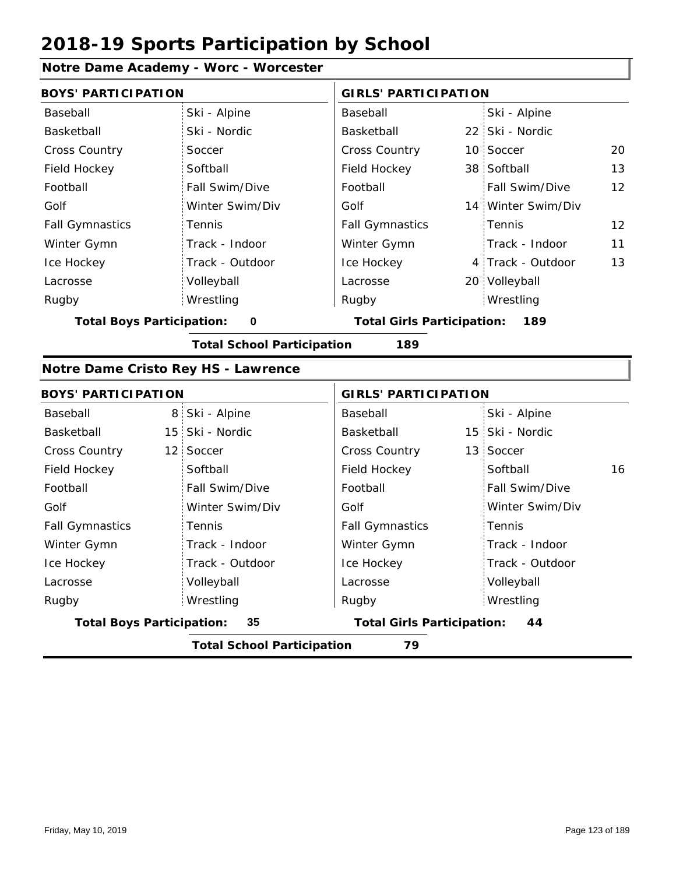#### **Notre Dame Academy - Worc - Worcester**

| <b>BOYS' PARTICIPATION</b>            |                 |                                   | <b>GIRLS' PARTICIPATION</b> |                    |                   |
|---------------------------------------|-----------------|-----------------------------------|-----------------------------|--------------------|-------------------|
| Baseball                              | Ski - Alpine    | Baseball                          |                             | Ski - Alpine       |                   |
| Basketball                            | Ski - Nordic    | Basketball                        |                             | 22 Ski - Nordic    |                   |
| <b>Cross Country</b>                  | Soccer          | <b>Cross Country</b>              |                             | 10 Soccer          | 20                |
| Field Hockey                          | Softball        | Field Hockey                      |                             | 38 Softball        | 13                |
| Football                              | Fall Swim/Dive  | Football                          |                             | Fall Swim/Dive     | 12                |
| Golf                                  | Winter Swim/Div | Golf                              |                             | 14 Winter Swim/Div |                   |
| <b>Fall Gymnastics</b>                | Tennis          | <b>Fall Gymnastics</b>            |                             | : Tennis           | $12 \overline{ }$ |
| Winter Gymn                           | Track - Indoor  | Winter Gymn                       |                             | Track - Indoor     | 11                |
| Ice Hockey                            | Track - Outdoor | Ice Hockey                        |                             | 4 Track - Outdoor  | 13                |
| Lacrosse                              | Volleyball      | Lacrosse                          |                             | 20 Volleyball      |                   |
| Rugby                                 | Wrestling       | Rugby                             |                             | Wrestling          |                   |
| <b>Total Boys Participation:</b><br>0 |                 | <b>Total Girls Participation:</b> |                             | 189                |                   |

**Total School Participation 189**

#### **Notre Dame Cristo Rey HS - Lawrence**

| <b>BOYS' PARTICIPATION</b>       |                                   | <b>GIRLS' PARTICIPATION</b>       |                 |
|----------------------------------|-----------------------------------|-----------------------------------|-----------------|
| Baseball                         | 8 Ski - Alpine                    | Baseball                          | Ski - Alpine    |
| Basketball                       | 15 Ski - Nordic                   | Basketball                        | 15 Ski - Nordic |
| <b>Cross Country</b>             | 12 Soccer                         | <b>Cross Country</b>              | 13 Soccer       |
| Field Hockey                     | Softball                          | Field Hockey                      | 16<br>Softball  |
| Football                         | Fall Swim/Dive                    | Football                          | Fall Swim/Dive  |
| Golf                             | Winter Swim/Div                   | Golf                              | Winter Swim/Div |
| <b>Fall Gymnastics</b>           | Tennis                            | <b>Fall Gymnastics</b>            | Tennis          |
| Winter Gymn                      | Track - Indoor                    | Winter Gymn                       | Track - Indoor  |
| Ice Hockey                       | Track - Outdoor                   | Ice Hockey                        | Track - Outdoor |
| Lacrosse                         | Volleyball                        | Lacrosse                          | Volleyball      |
| Rugby                            | Wrestling                         | Rugby                             | Wrestling       |
| <b>Total Boys Participation:</b> | 35                                | <b>Total Girls Participation:</b> | 44              |
|                                  | <b>Total School Participation</b> | 79                                |                 |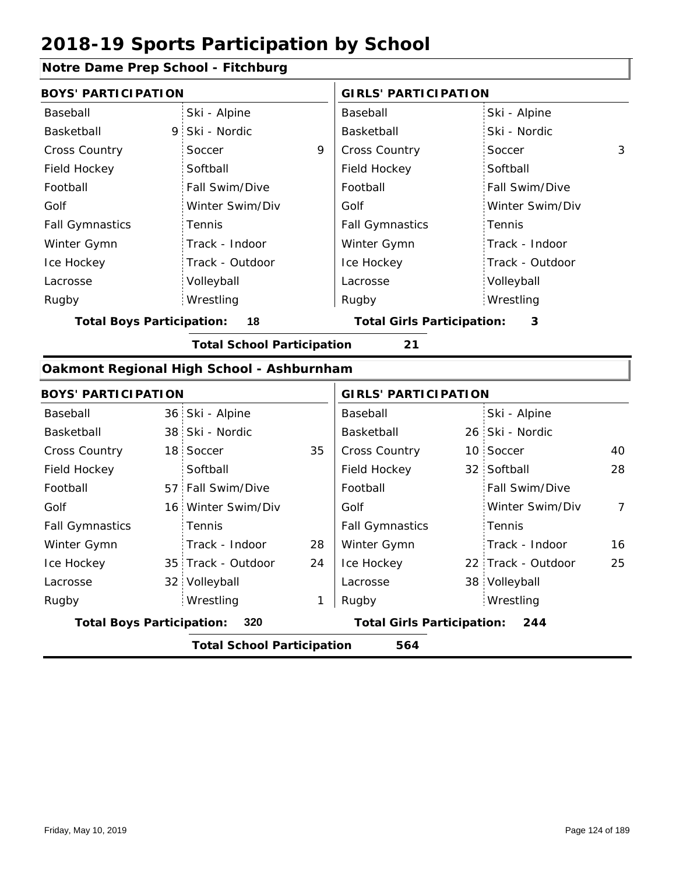### **Notre Dame Prep School - Fitchburg**

| <b>BOYS' PARTICIPATION</b>                |   |                                   |    | <b>GIRLS' PARTICIPATION</b>       |                    |                |
|-------------------------------------------|---|-----------------------------------|----|-----------------------------------|--------------------|----------------|
| Baseball                                  |   | Ski - Alpine                      |    | Baseball                          | Ski - Alpine       |                |
| Basketball                                | 9 | Ski - Nordic                      |    | Basketball                        | Ski - Nordic       |                |
| <b>Cross Country</b>                      |   | Soccer                            | 9  | <b>Cross Country</b>              | Soccer             | 3              |
| Field Hockey                              |   | Softball                          |    | Field Hockey                      | Softball           |                |
| Football                                  |   | Fall Swim/Dive                    |    | Football                          | Fall Swim/Dive     |                |
| Golf                                      |   | Winter Swim/Div                   |    | Golf                              | Winter Swim/Div    |                |
| <b>Fall Gymnastics</b>                    |   | Tennis                            |    | <b>Fall Gymnastics</b>            | Tennis             |                |
| Winter Gymn                               |   | Track - Indoor                    |    | Winter Gymn                       | Track - Indoor     |                |
| Ice Hockey                                |   | Track - Outdoor                   |    | Ice Hockey                        | Track - Outdoor    |                |
| Lacrosse                                  |   | Volleyball                        |    | Lacrosse                          | Volleyball         |                |
| Rugby                                     |   | Wrestling                         |    | Rugby                             | Wrestling          |                |
| <b>Total Boys Participation:</b><br>18    |   |                                   |    | <b>Total Girls Participation:</b> | 3                  |                |
|                                           |   | <b>Total School Participation</b> |    | 21                                |                    |                |
| Oakmont Regional High School - Ashburnham |   |                                   |    |                                   |                    |                |
| <b>BOYS' PARTICIPATION</b>                |   |                                   |    | <b>GIRLS' PARTICIPATION</b>       |                    |                |
| Baseball                                  |   | 36 Ski - Alpine                   |    | Baseball                          | Ski - Alpine       |                |
| Basketball                                |   | 38 Ski - Nordic                   |    | Basketball                        | 26 Ski - Nordic    |                |
| <b>Cross Country</b>                      |   | 18 Soccer                         | 35 | Cross Country                     | 10 Soccer          | 40             |
| Field Hockey                              |   | Softball                          |    | Field Hockey                      | 32 Softball        | 28             |
| Football                                  |   | 57 Fall Swim/Dive                 |    | Football                          | Fall Swim/Dive     |                |
| Golf                                      |   | 16 Winter Swim/Div                |    | Golf                              | Winter Swim/Div    | $\overline{7}$ |
| <b>Fall Gymnastics</b>                    |   | Tennis                            |    | <b>Fall Gymnastics</b>            | Tennis             |                |
| Winter Gymn                               |   | Track - Indoor                    | 28 | Winter Gymn                       | Track - Indoor     | 16             |
| Ice Hockey                                |   | 35 Track - Outdoor                | 24 | Ice Hockey                        | 22 Track - Outdoor | 25             |
| Lacrosse                                  |   | 32 Volleyball                     |    | Lacrosse                          | 38 Volleyball      |                |
| Rugby                                     |   | Wrestling                         | 1  | Rugby                             | Wrestling          |                |
| <b>Total Boys Participation:</b>          |   | 320                               |    | <b>Total Girls Participation:</b> | 244                |                |

**Total School Participation 564**

I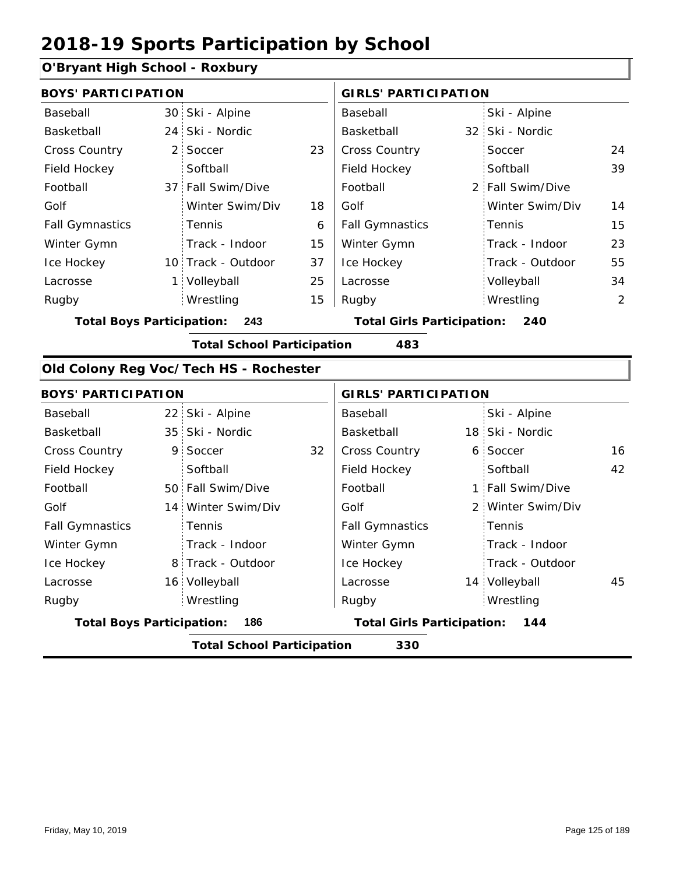### **O'Bryant High School - Roxbury**

| <b>BOYS' PARTICIPATION</b>              |                                          |                    |                                          | <b>GIRLS' PARTICIPATION</b> |  |                  |    |  |
|-----------------------------------------|------------------------------------------|--------------------|------------------------------------------|-----------------------------|--|------------------|----|--|
| Baseball                                |                                          | 30 Ski - Alpine    |                                          | Baseball                    |  | Ski - Alpine     |    |  |
| Basketball                              |                                          | 24 Ski - Nordic    |                                          | Basketball                  |  | 32 Ski - Nordic  |    |  |
| <b>Cross Country</b>                    |                                          | 2 Soccer           | 23                                       | <b>Cross Country</b>        |  | Soccer           | 24 |  |
| Field Hockey                            |                                          | Softball           |                                          | Field Hockey                |  | Softball         | 39 |  |
| Football                                |                                          | 37 Fall Swim/Dive  |                                          | Football                    |  | 2 Fall Swim/Dive |    |  |
| Golf                                    |                                          | Winter Swim/Div    | 18                                       | Golf                        |  | Winter Swim/Div  | 14 |  |
| <b>Fall Gymnastics</b>                  |                                          | <b>Tennis</b>      | 6                                        | <b>Fall Gymnastics</b>      |  | Tennis           | 15 |  |
| Winter Gymn                             |                                          | Track - Indoor     | 15                                       | Winter Gymn                 |  | Track - Indoor   | 23 |  |
| Ice Hockey                              |                                          | 10 Track - Outdoor | 37                                       | Ice Hockey                  |  | Track - Outdoor  | 55 |  |
| Lacrosse                                |                                          | Volleyball         | 25                                       | Lacrosse                    |  | Volleyball       | 34 |  |
| Rugby                                   |                                          | Wrestling          | 15                                       | Rugby                       |  | Wrestling        | 2  |  |
| <b>Total Boys Participation:</b><br>243 |                                          |                    | <b>Total Girls Participation:</b><br>240 |                             |  |                  |    |  |
|                                         | <b>Total School Participation</b><br>483 |                    |                                          |                             |  |                  |    |  |

# **Old Colony Reg Voc/Tech HS - Rochester**

| <b>BOYS' PARTICIPATION</b>       |                                          |                    |    | <b>GIRLS' PARTICIPATION</b>              |  |                   |    |  |  |
|----------------------------------|------------------------------------------|--------------------|----|------------------------------------------|--|-------------------|----|--|--|
| Baseball                         |                                          | 22 Ski - Alpine    |    | Baseball                                 |  | Ski - Alpine      |    |  |  |
| Basketball                       |                                          | 35 Ski - Nordic    |    | Basketball                               |  | 18 Ski - Nordic   |    |  |  |
| <b>Cross Country</b>             |                                          | 9 Soccer           | 32 | <b>Cross Country</b>                     |  | 6 Soccer          | 16 |  |  |
| Field Hockey                     |                                          | Softball           |    | Field Hockey                             |  | Softball          | 42 |  |  |
| Football                         |                                          | 50 Fall Swim/Dive  |    | Football                                 |  | 1 Fall Swim/Dive  |    |  |  |
| Golf                             |                                          | 14 Winter Swim/Div |    | Golf                                     |  | 2 Winter Swim/Div |    |  |  |
| <b>Fall Gymnastics</b>           |                                          | Tennis             |    | <b>Fall Gymnastics</b>                   |  | Tennis            |    |  |  |
| Winter Gymn                      |                                          | Track - Indoor     |    | Winter Gymn                              |  | Track - Indoor    |    |  |  |
| Ice Hockey                       |                                          | 8 Track - Outdoor  |    | Ice Hockey                               |  | Track - Outdoor   |    |  |  |
| Lacrosse                         |                                          | 16 Volleyball      |    | Lacrosse                                 |  | 14 Volleyball     | 45 |  |  |
| Rugby                            |                                          | Wrestling          |    | Rugby                                    |  | Wrestling         |    |  |  |
| <b>Total Boys Participation:</b> |                                          | 186                |    | <b>Total Girls Participation:</b><br>144 |  |                   |    |  |  |
|                                  | <b>Total School Participation</b><br>330 |                    |    |                                          |  |                   |    |  |  |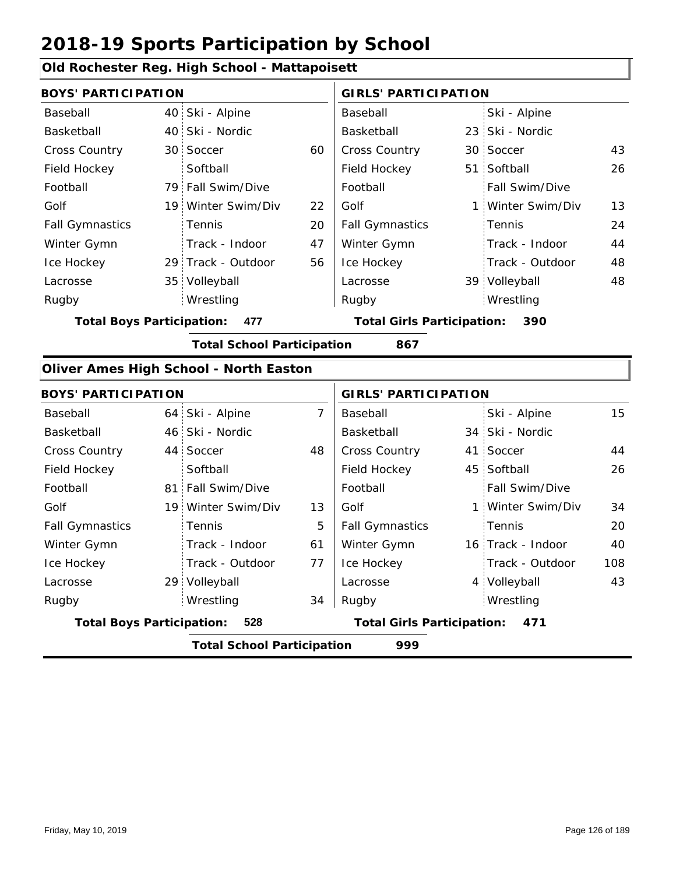### **Old Rochester Reg. High School - Mattapoisett**

| <b>BOYS' PARTICIPATION</b> |                                               |                                   |    | <b>GIRLS' PARTICIPATION</b> |                                          |                   |    |  |  |  |
|----------------------------|-----------------------------------------------|-----------------------------------|----|-----------------------------|------------------------------------------|-------------------|----|--|--|--|
| Baseball                   |                                               | 40 Ski - Alpine                   |    | Baseball                    |                                          | Ski - Alpine      |    |  |  |  |
| Basketball                 |                                               | 40 Ski - Nordic                   |    | Basketball                  |                                          | 23 Ski - Nordic   |    |  |  |  |
| <b>Cross Country</b>       |                                               | 30 Soccer                         | 60 | <b>Cross Country</b>        |                                          | 30 Soccer         | 43 |  |  |  |
| Field Hockey               |                                               | Softball                          |    | Field Hockey                |                                          | 51 Softball       | 26 |  |  |  |
| Football                   |                                               | 79 Fall Swim/Dive                 |    | Football                    |                                          | Fall Swim/Dive    |    |  |  |  |
| Golf                       |                                               | 19 Winter Swim/Div                | 22 | Golf                        |                                          | 1 Winter Swim/Div | 13 |  |  |  |
| <b>Fall Gymnastics</b>     |                                               | <b>Tennis</b>                     | 20 | <b>Fall Gymnastics</b>      |                                          | Tennis            | 24 |  |  |  |
| Winter Gymn                |                                               | Track - Indoor                    | 47 | Winter Gymn                 |                                          | Track - Indoor    | 44 |  |  |  |
| Ice Hockey                 |                                               | 29 Track - Outdoor                | 56 | Ice Hockey                  |                                          | Track - Outdoor   | 48 |  |  |  |
| Lacrosse                   |                                               | 35 Volleyball                     |    | Lacrosse                    |                                          | 39 Volleyball     | 48 |  |  |  |
| Rugby                      |                                               | Wrestling                         |    | Rugby                       |                                          | Wrestling         |    |  |  |  |
|                            | <b>Total Boys Participation:</b><br>477       |                                   |    |                             | <b>Total Girls Participation:</b><br>390 |                   |    |  |  |  |
|                            |                                               | <b>Total School Participation</b> |    | 867                         |                                          |                   |    |  |  |  |
|                            | <b>Oliver Ames High School - North Easton</b> |                                   |    |                             |                                          |                   |    |  |  |  |

| <b>BOYS' PARTICIPATION</b>               |  |                    |                                   | <b>GIRLS' PARTICIPATION</b> |     |                   |     |
|------------------------------------------|--|--------------------|-----------------------------------|-----------------------------|-----|-------------------|-----|
| Baseball                                 |  | 64 Ski - Alpine    | 7                                 | Baseball                    |     | Ski - Alpine      | 15  |
| Basketball                               |  | 46 Ski - Nordic    |                                   | Basketball                  |     | 34 Ski - Nordic   |     |
| <b>Cross Country</b>                     |  | 44 Soccer          | 48                                | <b>Cross Country</b>        |     | 41 Soccer         | 44  |
| Field Hockey                             |  | Softball           |                                   | Field Hockey                |     | 45 Softball       | 26  |
| Football                                 |  | 81 Fall Swim/Dive  |                                   | Football                    |     | Fall Swim/Dive    |     |
| Golf                                     |  | 19 Winter Swim/Div | 13                                | Golf                        |     | 1 Winter Swim/Div | 34  |
| <b>Fall Gymnastics</b>                   |  | <b>Tennis</b>      | 5                                 | <b>Fall Gymnastics</b>      |     | Tennis            | 20  |
| Winter Gymn                              |  | Track - Indoor     | 61                                | Winter Gymn                 |     | 16 Track - Indoor | 40  |
| Ice Hockey                               |  | Track - Outdoor    | 77                                | Ice Hockey                  |     | Track - Outdoor   | 108 |
| Lacrosse                                 |  | 29 Volleyball      |                                   | Lacrosse                    |     | 4 Volleyball      | 43  |
| Rugby                                    |  | Wrestling          | 34                                | Rugby                       |     | Wrestling         |     |
| <b>Total Boys Participation:</b><br>528  |  |                    | <b>Total Girls Participation:</b> |                             | 471 |                   |     |
| 999<br><b>Total School Participation</b> |  |                    |                                   |                             |     |                   |     |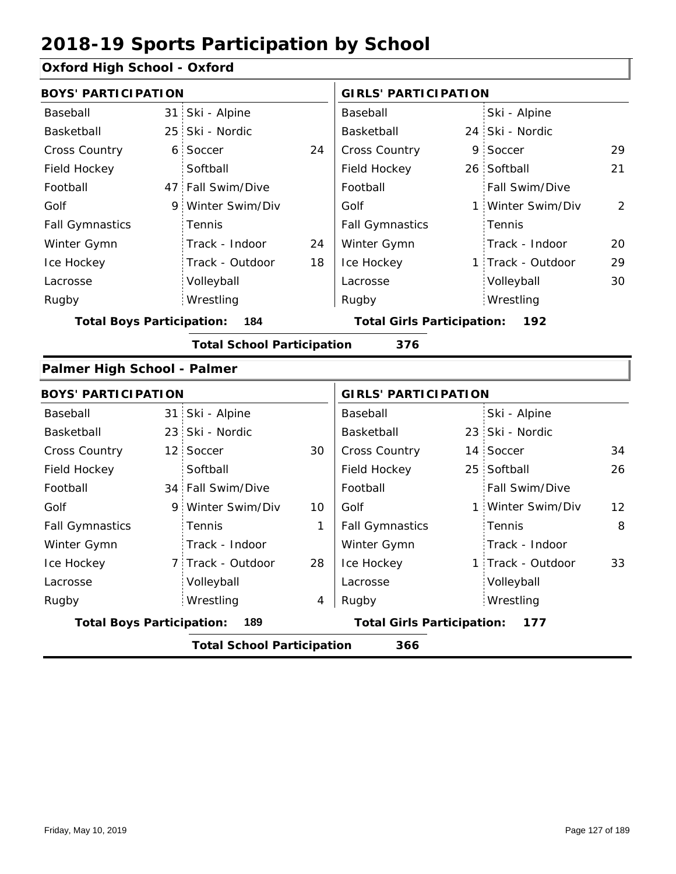#### **Oxford High School - Oxford**

| <b>BOYS' PARTICIPATION</b>       |                 |                                   |    | <b>GIRLS' PARTICIPATION</b>              |  |                   |                |  |
|----------------------------------|-----------------|-----------------------------------|----|------------------------------------------|--|-------------------|----------------|--|
| Baseball                         |                 | 31 Ski - Alpine                   |    | Baseball                                 |  | Ski - Alpine      |                |  |
| Basketball                       | 25:             | Ski - Nordic                      |    | <b>Basketball</b>                        |  | 24 Ski - Nordic   |                |  |
| Cross Country                    | $6^{\circ}$     | Soccer                            | 24 | Cross Country                            |  | 9 Soccer          | 29             |  |
| Field Hockey                     |                 | Softball                          |    | Field Hockey                             |  | 26 Softball       | 21             |  |
| Football                         |                 | 47 Fall Swim/Dive                 |    | Football                                 |  | Fall Swim/Dive    |                |  |
| Golf                             | 9               | Winter Swim/Div                   |    | Golf                                     |  | 1 Winter Swim/Div | $\overline{2}$ |  |
| <b>Fall Gymnastics</b>           |                 | Tennis                            |    | <b>Fall Gymnastics</b>                   |  | Tennis            |                |  |
| Winter Gymn                      |                 | Track - Indoor                    | 24 | Winter Gymn                              |  | Track - Indoor    | 20             |  |
| Ice Hockey                       |                 | Track - Outdoor                   | 18 | Ice Hockey                               |  | 1 Track - Outdoor | 29             |  |
| Lacrosse                         |                 | Volleyball                        |    | Lacrosse                                 |  | Volleyball        | 30             |  |
| Rugby                            |                 | Wrestling                         |    | Rugby                                    |  | Wrestling         |                |  |
| <b>Total Boys Participation:</b> |                 | 184                               |    | <b>Total Girls Participation:</b><br>192 |  |                   |                |  |
|                                  |                 | <b>Total School Participation</b> |    | 376                                      |  |                   |                |  |
| Palmer High School - Palmer      |                 |                                   |    |                                          |  |                   |                |  |
| <b>BOYS' PARTICIPATION</b>       |                 |                                   |    | <b>GIRLS' PARTICIPATION</b>              |  |                   |                |  |
| Baseball                         |                 | 31 Ski - Alpine                   |    | Baseball                                 |  | Ski - Alpine      |                |  |
| Basketball                       | 23              | Ski - Nordic                      |    | Basketball                               |  | 23 Ski - Nordic   |                |  |
| <b>Cross Country</b>             | 12 <sup>2</sup> | Soccer                            | 30 | Cross Country                            |  | 14 Soccer         | 34             |  |
| Field Hockey                     |                 | Softball                          |    | Field Hockey                             |  | 25 Softball       | 26             |  |

|                                         |  | <b>Total School Participation</b> |    | 366                                      |  |                       |                 |
|-----------------------------------------|--|-----------------------------------|----|------------------------------------------|--|-----------------------|-----------------|
| <b>Total Boys Participation:</b><br>189 |  |                                   |    | <b>Total Girls Participation:</b><br>177 |  |                       |                 |
| Rugby                                   |  | Wrestling                         | 4  | Rugby                                    |  | Wrestling             |                 |
| Lacrosse                                |  | Volleyball                        |    | Lacrosse                                 |  | Volleyball            |                 |
| Ice Hockey                              |  | 7 Track - Outdoor                 | 28 | Ice Hockey                               |  | 1 Track - Outdoor     | 33              |
| Winter Gymn                             |  | Track - Indoor                    |    | Winter Gymn                              |  | Track - Indoor        |                 |
| <b>Fall Gymnastics</b>                  |  | Tennis                            |    | <b>Fall Gymnastics</b>                   |  | Tennis                | 8               |
| Golf                                    |  | 9 Winter Swim/Div                 | 10 | Golf                                     |  | 1 Winter Swim/Div     | 12 <sup>2</sup> |
| Football                                |  | 34 Fall Swim/Dive                 |    | Football                                 |  | <b>Fall Swim/Dive</b> |                 |
|                                         |  |                                   |    |                                          |  |                       |                 |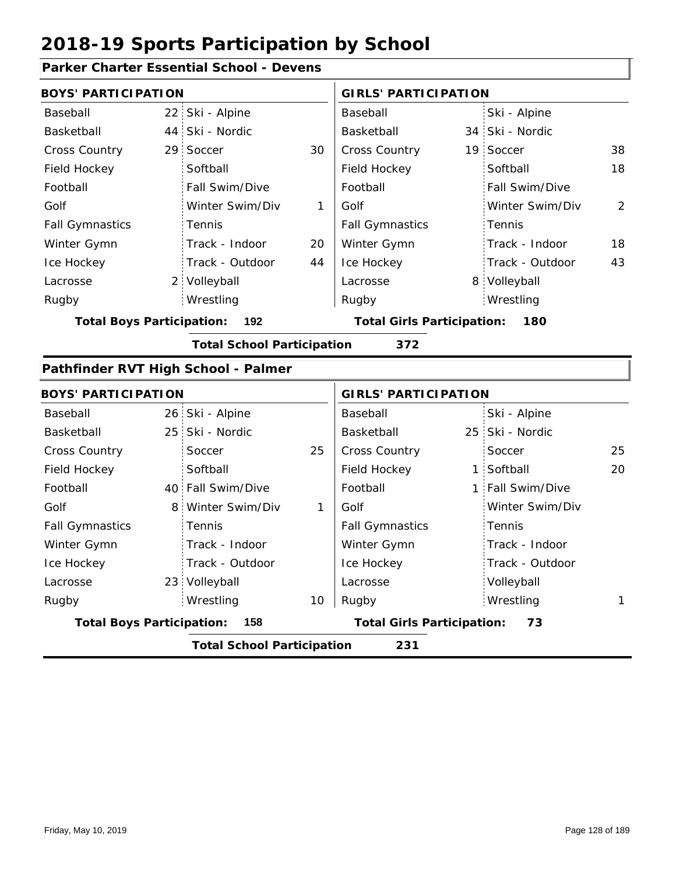### **Parker Charter Essential School - Devens**

|                                  | <b>BOYS' PARTICIPATION</b> |                                     |    |                                          | <b>GIRLS' PARTICIPATION</b> |                 |    |  |
|----------------------------------|----------------------------|-------------------------------------|----|------------------------------------------|-----------------------------|-----------------|----|--|
| Baseball                         | 22 <sub>1</sub>            | Ski - Alpine                        |    | Baseball                                 |                             | Ski - Alpine    |    |  |
| Basketball                       | 44                         | Ski - Nordic                        |    | Basketball                               |                             | 34 Ski - Nordic |    |  |
| <b>Cross Country</b>             | 29                         | Soccer                              | 30 | Cross Country                            | 19                          | Soccer          | 38 |  |
| Field Hockey                     |                            | Softball                            |    | Field Hockey                             |                             | Softball        | 18 |  |
| Football                         |                            | Fall Swim/Dive                      |    | Football                                 |                             | Fall Swim/Dive  |    |  |
| Golf                             |                            | Winter Swim/Div                     | 1  | Golf                                     |                             | Winter Swim/Div | 2  |  |
| <b>Fall Gymnastics</b>           |                            | Tennis                              |    | <b>Fall Gymnastics</b>                   |                             | Tennis          |    |  |
| Winter Gymn                      |                            | Track - Indoor                      | 20 | Winter Gymn                              |                             | Track - Indoor  | 18 |  |
| Ice Hockey                       |                            | Track - Outdoor                     | 44 | Ice Hockey                               |                             | Track - Outdoor | 43 |  |
| Lacrosse                         | 2 <sub>1</sub>             | Volleyball                          |    | Lacrosse                                 |                             | 8 Volleyball    |    |  |
| Rugby                            |                            | Wrestling                           |    | Rugby                                    |                             | Wrestling       |    |  |
| <b>Total Boys Participation:</b> |                            | 192                                 |    | <b>Total Girls Participation:</b><br>180 |                             |                 |    |  |
|                                  |                            | <b>Total School Participation</b>   |    | 372                                      |                             |                 |    |  |
|                                  |                            | Pathfinder RVT High School - Palmer |    |                                          |                             |                 |    |  |
| <b>BOYS' PARTICIPATION</b>       |                            |                                     |    | <b>GIRLS' PARTICIPATION</b>              |                             |                 |    |  |
| Baseball                         |                            | 26 Ski - Alpine                     |    | Baseball                                 |                             | Ski - Alpine    |    |  |
| Basketball                       | 25 <sup>1</sup>            | Ski - Nordic                        |    | Basketball                               |                             | 25 Ski - Nordic |    |  |
| <b>Cross Country</b>             |                            | Soccer                              | 25 | Cross Country                            |                             | Soccer          | 25 |  |
| Field Hockey                     |                            | Softball                            |    | Field Hockey                             |                             | 1 Softball      | 20 |  |

|                                  | <b>Total School Participation</b> |    | 231                               |                  |  |
|----------------------------------|-----------------------------------|----|-----------------------------------|------------------|--|
| <b>Total Boys Participation:</b> | 158                               |    | <b>Total Girls Participation:</b> | 73               |  |
| Rugby                            | Wrestling                         | 10 | Rugby                             | Wrestling        |  |
| Lacrosse                         | 23 Volleyball                     |    | Lacrosse                          | Volleyball       |  |
| Ice Hockey                       | Track - Outdoor                   |    | Ice Hockey                        | Track - Outdoor  |  |
| Winter Gymn                      | Track - Indoor                    |    | Winter Gymn                       | Track - Indoor   |  |
| <b>Fall Gymnastics</b>           | Tennis                            |    | <b>Fall Gymnastics</b>            | Tennis           |  |
| Golf                             | 8 Winter Swim/Div                 |    | Golf                              | Winter Swim/Div  |  |
| Football                         | 40 Fall Swim/Dive                 |    | Football                          | 1 Fall Swim/Dive |  |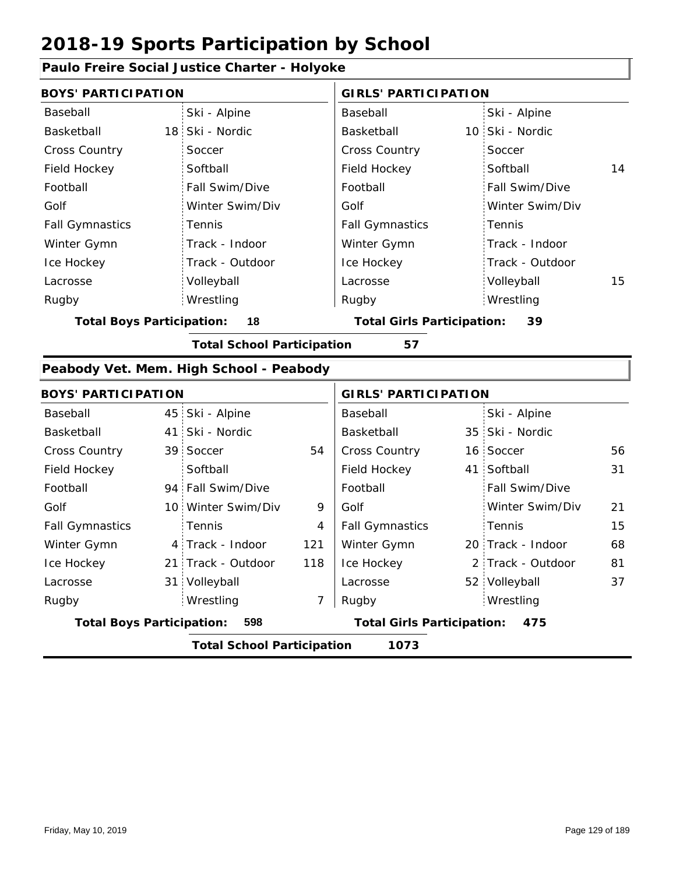### **Paulo Freire Social Justice Charter - Holyoke**

| <b>BOYS' PARTICIPATION</b>              |                                   |     | <b>GIRLS' PARTICIPATION</b>              |   |                   |    |
|-----------------------------------------|-----------------------------------|-----|------------------------------------------|---|-------------------|----|
| Baseball                                | Ski - Alpine                      |     | Baseball                                 |   | Ski - Alpine      |    |
| Basketball                              | 18<br>Ski - Nordic                |     | Basketball                               |   | 10 Ski - Nordic   |    |
| <b>Cross Country</b>                    | Soccer                            |     | Cross Country                            |   | Soccer            |    |
| Field Hockey                            | Softball                          |     | Field Hockey                             |   | Softball          | 14 |
| Football                                | Fall Swim/Dive                    |     | Football                                 |   | Fall Swim/Dive    |    |
| Golf                                    | Winter Swim/Div                   |     | Golf                                     |   | Winter Swim/Div   |    |
| <b>Fall Gymnastics</b>                  | Tennis                            |     | <b>Fall Gymnastics</b>                   |   | Tennis            |    |
| Winter Gymn                             | Track - Indoor                    |     | Winter Gymn                              |   | Track - Indoor    |    |
| Ice Hockey                              | Track - Outdoor                   |     | Ice Hockey                               |   | Track - Outdoor   |    |
| Lacrosse                                | Volleyball                        |     | Lacrosse                                 |   | Volleyball        | 15 |
| Rugby                                   | Wrestling                         |     | Rugby                                    |   | Wrestling         |    |
| <b>Total Boys Participation:</b>        | 18                                |     | <b>Total Girls Participation:</b>        |   | 39                |    |
|                                         | <b>Total School Participation</b> |     | 57                                       |   |                   |    |
| Peabody Vet. Mem. High School - Peabody |                                   |     |                                          |   |                   |    |
| <b>BOYS' PARTICIPATION</b>              |                                   |     | <b>GIRLS' PARTICIPATION</b>              |   |                   |    |
| Baseball                                | Ski - Alpine<br>45                |     | Baseball                                 |   | Ski - Alpine      |    |
| Basketball                              | Ski - Nordic<br>41                |     | Basketball                               |   | 35 Ski - Nordic   |    |
| <b>Cross Country</b>                    | 39<br>Soccer                      | 54  | Cross Country                            |   | 16 Soccer         | 56 |
| Field Hockey                            | Softball                          |     | Field Hockey                             |   | 41 Softball       | 31 |
| Football                                | 94 Fall Swim/Dive                 |     | Football                                 |   | Fall Swim/Dive    |    |
| Golf                                    | 10 Winter Swim/Div                | 9   | Golf                                     |   | Winter Swim/Div   | 21 |
| <b>Fall Gymnastics</b>                  | Tennis                            | 4   | <b>Fall Gymnastics</b>                   |   | Tennis            | 15 |
| Winter Gymn                             | 4 Track - Indoor                  | 121 | Winter Gymn                              |   | 20 Track - Indoor | 68 |
| Ice Hockey                              | Track - Outdoor<br>21             | 118 | Ice Hockey                               | 2 | Track - Outdoor   | 81 |
| Lacrosse                                | Volleyball<br>31                  |     | Lacrosse                                 |   | 52 Volleyball     | 37 |
| Rugby                                   | Wrestling                         | 7   | Rugby                                    |   | Wrestling         |    |
| <b>Total Boys Participation:</b><br>598 |                                   |     | <b>Total Girls Participation:</b><br>475 |   |                   |    |
|                                         | <b>Total School Participation</b> |     | 1073                                     |   |                   |    |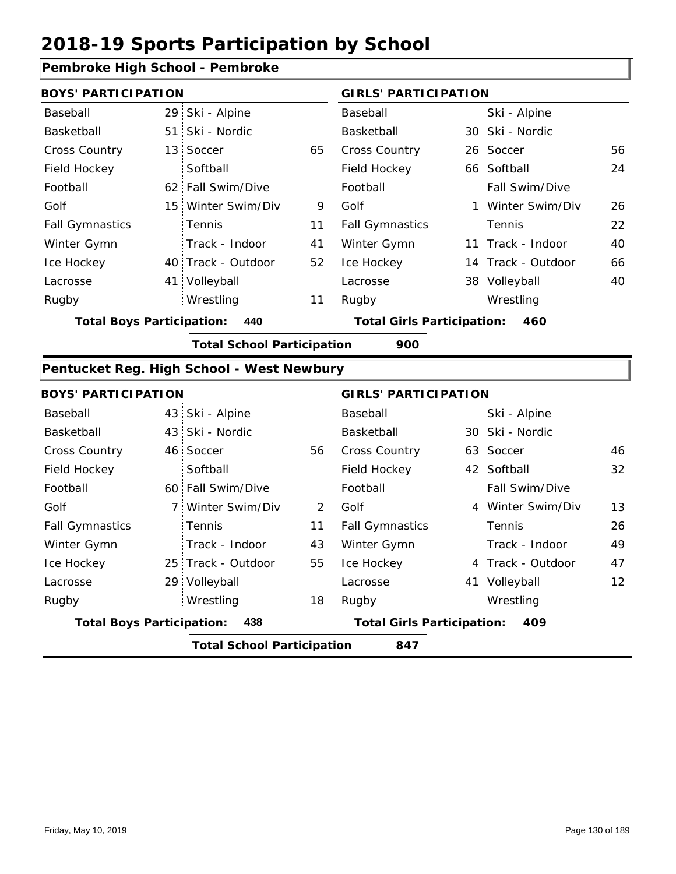#### **Pembroke High School - Pembroke**

| <b>BOYS' PARTICIPATION</b> |  |                    | <b>GIRLS' PARTICIPATION</b> |                        |  |                    |    |
|----------------------------|--|--------------------|-----------------------------|------------------------|--|--------------------|----|
| Baseball                   |  | 29 Ski - Alpine    |                             | Baseball               |  | Ski - Alpine       |    |
| Basketball                 |  | 51 Ski - Nordic    |                             | Basketball             |  | 30 Ski - Nordic    |    |
| <b>Cross Country</b>       |  | 13 Soccer          | 65                          | <b>Cross Country</b>   |  | 26 Soccer          | 56 |
| Field Hockey               |  | Softball           |                             | Field Hockey           |  | 66 Softball        | 24 |
| Football                   |  | 62 Fall Swim/Dive  |                             | Football               |  | Fall Swim/Dive     |    |
| Golf                       |  | 15 Winter Swim/Div | 9                           | Golf                   |  | 1 Winter Swim/Div  | 26 |
| <b>Fall Gymnastics</b>     |  | <b>Tennis</b>      | 11                          | <b>Fall Gymnastics</b> |  | Tennis             | 22 |
| Winter Gymn                |  | Track - Indoor     | 41                          | Winter Gymn            |  | 11 Track - Indoor  | 40 |
| Ice Hockey                 |  | 40 Track - Outdoor | 52                          | Ice Hockey             |  | 14 Track - Outdoor | 66 |
| Lacrosse                   |  | 41 Volleyball      |                             | Lacrosse               |  | 38 Volleyball      | 40 |
| Rugby                      |  | Wrestling          | 11                          | Rugby                  |  | Wrestling          |    |

**Total Boys Participation: 440 Total Girls Participation: 460**

**Total School Participation 900**

#### **Pentucket Reg. High School - West Newbury**

|                                         | <b>BOYS' PARTICIPATION</b>               |                                   |    |                        | <b>GIRLS' PARTICIPATION</b> |                   |    |  |  |
|-----------------------------------------|------------------------------------------|-----------------------------------|----|------------------------|-----------------------------|-------------------|----|--|--|
| Baseball                                |                                          | 43 Ski - Alpine                   |    | Baseball               |                             | Ski - Alpine      |    |  |  |
| Basketball                              |                                          | 43 Ski - Nordic                   |    | Basketball             |                             | 30 Ski - Nordic   |    |  |  |
| <b>Cross Country</b>                    |                                          | 46 Soccer                         | 56 | <b>Cross Country</b>   |                             | 63 Soccer         | 46 |  |  |
| Field Hockey                            |                                          | Softball                          |    | Field Hockey           |                             | 42 Softball       | 32 |  |  |
| Football                                |                                          | 60 Fall Swim/Dive                 |    | Football               |                             | Fall Swim/Dive    |    |  |  |
| Golf                                    |                                          | 7 Winter Swim/Div                 | 2  | Golf                   |                             | 4 Winter Swim/Div | 13 |  |  |
| <b>Fall Gymnastics</b>                  |                                          | Tennis                            | 11 | <b>Fall Gymnastics</b> |                             | Tennis            | 26 |  |  |
| Winter Gymn                             |                                          | Track - Indoor                    | 43 | Winter Gymn            |                             | Track - Indoor    | 49 |  |  |
| Ice Hockey                              |                                          | 25 Track - Outdoor                | 55 | Ice Hockey             |                             | 4 Track - Outdoor | 47 |  |  |
| Lacrosse                                |                                          | 29 Volleyball                     |    | Lacrosse               |                             | 41 Volleyball     | 12 |  |  |
| Rugby                                   |                                          | Wrestling                         | 18 | Rugby                  |                             | Wrestling         |    |  |  |
| <b>Total Boys Participation:</b><br>438 |                                          | <b>Total Girls Participation:</b> |    | 409                    |                             |                   |    |  |  |
|                                         | <b>Total School Participation</b><br>847 |                                   |    |                        |                             |                   |    |  |  |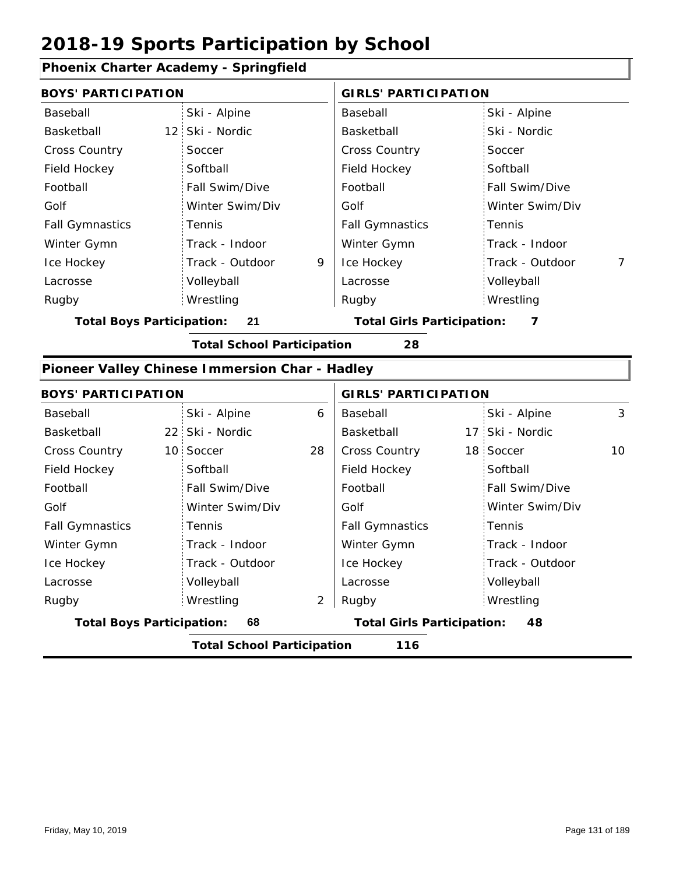#### **Phoenix Charter Academy - Springfield**

| <b>BOYS' PARTICIPATION</b>                     |                                   |   | <b>GIRLS' PARTICIPATION</b>       |                 |   |  |
|------------------------------------------------|-----------------------------------|---|-----------------------------------|-----------------|---|--|
| Baseball                                       | Ski - Alpine                      |   | Baseball                          | Ski - Alpine    |   |  |
| Basketball                                     | 12 Ski - Nordic                   |   | <b>Basketball</b>                 | Ski - Nordic    |   |  |
| Cross Country                                  | Soccer                            |   | <b>Cross Country</b>              | Soccer          |   |  |
| Field Hockey                                   | Softball                          |   | Field Hockey                      | Softball        |   |  |
| Football                                       | Fall Swim/Dive                    |   | Football                          | Fall Swim/Dive  |   |  |
| Golf                                           | Winter Swim/Div                   |   | Golf                              | Winter Swim/Div |   |  |
| <b>Fall Gymnastics</b>                         | Tennis                            |   | <b>Fall Gymnastics</b>            | Tennis          |   |  |
| Winter Gymn                                    | Track - Indoor                    |   | Winter Gymn                       | Track - Indoor  |   |  |
| Ice Hockey                                     | Track - Outdoor                   | 9 | Ice Hockey                        | Track - Outdoor | 7 |  |
| Lacrosse                                       | Volleyball                        |   | Lacrosse                          | Volleyball      |   |  |
| Rugby                                          | Wrestling                         |   | Rugby                             | Wrestling       |   |  |
| <b>Total Boys Participation:</b>               | 21                                |   | <b>Total Girls Participation:</b> | 7               |   |  |
|                                                | <b>Total School Participation</b> |   | 28                                |                 |   |  |
| Pioneer Valley Chinese Immersion Char - Hadley |                                   |   |                                   |                 |   |  |
| <b>BOYS' PARTICIPATION</b>                     |                                   |   | <b>GIRLS' PARTICIPATION</b>       |                 |   |  |
| Baseball                                       | Ski - Alpine                      | 6 | Baseball                          | Ski - Alpine    | 3 |  |
|                                                |                                   |   |                                   |                 |   |  |

|                                  |    | <b>Total School Participation</b> |    | 116                    |                 |    |
|----------------------------------|----|-----------------------------------|----|------------------------|-----------------|----|
| <b>Total Boys Participation:</b> | 68 | <b>Total Girls Participation:</b> | 48 |                        |                 |    |
| Rugby                            |    | Wrestling                         | 2  | Rugby                  | Wrestling       |    |
| Lacrosse                         |    | Volleyball                        |    | Lacrosse               | Volleyball      |    |
| Ice Hockey                       |    | Track - Outdoor                   |    | Ice Hockey             | Track - Outdoor |    |
| Winter Gymn                      |    | Track - Indoor                    |    | Winter Gymn            | Track - Indoor  |    |
| <b>Fall Gymnastics</b>           |    | Tennis                            |    | <b>Fall Gymnastics</b> | Tennis          |    |
| Golf                             |    | Winter Swim/Div                   |    | Golf                   | Winter Swim/Div |    |
| Football                         |    | Fall Swim/Dive                    |    | Football               | Fall Swim/Dive  |    |
| Field Hockey                     |    | Softball                          |    | Field Hockey           | Softball        |    |
| <b>Cross Country</b>             |    | 10 Soccer                         | 28 | <b>Cross Country</b>   | 18 Soccer       | 10 |
| Basketball                       |    | 22 Ski - Nordic                   |    | Basketball             | 17 Ski - Nordic |    |
| Baseball                         |    | Ski - Alpine                      | 6  | Baseball               | Ski - Alpine    | 3  |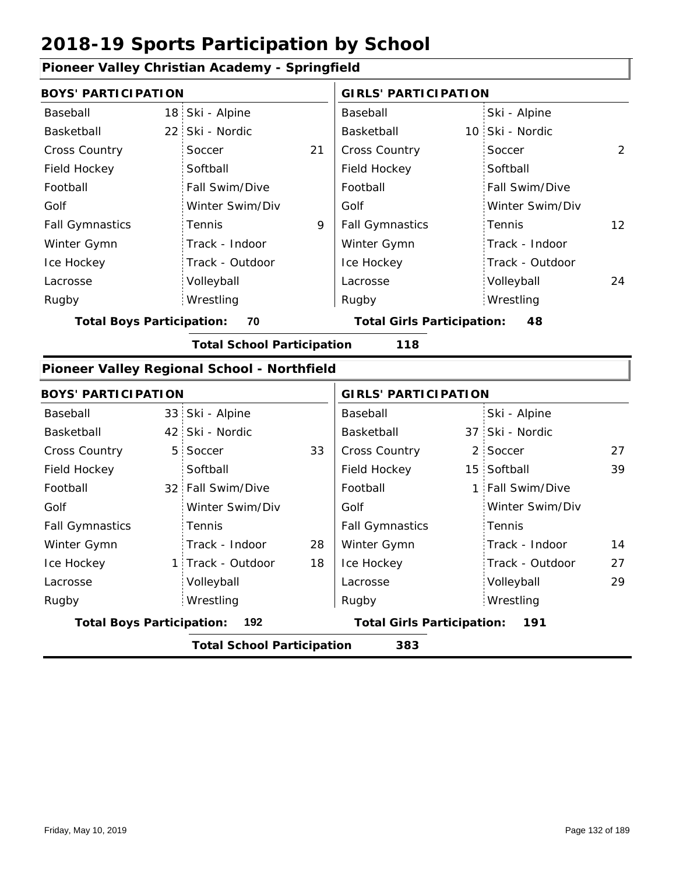| Ploneer valley Unristian Academy - Springfield |                 |                                             |    |                                   |                             |                  |                |  |
|------------------------------------------------|-----------------|---------------------------------------------|----|-----------------------------------|-----------------------------|------------------|----------------|--|
| <b>BOYS' PARTICIPATION</b>                     |                 |                                             |    |                                   | <b>GIRLS' PARTICIPATION</b> |                  |                |  |
| Baseball                                       |                 | 18 Ski - Alpine                             |    | Baseball                          |                             | Ski - Alpine     |                |  |
| Basketball                                     | 22 <sub>1</sub> | Ski - Nordic                                |    | Basketball                        |                             | 10 Ski - Nordic  |                |  |
| <b>Cross Country</b>                           |                 | Soccer                                      | 21 | Cross Country                     |                             | Soccer           | $\overline{2}$ |  |
| Field Hockey                                   |                 | Softball                                    |    | Field Hockey                      |                             | Softball         |                |  |
| Football                                       |                 | Fall Swim/Dive                              |    | Football                          |                             | Fall Swim/Dive   |                |  |
| Golf                                           |                 | Winter Swim/Div                             |    | Golf                              |                             | Winter Swim/Div  |                |  |
| <b>Fall Gymnastics</b>                         |                 | Tennis                                      | 9  | <b>Fall Gymnastics</b>            |                             | Tennis           | 12             |  |
| Winter Gymn                                    |                 | Track - Indoor                              |    | Winter Gymn                       |                             | Track - Indoor   |                |  |
| Ice Hockey                                     |                 | Track - Outdoor                             |    | Ice Hockey                        |                             | Track - Outdoor  |                |  |
| Lacrosse                                       |                 | Volleyball                                  |    | Lacrosse                          |                             | Volleyball       | 24             |  |
| Rugby                                          |                 | Wrestling                                   |    | Rugby                             |                             | Wrestling        |                |  |
| <b>Total Boys Participation:</b>               |                 | 70                                          |    | <b>Total Girls Participation:</b> |                             | 48               |                |  |
|                                                |                 | <b>Total School Participation</b>           |    | 118                               |                             |                  |                |  |
|                                                |                 | Pioneer Valley Regional School - Northfield |    |                                   |                             |                  |                |  |
| <b>BOYS' PARTICIPATION</b>                     |                 |                                             |    | <b>GIRLS' PARTICIPATION</b>       |                             |                  |                |  |
| Baseball                                       |                 | 33 Ski - Alpine                             |    | Baseball                          |                             | Ski - Alpine     |                |  |
| Basketball                                     |                 | 42 Ski - Nordic                             |    | Basketball                        |                             | 37 Ski - Nordic  |                |  |
| Cross Country                                  | 5 <sup>1</sup>  | Soccer                                      | 33 | Cross Country                     |                             | 2 Soccer         | 27             |  |
| Field Hockey                                   |                 | Softball                                    |    | Field Hockey                      |                             | 15 Softball      | 39             |  |
| Football                                       |                 | 32 Fall Swim/Dive                           |    | Football                          |                             | 1 Fall Swim/Dive |                |  |
| Golf                                           |                 | Winter Swim/Div                             |    | Golf                              |                             | Winter Swim/Div  |                |  |
| <b>Fall Gymnastics</b>                         |                 | Tennis                                      |    | <b>Fall Gymnastics</b>            |                             | Tennis           |                |  |
| Winter Gymn                                    |                 | Track - Indoor                              | 28 | Winter Gymn                       |                             | Track - Indoor   | 14             |  |
| Ice Hockey                                     |                 | 1 Track - Outdoor                           | 18 | Ice Hockey                        |                             | Track - Outdoor  | 27             |  |
| Lacrosse                                       |                 | Volleyball                                  |    | Lacrosse                          |                             | Volleyball       | 29             |  |
| Rugby                                          |                 | Wrestling                                   |    | Rugby                             |                             | Wrestling        |                |  |
| <b>Total Boys Participation:</b>               |                 | 192                                         |    | <b>Total Girls Participation:</b> |                             | 191              |                |  |
|                                                |                 | <b>Total School Participation</b>           |    | 383                               |                             |                  |                |  |

### **Pioneer Valley Christian Academy - Springfield**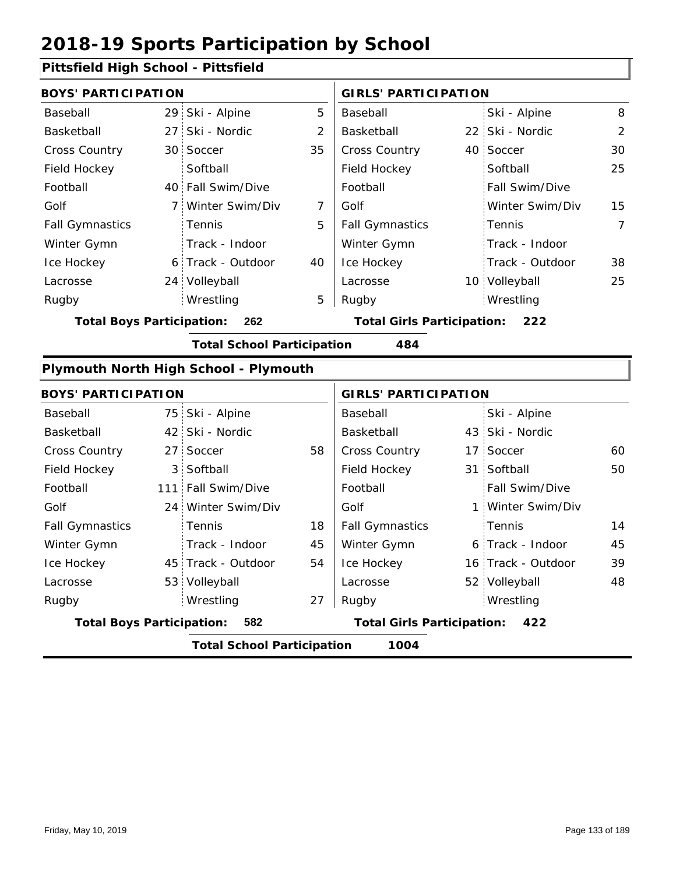### **Pittsfield High School - Pittsfield**

| <b>BOYS' PARTICIPATION</b>       |   |                                       |                | <b>GIRLS' PARTICIPATION</b>              |  |                 |                |  |
|----------------------------------|---|---------------------------------------|----------------|------------------------------------------|--|-----------------|----------------|--|
| Baseball                         |   | 29 Ski - Alpine                       | 5              | Baseball                                 |  | Ski - Alpine    | 8              |  |
| Basketball                       |   | 27 Ski - Nordic                       | $\overline{2}$ | Basketball                               |  | 22 Ski - Nordic | $\overline{2}$ |  |
| Cross Country                    |   | 30 Soccer                             | 35             | Cross Country                            |  | 40 Soccer       | 30             |  |
| Field Hockey                     |   | Softball                              |                | Field Hockey                             |  | Softball        | 25             |  |
| Football                         |   | 40 Fall Swim/Dive                     |                | Football                                 |  | Fall Swim/Dive  |                |  |
| Golf                             | 7 | Winter Swim/Div                       | 7              | Golf                                     |  | Winter Swim/Div | 15             |  |
| <b>Fall Gymnastics</b>           |   | Tennis                                | 5              | <b>Fall Gymnastics</b>                   |  | Tennis          | $\overline{7}$ |  |
| Winter Gymn                      |   | Track - Indoor                        |                | Winter Gymn                              |  | Track - Indoor  |                |  |
| Ice Hockey                       |   | 6 Track - Outdoor                     | 40             | Ice Hockey                               |  | Track - Outdoor | 38             |  |
| Lacrosse                         |   | 24 Volleyball                         |                | Lacrosse                                 |  | 10 Volleyball   | 25             |  |
| Rugby                            |   | Wrestling                             | 5              | Rugby                                    |  | Wrestling       |                |  |
| <b>Total Boys Participation:</b> |   | 262                                   |                | <b>Total Girls Participation:</b><br>222 |  |                 |                |  |
|                                  |   | <b>Total School Participation</b>     |                | 484                                      |  |                 |                |  |
|                                  |   | Plymouth North High School - Plymouth |                |                                          |  |                 |                |  |
| <b>BOYS' PARTICIPATION</b>       |   |                                       |                | <b>GIRLS' PARTICIPATION</b>              |  |                 |                |  |
| Baseball                         |   | 75 Ski - Alpine                       |                | Baseball                                 |  | Ski - Alpine    |                |  |
| Basketball                       |   | 42 Ski - Nordic                       |                | Basketball                               |  | 43 Ski - Nordic |                |  |
| <b>Cross Country</b>             |   | 27 Soccer                             | 58             | Cross Country                            |  | 17 Soccer       | 60             |  |
| Field Hockey                     |   | 3 Softball                            |                | Field Hockey                             |  | 31 Softball     | 50             |  |

|                                  | <b>Total School Participation</b> |    | 1004                              |                    |    |
|----------------------------------|-----------------------------------|----|-----------------------------------|--------------------|----|
| <b>Total Boys Participation:</b> | 582                               |    | <b>Total Girls Participation:</b> | 422                |    |
| Rugby                            | Wrestling                         | 27 | Rugby                             | Wrestling          |    |
| Lacrosse                         | 53 Volleyball                     |    | Lacrosse                          | 52 Volleyball      | 48 |
| Ice Hockey                       | 45 Track - Outdoor                | 54 | Ice Hockey                        | 16 Track - Outdoor | 39 |
| Winter Gymn                      | Track - Indoor                    | 45 | Winter Gymn                       | 6 Track - Indoor   | 45 |
| <b>Fall Gymnastics</b>           | Tennis                            | 18 | <b>Fall Gymnastics</b>            | : Tennis           | 14 |
| Golf                             | 24 Winter Swim/Div                |    | Golf                              | 1 Winter Swim/Div  |    |
| Football                         | 111 Fall Swim/Dive                |    | Football                          | Fall Swim/Dive     |    |
| Field Hockey                     | 3 Softball                        |    | Field Hockey                      | 31 Softball        | 50 |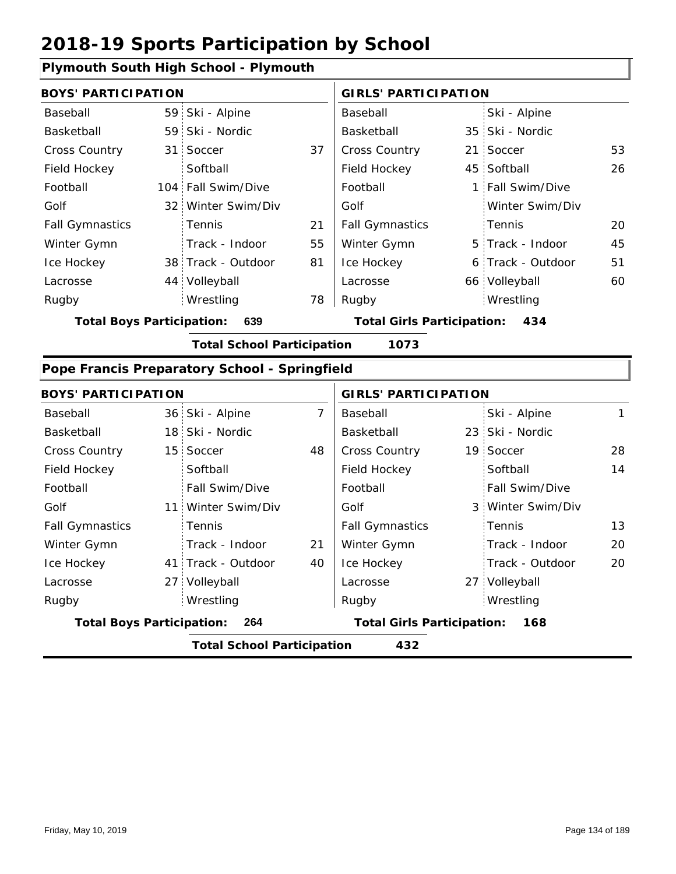### **Plymouth South High School - Plymouth**

| <b>BOYS' PARTICIPATION</b>       |  |                                               |                             | <b>GIRLS' PARTICIPATION</b>       |  |                   |    |
|----------------------------------|--|-----------------------------------------------|-----------------------------|-----------------------------------|--|-------------------|----|
| Baseball                         |  | 59 Ski - Alpine                               |                             | Baseball                          |  | Ski - Alpine      |    |
| Basketball                       |  | 59 Ski - Nordic                               |                             | Basketball                        |  | 35 Ski - Nordic   |    |
| <b>Cross Country</b>             |  | 31 Soccer                                     | 37                          | <b>Cross Country</b>              |  | 21 Soccer         | 53 |
| Field Hockey                     |  | Softball                                      |                             | Field Hockey                      |  | 45 Softball       | 26 |
| Football                         |  | 104 Fall Swim/Dive                            |                             | Football                          |  | 1 Fall Swim/Dive  |    |
| Golf                             |  | 32 Winter Swim/Div                            |                             | Golf                              |  | Winter Swim/Div   |    |
| <b>Fall Gymnastics</b>           |  | Tennis                                        | 21                          | <b>Fall Gymnastics</b>            |  | Tennis            | 20 |
| Winter Gymn                      |  | Track - Indoor                                | 55                          | Winter Gymn                       |  | 5 Track - Indoor  | 45 |
| Ice Hockey                       |  | 38 Track - Outdoor                            | 81                          | Ice Hockey                        |  | 6 Track - Outdoor | 51 |
| Lacrosse                         |  | 44 Volleyball                                 |                             | Lacrosse                          |  | 66 Volleyball     | 60 |
| Rugby                            |  | Wrestling                                     | 78                          | Rugby                             |  | Wrestling         |    |
| <b>Total Boys Participation:</b> |  | 639                                           |                             | <b>Total Girls Participation:</b> |  | 434               |    |
|                                  |  | <b>Total School Participation</b>             |                             | 1073                              |  |                   |    |
|                                  |  | Pope Francis Preparatory School - Springfield |                             |                                   |  |                   |    |
| <b>BOYS' PARTICIPATION</b>       |  |                                               | <b>GIRLS' PARTICIPATION</b> |                                   |  |                   |    |

| BUYS PARTICIPATION     |                                         |                                   |    | GIRLS PARTICIPATION    |                                          |                   |    |  |
|------------------------|-----------------------------------------|-----------------------------------|----|------------------------|------------------------------------------|-------------------|----|--|
| Baseball               |                                         | 36 Ski - Alpine                   | 7  | Baseball               |                                          | Ski - Alpine      | 1  |  |
| Basketball             |                                         | 18 Ski - Nordic                   |    | Basketball             |                                          | 23 Ski - Nordic   |    |  |
| <b>Cross Country</b>   |                                         | 15 Soccer                         | 48 | <b>Cross Country</b>   |                                          | 19 Soccer         | 28 |  |
| Field Hockey           |                                         | Softball                          |    | Field Hockey           |                                          | Softball          | 14 |  |
| Football               |                                         | Fall Swim/Dive                    |    | Football               |                                          | Fall Swim/Dive    |    |  |
| Golf                   |                                         | 11 Winter Swim/Div                |    | Golf                   |                                          | 3 Winter Swim/Div |    |  |
| <b>Fall Gymnastics</b> |                                         | Tennis                            |    | <b>Fall Gymnastics</b> |                                          | : Tennis          | 13 |  |
| Winter Gymn            |                                         | Track - Indoor                    | 21 | Winter Gymn            |                                          | Track - Indoor    | 20 |  |
| Ice Hockey             |                                         | 41 Track - Outdoor                | 40 | Ice Hockey             |                                          | Track - Outdoor   | 20 |  |
| Lacrosse               |                                         | 27 Volleyball                     |    | Lacrosse               |                                          | 27 Volleyball     |    |  |
| Rugby                  |                                         | Wrestling                         |    | Rugby                  |                                          | Wrestling         |    |  |
|                        | <b>Total Boys Participation:</b><br>264 |                                   |    |                        | <b>Total Girls Participation:</b><br>168 |                   |    |  |
|                        |                                         | <b>Total School Participation</b> |    | 432                    |                                          |                   |    |  |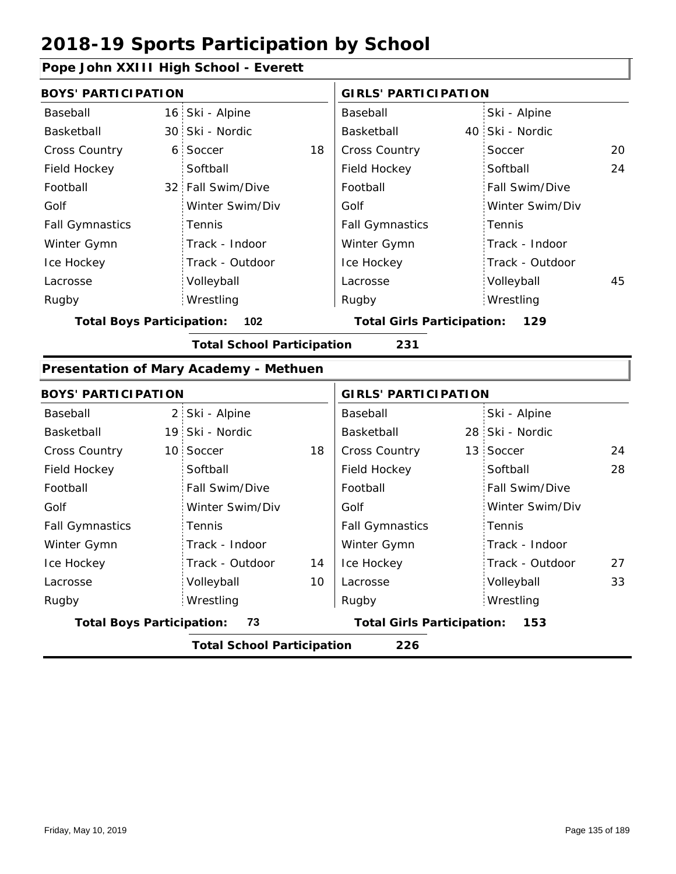### **Pope John XXIII High School - Everett**

| <b>BOYS' PARTICIPATION</b> |                                                                                                                                                                                                                                   |                                          | <b>GIRLS' PARTICIPATION</b>                                            |                 |                                                                                                                     |  |
|----------------------------|-----------------------------------------------------------------------------------------------------------------------------------------------------------------------------------------------------------------------------------|------------------------------------------|------------------------------------------------------------------------|-----------------|---------------------------------------------------------------------------------------------------------------------|--|
|                            |                                                                                                                                                                                                                                   | Baseball                                 |                                                                        | Ski - Alpine    |                                                                                                                     |  |
| Ski - Nordic               |                                                                                                                                                                                                                                   | Basketball                               |                                                                        |                 |                                                                                                                     |  |
| Soccer                     | 18                                                                                                                                                                                                                                | Cross Country                            |                                                                        | Soccer          | 20                                                                                                                  |  |
| Softball                   |                                                                                                                                                                                                                                   | Field Hockey                             |                                                                        | Softball        | 24                                                                                                                  |  |
|                            |                                                                                                                                                                                                                                   | Football                                 |                                                                        | Fall Swim/Dive  |                                                                                                                     |  |
| Winter Swim/Div            |                                                                                                                                                                                                                                   | Golf                                     |                                                                        | Winter Swim/Div |                                                                                                                     |  |
| Tennis                     |                                                                                                                                                                                                                                   | <b>Fall Gymnastics</b>                   |                                                                        | Tennis          |                                                                                                                     |  |
| Track - Indoor             |                                                                                                                                                                                                                                   | Winter Gymn                              |                                                                        | Track - Indoor  |                                                                                                                     |  |
| Track - Outdoor            |                                                                                                                                                                                                                                   | Ice Hockey                               |                                                                        | Track - Outdoor |                                                                                                                     |  |
| Volleyball                 |                                                                                                                                                                                                                                   | Lacrosse                                 |                                                                        | Volleyball      | 45                                                                                                                  |  |
| Wrestling                  |                                                                                                                                                                                                                                   | Rugby                                    |                                                                        | Wrestling       |                                                                                                                     |  |
| 102                        |                                                                                                                                                                                                                                   |                                          |                                                                        | 129             |                                                                                                                     |  |
|                            |                                                                                                                                                                                                                                   | 231                                      |                                                                        |                 |                                                                                                                     |  |
|                            |                                                                                                                                                                                                                                   |                                          |                                                                        |                 |                                                                                                                     |  |
|                            |                                                                                                                                                                                                                                   |                                          |                                                                        |                 |                                                                                                                     |  |
|                            |                                                                                                                                                                                                                                   | Baseball                                 |                                                                        | Ski - Alpine    |                                                                                                                     |  |
|                            |                                                                                                                                                                                                                                   | Basketball                               |                                                                        |                 |                                                                                                                     |  |
|                            | 18                                                                                                                                                                                                                                | Cross Country                            |                                                                        |                 | 24                                                                                                                  |  |
| Softball                   |                                                                                                                                                                                                                                   | Field Hockey                             |                                                                        | Softball        | 28                                                                                                                  |  |
| Fall Swim/Dive             |                                                                                                                                                                                                                                   | Football                                 |                                                                        | Fall Swim/Dive  |                                                                                                                     |  |
| Winter Swim/Div            |                                                                                                                                                                                                                                   | Golf                                     |                                                                        | Winter Swim/Div |                                                                                                                     |  |
| Tennis                     |                                                                                                                                                                                                                                   | <b>Fall Gymnastics</b>                   |                                                                        | Tennis          |                                                                                                                     |  |
| Track - Indoor             |                                                                                                                                                                                                                                   | Winter Gymn                              |                                                                        | Track - Indoor  |                                                                                                                     |  |
| Track - Outdoor            | 14                                                                                                                                                                                                                                | Ice Hockey                               |                                                                        | Track - Outdoor | 27                                                                                                                  |  |
| Volleyball                 | 10                                                                                                                                                                                                                                | Lacrosse                                 |                                                                        | Volleyball      | 33                                                                                                                  |  |
| Wrestling                  |                                                                                                                                                                                                                                   | Rugby                                    |                                                                        | Wrestling       |                                                                                                                     |  |
| 73                         |                                                                                                                                                                                                                                   | <b>Total Girls Participation:</b><br>153 |                                                                        |                 |                                                                                                                     |  |
|                            |                                                                                                                                                                                                                                   | 226                                      |                                                                        |                 |                                                                                                                     |  |
|                            | 16 Ski - Alpine<br>30 <sup>1</sup><br>6 <sup>1</sup><br>32 Fall Swim/Dive<br><b>Total Boys Participation:</b><br><b>BOYS' PARTICIPATION</b><br>2 Ski - Alpine<br>19 Ski - Nordic<br>10 Soccer<br><b>Total Boys Participation:</b> | Presentation of Mary Academy - Methuen   | <b>Total School Participation</b><br><b>Total School Participation</b> |                 | 40 Ski - Nordic<br><b>Total Girls Participation:</b><br><b>GIRLS' PARTICIPATION</b><br>28 Ski - Nordic<br>13 Soccer |  |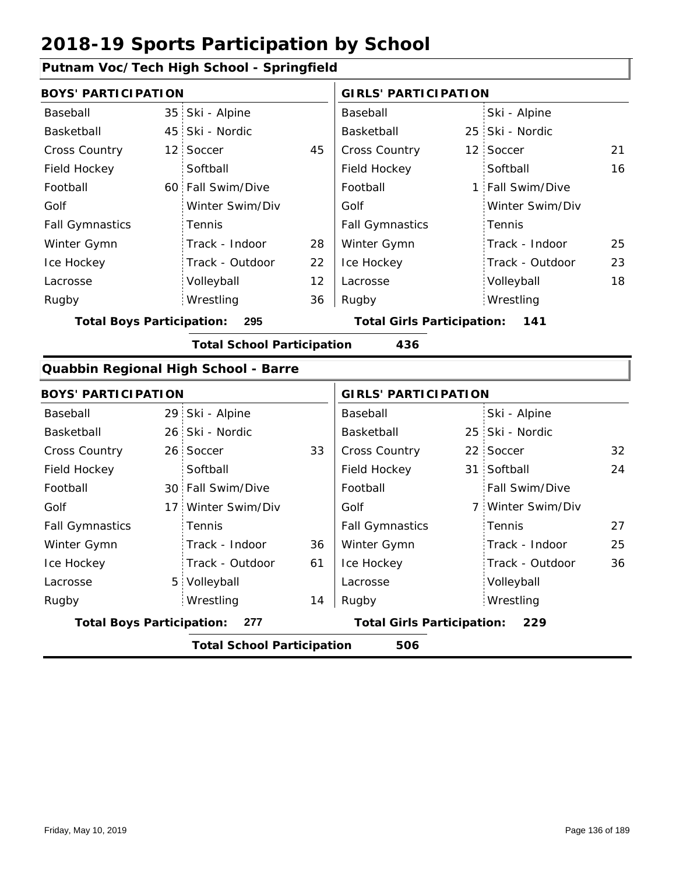### **Putnam Voc/Tech High School - Springfield**

| <b>BOYS' PARTICIPATION</b>       |                 |                                      |    | <b>GIRLS' PARTICIPATION</b>       |                   |    |
|----------------------------------|-----------------|--------------------------------------|----|-----------------------------------|-------------------|----|
| Baseball                         | 35 <sup>1</sup> | Ski - Alpine                         |    | Baseball                          | Ski - Alpine      |    |
| Basketball                       | 45              | Ski - Nordic                         |    | Basketball                        | 25 Ski - Nordic   |    |
| Cross Country                    | 12 <sub>1</sub> | Soccer                               | 45 | Cross Country                     | 12 Soccer         | 21 |
| Field Hockey                     |                 | Softball                             |    | Field Hockey                      | Softball          | 16 |
| Football                         |                 | 60 Fall Swim/Dive                    |    | Football                          | 1 Fall Swim/Dive  |    |
| Golf                             |                 | Winter Swim/Div                      |    | Golf                              | Winter Swim/Div   |    |
| <b>Fall Gymnastics</b>           |                 | Tennis                               |    | <b>Fall Gymnastics</b>            | Tennis            |    |
| Winter Gymn                      |                 | Track - Indoor                       | 28 | Winter Gymn                       | Track - Indoor    | 25 |
| Ice Hockey                       |                 | Track - Outdoor                      | 22 | Ice Hockey                        | Track - Outdoor   | 23 |
| Lacrosse                         |                 | Volleyball                           | 12 | Lacrosse                          | Volleyball        | 18 |
| Rugby                            |                 | Wrestling                            | 36 | Rugby                             | Wrestling         |    |
| <b>Total Boys Participation:</b> |                 | 295                                  |    | <b>Total Girls Participation:</b> | 141               |    |
|                                  |                 | <b>Total School Participation</b>    |    | 436                               |                   |    |
|                                  |                 | Quabbin Regional High School - Barre |    |                                   |                   |    |
| <b>BOYS' PARTICIPATION</b>       |                 |                                      |    | <b>GIRLS' PARTICIPATION</b>       |                   |    |
| Baseball                         |                 | 29 Ski - Alpine                      |    | Baseball                          | Ski - Alpine      |    |
| Basketball                       |                 | 26 Ski - Nordic                      |    | Basketball                        | 25 Ski - Nordic   |    |
| <b>Cross Country</b>             |                 | 26 Soccer                            | 33 | Cross Country                     | 22 Soccer         | 32 |
| Field Hockey                     |                 | Softball                             |    | Field Hockey                      | 31 Softball       | 24 |
| Football                         |                 | 30 Fall Swim/Dive                    |    | Football                          | Fall Swim/Dive    |    |
| Golf                             | 17 <sup>1</sup> | Winter Swim/Div                      |    | Golf                              | 7 Winter Swim/Div |    |
| <b>Fall Gymnastics</b>           |                 | Tennis                               |    | <b>Fall Gymnastics</b>            | Tennis            | 27 |
| Winter Gymn                      |                 | Track - Indoor                       | 36 | Winter Gymn                       | Track - Indoor    | 25 |
| Ice Hockey                       |                 | Track - Outdoor                      | 61 | Ice Hockey                        | Track - Outdoor   | 36 |
| Lacrosse                         |                 | 5 Volleyball                         |    | Lacrosse                          | Volleyball        |    |
| Rugby                            |                 | Wrestling                            | 14 | Rugby                             | Wrestling         |    |
| <b>Total Boys Participation:</b> |                 | 277                                  |    | <b>Total Girls Participation:</b> | 229               |    |
|                                  |                 | <b>Total School Participation</b>    |    | 506                               |                   |    |
|                                  |                 |                                      |    |                                   |                   |    |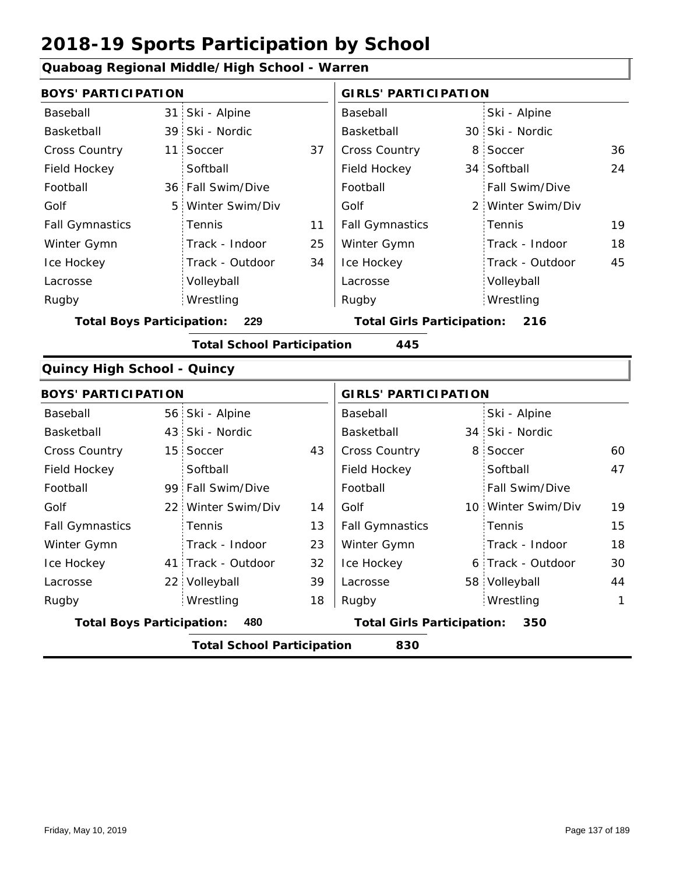#### **Quaboag Regional Middle/High School - Warren** 31 Ski - Alpine 39 30 Ski - Nordic 11 8 37 36 Cross Country 34 Softball 36 Fall Swim/Dive 5 2 Winter Swim/Div 24 11 25 34 19 18 45 Baseball Basketball Cross Country Field Hockey Football Golf Fall Gymnastics Ice Hockey Lacrosse 11 Soccer **Softball** Tennis Track - Indoor Track - Outdoor Volleyball Wrestling Rugby Rugby **BOYS' PARTICIPATION GIRLS' PARTICIPATION** Baseball Basketball Field Hockey Football Golf Fall Gymnastics Winter Gymn Ice Hockey Lacrosse Ski - Alpine 30 Ski - Nordic 8 Soccer Fall Swim/Dive Winter Swim/Div Tennis Track - Indoor Track - Outdoor Winter Gymn Volleyball Wrestling **Total Boys Participation: 229 Total Girls Participation: 216 Total School Participation 445 Quincy High School - Quincy** 56 Ski - Alpine 43 34 Ski - Nordic 15 Soccer 43 Cross Country 8 Soccer 60 99 Fall Swim/Dive 22 Winter Swim/Div 14 | Golf 10 41 Track - Outdoor 22 Volleyball 6 Track - Outdoor 58 Volleyball 44 47 13 23 19 32 15 39 18 18 30 Baseball Basketball Cross Country Field Hockey Football Golf Fall Gymnastics Ice Hockey Lacrosse 15 Soccer **Softball Tennis** Track - Indoor Wrestling Rugby Rugby **BOYS' PARTICIPATION GIRLS' PARTICIPATION** Baseball Basketball Field Hockey Football Golf Fall Gymnastics Winter Gymn Ice Hockey Lacrosse Ski - Alpine 34 Ski - Nordic 8 Soccer **Softball** Fall Swim/Dive Winter Swim/Div Tennis Track - Indoor Winter Gymn Wrestling 1

**Total Boys Participation: 480 Total Girls Participation: 350**

**Total School Participation 830**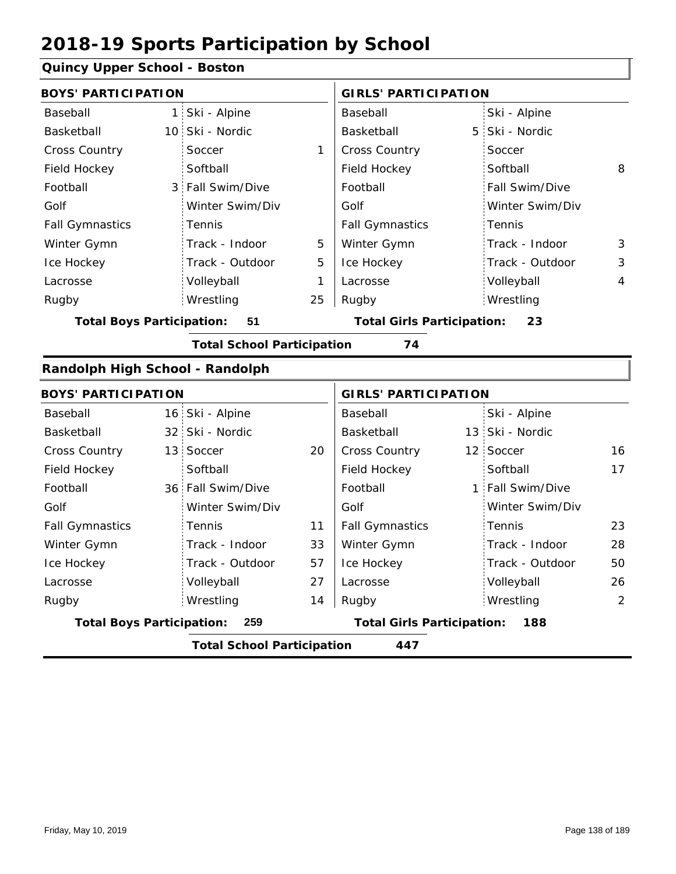### **Quincy Upper School - Boston**

| edincy opper senoor - bostoni    |                                          |                                   |    |                                   |   |                  |                |  |  |
|----------------------------------|------------------------------------------|-----------------------------------|----|-----------------------------------|---|------------------|----------------|--|--|
| <b>BOYS' PARTICIPATION</b>       |                                          |                                   |    | <b>GIRLS' PARTICIPATION</b>       |   |                  |                |  |  |
| Baseball                         |                                          | 1 Ski - Alpine                    |    | Baseball                          |   | Ski - Alpine     |                |  |  |
| Basketball                       |                                          | 10 Ski - Nordic                   |    | Basketball                        | 5 | Ski - Nordic     |                |  |  |
| <b>Cross Country</b>             |                                          | Soccer                            | 1  | Cross Country                     |   | Soccer           |                |  |  |
| Field Hockey                     |                                          | Softball                          |    | Field Hockey                      |   | Softball         | 8              |  |  |
| Football                         |                                          | 3 Fall Swim/Dive                  |    | Football                          |   | Fall Swim/Dive   |                |  |  |
| Golf                             |                                          | Winter Swim/Div                   |    | Golf                              |   | Winter Swim/Div  |                |  |  |
| <b>Fall Gymnastics</b>           |                                          | Tennis                            |    | <b>Fall Gymnastics</b>            |   | Tennis           |                |  |  |
| Winter Gymn                      |                                          | Track - Indoor                    | 5  | Winter Gymn                       |   | Track - Indoor   | 3              |  |  |
| Ice Hockey                       |                                          | Track - Outdoor                   | 5  | Ice Hockey                        |   | Track - Outdoor  | 3              |  |  |
| Lacrosse                         |                                          | Volleyball                        | 1  | Lacrosse                          |   | Volleyball       | $\overline{4}$ |  |  |
| Rugby                            |                                          | Wrestling                         | 25 | Rugby                             |   | Wrestling        |                |  |  |
| <b>Total Boys Participation:</b> |                                          | 51                                |    | <b>Total Girls Participation:</b> |   | 23               |                |  |  |
|                                  |                                          | <b>Total School Participation</b> |    | 74                                |   |                  |                |  |  |
| Randolph High School - Randolph  |                                          |                                   |    |                                   |   |                  |                |  |  |
| <b>BOYS' PARTICIPATION</b>       |                                          |                                   |    | <b>GIRLS' PARTICIPATION</b>       |   |                  |                |  |  |
| Baseball                         |                                          | 16 Ski - Alpine                   |    | Baseball                          |   | Ski - Alpine     |                |  |  |
| Basketball                       |                                          | 32 Ski - Nordic                   |    | Basketball                        |   | 13 Ski - Nordic  |                |  |  |
| Cross Country                    |                                          | 13 Soccer                         | 20 | Cross Country                     |   | 12 Soccer        | 16             |  |  |
| Field Hockey                     |                                          | Softball                          |    | Field Hockey                      |   | Softball         | 17             |  |  |
| Football                         |                                          | 36 Fall Swim/Dive                 |    | Football                          |   | 1 Fall Swim/Dive |                |  |  |
| Golf                             |                                          | Winter Swim/Div                   |    | Golf                              |   | Winter Swim/Div  |                |  |  |
| <b>Fall Gymnastics</b>           |                                          | Tennis                            | 11 | <b>Fall Gymnastics</b>            |   | Tennis           | 23             |  |  |
| Winter Gymn                      |                                          | Track - Indoor                    | 33 | Winter Gymn                       |   | Track - Indoor   | 28             |  |  |
| Ice Hockey                       |                                          | Track - Outdoor                   | 57 | Ice Hockey                        |   | Track - Outdoor  | 50             |  |  |
| Lacrosse                         |                                          | Volleyball                        | 27 | Lacrosse                          |   | Volleyball       | 26             |  |  |
| Rugby                            |                                          | Wrestling                         | 14 | Rugby                             |   | Wrestling        | $\overline{2}$ |  |  |
| <b>Total Boys Participation:</b> |                                          | 259                               |    | <b>Total Girls Participation:</b> |   | 188              |                |  |  |
|                                  | <b>Total School Participation</b><br>447 |                                   |    |                                   |   |                  |                |  |  |
|                                  |                                          |                                   |    |                                   |   |                  |                |  |  |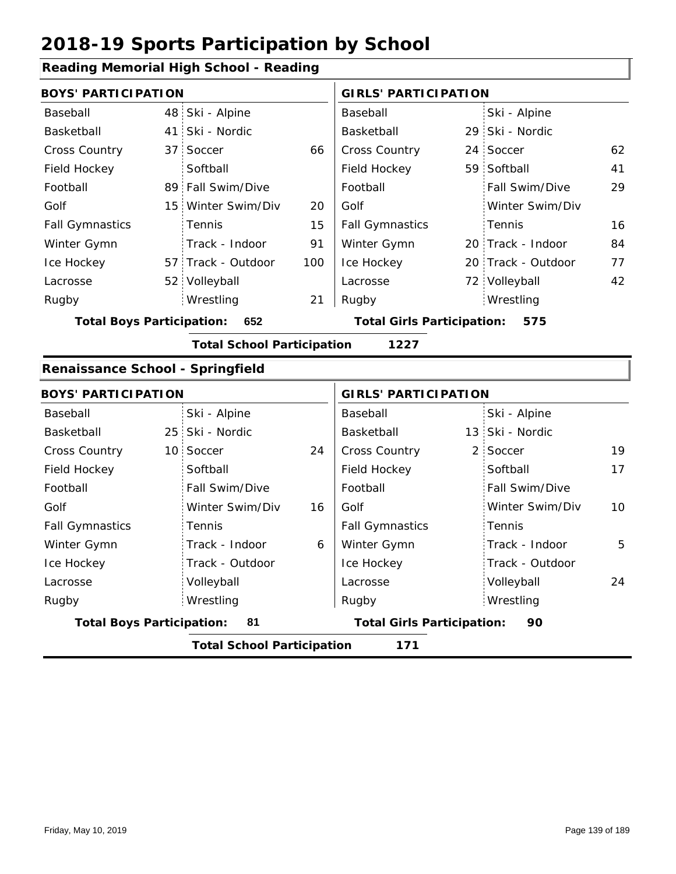### **Reading Memorial High School - Reading**

|                                         | <b>BOYS' PARTICIPATION</b>                |                    |                                   | <b>GIRLS' PARTICIPATION</b> |     |                    |    |  |  |
|-----------------------------------------|-------------------------------------------|--------------------|-----------------------------------|-----------------------------|-----|--------------------|----|--|--|
| Baseball                                |                                           | 48 Ski - Alpine    |                                   | Baseball                    |     | Ski - Alpine       |    |  |  |
| Basketball                              |                                           | 41 Ski - Nordic    |                                   | Basketball                  |     | 29 Ski - Nordic    |    |  |  |
| <b>Cross Country</b>                    |                                           | 37 Soccer          | 66                                | <b>Cross Country</b>        |     | 24 Soccer          | 62 |  |  |
| Field Hockey                            |                                           | Softball           |                                   | Field Hockey                |     | 59 Softball        | 41 |  |  |
| Football                                |                                           | 89 Fall Swim/Dive  |                                   | Football                    |     | Fall Swim/Dive     | 29 |  |  |
| Golf                                    |                                           | 15 Winter Swim/Div | 20                                | Golf                        |     | Winter Swim/Div    |    |  |  |
| <b>Fall Gymnastics</b>                  |                                           | <b>Tennis</b>      | 15                                | <b>Fall Gymnastics</b>      |     | Tennis             | 16 |  |  |
| Winter Gymn                             |                                           | Track - Indoor     | 91                                | Winter Gymn                 |     | 20 Track - Indoor  | 84 |  |  |
| Ice Hockey                              |                                           | 57 Track - Outdoor | 100                               | Ice Hockey                  |     | 20 Track - Outdoor | 77 |  |  |
| Lacrosse                                |                                           | 52 Volleyball      |                                   | Lacrosse                    |     | 72 Volleyball      | 42 |  |  |
| Rugby                                   |                                           | Wrestling          | 21                                | Rugby                       |     | Wrestling          |    |  |  |
| <b>Total Boys Participation:</b><br>652 |                                           |                    | <b>Total Girls Participation:</b> |                             | 575 |                    |    |  |  |
|                                         | <b>Total School Participation</b><br>1227 |                    |                                   |                             |     |                    |    |  |  |

#### **Renaissance School - Springfield**

| <b>BOYS' PARTICIPATION</b>             |                                          |                                         | <b>GIRLS' PARTICIPATION</b> |                 |    |  |  |  |
|----------------------------------------|------------------------------------------|-----------------------------------------|-----------------------------|-----------------|----|--|--|--|
| Baseball                               | Ski - Alpine                             |                                         | Baseball                    | Ski - Alpine    |    |  |  |  |
| Basketball                             | 25 Ski - Nordic                          |                                         | Basketball                  | 13 Ski - Nordic |    |  |  |  |
| <b>Cross Country</b>                   | 10 Soccer                                | 24                                      | <b>Cross Country</b>        | 2 Soccer        | 19 |  |  |  |
| Field Hockey                           | Softball                                 |                                         | Field Hockey                | Softball        | 17 |  |  |  |
| Football                               | Fall Swim/Dive                           |                                         | Football                    | Fall Swim/Dive  |    |  |  |  |
| Golf                                   | Winter Swim/Div                          | 16                                      | Golf                        | Winter Swim/Div | 10 |  |  |  |
| <b>Fall Gymnastics</b>                 | <b>Tennis</b>                            |                                         | <b>Fall Gymnastics</b>      | Tennis          |    |  |  |  |
| Winter Gymn                            | Track - Indoor                           | 6                                       | Winter Gymn                 | Track - Indoor  | 5  |  |  |  |
| Ice Hockey                             | Track - Outdoor                          |                                         | Ice Hockey                  | Track - Outdoor |    |  |  |  |
| Lacrosse                               | Volleyball                               |                                         | Lacrosse                    | Volleyball      | 24 |  |  |  |
| Rugby                                  | Wrestling                                |                                         | Rugby                       | Wrestling       |    |  |  |  |
| <b>Total Boys Participation:</b><br>81 |                                          | <b>Total Girls Participation:</b><br>90 |                             |                 |    |  |  |  |
|                                        | <b>Total School Participation</b><br>171 |                                         |                             |                 |    |  |  |  |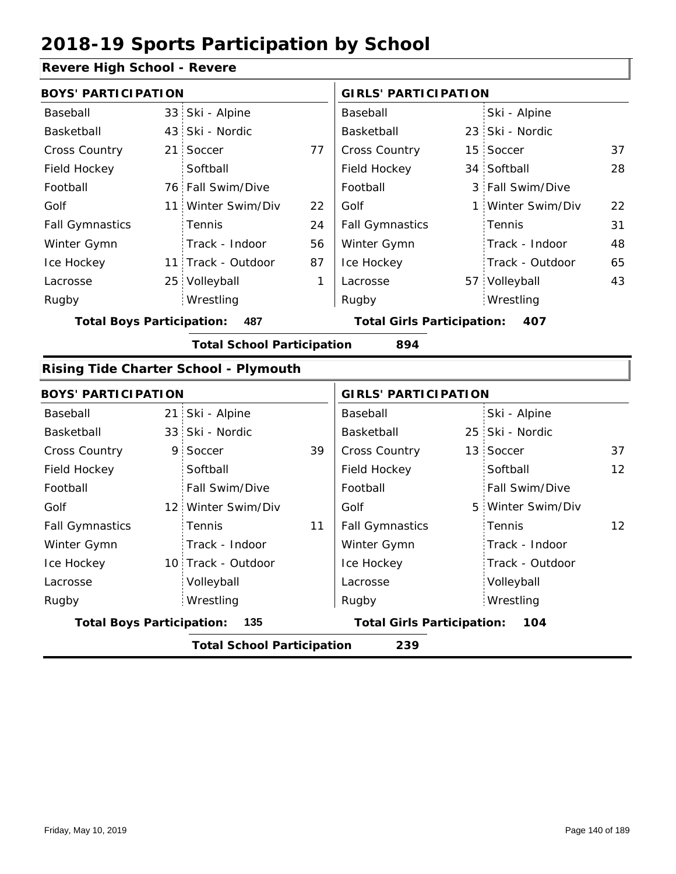#### **Revere High School - Revere**

| <b>BOYS' PARTICIPATION</b>       |                 |                                              |    | <b>GIRLS' PARTICIPATION</b>              |  |                   |    |
|----------------------------------|-----------------|----------------------------------------------|----|------------------------------------------|--|-------------------|----|
| Baseball                         |                 | 33 Ski - Alpine                              |    | Baseball                                 |  | Ski - Alpine      |    |
| Basketball                       | 43              | Ski - Nordic                                 |    | Basketball                               |  | 23 Ski - Nordic   |    |
| <b>Cross Country</b>             | 21 <sup>1</sup> | Soccer                                       | 77 | <b>Cross Country</b>                     |  | 15 Soccer         | 37 |
| Field Hockey                     |                 | Softball                                     |    | Field Hockey                             |  | 34 Softball       | 28 |
| Football                         |                 | 76 Fall Swim/Dive                            |    | Football                                 |  | 3 Fall Swim/Dive  |    |
| Golf                             | 11              | Winter Swim/Div                              | 22 | Golf                                     |  | 1 Winter Swim/Div | 22 |
| <b>Fall Gymnastics</b>           |                 | Tennis                                       | 24 | <b>Fall Gymnastics</b>                   |  | Tennis            | 31 |
| Winter Gymn                      |                 | Track - Indoor                               | 56 | Winter Gymn                              |  | Track - Indoor    | 48 |
| Ice Hockey                       | 11 <sup>1</sup> | Track - Outdoor                              | 87 | Ice Hockey                               |  | Track - Outdoor   | 65 |
| Lacrosse                         | 25 <sub>1</sub> | Volleyball                                   | 1  | Lacrosse                                 |  | 57 Volleyball     | 43 |
| Rugby                            |                 | Wrestling                                    |    | Rugby                                    |  | Wrestling         |    |
| <b>Total Boys Participation:</b> |                 | 487                                          |    | <b>Total Girls Participation:</b><br>407 |  |                   |    |
|                                  |                 | <b>Total School Participation</b>            |    | 894                                      |  |                   |    |
|                                  |                 | <b>Rising Tide Charter School - Plymouth</b> |    |                                          |  |                   |    |
| <b>BOYS' PARTICIPATION</b>       |                 |                                              |    | <b>GIRLS' PARTICIPATION</b>              |  |                   |    |
| Baseball                         |                 | 21 Ski - Alpine                              |    | Baseball                                 |  | Ski - Alpine      |    |

|                                                                                     |  | <b>Total School Participation</b> |    | 239                    |  |                       |                 |
|-------------------------------------------------------------------------------------|--|-----------------------------------|----|------------------------|--|-----------------------|-----------------|
| <b>Total Girls Participation:</b><br><b>Total Boys Participation:</b><br>135<br>104 |  |                                   |    |                        |  |                       |                 |
| Rugby                                                                               |  | Wrestling                         |    | Rugby                  |  | Wrestling             |                 |
| Lacrosse                                                                            |  | Volleyball                        |    | Lacrosse               |  | Volleyball            |                 |
| Ice Hockey                                                                          |  | 10 Track - Outdoor                |    | Ice Hockey             |  | Track - Outdoor       |                 |
| Winter Gymn                                                                         |  | Track - Indoor                    |    | Winter Gymn            |  | Track - Indoor        |                 |
| <b>Fall Gymnastics</b>                                                              |  | Tennis                            | 11 | <b>Fall Gymnastics</b> |  | Tennis                | 12 <sup>2</sup> |
| Golf                                                                                |  | 12 Winter Swim/Div                |    | Golf                   |  | 5 Winter Swim/Div     |                 |
| Football                                                                            |  | <b>Fall Swim/Dive</b>             |    | Football               |  | <b>Fall Swim/Dive</b> |                 |
| Field Hockey                                                                        |  | Softball                          |    | Field Hockey           |  | Softball              | 12              |
| <b>Cross Country</b>                                                                |  | 9 Soccer                          | 39 | <b>Cross Country</b>   |  | 13 Soccer             | 37              |
| Basketball                                                                          |  | 33 Ski - Nordic                   |    | Basketball             |  | 25 Ski - Nordic       |                 |
| Baseball                                                                            |  | 21 Ski - Alpine                   |    | Baseball               |  | Ski - Alpine          |                 |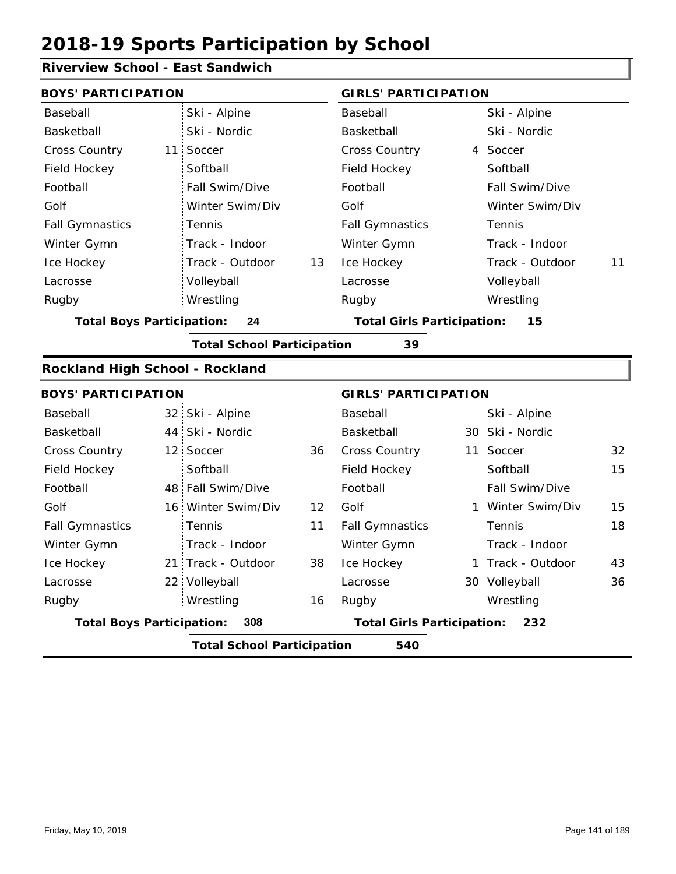### **Riverview School - East Sandwich**

| <b>BOYS' PARTICIPATION</b>       |                                   |    | <b>GIRLS' PARTICIPATION</b>       |                                          |                   |    |  |
|----------------------------------|-----------------------------------|----|-----------------------------------|------------------------------------------|-------------------|----|--|
| Baseball                         | Ski - Alpine                      |    | Baseball                          |                                          | Ski - Alpine      |    |  |
| Basketball                       | Ski - Nordic                      |    | Basketball                        |                                          | Ski - Nordic      |    |  |
| Cross Country                    | 11 Soccer                         |    | <b>Cross Country</b>              | 4                                        | Soccer            |    |  |
| Field Hockey                     | Softball                          |    | Field Hockey                      |                                          | Softball          |    |  |
| Football                         | Fall Swim/Dive                    |    | Football                          |                                          | Fall Swim/Dive    |    |  |
| Golf                             | Winter Swim/Div                   |    | Golf                              |                                          | Winter Swim/Div   |    |  |
| <b>Fall Gymnastics</b>           | Tennis                            |    | <b>Fall Gymnastics</b>            |                                          | Tennis            |    |  |
| Winter Gymn                      | Track - Indoor                    |    | Winter Gymn                       |                                          | Track - Indoor    |    |  |
| Ice Hockey                       | Track - Outdoor                   | 13 | Ice Hockey                        |                                          | Track - Outdoor   | 11 |  |
| Lacrosse                         | Volleyball                        |    | Lacrosse                          |                                          | Volleyball        |    |  |
| Rugby                            | Wrestling                         |    | Rugby                             |                                          | Wrestling         |    |  |
| <b>Total Boys Participation:</b> | 24                                |    | <b>Total Girls Participation:</b> |                                          | 15                |    |  |
|                                  | <b>Total School Participation</b> |    | 39                                |                                          |                   |    |  |
| Rockland High School - Rockland  |                                   |    |                                   |                                          |                   |    |  |
| <b>BOYS' PARTICIPATION</b>       |                                   |    | <b>GIRLS' PARTICIPATION</b>       |                                          |                   |    |  |
| Baseball                         | 32 Ski - Alpine                   |    | Baseball                          |                                          | Ski - Alpine      |    |  |
| Basketball                       | 44 Ski - Nordic                   |    | Basketball                        |                                          | 30 Ski - Nordic   |    |  |
| <b>Cross Country</b>             | 12 Soccer                         | 36 | Cross Country                     |                                          | 11 Soccer         | 32 |  |
| Field Hockey                     | Softball                          |    | Field Hockey                      |                                          | Softball          | 15 |  |
| Football                         | 48 Fall Swim/Dive                 |    | Football                          |                                          | Fall Swim/Dive    |    |  |
| Golf                             | 16 Winter Swim/Div                | 12 | Golf                              | 1.                                       | Winter Swim/Div   | 15 |  |
| <b>Fall Gymnastics</b>           | Tennis                            | 11 | <b>Fall Gymnastics</b>            |                                          | Tennis            | 18 |  |
| Winter Gymn                      | Track - Indoor                    |    | Winter Gymn                       |                                          | Track - Indoor    |    |  |
| Ice Hockey                       | 21 Track - Outdoor                | 38 | Ice Hockey                        |                                          | 1 Track - Outdoor | 43 |  |
| Lacrosse                         | 22 Volleyball                     |    | Lacrosse                          |                                          | 30 Volleyball     | 36 |  |
| Rugby                            | Wrestling                         | 16 | Rugby                             |                                          | Wrestling         |    |  |
| <b>Total Boys Participation:</b> | 308                               |    |                                   | <b>Total Girls Participation:</b><br>232 |                   |    |  |
|                                  | <b>Total School Participation</b> |    | 540                               |                                          |                   |    |  |

I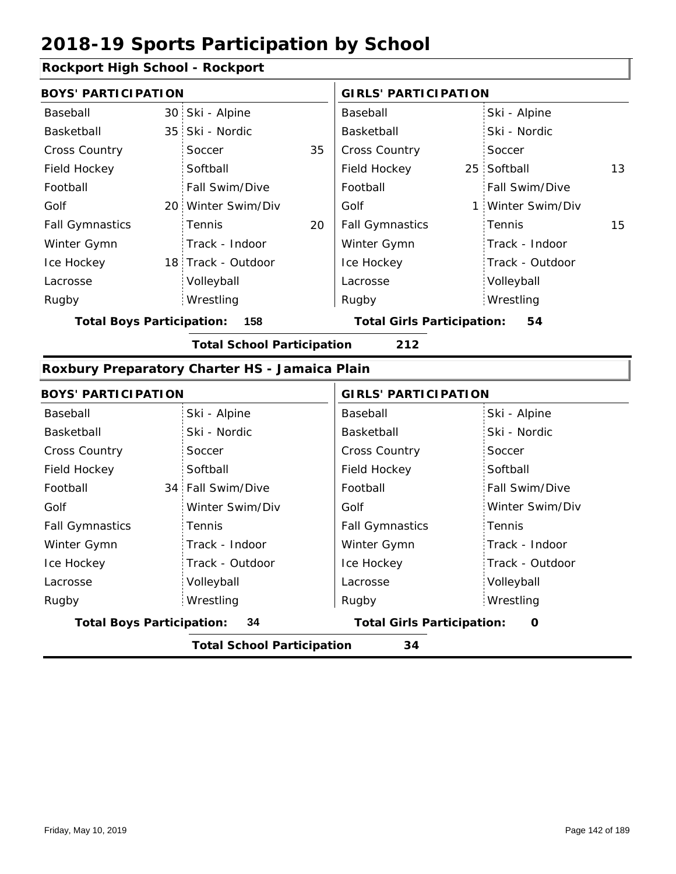### **Rockport High School - Rockport**

| <b>BOYS' PARTICIPATION</b>               |  |                                         | <b>GIRLS' PARTICIPATION</b> |                        |  |                   |    |
|------------------------------------------|--|-----------------------------------------|-----------------------------|------------------------|--|-------------------|----|
| Baseball                                 |  | 30 Ski - Alpine                         |                             | Baseball               |  | Ski - Alpine      |    |
| Basketball                               |  | 35 Ski - Nordic                         |                             | Basketball             |  | Ski - Nordic      |    |
| <b>Cross Country</b>                     |  | Soccer                                  | 35                          | <b>Cross Country</b>   |  | Soccer            |    |
| Field Hockey                             |  | Softball                                |                             | Field Hockey           |  | 25 Softball       | 13 |
| Football                                 |  | Fall Swim/Dive                          |                             | Football               |  | Fall Swim/Dive    |    |
| Golf                                     |  | 20 Winter Swim/Div                      |                             | Golf                   |  | 1 Winter Swim/Div |    |
| <b>Fall Gymnastics</b>                   |  | <b>Tennis</b>                           | 20                          | <b>Fall Gymnastics</b> |  | Tennis            | 15 |
| Winter Gymn                              |  | Track - Indoor                          |                             | Winter Gymn            |  | Track - Indoor    |    |
| Ice Hockey                               |  | 18 Track - Outdoor                      |                             | Ice Hockey             |  | Track - Outdoor   |    |
| Lacrosse                                 |  | Volleyball                              |                             | Lacrosse               |  | Volleyball        |    |
| Rugby                                    |  | Wrestling                               |                             | Rugby                  |  | Wrestling         |    |
| 158<br><b>Total Boys Participation:</b>  |  | <b>Total Girls Participation:</b><br>54 |                             |                        |  |                   |    |
| <b>Total School Participation</b><br>212 |  |                                         |                             |                        |  |                   |    |

#### **Roxbury Preparatory Charter HS - Jamaica Plain**

| <b>BOYS' PARTICIPATION</b>             |                                   |                        | <b>GIRLS' PARTICIPATION</b>                   |  |  |
|----------------------------------------|-----------------------------------|------------------------|-----------------------------------------------|--|--|
| Baseball                               | Ski - Alpine                      | Baseball               | Ski - Alpine                                  |  |  |
| Basketball                             | Ski - Nordic                      | Basketball             | Ski - Nordic                                  |  |  |
| <b>Cross Country</b>                   | Soccer                            | <b>Cross Country</b>   | Soccer                                        |  |  |
| Field Hockey                           | Softball                          | <b>Field Hockey</b>    | Softball                                      |  |  |
| Football                               | 34 Fall Swim/Dive                 | Football               | Fall Swim/Dive                                |  |  |
| Golf                                   | Winter Swim/Div                   | Golf                   | Winter Swim/Div                               |  |  |
| <b>Fall Gymnastics</b>                 | Tennis                            | <b>Fall Gymnastics</b> | : Tennis                                      |  |  |
| Winter Gymn                            | Track - Indoor                    | Winter Gymn            | Track - Indoor                                |  |  |
| Ice Hockey                             | Track - Outdoor                   | Ice Hockey             | Track - Outdoor                               |  |  |
| Lacrosse                               | Volleyball                        | Lacrosse               | Volleyball                                    |  |  |
| Rugby                                  | Wrestling                         | Rugby                  | Wrestling                                     |  |  |
| <b>Total Boys Participation:</b><br>34 |                                   |                        | <b>Total Girls Participation:</b><br>$\Omega$ |  |  |
|                                        | <b>Total School Participation</b> | 34                     |                                               |  |  |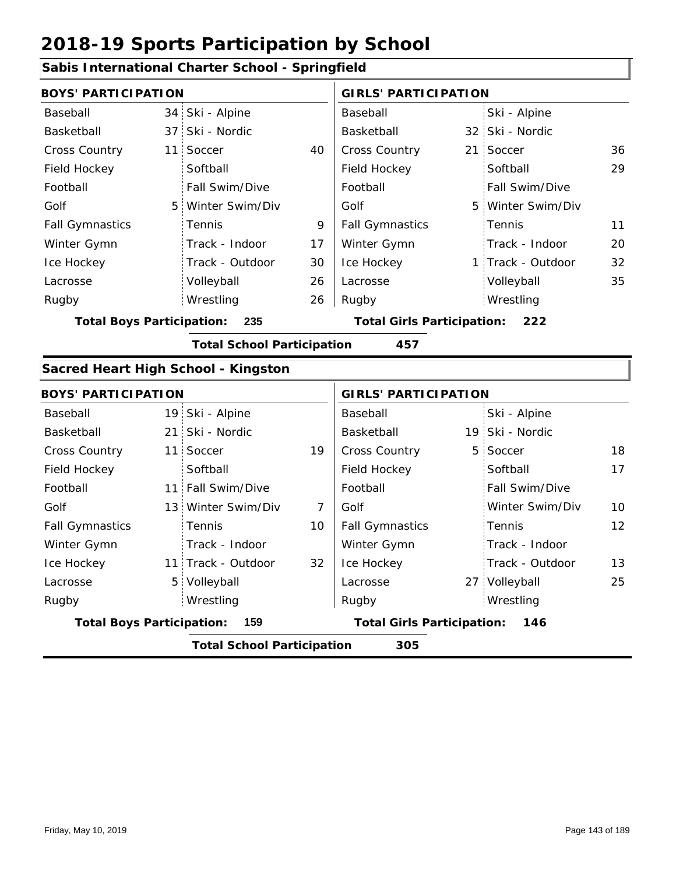|                                                                                     |                 | Sabis International Charter School - Springfield |                             |                                   |   |                   |    |
|-------------------------------------------------------------------------------------|-----------------|--------------------------------------------------|-----------------------------|-----------------------------------|---|-------------------|----|
| <b>BOYS' PARTICIPATION</b>                                                          |                 |                                                  | <b>GIRLS' PARTICIPATION</b> |                                   |   |                   |    |
| Baseball                                                                            |                 | 34 Ski - Alpine                                  |                             | Baseball                          |   | Ski - Alpine      |    |
| Basketball                                                                          | 37 <sup>2</sup> | Ski - Nordic                                     |                             | Basketball                        |   | 32 Ski - Nordic   |    |
| <b>Cross Country</b>                                                                | 11              | Soccer                                           | 40                          | Cross Country                     |   | 21 Soccer         | 36 |
| Field Hockey                                                                        |                 | Softball                                         |                             | Field Hockey                      |   | Softball          | 29 |
| Football                                                                            |                 | Fall Swim/Dive                                   |                             | Football                          |   | Fall Swim/Dive    |    |
| Golf                                                                                | 5 <sup>1</sup>  | Winter Swim/Div                                  |                             | Golf                              |   | 5 Winter Swim/Div |    |
| <b>Fall Gymnastics</b>                                                              |                 | Tennis                                           | 9                           | <b>Fall Gymnastics</b>            |   | Tennis            | 11 |
| Winter Gymn                                                                         |                 | Track - Indoor                                   | 17                          | Winter Gymn                       |   | Track - Indoor    | 20 |
| Ice Hockey                                                                          |                 | Track - Outdoor                                  | 30                          | Ice Hockey                        |   | 1 Track - Outdoor | 32 |
| Lacrosse                                                                            |                 | Volleyball                                       | 26                          | Lacrosse                          |   | Volleyball        | 35 |
| Rugby                                                                               |                 | Wrestling                                        | 26                          | Rugby                             |   | Wrestling         |    |
| <b>Total Boys Participation:</b><br>235<br><b>Total Girls Participation:</b><br>222 |                 |                                                  |                             |                                   |   |                   |    |
|                                                                                     |                 | <b>Total School Participation</b>                |                             | 457                               |   |                   |    |
| Sacred Heart High School - Kingston                                                 |                 |                                                  |                             |                                   |   |                   |    |
| <b>BOYS' PARTICIPATION</b>                                                          |                 |                                                  |                             | <b>GIRLS' PARTICIPATION</b>       |   |                   |    |
| Baseball                                                                            |                 | 19 Ski - Alpine                                  |                             | Baseball                          |   | Ski - Alpine      |    |
| Basketball                                                                          | 21:             | Ski - Nordic                                     |                             | Basketball                        |   | 19 Ski - Nordic   |    |
| Cross Country                                                                       | 11 <sup>1</sup> | Soccer                                           | 19                          | Cross Country                     | 5 | Soccer            | 18 |
| Field Hockey                                                                        |                 | Softball                                         |                             | Field Hockey                      |   | Softball          | 17 |
| Football                                                                            |                 | 11 Fall Swim/Dive                                |                             | Football                          |   | Fall Swim/Dive    |    |
| Golf                                                                                |                 | 13 Winter Swim/Div                               | $\overline{7}$              | Golf                              |   | Winter Swim/Div   | 10 |
| <b>Fall Gymnastics</b>                                                              |                 | Tennis                                           | 10                          | <b>Fall Gymnastics</b>            |   | Tennis            | 12 |
| Winter Gymn                                                                         |                 | Track - Indoor                                   |                             | Winter Gymn                       |   | Track - Indoor    |    |
| Ice Hockey                                                                          |                 | 11 Track - Outdoor                               | 32                          | Ice Hockey                        |   | Track - Outdoor   | 13 |
| Lacrosse                                                                            |                 | 5 Volleyball                                     |                             | Lacrosse                          |   | 27 Volleyball     | 25 |
| Rugby                                                                               |                 | Wrestling                                        |                             | Rugby                             |   | Wrestling         |    |
| <b>Total Boys Participation:</b>                                                    |                 | 159                                              |                             | <b>Total Girls Participation:</b> |   | 146               |    |
|                                                                                     |                 | <b>Total School Participation</b>                |                             | 305                               |   |                   |    |

#### **Sabis International Charter School - Springfield**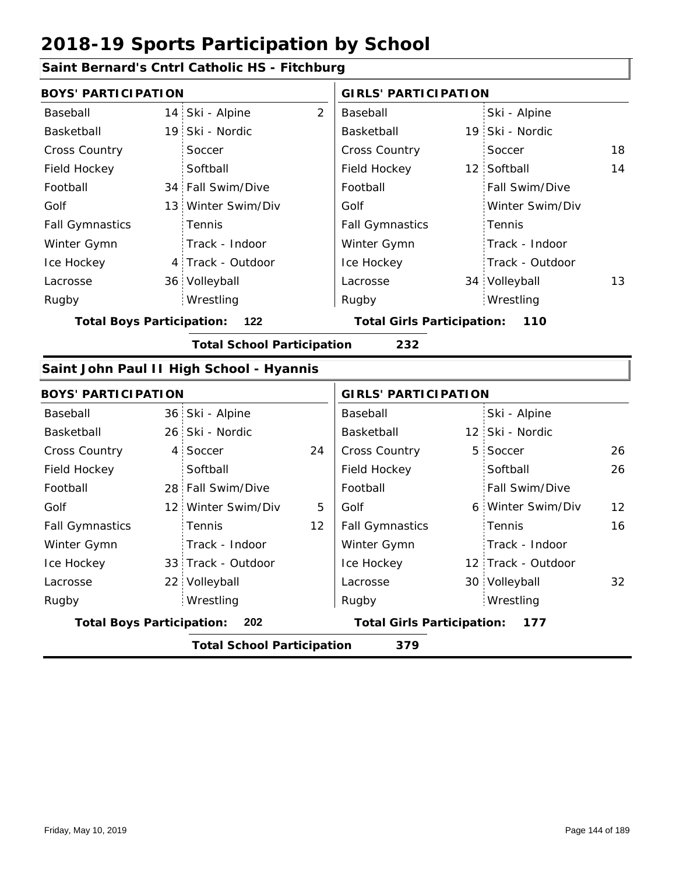### **Saint Bernard's Cntrl Catholic HS - Fitchburg**

| <b>BOYS' PARTICIPATION</b>       |                 |                                          | <b>GIRLS' PARTICIPATION</b> |                                          |  |                    |    |
|----------------------------------|-----------------|------------------------------------------|-----------------------------|------------------------------------------|--|--------------------|----|
| Baseball                         | 14 <sub>1</sub> | Ski - Alpine                             | $\overline{2}$              | Baseball                                 |  | Ski - Alpine       |    |
| Basketball                       |                 | 19 Ski - Nordic                          |                             | Basketball                               |  | 19 Ski - Nordic    |    |
| <b>Cross Country</b>             |                 | Soccer                                   |                             | Cross Country                            |  | Soccer             | 18 |
| Field Hockey                     |                 | Softball                                 |                             | Field Hockey                             |  | 12 Softball        | 14 |
| Football                         |                 | 34 Fall Swim/Dive                        |                             | Football                                 |  | Fall Swim/Dive     |    |
| Golf                             |                 | 13 Winter Swim/Div                       |                             | Golf                                     |  | Winter Swim/Div    |    |
| <b>Fall Gymnastics</b>           |                 | Tennis                                   |                             | <b>Fall Gymnastics</b>                   |  | Tennis             |    |
| Winter Gymn                      |                 | Track - Indoor                           |                             | Winter Gymn                              |  | Track - Indoor     |    |
| Ice Hockey                       |                 | 4 Track - Outdoor                        |                             | Ice Hockey                               |  | Track - Outdoor    |    |
| Lacrosse                         |                 | 36 Volleyball                            |                             | Lacrosse                                 |  | 34 Volleyball      | 13 |
| Rugby                            |                 | Wrestling                                |                             | Rugby                                    |  | Wrestling          |    |
| <b>Total Boys Participation:</b> |                 | 122                                      |                             | <b>Total Girls Participation:</b>        |  | 110                |    |
|                                  |                 | <b>Total School Participation</b>        |                             | 232                                      |  |                    |    |
|                                  |                 | Saint John Paul II High School - Hyannis |                             |                                          |  |                    |    |
| <b>BOYS' PARTICIPATION</b>       |                 |                                          |                             | <b>GIRLS' PARTICIPATION</b>              |  |                    |    |
| Baseball                         |                 | 36 Ski - Alpine                          |                             | Baseball                                 |  | Ski - Alpine       |    |
| Basketball                       |                 | 26 Ski - Nordic                          |                             | Basketball                               |  | 12 Ski - Nordic    |    |
| <b>Cross Country</b>             | 4:              | Soccer                                   | 24                          | Cross Country                            |  | 5 Soccer           | 26 |
| Field Hockey                     |                 | Softball                                 |                             | Field Hockey                             |  | Softball           | 26 |
| Football                         |                 | 28 Fall Swim/Dive                        |                             | Football                                 |  | Fall Swim/Dive     |    |
| Golf                             |                 | 12 Winter Swim/Div                       | 5                           | Golf                                     |  | 6 Winter Swim/Div  | 12 |
| <b>Fall Gymnastics</b>           |                 | Tennis                                   | 12                          | <b>Fall Gymnastics</b>                   |  | Tennis             | 16 |
| Winter Gymn                      |                 | Track - Indoor                           |                             | Winter Gymn                              |  | Track - Indoor     |    |
| Ice Hockey                       |                 | 33 Track - Outdoor                       |                             | Ice Hockey                               |  | 12 Track - Outdoor |    |
| Lacrosse                         |                 | 22 Volleyball                            |                             | Lacrosse                                 |  | 30 Volleyball      | 32 |
| Rugby                            |                 | Wrestling                                |                             | Rugby                                    |  | Wrestling          |    |
| <b>Total Boys Participation:</b> |                 | 202                                      |                             | <b>Total Girls Participation:</b><br>177 |  |                    |    |
|                                  |                 | <b>Total School Participation</b>        |                             | 379                                      |  |                    |    |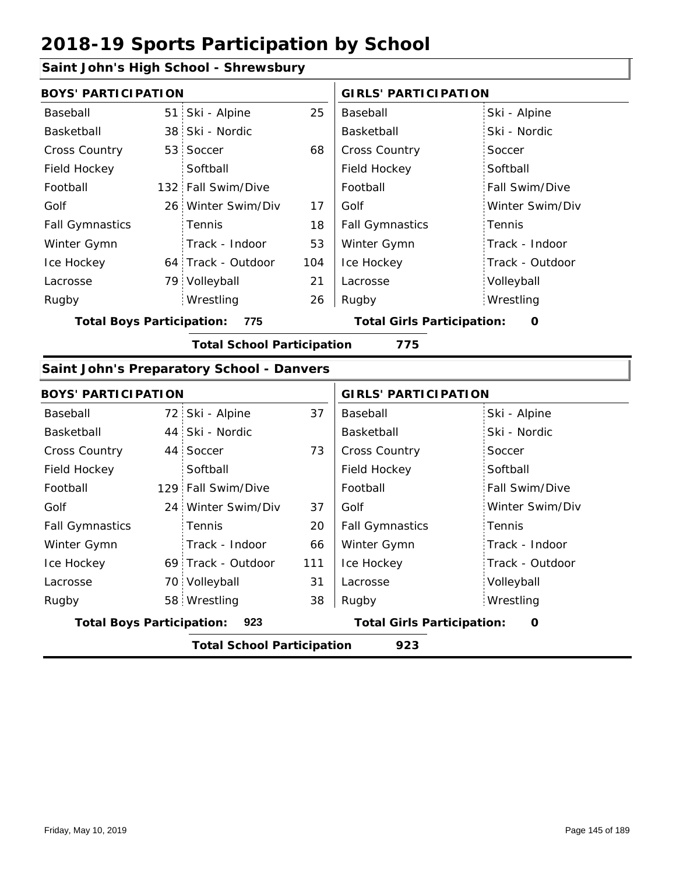## **Saint John's High School - Shrewsbury**

| <b>BOYS' PARTICIPATION</b>       |                                                  |     | <b>GIRLS' PARTICIPATION</b>            |                 |  |
|----------------------------------|--------------------------------------------------|-----|----------------------------------------|-----------------|--|
| Baseball                         | 51 Ski - Alpine                                  | 25  | Baseball                               | Ski - Alpine    |  |
| Basketball                       | 38 Ski - Nordic                                  |     | Basketball                             | Ski - Nordic    |  |
| Cross Country                    | 53 Soccer                                        | 68  | Cross Country                          | Soccer          |  |
| Field Hockey                     | Softball                                         |     | Field Hockey                           | Softball        |  |
| Football                         | 132 Fall Swim/Dive                               |     | Football                               | Fall Swim/Dive  |  |
| Golf                             | 26 Winter Swim/Div                               | 17  | Golf                                   | Winter Swim/Div |  |
| <b>Fall Gymnastics</b>           | Tennis                                           | 18  | <b>Fall Gymnastics</b>                 | Tennis          |  |
| Winter Gymn                      | Track - Indoor                                   | 53  | Winter Gymn                            | Track - Indoor  |  |
| Ice Hockey                       | 64 Track - Outdoor                               | 104 | Ice Hockey                             | Track - Outdoor |  |
| Lacrosse                         | 79 Volleyball                                    | 21  | Lacrosse                               | Volleyball      |  |
| Rugby                            | Wrestling                                        | 26  | Rugby                                  | Wrestling       |  |
| <b>Total Boys Participation:</b> | 775                                              |     | <b>Total Girls Participation:</b><br>O |                 |  |
|                                  | <b>Total School Participation</b>                |     | 775                                    |                 |  |
|                                  | <b>Saint John's Preparatory School - Danvers</b> |     |                                        |                 |  |
| <b>BOYS' PARTICIPATION</b>       |                                                  |     | <b>GIRLS' PARTICIPATION</b>            |                 |  |
| Baseball                         | 72 Ski - Alpine                                  | 37  | Baseball                               | Ski - Alpine    |  |
| Basketball                       | 44 Ski - Nordic                                  |     | Basketball                             | Ski - Nordic    |  |
| <b>Cross Country</b>             | 44 Soccer                                        | 73  | Cross Country                          | Soccer          |  |
| Field Hockey                     | Softhall                                         |     | Field Hockey                           | Softhall        |  |

| Field Hockey                     | Softball                          |     | Field Hockey                      | Softball              |
|----------------------------------|-----------------------------------|-----|-----------------------------------|-----------------------|
| Football                         | 129 Fall Swim/Dive                |     | Football                          | <b>Fall Swim/Dive</b> |
| Golf                             | 24 Winter Swim/Div                | 37  | Golf                              | Winter Swim/Div       |
| <b>Fall Gymnastics</b>           | Tennis                            | 20  | <b>Fall Gymnastics</b>            | Tennis                |
| Winter Gymn                      | Track - Indoor                    | 66  | Winter Gymn                       | Track - Indoor        |
| Ice Hockey                       | 69 Track - Outdoor                | 111 | Ice Hockey                        | Track - Outdoor       |
| Lacrosse                         | 70 Volleyball                     | 31  | Lacrosse                          | Volleyball            |
| Rugby                            | 58 Wrestling                      | 38  | Rugby                             | Wrestling             |
| <b>Total Boys Participation:</b> | 923                               |     | <b>Total Girls Participation:</b> | 0                     |
|                                  | <b>Total School Participation</b> |     | 923                               |                       |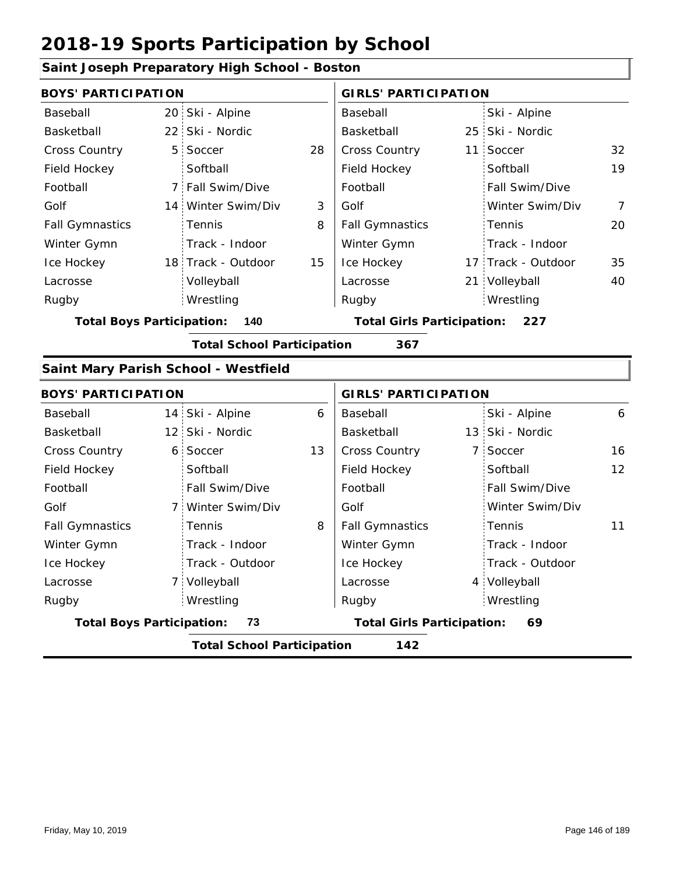|                                  | Saint Joseph Preparatory High School - Boston |    |                                   |  |                    |                |
|----------------------------------|-----------------------------------------------|----|-----------------------------------|--|--------------------|----------------|
| <b>BOYS' PARTICIPATION</b>       |                                               |    | <b>GIRLS' PARTICIPATION</b>       |  |                    |                |
| Baseball                         | 20 Ski - Alpine                               |    | Baseball                          |  | Ski - Alpine       |                |
| Basketball                       | 22 Ski - Nordic                               |    | Basketball                        |  | 25 Ski - Nordic    |                |
| <b>Cross Country</b>             | 5 Soccer                                      | 28 | Cross Country                     |  | 11 Soccer          | 32             |
| Field Hockey                     | Softball                                      |    | Field Hockey                      |  | Softball           | 19             |
| Football                         | 7 Fall Swim/Dive                              |    | Football                          |  | Fall Swim/Dive     |                |
| Golf                             | 14 Winter Swim/Div                            | 3  | Golf                              |  | Winter Swim/Div    | $\overline{7}$ |
| <b>Fall Gymnastics</b>           | Tennis                                        | 8  | <b>Fall Gymnastics</b>            |  | Tennis             | 20             |
| Winter Gymn                      | Track - Indoor                                |    | Winter Gymn                       |  | Track - Indoor     |                |
| Ice Hockey                       | 18 Track - Outdoor                            | 15 | Ice Hockey                        |  | 17 Track - Outdoor | 35             |
| Lacrosse                         | Volleyball                                    |    | Lacrosse                          |  | 21 Volleyball      | 40             |
| Rugby                            | Wrestling                                     |    | Rugby                             |  | Wrestling          |                |
| <b>Total Boys Participation:</b> | 140                                           |    | <b>Total Girls Participation:</b> |  | 227                |                |
|                                  | <b>Total School Participation</b>             |    | 367                               |  |                    |                |
|                                  | Saint Mary Parish School - Westfield          |    |                                   |  |                    |                |
| <b>BOYS' PARTICIPATION</b>       |                                               |    | <b>GIRLS' PARTICIPATION</b>       |  |                    |                |
| Baseball                         | 14 Ski - Alpine                               | 6  | Baseball                          |  | Ski - Alpine       | 6              |
| Basketball                       | 12 Ski - Nordic                               |    | Basketball                        |  | 13 Ski - Nordic    |                |
| <b>Cross Country</b>             | 6 Soccer                                      | 13 | Cross Country                     |  | 7 Soccer           | 16             |
| Field Hockey                     | Softball                                      |    | Field Hockey                      |  | Softball           | 12             |
| Football                         | Fall Swim/Dive                                |    | Football                          |  | Fall Swim/Dive     |                |
| Golf                             | 7 Winter Swim/Div                             |    | Golf                              |  | Winter Swim/Div    |                |
| <b>Fall Gymnastics</b>           | Tennis                                        | 8  | <b>Fall Gymnastics</b>            |  | Tennis             | 11             |
| Winter Gymn                      | Track - Indoor                                |    | Winter Gymn                       |  | Track - Indoor     |                |
|                                  | Track - Outdoor                               |    | Ice Hockey                        |  | Track - Outdoor    |                |
| Ice Hockey                       |                                               |    |                                   |  | 4 Volleyball       |                |
| Lacrosse                         | 7 Volleyball                                  |    | Lacrosse                          |  |                    |                |
| Rugby                            | Wrestling                                     |    | Rugby                             |  | Wrestling          |                |
| <b>Total Boys Participation:</b> | 73                                            |    | <b>Total Girls Participation:</b> |  | 69                 |                |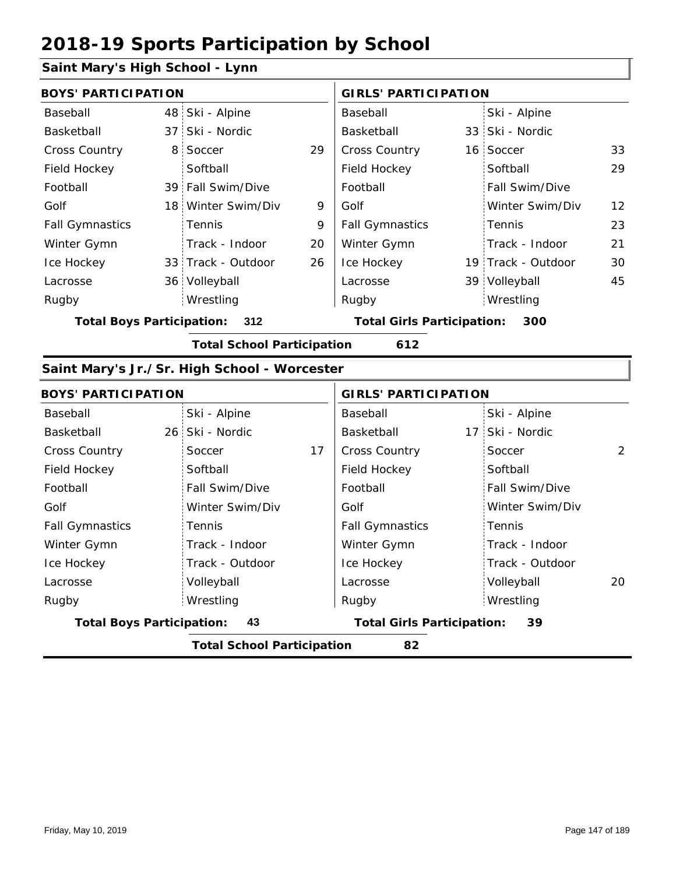#### **Saint Mary's High School - Lynn**

|                        | <b>BOYS' PARTICIPATION</b> |                    |    | <b>GIRLS' PARTICIPATION</b> |  |                       |                   |
|------------------------|----------------------------|--------------------|----|-----------------------------|--|-----------------------|-------------------|
| Baseball               |                            | 48 Ski - Alpine    |    | Baseball                    |  | Ski - Alpine          |                   |
| Basketball             |                            | 37 Ski - Nordic    |    | Basketball                  |  | 33 Ski - Nordic       |                   |
| <b>Cross Country</b>   |                            | 8 Soccer           | 29 | <b>Cross Country</b>        |  | 16 Soccer             | 33                |
| Field Hockey           |                            | Softball           |    | Field Hockey                |  | Softball              | 29                |
| Football               |                            | 39 Fall Swim/Dive  |    | Football                    |  | <b>Fall Swim/Dive</b> |                   |
| Golf                   |                            | 18 Winter Swim/Div | 9  | Golf                        |  | Winter Swim/Div       | $12 \overline{ }$ |
| <b>Fall Gymnastics</b> |                            | <b>Tennis</b>      | 9  | <b>Fall Gymnastics</b>      |  | Tennis                | 23                |
| Winter Gymn            |                            | Track - Indoor     | 20 | Winter Gymn                 |  | Track - Indoor        | 21                |
| Ice Hockey             |                            | 33 Track - Outdoor | 26 | Ice Hockey                  |  | 19 Track - Outdoor    | 30                |
| Lacrosse               |                            | 36 Volleyball      |    | Lacrosse                    |  | 39 Volleyball         | 45                |
| Rugby                  |                            | Wrestling          |    | Rugby                       |  | Wrestling             |                   |

**Total Boys Participation: 312 Total Girls Participation: 300**

**Total School Participation 612**

#### **Saint Mary's Jr./Sr. High School - Worcester**

| <b>BOYS' PARTICIPATION</b>       |                                   | <b>GIRLS' PARTICIPATION</b>             |                       |  |  |
|----------------------------------|-----------------------------------|-----------------------------------------|-----------------------|--|--|
| Baseball                         | Ski - Alpine                      | Baseball                                | Ski - Alpine          |  |  |
| Basketball                       | 26 Ski - Nordic                   | Basketball                              | 17 Ski - Nordic       |  |  |
| <b>Cross Country</b>             | 17<br>Soccer                      | <b>Cross Country</b>                    | 2<br>Soccer           |  |  |
| Field Hockey                     | Softball                          | Field Hockey                            | Softball              |  |  |
| Football                         | Fall Swim/Dive                    | Football                                | <b>Fall Swim/Dive</b> |  |  |
| Golf                             | Winter Swim/Div                   | Golf                                    | Winter Swim/Div       |  |  |
| <b>Fall Gymnastics</b>           | Tennis                            | <b>Fall Gymnastics</b>                  | Tennis                |  |  |
| Winter Gymn                      | Track - Indoor                    | Winter Gymn                             | Track - Indoor        |  |  |
| Ice Hockey                       | Track - Outdoor                   | Ice Hockey                              | Track - Outdoor       |  |  |
| Lacrosse                         | Volleyball                        | Lacrosse                                | Volleyball<br>20      |  |  |
| Rugby                            | Wrestling                         | Rugby                                   | Wrestling             |  |  |
| <b>Total Boys Participation:</b> | 43                                | <b>Total Girls Participation:</b><br>39 |                       |  |  |
|                                  | <b>Total School Participation</b> | 82                                      |                       |  |  |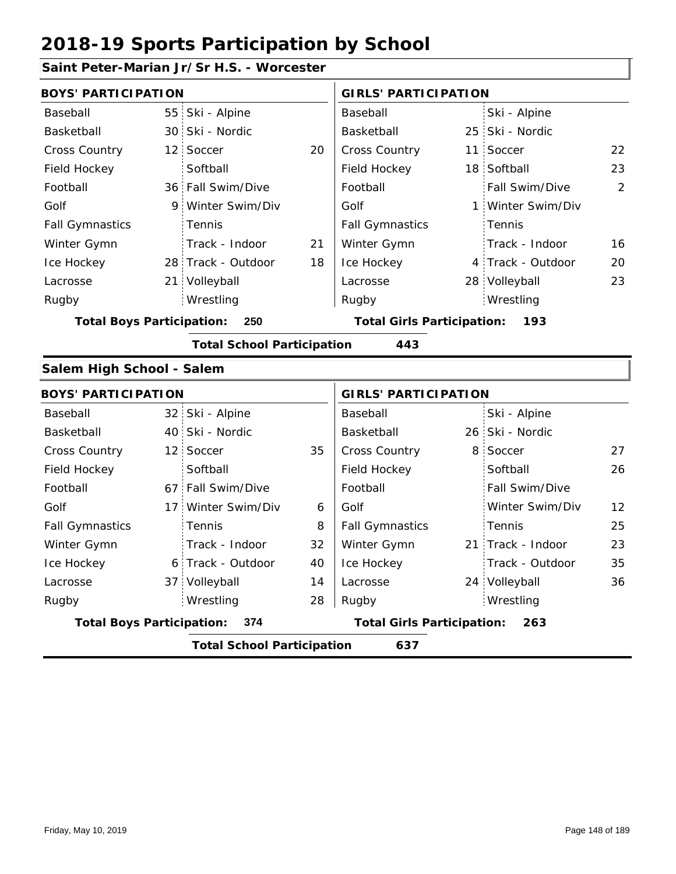## **Saint Peter-Marian Jr/Sr H.S. - Worcester**

| <b>BOYS' PARTICIPATION</b>       |                                   |    | <b>GIRLS' PARTICIPATION</b>       |   |                   |    |
|----------------------------------|-----------------------------------|----|-----------------------------------|---|-------------------|----|
| Baseball                         | 55 Ski - Alpine                   |    | Baseball                          |   | Ski - Alpine      |    |
| Basketball                       | 30 Ski - Nordic                   |    | Basketball                        |   | 25 Ski - Nordic   |    |
| Cross Country                    | 12 Soccer                         | 20 | Cross Country                     |   | 11 Soccer         | 22 |
| Field Hockey                     | Softball                          |    | Field Hockey                      |   | 18 Softball       | 23 |
| Football                         | 36 Fall Swim/Dive                 |    | Football                          |   | Fall Swim/Dive    | 2  |
| Golf                             | 9 Winter Swim/Div                 |    | Golf                              | 1 | Winter Swim/Div   |    |
| <b>Fall Gymnastics</b>           | Tennis                            |    | <b>Fall Gymnastics</b>            |   | Tennis            |    |
| Winter Gymn                      | Track - Indoor                    | 21 | Winter Gymn                       |   | Track - Indoor    | 16 |
| Ice Hockey                       | 28 Track - Outdoor                | 18 | Ice Hockey                        |   | 4 Track - Outdoor | 20 |
| Lacrosse                         | 21 Volleyball                     |    | Lacrosse                          |   | 28 Volleyball     | 23 |
| Rugby                            | Wrestling                         |    | Rugby                             |   | Wrestling         |    |
| <b>Total Boys Participation:</b> | 250                               |    | <b>Total Girls Participation:</b> |   | 193               |    |
|                                  | <b>Total School Participation</b> |    | 443                               |   |                   |    |
| Salem High School - Salem        |                                   |    |                                   |   |                   |    |
| <b>BOYS' PARTICIPATION</b>       |                                   |    | <b>GIRLS' PARTICIPATION</b>       |   |                   |    |
| Baseball                         | 32 Ski - Alpine                   |    | Baseball                          |   | Ski - Alpine      |    |
| Basketball                       | 40 Ski - Nordic                   |    | Basketball                        |   | 26 Ski - Nordic   |    |
| <b>Cross Country</b>             | 12 Soccer                         | 35 | Cross Country                     | 8 | Soccer            | 27 |
| Field Hockey                     | Softball                          |    | Field Hockey                      |   | Softball          | 26 |
| Football                         | 67 Fall Swim/Dive                 |    | Football                          |   | Fall Swim/Dive    |    |
| Golf                             | 17 Winter Swim/Div                | 6  | Golf                              |   | Winter Swim/Div   | 12 |
| <b>Fall Gymnastics</b>           | Tennis                            | 8  | <b>Fall Gymnastics</b>            |   | Tennis            | 25 |
| Winter Gymn                      | Track - Indoor                    | 32 | Winter Gymn                       |   | 21 Track - Indoor | 23 |
| Ice Hockey                       | 6 Track - Outdoor                 | 40 | Ice Hockey                        |   | Track - Outdoor   | 35 |
| Lacrosse                         | 37 Volleyball                     | 14 | Lacrosse                          |   | 24 Volleyball     | 36 |
| Rugby                            | Wrestling                         | 28 | Rugby                             |   | Wrestling         |    |
| <b>Total Boys Participation:</b> | 374                               |    | <b>Total Girls Participation:</b> |   | 263               |    |
|                                  | <b>Total School Participation</b> |    | 637                               |   |                   |    |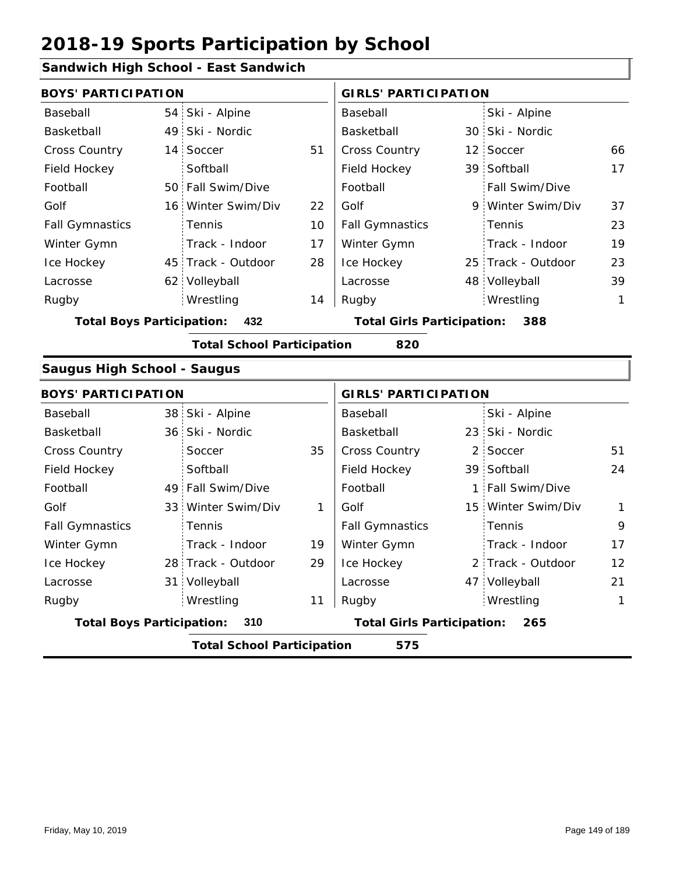## **Sandwich High School - East Sandwich**

| anawion nigh oonoon                |                 |                                   |    |                                   |   |                    |              |
|------------------------------------|-----------------|-----------------------------------|----|-----------------------------------|---|--------------------|--------------|
| <b>BOYS' PARTICIPATION</b>         |                 |                                   |    | <b>GIRLS' PARTICIPATION</b>       |   |                    |              |
| Baseball                           | 54 <sup>1</sup> | Ski - Alpine                      |    | Baseball                          |   | Ski - Alpine       |              |
| Basketball                         | 49:             | Ski - Nordic                      |    | Basketball                        |   | 30 Ski - Nordic    |              |
| <b>Cross Country</b>               | 14:             | Soccer                            | 51 | Cross Country                     |   | 12 Soccer          | 66           |
| Field Hockey                       |                 | Softball                          |    | Field Hockey                      |   | 39 Softball        | 17           |
| Football                           |                 | 50 Fall Swim/Dive                 |    | Football                          |   | Fall Swim/Dive     |              |
| Golf                               | 16:             | Winter Swim/Div                   | 22 | Golf                              |   | 9 Winter Swim/Div  | 37           |
| <b>Fall Gymnastics</b>             |                 | Tennis                            | 10 | <b>Fall Gymnastics</b>            |   | Tennis             | 23           |
| Winter Gymn                        |                 | Track - Indoor                    | 17 | Winter Gymn                       |   | Track - Indoor     | 19           |
| Ice Hockey                         | 45              | Track - Outdoor                   | 28 | Ice Hockey                        |   | 25 Track - Outdoor | 23           |
| Lacrosse                           |                 | 62 Volleyball                     |    | Lacrosse                          |   | 48 Volleyball      | 39           |
| Rugby                              |                 | Wrestling                         | 14 | Rugby                             |   | Wrestling          | $\mathbf{1}$ |
| <b>Total Boys Participation:</b>   |                 | 432                               |    | <b>Total Girls Participation:</b> |   | 388                |              |
|                                    |                 | <b>Total School Participation</b> |    | 820                               |   |                    |              |
| <b>Saugus High School - Saugus</b> |                 |                                   |    |                                   |   |                    |              |
| <b>BOYS' PARTICIPATION</b>         |                 |                                   |    | <b>GIRLS' PARTICIPATION</b>       |   |                    |              |
| Baseball                           |                 | 38 Ski - Alpine                   |    | Baseball                          |   | Ski - Alpine       |              |
| Basketball                         |                 | 36 Ski - Nordic                   |    | Basketball                        |   | 23 Ski - Nordic    |              |
| Cross Country                      |                 | Soccer                            | 35 | Cross Country                     | 2 | Soccer             | 51           |
| Field Hockey                       |                 | Softball                          |    | Field Hockey                      |   | 39 Softball        | 24           |
| Football                           |                 | 49 Fall Swim/Dive                 |    | Football                          |   | 1 Fall Swim/Dive   |              |
| Golf                               | 33 <sup>1</sup> | Winter Swim/Div                   | 1  | Golf                              |   | 15 Winter Swim/Div | $\mathbf{1}$ |
| <b>Fall Gymnastics</b>             |                 | Tennis                            |    | <b>Fall Gymnastics</b>            |   | Tennis             | 9            |
| Winter Gymn                        |                 | Track - Indoor                    | 19 | Winter Gymn                       |   | Track - Indoor     | 17           |
| Ice Hockey                         |                 | 28 Track - Outdoor                | 29 | Ice Hockey                        |   | 2 Track - Outdoor  | 12           |
| Lacrosse                           | 31              | Volleyball                        |    | Lacrosse                          |   | 47 Volleyball      | 21           |
| Rugby                              |                 | Wrestling                         | 11 | Rugby                             |   | Wrestling          | $\mathbf{1}$ |

**Total Boys Participation: 310 Total Girls Participation: 265**

**Total School Participation 575**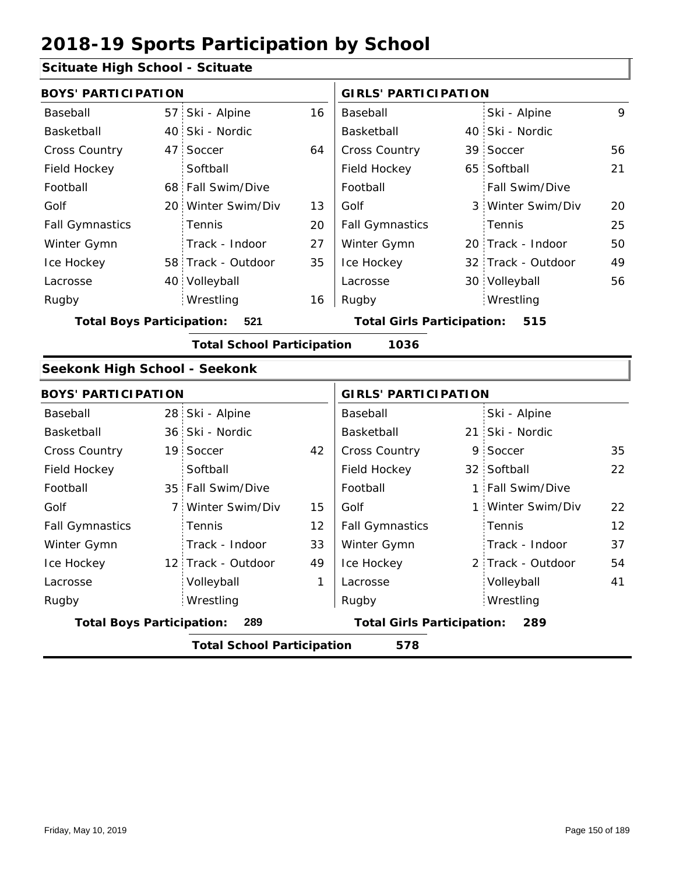## **Scituate High School - Scituate**

| Schuald Thyn School - Schuald    |                |                                   |    |                                   |                |                    |    |
|----------------------------------|----------------|-----------------------------------|----|-----------------------------------|----------------|--------------------|----|
| <b>BOYS' PARTICIPATION</b>       |                |                                   |    | <b>GIRLS' PARTICIPATION</b>       |                |                    |    |
| Baseball                         |                | 57 Ski - Alpine                   | 16 | Baseball                          |                | Ski - Alpine       | 9  |
| Basketball                       |                | 40 Ski - Nordic                   |    | Basketball                        |                | 40 Ski - Nordic    |    |
| <b>Cross Country</b>             |                | 47 Soccer                         | 64 | <b>Cross Country</b>              |                | 39 Soccer          | 56 |
| Field Hockey                     |                | Softball                          |    | Field Hockey                      |                | 65 Softball        | 21 |
| Football                         |                | 68 Fall Swim/Dive                 |    | Football                          |                | Fall Swim/Dive     |    |
| Golf                             |                | 20 Winter Swim/Div                | 13 | Golf                              |                | 3 Winter Swim/Div  | 20 |
| <b>Fall Gymnastics</b>           |                | Tennis                            | 20 | <b>Fall Gymnastics</b>            |                | Tennis             | 25 |
| Winter Gymn                      |                | Track - Indoor                    | 27 | Winter Gymn                       |                | 20 Track - Indoor  | 50 |
| Ice Hockey                       |                | 58 Track - Outdoor                | 35 | Ice Hockey                        |                | 32 Track - Outdoor | 49 |
| Lacrosse                         |                | 40 Volleyball                     |    | Lacrosse                          |                | 30 Volleyball      | 56 |
| Rugby                            |                | Wrestling                         | 16 | Rugby                             |                | Wrestling          |    |
| <b>Total Boys Participation:</b> |                | 521                               |    | <b>Total Girls Participation:</b> |                | 515                |    |
|                                  |                | <b>Total School Participation</b> |    | 1036                              |                |                    |    |
| Seekonk High School - Seekonk    |                |                                   |    |                                   |                |                    |    |
| <b>BOYS' PARTICIPATION</b>       |                |                                   |    | <b>GIRLS' PARTICIPATION</b>       |                |                    |    |
| Baseball                         |                | 28 Ski - Alpine                   |    | Baseball                          |                | Ski - Alpine       |    |
| Basketball                       |                | 36 Ski - Nordic                   |    | Basketball                        |                | 21 Ski - Nordic    |    |
| <b>Cross Country</b>             |                | 19 Soccer                         | 42 | <b>Cross Country</b>              |                | 9 Soccer           | 35 |
| Field Hockey                     |                | Softball                          |    | Field Hockey                      |                | 32 Softball        | 22 |
| Football                         |                | 35 Fall Swim/Dive                 |    | Football                          | 1 <sup>1</sup> | Fall Swim/Dive     |    |
| Golf                             | 7 <sup>1</sup> | Winter Swim/Div                   | 15 | Golf                              |                | 1 Winter Swim/Div  | 22 |
| <b>Fall Gymnastics</b>           |                | Tennis                            | 12 | <b>Fall Gymnastics</b>            |                | Tennis             | 12 |

|                                  | <b>Total School Participation</b> |    | 578                               |                   |
|----------------------------------|-----------------------------------|----|-----------------------------------|-------------------|
| <b>Total Boys Participation:</b> | 289                               |    | <b>Total Girls Participation:</b> | 289               |
| Rugby                            | Wrestling                         |    | Rugby                             | Wrestling         |
| Lacrosse                         | Volleyball                        |    | Lacrosse                          | Volleyball        |
| Ice Hockey                       | 12 Track - Outdoor                | 49 | Ice Hockey                        | 2 Track - Outdoor |
| Winter Gymn                      | Track - Indoor                    | 33 | Winter Gymn                       | Track - Indoor    |
| <b>Fall Gymnastics</b>           | Tennis                            | 12 | <b>Fall Gymnastics</b>            | Tennis            |
| Golf                             | 7 Winter Swim/Div                 | 15 | Golf                              | 1 Winter Swim/Div |
|                                  |                                   |    |                                   |                   |

37 54

41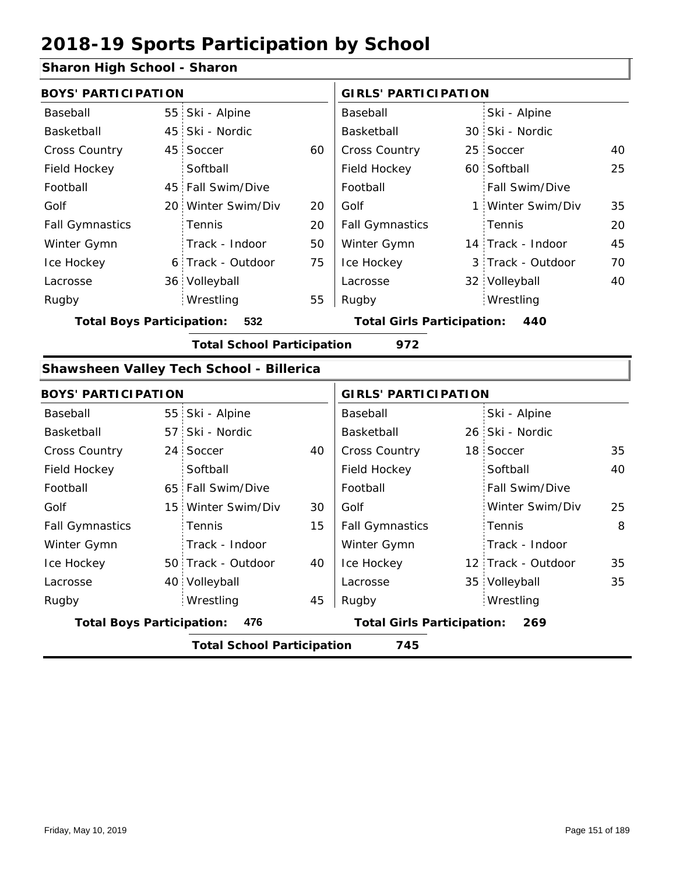### **Sharon High School - Sharon**

| <b>BOYS' PARTICIPATION</b>       |                                                 |    | <b>GIRLS' PARTICIPATION</b>       |  |                   |    |
|----------------------------------|-------------------------------------------------|----|-----------------------------------|--|-------------------|----|
| Baseball                         | 55 Ski - Alpine                                 |    | Baseball                          |  | Ski - Alpine      |    |
| Basketball                       | 45 Ski - Nordic                                 |    | Basketball                        |  | 30 Ski - Nordic   |    |
| <b>Cross Country</b>             | 45 Soccer                                       | 60 | <b>Cross Country</b>              |  | 25 Soccer         | 40 |
| Field Hockey                     | Softball                                        |    | Field Hockey                      |  | 60 Softball       | 25 |
| Football                         | 45 Fall Swim/Dive                               |    | Football                          |  | Fall Swim/Dive    |    |
| Golf                             | 20 Winter Swim/Div                              | 20 | Golf                              |  | 1 Winter Swim/Div | 35 |
| <b>Fall Gymnastics</b>           | <b>Tennis</b>                                   | 20 | <b>Fall Gymnastics</b>            |  | Tennis            | 20 |
| Winter Gymn                      | Track - Indoor                                  | 50 | Winter Gymn                       |  | 14 Track - Indoor | 45 |
| Ice Hockey                       | 6 Track - Outdoor                               | 75 | Ice Hockey                        |  | 3 Track - Outdoor | 70 |
| Lacrosse                         | 36 Volleyball                                   |    | Lacrosse                          |  | 32 Volleyball     | 40 |
| Rugby                            | Wrestling                                       | 55 | Rugby                             |  | Wrestling         |    |
| <b>Total Boys Participation:</b> | 532                                             |    | <b>Total Girls Participation:</b> |  | 440               |    |
|                                  | <b>Total School Participation</b>               |    | 972                               |  |                   |    |
|                                  | <b>Shawsheen Valley Tech School - Billerica</b> |    |                                   |  |                   |    |
|                                  |                                                 |    |                                   |  |                   |    |

| <b>BOYS' PARTICIPATION</b>       |                                   |    | <b>GIRLS' PARTICIPATION</b>              |  |                    |    |
|----------------------------------|-----------------------------------|----|------------------------------------------|--|--------------------|----|
| Baseball                         | 55 Ski - Alpine                   |    | Baseball                                 |  | Ski - Alpine       |    |
| Basketball                       | 57 Ski - Nordic                   |    | Basketball                               |  | 26 Ski - Nordic    |    |
| <b>Cross Country</b>             | 24 Soccer                         | 40 | <b>Cross Country</b>                     |  | 18 Soccer          | 35 |
| Field Hockey                     | Softball                          |    | Field Hockey                             |  | Softball           | 40 |
| Football                         | 65 Fall Swim/Dive                 |    | Football                                 |  | Fall Swim/Dive     |    |
| Golf                             | 15 Winter Swim/Div                | 30 | Golf                                     |  | Winter Swim/Div    | 25 |
| <b>Fall Gymnastics</b>           | Tennis                            | 15 | <b>Fall Gymnastics</b>                   |  | Tennis             | 8  |
| Winter Gymn                      | Track - Indoor                    |    | Winter Gymn                              |  | Track - Indoor     |    |
| Ice Hockey                       | 50 Track - Outdoor                | 40 | Ice Hockey                               |  | 12 Track - Outdoor | 35 |
| Lacrosse                         | 40 Volleyball                     |    | Lacrosse                                 |  | 35 Volleyball      | 35 |
| Rugby                            | Wrestling                         | 45 | Rugby                                    |  | Wrestling          |    |
| <b>Total Boys Participation:</b> | 476                               |    | <b>Total Girls Participation:</b><br>269 |  |                    |    |
|                                  | <b>Total School Participation</b> |    | 745                                      |  |                    |    |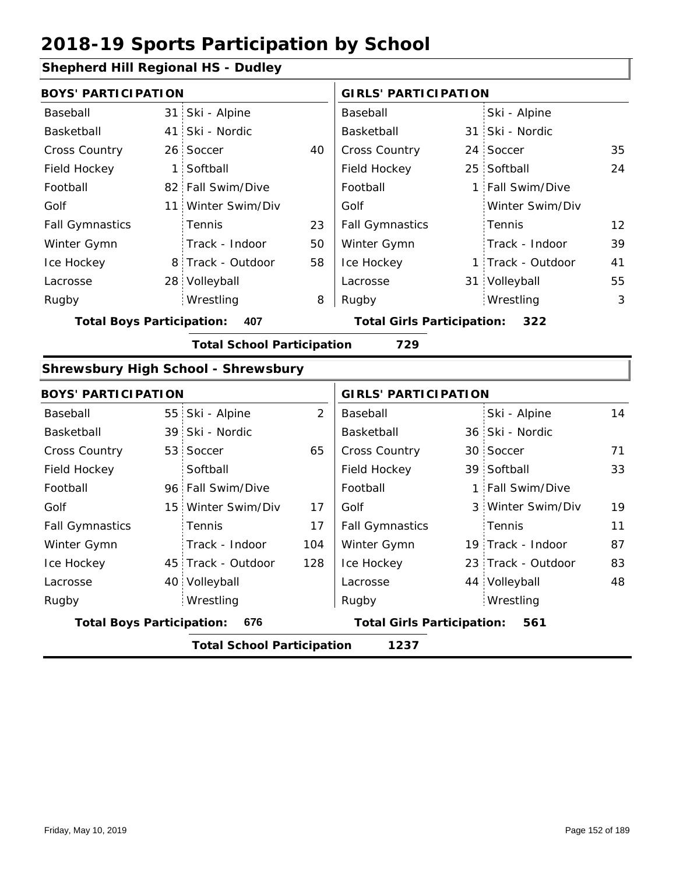45 Track - Outdoor

40 Volleyball

Wrestling Rugby Rugby

### **Shepherd Hill Regional HS - Dudley**

|                            |                                            |                                                                                                                                                                   | <b>GIRLS' PARTICIPATION</b> |  |                   |                                                                                                                                                         |
|----------------------------|--------------------------------------------|-------------------------------------------------------------------------------------------------------------------------------------------------------------------|-----------------------------|--|-------------------|---------------------------------------------------------------------------------------------------------------------------------------------------------|
|                            | Ski - Alpine                               |                                                                                                                                                                   | Baseball                    |  | Ski - Alpine      |                                                                                                                                                         |
|                            | Ski - Nordic                               |                                                                                                                                                                   | Basketball                  |  |                   |                                                                                                                                                         |
|                            | Soccer                                     | 40                                                                                                                                                                | Cross Country               |  |                   | 35                                                                                                                                                      |
|                            | Softball                                   |                                                                                                                                                                   | Field Hockey                |  |                   | 24                                                                                                                                                      |
|                            |                                            |                                                                                                                                                                   | Football                    |  |                   |                                                                                                                                                         |
|                            | Winter Swim/Div                            |                                                                                                                                                                   | Golf                        |  | Winter Swim/Div   |                                                                                                                                                         |
|                            | Tennis                                     | 23                                                                                                                                                                | <b>Fall Gymnastics</b>      |  | Tennis            | 12                                                                                                                                                      |
|                            | Track - Indoor                             | 50                                                                                                                                                                | Winter Gymn                 |  | Track - Indoor    | 39                                                                                                                                                      |
|                            |                                            | 58                                                                                                                                                                | Ice Hockey                  |  |                   | 41                                                                                                                                                      |
|                            | Volleyball                                 |                                                                                                                                                                   | Lacrosse                    |  |                   | 55                                                                                                                                                      |
|                            | Wrestling                                  | 8                                                                                                                                                                 | Rugby                       |  |                   | 3                                                                                                                                                       |
|                            | 407                                        |                                                                                                                                                                   |                             |  | 322               |                                                                                                                                                         |
|                            |                                            |                                                                                                                                                                   |                             |  |                   |                                                                                                                                                         |
|                            | <b>Total School Participation</b>          |                                                                                                                                                                   | 729                         |  |                   |                                                                                                                                                         |
|                            | <b>Shrewsbury High School - Shrewsbury</b> |                                                                                                                                                                   |                             |  |                   |                                                                                                                                                         |
| <b>BOYS' PARTICIPATION</b> |                                            |                                                                                                                                                                   | <b>GIRLS' PARTICIPATION</b> |  |                   |                                                                                                                                                         |
| 55:                        | Ski - Alpine                               | 2                                                                                                                                                                 | Baseball                    |  | Ski - Alpine      | 14                                                                                                                                                      |
| 39                         | Ski - Nordic                               |                                                                                                                                                                   | Basketball                  |  | 36 Ski - Nordic   |                                                                                                                                                         |
| 53                         | Soccer                                     | 65                                                                                                                                                                | Cross Country               |  | 30 Soccer         | 71                                                                                                                                                      |
|                            | Softball                                   |                                                                                                                                                                   | Field Hockey                |  | 39 Softball       | 33                                                                                                                                                      |
|                            | 96 Fall Swim/Dive                          |                                                                                                                                                                   | Football                    |  | 1 Fall Swim/Dive  |                                                                                                                                                         |
| 15                         | Winter Swim/Div                            | 17                                                                                                                                                                | Golf                        |  | 3 Winter Swim/Div | 19                                                                                                                                                      |
|                            | Tennis                                     | 17                                                                                                                                                                | <b>Fall Gymnastics</b>      |  | Tennis            | 11                                                                                                                                                      |
|                            | $\mathbf{1}$                               | <b>BOYS' PARTICIPATION</b><br>31<br>41<br>26 <sup>1</sup><br>82 Fall Swim/Dive<br>11 <sup>1</sup><br>8 Track - Outdoor<br>28:<br><b>Total Boys Participation:</b> |                             |  |                   | 31 Ski - Nordic<br>24 Soccer<br>25 Softball<br>1 Fall Swim/Dive<br>1 Track - Outdoor<br>31 Volleyball<br>Wrestling<br><b>Total Girls Participation:</b> |

128

**Total Boys Participation: 676 Total Girls Participation: 561**

**Total School Participation 1237**

Ice Hockey Lacrosse

Ice Hockey Lacrosse

83

23 Track - Outdoor

Wrestling

44 Volleyball 48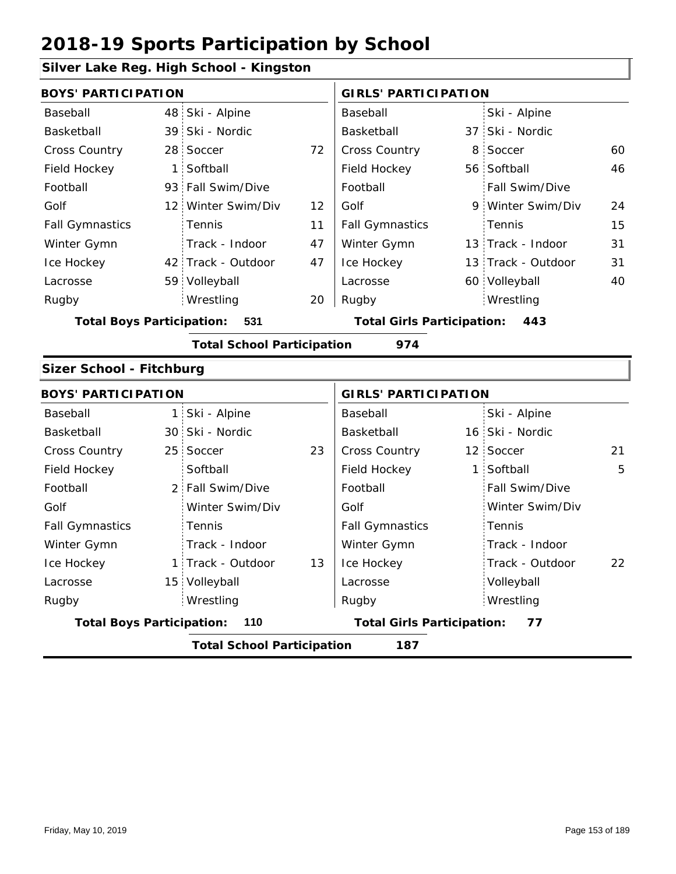## **Silver Lake Reg. High School - Kingston**

| onver Lane neg. mga benoor       |                                          |                    |    |                                   |   |                    |    |  |  |
|----------------------------------|------------------------------------------|--------------------|----|-----------------------------------|---|--------------------|----|--|--|
| <b>BOYS' PARTICIPATION</b>       |                                          |                    |    | <b>GIRLS' PARTICIPATION</b>       |   |                    |    |  |  |
| Baseball                         | 48                                       | Ski - Alpine       |    | Baseball                          |   | Ski - Alpine       |    |  |  |
| Basketball                       | 39                                       | Ski - Nordic       |    | Basketball                        |   | 37 Ski - Nordic    |    |  |  |
| <b>Cross Country</b>             | 28 <sup>1</sup>                          | Soccer             | 72 | Cross Country                     | 8 | Soccer             | 60 |  |  |
| Field Hockey                     | $\mathbf{1}$                             | Softball           |    | Field Hockey                      |   | 56 Softball        | 46 |  |  |
| Football                         | 93                                       | Fall Swim/Dive     |    | Football                          |   | Fall Swim/Dive     |    |  |  |
| Golf                             | 12 <sup>1</sup>                          | Winter Swim/Div    | 12 | Golf                              |   | 9 Winter Swim/Div  | 24 |  |  |
| <b>Fall Gymnastics</b>           |                                          | Tennis             | 11 | <b>Fall Gymnastics</b>            |   | Tennis             | 15 |  |  |
| Winter Gymn                      |                                          | Track - Indoor     | 47 | Winter Gymn                       |   | 13 Track - Indoor  | 31 |  |  |
| Ice Hockey                       |                                          | 42 Track - Outdoor | 47 | Ice Hockey                        |   | 13 Track - Outdoor | 31 |  |  |
| Lacrosse                         |                                          | 59 Volleyball      |    | Lacrosse                          |   | 60 Volleyball      | 40 |  |  |
| Rugby                            |                                          | Wrestling          | 20 | Rugby                             |   | Wrestling          |    |  |  |
| <b>Total Boys Participation:</b> |                                          | 531                |    | <b>Total Girls Participation:</b> |   | 443                |    |  |  |
|                                  | <b>Total School Participation</b><br>974 |                    |    |                                   |   |                    |    |  |  |
| Sizer School - Fitchburg         |                                          |                    |    |                                   |   |                    |    |  |  |
| <b>BOYS' PARTICIPATION</b>       |                                          |                    |    | <b>GIRLS' PARTICIPATION</b>       |   |                    |    |  |  |
| Baseball                         | $\mathbf{1}$                             | Ski - Alpine       |    | Baseball                          |   | Ski - Alpine       |    |  |  |
| Basketball                       | 30 <sup>1</sup>                          | Ski - Nordic       |    | Basketball                        |   | 16 Ski - Nordic    |    |  |  |
| <b>Cross Country</b>             | 25                                       | Soccer             | 23 | Cross Country                     |   | 12 Soccer          | 21 |  |  |
| Field Hockey                     |                                          | Softball           |    | Field Hockey                      |   | 1 Softball         | 5  |  |  |
| Football                         | 2 <sup>1</sup>                           | Fall Swim/Dive     |    | Football                          |   | Fall Swim/Dive     |    |  |  |
| Golf                             |                                          | Winter Swim/Div    |    | Golf                              |   | Winter Swim/Div    |    |  |  |
| <b>Fall Gymnastics</b>           |                                          | Tennis             |    | <b>Fall Gymnastics</b>            |   | Tennis             |    |  |  |
| Winter Gymn                      |                                          | Track - Indoor     |    | Winter Gymn                       |   | Track - Indoor     |    |  |  |
| Ice Hockey                       | 1                                        | Track - Outdoor    | 13 | Ice Hockey                        |   | Track - Outdoor    | 22 |  |  |
| Lacrosse                         | 15                                       | Volleyball         |    | Lacrosse                          |   | Volleyball         |    |  |  |
| Rugby                            |                                          | Wrestling          |    | Rugby                             |   | Wrestling          |    |  |  |

**Total Boys Participation: 110 Total Girls Participation: 77**

**Total School Participation 187**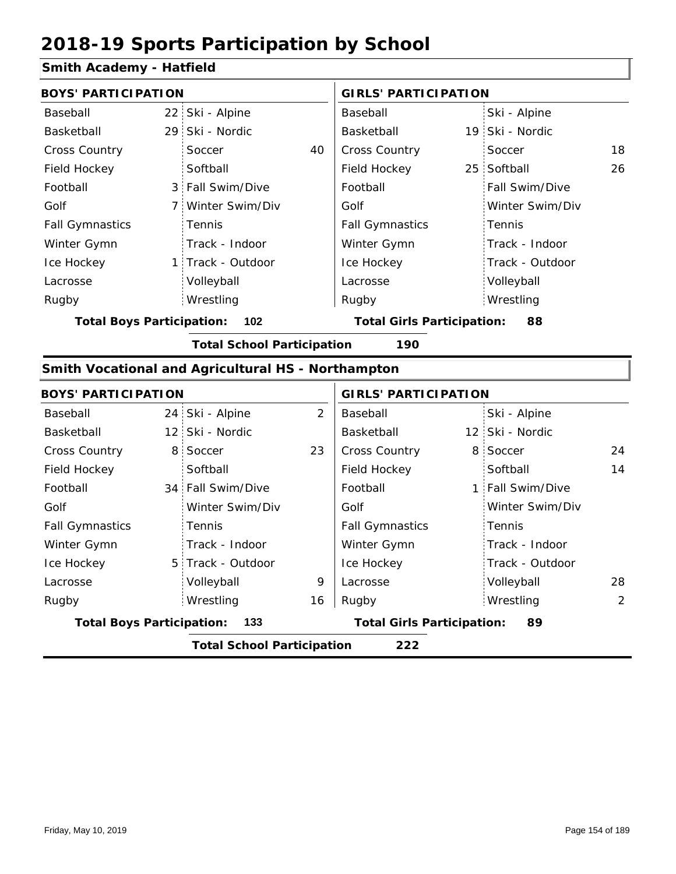#### **Smith Academy - Hatfield**

| <b>BOYS' PARTICIPATION</b>       |                |                                                    |                | <b>GIRLS' PARTICIPATION</b>       |  |                  |    |
|----------------------------------|----------------|----------------------------------------------------|----------------|-----------------------------------|--|------------------|----|
| Baseball                         |                | 22 Ski - Alpine                                    |                | Baseball                          |  | Ski - Alpine     |    |
| Basketball                       |                | 29 Ski - Nordic                                    |                | Basketball                        |  | 19 Ski - Nordic  |    |
| <b>Cross Country</b>             |                | Soccer                                             | 40             | Cross Country                     |  | Soccer           | 18 |
| Field Hockey                     |                | Softball                                           |                | Field Hockey                      |  | 25 Softball      | 26 |
| Football                         |                | 3 Fall Swim/Dive                                   |                | Football                          |  | Fall Swim/Dive   |    |
| Golf                             |                | 7 Winter Swim/Div                                  |                | Golf                              |  | Winter Swim/Div  |    |
| <b>Fall Gymnastics</b>           |                | Tennis                                             |                | <b>Fall Gymnastics</b>            |  | Tennis           |    |
| Winter Gymn                      |                | Track - Indoor                                     |                | Winter Gymn                       |  | Track - Indoor   |    |
| Ice Hockey                       |                | 1 Track - Outdoor                                  |                | Ice Hockey                        |  | Track - Outdoor  |    |
| Lacrosse                         |                | Volleyball                                         |                | Lacrosse                          |  | Volleyball       |    |
| Rugby                            |                | Wrestling                                          |                | Rugby                             |  | Wrestling        |    |
| <b>Total Boys Participation:</b> |                | 102                                                |                | <b>Total Girls Participation:</b> |  | 88               |    |
|                                  |                | <b>Total School Participation</b>                  |                | 190                               |  |                  |    |
|                                  |                | Smith Vocational and Agricultural HS - Northampton |                |                                   |  |                  |    |
| <b>BOYS' PARTICIPATION</b>       |                |                                                    |                | <b>GIRLS' PARTICIPATION</b>       |  |                  |    |
| Baseball                         |                | 24 Ski - Alpine                                    | $\overline{2}$ | Baseball                          |  | Ski - Alpine     |    |
| Basketball                       |                | 12 Ski - Nordic                                    |                | Basketball                        |  | 12 Ski - Nordic  |    |
| Cross Country                    | 8 <sup>1</sup> | Soccer                                             | 23             | Cross Country                     |  | 8 Soccer         | 24 |
| Field Hockey                     |                | Softball                                           |                | Field Hockey                      |  | Softball         | 14 |
| Football                         |                | 34 Fall Swim/Dive                                  |                | Football                          |  | 1 Fall Swim/Dive |    |
| Golf                             |                | Winter Swim/Div                                    |                | Golf                              |  | Winter Swim/Div  |    |
| <b>Fall Gymnastics</b>           |                | Tennis                                             |                | <b>Fall Gymnastics</b>            |  | Tennis           |    |
| Winter Gymn                      |                | Track - Indoor                                     |                | Winter Gymn                       |  | Track - Indoor   |    |
| Ice Hockey                       | 5.             | Track - Outdoor                                    |                | Ice Hockey                        |  | Track - Outdoor  |    |
| Lacrosse                         |                | Volleyball                                         | 9              | Lacrosse                          |  | Volleyball       | 28 |

16 Rugby Rugby Wrestling **Total Boys Participation: 133 Total Girls Participation: 89**

**Total School Participation 222**

Wrestling 2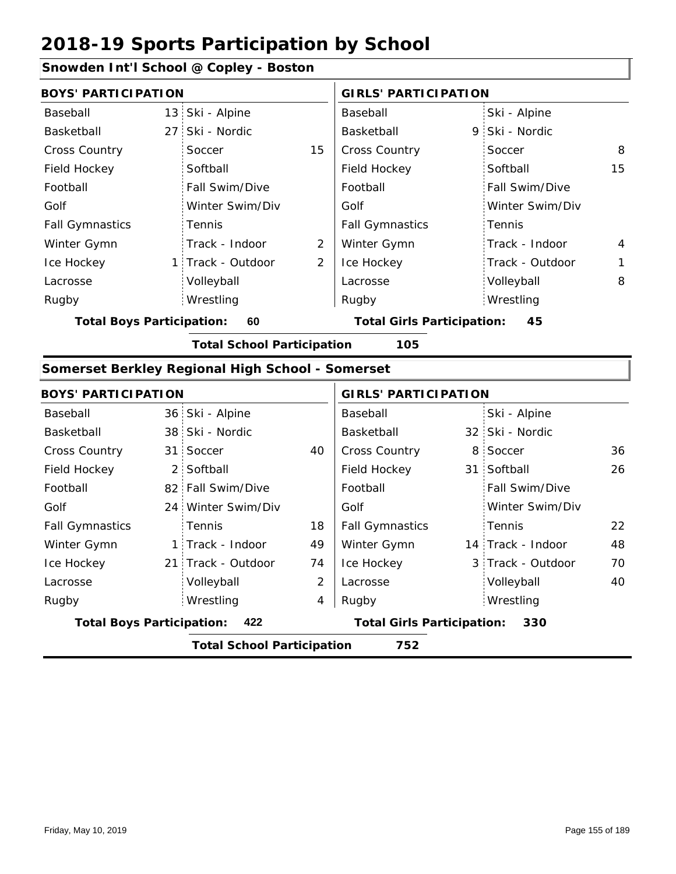82 Fall Swim/Dive 24 Winter Swim/Div

Tennis

21 Track - Outdoor

Volleyball Wrestling Rugby Rugby

1 Track - Indoor

#### **Snowden Int'l School @ Copley - Boston**

|                                  | <b>BOYS' PARTICIPATION</b> |                                                  |    | <b>GIRLS' PARTICIPATION</b>             |   |                 |    |
|----------------------------------|----------------------------|--------------------------------------------------|----|-----------------------------------------|---|-----------------|----|
| Baseball                         |                            | 13 Ski - Alpine                                  |    | Baseball                                |   | Ski - Alpine    |    |
| Basketball                       | 27 <sup>1</sup>            | Ski - Nordic                                     |    | Basketball                              |   | 9 Ski - Nordic  |    |
| <b>Cross Country</b>             |                            | Soccer                                           | 15 | Cross Country                           |   | Soccer          | 8  |
| Field Hockey                     |                            | Softball                                         |    | Field Hockey                            |   | Softball        | 15 |
| Football                         |                            | Fall Swim/Dive                                   |    | Football                                |   | Fall Swim/Dive  |    |
| Golf                             |                            | Winter Swim/Div                                  |    | Golf                                    |   | Winter Swim/Div |    |
| <b>Fall Gymnastics</b>           |                            | Tennis                                           |    | <b>Fall Gymnastics</b>                  |   | Tennis          |    |
| Winter Gymn                      |                            | Track - Indoor                                   | 2  | Winter Gymn                             |   | Track - Indoor  | 4  |
| Ice Hockey                       | 1:                         | Track - Outdoor                                  | 2  | Ice Hockey                              |   | Track - Outdoor | 1  |
| Lacrosse                         |                            | Volleyball                                       |    | Lacrosse                                |   | Volleyball      | 8  |
| Rugby                            |                            | Wrestling                                        |    | Rugby                                   |   | Wrestling       |    |
| <b>Total Boys Participation:</b> |                            | 60                                               |    | <b>Total Girls Participation:</b><br>45 |   |                 |    |
|                                  |                            | <b>Total School Participation</b>                |    | 105                                     |   |                 |    |
|                                  |                            | Somerset Berkley Regional High School - Somerset |    |                                         |   |                 |    |
| <b>BOYS' PARTICIPATION</b>       |                            |                                                  |    | <b>GIRLS' PARTICIPATION</b>             |   |                 |    |
| Baseball                         |                            | 36 Ski - Alpine                                  |    | Baseball                                |   | Ski - Alpine    |    |
| Basketball                       |                            | 38 Ski - Nordic                                  |    | Basketball                              |   | 32 Ski - Nordic |    |
| Cross Country                    | 31:                        | Soccer                                           | 40 | Cross Country                           | 8 | Soccer          | 36 |
| Field Hockey                     |                            | 2 Softball                                       |    | Field Hockey                            |   | 31 Softball     | 26 |

18 49 74

Football Golf

Fall Gymnastics Winter Gymn Ice Hockey Lacrosse

2

4

**Total Boys Participation: 422 Total Girls Participation: 330**

**Total School Participation 752**

| Friday, May 10, 2019 | Page 155 of 189 |
|----------------------|-----------------|

Football Golf

Fall Gymnastics

Ice Hockey Lacrosse

Winter Gymn 1

22

48

70

14 Track - Indoor 3 Track - Outdoor

Wrestling

Volleyball 40

Tennis

Fall Swim/Dive Winter Swim/Div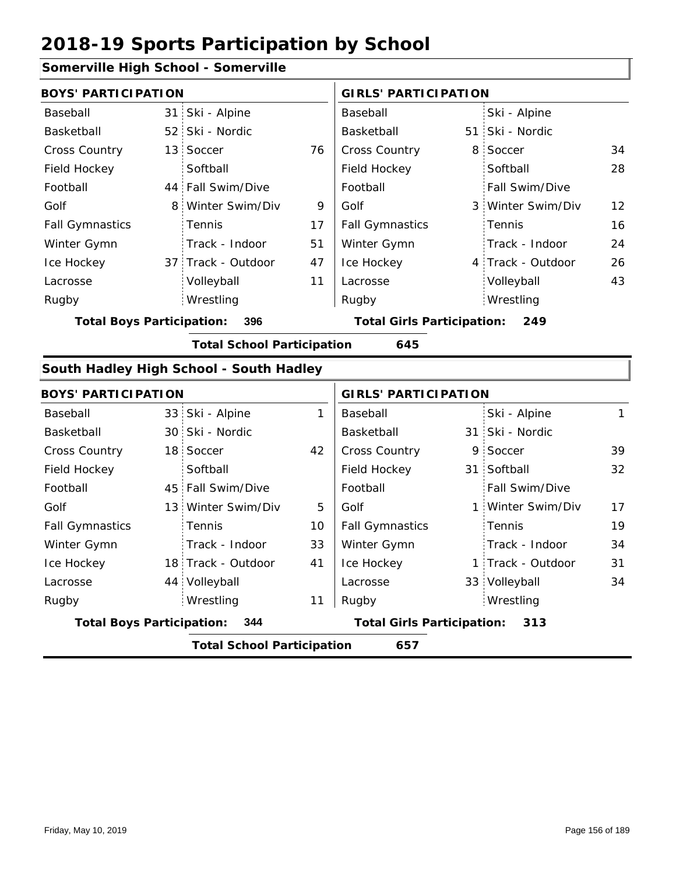## **Somerville High School - Somerville**

| <b>BOYS' PARTICIPATION</b>              |  |                                          |    | <b>GIRLS' PARTICIPATION</b> |  |                   |                 |
|-----------------------------------------|--|------------------------------------------|----|-----------------------------|--|-------------------|-----------------|
| Baseball                                |  | 31 Ski - Alpine                          |    | Baseball                    |  | Ski - Alpine      |                 |
| Basketball                              |  | 52 Ski - Nordic                          |    | Basketball                  |  | 51 Ski - Nordic   |                 |
| <b>Cross Country</b>                    |  | 13 Soccer                                | 76 | <b>Cross Country</b>        |  | 8 Soccer          | 34              |
| Field Hockey                            |  | Softball                                 |    | Field Hockey                |  | Softball          | 28              |
| Football                                |  | 44 Fall Swim/Dive                        |    | Football                    |  | Fall Swim/Dive    |                 |
| Golf                                    |  | 8 Winter Swim/Div                        | 9  | Golf                        |  | 3 Winter Swim/Div | 12 <sup>2</sup> |
| <b>Fall Gymnastics</b>                  |  | Tennis                                   | 17 | <b>Fall Gymnastics</b>      |  | Tennis            | 16              |
| Winter Gymn                             |  | Track - Indoor                           | 51 | Winter Gymn                 |  | Track - Indoor    | 24              |
| Ice Hockey                              |  | 37 Track - Outdoor                       | 47 | Ice Hockey                  |  | 4 Track - Outdoor | 26              |
| Lacrosse                                |  | Volleyball                               | 11 | Lacrosse                    |  | Volleyball        | 43              |
| Rugby                                   |  | Wrestling                                |    | Rugby                       |  | Wrestling         |                 |
| <b>Total Boys Participation:</b><br>396 |  | <b>Total Girls Participation:</b><br>249 |    |                             |  |                   |                 |
|                                         |  | <b>Total School Participation</b>        |    | 645                         |  |                   |                 |

#### **South Hadley High School - South Hadley**

| <b>BOYS' PARTICIPATION</b>              |  |                                          |    | <b>GIRLS' PARTICIPATION</b> |  |                   |    |
|-----------------------------------------|--|------------------------------------------|----|-----------------------------|--|-------------------|----|
| Baseball                                |  | 33 Ski - Alpine                          | 1  | Baseball                    |  | Ski - Alpine      | 1  |
| Basketball                              |  | 30 Ski - Nordic                          |    | Basketball                  |  | 31 Ski - Nordic   |    |
| <b>Cross Country</b>                    |  | 18 Soccer                                | 42 | <b>Cross Country</b>        |  | 9 Soccer          | 39 |
| Field Hockey                            |  | Softball                                 |    | Field Hockey                |  | 31 Softball       | 32 |
| Football                                |  | 45 Fall Swim/Dive                        |    | Football                    |  | Fall Swim/Dive    |    |
| Golf                                    |  | 13 Winter Swim/Div                       | 5  | Golf                        |  | 1 Winter Swim/Div | 17 |
| <b>Fall Gymnastics</b>                  |  | Tennis                                   | 10 | <b>Fall Gymnastics</b>      |  | Tennis            | 19 |
| Winter Gymn                             |  | Track - Indoor                           | 33 | Winter Gymn                 |  | Track - Indoor    | 34 |
| Ice Hockey                              |  | 18 Track - Outdoor                       | 41 | Ice Hockey                  |  | 1 Track - Outdoor | 31 |
| Lacrosse                                |  | 44 Volleyball                            |    | Lacrosse                    |  | 33 Volleyball     | 34 |
| Rugby                                   |  | Wrestling                                | 11 | Rugby                       |  | Wrestling         |    |
| <b>Total Boys Participation:</b><br>344 |  | <b>Total Girls Participation:</b><br>313 |    |                             |  |                   |    |
|                                         |  | <b>Total School Participation</b>        |    | 657                         |  |                   |    |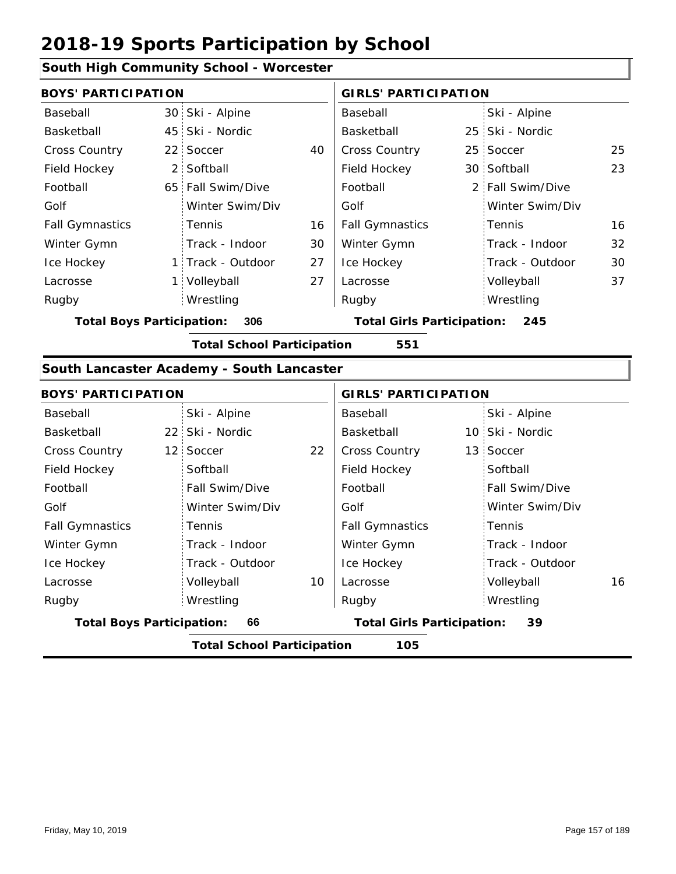#### **South High Community School - Worcester**

|                        | <b>BOYS' PARTICIPATION</b> |    |                        | <b>GIRLS' PARTICIPATION</b> |                  |    |  |
|------------------------|----------------------------|----|------------------------|-----------------------------|------------------|----|--|
| Baseball               | 30 Ski - Alpine            |    | Baseball               |                             | Ski - Alpine     |    |  |
| Basketball             | 45 Ski - Nordic            |    | Basketball             |                             | 25 Ski - Nordic  |    |  |
| <b>Cross Country</b>   | 22 Soccer                  | 40 | <b>Cross Country</b>   |                             | 25 Soccer        | 25 |  |
| Field Hockey           | 2 Softball                 |    | Field Hockey           |                             | 30 Softball      | 23 |  |
| Football               | 65 Fall Swim/Dive          |    | Football               |                             | 2 Fall Swim/Dive |    |  |
| Golf                   | Winter Swim/Div            |    | Golf                   |                             | Winter Swim/Div  |    |  |
| <b>Fall Gymnastics</b> | <b>Tennis</b>              | 16 | <b>Fall Gymnastics</b> |                             | Tennis           | 16 |  |
| Winter Gymn            | Track - Indoor             | 30 | Winter Gymn            |                             | Track - Indoor   | 32 |  |
| Ice Hockey             | 1 Track - Outdoor          | 27 | Ice Hockey             |                             | Track - Outdoor  | 30 |  |
| Lacrosse               | Volleyball<br>1 i          | 27 | Lacrosse               |                             | Volleyball       | 37 |  |
| Rugby                  | Wrestling                  |    | Rugby                  |                             | Wrestling        |    |  |
|                        |                            |    |                        |                             |                  |    |  |

**Total Boys Participation: 306 Total Girls Participation: 245**

**Total School Participation 551**

#### **South Lancaster Academy - South Lancaster**

| <b>BOYS' PARTICIPATION</b>             |                                          |                                         | <b>GIRLS' PARTICIPATION</b> |                  |  |  |  |  |
|----------------------------------------|------------------------------------------|-----------------------------------------|-----------------------------|------------------|--|--|--|--|
| Baseball                               | Ski - Alpine                             |                                         | Baseball                    | Ski - Alpine     |  |  |  |  |
| Basketball                             | 22 Ski - Nordic                          |                                         | Basketball                  | 10 Ski - Nordic  |  |  |  |  |
| Cross Country                          | 12 Soccer                                | 22                                      | <b>Cross Country</b>        | 13 Soccer        |  |  |  |  |
| Field Hockey                           | Softball                                 |                                         | Field Hockey                | Softball         |  |  |  |  |
| Football                               | Fall Swim/Dive                           |                                         | Football                    | Fall Swim/Dive   |  |  |  |  |
| Golf                                   | Winter Swim/Div                          |                                         | Golf                        | Winter Swim/Div  |  |  |  |  |
| <b>Fall Gymnastics</b>                 | <b>Tennis</b>                            |                                         | <b>Fall Gymnastics</b>      | Tennis           |  |  |  |  |
| Winter Gymn                            | Track - Indoor                           |                                         | Winter Gymn                 | Track - Indoor   |  |  |  |  |
| Ice Hockey                             | Track - Outdoor                          |                                         | Ice Hockey                  | Track - Outdoor  |  |  |  |  |
| Lacrosse                               | Volleyball                               | 10                                      | Lacrosse                    | 16<br>Volleyball |  |  |  |  |
| Rugby                                  | Wrestling                                |                                         | Rugby                       | Wrestling        |  |  |  |  |
| 66<br><b>Total Boys Participation:</b> |                                          | <b>Total Girls Participation:</b><br>39 |                             |                  |  |  |  |  |
|                                        | <b>Total School Participation</b><br>105 |                                         |                             |                  |  |  |  |  |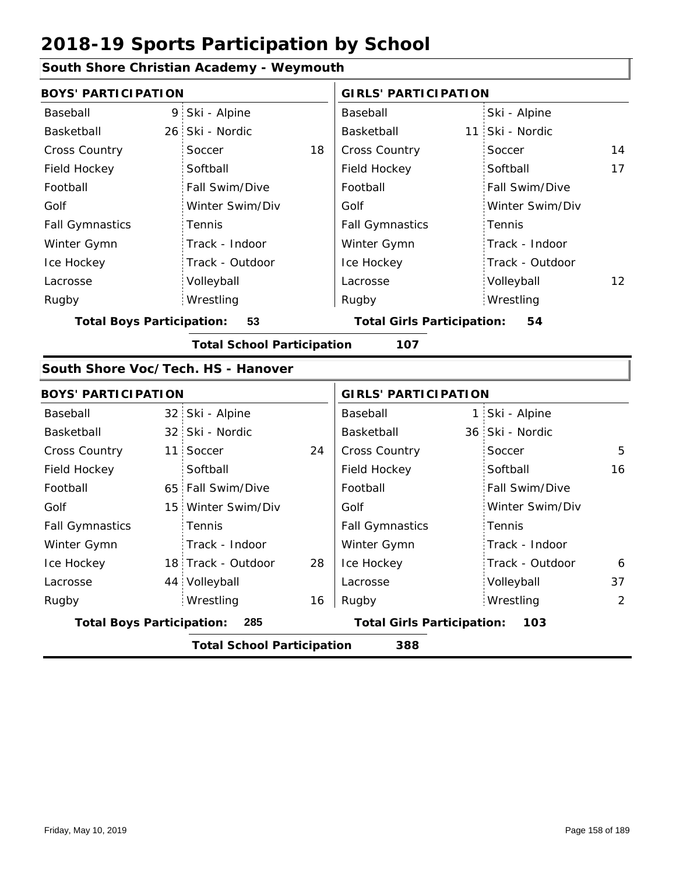## **South Shore Christian Academy - Weymouth**

| <b>BOYS' PARTICIPATION</b>         |                 |                                   |    | <b>GIRLS' PARTICIPATION</b>              |  |                 |                 |
|------------------------------------|-----------------|-----------------------------------|----|------------------------------------------|--|-----------------|-----------------|
| Baseball                           | 9               | Ski - Alpine                      |    | Baseball                                 |  | Ski - Alpine    |                 |
| Basketball                         | 26              | Ski - Nordic                      |    | Basketball                               |  | 11 Ski - Nordic |                 |
| <b>Cross Country</b>               |                 | Soccer                            | 18 | Cross Country                            |  | Soccer          | 14              |
| Field Hockey                       |                 | Softball                          |    | Field Hockey                             |  | Softball        | 17              |
| Football                           |                 | Fall Swim/Dive                    |    | Football                                 |  | Fall Swim/Dive  |                 |
| Golf                               |                 | Winter Swim/Div                   |    | Golf                                     |  | Winter Swim/Div |                 |
| <b>Fall Gymnastics</b>             |                 | Tennis                            |    | <b>Fall Gymnastics</b>                   |  | Tennis          |                 |
| Winter Gymn                        |                 | Track - Indoor                    |    | Winter Gymn                              |  | Track - Indoor  |                 |
| Ice Hockey                         |                 | Track - Outdoor                   |    | Ice Hockey                               |  | Track - Outdoor |                 |
| Lacrosse                           |                 | Volleyball                        |    | Lacrosse                                 |  | Volleyball      | 12 <sup>2</sup> |
| Rugby                              |                 | Wrestling                         |    | Rugby                                    |  | Wrestling       |                 |
| <b>Total Boys Participation:</b>   |                 | 53                                |    | <b>Total Girls Participation:</b>        |  | 54              |                 |
|                                    |                 | <b>Total School Participation</b> |    | 107                                      |  |                 |                 |
| South Shore Voc/Tech. HS - Hanover |                 |                                   |    |                                          |  |                 |                 |
| <b>BOYS' PARTICIPATION</b>         |                 |                                   |    | <b>GIRLS' PARTICIPATION</b>              |  |                 |                 |
| Baseball                           |                 | 32 Ski - Alpine                   |    | Baseball                                 |  | 1 Ski - Alpine  |                 |
| Basketball                         |                 | 32 Ski - Nordic                   |    | Basketball                               |  | 36 Ski - Nordic |                 |
| <b>Cross Country</b>               | 11              | Soccer                            | 24 | Cross Country                            |  | Soccer          | 5               |
| Field Hockey                       |                 | Softball                          |    | Field Hockey                             |  | Softball        | 16              |
| Football                           |                 | 65 Fall Swim/Dive                 |    | Football                                 |  | Fall Swim/Dive  |                 |
| Golf                               | 15 <sup>1</sup> | Winter Swim/Div                   |    | Golf                                     |  | Winter Swim/Div |                 |
| <b>Fall Gymnastics</b>             |                 | Tennis                            |    | <b>Fall Gymnastics</b>                   |  | Tennis          |                 |
| Winter Gymn                        |                 | Track - Indoor                    |    | Winter Gymn                              |  | Track - Indoor  |                 |
| Ice Hockey                         |                 | 18 Track - Outdoor                | 28 | Ice Hockey                               |  | Track - Outdoor | 6               |
| Lacrosse                           |                 | 44 Volleyball                     |    | Lacrosse                                 |  | Volleyball      | 37              |
| Rugby                              |                 | Wrestling                         | 16 | Rugby                                    |  | Wrestling       | 2               |
| <b>Total Boys Participation:</b>   |                 | 285                               |    | <b>Total Girls Participation:</b><br>103 |  |                 |                 |
|                                    |                 | <b>Total School Participation</b> |    | 388                                      |  |                 |                 |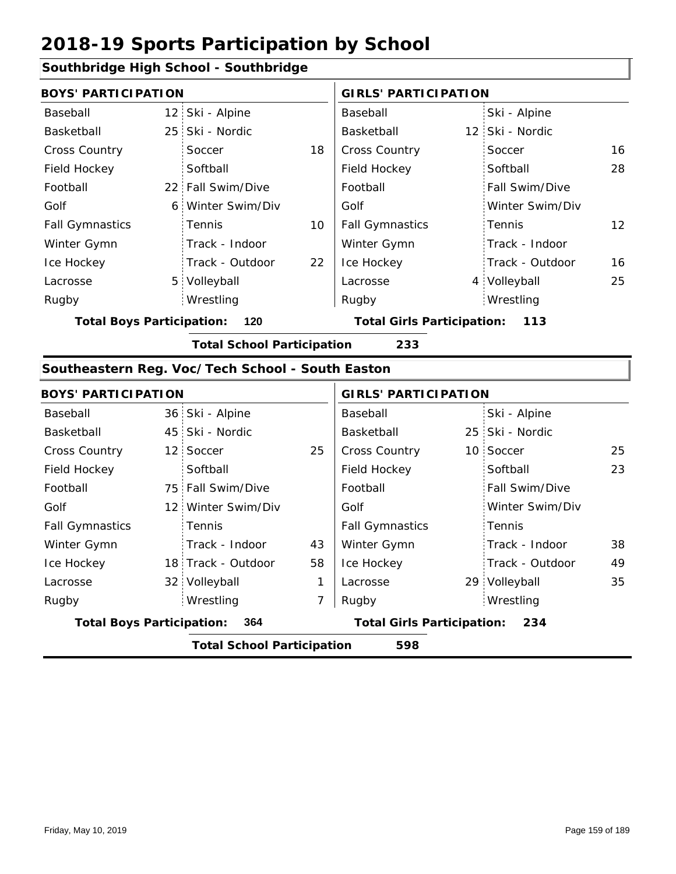## **Southbridge High School - Southbridge**

| <b>BOYS' PARTICIPATION</b>              |                                          |                   |    | <b>GIRLS' PARTICIPATION</b>              |  |                       |                   |
|-----------------------------------------|------------------------------------------|-------------------|----|------------------------------------------|--|-----------------------|-------------------|
| Baseball                                |                                          | 12 Ski - Alpine   |    | Baseball                                 |  | Ski - Alpine          |                   |
| Basketball                              |                                          | 25 Ski - Nordic   |    | Basketball                               |  | 12 Ski - Nordic       |                   |
| <b>Cross Country</b>                    |                                          | Soccer            | 18 | <b>Cross Country</b>                     |  | Soccer                | 16                |
| Field Hockey                            |                                          | Softball          |    | Field Hockey                             |  | Softball              | 28                |
| Football                                |                                          | 22 Fall Swim/Dive |    | Football                                 |  | <b>Fall Swim/Dive</b> |                   |
| Golf                                    |                                          | 6 Winter Swim/Div |    | Golf                                     |  | Winter Swim/Div       |                   |
| <b>Fall Gymnastics</b>                  |                                          | Tennis            | 10 | <b>Fall Gymnastics</b>                   |  | Tennis                | $12 \overline{ }$ |
| Winter Gymn                             |                                          | Track - Indoor    |    | Winter Gymn                              |  | Track - Indoor        |                   |
| Ice Hockey                              |                                          | Track - Outdoor   | 22 | Ice Hockey                               |  | Track - Outdoor       | 16                |
| Lacrosse                                |                                          | 5 Volleyball      |    | Lacrosse                                 |  | 4 Volleyball          | 25                |
| Rugby                                   |                                          | Wrestling         |    | Rugby                                    |  | Wrestling             |                   |
| <b>Total Boys Participation:</b><br>120 |                                          |                   |    | <b>Total Girls Participation:</b><br>113 |  |                       |                   |
|                                         | <b>Total School Participation</b><br>233 |                   |    |                                          |  |                       |                   |

#### **Southeastern Reg. Voc/Tech School - South Easton**

| <b>BOYS' PARTICIPATION</b>              |  |                                   |    | <b>GIRLS' PARTICIPATION</b> |  |                 |    |
|-----------------------------------------|--|-----------------------------------|----|-----------------------------|--|-----------------|----|
| Baseball                                |  | 36 Ski - Alpine                   |    | Baseball                    |  | Ski - Alpine    |    |
| Basketball                              |  | 45 Ski - Nordic                   |    | Basketball                  |  | 25 Ski - Nordic |    |
| <b>Cross Country</b>                    |  | 12 Soccer                         | 25 | <b>Cross Country</b>        |  | 10 Soccer       | 25 |
| Field Hockey                            |  | Softball                          |    | Field Hockey                |  | Softball        | 23 |
| Football                                |  | 75 Fall Swim/Dive                 |    | Football                    |  | Fall Swim/Dive  |    |
| Golf                                    |  | 12 Winter Swim/Div                |    | Golf                        |  | Winter Swim/Div |    |
| <b>Fall Gymnastics</b>                  |  | Tennis                            |    | <b>Fall Gymnastics</b>      |  | Tennis          |    |
| Winter Gymn                             |  | Track - Indoor                    | 43 | Winter Gymn                 |  | Track - Indoor  | 38 |
| Ice Hockey                              |  | 18 Track - Outdoor                | 58 | Ice Hockey                  |  | Track - Outdoor | 49 |
| Lacrosse                                |  | 32 Volleyball                     | 1  | Lacrosse                    |  | 29 Volleyball   | 35 |
| Rugby                                   |  | Wrestling                         | 7  | Rugby                       |  | Wrestling       |    |
| <b>Total Boys Participation:</b><br>364 |  | <b>Total Girls Participation:</b> |    | 234                         |  |                 |    |
|                                         |  | <b>Total School Participation</b> |    | 598                         |  |                 |    |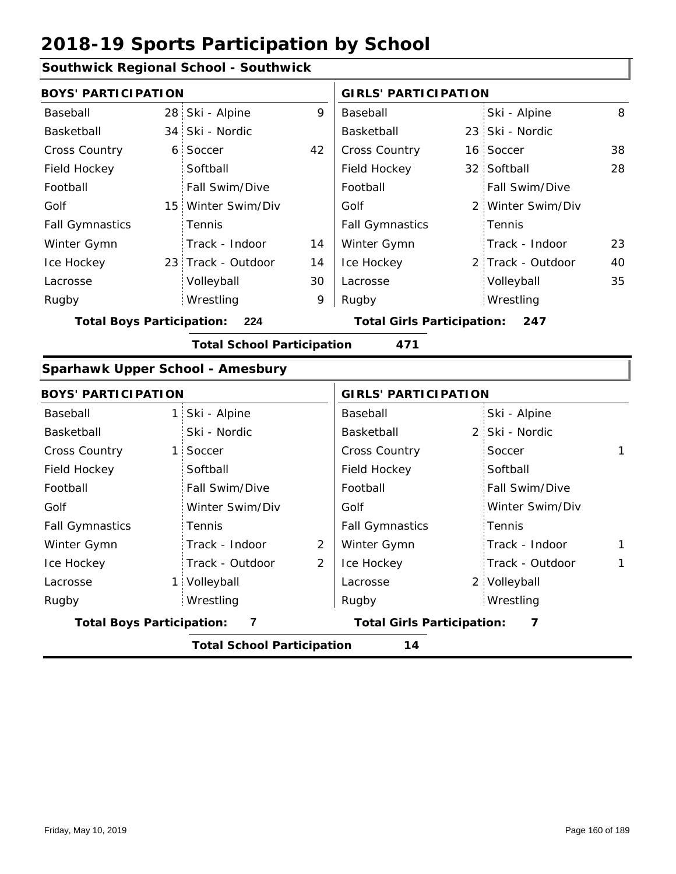## **Southwick Regional School - Southwick**

| <b>BOYS' PARTICIPATION</b>       |    |                                   |    | <b>GIRLS' PARTICIPATION</b>       |   |                   |    |
|----------------------------------|----|-----------------------------------|----|-----------------------------------|---|-------------------|----|
| Baseball                         |    | 28 Ski - Alpine                   | 9  | Baseball                          |   | Ski - Alpine      | 8  |
| Basketball                       |    | 34 Ski - Nordic                   |    | Basketball                        |   | 23 Ski - Nordic   |    |
| Cross Country                    |    | 6 Soccer                          | 42 | Cross Country                     |   | 16 Soccer         | 38 |
| Field Hockey                     |    | Softball                          |    | Field Hockey                      |   | 32 Softball       | 28 |
| Football                         |    | Fall Swim/Dive                    |    | Football                          |   | Fall Swim/Dive    |    |
| Golf                             |    | 15 Winter Swim/Div                |    | Golf                              | 2 | Winter Swim/Div   |    |
| <b>Fall Gymnastics</b>           |    | Tennis                            |    | <b>Fall Gymnastics</b>            |   | Tennis            |    |
| Winter Gymn                      |    | Track - Indoor                    | 14 | Winter Gymn                       |   | Track - Indoor    | 23 |
| Ice Hockey                       |    | 23 Track - Outdoor                | 14 | Ice Hockey                        |   | 2 Track - Outdoor | 40 |
| Lacrosse                         |    | Volleyball                        | 30 | Lacrosse                          |   | Volleyball        | 35 |
| Rugby                            |    | Wrestling                         | 9  | Rugby                             |   | Wrestling         |    |
| <b>Total Boys Participation:</b> |    | 224                               |    | <b>Total Girls Participation:</b> |   | 247               |    |
|                                  |    | <b>Total School Participation</b> |    | 471                               |   |                   |    |
| Sparhawk Upper School - Amesbury |    |                                   |    |                                   |   |                   |    |
| <b>BOYS' PARTICIPATION</b>       |    |                                   |    | <b>GIRLS' PARTICIPATION</b>       |   |                   |    |
| Baseball                         |    | 1 Ski - Alpine                    |    | Baseball                          |   | Ski - Alpine      |    |
| Basketball                       |    | Ski - Nordic                      |    | Basketball                        |   | 2 Ski - Nordic    |    |
| <b>Cross Country</b>             | 1: | Soccer                            |    | Cross Country                     |   | Soccer            | 1  |
| Field Hockey                     |    | Softball                          |    | Field Hockey                      |   | Softball          |    |
| Football                         |    | Fall Swim/Dive                    |    | Football                          |   | Fall Swim/Dive    |    |
| Golf                             |    | Winter Swim/Div                   |    | Golf                              |   | Winter Swim/Div   |    |
| <b>Fall Gymnastics</b>           |    | Tennis                            |    | <b>Fall Gymnastics</b>            |   | Tennis            |    |
| Winter Gymn                      |    | Track - Indoor                    | 2  | Winter Gymn                       |   | Track - Indoor    | 1  |
| Ice Hockey                       |    | Track - Outdoor                   | 2  | Ice Hockey                        |   | Track - Outdoor   | 1  |
| Lacrosse                         |    | 1 Volleyball                      |    | Lacrosse                          |   | 2 Volleyball      |    |
| Rugby                            |    | Wrestling                         |    | Rugby                             |   | Wrestling         |    |
| <b>Total Boys Participation:</b> |    | 7                                 |    | <b>Total Girls Participation:</b> |   | 7                 |    |
|                                  |    | <b>Total School Participation</b> |    | 14                                |   |                   |    |
|                                  |    |                                   |    |                                   |   |                   |    |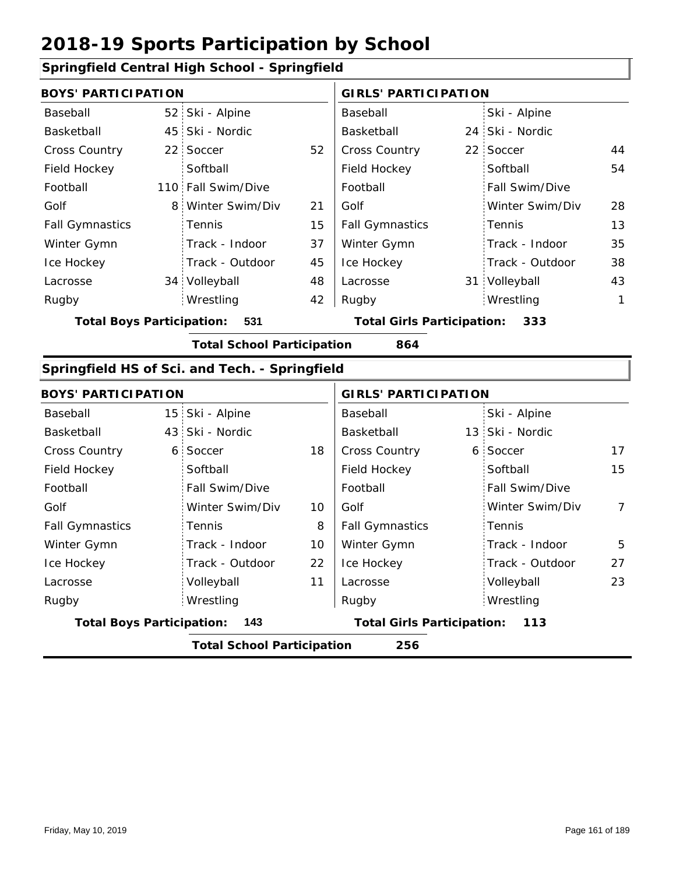## **Springfield Central High School - Springfield**

| <b>BOYS' PARTICIPATION</b>              |  | <b>GIRLS' PARTICIPATION</b> |                                   |                        |     |                       |    |
|-----------------------------------------|--|-----------------------------|-----------------------------------|------------------------|-----|-----------------------|----|
| Baseball                                |  | 52 Ski - Alpine             |                                   | Baseball               |     | Ski - Alpine          |    |
| Basketball                              |  | 45 Ski - Nordic             |                                   | Basketball             |     | 24 Ski - Nordic       |    |
| <b>Cross Country</b>                    |  | 22 Soccer                   | 52                                | <b>Cross Country</b>   |     | 22 Soccer             | 44 |
| Field Hockey                            |  | Softball                    |                                   | Field Hockey           |     | Softball              | 54 |
| Football                                |  | 110 Fall Swim/Dive          |                                   | Football               |     | <b>Fall Swim/Dive</b> |    |
| Golf                                    |  | 8 Winter Swim/Div           | 21                                | Golf                   |     | Winter Swim/Div       | 28 |
| <b>Fall Gymnastics</b>                  |  | <b>Tennis</b>               | 15                                | <b>Fall Gymnastics</b> |     | Tennis                | 13 |
| Winter Gymn                             |  | Track - Indoor              | 37                                | Winter Gymn            |     | Track - Indoor        | 35 |
| Ice Hockey                              |  | Track - Outdoor             | 45                                | Ice Hockey             |     | Track - Outdoor       | 38 |
| Lacrosse                                |  | 34 Volleyball               | 48                                | Lacrosse               |     | 31 Volleyball         | 43 |
| Rugby                                   |  | Wrestling                   | 42                                | Rugby                  |     | Wrestling             | 1  |
| 531<br><b>Total Boys Participation:</b> |  |                             | <b>Total Girls Participation:</b> |                        | 333 |                       |    |

**Total School Participation 864**

#### **Springfield HS of Sci. and Tech. - Springfield**

| <b>BOYS' PARTICIPATION</b>       |                                   |    | <b>GIRLS' PARTICIPATION</b>       |  |                       |    |
|----------------------------------|-----------------------------------|----|-----------------------------------|--|-----------------------|----|
| Baseball                         | 15 Ski - Alpine                   |    | Baseball                          |  | Ski - Alpine          |    |
| Basketball                       | 43 Ski - Nordic                   |    | Basketball                        |  | 13 Ski - Nordic       |    |
| <b>Cross Country</b>             | 6 Soccer                          | 18 | <b>Cross Country</b>              |  | 6 Soccer              | 17 |
| Field Hockey                     | Softball                          |    | Field Hockey                      |  | Softball              | 15 |
| Football                         | Fall Swim/Dive                    |    | Football                          |  | <b>Fall Swim/Dive</b> |    |
| Golf                             | Winter Swim/Div                   | 10 | Golf                              |  | Winter Swim/Div       | 7  |
| <b>Fall Gymnastics</b>           | Tennis                            | 8  | <b>Fall Gymnastics</b>            |  | : Tennis              |    |
| Winter Gymn                      | Track - Indoor                    | 10 | Winter Gymn                       |  | Track - Indoor        | 5  |
| Ice Hockey                       | Track - Outdoor                   | 22 | Ice Hockey                        |  | Track - Outdoor       | 27 |
| Lacrosse                         | Volleyball                        | 11 | Lacrosse                          |  | Volleyball            | 23 |
| Rugby                            | Wrestling                         |    | Rugby                             |  | Wrestling             |    |
| <b>Total Boys Participation:</b> | 143                               |    | <b>Total Girls Participation:</b> |  | 113                   |    |
|                                  | <b>Total School Participation</b> |    | 256                               |  |                       |    |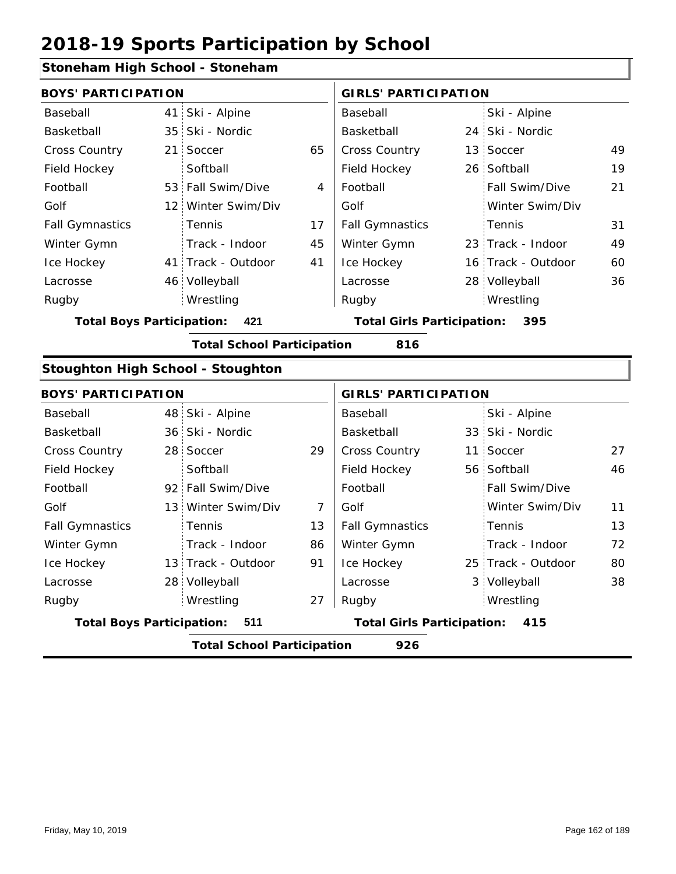## **Stoneham High School - Stoneham**

| <b>BOYS' PARTICIPATION</b>               |                 |                                   |    | <b>GIRLS' PARTICIPATION</b>              |  |                    |    |
|------------------------------------------|-----------------|-----------------------------------|----|------------------------------------------|--|--------------------|----|
| Baseball                                 |                 | 41 Ski - Alpine                   |    | Baseball                                 |  | Ski - Alpine       |    |
| Basketball                               |                 | 35 Ski - Nordic                   |    | <b>Basketball</b>                        |  | 24 Ski - Nordic    |    |
| Cross Country                            | 21 <sup>1</sup> | Soccer                            | 65 | Cross Country                            |  | 13 Soccer          | 49 |
| Field Hockey                             |                 | Softball                          |    | Field Hockey                             |  | 26 Softball        | 19 |
| Football                                 |                 | 53 Fall Swim/Dive                 | 4  | Football                                 |  | Fall Swim/Dive     | 21 |
| Golf                                     |                 | 12 Winter Swim/Div                |    | Golf                                     |  | Winter Swim/Div    |    |
| <b>Fall Gymnastics</b>                   |                 | Tennis                            | 17 | <b>Fall Gymnastics</b>                   |  | Tennis             | 31 |
| Winter Gymn                              |                 | Track - Indoor                    | 45 | Winter Gymn                              |  | 23 Track - Indoor  | 49 |
| Ice Hockey                               |                 | 41 Track - Outdoor                | 41 | Ice Hockey                               |  | 16 Track - Outdoor | 60 |
| Lacrosse                                 |                 | 46 Volleyball                     |    | Lacrosse                                 |  | 28 Volleyball      | 36 |
| Rugby                                    |                 | Wrestling                         |    | Rugby                                    |  | Wrestling          |    |
| <b>Total Boys Participation:</b>         |                 | 421                               |    | <b>Total Girls Participation:</b><br>395 |  |                    |    |
|                                          |                 | <b>Total School Participation</b> |    | 816                                      |  |                    |    |
| <b>Stoughton High School - Stoughton</b> |                 |                                   |    |                                          |  |                    |    |
| <b>BOYS' PARTICIPATION</b>               |                 |                                   |    | <b>GIRLS' PARTICIPATION</b>              |  |                    |    |
| Baseball                                 |                 | 48 Ski - Alpine                   |    | Baseball                                 |  | Ski - Alpine       |    |
| Basketball                               |                 | 36 Ski - Nordic                   |    | <b>Basketball</b>                        |  | 33 Ski - Nordic    |    |

|                                                                                       |  | <b>Total School Participation</b> |    | 926                    |  |                    |    |
|---------------------------------------------------------------------------------------|--|-----------------------------------|----|------------------------|--|--------------------|----|
| <b>Total Boys Participation:</b><br><b>Total Girls Participation:</b><br>- 511<br>415 |  |                                   |    |                        |  |                    |    |
| Rugby                                                                                 |  | Wrestling                         | 27 | Rugby                  |  | Wrestling          |    |
| Lacrosse                                                                              |  | 28 Volleyball                     |    | Lacrosse               |  | 3 Volleyball       | 38 |
| Ice Hockey                                                                            |  | 13 Track - Outdoor                | 91 | Ice Hockey             |  | 25 Track - Outdoor | 80 |
| Winter Gymn                                                                           |  | Track - Indoor                    | 86 | Winter Gymn            |  | Track - Indoor     | 72 |
| <b>Fall Gymnastics</b>                                                                |  | <b>Tennis</b>                     | 13 | <b>Fall Gymnastics</b> |  | Tennis             | 13 |
| Golf                                                                                  |  | 13 Winter Swim/Div                |    | Golf                   |  | Winter Swim/Div    | 11 |
| Football                                                                              |  | 92 Fall Swim/Dive                 |    | Football               |  | Fall Swim/Dive     |    |
| Field Hockey                                                                          |  | Softball                          |    | Field Hockey           |  | 56 Softball        | 46 |
| <b>Cross Country</b>                                                                  |  | 28 Soccer                         | 29 | <b>Cross Country</b>   |  | 11 Soccer          | 27 |
| Basketball                                                                            |  | 36 SKI - NOTAIC                   |    | Basketball             |  | 33 SKI - NORAIC    |    |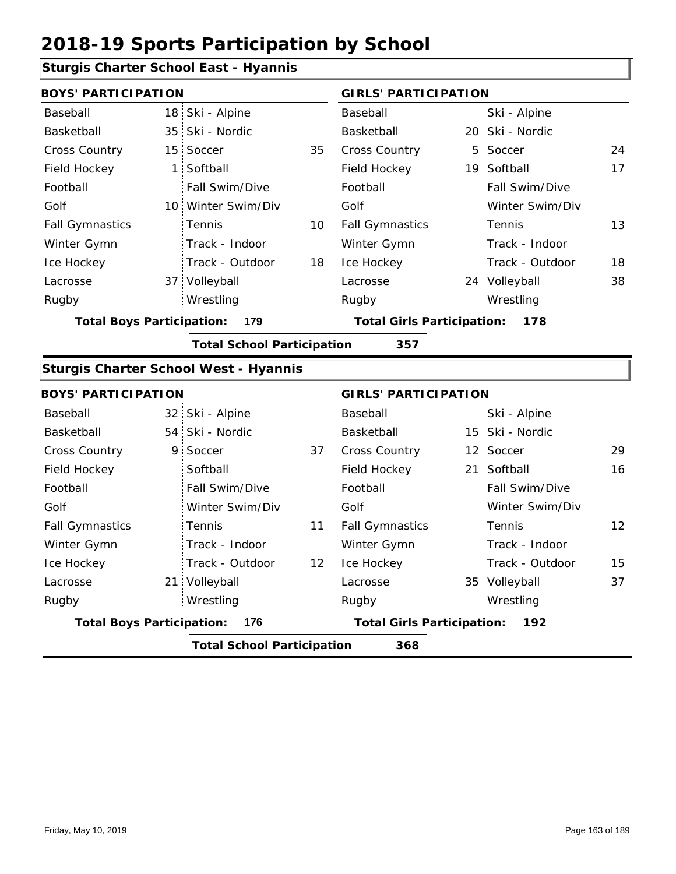## **Sturgis Charter School East - Hyannis**

| <b>BOYS' PARTICIPATION</b>       |                 | <b>GIRLS' PARTICIPATION</b>                  |    |                                   |   |                       |    |  |
|----------------------------------|-----------------|----------------------------------------------|----|-----------------------------------|---|-----------------------|----|--|
| Baseball                         | 18 <sup>1</sup> | Ski - Alpine                                 |    | Baseball                          |   | Ski - Alpine          |    |  |
| Basketball                       | 35 <sub>1</sub> | Ski - Nordic                                 |    | Basketball                        |   | 20 Ski - Nordic       |    |  |
| <b>Cross Country</b>             | 15              | Soccer                                       | 35 | Cross Country                     | 5 | Soccer                | 24 |  |
| Field Hockey                     | 1               | Softball                                     |    | Field Hockey                      |   | 19 Softball           | 17 |  |
| Football                         |                 | Fall Swim/Dive                               |    | Football                          |   | <b>Fall Swim/Dive</b> |    |  |
| Golf                             |                 | 10 Winter Swim/Div                           |    | Golf                              |   | Winter Swim/Div       |    |  |
| <b>Fall Gymnastics</b>           |                 | Tennis                                       | 10 | <b>Fall Gymnastics</b>            |   | Tennis                | 13 |  |
| Winter Gymn                      |                 | Track - Indoor                               |    | Winter Gymn                       |   | Track - Indoor        |    |  |
| Ice Hockey                       |                 | Track - Outdoor                              | 18 | Ice Hockey                        |   | Track - Outdoor       | 18 |  |
| Lacrosse                         |                 | 37 Volleyball                                |    | Lacrosse                          |   | 24 Volleyball         | 38 |  |
| Rugby                            |                 | Wrestling                                    |    | Rugby                             |   | Wrestling             |    |  |
| <b>Total Boys Participation:</b> |                 | 179                                          |    | <b>Total Girls Participation:</b> |   | 178                   |    |  |
|                                  |                 | <b>Total School Participation</b>            |    | 357                               |   |                       |    |  |
|                                  |                 | <b>Sturgis Charter School West - Hyannis</b> |    |                                   |   |                       |    |  |
| <b>BOYS' PARTICIPATION</b>       |                 |                                              |    | <b>GIRLS' PARTICIPATION</b>       |   |                       |    |  |
| Baseball                         |                 |                                              |    |                                   |   |                       |    |  |
|                                  | 32              | Ski - Alpine                                 |    | Baseball                          |   | Ski - Alpine          |    |  |
| Basketball                       | 54              | Ski - Nordic                                 |    | Basketball                        |   | 15 Ski - Nordic       |    |  |
| Cross Country                    | 9               | Soccer                                       | 37 | Cross Country                     |   | 12 Soccer             | 29 |  |
| Field Hockey                     |                 | Softball                                     |    | Field Hockey                      |   | 21 Softball           | 16 |  |
| Football                         |                 | Fall Swim/Dive                               |    | Football                          |   | Fall Swim/Dive        |    |  |
| Golf                             |                 | Winter Swim/Div                              |    | Golf                              |   | Winter Swim/Div       |    |  |
| <b>Fall Gymnastics</b>           |                 | Tennis                                       | 11 | <b>Fall Gymnastics</b>            |   | Tennis                | 12 |  |
| Winter Gymn                      |                 | Track - Indoor                               |    | Winter Gymn                       |   | Track - Indoor        |    |  |
| Ice Hockey                       |                 | Track - Outdoor                              | 12 | Ice Hockey                        |   | Track - Outdoor       | 15 |  |
| Lacrosse                         |                 | 21 Volleyball                                |    | Lacrosse                          |   | 35 Volleyball         | 37 |  |
| Rugby                            |                 | Wrestling                                    |    | Rugby                             |   | Wrestling             |    |  |

**Total School Participation 368**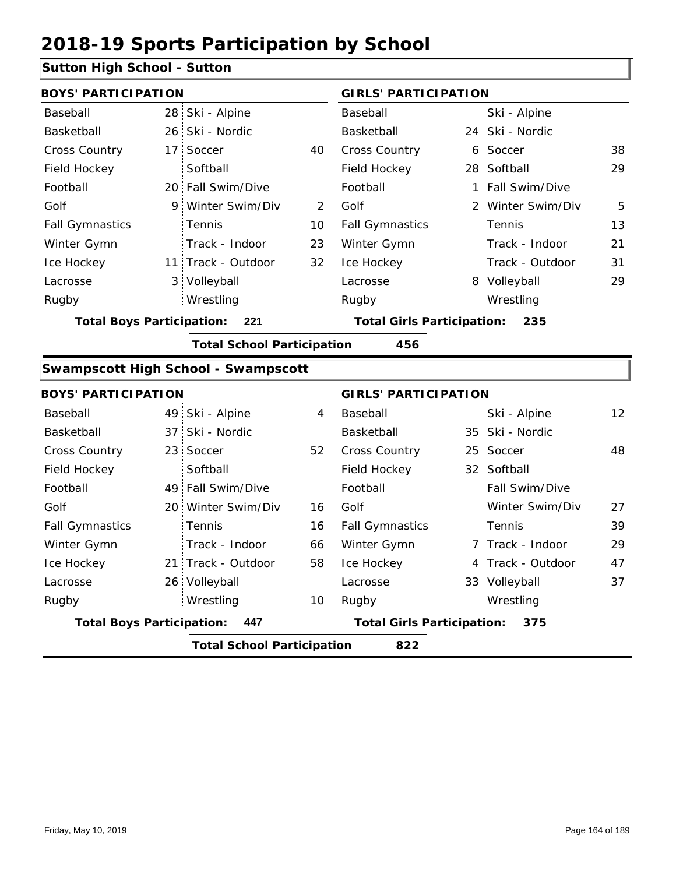#### **Sutton High School - Sutton**

|                                  | <b>BOYS' PARTICIPATION</b> |                                   |    |                                   | <b>GIRLS' PARTICIPATION</b> |                   |    |  |
|----------------------------------|----------------------------|-----------------------------------|----|-----------------------------------|-----------------------------|-------------------|----|--|
| Baseball                         |                            | 28 Ski - Alpine                   |    | Baseball                          |                             | Ski - Alpine      |    |  |
| Basketball                       |                            | 26 Ski - Nordic                   |    | Basketball                        |                             | 24 Ski - Nordic   |    |  |
| <b>Cross Country</b>             |                            | 17 Soccer                         | 40 | <b>Cross Country</b>              |                             | 6 Soccer          | 38 |  |
| Field Hockey                     |                            | Softball                          |    | Field Hockey                      |                             | 28 Softball       | 29 |  |
| Football                         |                            | 20 Fall Swim/Dive                 |    | Football                          |                             | 1 Fall Swim/Dive  |    |  |
| Golf                             |                            | 9 Winter Swim/Div                 | 2  | Golf                              |                             | 2 Winter Swim/Div | 5  |  |
| <b>Fall Gymnastics</b>           |                            | <b>Tennis</b>                     | 10 | <b>Fall Gymnastics</b>            |                             | Tennis            | 13 |  |
| Winter Gymn                      |                            | Track - Indoor                    | 23 | Winter Gymn                       |                             | Track - Indoor    | 21 |  |
| Ice Hockey                       |                            | 11 Track - Outdoor                | 32 | Ice Hockey                        |                             | Track - Outdoor   | 31 |  |
| Lacrosse                         |                            | 3 Volleyball                      |    | Lacrosse                          |                             | 8 Volleyball      | 29 |  |
| Rugby                            |                            | Wrestling                         |    | Rugby                             |                             | Wrestling         |    |  |
| <b>Total Boys Participation:</b> |                            | 221                               |    | <b>Total Girls Participation:</b> |                             | 235               |    |  |
|                                  |                            | <b>Total School Participation</b> |    | 456                               |                             |                   |    |  |

#### **Swampscott High School - Swampscott**

|                                          | <b>BOYS' PARTICIPATION</b> |                    |    |                                          |  | <b>GIRLS' PARTICIPATION</b> |                 |  |  |
|------------------------------------------|----------------------------|--------------------|----|------------------------------------------|--|-----------------------------|-----------------|--|--|
| Baseball                                 |                            | 49 Ski - Alpine    | 4  | Baseball                                 |  | Ski - Alpine                | 12 <sup>2</sup> |  |  |
| Basketball                               |                            | 37 Ski - Nordic    |    | Basketball                               |  | 35 Ski - Nordic             |                 |  |  |
| <b>Cross Country</b>                     |                            | 23 Soccer          | 52 | <b>Cross Country</b>                     |  | 25 Soccer                   | 48              |  |  |
| Field Hockey                             |                            | Softball           |    | Field Hockey                             |  | 32 Softball                 |                 |  |  |
| Football                                 |                            | 49 Fall Swim/Dive  |    | Football                                 |  | <b>Fall Swim/Dive</b>       |                 |  |  |
| Golf                                     |                            | 20 Winter Swim/Div | 16 | Golf                                     |  | Winter Swim/Div             | 27              |  |  |
| <b>Fall Gymnastics</b>                   |                            | <b>Tennis</b>      | 16 | <b>Fall Gymnastics</b>                   |  | Tennis                      | 39              |  |  |
| Winter Gymn                              |                            | Track - Indoor     | 66 | Winter Gymn                              |  | 7 Track - Indoor            | 29              |  |  |
| Ice Hockey                               |                            | 21 Track - Outdoor | 58 | Ice Hockey                               |  | 4 Track - Outdoor           | 47              |  |  |
| Lacrosse                                 |                            | 26 Volleyball      |    | Lacrosse                                 |  | 33 Volleyball               | 37              |  |  |
| Rugby                                    |                            | Wrestling          | 10 | Rugby                                    |  | Wrestling                   |                 |  |  |
| <b>Total Boys Participation:</b><br>447  |                            |                    |    | <b>Total Girls Participation:</b><br>375 |  |                             |                 |  |  |
| 822<br><b>Total School Participation</b> |                            |                    |    |                                          |  |                             |                 |  |  |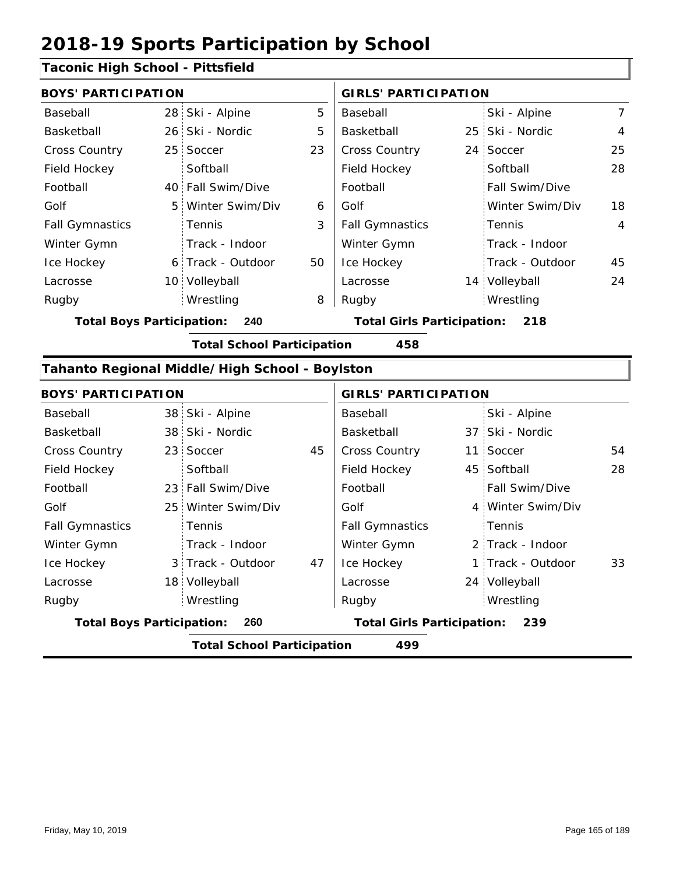#### **Taconic High School - Pittsfield**

| <b>BOYS' PARTICIPATION</b> |  |                   | <b>GIRLS' PARTICIPATION</b> |                        |  |                       |                |
|----------------------------|--|-------------------|-----------------------------|------------------------|--|-----------------------|----------------|
| Baseball                   |  | 28 Ski - Alpine   | 5                           | Baseball               |  | Ski - Alpine          | $\overline{7}$ |
| Basketball                 |  | 26 Ski - Nordic   | 5                           | Basketball             |  | 25 Ski - Nordic       | 4              |
| <b>Cross Country</b>       |  | 25 Soccer         | 23                          | <b>Cross Country</b>   |  | 24 Soccer             | 25             |
| Field Hockey               |  | Softball          |                             | Field Hockey           |  | Softball              | 28             |
| Football                   |  | 40 Fall Swim/Dive |                             | Football               |  | <b>Fall Swim/Dive</b> |                |
| Golf                       |  | 5 Winter Swim/Div | 6                           | Golf                   |  | Winter Swim/Div       | 18             |
| <b>Fall Gymnastics</b>     |  | : Tennis          | 3                           | <b>Fall Gymnastics</b> |  | Tennis                | $\overline{4}$ |
| Winter Gymn                |  | Track - Indoor    |                             | Winter Gymn            |  | Track - Indoor        |                |
| Ice Hockey                 |  | 6 Track - Outdoor | 50                          | Ice Hockey             |  | Track - Outdoor       | 45             |
| Lacrosse                   |  | 10 Volleyball     |                             | Lacrosse               |  | 14 Volleyball         | 24             |
| Rugby                      |  | Wrestling         | 8                           | Rugby                  |  | Wrestling             |                |
|                            |  |                   |                             |                        |  |                       |                |

**Total Boys Participation: 240 Total Girls Participation: 218**

**Total School Participation 458**

## **Tahanto Regional Middle/High School - Boylston**

| <b>BOYS' PARTICIPATION</b>       |                                   |    | <b>GIRLS' PARTICIPATION</b>       |  |                   |    |
|----------------------------------|-----------------------------------|----|-----------------------------------|--|-------------------|----|
| Baseball                         | 38 Ski - Alpine                   |    | Baseball                          |  | Ski - Alpine      |    |
| Basketball                       | 38 Ski - Nordic                   |    | Basketball                        |  | 37 Ski - Nordic   |    |
| <b>Cross Country</b>             | 23 Soccer                         | 45 | <b>Cross Country</b>              |  | 11 Soccer         | 54 |
| Field Hockey                     | Softball                          |    | Field Hockey                      |  | 45 Softball       | 28 |
| Football                         | 23 Fall Swim/Dive                 |    | Football                          |  | Fall Swim/Dive    |    |
| Golf                             | 25 Winter Swim/Div                |    | Golf                              |  | 4 Winter Swim/Div |    |
| <b>Fall Gymnastics</b>           | Tennis                            |    | <b>Fall Gymnastics</b>            |  | Tennis            |    |
| Winter Gymn                      | Track - Indoor                    |    | Winter Gymn                       |  | 2 Track - Indoor  |    |
| Ice Hockey                       | 3 Track - Outdoor                 | 47 | Ice Hockey                        |  | 1 Track - Outdoor | 33 |
| Lacrosse                         | 18 Volleyball                     |    | Lacrosse                          |  | 24 Volleyball     |    |
| Rugby                            | Wrestling                         |    | Rugby                             |  | Wrestling         |    |
| <b>Total Boys Participation:</b> | 260                               |    | <b>Total Girls Participation:</b> |  | 239               |    |
|                                  | <b>Total School Participation</b> |    | 499                               |  |                   |    |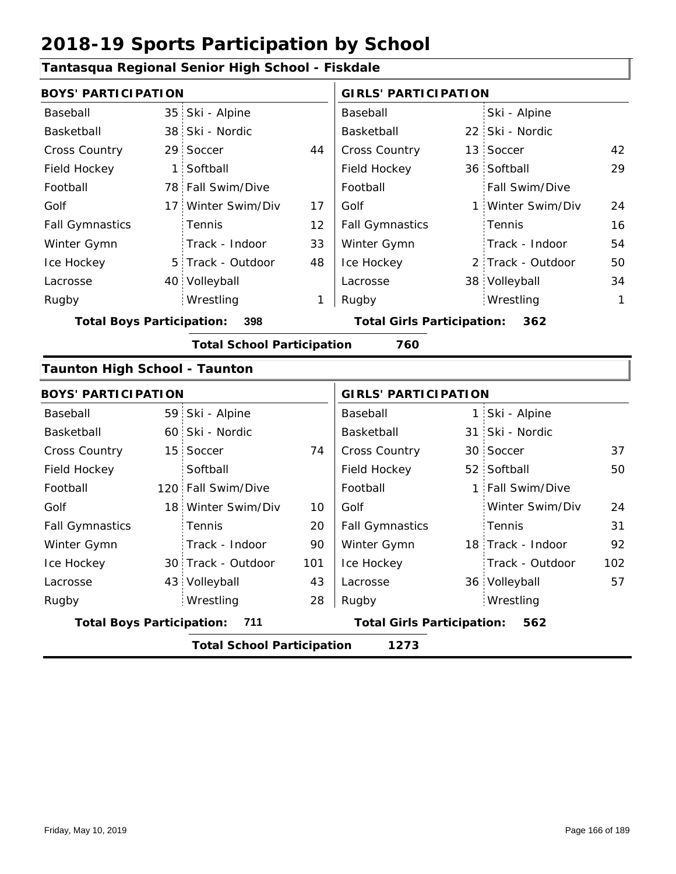#### **Tantasqua Regional Senior High School - Fiskdale** 35 Ski - Alpine 38 22 Ski - Nordic 29 Soccer 44 Cross Country 13 Soccer 42 1 Softball **Field Hockey** 36 78 Fall Swim/Dive 17 Winter Swim/Div 17 Golf 1 5 Track - Outdoor 40 Volleyball 2 Track - Outdoor 38 Volleyball 34 29 12 33 24 48 16 54 1 50 Baseball Basketball Cross Country Field Hockey Football Golf Fall Gymnastics Ice Hockey Lacrosse 29 Soccer Softball Tennis Track - Indoor Wrestling Rugby Rugby **BOYS' PARTICIPATION GIRLS' PARTICIPATION** Baseball Basketball Football Golf Fall Gymnastics Winter Gymn Ice Hockey Lacrosse Ski - Alpine 22 Ski - Nordic 13 Soccer 36 Softball Fall Swim/Dive Winter Swim/Div Tennis Track - Indoor Winter Gymn Wrestling 1 **Total Boys Participation: 398 Total Girls Participation: 362 Total School Participation 760 Taunton High School - Taunton** 59 Ski - Alpine 60 31 Ski - Nordic 15 30 74 37 Cross Country 52 Softball 120 Fall Swim/Dive | Football | 1 18 Winter Swim/Div 10 30 Track - Outdoor 18 Track - Indoor 43 Volleyball 43 Lacrosse 36 50 20 90 24 101 31 43 92 28 102 Baseball Basketball Cross Country Field Hockey Football Golf Fall Gymnastics Ice Hockey Lacrosse 15 Soccer **Softball Tennis** Track - Indoor Wrestling Rugby Rugby **BOYS' PARTICIPATION GIRLS' PARTICIPATION** Baseball Basketball Field Hockey Football Golf Fall Gymnastics Winter Gymn Ice Hockey Lacrosse Ski - Alpine 1 31 Ski - Nordic 30 Soccer Fall Swim/Dive Winter Swim/Div Tennis Track - Outdoor Winter Gymn Volleyball 57 Wrestling **Total Boys Participation: 711 Total Girls Participation: 562 Total School Participation 1273**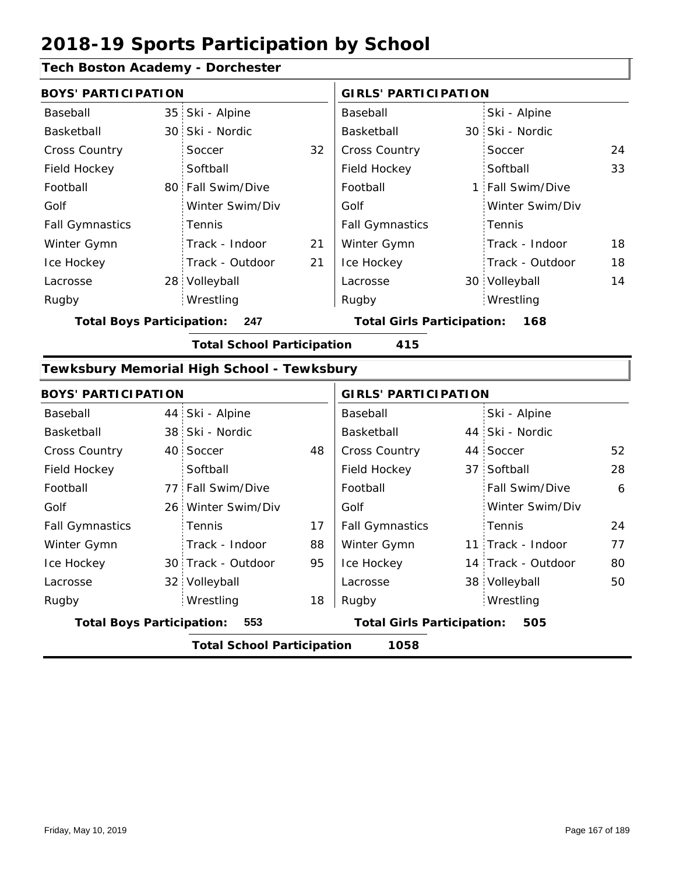### **Tech Boston Academy - Dorchester**

| <b>BOYS' PARTICIPATION</b> |  |                   |    | <b>GIRLS' PARTICIPATION</b> |  |                  |    |
|----------------------------|--|-------------------|----|-----------------------------|--|------------------|----|
| Baseball                   |  | 35 Ski - Alpine   |    | Baseball                    |  | Ski - Alpine     |    |
| Basketball                 |  | 30 Ski - Nordic   |    | Basketball                  |  | 30 Ski - Nordic  |    |
| <b>Cross Country</b>       |  | Soccer            | 32 | <b>Cross Country</b>        |  | Soccer           | 24 |
| Field Hockey               |  | Softball          |    | Field Hockey                |  | Softball         | 33 |
| Football                   |  | 80 Fall Swim/Dive |    | Football                    |  | 1 Fall Swim/Dive |    |
| Golf                       |  | Winter Swim/Div   |    | Golf                        |  | Winter Swim/Div  |    |
| <b>Fall Gymnastics</b>     |  | Tennis            |    | <b>Fall Gymnastics</b>      |  | : Tennis         |    |
| Winter Gymn                |  | Track - Indoor    | 21 | Winter Gymn                 |  | Track - Indoor   | 18 |
| Ice Hockey                 |  | Track - Outdoor   | 21 | Ice Hockey                  |  | Track - Outdoor  | 18 |
| Lacrosse                   |  | 28 Volleyball     |    | Lacrosse                    |  | 30 Volleyball    | 14 |
| Rugby                      |  | Wrestling         |    | Rugby                       |  | Wrestling        |    |

**Total Boys Participation: 247 Total Girls Participation: 168**

**Total School Participation 415**

#### **Tewksbury Memorial High School - Tewksbury**

| <b>BOYS' PARTICIPATION</b>       |  | <b>GIRLS' PARTICIPATION</b>       |    |                                   |  |                    |    |
|----------------------------------|--|-----------------------------------|----|-----------------------------------|--|--------------------|----|
| Baseball                         |  | 44 Ski - Alpine                   |    | Baseball                          |  | Ski - Alpine       |    |
| Basketball                       |  | 38 Ski - Nordic                   |    | Basketball                        |  | 44 Ski - Nordic    |    |
| <b>Cross Country</b>             |  | 40 Soccer                         | 48 | <b>Cross Country</b>              |  | 44 Soccer          | 52 |
| Field Hockey                     |  | Softball                          |    | Field Hockey                      |  | 37 Softball        | 28 |
| Football                         |  | 77 Fall Swim/Dive                 |    | Football                          |  | Fall Swim/Dive     | 6  |
| Golf                             |  | 26 Winter Swim/Div                |    | Golf                              |  | Winter Swim/Div    |    |
| <b>Fall Gymnastics</b>           |  | <b>Tennis</b>                     | 17 | <b>Fall Gymnastics</b>            |  | : Tennis           | 24 |
| Winter Gymn                      |  | Track - Indoor                    | 88 | Winter Gymn                       |  | 11 Track - Indoor  | 77 |
| Ice Hockey                       |  | 30 Track - Outdoor                | 95 | Ice Hockey                        |  | 14 Track - Outdoor | 80 |
| Lacrosse                         |  | 32 Volleyball                     |    | Lacrosse                          |  | 38 Volleyball      | 50 |
| Rugby                            |  | Wrestling                         | 18 | Rugby                             |  | Wrestling          |    |
| <b>Total Boys Participation:</b> |  | 553                               |    | <b>Total Girls Participation:</b> |  | 505                |    |
|                                  |  | <b>Total School Participation</b> |    | 1058                              |  |                    |    |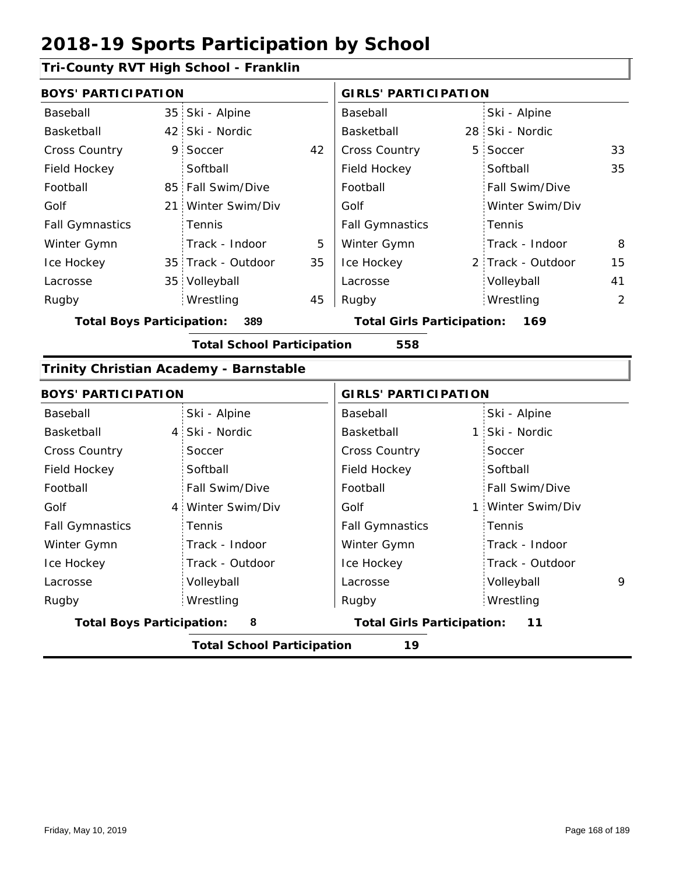### **Tri-County RVT High School - Franklin**

| <b>BOYS' PARTICIPATION</b> |  |                    |    | <b>GIRLS' PARTICIPATION</b> |  |                       |    |
|----------------------------|--|--------------------|----|-----------------------------|--|-----------------------|----|
| Baseball                   |  | 35 Ski - Alpine    |    | Baseball                    |  | Ski - Alpine          |    |
| Basketball                 |  | 42 Ski - Nordic    |    | Basketball                  |  | 28 Ski - Nordic       |    |
| <b>Cross Country</b>       |  | 9 Soccer           | 42 | <b>Cross Country</b>        |  | 5 Soccer              | 33 |
| Field Hockey               |  | Softball           |    | Field Hockey                |  | Softball              | 35 |
| Football                   |  | 85 Fall Swim/Dive  |    | Football                    |  | <b>Fall Swim/Dive</b> |    |
| Golf                       |  | 21 Winter Swim/Div |    | Golf                        |  | Winter Swim/Div       |    |
| <b>Fall Gymnastics</b>     |  | Tennis             |    | <b>Fall Gymnastics</b>      |  | : Tennis              |    |
| Winter Gymn                |  | Track - Indoor     | 5  | Winter Gymn                 |  | Track - Indoor        | 8  |
| Ice Hockey                 |  | 35 Track - Outdoor | 35 | Ice Hockey                  |  | 2 Track - Outdoor     | 15 |
| Lacrosse                   |  | 35 Volleyball      |    | Lacrosse                    |  | Volleyball            | 41 |
| Rugby                      |  | Wrestling          | 45 | Rugby                       |  | Wrestling             | 2  |
|                            |  |                    |    |                             |  |                       |    |

**Total Boys Participation: 389 Total Girls Participation: 169**

**Total School Participation 558**

#### **Trinity Christian Academy - Barnstable**

| <b>BOYS' PARTICIPATION</b>            |                                         | <b>GIRLS' PARTICIPATION</b>             |                   |  |  |  |  |  |
|---------------------------------------|-----------------------------------------|-----------------------------------------|-------------------|--|--|--|--|--|
| Baseball                              | Ski - Alpine                            | Baseball                                | Ski - Alpine      |  |  |  |  |  |
| Basketball                            | 4 Ski - Nordic                          | Basketball                              | 1 Ski - Nordic    |  |  |  |  |  |
| <b>Cross Country</b>                  | Soccer                                  | <b>Cross Country</b>                    | Soccer            |  |  |  |  |  |
| Field Hockey                          | Softball                                | Field Hockey                            | Softball          |  |  |  |  |  |
| Football                              | Fall Swim/Dive                          | Football                                | Fall Swim/Dive    |  |  |  |  |  |
| Golf                                  | 4 Winter Swim/Div                       | Golf                                    | 1 Winter Swim/Div |  |  |  |  |  |
| <b>Fall Gymnastics</b>                | <b>Tennis</b>                           | <b>Fall Gymnastics</b>                  | Tennis            |  |  |  |  |  |
| Winter Gymn                           | Track - Indoor                          | Winter Gymn                             | Track - Indoor    |  |  |  |  |  |
| Ice Hockey                            | Track - Outdoor                         | Ice Hockey                              | Track - Outdoor   |  |  |  |  |  |
| Lacrosse                              | Volleyball                              | Lacrosse                                | Volleyball<br>9   |  |  |  |  |  |
| Rugby                                 | Wrestling                               | Rugby                                   | Wrestling         |  |  |  |  |  |
| 8<br><b>Total Boys Participation:</b> |                                         | <b>Total Girls Participation:</b><br>11 |                   |  |  |  |  |  |
|                                       | <b>Total School Participation</b><br>19 |                                         |                   |  |  |  |  |  |

Friday, May 10, 2019 Page 168 of 189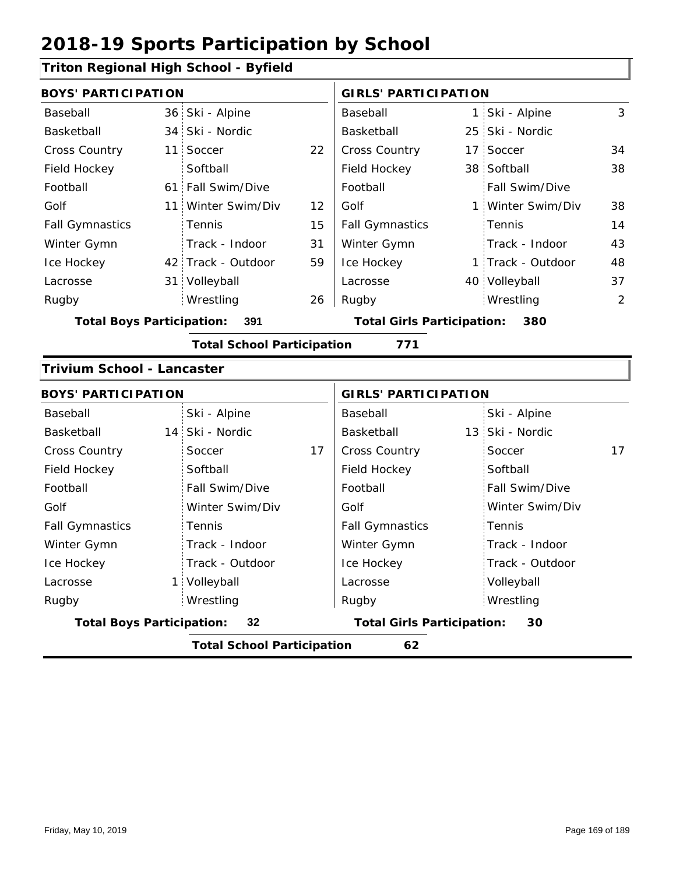### **Triton Regional High School - Byfield**

|                        | <b>BOYS' PARTICIPATION</b> |                    |    | <b>GIRLS' PARTICIPATION</b> |  |                       |    |
|------------------------|----------------------------|--------------------|----|-----------------------------|--|-----------------------|----|
| Baseball               |                            | 36 Ski - Alpine    |    | Baseball                    |  | 1 Ski - Alpine        | 3  |
| Basketball             |                            | 34 Ski - Nordic    |    | Basketball                  |  | 25 Ski - Nordic       |    |
| <b>Cross Country</b>   |                            | 11 Soccer          | 22 | <b>Cross Country</b>        |  | 17 Soccer             | 34 |
| Field Hockey           |                            | Softball           |    | Field Hockey                |  | 38 Softball           | 38 |
| Football               |                            | 61 Fall Swim/Dive  |    | Football                    |  | <b>Fall Swim/Dive</b> |    |
| Golf                   |                            | 11 Winter Swim/Div | 12 | Golf                        |  | 1 Winter Swim/Div     | 38 |
| <b>Fall Gymnastics</b> |                            | <b>Tennis</b>      | 15 | <b>Fall Gymnastics</b>      |  | : Tennis              | 14 |
| Winter Gymn            |                            | Track - Indoor     | 31 | Winter Gymn                 |  | Track - Indoor        | 43 |
| Ice Hockey             |                            | 42 Track - Outdoor | 59 | Ice Hockey                  |  | 1 Track - Outdoor     | 48 |
| Lacrosse               |                            | 31 Volleyball      |    | Lacrosse                    |  | 40 Volleyball         | 37 |
| Rugby                  |                            | Wrestling          | 26 | Rugby                       |  | Wrestling             | 2  |
|                        |                            |                    |    |                             |  |                       |    |

**Total Boys Participation: 391 Total Girls Participation: 380**

**Total School Participation 771**

#### **Trivium School - Lancaster**

| <b>BOYS' PARTICIPATION</b>              |                 |                                         | <b>GIRLS' PARTICIPATION</b> |  |  |  |  |  |  |
|-----------------------------------------|-----------------|-----------------------------------------|-----------------------------|--|--|--|--|--|--|
| Baseball                                | Ski - Alpine    | Baseball                                | Ski - Alpine                |  |  |  |  |  |  |
| Basketball                              | 14 Ski - Nordic | Basketball                              | 13 Ski - Nordic             |  |  |  |  |  |  |
| <b>Cross Country</b>                    | 17<br>Soccer    | <b>Cross Country</b>                    | 17<br>Soccer                |  |  |  |  |  |  |
| Field Hockey                            | Softball        | Field Hockey                            | Softball                    |  |  |  |  |  |  |
| Football                                | Fall Swim/Dive  | Football                                | Fall Swim/Dive              |  |  |  |  |  |  |
| Golf                                    | Winter Swim/Div | Golf                                    | Winter Swim/Div             |  |  |  |  |  |  |
| <b>Fall Gymnastics</b>                  | Tennis          | <b>Fall Gymnastics</b>                  | Tennis                      |  |  |  |  |  |  |
| Winter Gymn                             | Track - Indoor  | Winter Gymn                             | Track - Indoor              |  |  |  |  |  |  |
| Ice Hockey                              | Track - Outdoor | Ice Hockey                              | Track - Outdoor             |  |  |  |  |  |  |
| Lacrosse                                | 1 Volleyball    | Lacrosse                                | Volleyball                  |  |  |  |  |  |  |
| Rugby                                   | Wrestling       | Rugby                                   | Wrestling                   |  |  |  |  |  |  |
| <b>Total Boys Participation:</b>        | 32              | <b>Total Girls Participation:</b><br>30 |                             |  |  |  |  |  |  |
| 62<br><b>Total School Participation</b> |                 |                                         |                             |  |  |  |  |  |  |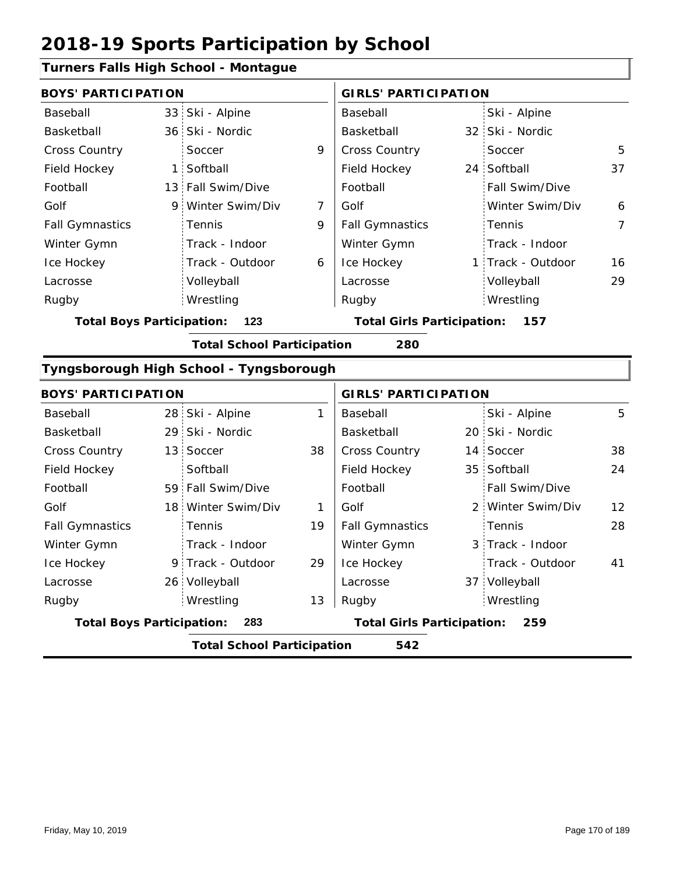### **Turners Falls High School - Montague**

|                                         | <b>BOYS' PARTICIPATION</b> |                   |                                   | <b>GIRLS' PARTICIPATION</b> |     |                   |                |  |
|-----------------------------------------|----------------------------|-------------------|-----------------------------------|-----------------------------|-----|-------------------|----------------|--|
| Baseball                                |                            | 33 Ski - Alpine   |                                   | Baseball                    |     | Ski - Alpine      |                |  |
| Basketball                              |                            | 36 Ski - Nordic   |                                   | Basketball                  |     | 32 Ski - Nordic   |                |  |
| <b>Cross Country</b>                    |                            | Soccer            | 9                                 | <b>Cross Country</b>        |     | Soccer            | 5              |  |
| Field Hockey                            |                            | 1 Softball        |                                   | Field Hockey                |     | 24 Softball       | 37             |  |
| Football                                |                            | 13 Fall Swim/Dive |                                   | Football                    |     | Fall Swim/Dive    |                |  |
| Golf                                    |                            | 9 Winter Swim/Div | 7                                 | Golf                        |     | Winter Swim/Div   | 6              |  |
| <b>Fall Gymnastics</b>                  |                            | Tennis            | 9                                 | <b>Fall Gymnastics</b>      |     | Tennis            | $\overline{7}$ |  |
| Winter Gymn                             |                            | Track - Indoor    |                                   | Winter Gymn                 |     | Track - Indoor    |                |  |
| Ice Hockey                              |                            | Track - Outdoor   | 6                                 | Ice Hockey                  |     | 1 Track - Outdoor | 16             |  |
| Lacrosse                                |                            | Volleyball        |                                   | Lacrosse                    |     | Volleyball        | 29             |  |
| Rugby                                   |                            | Wrestling         |                                   | Rugby                       |     | Wrestling         |                |  |
| 123<br><b>Total Boys Participation:</b> |                            |                   | <b>Total Girls Participation:</b> |                             | 157 |                   |                |  |

**Total School Participation 280**

### **Tyngsborough High School - Tyngsborough**

| <b>BOYS' PARTICIPATION</b>              |                                          |                    |                                          | <b>GIRLS' PARTICIPATION</b> |  |                   |                   |  |  |
|-----------------------------------------|------------------------------------------|--------------------|------------------------------------------|-----------------------------|--|-------------------|-------------------|--|--|
| Baseball                                |                                          | 28 Ski - Alpine    | 1                                        | Baseball                    |  | Ski - Alpine      | 5                 |  |  |
| Basketball                              |                                          | 29 Ski - Nordic    |                                          | Basketball                  |  | 20 Ski - Nordic   |                   |  |  |
| <b>Cross Country</b>                    |                                          | 13 Soccer          | 38                                       | <b>Cross Country</b>        |  | 14 Soccer         | 38                |  |  |
| Field Hockey                            |                                          | Softball           |                                          | Field Hockey                |  | 35 Softball       | 24                |  |  |
| Football                                |                                          | 59 Fall Swim/Dive  |                                          | Football                    |  | Fall Swim/Dive    |                   |  |  |
| Golf                                    |                                          | 18 Winter Swim/Div | 1                                        | Golf                        |  | 2 Winter Swim/Div | $12 \overline{ }$ |  |  |
| <b>Fall Gymnastics</b>                  |                                          | <b>Tennis</b>      | 19                                       | <b>Fall Gymnastics</b>      |  | Tennis            | 28                |  |  |
| Winter Gymn                             |                                          | Track - Indoor     |                                          | Winter Gymn                 |  | 3 Track - Indoor  |                   |  |  |
| Ice Hockey                              |                                          | 9 Track - Outdoor  | 29                                       | Ice Hockey                  |  | Track - Outdoor   | 41                |  |  |
| Lacrosse                                |                                          | 26 Volleyball      |                                          | Lacrosse                    |  | 37 Volleyball     |                   |  |  |
| Rugby                                   |                                          | Wrestling          | 13                                       | Rugby                       |  | Wrestling         |                   |  |  |
| <b>Total Boys Participation:</b><br>283 |                                          |                    | <b>Total Girls Participation:</b><br>259 |                             |  |                   |                   |  |  |
|                                         | <b>Total School Participation</b><br>542 |                    |                                          |                             |  |                   |                   |  |  |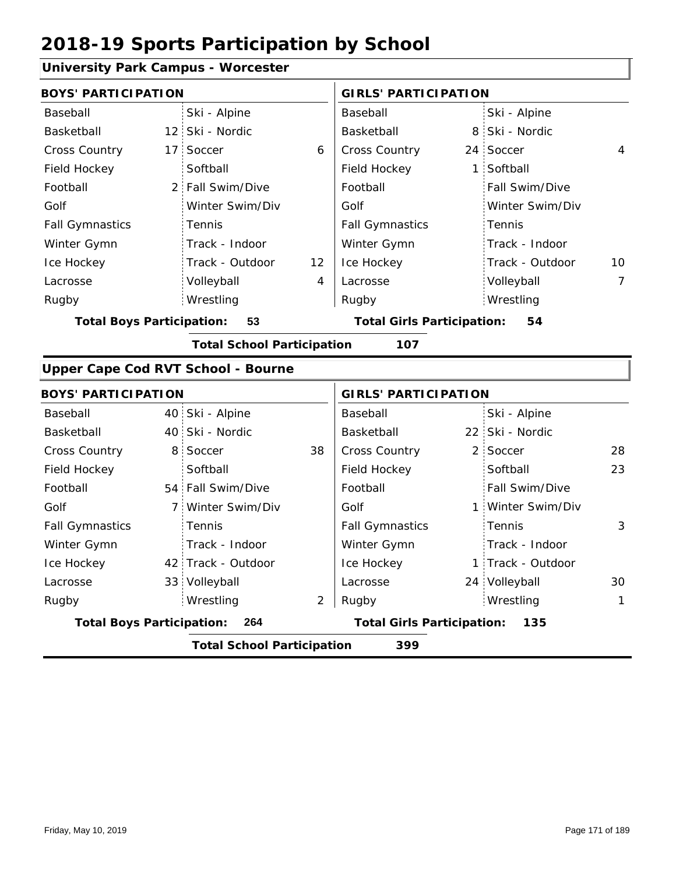## **University Park Campus - Worcester**

| <b>BOYS' PARTICIPATION</b>       |    |                                    |    | <b>GIRLS' PARTICIPATION</b>       |                |                   |                |
|----------------------------------|----|------------------------------------|----|-----------------------------------|----------------|-------------------|----------------|
| Baseball                         |    | Ski - Alpine                       |    | Baseball                          |                | Ski - Alpine      |                |
| Basketball                       |    | 12 Ski - Nordic                    |    | Basketball                        | 8              | Ski - Nordic      |                |
| Cross Country                    |    | 17 Soccer                          | 6  | Cross Country                     | 24             | Soccer            | 4              |
| Field Hockey                     |    | Softball                           |    | Field Hockey                      | $\mathbf{1}$   | Softball          |                |
| Football                         |    | 2 Fall Swim/Dive                   |    | Football                          |                | Fall Swim/Dive    |                |
| Golf                             |    | Winter Swim/Div                    |    | Golf                              |                | Winter Swim/Div   |                |
| <b>Fall Gymnastics</b>           |    | Tennis                             |    | <b>Fall Gymnastics</b>            |                | Tennis            |                |
| Winter Gymn                      |    | Track - Indoor                     |    | Winter Gymn                       |                | Track - Indoor    |                |
| Ice Hockey                       |    | Track - Outdoor                    | 12 | Ice Hockey                        |                | Track - Outdoor   | 10             |
| Lacrosse                         |    | Volleyball                         | 4  | Lacrosse                          |                | Volleyball        | $\overline{7}$ |
| Rugby                            |    | Wrestling                          |    | Rugby                             |                | Wrestling         |                |
| <b>Total Boys Participation:</b> |    | 53                                 |    | <b>Total Girls Participation:</b> |                | 54                |                |
|                                  |    | <b>Total School Participation</b>  |    | 107                               |                |                   |                |
|                                  |    | Upper Cape Cod RVT School - Bourne |    |                                   |                |                   |                |
| <b>BOYS' PARTICIPATION</b>       |    |                                    |    | <b>GIRLS' PARTICIPATION</b>       |                |                   |                |
| Baseball                         |    | 40 Ski - Alpine                    |    | Baseball                          |                | Ski - Alpine      |                |
| Basketball                       |    | 40 Ski - Nordic                    |    | Basketball                        |                | 22 Ski - Nordic   |                |
| Cross Country                    | 8. | Soccer                             | 38 | Cross Country                     | $\overline{2}$ | Soccer            | 28             |
| Field Hockey                     |    | Softball                           |    | Field Hockey                      |                | Softball          | 23             |
| Football                         |    | 54 Fall Swim/Dive                  |    | Football                          |                | Fall Swim/Dive    |                |
| Golf                             |    | 7 Winter Swim/Div                  |    | Golf                              |                | 1 Winter Swim/Div |                |
| <b>Fall Gymnastics</b>           |    | Tennis                             |    | <b>Fall Gymnastics</b>            |                | Tennis            | 3              |
| Winter Gymn                      |    | Track - Indoor                     |    | Winter Gymn                       |                | Track - Indoor    |                |
| Ice Hockey                       |    | 42 Track - Outdoor                 |    | Ice Hockey                        | 1              | Track - Outdoor   |                |
| Lacrosse                         |    | 33 Volleyball                      |    | Lacrosse                          |                | 24 Volleyball     | 30             |
| Rugby                            |    | Wrestling                          | 2  | Rugby                             |                | Wrestling         | 1              |
| <b>Total Boys Participation:</b> |    | 264                                |    | <b>Total Girls Participation:</b> |                | 135               |                |

**Total School Participation 399**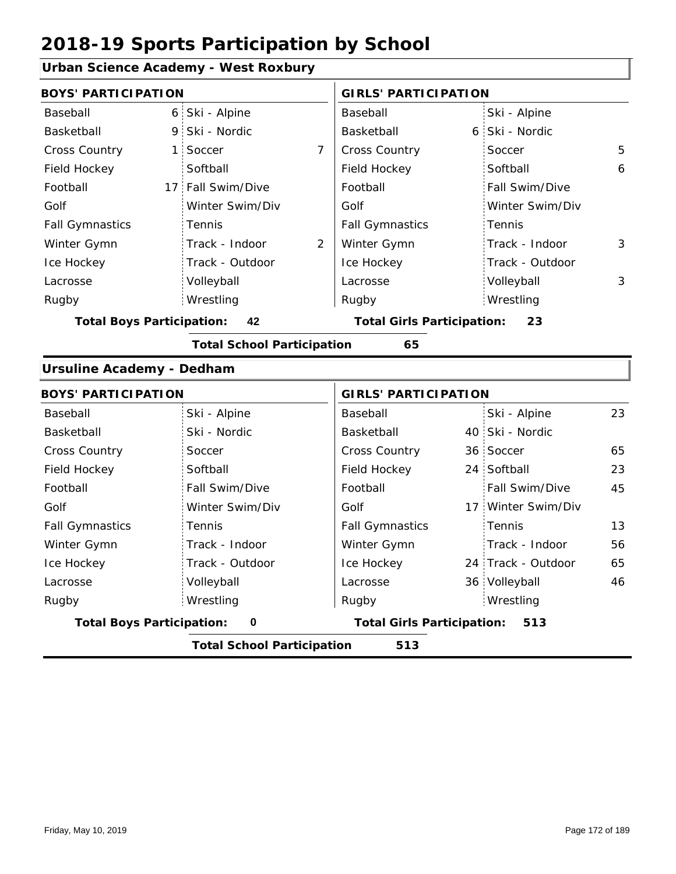### **Urban Science Academy - West Roxbury**

| <b>BOYS' PARTICIPATION</b>              |                                          |                | <b>GIRLS' PARTICIPATION</b>       |   |                    |    |  |  |  |
|-----------------------------------------|------------------------------------------|----------------|-----------------------------------|---|--------------------|----|--|--|--|
| Baseball                                | 6 Ski - Alpine                           |                | Baseball                          |   | Ski - Alpine       |    |  |  |  |
| Basketball                              | 9 Ski - Nordic                           |                | Basketball                        | 6 | Ski - Nordic       |    |  |  |  |
| Cross Country<br>$\mathbf{1}$           | Soccer                                   | $\overline{7}$ | Cross Country                     |   | Soccer             | 5  |  |  |  |
| Field Hockey                            | Softball                                 |                | Field Hockey                      |   | Softball           | 6  |  |  |  |
| Football                                | 17 Fall Swim/Dive                        |                | Football                          |   | Fall Swim/Dive     |    |  |  |  |
| Golf                                    | Winter Swim/Div                          |                | Golf                              |   | Winter Swim/Div    |    |  |  |  |
| <b>Fall Gymnastics</b>                  | Tennis                                   |                | <b>Fall Gymnastics</b>            |   | Tennis             |    |  |  |  |
| Winter Gymn                             | Track - Indoor                           | 2              | Winter Gymn                       |   | Track - Indoor     | 3  |  |  |  |
| Ice Hockey                              | Track - Outdoor                          |                | Ice Hockey                        |   | Track - Outdoor    |    |  |  |  |
| Lacrosse                                | Volleyball                               |                | Lacrosse                          |   | Volleyball         | 3  |  |  |  |
| Rugby                                   | Wrestling                                |                | Rugby                             |   | Wrestling          |    |  |  |  |
| <b>Total Boys Participation:</b>        | 42                                       |                | <b>Total Girls Participation:</b> |   | 23                 |    |  |  |  |
| <b>Total School Participation</b><br>65 |                                          |                |                                   |   |                    |    |  |  |  |
| <b>Ursuline Academy - Dedham</b>        |                                          |                |                                   |   |                    |    |  |  |  |
| <b>BOYS' PARTICIPATION</b>              |                                          |                | <b>GIRLS' PARTICIPATION</b>       |   |                    |    |  |  |  |
| Baseball                                | Ski - Alpine                             |                | Baseball                          |   | Ski - Alpine       | 23 |  |  |  |
| Basketball                              | Ski - Nordic                             |                | Basketball                        |   | 40 Ski - Nordic    |    |  |  |  |
| <b>Cross Country</b>                    | Soccer                                   |                | Cross Country                     |   | 36 Soccer          | 65 |  |  |  |
| Field Hockey                            | Softball                                 |                | Field Hockey                      |   | 24 Softball        | 23 |  |  |  |
| Football                                | Fall Swim/Dive                           |                | Football                          |   | Fall Swim/Dive     | 45 |  |  |  |
| Golf                                    | Winter Swim/Div                          |                | Golf                              |   | 17 Winter Swim/Div |    |  |  |  |
| <b>Fall Gymnastics</b>                  | Tennis                                   |                | <b>Fall Gymnastics</b>            |   | Tennis             | 13 |  |  |  |
| Winter Gymn                             | Track - Indoor                           |                | Winter Gymn                       |   | Track - Indoor     | 56 |  |  |  |
| Ice Hockey                              | Track - Outdoor                          |                | Ice Hockey                        |   | 24 Track - Outdoor | 65 |  |  |  |
| Lacrosse                                | Volleyball                               |                | Lacrosse                          |   | 36 Volleyball      | 46 |  |  |  |
| Rugby                                   | Wrestling                                |                | Rugby                             |   | Wrestling          |    |  |  |  |
| <b>Total Boys Participation:</b>        | $\pmb{0}$                                |                | <b>Total Girls Participation:</b> |   | 513                |    |  |  |  |
|                                         | <b>Total School Participation</b><br>513 |                |                                   |   |                    |    |  |  |  |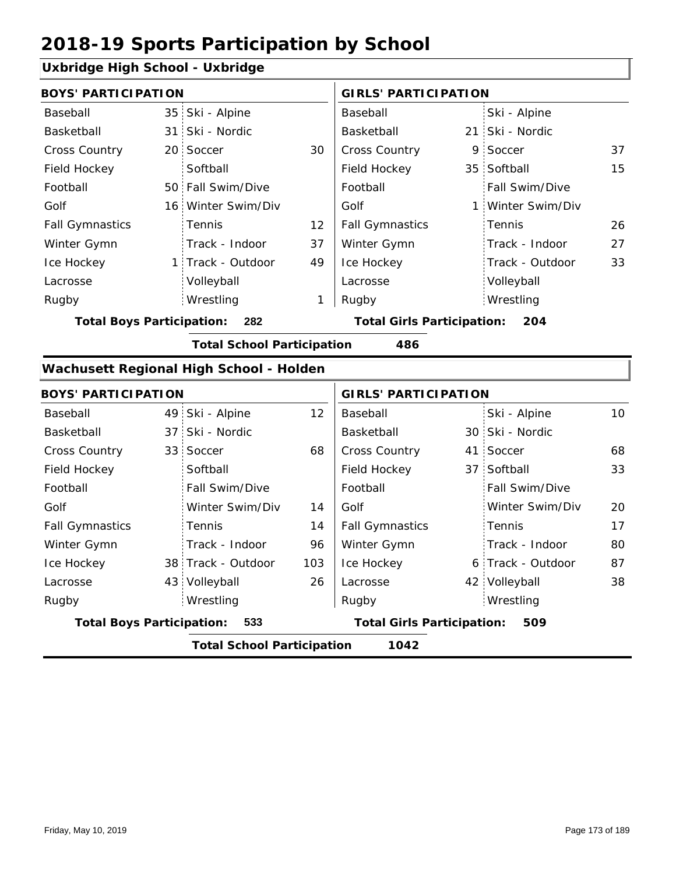#### **Uxbridge High School - Uxbridge**

|                                         | <b>BOYS' PARTICIPATION</b> |                    |                                          |                        | <b>GIRLS' PARTICIPATION</b> |                   |    |  |  |
|-----------------------------------------|----------------------------|--------------------|------------------------------------------|------------------------|-----------------------------|-------------------|----|--|--|
| Baseball                                |                            | 35 Ski - Alpine    |                                          | Baseball               |                             | Ski - Alpine      |    |  |  |
| Basketball                              |                            | 31 Ski - Nordic    |                                          | Basketball             |                             | 21 Ski - Nordic   |    |  |  |
| <b>Cross Country</b>                    |                            | 20 Soccer          | 30                                       | <b>Cross Country</b>   |                             | 9 Soccer          | 37 |  |  |
| Field Hockey                            |                            | Softball           |                                          | Field Hockey           |                             | 35 Softball       | 15 |  |  |
| Football                                |                            | 50 Fall Swim/Dive  |                                          | Football               |                             | Fall Swim/Dive    |    |  |  |
| Golf                                    |                            | 16 Winter Swim/Div |                                          | Golf                   |                             | 1 Winter Swim/Div |    |  |  |
| <b>Fall Gymnastics</b>                  |                            | <b>Tennis</b>      | 12 <sup>2</sup>                          | <b>Fall Gymnastics</b> |                             | Tennis            | 26 |  |  |
| Winter Gymn                             |                            | Track - Indoor     | 37                                       | Winter Gymn            |                             | Track - Indoor    | 27 |  |  |
| Ice Hockey                              |                            | 1 Track - Outdoor  | 49                                       | Ice Hockey             |                             | Track - Outdoor   | 33 |  |  |
| Lacrosse                                |                            | Volleyball         |                                          | Lacrosse               |                             | Volleyball        |    |  |  |
| Rugby                                   |                            | Wrestling          | 1                                        | Rugby                  |                             | Wrestling         |    |  |  |
| 282<br><b>Total Boys Participation:</b> |                            |                    | <b>Total Girls Participation:</b><br>204 |                        |                             |                   |    |  |  |

**Total School Participation 486**

#### **Wachusett Regional High School - Holden**

| <b>BOYS' PARTICIPATION</b> |                                           |                    |                 | <b>GIRLS' PARTICIPATION</b> |                                          |                   |    |  |  |  |  |
|----------------------------|-------------------------------------------|--------------------|-----------------|-----------------------------|------------------------------------------|-------------------|----|--|--|--|--|
| Baseball                   |                                           | 49 Ski - Alpine    | 12 <sup>2</sup> | Baseball                    |                                          | Ski - Alpine      | 10 |  |  |  |  |
| Basketball                 |                                           | 37 Ski - Nordic    |                 | Basketball                  |                                          | 30 Ski - Nordic   |    |  |  |  |  |
| <b>Cross Country</b>       |                                           | 33 Soccer          | 68              | <b>Cross Country</b>        |                                          | 41 Soccer         | 68 |  |  |  |  |
| Field Hockey               |                                           | Softball           |                 | Field Hockey                |                                          | 37 Softball       | 33 |  |  |  |  |
| Football                   |                                           | Fall Swim/Dive     |                 | Football                    |                                          | Fall Swim/Dive    |    |  |  |  |  |
| Golf                       |                                           | Winter Swim/Div    | 14              | Golf                        |                                          | Winter Swim/Div   | 20 |  |  |  |  |
| <b>Fall Gymnastics</b>     |                                           | <b>Tennis</b>      | 14              | <b>Fall Gymnastics</b>      |                                          | Tennis            | 17 |  |  |  |  |
| Winter Gymn                |                                           | Track - Indoor     | 96              | Winter Gymn                 |                                          | Track - Indoor    | 80 |  |  |  |  |
| Ice Hockey                 |                                           | 38 Track - Outdoor | 103             | Ice Hockey                  |                                          | 6 Track - Outdoor | 87 |  |  |  |  |
| Lacrosse                   |                                           | 43 Volleyball      | 26              | Lacrosse                    |                                          | 42 Volleyball     | 38 |  |  |  |  |
| Rugby                      |                                           | Wrestling          |                 | Rugby                       |                                          | Wrestling         |    |  |  |  |  |
|                            | <b>Total Boys Participation:</b><br>533   |                    |                 |                             | <b>Total Girls Participation:</b><br>509 |                   |    |  |  |  |  |
|                            | 1042<br><b>Total School Participation</b> |                    |                 |                             |                                          |                   |    |  |  |  |  |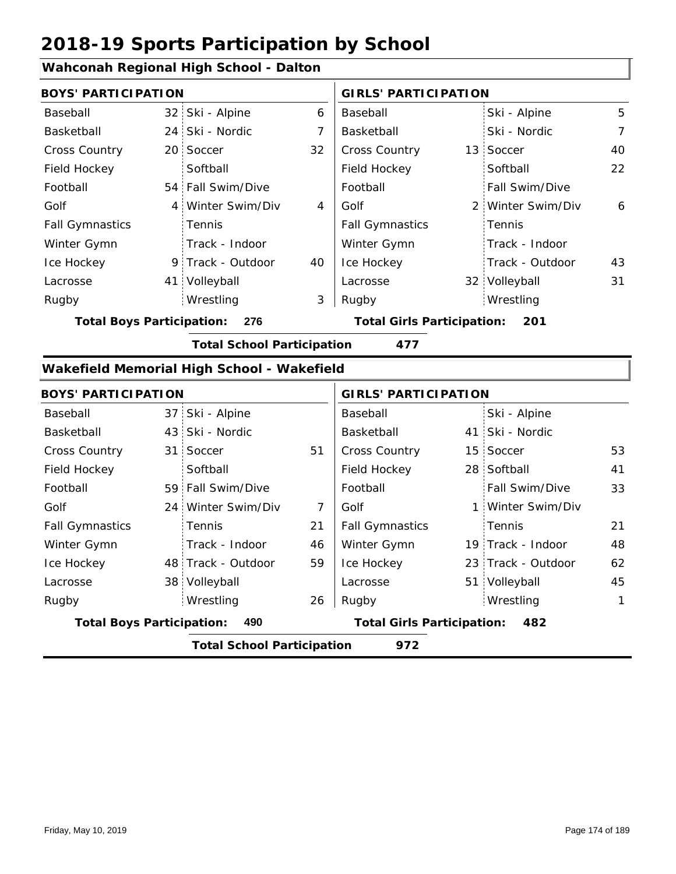## **Wahconah Regional High School - Dalton**

| anoonan iyogionan mgu oonoon     |                |                                            |    |                                          |  |                   |                |  |
|----------------------------------|----------------|--------------------------------------------|----|------------------------------------------|--|-------------------|----------------|--|
| <b>BOYS' PARTICIPATION</b>       |                |                                            |    | <b>GIRLS' PARTICIPATION</b>              |  |                   |                |  |
| Baseball                         |                | 32 Ski - Alpine                            | 6  | Baseball                                 |  | Ski - Alpine      | 5              |  |
| Basketball                       |                | 24 Ski - Nordic                            | 7  | Basketball                               |  | Ski - Nordic      | $\overline{7}$ |  |
| Cross Country                    |                | 20 Soccer                                  | 32 | Cross Country                            |  | 13 Soccer         | 40             |  |
| Field Hockey                     |                | Softball                                   |    | Field Hockey                             |  | Softball          | 22             |  |
| Football                         |                | 54 Fall Swim/Dive                          |    | Football                                 |  | Fall Swim/Dive    |                |  |
| Golf                             | $\overline{4}$ | Winter Swim/Div                            | 4  | Golf                                     |  | 2 Winter Swim/Div | 6              |  |
| <b>Fall Gymnastics</b>           |                | Tennis                                     |    | <b>Fall Gymnastics</b>                   |  | Tennis            |                |  |
| Winter Gymn                      |                | Track - Indoor                             |    | Winter Gymn                              |  | Track - Indoor    |                |  |
| Ice Hockey                       | 9.             | Track - Outdoor                            | 40 | Ice Hockey                               |  | Track - Outdoor   | 43             |  |
| Lacrosse                         | 41             | Volleyball                                 |    | Lacrosse                                 |  | 32 Volleyball     | 31             |  |
| Rugby                            |                | Wrestling                                  | 3  | Rugby                                    |  | Wrestling         |                |  |
| <b>Total Boys Participation:</b> |                | 276                                        |    | <b>Total Girls Participation:</b><br>201 |  |                   |                |  |
|                                  |                | <b>Total School Participation</b>          |    | 477                                      |  |                   |                |  |
|                                  |                | Wakefield Memorial High School - Wakefield |    |                                          |  |                   |                |  |
| <b>BOYS' PARTICIPATION</b>       |                |                                            |    | <b>GIRLS' PARTICIPATION</b>              |  |                   |                |  |
| Baseball                         |                | 37 Ski - Alpine                            |    | Baseball                                 |  | Ski - Alpine      |                |  |
| Basketball                       |                | 43 Ski - Nordic                            |    | Basketball                               |  | 41 Ski - Nordic   |                |  |
| Cross Country                    |                | 31 Soccer                                  | 51 | Cross Country                            |  | 15 Soccer         | 53             |  |

| <b>Total School Participation</b><br>972 |     |                    |                                   |                        |     |                       |             |  |  |  |
|------------------------------------------|-----|--------------------|-----------------------------------|------------------------|-----|-----------------------|-------------|--|--|--|
| <b>Total Boys Participation:</b>         | 490 |                    | <b>Total Girls Participation:</b> |                        | 482 |                       |             |  |  |  |
| Rugby                                    |     | Wrestling          | 26                                | Rugby                  |     | Wrestling             | $\mathbf 1$ |  |  |  |
| Lacrosse                                 |     | 38 Volleyball      |                                   | Lacrosse               |     | 51 Volleyball         | 45          |  |  |  |
| Ice Hockey                               |     | 48 Track - Outdoor | 59                                | Ice Hockey             |     | 23 Track - Outdoor    | 62          |  |  |  |
| Winter Gymn                              |     | Track - Indoor     | 46                                | Winter Gymn            |     | 19 Track - Indoor     | 48          |  |  |  |
| <b>Fall Gymnastics</b>                   |     | Tennis             | 21                                | <b>Fall Gymnastics</b> |     | Tennis                | 21          |  |  |  |
| Golf                                     |     | 24 Winter Swim/Div | 7                                 | Golf                   |     | 1 Winter Swim/Div     |             |  |  |  |
| Football                                 |     | 59 Fall Swim/Dive  |                                   | Football               |     | <b>Fall Swim/Dive</b> | 33          |  |  |  |
| Field Hockey                             |     | Softball           |                                   | Field Hockey           |     | 28 Softball           | 41          |  |  |  |
| <b>Cross Country</b>                     |     | 31 Soccer          | 51                                | <b>Cross Country</b>   |     | 15 Soccer             | 53          |  |  |  |
| Basketball                               |     | 43 Ski - Nordic    |                                   | Basketball             |     | 41 Ski - Nordic       |             |  |  |  |
| Dasepall                                 |     | $31$ $3N  N$       |                                   | Daseuall               |     | <b>JNI - AINITE</b>   |             |  |  |  |

41

33

21 48

62

45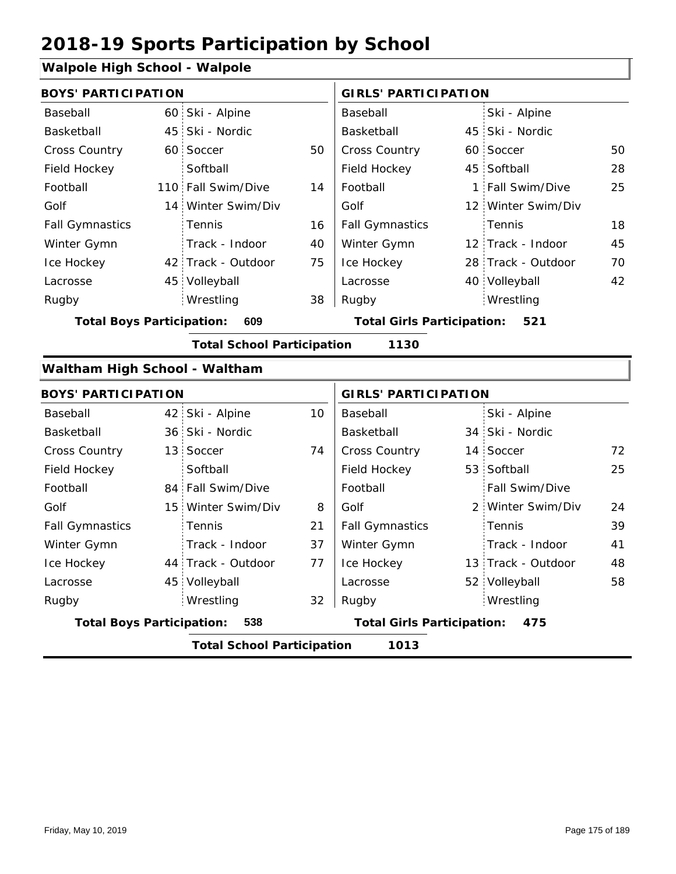## **Walpole High School - Walpole**

| waipole mgn school - waipole              |  |                                   |    |                                          |    |                    |    |  |  |  |  |
|-------------------------------------------|--|-----------------------------------|----|------------------------------------------|----|--------------------|----|--|--|--|--|
| <b>BOYS' PARTICIPATION</b>                |  |                                   |    | <b>GIRLS' PARTICIPATION</b>              |    |                    |    |  |  |  |  |
| Baseball                                  |  | 60 Ski - Alpine                   |    | Baseball                                 |    | Ski - Alpine       |    |  |  |  |  |
| Basketball                                |  | 45 Ski - Nordic                   |    | Basketball                               |    | 45 Ski - Nordic    |    |  |  |  |  |
| <b>Cross Country</b>                      |  | 60 Soccer                         | 50 | Cross Country                            | 60 | Soccer             | 50 |  |  |  |  |
| Field Hockey                              |  | Softball                          |    | Field Hockey                             |    | 45 Softball        | 28 |  |  |  |  |
| Football                                  |  | 110 Fall Swim/Dive                | 14 | Football                                 | 1: | Fall Swim/Dive     | 25 |  |  |  |  |
| Golf                                      |  | 14 Winter Swim/Div                |    | Golf                                     |    | 12 Winter Swim/Div |    |  |  |  |  |
| <b>Fall Gymnastics</b>                    |  | Tennis                            | 16 | <b>Fall Gymnastics</b>                   |    | Tennis             | 18 |  |  |  |  |
| Winter Gymn                               |  | Track - Indoor                    | 40 | Winter Gymn                              |    | 12 Track - Indoor  | 45 |  |  |  |  |
| Ice Hockey                                |  | 42 Track - Outdoor                | 75 | Ice Hockey                               |    | 28 Track - Outdoor | 70 |  |  |  |  |
| Lacrosse                                  |  | 45 Volleyball                     |    | Lacrosse                                 |    | 40 Volleyball      | 42 |  |  |  |  |
| Rugby                                     |  | Wrestling                         | 38 | Rugby                                    |    | Wrestling          |    |  |  |  |  |
| <b>Total Boys Participation:</b>          |  | 609                               |    | <b>Total Girls Participation:</b>        |    | 521                |    |  |  |  |  |
| <b>Total School Participation</b><br>1130 |  |                                   |    |                                          |    |                    |    |  |  |  |  |
| Waltham High School - Waltham             |  |                                   |    |                                          |    |                    |    |  |  |  |  |
| <b>BOYS' PARTICIPATION</b>                |  |                                   |    | <b>GIRLS' PARTICIPATION</b>              |    |                    |    |  |  |  |  |
| Baseball                                  |  | 42 Ski - Alpine                   | 10 | Baseball                                 |    | Ski - Alpine       |    |  |  |  |  |
| Basketball                                |  | 36 Ski - Nordic                   |    | Basketball                               |    | 34 Ski - Nordic    |    |  |  |  |  |
| Cross Country                             |  | 13 Soccer                         | 74 | Cross Country                            |    | 14 Soccer          | 72 |  |  |  |  |
| Field Hockey                              |  | Softball                          |    | Field Hockey                             |    | 53 Softball        | 25 |  |  |  |  |
| Football                                  |  | 84 Fall Swim/Dive                 |    | Football                                 |    | Fall Swim/Dive     |    |  |  |  |  |
| Golf                                      |  | 15 Winter Swim/Div                | 8  | Golf                                     | 2  | Winter Swim/Div    | 24 |  |  |  |  |
| <b>Fall Gymnastics</b>                    |  | Tennis                            | 21 | <b>Fall Gymnastics</b>                   |    | Tennis             | 39 |  |  |  |  |
| Winter Gymn                               |  | Track - Indoor                    | 37 | Winter Gymn                              |    | Track - Indoor     | 41 |  |  |  |  |
| Ice Hockey                                |  | 44 Track - Outdoor                | 77 | Ice Hockey                               |    | 13 Track - Outdoor | 48 |  |  |  |  |
| Lacrosse                                  |  | 45 Volleyball                     |    | Lacrosse                                 |    | 52 Volleyball      | 58 |  |  |  |  |
| Rugby                                     |  | Wrestling                         | 32 | Rugby                                    |    | Wrestling          |    |  |  |  |  |
| <b>Total Boys Participation:</b>          |  | 538                               |    | <b>Total Girls Participation:</b><br>475 |    |                    |    |  |  |  |  |
|                                           |  | <b>Total School Participation</b> |    | 1013                                     |    |                    |    |  |  |  |  |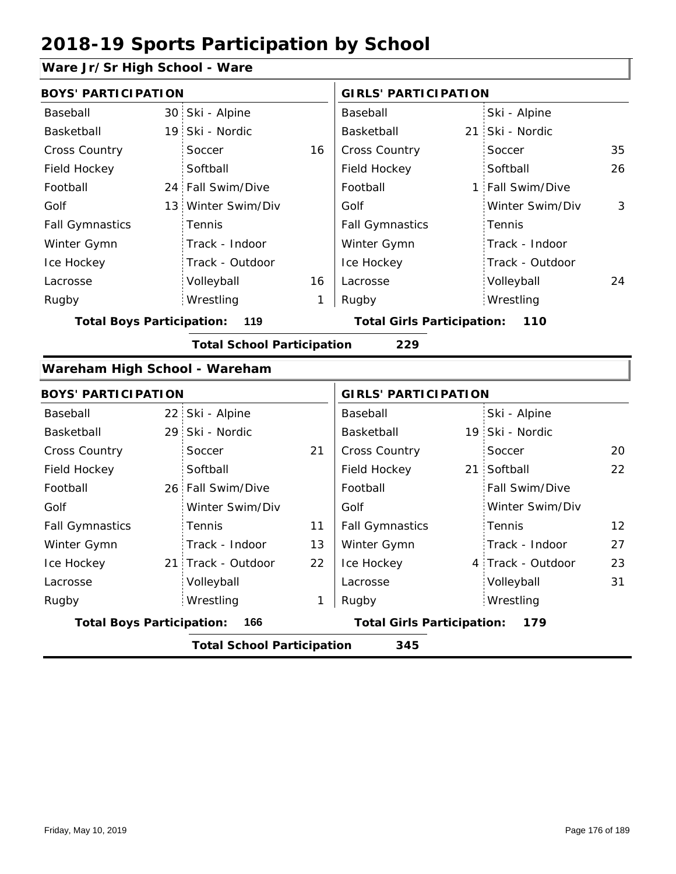## **Ware Jr/Sr High School - Ware**

| <b>BOYS' PARTICIPATION</b>       |  |                                   |    | <b>GIRLS' PARTICIPATION</b>       |  |                   |    |
|----------------------------------|--|-----------------------------------|----|-----------------------------------|--|-------------------|----|
| Baseball                         |  | 30 Ski - Alpine                   |    | Baseball                          |  | Ski - Alpine      |    |
| Basketball                       |  | 19 Ski - Nordic                   |    | Basketball                        |  | 21 Ski - Nordic   |    |
| Cross Country                    |  | Soccer                            | 16 | <b>Cross Country</b>              |  | Soccer            | 35 |
| Field Hockey                     |  | Softball                          |    | Field Hockey                      |  | Softball          | 26 |
| Football                         |  | 24 Fall Swim/Dive                 |    | Football                          |  | 1 Fall Swim/Dive  |    |
| Golf                             |  | 13 Winter Swim/Div                |    | Golf                              |  | Winter Swim/Div   | 3  |
| <b>Fall Gymnastics</b>           |  | Tennis                            |    | <b>Fall Gymnastics</b>            |  | Tennis            |    |
| Winter Gymn                      |  | Track - Indoor                    |    | Winter Gymn                       |  | Track - Indoor    |    |
| Ice Hockey                       |  | Track - Outdoor                   |    | Ice Hockey                        |  | Track - Outdoor   |    |
| Lacrosse                         |  | Volleyball                        | 16 | Lacrosse                          |  | Volleyball        | 24 |
| Rugby                            |  | Wrestling                         | 1  | Rugby                             |  | Wrestling         |    |
| <b>Total Boys Participation:</b> |  | 119                               |    | <b>Total Girls Participation:</b> |  | 110               |    |
|                                  |  | <b>Total School Participation</b> |    | 229                               |  |                   |    |
|                                  |  |                                   |    |                                   |  |                   |    |
| Wareham High School - Wareham    |  |                                   |    |                                   |  |                   |    |
| <b>BOYS' PARTICIPATION</b>       |  |                                   |    | <b>GIRLS' PARTICIPATION</b>       |  |                   |    |
| Baseball                         |  | 22 Ski - Alpine                   |    | Baseball                          |  | Ski - Alpine      |    |
| Basketball                       |  | 29 Ski - Nordic                   |    | Basketball                        |  | 19 Ski - Nordic   |    |
| Cross Country                    |  | Soccer                            | 21 | Cross Country                     |  | Soccer            | 20 |
| Field Hockey                     |  | Softball                          |    | Field Hockey                      |  | 21 Softball       | 22 |
| Football                         |  | 26 Fall Swim/Dive                 |    | Football                          |  | Fall Swim/Dive    |    |
| Golf                             |  | Winter Swim/Div                   |    | Golf                              |  | Winter Swim/Div   |    |
| <b>Fall Gymnastics</b>           |  | Tennis                            | 11 | <b>Fall Gymnastics</b>            |  | Tennis            | 12 |
| Winter Gymn                      |  | Track - Indoor                    | 13 | Winter Gymn                       |  | Track - Indoor    | 27 |
| Ice Hockey                       |  | 21 Track - Outdoor                | 22 | Ice Hockey                        |  | 4 Track - Outdoor | 23 |
| Lacrosse                         |  | Volleyball                        |    | Lacrosse                          |  | Volleyball        | 31 |
| Rugby                            |  | Wrestling                         | 1  | Rugby                             |  | Wrestling         |    |

**Total School Participation 345**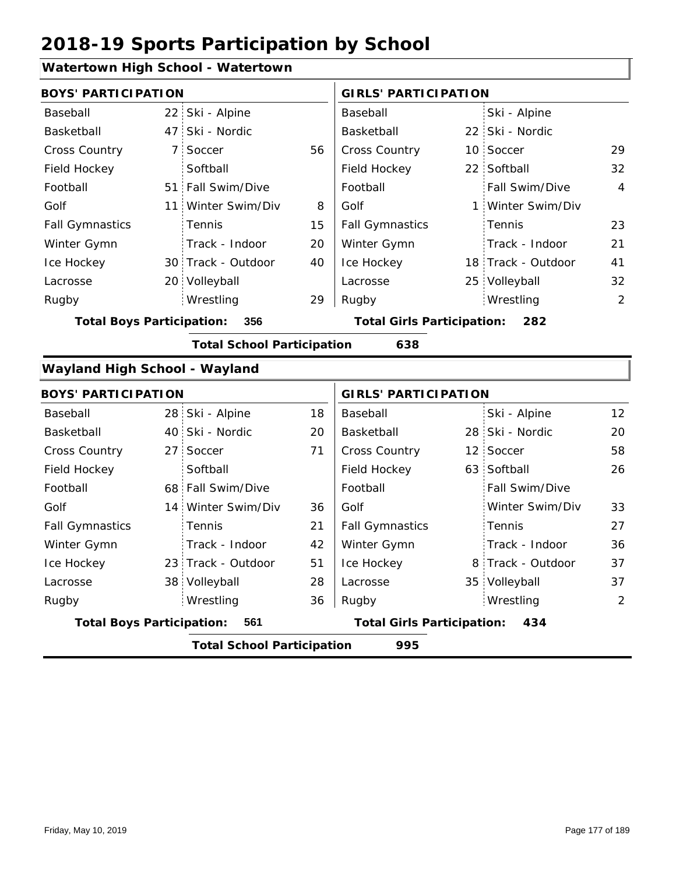## **Watertown High School - Watertown**

|                                         |                 | watertown riigh school - watertown |    |                                          |  |                    |                |
|-----------------------------------------|-----------------|------------------------------------|----|------------------------------------------|--|--------------------|----------------|
| <b>BOYS' PARTICIPATION</b>              |                 |                                    |    | <b>GIRLS' PARTICIPATION</b>              |  |                    |                |
| Baseball                                |                 | 22 Ski - Alpine                    |    | Baseball                                 |  | Ski - Alpine       |                |
| Basketball                              |                 | 47 Ski - Nordic                    |    | Basketball                               |  | 22 Ski - Nordic    |                |
| <b>Cross Country</b>                    | $7^{\circ}$     | Soccer                             | 56 | <b>Cross Country</b>                     |  | 10 Soccer          | 29             |
| Field Hockey                            |                 | Softball                           |    | Field Hockey                             |  | 22 Softball        | 32             |
| Football                                |                 | 51 Fall Swim/Dive                  |    | Football                                 |  | Fall Swim/Dive     | $\overline{4}$ |
| Golf                                    | 11              | Winter Swim/Div                    | 8  | Golf                                     |  | 1 Winter Swim/Div  |                |
| <b>Fall Gymnastics</b>                  |                 | Tennis                             | 15 | <b>Fall Gymnastics</b>                   |  | Tennis             | 23             |
| Winter Gymn                             |                 | Track - Indoor                     | 20 | Winter Gymn                              |  | Track - Indoor     | 21             |
| Ice Hockey                              |                 | 30 Track - Outdoor                 | 40 | Ice Hockey                               |  | 18 Track - Outdoor | 41             |
| Lacrosse                                |                 | 20 Volleyball                      |    | Lacrosse                                 |  | 25 Volleyball      | 32             |
| Rugby                                   |                 | Wrestling                          | 29 | Rugby                                    |  | Wrestling          | $\overline{2}$ |
| <b>Total Boys Participation:</b><br>356 |                 |                                    |    | <b>Total Girls Participation:</b><br>282 |  |                    |                |
|                                         |                 | <b>Total School Participation</b>  |    | 638                                      |  |                    |                |
| <b>Wayland High School - Wayland</b>    |                 |                                    |    |                                          |  |                    |                |
| <b>BOYS' PARTICIPATION</b>              |                 |                                    |    | <b>GIRLS' PARTICIPATION</b>              |  |                    |                |
| Baseball                                |                 | 28 Ski - Alpine                    | 18 | Baseball                                 |  | Ski - Alpine       | 12             |
| Basketball                              |                 | 40 Ski - Nordic                    | 20 | Basketball                               |  | 28 Ski - Nordic    | 20             |
| Cross Country                           | 27 <sup>1</sup> | Soccer                             | 71 | Cross Country                            |  | 12 Soccer          | 58             |
| Field Hockey                            |                 | Softball                           |    | Field Hockey                             |  | 63 Softball        | 26             |
| Football                                |                 | 68 Fall Swim/Dive                  |    | Football                                 |  | Fall Swim/Dive     |                |
| Golf                                    |                 | 14 Winter Swim/Div                 | 36 | Golf                                     |  | Winter Swim/Div    | 33             |
| <b>Fall Gymnastics</b>                  |                 | Tennis                             | 21 | <b>Fall Gymnastics</b>                   |  | Tennis             | 27             |
| Winter Gymn                             |                 | Track - Indoor                     | 42 | Winter Gymn                              |  | Track - Indoor     | 36             |
| Ice Hockey                              |                 | 23 Track - Outdoor                 | 51 | Ice Hockey                               |  | 8 Track - Outdoor  | 37             |
| Lacrosse                                |                 | 38 Volleyball                      | 28 | Lacrosse                                 |  | 35 Volleyball      | 37             |
| Rugby                                   |                 | Wrestling                          | 36 | Rugby                                    |  | Wrestling          | $\overline{2}$ |
| <b>Total Boys Participation:</b>        |                 | 561                                |    | <b>Total Girls Participation:</b><br>434 |  |                    |                |
|                                         |                 | <b>Total School Participation</b>  |    | 995                                      |  |                    |                |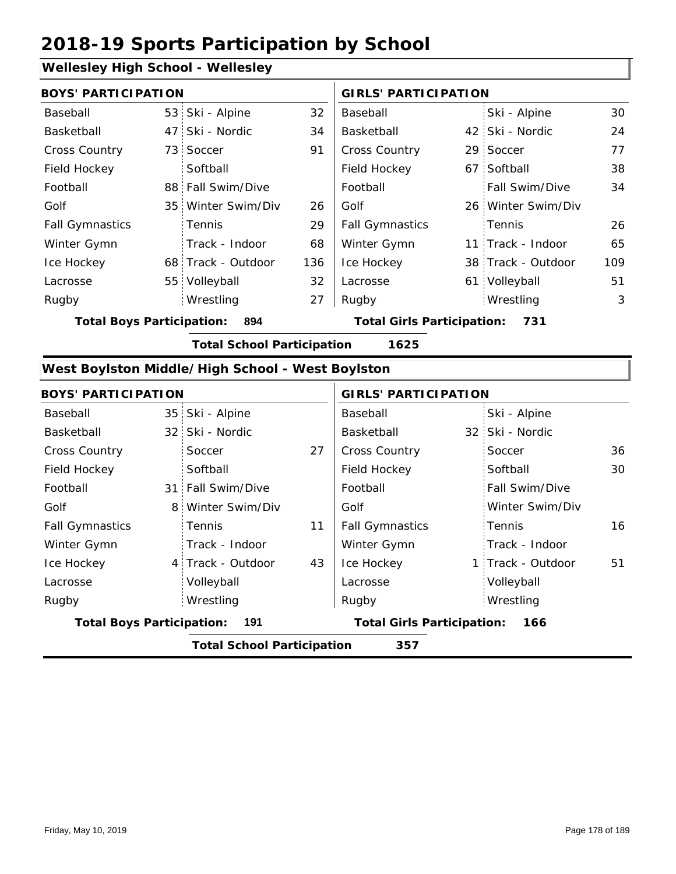#### **Wellesley High School - Wellesley**

| <b>BOYS' PARTICIPATION</b> |  |                    | <b>GIRLS' PARTICIPATION</b> |                        |  |                    |     |
|----------------------------|--|--------------------|-----------------------------|------------------------|--|--------------------|-----|
| Baseball                   |  | 53 Ski - Alpine    | 32                          | Baseball               |  | Ski - Alpine       | 30  |
| Basketball                 |  | 47 Ski - Nordic    | 34                          | Basketball             |  | 42 Ski - Nordic    | 24  |
| <b>Cross Country</b>       |  | 73 Soccer          | 91                          | <b>Cross Country</b>   |  | 29 Soccer          | 77  |
| Field Hockey               |  | Softball           |                             | Field Hockey           |  | 67 Softball        | 38  |
| Football                   |  | 88 Fall Swim/Dive  |                             | Football               |  | Fall Swim/Dive     | 34  |
| Golf                       |  | 35 Winter Swim/Div | 26                          | Golf                   |  | 26 Winter Swim/Div |     |
| <b>Fall Gymnastics</b>     |  | <b>Tennis</b>      | 29                          | <b>Fall Gymnastics</b> |  | Tennis             | 26  |
| Winter Gymn                |  | Track - Indoor     | 68                          | Winter Gymn            |  | 11 Track - Indoor  | 65  |
| Ice Hockey                 |  | 68 Track - Outdoor | 136                         | Ice Hockey             |  | 38 Track - Outdoor | 109 |
| Lacrosse                   |  | 55 Volleyball      | 32                          | Lacrosse               |  | 61 Volleyball      | 51  |
| Rugby                      |  | Wrestling          | 27                          | Rugby                  |  | Wrestling          | 3   |

**Total Boys Participation: 894 Total Girls Participation: 731**

**Total School Participation 1625**

#### **West Boylston Middle/High School - West Boylston**

| <b>BOYS' PARTICIPATION</b>              |   |                                   | <b>GIRLS' PARTICIPATION</b>       |                        |     |                   |    |
|-----------------------------------------|---|-----------------------------------|-----------------------------------|------------------------|-----|-------------------|----|
| Baseball                                |   | 35 Ski - Alpine                   |                                   | Baseball               |     | Ski - Alpine      |    |
| Basketball                              |   | 32 Ski - Nordic                   |                                   | Basketball             |     | 32 Ski - Nordic   |    |
| <b>Cross Country</b>                    |   | Soccer                            | 27                                | <b>Cross Country</b>   |     | Soccer            | 36 |
| Field Hockey                            |   | Softball                          |                                   | Field Hockey           |     | Softball          | 30 |
| Football                                |   | 31 Fall Swim/Dive                 |                                   | Football               |     | Fall Swim/Dive    |    |
| Golf                                    | 8 | Winter Swim/Div                   |                                   | Golf                   |     | Winter Swim/Div   |    |
| <b>Fall Gymnastics</b>                  |   | <b>Tennis</b>                     | 11                                | <b>Fall Gymnastics</b> |     | <b>Tennis</b>     | 16 |
| Winter Gymn                             |   | Track - Indoor                    |                                   | Winter Gymn            |     | Track - Indoor    |    |
| Ice Hockey                              |   | 4 Track - Outdoor                 | 43                                | Ice Hockey             |     | 1 Track - Outdoor | 51 |
| Lacrosse                                |   | Volleyball                        |                                   | Lacrosse               |     | Volleyball        |    |
| Rugby                                   |   | Wrestling                         |                                   | Rugby                  |     | Wrestling         |    |
| <b>Total Boys Participation:</b><br>191 |   |                                   | <b>Total Girls Participation:</b> |                        | 166 |                   |    |
|                                         |   | <b>Total School Participation</b> |                                   | 357                    |     |                   |    |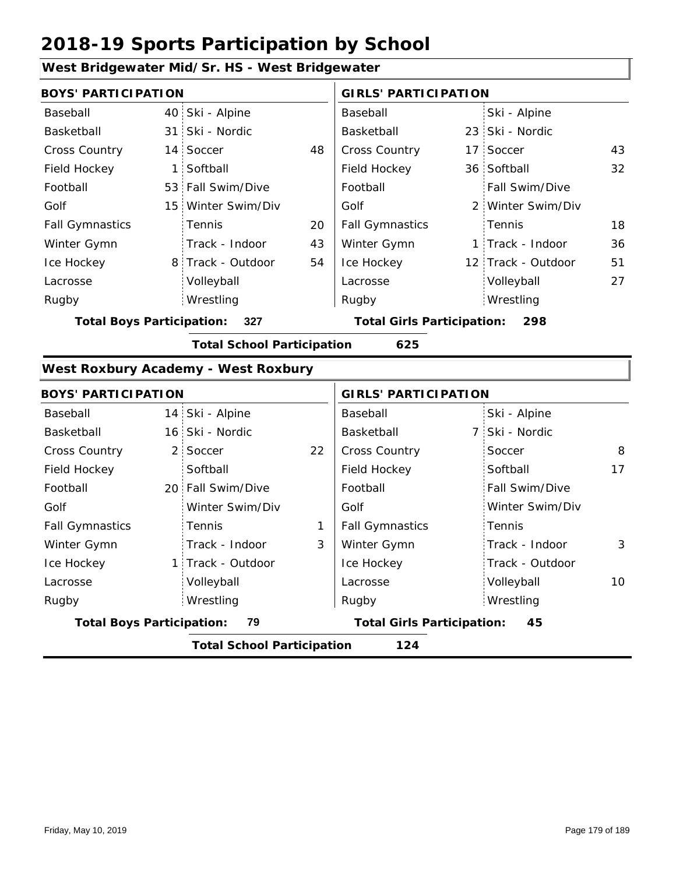### **West Bridgewater Mid/Sr. HS - West Bridgewater**

| <b>BOYS' PARTICIPATION</b>              |  |                                   | <b>GIRLS' PARTICIPATION</b>       |                        |     |                    |    |
|-----------------------------------------|--|-----------------------------------|-----------------------------------|------------------------|-----|--------------------|----|
| Baseball                                |  | 40 Ski - Alpine                   |                                   | Baseball               |     | Ski - Alpine       |    |
| Basketball                              |  | 31 Ski - Nordic                   |                                   | Basketball             |     | 23 Ski - Nordic    |    |
| <b>Cross Country</b>                    |  | 14 Soccer                         | 48                                | <b>Cross Country</b>   |     | 17 Soccer          | 43 |
| Field Hockey                            |  | 1 Softball                        |                                   | Field Hockey           |     | 36 Softball        | 32 |
| Football                                |  | 53 Fall Swim/Dive                 |                                   | Football               |     | Fall Swim/Dive     |    |
| Golf                                    |  | 15 Winter Swim/Div                |                                   | Golf                   |     | 2 Winter Swim/Div  |    |
| <b>Fall Gymnastics</b>                  |  | <b>Tennis</b>                     | 20                                | <b>Fall Gymnastics</b> |     | Tennis             | 18 |
| Winter Gymn                             |  | Track - Indoor                    | 43                                | Winter Gymn            |     | 1 Track - Indoor   | 36 |
| Ice Hockey                              |  | 8 Track - Outdoor                 | 54                                | Ice Hockey             |     | 12 Track - Outdoor | 51 |
| Lacrosse                                |  | Volleyball                        |                                   | Lacrosse               |     | Volleyball         | 27 |
| Rugby                                   |  | Wrestling                         |                                   | Rugby                  |     | Wrestling          |    |
| <b>Total Boys Participation:</b><br>327 |  |                                   | <b>Total Girls Participation:</b> |                        | 298 |                    |    |
|                                         |  | <b>Total School Participation</b> |                                   | 625                    |     |                    |    |

#### **West Roxbury Academy - West Roxbury**

| <b>BOYS' PARTICIPATION</b>             |  |                                   |                                   | <b>GIRLS' PARTICIPATION</b> |                 |    |
|----------------------------------------|--|-----------------------------------|-----------------------------------|-----------------------------|-----------------|----|
| Baseball                               |  | 14 Ski - Alpine                   |                                   | Baseball                    | Ski - Alpine    |    |
| Basketball                             |  | 16 Ski - Nordic                   |                                   | Basketball                  | 7 Ski - Nordic  |    |
| <b>Cross Country</b>                   |  | 2 Soccer                          | 22                                | <b>Cross Country</b>        | Soccer          | 8  |
| Field Hockey                           |  | Softball                          |                                   | Field Hockey                | Softball        | 17 |
| Football                               |  | 20 Fall Swim/Dive                 |                                   | Football                    | Fall Swim/Dive  |    |
| Golf                                   |  | Winter Swim/Div                   |                                   | Golf                        | Winter Swim/Div |    |
| <b>Fall Gymnastics</b>                 |  | <b>Tennis</b>                     | 1                                 | <b>Fall Gymnastics</b>      | Tennis          |    |
| Winter Gymn                            |  | Track - Indoor                    | 3                                 | Winter Gymn                 | Track - Indoor  | 3  |
| Ice Hockey                             |  | 1 Track - Outdoor                 |                                   | Ice Hockey                  | Track - Outdoor |    |
| Lacrosse                               |  | Volleyball                        |                                   | Lacrosse                    | Volleyball      | 10 |
| Rugby                                  |  | Wrestling                         |                                   | Rugby                       | Wrestling       |    |
| 79<br><b>Total Boys Participation:</b> |  |                                   | <b>Total Girls Participation:</b> | 45                          |                 |    |
|                                        |  | <b>Total School Participation</b> |                                   | 124                         |                 |    |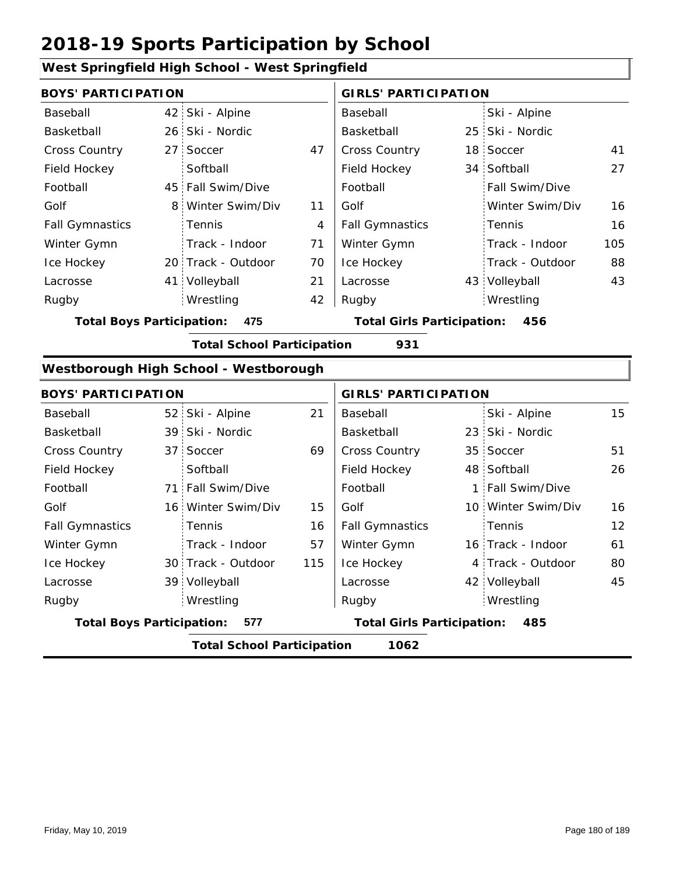#### 42 Ski - Alpine 26 25 Ski - Nordic 27 Soccer **17 | Cross Country 18 Soccer** 41 34 Softball 45 Fall Swim/Dive 8 Winter Swim/Div 11 20 Track - Outdoor 41 43 Volleyball 27 4 71 16 70 16 21 105 42 88 Baseball Basketball Cross Country Field Hockey Football Golf Fall Gymnastics Ice Hockey Lacrosse 27 Soccer **Softball** Tennis Track - Indoor Wrestling Rugby Rugby **BOYS' PARTICIPATION GIRLS' PARTICIPATION** Baseball Basketball Field Hockey Football Golf Fall Gymnastics Winter Gymn Ice Hockey Lacrosse Ski - Alpine 25 Ski - Nordic 18 Soccer Fall Swim/Dive Winter Swim/Div Tennis Track - Indoor Track - Outdoor Winter Gymn Volleyball 43 Wrestling **Total Boys Participation: 475 Total Girls Participation: 456 Total School Participation 931 Westborough High School - Westborough** 52 Ski - Alpine 39 23 Ski - Nordic 37 Soccer 69 | Cross Country 35 Soccer 51 48 Softball 71 Fall Swim/Dive | Football | 1 16 Winter Swim/Div 15 Golf 10 30 Track - Outdoor 16 Track - Indoor 39 Volleyball 4 Track - Outdoor 42 Volleyball 45 21 15 Ski - Alpine 26 16 57 16 115 12 61 80 Baseball Basketball Cross Country Field Hockey Football Golf Fall Gymnastics Ice Hockey Lacrosse 37 Soccer **Softball Tennis** Track - Indoor Wrestling Rugby Rugby **BOYS' PARTICIPATION GIRLS' PARTICIPATION** Baseball Basketball Field Hockey Football Golf Fall Gymnastics Winter Gymn Ice Hockey Lacrosse 23 Ski - Nordic 35 Soccer Fall Swim/Dive Winter Swim/Div Tennis Winter Gymn Wrestling

#### **West Springfield High School - West Springfield**

**Total Boys Participation: 577 Total Girls Participation: 485**

**Total School Participation 1062**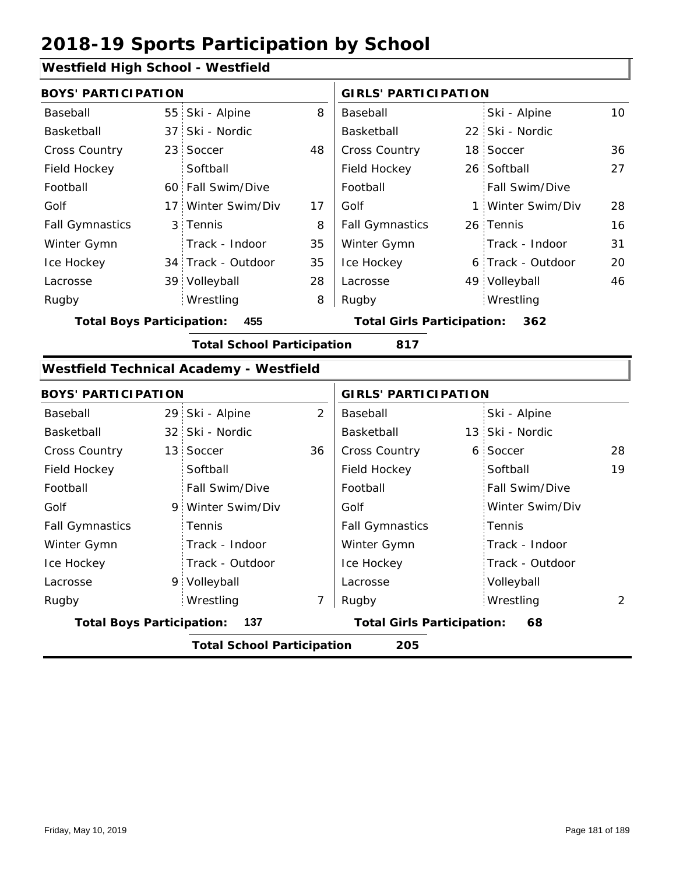## **Westfield High School - Westfield**

| <b>BOYS' PARTICIPATION</b>       |  |                    |    | <b>GIRLS' PARTICIPATION</b>       |  |                   |    |
|----------------------------------|--|--------------------|----|-----------------------------------|--|-------------------|----|
| Baseball                         |  | 55 Ski - Alpine    | 8  | Baseball                          |  | Ski - Alpine      | 10 |
| Basketball                       |  | 37 Ski - Nordic    |    | Basketball                        |  | 22 Ski - Nordic   |    |
| <b>Cross Country</b>             |  | 23 Soccer          | 48 | <b>Cross Country</b>              |  | 18 Soccer         | 36 |
| Field Hockey                     |  | Softball           |    | Field Hockey                      |  | 26 Softball       | 27 |
| Football                         |  | 60 Fall Swim/Dive  |    | Football                          |  | Fall Swim/Dive    |    |
| Golf                             |  | 17 Winter Swim/Div | 17 | Golf                              |  | 1 Winter Swim/Div | 28 |
| <b>Fall Gymnastics</b>           |  | 3 Tennis           | 8  | <b>Fall Gymnastics</b>            |  | 26 Tennis         | 16 |
| Winter Gymn                      |  | Track - Indoor     | 35 | Winter Gymn                       |  | Track - Indoor    | 31 |
| Ice Hockey                       |  | 34 Track - Outdoor | 35 | Ice Hockey                        |  | 6 Track - Outdoor | 20 |
| Lacrosse                         |  | 39 Volleyball      | 28 | Lacrosse                          |  | 49 Volleyball     | 46 |
| Rugby                            |  | Wrestling          | 8  | Rugby                             |  | Wrestling         |    |
| <b>Total Boys Participation:</b> |  | 455                |    | <b>Total Girls Participation:</b> |  | 362               |    |

**Total School Participation 817**

#### **Westfield Technical Academy - Westfield**

| <b>BOYS' PARTICIPATION</b>       |                                   |                | <b>GIRLS' PARTICIPATION</b>       |  |                 |               |
|----------------------------------|-----------------------------------|----------------|-----------------------------------|--|-----------------|---------------|
| Baseball                         | 29 Ski - Alpine                   | $\overline{2}$ | Baseball                          |  | Ski - Alpine    |               |
| Basketball                       | 32 Ski - Nordic                   |                | Basketball                        |  | 13 Ski - Nordic |               |
| <b>Cross Country</b>             | 13 Soccer                         | 36             | <b>Cross Country</b>              |  | 6 Soccer        | 28            |
| Field Hockey                     | Softball                          |                | Field Hockey                      |  | Softball        | 19            |
| Football                         | Fall Swim/Dive                    |                | Football                          |  | Fall Swim/Dive  |               |
| Golf                             | 9 Winter Swim/Div                 |                | Golf                              |  | Winter Swim/Div |               |
| <b>Fall Gymnastics</b>           | <b>Tennis</b>                     |                | <b>Fall Gymnastics</b>            |  | Tennis          |               |
| Winter Gymn                      | Track - Indoor                    |                | Winter Gymn                       |  | Track - Indoor  |               |
| Ice Hockey                       | Track - Outdoor                   |                | Ice Hockey                        |  | Track - Outdoor |               |
| Lacrosse                         | 9 Volleyball                      |                | Lacrosse                          |  | Volleyball      |               |
| Rugby                            | Wrestling                         | 7              | Rugby                             |  | Wrestling       | $\mathcal{L}$ |
| <b>Total Boys Participation:</b> | - 137                             |                | <b>Total Girls Participation:</b> |  | 68              |               |
|                                  | <b>Total School Participation</b> |                | 205                               |  |                 |               |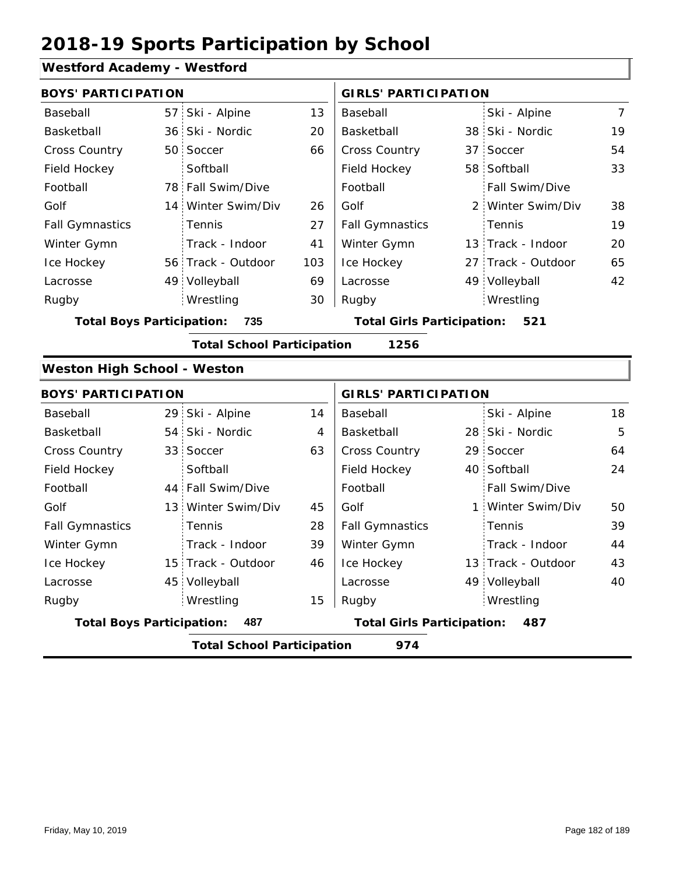## **Westford Academy - Westford**

| <b>BOYS' PARTICIPATION</b>         |                                   |     | <b>GIRLS' PARTICIPATION</b>       |  |                    |                |  |
|------------------------------------|-----------------------------------|-----|-----------------------------------|--|--------------------|----------------|--|
| Baseball                           | 57 Ski - Alpine                   | 13  | Baseball                          |  | Ski - Alpine       | $\overline{7}$ |  |
| Basketball                         | 36 Ski - Nordic                   | 20  | Basketball                        |  | 38 Ski - Nordic    | 19             |  |
| Cross Country                      | 50 Soccer                         | 66  | Cross Country                     |  | 37 Soccer          | 54             |  |
| Field Hockey                       | Softball                          |     | Field Hockey                      |  | 58 Softball        | 33             |  |
| Football                           | 78 Fall Swim/Dive                 |     | Football                          |  | Fall Swim/Dive     |                |  |
| Golf                               | 14 Winter Swim/Div                | 26  | Golf                              |  | 2 Winter Swim/Div  | 38             |  |
| <b>Fall Gymnastics</b>             | Tennis                            | 27  | <b>Fall Gymnastics</b>            |  | Tennis             | 19             |  |
| Winter Gymn                        | Track - Indoor                    | 41  | Winter Gymn                       |  | 13 Track - Indoor  | 20             |  |
| Ice Hockey                         | 56 Track - Outdoor                | 103 | Ice Hockey                        |  | 27 Track - Outdoor | 65             |  |
| Lacrosse                           | 49 Volleyball                     | 69  | Lacrosse                          |  | 49 Volleyball      | 42             |  |
| Rugby                              | Wrestling                         | 30  | Rugby                             |  | Wrestling          |                |  |
| <b>Total Boys Participation:</b>   | 735                               |     | <b>Total Girls Participation:</b> |  | 521                |                |  |
|                                    | <b>Total School Participation</b> |     | 1256                              |  |                    |                |  |
| <b>Weston High School - Weston</b> |                                   |     |                                   |  |                    |                |  |
| <b>BOYS' PARTICIPATION</b>         |                                   |     | <b>GIRLS' PARTICIPATION</b>       |  |                    |                |  |
| Baseball                           | 29 Ski - Alpine                   | 14  | Baseball                          |  | Ski - Alpine       | 18             |  |
| Basketball                         | 54 Ski - Nordic                   | 4   | Basketball                        |  | 28 Ski - Nordic    | 5              |  |
| <b>Cross Country</b>               | 33 Soccer                         | 63  | Cross Country                     |  | 29 Soccer          | 64             |  |
| Field Hockey                       | Softball                          |     | Field Hockey                      |  | 40 Softball        | 24             |  |
| Football                           | 44 Fall Swim/Dive                 |     | Football                          |  | Fall Swim/Dive     |                |  |
| Golf                               | 13 Winter Swim/Div                | 45  | Golf                              |  | 1 Winter Swim/Div  | 50             |  |
| <b>Fall Gymnastics</b>             | Tennis                            | 28  | <b>Fall Gymnastics</b>            |  | Tennis             | 39             |  |
| Winter Gymn                        | Track - Indoor                    | 39  | Winter Gymn                       |  | Track - Indoor     | 44             |  |
| Ice Hockey                         | 15 Track - Outdoor                | 46  | Ice Hockey                        |  | 13 Track - Outdoor | 43             |  |
| Lacrosse                           | 45 Volleyball                     |     | Lacrosse                          |  | 49 Volleyball      | 40             |  |
| Rugby                              | Wrestling                         | 15  | Rugby                             |  | Wrestling          |                |  |
| <b>Total Boys Participation:</b>   | 487                               |     | <b>Total Girls Participation:</b> |  | 487                |                |  |
|                                    | <b>Total School Participation</b> |     | 974                               |  |                    |                |  |
|                                    |                                   |     |                                   |  |                    |                |  |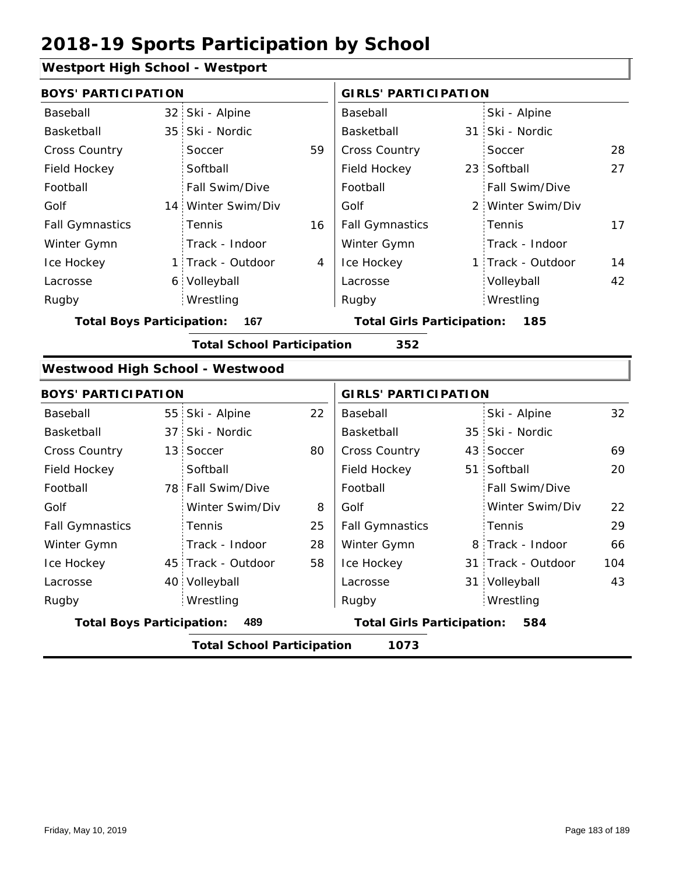## **Westport High School - Westport**

| <b>BOYS' PARTICIPATION</b>       |     |                                   |                                          |                             | <b>GIRLS' PARTICIPATION</b> |                    |     |  |
|----------------------------------|-----|-----------------------------------|------------------------------------------|-----------------------------|-----------------------------|--------------------|-----|--|
| Baseball                         |     | 32 Ski - Alpine                   |                                          | Baseball                    |                             | Ski - Alpine       |     |  |
| Basketball                       | 35  | Ski - Nordic                      |                                          | Basketball                  |                             | 31 Ski - Nordic    |     |  |
| Cross Country                    |     | Soccer                            | 59                                       | Cross Country               |                             | Soccer             | 28  |  |
| Field Hockey                     |     | Softball                          |                                          | Field Hockey                |                             | 23 Softball        | 27  |  |
| Football                         |     | Fall Swim/Dive                    |                                          | Football                    |                             | Fall Swim/Dive     |     |  |
| Golf                             | 14  | Winter Swim/Div                   |                                          | Golf                        |                             | 2 Winter Swim/Div  |     |  |
| <b>Fall Gymnastics</b>           |     | Tennis                            | 16                                       | <b>Fall Gymnastics</b>      |                             | Tennis             | 17  |  |
| Winter Gymn                      |     | Track - Indoor                    |                                          | Winter Gymn                 |                             | Track - Indoor     |     |  |
| Ice Hockey                       | 1   | Track - Outdoor                   | 4                                        | Ice Hockey                  |                             | 1 Track - Outdoor  | 14  |  |
| Lacrosse                         | 6.  | Volleyball                        |                                          | Lacrosse                    |                             | Volleyball         | 42  |  |
| Rugby                            |     | Wrestling                         |                                          | Rugby                       |                             | Wrestling          |     |  |
| <b>Total Boys Participation:</b> |     | 167                               | <b>Total Girls Participation:</b><br>185 |                             |                             |                    |     |  |
|                                  |     | <b>Total School Participation</b> |                                          | 352                         |                             |                    |     |  |
|                                  |     |                                   |                                          |                             |                             |                    |     |  |
|                                  |     | Westwood High School - Westwood   |                                          |                             |                             |                    |     |  |
| <b>BOYS' PARTICIPATION</b>       |     |                                   |                                          | <b>GIRLS' PARTICIPATION</b> |                             |                    |     |  |
| Baseball                         | 55: | Ski - Alpine                      | 22                                       | Baseball                    |                             | Ski - Alpine       | 32  |  |
| Basketball                       | 37  | Ski - Nordic                      |                                          | Basketball                  |                             | 35 Ski - Nordic    |     |  |
| Cross Country                    | 13  | Soccer                            | 80                                       | Cross Country               | 43 :                        | Soccer             | 69  |  |
| Field Hockey                     |     | Softball                          |                                          | Field Hockey                | 51                          | Softball           | 20  |  |
| Football                         |     | 78 Fall Swim/Dive                 |                                          | Football                    |                             | Fall Swim/Dive     |     |  |
| Golf                             |     | Winter Swim/Div                   | 8                                        | Golf                        |                             | Winter Swim/Div    | 22  |  |
| <b>Fall Gymnastics</b>           |     | Tennis                            | 25                                       | <b>Fall Gymnastics</b>      |                             | Tennis             | 29  |  |
| Winter Gymn                      |     | Track - Indoor                    | 28                                       | Winter Gymn                 |                             | 8 Track - Indoor   | 66  |  |
| Ice Hockey                       | 45  | Track - Outdoor                   | 58                                       | Ice Hockey                  |                             | 31 Track - Outdoor | 104 |  |
| Lacrosse                         | 40  | Volleyball                        |                                          | Lacrosse                    | 31 <sup>1</sup>             | Volleyball         | 43  |  |
| Rugby                            |     | Wrestling                         |                                          | Rugby                       |                             | Wrestling          |     |  |

**Total School Participation 1073**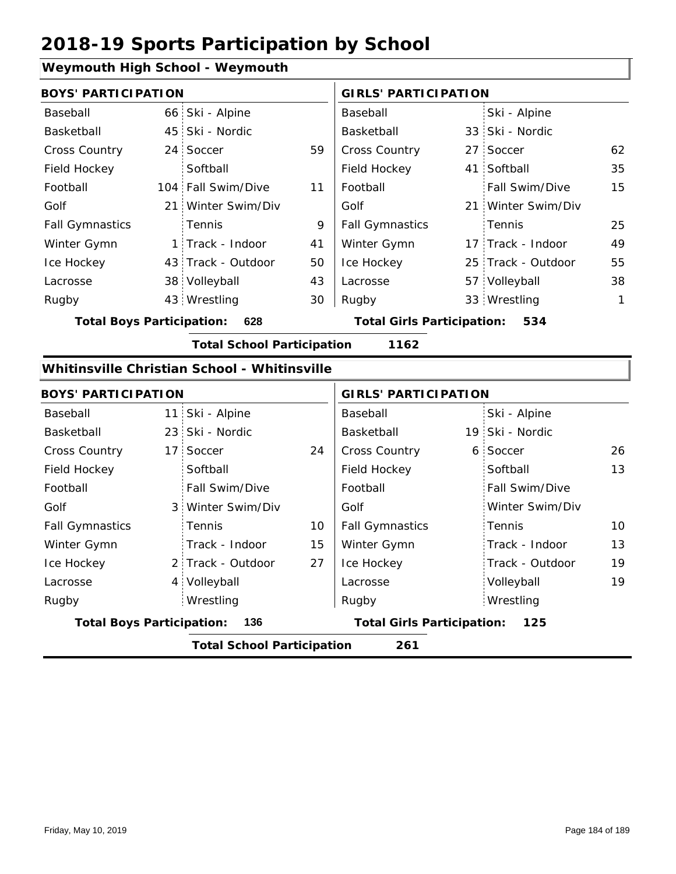## **Weymouth High School - Weymouth**

| <b>BOYS' PARTICIPATION</b> |  |                    |    | <b>GIRLS' PARTICIPATION</b> |  |                    |              |
|----------------------------|--|--------------------|----|-----------------------------|--|--------------------|--------------|
| Baseball                   |  | 66 Ski - Alpine    |    | Baseball                    |  | Ski - Alpine       |              |
| Basketball                 |  | 45 Ski - Nordic    |    | Basketball                  |  | 33 Ski - Nordic    |              |
| <b>Cross Country</b>       |  | 24 Soccer          | 59 | <b>Cross Country</b>        |  | 27 Soccer          | 62           |
| Field Hockey               |  | Softball           |    | Field Hockey                |  | 41 Softball        | 35           |
| Football                   |  | 104 Fall Swim/Dive | 11 | Football                    |  | Fall Swim/Dive     | 15           |
| Golf                       |  | 21 Winter Swim/Div |    | Golf                        |  | 21 Winter Swim/Div |              |
| <b>Fall Gymnastics</b>     |  | <b>Tennis</b>      | 9  | <b>Fall Gymnastics</b>      |  | : Tennis           | 25           |
| Winter Gymn                |  | 1 Track - Indoor   | 41 | Winter Gymn                 |  | 17 Track - Indoor  | 49           |
| Ice Hockey                 |  | 43 Track - Outdoor | 50 | Ice Hockey                  |  | 25 Track - Outdoor | 55           |
| Lacrosse                   |  | 38 Volleyball      | 43 | Lacrosse                    |  | 57 Volleyball      | 38           |
| Rugby                      |  | 43 Wrestling       | 30 | Rugby                       |  | 33 Wrestling       | $\mathbf{1}$ |

**Total Boys Participation: 628 Total Girls Participation: 534**

**Total School Participation 1162**

### **Whitinsville Christian School - Whitinsville**

| <b>BOYS' PARTICIPATION</b>       |                                   |    | <b>GIRLS' PARTICIPATION</b>       |  |                 |    |
|----------------------------------|-----------------------------------|----|-----------------------------------|--|-----------------|----|
| Baseball                         | 11 Ski - Alpine                   |    | Baseball                          |  | Ski - Alpine    |    |
| Basketball                       | 23 Ski - Nordic                   |    | Basketball                        |  | 19 Ski - Nordic |    |
| <b>Cross Country</b>             | 17 Soccer                         | 24 | <b>Cross Country</b>              |  | 6 Soccer        | 26 |
| Field Hockey                     | Softball                          |    | Field Hockey                      |  | Softball        | 13 |
| Football                         | Fall Swim/Dive                    |    | Football                          |  | Fall Swim/Dive  |    |
| Golf                             | 3 Winter Swim/Div                 |    | Golf                              |  | Winter Swim/Div |    |
| <b>Fall Gymnastics</b>           | <b>Tennis</b>                     | 10 | <b>Fall Gymnastics</b>            |  | Tennis          | 10 |
| Winter Gymn                      | Track - Indoor                    | 15 | Winter Gymn                       |  | Track - Indoor  | 13 |
| Ice Hockey                       | 2 Track - Outdoor                 | 27 | Ice Hockey                        |  | Track - Outdoor | 19 |
| Lacrosse                         | 4 Volleyball                      |    | Lacrosse                          |  | Volleyball      | 19 |
| Rugby                            | Wrestling                         |    | Rugby                             |  | Wrestling       |    |
| <b>Total Boys Participation:</b> | 136                               |    | <b>Total Girls Participation:</b> |  | 125             |    |
|                                  | <b>Total School Participation</b> |    | 261                               |  |                 |    |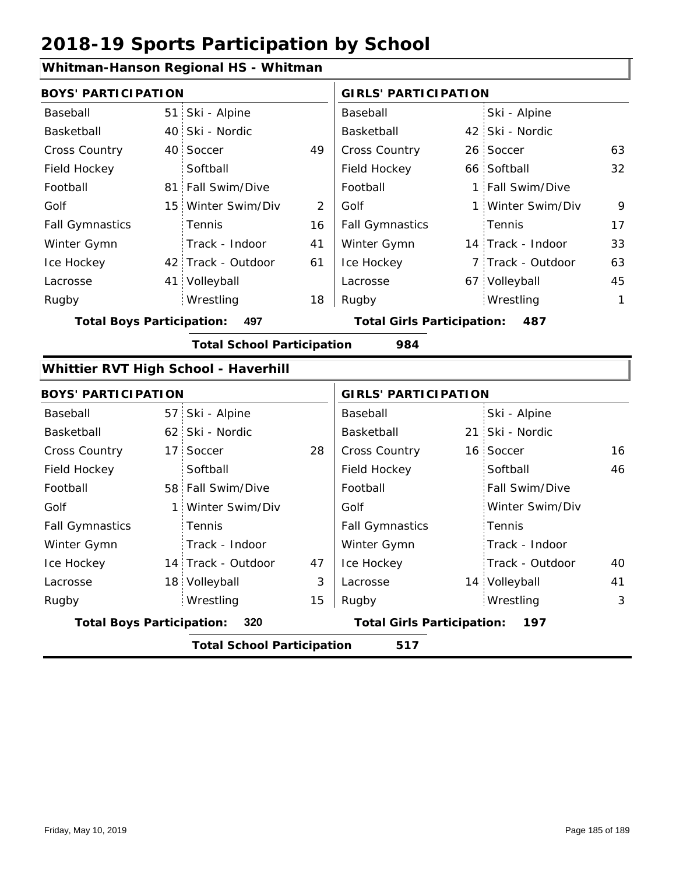## **Whitman-Hanson Regional HS - Whitman**

| <b>BOYS' PARTICIPATION</b>       |                 |                                      |    | <b>GIRLS' PARTICIPATION</b>       |                   |              |
|----------------------------------|-----------------|--------------------------------------|----|-----------------------------------|-------------------|--------------|
| Baseball                         |                 | 51 Ski - Alpine                      |    | Baseball                          | Ski - Alpine      |              |
| Basketball                       |                 | 40 Ski - Nordic                      |    | Basketball                        | 42 Ski - Nordic   |              |
| <b>Cross Country</b>             | 40              | Soccer                               | 49 | Cross Country                     | 26 Soccer         | 63           |
| Field Hockey                     |                 | Softball                             |    | Field Hockey                      | 66 Softball       | 32           |
| Football                         | 81              | Fall Swim/Dive                       |    | Football                          | 1 Fall Swim/Dive  |              |
| Golf                             | 15              | Winter Swim/Div                      | 2  | Golf                              | 1 Winter Swim/Div | 9            |
| <b>Fall Gymnastics</b>           |                 | Tennis                               | 16 | <b>Fall Gymnastics</b>            | Tennis            | 17           |
| Winter Gymn                      |                 | Track - Indoor                       | 41 | Winter Gymn                       | 14 Track - Indoor | 33           |
| Ice Hockey                       |                 | 42 Track - Outdoor                   | 61 | Ice Hockey                        | 7 Track - Outdoor | 63           |
| Lacrosse                         | 41.             | Volleyball                           |    | Lacrosse                          | 67 Volleyball     | 45           |
| Rugby                            |                 | Wrestling                            | 18 | Rugby                             | Wrestling         | $\mathbf{1}$ |
| <b>Total Boys Participation:</b> |                 | 497                                  |    | <b>Total Girls Participation:</b> | 487               |              |
|                                  |                 | <b>Total School Participation</b>    |    | 984                               |                   |              |
|                                  |                 | Whittier RVT High School - Haverhill |    |                                   |                   |              |
| <b>BOYS' PARTICIPATION</b>       |                 |                                      |    | <b>GIRLS' PARTICIPATION</b>       |                   |              |
| Baseball                         | 57              | Ski - Alpine                         |    | Baseball                          | Ski - Alpine      |              |
| Basketball                       |                 | 62 Ski - Nordic                      |    | Basketball                        | 21 Ski - Nordic   |              |
| <b>Cross Country</b>             | 17 <sup>1</sup> | Soccer                               | 28 | Cross Country                     | 16 Soccer         | 16           |
| Field Hockey                     |                 | Softball                             |    | Field Hockey                      | Softball          | 46           |
| Football                         | 58              | Fall Swim/Dive                       |    | Football                          | Fall Swim/Dive    |              |
| Golf                             | 1:              | Winter Swim/Div                      |    | Golf                              | Winter Swim/Div   |              |

|                                  | <b>Total School Participation</b> |    | 517                               |                 |    |
|----------------------------------|-----------------------------------|----|-----------------------------------|-----------------|----|
| <b>Total Boys Participation:</b> | 320                               |    | <b>Total Girls Participation:</b> | 197             |    |
| Rugby                            | Wrestling                         | 15 | Rugby                             | Wrestling       | 3  |
| Lacrosse                         | 18 Volleyball                     | 3  | Lacrosse                          | 14 Volleyball   | 41 |
| Ice Hockey                       | 14 Track - Outdoor                | 47 | Ice Hockey                        | Track - Outdoor | 40 |
| Winter Gymn                      | Track - Indoor                    |    | Winter Gymn                       | Track - Indoor  |    |
| <b>Fall Gymnastics</b>           | <b>Tennis</b>                     |    | <b>Fall Gymnastics</b>            | Tennis          |    |
|                                  |                                   |    |                                   |                 |    |

40

41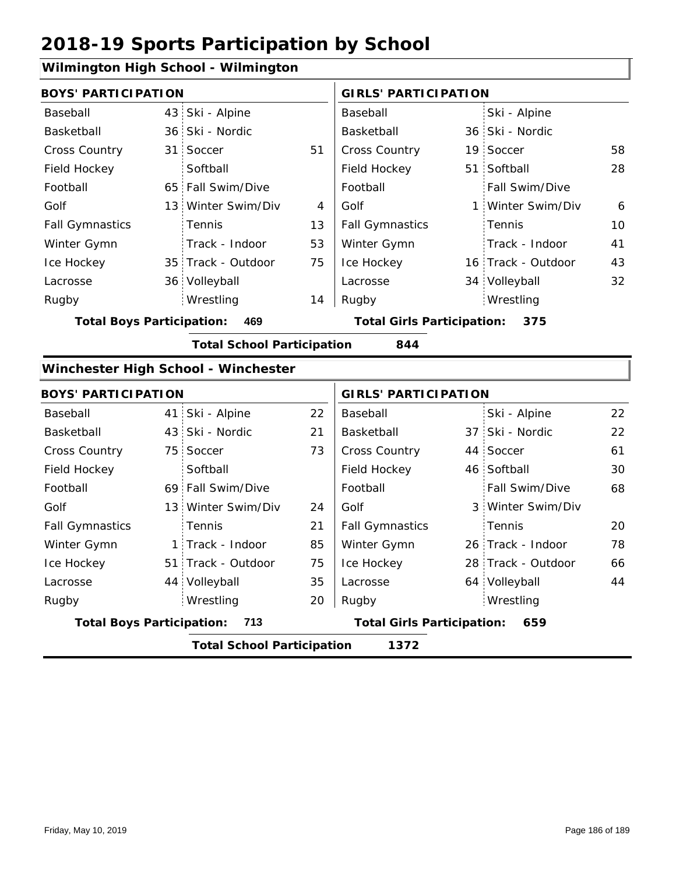## **Wilmington High School - Wilmington**

| <b>BOYS' PARTICIPATION</b>       |                                     |    | <b>GIRLS' PARTICIPATION</b>       |                    |    |
|----------------------------------|-------------------------------------|----|-----------------------------------|--------------------|----|
| Baseball                         | 43 Ski - Alpine                     |    | Baseball                          | Ski - Alpine       |    |
| Basketball                       | 36 Ski - Nordic                     |    | Basketball                        | 36 Ski - Nordic    |    |
| Cross Country                    | 31 Soccer                           | 51 | Cross Country                     | 19 Soccer          | 58 |
| Field Hockey                     | Softball                            |    | Field Hockey                      | 51 Softball        | 28 |
| Football                         | 65 Fall Swim/Dive                   |    | Football                          | Fall Swim/Dive     |    |
| Golf                             | 13 Winter Swim/Div                  | 4  | Golf                              | 1 Winter Swim/Div  | 6  |
| <b>Fall Gymnastics</b>           | Tennis                              | 13 | <b>Fall Gymnastics</b>            | Tennis             | 10 |
| Winter Gymn                      | Track - Indoor                      | 53 | Winter Gymn                       | Track - Indoor     | 41 |
| Ice Hockey                       | 35 Track - Outdoor                  | 75 | Ice Hockey                        | 16 Track - Outdoor | 43 |
| Lacrosse                         | 36 Volleyball                       |    | Lacrosse                          | 34 Volleyball      | 32 |
| Rugby                            | Wrestling                           | 14 | Rugby                             | Wrestling          |    |
| <b>Total Boys Participation:</b> | 469                                 |    | <b>Total Girls Participation:</b> | 375                |    |
|                                  | <b>Total School Participation</b>   |    | 844                               |                    |    |
|                                  | Winchester High School - Winchester |    |                                   |                    |    |
| <b>BOYS' PARTICIPATION</b>       |                                     |    | <b>GIRLS' PARTICIPATION</b>       |                    |    |
| Baseball                         | 41 Ski - Alpine                     | 22 | Baseball                          | Ski - Alpine       | 22 |
| Basketball                       | 43 Ski - Nordic                     | 21 | Basketball                        | 37 Ski - Nordic    | 22 |
| Cross Country                    | 75 Soccer                           | 73 | <b>Cross Country</b>              | 44 Soccer          | 61 |
| Field Hockey                     | Softball                            |    | Field Hockey                      | 46 Softball        | 30 |
| Football                         | 69 Fall Swim/Dive                   |    | Football                          | Fall Swim/Dive     | 68 |
| Golf                             | 13 Winter Swim/Div                  | 24 | Golf                              | 3 Winter Swim/Div  |    |
|                                  |                                     |    |                                   |                    |    |

| <b>Total Boys Participation:</b> | 713                |    | <b>Total Girls Participation:</b> | 659                |    |
|----------------------------------|--------------------|----|-----------------------------------|--------------------|----|
| Rugby                            | Wrestling          | 20 | Rugby                             | Wrestling          |    |
| Lacrosse                         | 44 Volleyball      | 35 | Lacrosse                          | 64 Volleyball      | 44 |
| Ice Hockey                       | 51 Track - Outdoor | 75 | Ice Hockey                        | 28 Track - Outdoor | 66 |
| Winter Gymn                      | 1 Track - Indoor   | 85 | Winter Gymn                       | 26 Track - Indoor  | 78 |
| <b>Fall Gymnastics</b>           | Tennis             | 21 | <b>Fall Gymnastics</b>            | Tennis             | 20 |
| Golf                             | 13 Winter Swim/Div | 24 | Golf                              | 3 Winter Swim/Div  |    |
| Football                         | 69 Fall Swim/Dive  |    | Football                          | Fall Swim/Dive     | 68 |
| , , , , , , , , , , , , ,        | ------             |    | , , , , , , , , , , , , , , , ,   | 19.99.099.11       | ັັ |

**Total School Participation 1372**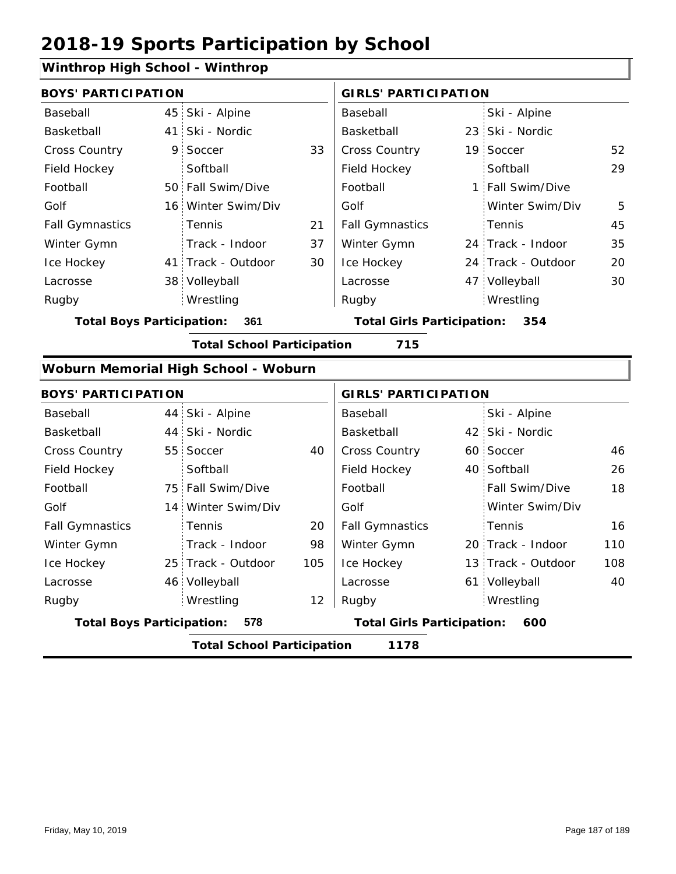## **Winthrop High School - Winthrop**

| <b>BOYS' PARTICIPATION</b>       |   |                                      |    | <b>GIRLS' PARTICIPATION</b>       |                    |     |
|----------------------------------|---|--------------------------------------|----|-----------------------------------|--------------------|-----|
| Baseball                         |   | 45 Ski - Alpine                      |    | Baseball                          | Ski - Alpine       |     |
| Basketball                       |   | 41 Ski - Nordic                      |    | Basketball                        | 23 Ski - Nordic    |     |
| Cross Country                    | 9 | Soccer                               | 33 | Cross Country                     | 19 Soccer          | 52  |
| Field Hockey                     |   | Softball                             |    | Field Hockey                      | Softball           | 29  |
| Football                         |   | 50 Fall Swim/Dive                    |    | Football                          | 1 Fall Swim/Dive   |     |
| Golf                             |   | 16 Winter Swim/Div                   |    | Golf                              | Winter Swim/Div    | 5   |
| <b>Fall Gymnastics</b>           |   | Tennis                               | 21 | <b>Fall Gymnastics</b>            | Tennis             | 45  |
| Winter Gymn                      |   | Track - Indoor                       | 37 | Winter Gymn                       | 24 Track - Indoor  | 35  |
| Ice Hockey                       |   | 41 Track - Outdoor                   | 30 | Ice Hockey                        | 24 Track - Outdoor | 20  |
| Lacrosse                         |   | 38 Volleyball                        |    | Lacrosse                          | 47 Volleyball      | 30  |
| Rugby                            |   | Wrestling                            |    | Rugby                             | Wrestling          |     |
| <b>Total Boys Participation:</b> |   | 361                                  |    | <b>Total Girls Participation:</b> | 354                |     |
|                                  |   | <b>Total School Participation</b>    |    | 715                               |                    |     |
|                                  |   | Woburn Memorial High School - Woburn |    |                                   |                    |     |
| <b>BOYS' PARTICIPATION</b>       |   |                                      |    | <b>GIRLS' PARTICIPATION</b>       |                    |     |
| Baseball                         |   | 44 Ski - Alpine                      |    | Baseball                          | Ski - Alpine       |     |
| Basketball                       |   | 44 Ski - Nordic                      |    | Basketball                        | 42 Ski - Nordic    |     |
| Cross Country                    |   | 55 Soccer                            | 40 | <b>Cross Country</b>              | 60 Soccer          | 46  |
| Field Hockey                     |   | Softball                             |    | Field Hockey                      | 40 Softball        | 26  |
| Football                         |   | 75 Fall Swim/Dive                    |    | Football                          | Fall Swim/Dive     | 18  |
| Golf                             |   | 14 Winter Swim/Div                   |    | Golf                              | Winter Swim/Div    |     |
| <b>Fall Gymnastics</b>           |   | Tennis                               | 20 | <b>Fall Gymnastics</b>            | Tennis             | 16  |
| Winter Gymn                      |   | Track - Indoor                       | 98 | Winter Gymn                       | 20 Track - Indoor  | 110 |

|                                  | <b>Total School Participation</b> |     | 1178                              |                    |     |
|----------------------------------|-----------------------------------|-----|-----------------------------------|--------------------|-----|
| <b>Total Boys Participation:</b> | 578                               |     | <b>Total Girls Participation:</b> | 600                |     |
| Rugby                            | Wrestling                         | 12  | Rugby                             | Wrestling          |     |
| Lacrosse                         | 46 Volleyball                     |     | Lacrosse                          | 61 Volleyball      | 40  |
| Ice Hockey                       | 25 Track - Outdoor                | 105 | Ice Hockey                        | 13 Track - Outdoor | 108 |
| Winter Gymn                      | Track - Indoor                    | 98  | Winter Gymn                       | 20 Track - Indoor  | 110 |
| <b>Fall Gymnastics</b>           | <b>Tennis</b>                     | 20  | <b>Fall Gymnastics</b>            | Tennis             | 16  |
|                                  |                                   |     |                                   |                    |     |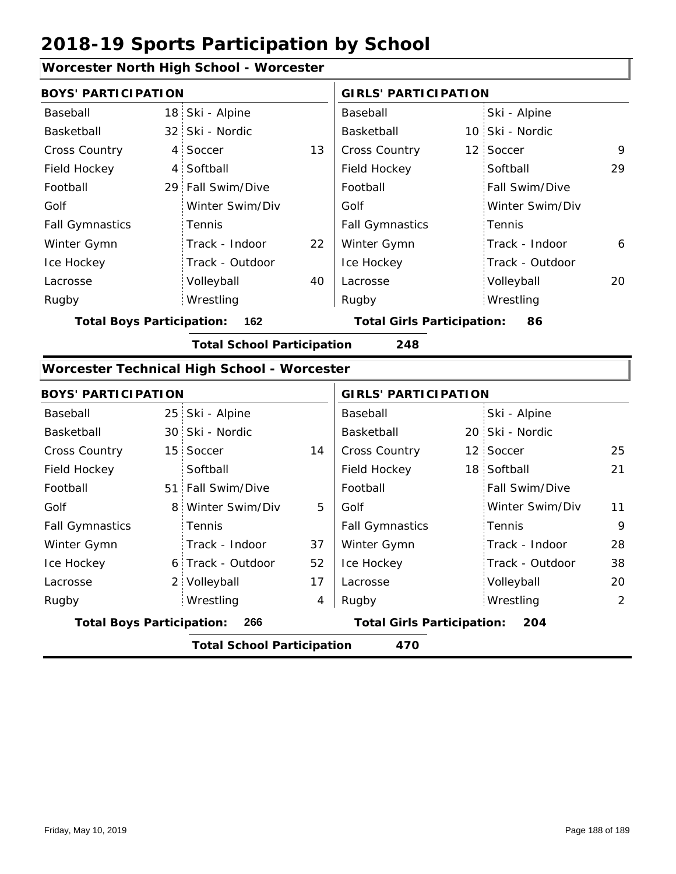6 Track - Outdoor

Track - Indoor

2 Volleyball

Wrestling Rugby Rugby

### **Worcester North High School - Worcester**

| <b>BOYS' PARTICIPATION</b>       |                |                                             |    | <b>GIRLS' PARTICIPATION</b> |  |                 |    |
|----------------------------------|----------------|---------------------------------------------|----|-----------------------------|--|-----------------|----|
| Baseball                         |                | 18 Ski - Alpine                             |    | Baseball                    |  | Ski - Alpine    |    |
| Basketball                       |                | 32 Ski - Nordic                             |    | Basketball                  |  | 10 Ski - Nordic |    |
| Cross Country                    | 4              | Soccer                                      | 13 | <b>Cross Country</b>        |  | 12 Soccer       | 9  |
| Field Hockey                     | 4 <sup>1</sup> | Softball                                    |    | Field Hockey                |  | Softball        | 29 |
| Football                         |                | 29 Fall Swim/Dive                           |    | Football                    |  | Fall Swim/Dive  |    |
| Golf                             |                | Winter Swim/Div                             |    | Golf                        |  | Winter Swim/Div |    |
| <b>Fall Gymnastics</b>           |                | Tennis                                      |    | <b>Fall Gymnastics</b>      |  | Tennis          |    |
| Winter Gymn                      |                | Track - Indoor                              | 22 | Winter Gymn                 |  | Track - Indoor  | 6  |
| Ice Hockey                       |                | Track - Outdoor                             |    | Ice Hockey                  |  | Track - Outdoor |    |
| Lacrosse                         |                | Volleyball                                  | 40 | Lacrosse                    |  | Volleyball      | 20 |
| Rugby                            |                | Wrestling                                   |    | Rugby                       |  | Wrestling       |    |
| <b>Total Boys Participation:</b> | 162            | <b>Total Girls Participation:</b><br>86     |    |                             |  |                 |    |
|                                  |                | <b>Total School Participation</b>           |    | 248                         |  |                 |    |
|                                  |                | Worcester Technical High School - Worcester |    |                             |  |                 |    |
| <b>BOYS' PARTICIPATION</b>       |                |                                             |    | <b>GIRLS' PARTICIPATION</b> |  |                 |    |
| Baseball                         |                | 25 Ski - Alpine                             |    | Baseball                    |  | Ski - Alpine    |    |
| Basketball                       |                | 30 Ski - Nordic                             |    | Basketball                  |  | 20 Ski - Nordic |    |
| Cross Country                    |                | 15 Soccer                                   | 14 | <b>Cross Country</b>        |  | 12 Soccer       | 25 |
| Field Hockey                     |                | Softball                                    |    | Field Hockey                |  | 18 Softball     | 21 |
| Football                         |                | 51 Fall Swim/Dive                           |    | Football                    |  | Fall Swim/Dive  |    |
| Golf                             |                | 8 Winter Swim/Div                           | 5  | Golf                        |  | Winter Swim/Div | 11 |
| <b>Fall Gymnastics</b>           |                | Tennis                                      |    | <b>Fall Gymnastics</b>      |  | Tennis          | 9  |

37

Winter Gymn Ice Hockey Lacrosse

52

17

4

**Total Boys Participation: 266 Total Girls Participation: 204**

**Total School Participation 470**

Ice Hockey Lacrosse

Winter Gymn

28

Track - Indoor Track - Outdoor

Volleyball 20 Wrestling 2

38